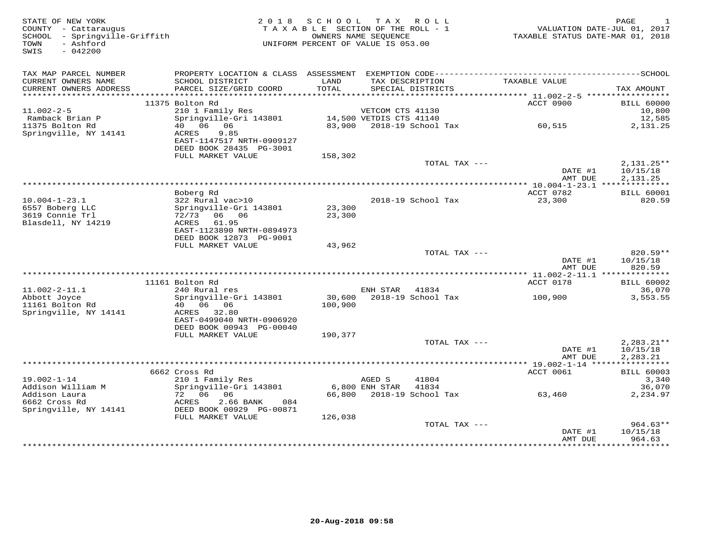| TAX MAP PARCEL NUMBER                                                                                                                                                              | <b>BILL 60000</b><br>10,800 |
|------------------------------------------------------------------------------------------------------------------------------------------------------------------------------------|-----------------------------|
|                                                                                                                                                                                    |                             |
| TAX DESCRIPTION<br>CURRENT OWNERS NAME<br>SCHOOL DISTRICT<br>LAND<br>TAXABLE VALUE<br>PARCEL SIZE/GRID COORD<br>TOTAL<br>SPECIAL DISTRICTS<br>CURRENT OWNERS ADDRESS<br>TAX AMOUNT |                             |
|                                                                                                                                                                                    |                             |
| 11375 Bolton Rd<br>ACCT 0900                                                                                                                                                       |                             |
| 210 1 Family Res<br>Springville-Gri 143801 14,500 VETDIS CTS 41140<br>$11.002 - 2 - 5$                                                                                             |                             |
| Ramback Brian P<br>$83,900$ 2018-19 School Tax 60,515<br>40  06  06<br>11375 Bolton Rd                                                                                             | 12,585<br>2,131.25          |
| Springville, NY 14141<br>9.85<br>ACRES<br>EAST-1147517 NRTH-0909127<br>DEED BOOK 28435 PG-3001                                                                                     |                             |
| FULL MARKET VALUE<br>158,302                                                                                                                                                       |                             |
| TOTAL TAX ---<br>DATE #1                                                                                                                                                           | $2,131.25**$<br>10/15/18    |
| AMT DUE                                                                                                                                                                            | 2,131.25                    |
|                                                                                                                                                                                    |                             |
| ACCT 0782<br>Boberg Rd<br>322 Rural vac>10<br>$10.004 - 1 - 23.1$<br>2018-19 School Tax<br>23,300                                                                                  | <b>BILL 60001</b><br>820.59 |
| 23,300<br>6557 Boberg LLC<br>Springville-Gri 143801                                                                                                                                |                             |
| 3619 Connie Trl<br>72/73 06 06<br>23,300                                                                                                                                           |                             |
| Blasdell, NY 14219<br>ACRES<br>61.95                                                                                                                                               |                             |
| EAST-1123890 NRTH-0894973                                                                                                                                                          |                             |
| DEED BOOK 12873 PG-9001                                                                                                                                                            |                             |
| FULL MARKET VALUE<br>43,962<br>TOTAL TAX ---                                                                                                                                       | $820.59**$                  |
| 10/15/18<br>DATE #1                                                                                                                                                                |                             |
| AMT DUE                                                                                                                                                                            | 820.59                      |
|                                                                                                                                                                                    |                             |
| ACCT 0178<br>11161 Bolton Rd                                                                                                                                                       | <b>BILL 60002</b>           |
| 240 Rural res<br>ENH STAR 41834<br>$11.002 - 2 - 11.1$                                                                                                                             | 36,070                      |
| 30,600 2018-19 School Tax 100,900<br>Abbott Joyce<br>Springville-Gri 143801<br>11161 Bolton Rd<br>100,900                                                                          | 3,553.55                    |
| Springville, NY 14141<br>ACRES 32.80                                                                                                                                               |                             |
| EAST-0499040 NRTH-0906920                                                                                                                                                          |                             |
| DEED BOOK 00943 PG-00040                                                                                                                                                           |                             |
| FULL MARKET VALUE<br>190,377                                                                                                                                                       |                             |
| TOTAL TAX ---                                                                                                                                                                      | $2,283.21**$                |
| DATE #1<br>2,283.21<br>AMT DUE                                                                                                                                                     | 10/15/18                    |
|                                                                                                                                                                                    |                             |
| 6662 Cross Rd<br>ACCT 0061                                                                                                                                                         | <b>BILL 60003</b>           |
| 210 1 Family Res<br>$19.002 - 1 - 14$<br>41804<br>AGED S                                                                                                                           | 3,340                       |
| Springville-Gri 143801<br>6,800 ENH STAR<br>Addison William M<br>41834                                                                                                             | 36,070                      |
| 66,800 2018-19 School Tax 63,460<br>Addison Laura<br>$72$ 06 06<br>ACRES 2.66                                                                                                      | 2,234.97                    |
| 6662 Cross Rd<br>ACRES<br>2.66 BANK<br>084<br>Springville, NY 14141<br>DEED BOOK 00929 PG-00871                                                                                    |                             |
| FULL MARKET VALUE<br>126,038                                                                                                                                                       |                             |
| TOTAL TAX ---                                                                                                                                                                      | $964.63**$                  |
| 10/15/18<br>DATE #1                                                                                                                                                                |                             |
| AMT DUE                                                                                                                                                                            | 964.63<br>**********        |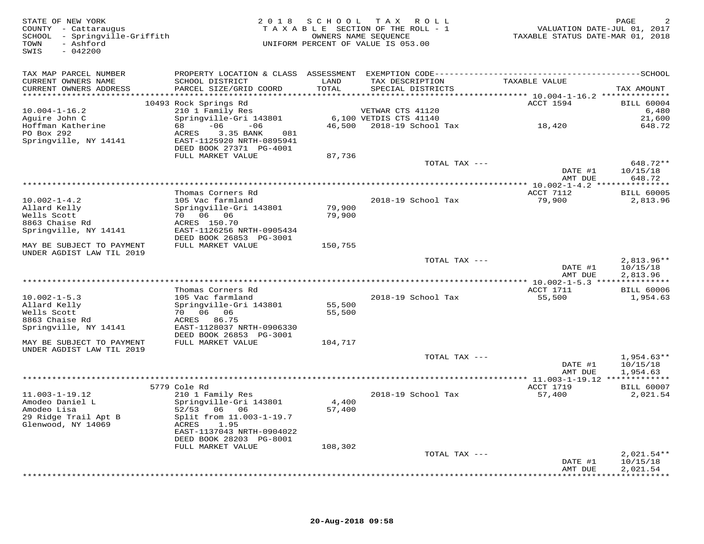| STATE OF NEW YORK<br>COUNTY - Cattaraugus<br>- Springville-Griffith<br>SCHOOL<br>- Ashford<br>TOWN<br>SWIS<br>$-042200$ | 2 0 1 8                                                                                                                                   | S C H O O L      | T A X<br>R O L L<br>TAXABLE SECTION OF THE ROLL - 1<br>OWNERS NAME SEOUENCE<br>UNIFORM PERCENT OF VALUE IS 053.00 | VALUATION DATE-JUL 01, 2017<br>TAXABLE STATUS DATE-MAR 01, 2018 | PAGE                                 |
|-------------------------------------------------------------------------------------------------------------------------|-------------------------------------------------------------------------------------------------------------------------------------------|------------------|-------------------------------------------------------------------------------------------------------------------|-----------------------------------------------------------------|--------------------------------------|
| TAX MAP PARCEL NUMBER<br>CURRENT OWNERS NAME<br>CURRENT OWNERS ADDRESS<br>************************                      | PROPERTY LOCATION & CLASS ASSESSMENT EXEMPTION CODE-----------------------------------SCHOOL<br>SCHOOL DISTRICT<br>PARCEL SIZE/GRID COORD | LAND<br>TOTAL    | TAX DESCRIPTION<br>SPECIAL DISTRICTS                                                                              | TAXABLE VALUE                                                   | TAX AMOUNT                           |
|                                                                                                                         | 10493 Rock Springs Rd                                                                                                                     |                  |                                                                                                                   | ACCT 1594                                                       | <b>BILL 60004</b>                    |
| $10.004 - 1 - 16.2$                                                                                                     | 210 1 Family Res                                                                                                                          |                  | VETWAR CTS 41120                                                                                                  |                                                                 | 6,480                                |
| Aguire John C                                                                                                           | Springville-Gri 143801                                                                                                                    |                  | 6,100 VETDIS CTS 41140                                                                                            |                                                                 | 21,600                               |
| Hoffman Katherine<br>PO Box 292<br>Springville, NY 14141                                                                | 68<br>$-06$<br>$-06$<br>ACRES<br>3.35 BANK<br>081<br>EAST-1125920 NRTH-0895941<br>DEED BOOK 27371 PG-4001<br>FULL MARKET VALUE            | 87,736           | 46,500 2018-19 School Tax                                                                                         | 18,420                                                          | 648.72                               |
|                                                                                                                         |                                                                                                                                           |                  | TOTAL TAX ---                                                                                                     |                                                                 | 648.72**                             |
|                                                                                                                         |                                                                                                                                           |                  |                                                                                                                   | DATE #1<br>AMT DUE                                              | 10/15/18<br>648.72                   |
|                                                                                                                         |                                                                                                                                           |                  |                                                                                                                   |                                                                 |                                      |
|                                                                                                                         | Thomas Corners Rd                                                                                                                         |                  |                                                                                                                   | ACCT 7112                                                       | <b>BILL 60005</b>                    |
| $10.002 - 1 - 4.2$                                                                                                      | 105 Vac farmland                                                                                                                          |                  | 2018-19 School Tax                                                                                                | 79,900                                                          | 2,813.96                             |
| Allard Kelly                                                                                                            | Springville-Gri 143801                                                                                                                    | 79,900           |                                                                                                                   |                                                                 |                                      |
| Wells Scott<br>8863 Chaise Rd                                                                                           | 70 06 06<br>ACRES 150.70                                                                                                                  | 79,900           |                                                                                                                   |                                                                 |                                      |
| Springville, NY 14141                                                                                                   | EAST-1126256 NRTH-0905434                                                                                                                 |                  |                                                                                                                   |                                                                 |                                      |
|                                                                                                                         | DEED BOOK 26853 PG-3001                                                                                                                   |                  |                                                                                                                   |                                                                 |                                      |
| MAY BE SUBJECT TO PAYMENT<br>UNDER AGDIST LAW TIL 2019                                                                  | FULL MARKET VALUE                                                                                                                         | 150,755          |                                                                                                                   |                                                                 |                                      |
|                                                                                                                         |                                                                                                                                           |                  | TOTAL TAX ---                                                                                                     | DATE #1<br>AMT DUE                                              | $2,813.96**$<br>10/15/18<br>2,813.96 |
|                                                                                                                         |                                                                                                                                           |                  |                                                                                                                   |                                                                 |                                      |
|                                                                                                                         | Thomas Corners Rd                                                                                                                         |                  |                                                                                                                   | ACCT 1711                                                       | <b>BILL 60006</b>                    |
| $10.002 - 1 - 5.3$                                                                                                      | 105 Vac farmland                                                                                                                          |                  | 2018-19 School Tax                                                                                                | 55,500                                                          | 1,954.63                             |
| Allard Kelly<br>Wells Scott                                                                                             | Springville-Gri 143801<br>70 06 06                                                                                                        | 55,500<br>55,500 |                                                                                                                   |                                                                 |                                      |
| 8863 Chaise Rd                                                                                                          | ACRES 86.75                                                                                                                               |                  |                                                                                                                   |                                                                 |                                      |
| Springville, NY 14141                                                                                                   | EAST-1128037 NRTH-0906330                                                                                                                 |                  |                                                                                                                   |                                                                 |                                      |
|                                                                                                                         | DEED BOOK 26853 PG-3001                                                                                                                   |                  |                                                                                                                   |                                                                 |                                      |
| MAY BE SUBJECT TO PAYMENT                                                                                               | FULL MARKET VALUE                                                                                                                         | 104,717          |                                                                                                                   |                                                                 |                                      |
| UNDER AGDIST LAW TIL 2019                                                                                               |                                                                                                                                           |                  | TOTAL TAX ---                                                                                                     |                                                                 | $1,954.63**$                         |
|                                                                                                                         |                                                                                                                                           |                  |                                                                                                                   | DATE #1                                                         | 10/15/18                             |
|                                                                                                                         |                                                                                                                                           |                  |                                                                                                                   | AMT DUE                                                         | 1,954.63                             |
|                                                                                                                         | 5779 Cole Rd                                                                                                                              |                  |                                                                                                                   | ACCT 1719                                                       | <b>BILL 60007</b>                    |
| $11.003 - 1 - 19.12$                                                                                                    | 210 1 Family Res                                                                                                                          |                  | 2018-19 School Tax                                                                                                | 57,400                                                          | 2,021.54                             |
| Amodeo Daniel L                                                                                                         | Springville-Gri 143801                                                                                                                    | 4,400            |                                                                                                                   |                                                                 |                                      |
| Amodeo Lisa<br>29 Ridge Trail Apt B                                                                                     | 52/53 06 06<br>Split from 11.003-1-19.7                                                                                                   | 57,400           |                                                                                                                   |                                                                 |                                      |
| Glenwood, NY 14069                                                                                                      | ACRES<br>1.95                                                                                                                             |                  |                                                                                                                   |                                                                 |                                      |
|                                                                                                                         | EAST-1137043 NRTH-0904022                                                                                                                 |                  |                                                                                                                   |                                                                 |                                      |
|                                                                                                                         | DEED BOOK 28203 PG-8001                                                                                                                   |                  |                                                                                                                   |                                                                 |                                      |
|                                                                                                                         | FULL MARKET VALUE                                                                                                                         | 108,302          |                                                                                                                   |                                                                 |                                      |
|                                                                                                                         |                                                                                                                                           |                  | TOTAL TAX ---                                                                                                     |                                                                 | $2,021.54**$                         |
|                                                                                                                         |                                                                                                                                           |                  |                                                                                                                   | DATE #1<br>AMT DUE                                              | 10/15/18<br>2,021.54                 |
|                                                                                                                         |                                                                                                                                           |                  |                                                                                                                   | * * * * * * * * *                                               | * * * * * * * * * *                  |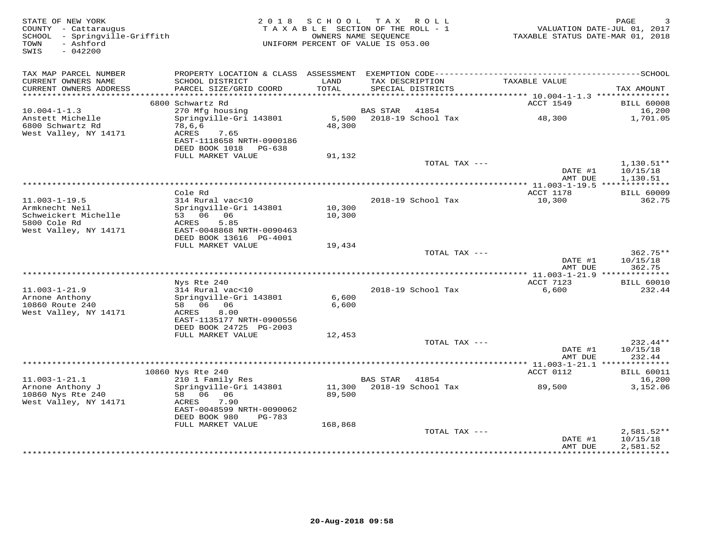| STATE OF NEW YORK<br>COUNTY - Cattaraugus<br>SCHOOL - Springville-Griffith<br>- Ashford<br>TOWN<br>SWIS<br>$-042200$ | 2 0 1 8                                              | S C H O O L<br>OWNERS NAME SEOUENCE | TAX ROLL<br>TAXABLE SECTION OF THE ROLL - 1<br>UNIFORM PERCENT OF VALUE IS 053.00 | TAXABLE STATUS DATE-MAR 01, 2018 | PAGE<br>VALUATION DATE-JUL 01, 2017 |
|----------------------------------------------------------------------------------------------------------------------|------------------------------------------------------|-------------------------------------|-----------------------------------------------------------------------------------|----------------------------------|-------------------------------------|
| TAX MAP PARCEL NUMBER                                                                                                |                                                      |                                     |                                                                                   |                                  |                                     |
| CURRENT OWNERS NAME<br>CURRENT OWNERS ADDRESS                                                                        | SCHOOL DISTRICT<br>PARCEL SIZE/GRID COORD            | LAND<br>TOTAL                       | TAX DESCRIPTION<br>SPECIAL DISTRICTS                                              | TAXABLE VALUE                    | TAX AMOUNT                          |
| **********************                                                                                               |                                                      |                                     |                                                                                   |                                  |                                     |
|                                                                                                                      | 6800 Schwartz Rd                                     |                                     | 41854                                                                             | ACCT 1549                        | <b>BILL 60008</b>                   |
| $10.004 - 1 - 1.3$<br>Anstett Michelle                                                                               | 270 Mfg housing<br>Springville-Gri 143801            | 5,500                               | BAS STAR<br>2018-19 School Tax                                                    | 48,300                           | 16,200<br>1,701.05                  |
| 6800 Schwartz Rd                                                                                                     | 78,6,6                                               | 48,300                              |                                                                                   |                                  |                                     |
| West Valley, NY 14171                                                                                                | ACRES<br>7.65                                        |                                     |                                                                                   |                                  |                                     |
|                                                                                                                      | EAST-1118658 NRTH-0900186                            |                                     |                                                                                   |                                  |                                     |
|                                                                                                                      | DEED BOOK 1018<br>PG-638<br>FULL MARKET VALUE        | 91,132                              |                                                                                   |                                  |                                     |
|                                                                                                                      |                                                      |                                     | TOTAL TAX ---                                                                     |                                  | $1,130.51**$                        |
|                                                                                                                      |                                                      |                                     |                                                                                   | DATE #1                          | 10/15/18                            |
|                                                                                                                      |                                                      |                                     |                                                                                   | AMT DUE                          | 1,130.51                            |
|                                                                                                                      |                                                      |                                     |                                                                                   |                                  |                                     |
| $11.003 - 1 - 19.5$                                                                                                  | Cole Rd<br>314 Rural vac<10                          |                                     | 2018-19 School Tax                                                                | ACCT 1178<br>10,300              | <b>BILL 60009</b><br>362.75         |
| Armknecht Neil                                                                                                       | Springville-Gri 143801                               | 10,300                              |                                                                                   |                                  |                                     |
| Schweickert Michelle                                                                                                 | 53 06 06                                             | 10,300                              |                                                                                   |                                  |                                     |
| 5800 Cole Rd                                                                                                         | ACRES<br>5.85                                        |                                     |                                                                                   |                                  |                                     |
| West Valley, NY 14171                                                                                                | EAST-0048868 NRTH-0090463<br>DEED BOOK 13616 PG-4001 |                                     |                                                                                   |                                  |                                     |
|                                                                                                                      | FULL MARKET VALUE                                    | 19,434                              |                                                                                   |                                  |                                     |
|                                                                                                                      |                                                      |                                     | TOTAL TAX ---                                                                     |                                  | $362.75**$                          |
|                                                                                                                      |                                                      |                                     |                                                                                   | DATE #1                          | 10/15/18                            |
|                                                                                                                      |                                                      |                                     |                                                                                   | AMT DUE                          | 362.75                              |
|                                                                                                                      | Nys Rte 240                                          |                                     |                                                                                   | ACCT 7123                        | <b>BILL 60010</b>                   |
| $11.003 - 1 - 21.9$                                                                                                  | 314 Rural vac<10                                     |                                     | 2018-19 School Tax                                                                | 6,600                            | 232.44                              |
| Arnone Anthony                                                                                                       | Springville-Gri 143801                               | 6,600                               |                                                                                   |                                  |                                     |
| 10860 Route 240                                                                                                      | 58 06<br>06                                          | 6,600                               |                                                                                   |                                  |                                     |
| West Valley, NY 14171                                                                                                | 8.00<br>ACRES<br>EAST-1135177 NRTH-0900556           |                                     |                                                                                   |                                  |                                     |
|                                                                                                                      | DEED BOOK 24725 PG-2003                              |                                     |                                                                                   |                                  |                                     |
|                                                                                                                      | FULL MARKET VALUE                                    | 12,453                              |                                                                                   |                                  |                                     |
|                                                                                                                      |                                                      |                                     | TOTAL TAX ---                                                                     |                                  | 232.44**                            |
|                                                                                                                      |                                                      |                                     |                                                                                   | DATE #1<br>AMT DUE               | 10/15/18<br>232.44                  |
|                                                                                                                      |                                                      |                                     |                                                                                   |                                  |                                     |
|                                                                                                                      | 10860 Nys Rte 240                                    |                                     |                                                                                   | ACCT 0112                        | <b>BILL 60011</b>                   |
| $11.003 - 1 - 21.1$                                                                                                  | 210 1 Family Res                                     |                                     | <b>BAS STAR</b><br>41854                                                          |                                  | 16,200                              |
| Arnone Anthony J                                                                                                     | Springville-Gri 143801                               | 11,300                              | 2018-19 School Tax                                                                | 89,500                           | 3,152.06                            |
| 10860 Nys Rte 240<br>West Valley, NY 14171                                                                           | 58 06 06<br>7.90<br>ACRES                            | 89,500                              |                                                                                   |                                  |                                     |
|                                                                                                                      | EAST-0048599 NRTH-0090062                            |                                     |                                                                                   |                                  |                                     |
|                                                                                                                      | DEED BOOK 980<br>PG-783                              |                                     |                                                                                   |                                  |                                     |
|                                                                                                                      | FULL MARKET VALUE                                    | 168,868                             |                                                                                   |                                  |                                     |
|                                                                                                                      |                                                      |                                     | TOTAL TAX ---                                                                     | DATE #1                          | $2,581.52**$<br>10/15/18            |
|                                                                                                                      |                                                      |                                     |                                                                                   | AMT DUE                          | 2,581.52                            |
|                                                                                                                      |                                                      |                                     | **************************                                                        | ***********                      | **********                          |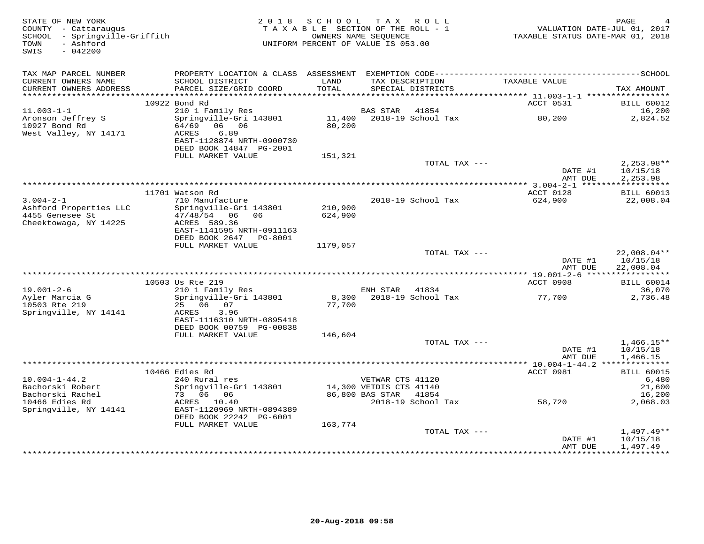| STATE OF NEW YORK<br>COUNTY - Cattaraugus<br>SCHOOL - Springville-Griffith<br>- Ashford<br>TOWN<br>$-042200$<br>SWIS |                                                                                        | 2018 SCHOOL TAX ROLL<br>TAXABLE SECTION OF THE ROLL - 1<br>UNIFORM PERCENT OF VALUE IS 053.00 | OWNERS NAME SEOUENCE                        |                           | VALUATION DATE-JUL 01, 2017<br>TAXABLE STATUS DATE-MAR 01, 2018 | PAGE                                   |
|----------------------------------------------------------------------------------------------------------------------|----------------------------------------------------------------------------------------|-----------------------------------------------------------------------------------------------|---------------------------------------------|---------------------------|-----------------------------------------------------------------|----------------------------------------|
| TAX MAP PARCEL NUMBER                                                                                                |                                                                                        |                                                                                               |                                             |                           |                                                                 |                                        |
| CURRENT OWNERS NAME<br>CURRENT OWNERS ADDRESS                                                                        | SCHOOL DISTRICT<br>PARCEL SIZE/GRID COORD                                              | LAND<br>TOTAL                                                                                 | TAX DESCRIPTION                             | SPECIAL DISTRICTS         | TAXABLE VALUE                                                   | TAX AMOUNT                             |
|                                                                                                                      | 10922 Bond Rd                                                                          |                                                                                               |                                             |                           | ACCT 0531                                                       | <b>BILL 60012</b>                      |
| $11.003 - 1 - 1$                                                                                                     | 210 1 Family Res                                                                       |                                                                                               | BAS STAR                                    | 41854                     |                                                                 | 16,200                                 |
| Aronson Jeffrey S<br>10927 Bond Rd<br>West Valley, NY 14171                                                          | Springville-Gri 143801<br>64/69<br>06 06<br>6.89<br>ACRES<br>EAST-1128874 NRTH-0900730 | 80,200                                                                                        |                                             | 11,400 2018-19 School Tax | 80,200                                                          | 2,824.52                               |
|                                                                                                                      | DEED BOOK 14847 PG-2001                                                                |                                                                                               |                                             |                           |                                                                 |                                        |
|                                                                                                                      | FULL MARKET VALUE                                                                      | 151,321                                                                                       |                                             |                           |                                                                 |                                        |
|                                                                                                                      |                                                                                        |                                                                                               |                                             | TOTAL TAX ---             | DATE #1<br>AMT DUE                                              | $2,253.98**$<br>10/15/18<br>2,253.98   |
|                                                                                                                      |                                                                                        |                                                                                               |                                             |                           |                                                                 |                                        |
|                                                                                                                      | 11701 Watson Rd                                                                        |                                                                                               |                                             |                           | ACCT 0128                                                       | <b>BILL 60013</b>                      |
| $3.004 - 2 - 1$<br>Ashford Properties LLC<br>4455 Genesee St                                                         | 710 Manufacture<br>Springville-Gri 143801<br>47/48/54 06 06                            | 210,900<br>624,900                                                                            |                                             | 2018-19 School Tax        | 624,900                                                         | 22,008.04                              |
| Cheektowaga, NY 14225                                                                                                | ACRES 589.36<br>EAST-1141595 NRTH-0911163                                              |                                                                                               |                                             |                           |                                                                 |                                        |
|                                                                                                                      | DEED BOOK 2647 PG-8001<br>FULL MARKET VALUE                                            | 1179,057                                                                                      |                                             |                           |                                                                 |                                        |
|                                                                                                                      |                                                                                        |                                                                                               |                                             | TOTAL TAX ---             | DATE #1<br>AMT DUE                                              | $22,008.04**$<br>10/15/18<br>22,008.04 |
|                                                                                                                      |                                                                                        |                                                                                               |                                             |                           |                                                                 |                                        |
|                                                                                                                      | 10503 Us Rte 219                                                                       |                                                                                               |                                             |                           | ACCT 0908                                                       | <b>BILL 60014</b>                      |
| $19.001 - 2 - 6$<br>Ayler Marcia G<br>10503 Rte 219                                                                  | 210 1 Family Res<br>Springville-Gri 143801<br>25 06 07                                 | 77,700                                                                                        | ENH STAR 41834                              | 8,300 2018-19 School Tax  | 77,700                                                          | 36,070<br>2,736.48                     |
| Springville, NY 14141                                                                                                | ACRES<br>3.96<br>EAST-1116310 NRTH-0895418                                             |                                                                                               |                                             |                           |                                                                 |                                        |
|                                                                                                                      | DEED BOOK 00759 PG-00838                                                               |                                                                                               |                                             |                           |                                                                 |                                        |
|                                                                                                                      | FULL MARKET VALUE                                                                      | 146,604                                                                                       |                                             | TOTAL TAX ---             |                                                                 |                                        |
|                                                                                                                      |                                                                                        |                                                                                               |                                             |                           | DATE #1<br>AMT DUE                                              | $1,466.15**$<br>10/15/18<br>1,466.15   |
|                                                                                                                      |                                                                                        |                                                                                               |                                             |                           |                                                                 |                                        |
|                                                                                                                      | 10466 Edies Rd                                                                         |                                                                                               |                                             |                           | ACCT 0981                                                       | <b>BILL 60015</b>                      |
| $10.004 - 1 - 44.2$<br>Bachorski Robert                                                                              | 240 Rural res<br>Springville-Gri 143801                                                |                                                                                               | VETWAR CTS 41120<br>14,300 VETDIS CTS 41140 |                           |                                                                 | 6,480<br>21,600                        |
| Bachorski Rachel                                                                                                     | 73 06 06                                                                               |                                                                                               | 86,800 BAS STAR                             | 41854                     |                                                                 | 16,200                                 |
| 10466 Edies Rd<br>Springville, NY 14141                                                                              | ACRES 10.40<br>EAST-1120969 NRTH-0894389                                               |                                                                                               |                                             | 2018-19 School Tax        | 58,720                                                          | 2,068.03                               |
|                                                                                                                      | DEED BOOK 22242 PG-6001                                                                |                                                                                               |                                             |                           |                                                                 |                                        |
|                                                                                                                      | FULL MARKET VALUE                                                                      | 163,774                                                                                       |                                             | TOTAL TAX ---             | DATE #1                                                         | $1,497.49**$<br>10/15/18               |
|                                                                                                                      |                                                                                        |                                                                                               |                                             |                           | AMT DUE                                                         | 1,497.49                               |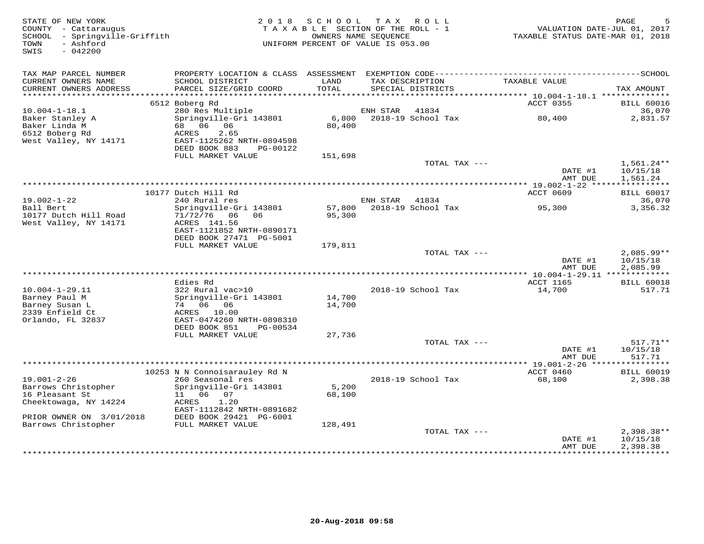| STATE OF NEW YORK<br>COUNTY - Cattaraugus<br>SCHOOL - Springville-Griffith<br>- Ashford<br>TOWN<br>$-042200$<br>SWIS |                                                | 2018 SCHOOL<br>TAXABLE SECTION OF THE ROLL - 1<br>UNIFORM PERCENT OF VALUE IS 053.00 | OWNERS NAME SEQUENCE | TAX ROLL                  | TAXABLE STATUS DATE-MAR 01, 2018                 | PAGE<br>VALUATION DATE-JUL 01, 2017 |
|----------------------------------------------------------------------------------------------------------------------|------------------------------------------------|--------------------------------------------------------------------------------------|----------------------|---------------------------|--------------------------------------------------|-------------------------------------|
| TAX MAP PARCEL NUMBER                                                                                                |                                                |                                                                                      |                      |                           |                                                  |                                     |
| CURRENT OWNERS NAME                                                                                                  | SCHOOL DISTRICT                                | LAND                                                                                 |                      | TAX DESCRIPTION           | TAXABLE VALUE                                    |                                     |
| CURRENT OWNERS ADDRESS                                                                                               | PARCEL SIZE/GRID COORD                         | TOTAL                                                                                |                      | SPECIAL DISTRICTS         |                                                  | TAX AMOUNT                          |
|                                                                                                                      | 6512 Boberg Rd                                 |                                                                                      |                      |                           | ACCT 0355                                        | <b>BILL 60016</b>                   |
| $10.004 - 1 - 18.1$                                                                                                  | 280 Res Multiple                               |                                                                                      | ENH STAR             | 41834                     |                                                  | 36,070                              |
| Baker Stanley A                                                                                                      | Springville-Gri 143801                         | 6,800                                                                                |                      | 2018-19 School Tax        | 80,400                                           | 2,831.57                            |
| Baker Linda M                                                                                                        | 68 06 06                                       | 80,400                                                                               |                      |                           |                                                  |                                     |
| 6512 Boberg Rd                                                                                                       | ACRES<br>2.65                                  |                                                                                      |                      |                           |                                                  |                                     |
| West Valley, NY 14171                                                                                                | EAST-1125262 NRTH-0894598                      |                                                                                      |                      |                           |                                                  |                                     |
|                                                                                                                      | DEED BOOK 883<br>PG-00122<br>FULL MARKET VALUE | 151,698                                                                              |                      |                           |                                                  |                                     |
|                                                                                                                      |                                                |                                                                                      |                      | TOTAL TAX ---             |                                                  | $1,561.24**$                        |
|                                                                                                                      |                                                |                                                                                      |                      |                           | DATE #1                                          | 10/15/18                            |
|                                                                                                                      |                                                |                                                                                      |                      |                           | AMT DUE                                          | 1,561.24                            |
|                                                                                                                      |                                                |                                                                                      |                      |                           | ****************** 19.002-1-22 ***************** |                                     |
| $19.002 - 1 - 22$                                                                                                    | 10177 Dutch Hill Rd<br>240 Rural res           |                                                                                      | ENH STAR             | 41834                     | ACCT 0609                                        | <b>BILL 60017</b><br>36,070         |
| Ball Bert                                                                                                            | Springville-Gri 143801                         |                                                                                      |                      | 57,800 2018-19 School Tax | 95,300                                           | 3,356.32                            |
| 10177 Dutch Hill Road                                                                                                | 71/72/76 06<br>06                              | 95,300                                                                               |                      |                           |                                                  |                                     |
| West Valley, NY 14171                                                                                                | ACRES 141.56                                   |                                                                                      |                      |                           |                                                  |                                     |
|                                                                                                                      | EAST-1121852 NRTH-0890171                      |                                                                                      |                      |                           |                                                  |                                     |
|                                                                                                                      | DEED BOOK 27471 PG-5001<br>FULL MARKET VALUE   | 179,811                                                                              |                      |                           |                                                  |                                     |
|                                                                                                                      |                                                |                                                                                      |                      | TOTAL TAX ---             |                                                  | $2,085.99**$                        |
|                                                                                                                      |                                                |                                                                                      |                      |                           | DATE #1                                          | 10/15/18                            |
|                                                                                                                      |                                                |                                                                                      |                      |                           | AMT DUE                                          | 2,085.99                            |
|                                                                                                                      |                                                |                                                                                      |                      |                           |                                                  |                                     |
| $10.004 - 1 - 29.11$                                                                                                 | Edies Rd<br>322 Rural vac>10                   |                                                                                      |                      | 2018-19 School Tax        | ACCT 1165<br>14,700                              | <b>BILL 60018</b><br>517.71         |
| Barney Paul M                                                                                                        | Springville-Gri 143801                         | 14,700                                                                               |                      |                           |                                                  |                                     |
| Barney Susan L                                                                                                       | 74 06 06                                       | 14,700                                                                               |                      |                           |                                                  |                                     |
| 2339 Enfield Ct                                                                                                      | ACRES 10.00                                    |                                                                                      |                      |                           |                                                  |                                     |
| Orlando, FL 32837                                                                                                    | EAST-0474260 NRTH-0898310                      |                                                                                      |                      |                           |                                                  |                                     |
|                                                                                                                      | DEED BOOK 851<br>PG-00534<br>FULL MARKET VALUE |                                                                                      |                      |                           |                                                  |                                     |
|                                                                                                                      |                                                | 27,736                                                                               |                      | TOTAL TAX ---             |                                                  | $517.71**$                          |
|                                                                                                                      |                                                |                                                                                      |                      |                           | DATE #1                                          | 10/15/18                            |
|                                                                                                                      |                                                |                                                                                      |                      |                           | AMT DUE                                          | 517.71                              |
|                                                                                                                      |                                                |                                                                                      |                      |                           |                                                  |                                     |
|                                                                                                                      | 10253 N N Connoisarauley Rd N                  |                                                                                      |                      |                           | ACCT 0460                                        | <b>BILL 60019</b>                   |
| $19.001 - 2 - 26$<br>Barrows Christopher                                                                             | 260 Seasonal res<br>Springville-Gri 143801     | 5,200                                                                                |                      | 2018-19 School Tax        | 68,100                                           | 2,398.38                            |
| 16 Pleasant St                                                                                                       | 11   06   07                                   | 68,100                                                                               |                      |                           |                                                  |                                     |
| Cheektowaga, NY 14224                                                                                                | ACRES<br>1.20                                  |                                                                                      |                      |                           |                                                  |                                     |
|                                                                                                                      | EAST-1112842 NRTH-0891682                      |                                                                                      |                      |                           |                                                  |                                     |
| PRIOR OWNER ON 3/01/2018                                                                                             | DEED BOOK 29421 PG-6001                        |                                                                                      |                      |                           |                                                  |                                     |
| Barrows Christopher                                                                                                  | FULL MARKET VALUE                              | 128,491                                                                              |                      |                           |                                                  |                                     |
|                                                                                                                      |                                                |                                                                                      |                      | TOTAL TAX ---             | DATE #1                                          | $2,398.38**$<br>10/15/18            |
|                                                                                                                      |                                                |                                                                                      |                      |                           | AMT DUE                                          | 2,398.38                            |
|                                                                                                                      |                                                |                                                                                      |                      |                           | ***************                                  | **********                          |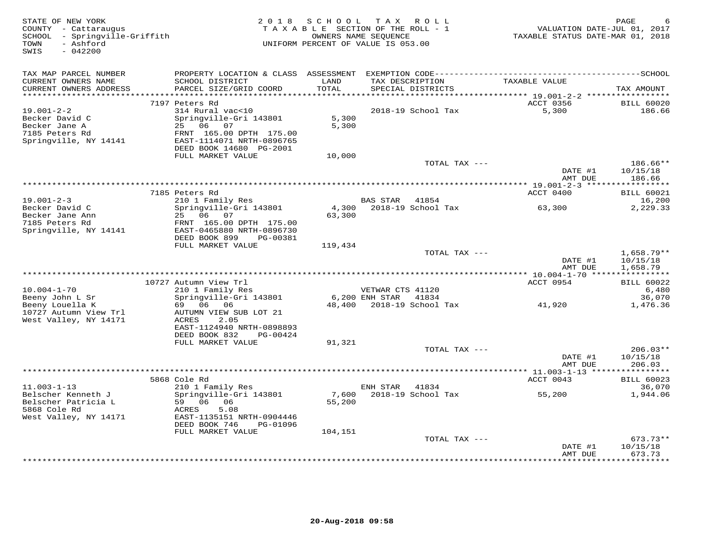| STATE OF NEW YORK<br>COUNTY - Cattaraugus<br>SCHOOL - Springville-Griffith<br>- Ashford<br>TOWN<br>SWIS<br>$-042200$ |                                                |               | 2018 SCHOOL TAX ROLL<br>TAXABLE SECTION OF THE ROLL - 1<br>OWNERS NAME SEQUENCE<br>UNIFORM PERCENT OF VALUE IS 053.00 | VALUATION DATE-JUL 01, 2017<br>TAXABLE STATUS DATE-MAR 01, 2018 | PAGE                        |
|----------------------------------------------------------------------------------------------------------------------|------------------------------------------------|---------------|-----------------------------------------------------------------------------------------------------------------------|-----------------------------------------------------------------|-----------------------------|
| TAX MAP PARCEL NUMBER                                                                                                | PROPERTY LOCATION & CLASS ASSESSMENT           |               |                                                                                                                       |                                                                 |                             |
| CURRENT OWNERS NAME<br>CURRENT OWNERS ADDRESS<br>**********************                                              | SCHOOL DISTRICT<br>PARCEL SIZE/GRID COORD      | LAND<br>TOTAL | TAX DESCRIPTION<br>SPECIAL DISTRICTS                                                                                  | TAXABLE VALUE                                                   | TAX AMOUNT                  |
|                                                                                                                      | 7197 Peters Rd                                 |               |                                                                                                                       | ACCT 0356                                                       | <b>BILL 60020</b>           |
| $19.001 - 2 - 2$                                                                                                     | 314 Rural vac<10                               |               | 2018-19 School Tax                                                                                                    | 5,300                                                           | 186.66                      |
| Becker David C                                                                                                       | Springville-Gri 143801                         | 5,300         |                                                                                                                       |                                                                 |                             |
| Becker Jane A                                                                                                        | 25 06 07                                       | 5,300         |                                                                                                                       |                                                                 |                             |
| 7185 Peters Rd                                                                                                       | FRNT 165.00 DPTH 175.00                        |               |                                                                                                                       |                                                                 |                             |
| Springville, NY 14141                                                                                                | EAST-1114071 NRTH-0896765                      |               |                                                                                                                       |                                                                 |                             |
|                                                                                                                      | DEED BOOK 14680 PG-2001                        |               |                                                                                                                       |                                                                 |                             |
|                                                                                                                      | FULL MARKET VALUE                              | 10,000        |                                                                                                                       |                                                                 |                             |
|                                                                                                                      |                                                |               | TOTAL TAX ---                                                                                                         | DATE #1                                                         | 186.66**<br>10/15/18        |
|                                                                                                                      |                                                |               |                                                                                                                       | AMT DUE                                                         | 186.66                      |
|                                                                                                                      |                                                |               |                                                                                                                       |                                                                 |                             |
|                                                                                                                      | 7185 Peters Rd                                 |               |                                                                                                                       | ACCT 0400                                                       | <b>BILL 60021</b>           |
| $19.001 - 2 - 3$                                                                                                     | 210 1 Family Res                               |               | BAS STAR 41854                                                                                                        |                                                                 | 16,200                      |
| Becker David C                                                                                                       | Springville-Gri 143801                         | 4,300         | 2018-19 School Tax                                                                                                    | 63,300                                                          | 2,229.33                    |
| Becker Jane Ann                                                                                                      | 25 06 07                                       | 63,300        |                                                                                                                       |                                                                 |                             |
| 7185 Peters Rd                                                                                                       | FRNT 165.00 DPTH 175.00                        |               |                                                                                                                       |                                                                 |                             |
| Springville, NY 14141                                                                                                | EAST-0465880 NRTH-0896730                      |               |                                                                                                                       |                                                                 |                             |
|                                                                                                                      | DEED BOOK 899<br>PG-00381<br>FULL MARKET VALUE | 119,434       |                                                                                                                       |                                                                 |                             |
|                                                                                                                      |                                                |               | TOTAL TAX ---                                                                                                         |                                                                 | $1,658.79**$                |
|                                                                                                                      |                                                |               |                                                                                                                       | DATE #1                                                         | 10/15/18                    |
|                                                                                                                      |                                                |               |                                                                                                                       | AMT DUE                                                         | 1,658.79                    |
|                                                                                                                      |                                                |               |                                                                                                                       |                                                                 |                             |
|                                                                                                                      | 10727 Autumn View Trl                          |               |                                                                                                                       | ACCT 0954                                                       | <b>BILL 60022</b>           |
| $10.004 - 1 - 70$                                                                                                    | 210 1 Family Res                               |               | VETWAR CTS 41120                                                                                                      |                                                                 | 6,480                       |
| Beeny John L Sr                                                                                                      | Springville-Gri 143801                         |               | $6,200$ ENH STAR<br>41834                                                                                             |                                                                 | 36,070                      |
| Beeny Louella K<br>10727 Autumn View Trl                                                                             | 69 06<br>06<br>AUTUMN VIEW SUB LOT 21          | 48,400        | 2018-19 School Tax                                                                                                    | 41,920                                                          | 1,476.36                    |
| West Valley, NY 14171                                                                                                | ACRES<br>2.05                                  |               |                                                                                                                       |                                                                 |                             |
|                                                                                                                      | EAST-1124940 NRTH-0898893                      |               |                                                                                                                       |                                                                 |                             |
|                                                                                                                      | DEED BOOK 832<br>PG-00424                      |               |                                                                                                                       |                                                                 |                             |
|                                                                                                                      | FULL MARKET VALUE                              | 91,321        |                                                                                                                       |                                                                 |                             |
|                                                                                                                      |                                                |               | TOTAL TAX ---                                                                                                         |                                                                 | $206.03**$                  |
|                                                                                                                      |                                                |               |                                                                                                                       | DATE #1                                                         | 10/15/18                    |
|                                                                                                                      |                                                |               |                                                                                                                       | AMT DUE                                                         | 206.03                      |
|                                                                                                                      |                                                |               |                                                                                                                       | *********** 11.003-1-13 ****                                    | * * * * * * * * * *         |
| $11.003 - 1 - 13$                                                                                                    | 5868 Cole Rd                                   |               |                                                                                                                       | ACCT 0043                                                       | <b>BILL 60023</b>           |
| Belscher Kenneth J                                                                                                   | 210 1 Family Res<br>Springville-Gri 143801     | 7,600         | ENH STAR<br>41834<br>2018-19 School Tax                                                                               | 55,200                                                          | 36,070<br>1,944.06          |
| Belscher Patricia L                                                                                                  | 59 06 06                                       | 55,200        |                                                                                                                       |                                                                 |                             |
| 5868 Cole Rd                                                                                                         | 5.08<br>ACRES                                  |               |                                                                                                                       |                                                                 |                             |
| West Valley, NY 14171                                                                                                | EAST-1135151 NRTH-0904446                      |               |                                                                                                                       |                                                                 |                             |
|                                                                                                                      | DEED BOOK 746<br>PG-01096                      |               |                                                                                                                       |                                                                 |                             |
|                                                                                                                      | FULL MARKET VALUE                              | 104,151       |                                                                                                                       |                                                                 |                             |
|                                                                                                                      |                                                |               | TOTAL TAX ---                                                                                                         |                                                                 | 673.73**                    |
|                                                                                                                      |                                                |               |                                                                                                                       | DATE #1                                                         | 10/15/18                    |
|                                                                                                                      |                                                |               |                                                                                                                       | AMT DUE                                                         | 673.73<br>* * * * * * * * * |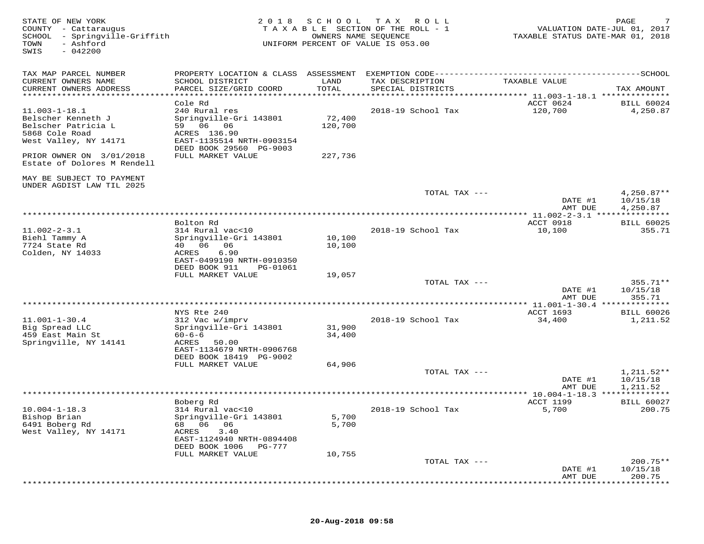| STATE OF NEW YORK<br>COUNTY - Cattaraugus<br>SCHOOL<br>- Springville-Griffith<br>TOWN<br>- Ashford<br>$-042200$<br>SWIS | 2 0 1 8                                                                                                                                  | SCHOOL<br>OWNERS NAME SEQUENCE | T A X<br>R O L L<br>TAXABLE SECTION OF THE ROLL - 1<br>UNIFORM PERCENT OF VALUE IS 053.00 | VALUATION DATE-JUL 01, 2017<br>TAXABLE STATUS DATE-MAR 01, 2018 | PAGE                                 |
|-------------------------------------------------------------------------------------------------------------------------|------------------------------------------------------------------------------------------------------------------------------------------|--------------------------------|-------------------------------------------------------------------------------------------|-----------------------------------------------------------------|--------------------------------------|
| TAX MAP PARCEL NUMBER<br>CURRENT OWNERS NAME<br>CURRENT OWNERS ADDRESS<br>***********************                       | SCHOOL DISTRICT<br>PARCEL SIZE/GRID COORD                                                                                                | LAND<br>TOTAL                  | TAX DESCRIPTION<br>SPECIAL DISTRICTS                                                      | TAXABLE VALUE                                                   | TAX AMOUNT                           |
| $11.003 - 1 - 18.1$<br>Belscher Kenneth J<br>Belscher Patricia L<br>5868 Cole Road<br>West Valley, NY 14171             | Cole Rd<br>240 Rural res<br>Springville-Gri 143801<br>59 06 06<br>ACRES 136.90<br>EAST-1135514 NRTH-0903154<br>DEED BOOK 29560 PG-9003   | 72,400<br>120,700              | 2018-19 School Tax                                                                        | ACCT 0624<br>120,700                                            | <b>BILL 60024</b><br>4,250.87        |
| PRIOR OWNER ON 3/01/2018<br>Estate of Dolores M Rendell                                                                 | FULL MARKET VALUE                                                                                                                        | 227,736                        |                                                                                           |                                                                 |                                      |
| MAY BE SUBJECT TO PAYMENT<br>UNDER AGDIST LAW TIL 2025                                                                  |                                                                                                                                          |                                | TOTAL TAX ---                                                                             | DATE #1                                                         | $4,250.87**$<br>10/15/18             |
|                                                                                                                         |                                                                                                                                          |                                |                                                                                           | AMT DUE                                                         | 4,250.87                             |
| $11.002 - 2 - 3.1$<br>Biehl Tammy A<br>7724 State Rd<br>Colden, NY 14033                                                | Bolton Rd<br>314 Rural vac<10<br>Springville-Gri 143801<br>40 06<br>06<br>6.90<br>ACRES<br>EAST-0499190 NRTH-0910350                     | 10,100<br>10,100               | 2018-19 School Tax                                                                        | ACCT 0918<br>10,100                                             | <b>BILL 60025</b><br>355.71          |
|                                                                                                                         | DEED BOOK 911<br>PG-01061<br>FULL MARKET VALUE                                                                                           | 19,057                         | TOTAL TAX ---                                                                             | DATE #1<br>AMT DUE                                              | $355.71**$<br>10/15/18<br>355.71     |
|                                                                                                                         | NYS Rte 240                                                                                                                              |                                |                                                                                           | $*** 11.001 - 1 - 30.4$ *****<br>ACCT 1693                      | *********<br><b>BILL 60026</b>       |
| $11.001 - 1 - 30.4$<br>Big Spread LLC<br>459 East Main St<br>Springville, NY 14141                                      | 312 Vac w/imprv<br>Springville-Gri 143801<br>$60 - 6 - 6$<br>ACRES<br>50.00<br>EAST-1134679 NRTH-0906768                                 | 31,900<br>34,400               | 2018-19 School Tax                                                                        | 34,400                                                          | 1,211.52                             |
|                                                                                                                         | DEED BOOK 18419 PG-9002<br>FULL MARKET VALUE                                                                                             | 64,906                         |                                                                                           |                                                                 |                                      |
|                                                                                                                         |                                                                                                                                          |                                | TOTAL TAX ---                                                                             | DATE #1<br>AMT DUE                                              | $1,211.52**$<br>10/15/18<br>1,211.52 |
|                                                                                                                         | Boberg Rd                                                                                                                                |                                |                                                                                           | *********** 10.004-1-18.3 **************<br><b>ACCT 1199</b>    | <b>BILL 60027</b>                    |
| $10.004 - 1 - 18.3$<br>Bishop Brian<br>6491 Boberg Rd<br>West Valley, NY 14171                                          | 314 Rural vac<10<br>Springville-Gri 143801<br>06<br>- 06<br>68<br>ACRES<br>3.40<br>EAST-1124940 NRTH-0894408<br>DEED BOOK 1006<br>PG-777 | 5,700<br>5,700                 | 2018-19 School Tax                                                                        | 5,700                                                           | 200.75                               |
|                                                                                                                         | FULL MARKET VALUE                                                                                                                        | 10,755                         | TOTAL TAX ---                                                                             |                                                                 | $200.75**$                           |
|                                                                                                                         |                                                                                                                                          |                                |                                                                                           | DATE #1<br>AMT DUE                                              | 10/15/18<br>200.75                   |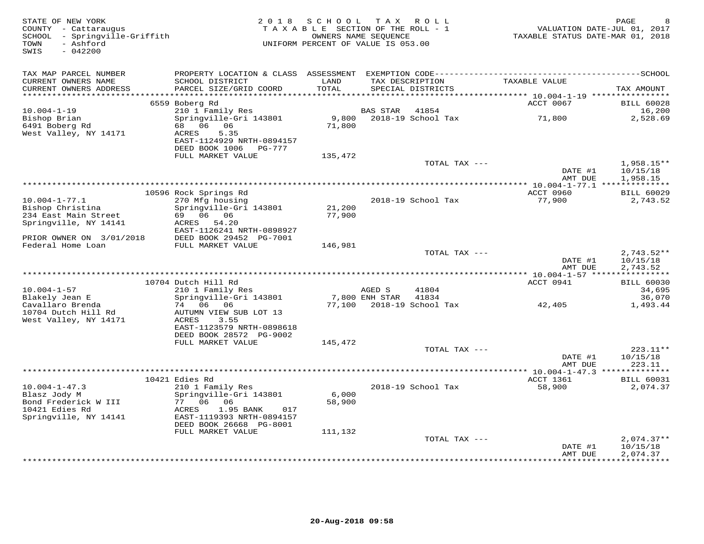| STATE OF NEW YORK<br>COUNTY - Cattaraugus<br>SCHOOL - Springville-Griffith<br>- Ashford<br>TOWN<br>$-042200$<br>SWIS | 2 0 1 8                                                                                                        | SCHOOL<br>TAXABLE SECTION OF THE ROLL - 1<br>OWNERS NAME SEQUENCE<br>UNIFORM PERCENT OF VALUE IS 053.00 | T A X           | ROLL                                 |                     | PAGE<br>VALUATION DATE-JUL 01, 2017<br>TAXABLE STATUS DATE-MAR 01, 2018 |
|----------------------------------------------------------------------------------------------------------------------|----------------------------------------------------------------------------------------------------------------|---------------------------------------------------------------------------------------------------------|-----------------|--------------------------------------|---------------------|-------------------------------------------------------------------------|
| TAX MAP PARCEL NUMBER                                                                                                | PROPERTY LOCATION & CLASS ASSESSMENT                                                                           |                                                                                                         |                 |                                      |                     |                                                                         |
| CURRENT OWNERS NAME<br>CURRENT OWNERS ADDRESS<br>**********************                                              | SCHOOL DISTRICT<br>PARCEL SIZE/GRID COORD                                                                      | LAND<br>TOTAL                                                                                           |                 | TAX DESCRIPTION<br>SPECIAL DISTRICTS | TAXABLE VALUE       | TAX AMOUNT                                                              |
|                                                                                                                      | 6559 Boberg Rd                                                                                                 |                                                                                                         |                 |                                      | ACCT 0067           | <b>BILL 60028</b>                                                       |
| $10.004 - 1 - 19$                                                                                                    | 210 1 Family Res                                                                                               |                                                                                                         | <b>BAS STAR</b> | 41854                                |                     | 16,200                                                                  |
| Bishop Brian<br>6491 Boberg Rd<br>West Valley, NY 14171                                                              | Springville-Gri 143801<br>68 06 06<br>5.35<br>ACRES<br>EAST-1124929 NRTH-0894157<br>DEED BOOK 1006<br>PG-777   | 9,800<br>71,800                                                                                         |                 | 2018-19 School Tax                   | 71,800              | 2,528.69                                                                |
|                                                                                                                      | FULL MARKET VALUE                                                                                              | 135,472                                                                                                 |                 |                                      |                     |                                                                         |
|                                                                                                                      |                                                                                                                |                                                                                                         |                 | TOTAL TAX ---                        | DATE #1             | $1,958.15**$<br>10/15/18                                                |
|                                                                                                                      |                                                                                                                |                                                                                                         |                 |                                      | AMT DUE             | 1,958.15                                                                |
|                                                                                                                      | 10596 Rock Springs Rd                                                                                          |                                                                                                         |                 |                                      | ACCT 0960           | <b>BILL 60029</b>                                                       |
| $10.004 - 1 - 77.1$<br>Bishop Christina                                                                              | 270 Mfg housing<br>Springville-Gri 143801                                                                      | 21,200                                                                                                  |                 | 2018-19 School Tax                   | 77,900              | 2,743.52                                                                |
| 234 East Main Street                                                                                                 | 69 06 06                                                                                                       | 77,900                                                                                                  |                 |                                      |                     |                                                                         |
| Springville, NY 14141                                                                                                | ACRES 54.20                                                                                                    |                                                                                                         |                 |                                      |                     |                                                                         |
| PRIOR OWNER ON 3/01/2018                                                                                             | EAST-1126241 NRTH-0898927<br>DEED BOOK 29452 PG-7001                                                           |                                                                                                         |                 |                                      |                     |                                                                         |
| Federal Home Loan                                                                                                    | FULL MARKET VALUE                                                                                              | 146,981                                                                                                 |                 |                                      |                     |                                                                         |
|                                                                                                                      |                                                                                                                |                                                                                                         |                 | TOTAL TAX ---                        | DATE #1             | $2,743.52**$<br>10/15/18                                                |
|                                                                                                                      |                                                                                                                |                                                                                                         |                 |                                      | AMT DUE             | 2,743.52                                                                |
|                                                                                                                      |                                                                                                                |                                                                                                         |                 |                                      |                     |                                                                         |
| $10.004 - 1 - 57$                                                                                                    | 10704 Dutch Hill Rd<br>210 1 Family Res                                                                        |                                                                                                         | AGED S          | 41804                                | ACCT 0941           | <b>BILL 60030</b><br>34,695                                             |
| Blakely Jean E                                                                                                       | Springville-Gri 143801                                                                                         |                                                                                                         | 7,800 ENH STAR  | 41834                                |                     | 36,070                                                                  |
| Cavallaro Brenda<br>10704 Dutch Hill Rd<br>West Valley, NY 14171                                                     | 74 06<br>06<br>AUTUMN VIEW SUB LOT 13<br>3.55<br>ACRES<br>EAST-1123579 NRTH-0898618<br>DEED BOOK 28572 PG-9002 | 77,100                                                                                                  |                 | 2018-19 School Tax                   | 42,405              | 1,493.44                                                                |
|                                                                                                                      | FULL MARKET VALUE                                                                                              | 145,472                                                                                                 |                 |                                      |                     |                                                                         |
|                                                                                                                      |                                                                                                                |                                                                                                         |                 | TOTAL TAX ---                        | DATE #1<br>AMT DUE  | 223.11**<br>10/15/18<br>223.11                                          |
|                                                                                                                      |                                                                                                                |                                                                                                         |                 |                                      |                     | ***********                                                             |
| $10.004 - 1 - 47.3$                                                                                                  | 10421 Edies Rd<br>210 1 Family Res                                                                             |                                                                                                         |                 | 2018-19 School Tax                   | ACCT 1361<br>58,900 | <b>BILL 60031</b><br>2,074.37                                           |
| Blasz Jody M                                                                                                         | Springville-Gri 143801                                                                                         | 6,000                                                                                                   |                 |                                      |                     |                                                                         |
| Bond Frederick W III<br>10421 Edies Rd<br>Springville, NY 14141                                                      | 77 06 06<br>1.95 BANK<br>ACRES<br>017<br>EAST-1119393 NRTH-0894157                                             | 58,900                                                                                                  |                 |                                      |                     |                                                                         |
|                                                                                                                      | DEED BOOK 26668 PG-8001<br>FULL MARKET VALUE                                                                   | 111,132                                                                                                 |                 |                                      |                     |                                                                         |
|                                                                                                                      |                                                                                                                |                                                                                                         |                 | TOTAL TAX ---                        |                     | $2,074.37**$                                                            |
|                                                                                                                      |                                                                                                                |                                                                                                         |                 |                                      | DATE #1<br>AMT DUE  | 10/15/18<br>2,074.37                                                    |
|                                                                                                                      |                                                                                                                |                                                                                                         |                 |                                      |                     | **********                                                              |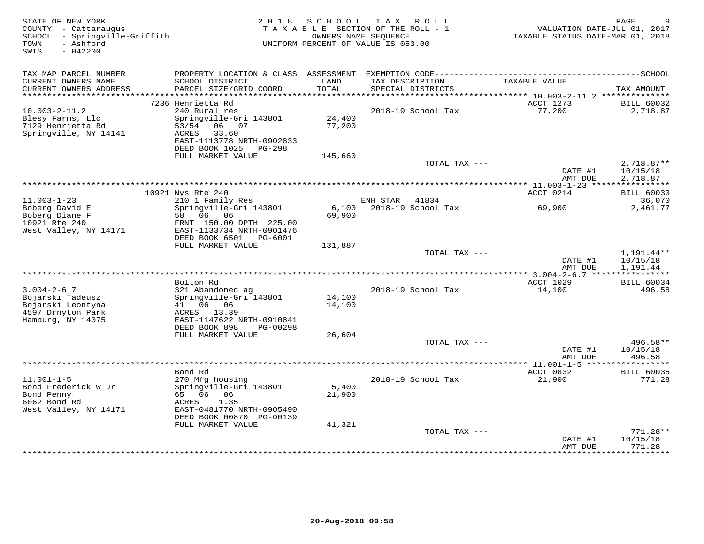| STATE OF NEW YORK<br>COUNTY - Cattaraugus<br>SCHOOL - Springville-Griffith<br>- Ashford<br>TOWN<br>$-042200$<br>SWIS | 2 0 1 8                                                                                               | S C H O O L<br>OWNERS NAME SEQUENCE | T A X<br>R O L L<br>TAXABLE SECTION OF THE ROLL - 1<br>UNIFORM PERCENT OF VALUE IS 053.00 | VALUATION DATE-JUL 01, 2017<br>TAXABLE STATUS DATE-MAR 01, 2018 | PAGE                                 |
|----------------------------------------------------------------------------------------------------------------------|-------------------------------------------------------------------------------------------------------|-------------------------------------|-------------------------------------------------------------------------------------------|-----------------------------------------------------------------|--------------------------------------|
| TAX MAP PARCEL NUMBER                                                                                                |                                                                                                       |                                     |                                                                                           |                                                                 |                                      |
| CURRENT OWNERS NAME<br>CURRENT OWNERS ADDRESS<br>***********************                                             | SCHOOL DISTRICT<br>PARCEL SIZE/GRID COORD                                                             | LAND<br>TOTAL                       | TAX DESCRIPTION<br>SPECIAL DISTRICTS                                                      | TAXABLE VALUE                                                   | TAX AMOUNT                           |
|                                                                                                                      | 7236 Henrietta Rd                                                                                     |                                     |                                                                                           | ACCT 1273                                                       | <b>BILL 60032</b>                    |
| $10.003 - 2 - 11.2$<br>Blesy Farms, Llc<br>7129 Henrietta Rd<br>Springville, NY 14141                                | 240 Rural res<br>Springville-Gri 143801<br>53/54 06 07<br>33.60<br>ACRES<br>EAST-1113778 NRTH-0902833 | 24,400<br>77,200                    | 2018-19 School Tax                                                                        | 77,200                                                          | 2,718.87                             |
|                                                                                                                      | DEED BOOK 1025<br>PG-298<br>FULL MARKET VALUE                                                         | 145,660                             |                                                                                           |                                                                 |                                      |
|                                                                                                                      |                                                                                                       |                                     | TOTAL TAX ---                                                                             | DATE #1<br>AMT DUE                                              | $2,718.87**$<br>10/15/18<br>2,718.87 |
|                                                                                                                      |                                                                                                       |                                     | *************************************                                                     | *********** 11.003-1-23 *****************                       |                                      |
|                                                                                                                      | 10921 Nys Rte 240                                                                                     |                                     |                                                                                           | ACCT 0214                                                       | <b>BILL 60033</b>                    |
| $11.003 - 1 - 23$<br>Boberg David E                                                                                  | 210 1 Family Res<br>Springville-Gri 143801                                                            | 6,100                               | ENH STAR<br>41834<br>2018-19 School Tax                                                   | 69,900                                                          | 36,070<br>2,461.77                   |
| Boberg Diane F<br>10921 Rte 240<br>West Valley, NY 14171                                                             | 58 06 06<br>FRNT 150.00 DPTH 225.00<br>EAST-1133734 NRTH-0901476<br>DEED BOOK 6501 PG-6001            | 69,900                              |                                                                                           |                                                                 |                                      |
|                                                                                                                      | FULL MARKET VALUE                                                                                     | 131,887                             |                                                                                           |                                                                 |                                      |
|                                                                                                                      |                                                                                                       |                                     | TOTAL TAX ---                                                                             | DATE #1<br>AMT DUE                                              | 1,191.44**<br>10/15/18<br>1,191.44   |
|                                                                                                                      |                                                                                                       |                                     |                                                                                           |                                                                 |                                      |
| $3.004 - 2 - 6.7$<br>Bojarski Tadeusz                                                                                | Bolton Rd<br>321 Abandoned ag<br>Springville-Gri 143801                                               | 14,100                              | 2018-19 School Tax                                                                        | <b>ACCT 1029</b><br>14,100                                      | <b>BILL 60034</b><br>496.58          |
| Bojarski Leontyna<br>4597 Drnyton Park<br>Hamburg, NY 14075                                                          | 41 06 06<br>ACRES 13.39<br>EAST-1147622 NRTH-0910841                                                  | 14,100                              |                                                                                           |                                                                 |                                      |
|                                                                                                                      | DEED BOOK 898<br>PG-00298<br>FULL MARKET VALUE                                                        | 26,604                              |                                                                                           |                                                                 |                                      |
|                                                                                                                      |                                                                                                       |                                     | TOTAL TAX ---                                                                             |                                                                 | 496.58**                             |
|                                                                                                                      |                                                                                                       |                                     |                                                                                           | DATE #1<br>AMT DUE                                              | 10/15/18<br>496.58                   |
|                                                                                                                      |                                                                                                       |                                     |                                                                                           |                                                                 | ***********                          |
| $11.001 - 1 - 5$<br>Bond Frederick W Jr                                                                              | Bond Rd<br>270 Mfg housing<br>Springville-Gri 143801                                                  | 5,400                               | 2018-19 School Tax                                                                        | ACCT 0832<br>21,900                                             | <b>BILL 60035</b><br>771.28          |
| Bond Penny<br>6062 Bond Rd<br>West Valley, NY 14171                                                                  | 65 06 06<br>1.35<br>ACRES<br>EAST-0481770 NRTH-0905490<br>DEED BOOK 00870 PG-00139                    | 21,900                              |                                                                                           |                                                                 |                                      |
|                                                                                                                      | FULL MARKET VALUE                                                                                     | 41,321                              |                                                                                           |                                                                 |                                      |
|                                                                                                                      |                                                                                                       |                                     | TOTAL TAX ---                                                                             | DATE #1                                                         | $771.28**$<br>10/15/18               |
|                                                                                                                      |                                                                                                       |                                     |                                                                                           | AMT DUE                                                         | 771.28<br>+ + + + + + + + +          |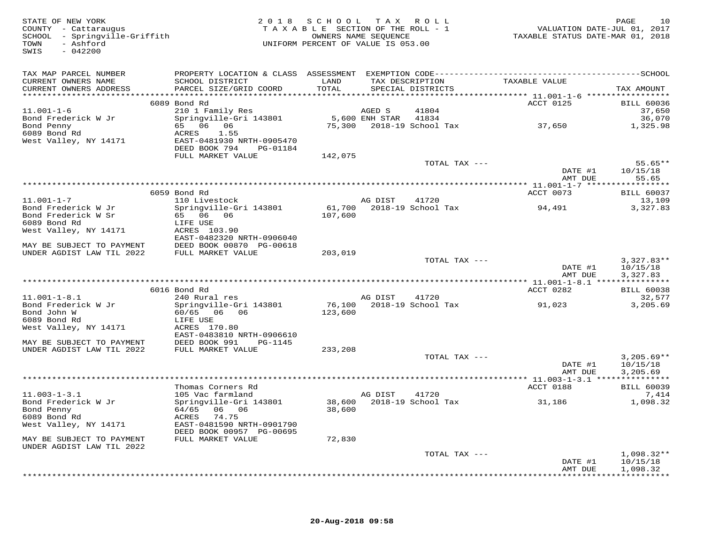| STATE OF NEW YORK<br>COUNTY - Cattaraugus<br>SCHOOL - Springville-Griffith<br>- Ashford<br>TOWN<br>SWIS<br>$-042200$ |                                           | 2018 SCHOOL TAX ROLL<br>OWNERS NAME SEQUENCE<br>UNIFORM PERCENT OF VALUE IS 053.00 |                      | TAXABLE SECTION OF THE ROLL - 1      | VALUATION DATE-JUL 01, 2017<br>TAXABLE STATUS DATE-MAR 01, 2018 | PAGE<br>10                  |
|----------------------------------------------------------------------------------------------------------------------|-------------------------------------------|------------------------------------------------------------------------------------|----------------------|--------------------------------------|-----------------------------------------------------------------|-----------------------------|
| TAX MAP PARCEL NUMBER                                                                                                |                                           |                                                                                    |                      |                                      |                                                                 |                             |
| CURRENT OWNERS NAME<br>CURRENT OWNERS ADDRESS                                                                        | SCHOOL DISTRICT<br>PARCEL SIZE/GRID COORD | LAND<br>TOTAL                                                                      |                      | TAX DESCRIPTION<br>SPECIAL DISTRICTS | TAXABLE VALUE                                                   | TAX AMOUNT                  |
|                                                                                                                      |                                           |                                                                                    |                      |                                      |                                                                 |                             |
| $11.001 - 1 - 6$                                                                                                     | 6089 Bond Rd<br>210 1 Family Res          |                                                                                    | AGED S               | 41804                                | ACCT 0125                                                       | <b>BILL 60036</b><br>37,650 |
| Bond Frederick W Jr                                                                                                  | Springville-Gri 143801                    |                                                                                    | 5,600 ENH STAR 41834 |                                      |                                                                 | 36,070                      |
| Bond Penny                                                                                                           | 65 06 06                                  |                                                                                    |                      | 75,300    2018-19    School Tax      | 37,650                                                          | 1,325.98                    |
| 6089 Bond Rd                                                                                                         | ACRES 1.55                                |                                                                                    |                      |                                      |                                                                 |                             |
| West Valley, NY 14171                                                                                                | EAST-0481930 NRTH-0905470                 |                                                                                    |                      |                                      |                                                                 |                             |
|                                                                                                                      | DEED BOOK 794<br>PG-01184                 |                                                                                    |                      |                                      |                                                                 |                             |
|                                                                                                                      | FULL MARKET VALUE                         | 142,075                                                                            |                      |                                      |                                                                 |                             |
|                                                                                                                      |                                           |                                                                                    |                      | TOTAL TAX ---                        | DATE #1                                                         | $55.65**$<br>10/15/18       |
|                                                                                                                      |                                           |                                                                                    |                      |                                      | AMT DUE                                                         | 55.65                       |
|                                                                                                                      |                                           |                                                                                    |                      |                                      |                                                                 |                             |
|                                                                                                                      | 6059 Bond Rd                              |                                                                                    |                      |                                      | ACCT 0073                                                       | <b>BILL 60037</b>           |
| $11.001 - 1 - 7$                                                                                                     | 110 Livestock                             |                                                                                    | AG DIST              | 41720                                |                                                                 | 13,109                      |
| Bond Frederick W Jr                                                                                                  | Springville-Gri 143801                    |                                                                                    |                      | 61,700    2018-19    School Tax      | 94,491                                                          | 3,327.83                    |
| Bond Frederick W Sr                                                                                                  | 65 06 06                                  | 107,600                                                                            |                      |                                      |                                                                 |                             |
| 6089 Bond Rd                                                                                                         | LIFE USE                                  |                                                                                    |                      |                                      |                                                                 |                             |
| West Valley, NY 14171                                                                                                | ACRES 103.90<br>EAST-0482320 NRTH-0906040 |                                                                                    |                      |                                      |                                                                 |                             |
| MAY BE SUBJECT TO PAYMENT                                                                                            | DEED BOOK 00870 PG-00618                  |                                                                                    |                      |                                      |                                                                 |                             |
| UNDER AGDIST LAW TIL 2022                                                                                            | DEED BOOK 00870 P<br>FULL MARKET VALUE    | 203,019                                                                            |                      |                                      |                                                                 |                             |
|                                                                                                                      |                                           |                                                                                    |                      | TOTAL TAX ---                        |                                                                 | $3,327.83**$                |
|                                                                                                                      |                                           |                                                                                    |                      |                                      | DATE #1                                                         | 10/15/18                    |
|                                                                                                                      |                                           |                                                                                    |                      |                                      | AMT DUE                                                         | 3,327.83                    |
|                                                                                                                      |                                           |                                                                                    |                      |                                      |                                                                 |                             |
| $11.001 - 1 - 8.1$                                                                                                   | 6016 Bond Rd<br>240 Rural res             |                                                                                    | AG DIST              | 41720                                | ACCT 0282                                                       | <b>BILL 60038</b><br>32,577 |
| Bond Frederick W Jr                                                                                                  | Springville-Gri 143801                    |                                                                                    |                      | 76,100 2018-19 School Tax            | 91,023                                                          | 3,205.69                    |
| Bond John W                                                                                                          | 60/65 06 06                               | 123,600                                                                            |                      |                                      |                                                                 |                             |
| 6089 Bond Rd                                                                                                         | LIFE USE                                  |                                                                                    |                      |                                      |                                                                 |                             |
| West Valley, NY 14171                                                                                                | ACRES 170.80                              |                                                                                    |                      |                                      |                                                                 |                             |
|                                                                                                                      | EAST-0483810 NRTH-0906610                 |                                                                                    |                      |                                      |                                                                 |                             |
| MAY BE SUBJECT TO PAYMENT                                                                                            | DEED BOOK 991 PG-1145                     |                                                                                    |                      |                                      |                                                                 |                             |
| UNDER AGDIST LAW TIL 2022                                                                                            | FULL MARKET VALUE                         | 233,208                                                                            |                      |                                      |                                                                 |                             |
|                                                                                                                      |                                           |                                                                                    |                      | TOTAL TAX ---                        | DATE #1                                                         | $3,205.69**$<br>10/15/18    |
|                                                                                                                      |                                           |                                                                                    |                      |                                      | AMT DUE                                                         | 3,205.69                    |
|                                                                                                                      |                                           |                                                                                    |                      |                                      |                                                                 |                             |
|                                                                                                                      | Thomas Corners Rd                         |                                                                                    |                      |                                      | <b>ACCT 0188</b>                                                | <b>BILL 60039</b>           |
| $11.003 - 1 - 3.1$                                                                                                   | 105 Vac farmland                          |                                                                                    | AG DIST              | 41720                                |                                                                 | 7,414                       |
| Bond Frederick W Jr                                                                                                  | Springville-Gri 143801                    |                                                                                    |                      | 38,600 2018-19 School Tax            | 31,186                                                          | 1,098.32                    |
| Bond Penny                                                                                                           | 64/65 06 06                               | 38,600                                                                             |                      |                                      |                                                                 |                             |
| 6089 Bond Rd<br>West Valley, NY 14171                                                                                | ACRES 74.75<br>EAST-0481590 NRTH-0901790  |                                                                                    |                      |                                      |                                                                 |                             |
|                                                                                                                      | DEED BOOK 00957 PG-00695                  |                                                                                    |                      |                                      |                                                                 |                             |
| MAY BE SUBJECT TO PAYMENT                                                                                            | FULL MARKET VALUE                         | 72,830                                                                             |                      |                                      |                                                                 |                             |
| UNDER AGDIST LAW TIL 2022                                                                                            |                                           |                                                                                    |                      |                                      |                                                                 |                             |
|                                                                                                                      |                                           |                                                                                    |                      | TOTAL TAX ---                        |                                                                 | $1,098.32**$                |
|                                                                                                                      |                                           |                                                                                    |                      |                                      | DATE #1                                                         | 10/15/18                    |
|                                                                                                                      |                                           |                                                                                    |                      |                                      | AMT DUE                                                         | 1,098.32<br>************    |
|                                                                                                                      |                                           |                                                                                    |                      |                                      |                                                                 |                             |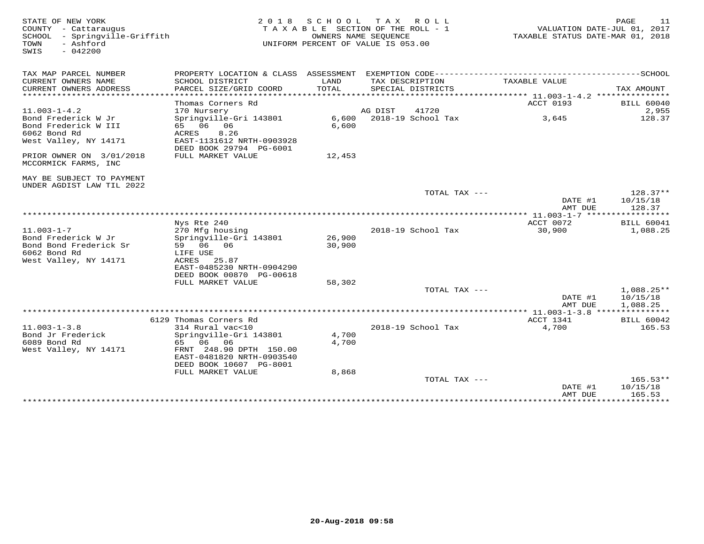| STATE OF NEW YORK<br>COUNTY - Cattaraugus<br>SCHOOL - Springville-Griffith<br>TOWN<br>- Ashford<br>$-042200$<br>SWIS |                                                                                                                                                                           | 2018 SCHOOL      | T A X<br>ROLL<br>TAXABLE SECTION OF THE ROLL - 1<br>OWNERS NAME SEOUENCE<br>UNIFORM PERCENT OF VALUE IS 053.00 | VALUATION DATE-JUL 01, 2017<br>TAXABLE STATUS DATE-MAR 01, 2018 | 11<br>PAGE                           |
|----------------------------------------------------------------------------------------------------------------------|---------------------------------------------------------------------------------------------------------------------------------------------------------------------------|------------------|----------------------------------------------------------------------------------------------------------------|-----------------------------------------------------------------|--------------------------------------|
| TAX MAP PARCEL NUMBER                                                                                                |                                                                                                                                                                           |                  |                                                                                                                |                                                                 |                                      |
| CURRENT OWNERS NAME<br>CURRENT OWNERS ADDRESS<br>*********************                                               | SCHOOL DISTRICT<br>PARCEL SIZE/GRID COORD                                                                                                                                 | LAND<br>TOTAL    | TAX DESCRIPTION<br>SPECIAL DISTRICTS                                                                           | TAXABLE VALUE                                                   | TAX AMOUNT                           |
| $11.003 - 1 - 4.2$                                                                                                   | Thomas Corners Rd<br>170 Nursery                                                                                                                                          |                  | AG DIST<br>41720                                                                                               | ACCT 0193                                                       | <b>BILL 60040</b><br>2,955           |
| Bond Frederick W Jr<br>Bond Frederick W III<br>6062 Bond Rd<br>West Valley, NY 14171                                 | Springville-Gri 143801<br>65 06 06<br>8.26<br>ACRES<br>EAST-1131612 NRTH-0903928<br>DEED BOOK 29794 PG-6001                                                               | 6,600            | 6,600 2018-19 School Tax                                                                                       | 3,645                                                           | 128.37                               |
| PRIOR OWNER ON 3/01/2018<br>MCCORMICK FARMS, INC                                                                     | FULL MARKET VALUE                                                                                                                                                         | 12,453           |                                                                                                                |                                                                 |                                      |
| MAY BE SUBJECT TO PAYMENT<br>UNDER AGDIST LAW TIL 2022                                                               |                                                                                                                                                                           |                  |                                                                                                                |                                                                 |                                      |
|                                                                                                                      |                                                                                                                                                                           |                  | TOTAL TAX ---                                                                                                  | DATE #1<br>AMT DUE                                              | $128.37**$<br>10/15/18<br>128.37     |
|                                                                                                                      |                                                                                                                                                                           |                  |                                                                                                                | *********** 11.003-1-7 ******************<br>ACCT 0072          | <b>BILL 60041</b>                    |
| $11.003 - 1 - 7$<br>Bond Frederick W Jr<br>Bond Bond Frederick Sr<br>6062 Bond Rd<br>West Valley, NY 14171           | Nys Rte 240<br>270 Mfg housing<br>Springville-Gri 143801<br>59 06 06<br>LIFE USE<br>ACRES<br>25.87                                                                        | 26,900<br>30,900 | 2018-19 School Tax                                                                                             | 30,900                                                          | 1,088.25                             |
|                                                                                                                      | EAST-0485230 NRTH-0904290<br>DEED BOOK 00870 PG-00618<br>FULL MARKET VALUE                                                                                                | 58,302           |                                                                                                                |                                                                 |                                      |
|                                                                                                                      |                                                                                                                                                                           |                  | TOTAL TAX ---                                                                                                  | DATE #1<br>AMT DUE                                              | $1,088.25**$<br>10/15/18<br>1,088.25 |
|                                                                                                                      |                                                                                                                                                                           |                  |                                                                                                                |                                                                 |                                      |
| $11.003 - 1 - 3.8$<br>Bond Jr Frederick<br>6089 Bond Rd<br>West Valley, NY 14171                                     | 6129 Thomas Corners Rd<br>314 Rural vac<10<br>Springville-Gri 143801<br>06<br>65<br>06<br>FRNT 248.90 DPTH 150.00<br>EAST-0481820 NRTH-0903540<br>DEED BOOK 10607 PG-8001 | 4,700<br>4,700   | 2018-19 School Tax                                                                                             | ACCT 1341<br>4,700                                              | <b>BILL 60042</b><br>165.53          |
|                                                                                                                      | FULL MARKET VALUE                                                                                                                                                         | 8,868            | TOTAL TAX ---                                                                                                  | DATE #1<br>AMT DUE<br>*****************************             | $165.53**$<br>10/15/18<br>165.53     |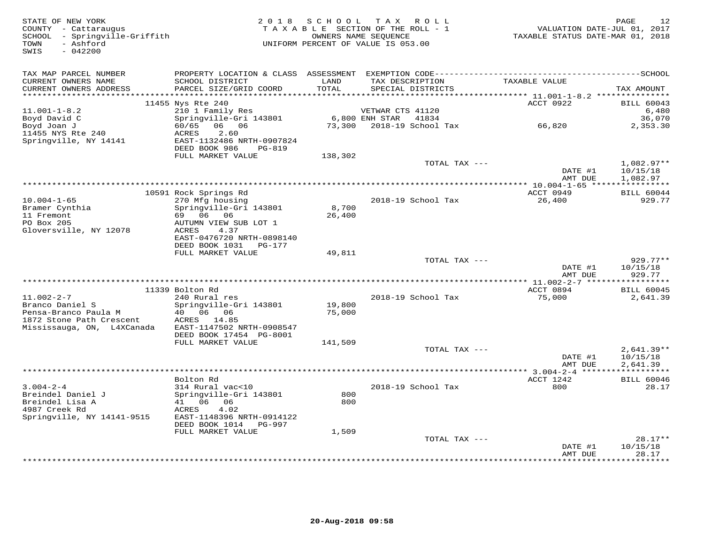| STATE OF NEW YORK<br>COUNTY - Cattaraugus<br>SCHOOL - Springville-Griffith<br>- Ashford<br>TOWN<br>SWIS<br>$-042200$ | 2 0 1 8                                                                                                                            | SCHOOL           | TAX ROLL<br>TAXABLE SECTION OF THE ROLL - 1<br>OWNERS NAME SEQUENCE<br>UNIFORM PERCENT OF VALUE IS 053.00 | VALUATION DATE-JUL 01, 2017<br>TAXABLE STATUS DATE-MAR 01, 2018 | PAGE<br>12                                 |
|----------------------------------------------------------------------------------------------------------------------|------------------------------------------------------------------------------------------------------------------------------------|------------------|-----------------------------------------------------------------------------------------------------------|-----------------------------------------------------------------|--------------------------------------------|
| TAX MAP PARCEL NUMBER<br>CURRENT OWNERS NAME<br>CURRENT OWNERS ADDRESS                                               | SCHOOL DISTRICT<br>PARCEL SIZE/GRID COORD                                                                                          | LAND<br>TOTAL    | TAX DESCRIPTION<br>SPECIAL DISTRICTS                                                                      | TAXABLE VALUE                                                   | TAX AMOUNT                                 |
|                                                                                                                      | 11455 Nys Rte 240                                                                                                                  |                  |                                                                                                           | ACCT 0922                                                       | <b>BILL 60043</b>                          |
| $11.001 - 1 - 8.2$<br>Boyd David C<br>Boyd Joan J<br>11455 NYS Rte 240<br>Springville, NY 14141                      | 210 1 Family Res<br>Springville-Gri 143801<br>60/65 06 06<br>2.60<br>ACRES<br>EAST-1132486 NRTH-0907824                            | 73,300           | VETWAR CTS 41120<br>6,800 ENH STAR<br>41834<br>2018-19 School Tax 66,820                                  |                                                                 | 6,480<br>36,070<br>2,353.30                |
|                                                                                                                      | DEED BOOK 986<br>PG-819<br>FULL MARKET VALUE                                                                                       | 138,302          |                                                                                                           |                                                                 |                                            |
|                                                                                                                      |                                                                                                                                    |                  | TOTAL TAX ---                                                                                             | DATE #1                                                         | $1,082.97**$<br>10/15/18                   |
|                                                                                                                      |                                                                                                                                    |                  |                                                                                                           | AMT DUE                                                         | 1,082.97                                   |
| $10.004 - 1 - 65$                                                                                                    | 10591 Rock Springs Rd<br>270 Mfg housing                                                                                           |                  | 2018-19 School Tax                                                                                        | ACCT 0949<br>26,400                                             | <b>BILL 60044</b><br>929.77                |
| Bramer Cynthia<br>11 Fremont<br>PO Box 205<br>Gloversville, NY 12078                                                 | Springville-Gri 143801<br>69 06 06<br>AUTUMN VIEW SUB LOT 1<br>ACRES<br>4.37<br>EAST-0476720 NRTH-0898140<br>DEED BOOK 1031 PG-177 | 8,700<br>26,400  |                                                                                                           |                                                                 |                                            |
|                                                                                                                      | FULL MARKET VALUE                                                                                                                  | 49,811           |                                                                                                           |                                                                 |                                            |
|                                                                                                                      |                                                                                                                                    |                  | TOTAL TAX ---                                                                                             | DATE #1<br>AMT DUE                                              | 929.77**<br>10/15/18<br>929.77             |
|                                                                                                                      |                                                                                                                                    |                  |                                                                                                           |                                                                 |                                            |
| $11.002 - 2 - 7$                                                                                                     | 11339 Bolton Rd<br>240 Rural res                                                                                                   |                  | 2018-19 School Tax                                                                                        | ACCT 0894<br>75,000                                             | <b>BILL 60045</b><br>2,641.39              |
| Branco Daniel S<br>Pensa-Branco Paula M<br>1872 Stone Path Crescent<br>Mississauga, ON, L4XCanada                    | Springville-Gri 143801<br>40  06  06<br>ACRES 14.85<br>EAST-1147502 NRTH-0908547<br>DEED BOOK 17454 PG-8001                        | 19,800<br>75,000 |                                                                                                           |                                                                 |                                            |
|                                                                                                                      | FULL MARKET VALUE                                                                                                                  | 141,509          |                                                                                                           |                                                                 |                                            |
|                                                                                                                      |                                                                                                                                    |                  | TOTAL TAX ---                                                                                             | DATE #1<br>AMT DUE                                              | $2,641.39**$<br>10/15/18<br>2,641.39       |
|                                                                                                                      |                                                                                                                                    |                  |                                                                                                           |                                                                 | ************                               |
| $3.004 - 2 - 4$<br>Breindel Daniel J<br>Breindel Lisa A                                                              | Bolton Rd<br>314 Rural vac<10<br>Springville-Gri 143801<br>41 06 06                                                                | 800<br>800       | 2018-19 School Tax                                                                                        | ACCT 1242<br>800                                                | <b>BILL 60046</b><br>28.17                 |
| 4987 Creek Rd<br>Springville, NY 14141-9515                                                                          | ACRES<br>4.02<br>EAST-1148396 NRTH-0914122<br>DEED BOOK 1014 PG-997                                                                |                  |                                                                                                           |                                                                 |                                            |
|                                                                                                                      | FULL MARKET VALUE                                                                                                                  | 1,509            |                                                                                                           |                                                                 |                                            |
|                                                                                                                      |                                                                                                                                    |                  | TOTAL TAX ---                                                                                             | DATE #1<br>AMT DUE<br>* * * * * * * * * * * * *                 | $28.17**$<br>10/15/18<br>28.17<br>******** |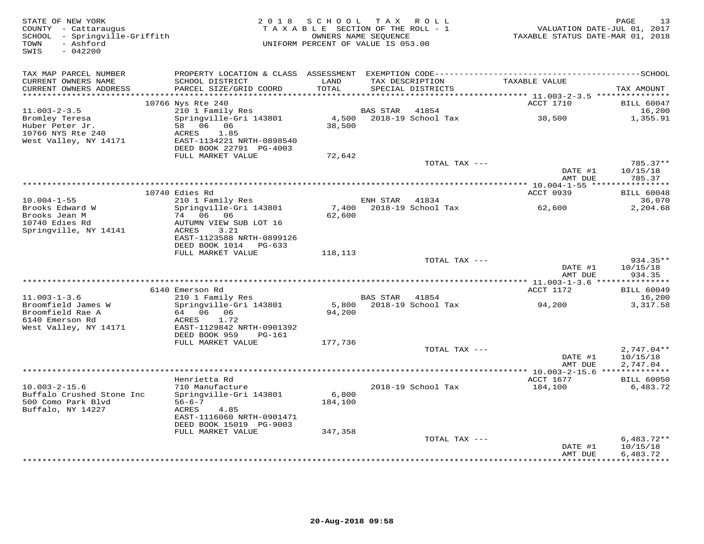| TAX MAP PARCEL NUMBER<br>TAXABLE VALUE<br>CURRENT OWNERS NAME<br>SCHOOL DISTRICT<br>LAND<br>TAX DESCRIPTION<br>TOTAL<br>CURRENT OWNERS ADDRESS<br>PARCEL SIZE/GRID COORD<br>SPECIAL DISTRICTS<br>TAX AMOUNT<br>***********************<br>10766 Nys Rte 240<br>ACCT 1710<br><b>BILL 60047</b><br>$11.003 - 2 - 3.5$<br>210 1 Family Res<br>BAS STAR<br>41854<br>16,200<br>38,500<br>Bromley Teresa<br>Springville-Gri 143801<br>4,500 2018-19 School Tax<br>1,355.91<br>Huber Peter Jr.<br>58 06 06<br>38,500<br>10766 NYS Rte 240<br>1.85<br>ACRES<br>West Valley, NY 14171<br>EAST-1134221 NRTH-0898540<br>DEED BOOK 22791 PG-4003<br>FULL MARKET VALUE<br>72,642<br>TOTAL TAX ---<br>785.37**<br>DATE #1<br>10/15/18<br>AMT DUE<br>785.37<br>ACCT 0939<br>10740 Edies Rd<br><b>BILL 60048</b><br>$10.004 - 1 - 55$<br>36,070<br>210 1 Family Res<br>ENH STAR 41834<br>2018-19 School Tax<br>Brooks Edward W<br>Springville-Gri 143801<br>7,400<br>62,600<br>2,204.68<br>Brooks Jean M<br>74 06 06<br>62,600<br>10740 Edies Rd<br>AUTUMN VIEW SUB LOT 16<br>Springville, NY 14141<br>ACRES<br>3.21<br>EAST-1123588 NRTH-0899126<br>DEED BOOK 1014 PG-633<br>FULL MARKET VALUE<br>118,113<br>TOTAL TAX ---<br>934.35**<br>DATE #1<br>10/15/18<br>AMT DUE<br>934.35<br>6140 Emerson Rd<br>ACCT 1172<br><b>BILL 60049</b><br>$11.003 - 1 - 3.6$<br>210 1 Family Res<br>BAS STAR 41854<br>16,200<br>Broomfield James W<br>Springville-Gri 143801<br>5,800<br>2018-19 School Tax<br>3,317.58<br>94,200<br>Broomfield Rae A<br>94,200<br>64 06 06<br>6140 Emerson Rd<br>ACRES<br>1.72<br>West Valley, NY 14171<br>EAST-1129842 NRTH-0901392<br>DEED BOOK 959<br>PG-161<br>FULL MARKET VALUE<br>177,736<br>TOTAL TAX ---<br>$2,747.04**$<br>DATE #1<br>10/15/18<br>AMT DUE<br>2,747.04<br>************<br>Henrietta Rd<br>ACCT 1677<br><b>BILL 60050</b><br>$10.003 - 2 - 15.6$<br>710 Manufacture<br>2018-19 School Tax<br>184,100<br>6,483.72<br>Buffalo Crushed Stone Inc<br>Springville-Gri 143801<br>6,800<br>500 Como Park Blvd<br>$56 - 6 - 7$<br>184,100<br>Buffalo, NY 14227<br>ACRES<br>4.85<br>EAST-1116060 NRTH-0901471<br>DEED BOOK 15019 PG-9003<br>FULL MARKET VALUE<br>347,358<br>$6,483.72**$<br>TOTAL TAX ---<br>10/15/18<br>DATE #1<br>AMT DUE<br>6,483.72<br>************ | STATE OF NEW YORK<br>COUNTY - Cattaraugus<br>SCHOOL - Springville-Griffith<br>- Ashford<br>TOWN<br>SWIS<br>$-042200$ | 2018 SCHOOL TAX ROLL<br>TAXABLE SECTION OF THE ROLL - 1<br>OWNERS NAME SEQUENCE<br>UNIFORM PERCENT OF VALUE IS 053.00 |  | TAXABLE STATUS DATE-MAR 01, 2018 | PAGE<br>VALUATION DATE-JUL 01, 2017 | 13 |
|------------------------------------------------------------------------------------------------------------------------------------------------------------------------------------------------------------------------------------------------------------------------------------------------------------------------------------------------------------------------------------------------------------------------------------------------------------------------------------------------------------------------------------------------------------------------------------------------------------------------------------------------------------------------------------------------------------------------------------------------------------------------------------------------------------------------------------------------------------------------------------------------------------------------------------------------------------------------------------------------------------------------------------------------------------------------------------------------------------------------------------------------------------------------------------------------------------------------------------------------------------------------------------------------------------------------------------------------------------------------------------------------------------------------------------------------------------------------------------------------------------------------------------------------------------------------------------------------------------------------------------------------------------------------------------------------------------------------------------------------------------------------------------------------------------------------------------------------------------------------------------------------------------------------------------------------------------------------------------------------------------------------------------------------------------------------------------------------------------------------------------------------------------------------------------------------------------------------------------------------------------------------------------------|----------------------------------------------------------------------------------------------------------------------|-----------------------------------------------------------------------------------------------------------------------|--|----------------------------------|-------------------------------------|----|
|                                                                                                                                                                                                                                                                                                                                                                                                                                                                                                                                                                                                                                                                                                                                                                                                                                                                                                                                                                                                                                                                                                                                                                                                                                                                                                                                                                                                                                                                                                                                                                                                                                                                                                                                                                                                                                                                                                                                                                                                                                                                                                                                                                                                                                                                                          |                                                                                                                      |                                                                                                                       |  |                                  |                                     |    |
|                                                                                                                                                                                                                                                                                                                                                                                                                                                                                                                                                                                                                                                                                                                                                                                                                                                                                                                                                                                                                                                                                                                                                                                                                                                                                                                                                                                                                                                                                                                                                                                                                                                                                                                                                                                                                                                                                                                                                                                                                                                                                                                                                                                                                                                                                          |                                                                                                                      |                                                                                                                       |  |                                  |                                     |    |
|                                                                                                                                                                                                                                                                                                                                                                                                                                                                                                                                                                                                                                                                                                                                                                                                                                                                                                                                                                                                                                                                                                                                                                                                                                                                                                                                                                                                                                                                                                                                                                                                                                                                                                                                                                                                                                                                                                                                                                                                                                                                                                                                                                                                                                                                                          |                                                                                                                      |                                                                                                                       |  |                                  |                                     |    |
|                                                                                                                                                                                                                                                                                                                                                                                                                                                                                                                                                                                                                                                                                                                                                                                                                                                                                                                                                                                                                                                                                                                                                                                                                                                                                                                                                                                                                                                                                                                                                                                                                                                                                                                                                                                                                                                                                                                                                                                                                                                                                                                                                                                                                                                                                          |                                                                                                                      |                                                                                                                       |  |                                  |                                     |    |
|                                                                                                                                                                                                                                                                                                                                                                                                                                                                                                                                                                                                                                                                                                                                                                                                                                                                                                                                                                                                                                                                                                                                                                                                                                                                                                                                                                                                                                                                                                                                                                                                                                                                                                                                                                                                                                                                                                                                                                                                                                                                                                                                                                                                                                                                                          |                                                                                                                      |                                                                                                                       |  |                                  |                                     |    |
|                                                                                                                                                                                                                                                                                                                                                                                                                                                                                                                                                                                                                                                                                                                                                                                                                                                                                                                                                                                                                                                                                                                                                                                                                                                                                                                                                                                                                                                                                                                                                                                                                                                                                                                                                                                                                                                                                                                                                                                                                                                                                                                                                                                                                                                                                          |                                                                                                                      |                                                                                                                       |  |                                  |                                     |    |
|                                                                                                                                                                                                                                                                                                                                                                                                                                                                                                                                                                                                                                                                                                                                                                                                                                                                                                                                                                                                                                                                                                                                                                                                                                                                                                                                                                                                                                                                                                                                                                                                                                                                                                                                                                                                                                                                                                                                                                                                                                                                                                                                                                                                                                                                                          |                                                                                                                      |                                                                                                                       |  |                                  |                                     |    |
|                                                                                                                                                                                                                                                                                                                                                                                                                                                                                                                                                                                                                                                                                                                                                                                                                                                                                                                                                                                                                                                                                                                                                                                                                                                                                                                                                                                                                                                                                                                                                                                                                                                                                                                                                                                                                                                                                                                                                                                                                                                                                                                                                                                                                                                                                          |                                                                                                                      |                                                                                                                       |  |                                  |                                     |    |
|                                                                                                                                                                                                                                                                                                                                                                                                                                                                                                                                                                                                                                                                                                                                                                                                                                                                                                                                                                                                                                                                                                                                                                                                                                                                                                                                                                                                                                                                                                                                                                                                                                                                                                                                                                                                                                                                                                                                                                                                                                                                                                                                                                                                                                                                                          |                                                                                                                      |                                                                                                                       |  |                                  |                                     |    |
|                                                                                                                                                                                                                                                                                                                                                                                                                                                                                                                                                                                                                                                                                                                                                                                                                                                                                                                                                                                                                                                                                                                                                                                                                                                                                                                                                                                                                                                                                                                                                                                                                                                                                                                                                                                                                                                                                                                                                                                                                                                                                                                                                                                                                                                                                          |                                                                                                                      |                                                                                                                       |  |                                  |                                     |    |
|                                                                                                                                                                                                                                                                                                                                                                                                                                                                                                                                                                                                                                                                                                                                                                                                                                                                                                                                                                                                                                                                                                                                                                                                                                                                                                                                                                                                                                                                                                                                                                                                                                                                                                                                                                                                                                                                                                                                                                                                                                                                                                                                                                                                                                                                                          |                                                                                                                      |                                                                                                                       |  |                                  |                                     |    |
|                                                                                                                                                                                                                                                                                                                                                                                                                                                                                                                                                                                                                                                                                                                                                                                                                                                                                                                                                                                                                                                                                                                                                                                                                                                                                                                                                                                                                                                                                                                                                                                                                                                                                                                                                                                                                                                                                                                                                                                                                                                                                                                                                                                                                                                                                          |                                                                                                                      |                                                                                                                       |  |                                  |                                     |    |
|                                                                                                                                                                                                                                                                                                                                                                                                                                                                                                                                                                                                                                                                                                                                                                                                                                                                                                                                                                                                                                                                                                                                                                                                                                                                                                                                                                                                                                                                                                                                                                                                                                                                                                                                                                                                                                                                                                                                                                                                                                                                                                                                                                                                                                                                                          |                                                                                                                      |                                                                                                                       |  |                                  |                                     |    |
|                                                                                                                                                                                                                                                                                                                                                                                                                                                                                                                                                                                                                                                                                                                                                                                                                                                                                                                                                                                                                                                                                                                                                                                                                                                                                                                                                                                                                                                                                                                                                                                                                                                                                                                                                                                                                                                                                                                                                                                                                                                                                                                                                                                                                                                                                          |                                                                                                                      |                                                                                                                       |  |                                  |                                     |    |
|                                                                                                                                                                                                                                                                                                                                                                                                                                                                                                                                                                                                                                                                                                                                                                                                                                                                                                                                                                                                                                                                                                                                                                                                                                                                                                                                                                                                                                                                                                                                                                                                                                                                                                                                                                                                                                                                                                                                                                                                                                                                                                                                                                                                                                                                                          |                                                                                                                      |                                                                                                                       |  |                                  |                                     |    |
|                                                                                                                                                                                                                                                                                                                                                                                                                                                                                                                                                                                                                                                                                                                                                                                                                                                                                                                                                                                                                                                                                                                                                                                                                                                                                                                                                                                                                                                                                                                                                                                                                                                                                                                                                                                                                                                                                                                                                                                                                                                                                                                                                                                                                                                                                          |                                                                                                                      |                                                                                                                       |  |                                  |                                     |    |
|                                                                                                                                                                                                                                                                                                                                                                                                                                                                                                                                                                                                                                                                                                                                                                                                                                                                                                                                                                                                                                                                                                                                                                                                                                                                                                                                                                                                                                                                                                                                                                                                                                                                                                                                                                                                                                                                                                                                                                                                                                                                                                                                                                                                                                                                                          |                                                                                                                      |                                                                                                                       |  |                                  |                                     |    |
|                                                                                                                                                                                                                                                                                                                                                                                                                                                                                                                                                                                                                                                                                                                                                                                                                                                                                                                                                                                                                                                                                                                                                                                                                                                                                                                                                                                                                                                                                                                                                                                                                                                                                                                                                                                                                                                                                                                                                                                                                                                                                                                                                                                                                                                                                          |                                                                                                                      |                                                                                                                       |  |                                  |                                     |    |
|                                                                                                                                                                                                                                                                                                                                                                                                                                                                                                                                                                                                                                                                                                                                                                                                                                                                                                                                                                                                                                                                                                                                                                                                                                                                                                                                                                                                                                                                                                                                                                                                                                                                                                                                                                                                                                                                                                                                                                                                                                                                                                                                                                                                                                                                                          |                                                                                                                      |                                                                                                                       |  |                                  |                                     |    |
|                                                                                                                                                                                                                                                                                                                                                                                                                                                                                                                                                                                                                                                                                                                                                                                                                                                                                                                                                                                                                                                                                                                                                                                                                                                                                                                                                                                                                                                                                                                                                                                                                                                                                                                                                                                                                                                                                                                                                                                                                                                                                                                                                                                                                                                                                          |                                                                                                                      |                                                                                                                       |  |                                  |                                     |    |
|                                                                                                                                                                                                                                                                                                                                                                                                                                                                                                                                                                                                                                                                                                                                                                                                                                                                                                                                                                                                                                                                                                                                                                                                                                                                                                                                                                                                                                                                                                                                                                                                                                                                                                                                                                                                                                                                                                                                                                                                                                                                                                                                                                                                                                                                                          |                                                                                                                      |                                                                                                                       |  |                                  |                                     |    |
|                                                                                                                                                                                                                                                                                                                                                                                                                                                                                                                                                                                                                                                                                                                                                                                                                                                                                                                                                                                                                                                                                                                                                                                                                                                                                                                                                                                                                                                                                                                                                                                                                                                                                                                                                                                                                                                                                                                                                                                                                                                                                                                                                                                                                                                                                          |                                                                                                                      |                                                                                                                       |  |                                  |                                     |    |
|                                                                                                                                                                                                                                                                                                                                                                                                                                                                                                                                                                                                                                                                                                                                                                                                                                                                                                                                                                                                                                                                                                                                                                                                                                                                                                                                                                                                                                                                                                                                                                                                                                                                                                                                                                                                                                                                                                                                                                                                                                                                                                                                                                                                                                                                                          |                                                                                                                      |                                                                                                                       |  |                                  |                                     |    |
|                                                                                                                                                                                                                                                                                                                                                                                                                                                                                                                                                                                                                                                                                                                                                                                                                                                                                                                                                                                                                                                                                                                                                                                                                                                                                                                                                                                                                                                                                                                                                                                                                                                                                                                                                                                                                                                                                                                                                                                                                                                                                                                                                                                                                                                                                          |                                                                                                                      |                                                                                                                       |  |                                  |                                     |    |
|                                                                                                                                                                                                                                                                                                                                                                                                                                                                                                                                                                                                                                                                                                                                                                                                                                                                                                                                                                                                                                                                                                                                                                                                                                                                                                                                                                                                                                                                                                                                                                                                                                                                                                                                                                                                                                                                                                                                                                                                                                                                                                                                                                                                                                                                                          |                                                                                                                      |                                                                                                                       |  |                                  |                                     |    |
|                                                                                                                                                                                                                                                                                                                                                                                                                                                                                                                                                                                                                                                                                                                                                                                                                                                                                                                                                                                                                                                                                                                                                                                                                                                                                                                                                                                                                                                                                                                                                                                                                                                                                                                                                                                                                                                                                                                                                                                                                                                                                                                                                                                                                                                                                          |                                                                                                                      |                                                                                                                       |  |                                  |                                     |    |
|                                                                                                                                                                                                                                                                                                                                                                                                                                                                                                                                                                                                                                                                                                                                                                                                                                                                                                                                                                                                                                                                                                                                                                                                                                                                                                                                                                                                                                                                                                                                                                                                                                                                                                                                                                                                                                                                                                                                                                                                                                                                                                                                                                                                                                                                                          |                                                                                                                      |                                                                                                                       |  |                                  |                                     |    |
|                                                                                                                                                                                                                                                                                                                                                                                                                                                                                                                                                                                                                                                                                                                                                                                                                                                                                                                                                                                                                                                                                                                                                                                                                                                                                                                                                                                                                                                                                                                                                                                                                                                                                                                                                                                                                                                                                                                                                                                                                                                                                                                                                                                                                                                                                          |                                                                                                                      |                                                                                                                       |  |                                  |                                     |    |
|                                                                                                                                                                                                                                                                                                                                                                                                                                                                                                                                                                                                                                                                                                                                                                                                                                                                                                                                                                                                                                                                                                                                                                                                                                                                                                                                                                                                                                                                                                                                                                                                                                                                                                                                                                                                                                                                                                                                                                                                                                                                                                                                                                                                                                                                                          |                                                                                                                      |                                                                                                                       |  |                                  |                                     |    |
|                                                                                                                                                                                                                                                                                                                                                                                                                                                                                                                                                                                                                                                                                                                                                                                                                                                                                                                                                                                                                                                                                                                                                                                                                                                                                                                                                                                                                                                                                                                                                                                                                                                                                                                                                                                                                                                                                                                                                                                                                                                                                                                                                                                                                                                                                          |                                                                                                                      |                                                                                                                       |  |                                  |                                     |    |
|                                                                                                                                                                                                                                                                                                                                                                                                                                                                                                                                                                                                                                                                                                                                                                                                                                                                                                                                                                                                                                                                                                                                                                                                                                                                                                                                                                                                                                                                                                                                                                                                                                                                                                                                                                                                                                                                                                                                                                                                                                                                                                                                                                                                                                                                                          |                                                                                                                      |                                                                                                                       |  |                                  |                                     |    |
|                                                                                                                                                                                                                                                                                                                                                                                                                                                                                                                                                                                                                                                                                                                                                                                                                                                                                                                                                                                                                                                                                                                                                                                                                                                                                                                                                                                                                                                                                                                                                                                                                                                                                                                                                                                                                                                                                                                                                                                                                                                                                                                                                                                                                                                                                          |                                                                                                                      |                                                                                                                       |  |                                  |                                     |    |
|                                                                                                                                                                                                                                                                                                                                                                                                                                                                                                                                                                                                                                                                                                                                                                                                                                                                                                                                                                                                                                                                                                                                                                                                                                                                                                                                                                                                                                                                                                                                                                                                                                                                                                                                                                                                                                                                                                                                                                                                                                                                                                                                                                                                                                                                                          |                                                                                                                      |                                                                                                                       |  |                                  |                                     |    |
|                                                                                                                                                                                                                                                                                                                                                                                                                                                                                                                                                                                                                                                                                                                                                                                                                                                                                                                                                                                                                                                                                                                                                                                                                                                                                                                                                                                                                                                                                                                                                                                                                                                                                                                                                                                                                                                                                                                                                                                                                                                                                                                                                                                                                                                                                          |                                                                                                                      |                                                                                                                       |  |                                  |                                     |    |
|                                                                                                                                                                                                                                                                                                                                                                                                                                                                                                                                                                                                                                                                                                                                                                                                                                                                                                                                                                                                                                                                                                                                                                                                                                                                                                                                                                                                                                                                                                                                                                                                                                                                                                                                                                                                                                                                                                                                                                                                                                                                                                                                                                                                                                                                                          |                                                                                                                      |                                                                                                                       |  |                                  |                                     |    |
|                                                                                                                                                                                                                                                                                                                                                                                                                                                                                                                                                                                                                                                                                                                                                                                                                                                                                                                                                                                                                                                                                                                                                                                                                                                                                                                                                                                                                                                                                                                                                                                                                                                                                                                                                                                                                                                                                                                                                                                                                                                                                                                                                                                                                                                                                          |                                                                                                                      |                                                                                                                       |  |                                  |                                     |    |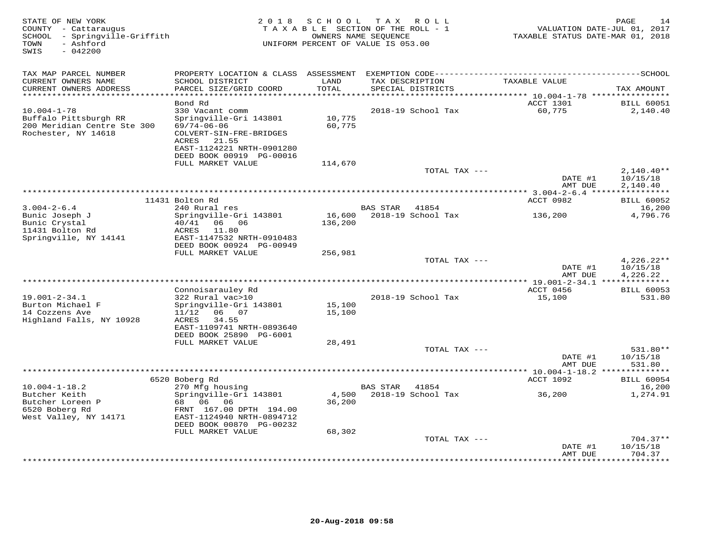| TAX MAP PARCEL NUMBER<br>CURRENT OWNERS NAME<br>SCHOOL DISTRICT<br>LAND<br>TAX DESCRIPTION<br>TAXABLE VALUE<br>TOTAL<br>CURRENT OWNERS ADDRESS<br>PARCEL SIZE/GRID COORD<br>SPECIAL DISTRICTS<br>***********************<br>************************<br>Bond Rd<br>ACCT 1301<br>60,775<br>$10.004 - 1 - 78$<br>330 Vacant comm<br>2018-19 School Tax<br>Buffalo Pittsburgh RR<br>Springville-Gri 143801<br>10,775<br>200 Meridian Centre Ste 300<br>$69/74 - 06 - 06$<br>60,775<br>Rochester, NY 14618<br>COLVERT-SIN-FRE-BRIDGES | TAXABLE STATUS DATE-MAR 01, 2018      |
|-----------------------------------------------------------------------------------------------------------------------------------------------------------------------------------------------------------------------------------------------------------------------------------------------------------------------------------------------------------------------------------------------------------------------------------------------------------------------------------------------------------------------------------|---------------------------------------|
|                                                                                                                                                                                                                                                                                                                                                                                                                                                                                                                                   | TAX AMOUNT                            |
|                                                                                                                                                                                                                                                                                                                                                                                                                                                                                                                                   | <b>BILL 60051</b>                     |
| 21.55<br>ACRES<br>EAST-1124221 NRTH-0901280<br>DEED BOOK 00919 PG-00016                                                                                                                                                                                                                                                                                                                                                                                                                                                           | 2,140.40                              |
| FULL MARKET VALUE<br>114,670                                                                                                                                                                                                                                                                                                                                                                                                                                                                                                      |                                       |
| TOTAL TAX ---<br>DATE #1<br>AMT DUE                                                                                                                                                                                                                                                                                                                                                                                                                                                                                               | $2,140.40**$<br>10/15/18<br>2,140.40  |
|                                                                                                                                                                                                                                                                                                                                                                                                                                                                                                                                   | ***********                           |
| 11431 Bolton Rd<br>ACCT 0982                                                                                                                                                                                                                                                                                                                                                                                                                                                                                                      | <b>BILL 60052</b>                     |
| $3.004 - 2 - 6.4$<br>240 Rural res<br><b>BAS STAR</b><br>41854<br>Bunic Joseph J<br>Springville-Gri 143801<br>16,600<br>2018-19 School Tax<br>136,200<br>136,200<br>Bunic Crystal<br>40/41<br>06 -<br>06<br>11431 Bolton Rd<br>ACRES<br>11.80<br>Springville, NY 14141<br>EAST-1147532 NRTH-0910483                                                                                                                                                                                                                               | 16,200<br>4,796.76                    |
| DEED BOOK 00924 PG-00949                                                                                                                                                                                                                                                                                                                                                                                                                                                                                                          |                                       |
| FULL MARKET VALUE<br>256,981                                                                                                                                                                                                                                                                                                                                                                                                                                                                                                      |                                       |
| TOTAL TAX ---<br>DATE #1<br>AMT DUE                                                                                                                                                                                                                                                                                                                                                                                                                                                                                               | $4,226.22**$<br>10/15/18<br>4,226.22  |
| **************<br>* 19.001-2-34.1 ***************                                                                                                                                                                                                                                                                                                                                                                                                                                                                                 |                                       |
| Connoisarauley Rd<br>ACCT 0456<br>$19.001 - 2 - 34.1$<br>322 Rural vac>10<br>2018-19 School Tax<br>15,100<br>Burton Michael F<br>Springville-Gri 143801<br>15,100<br>15,100<br>14 Cozzens Ave<br>11/12<br>06 07<br>Highland Falls, NY 10928<br>ACRES<br>34.55<br>EAST-1109741 NRTH-0893640<br>DEED BOOK 25890 PG-6001                                                                                                                                                                                                             | <b>BILL 60053</b><br>531.80           |
| FULL MARKET VALUE<br>28,491                                                                                                                                                                                                                                                                                                                                                                                                                                                                                                       |                                       |
| TOTAL TAX ---<br>DATE #1<br>AMT DUE<br>**********************                                                                                                                                                                                                                                                                                                                                                                                                                                                                     | 531.80**<br>10/15/18<br>531.80        |
| ** $10.004 - 1 - 18.2$ **<br>6520 Boberg Rd<br>ACCT 1092                                                                                                                                                                                                                                                                                                                                                                                                                                                                          | <b>BILL 60054</b>                     |
| $10.004 - 1 - 18.2$<br>270 Mfg housing<br><b>BAS STAR</b><br>41854                                                                                                                                                                                                                                                                                                                                                                                                                                                                | 16,200                                |
| Butcher Keith<br>Springville-Gri 143801<br>2018-19 School Tax<br>4,500<br>36,200<br>Butcher Loreen P<br>68  06  06<br>36,200<br>6520 Boberg Rd<br>FRNT 167.00 DPTH 194.00<br>West Valley, NY 14171<br>EAST-1124940 NRTH-0894712<br>DEED BOOK 00870 PG-00232                                                                                                                                                                                                                                                                       | 1,274.91                              |
| FULL MARKET VALUE<br>68,302<br>TOTAL TAX ---                                                                                                                                                                                                                                                                                                                                                                                                                                                                                      | $704.37**$                            |
| DATE #1<br>AMT DUE                                                                                                                                                                                                                                                                                                                                                                                                                                                                                                                | 10/15/18<br>704.37<br>* * * * * * * * |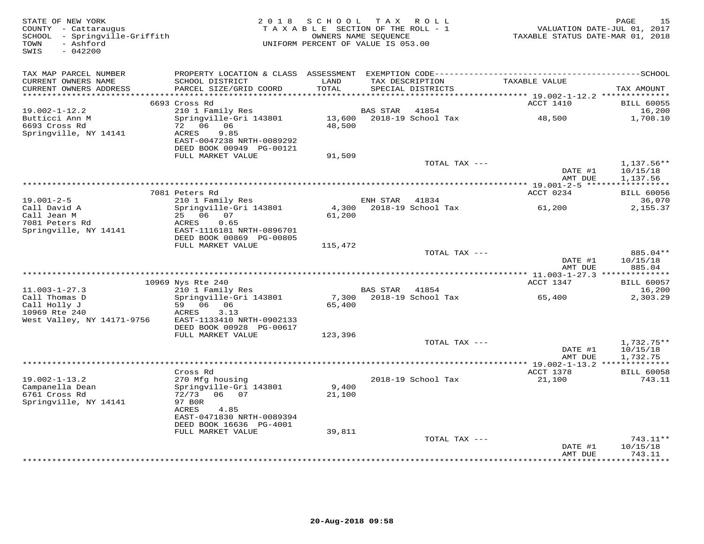| STATE OF NEW YORK<br>COUNTY - Cattaraugus<br>SCHOOL - Springville-Griffith<br>- Ashford<br>TOWN<br>$-042200$<br>SWIS |                                                       | 2018 SCHOOL TAX ROLL<br>TAXABLE SECTION OF THE ROLL - 1<br>OWNERS NAME SEQUENCE<br>UNIFORM PERCENT OF VALUE IS 053.00 |                 |                           | VALUATION DATE-JUL 01, 2017<br>TAXABLE STATUS DATE-MAR 01, 2018 | 15<br>PAGE                        |
|----------------------------------------------------------------------------------------------------------------------|-------------------------------------------------------|-----------------------------------------------------------------------------------------------------------------------|-----------------|---------------------------|-----------------------------------------------------------------|-----------------------------------|
| TAX MAP PARCEL NUMBER                                                                                                |                                                       |                                                                                                                       |                 |                           |                                                                 |                                   |
| CURRENT OWNERS NAME<br>CURRENT OWNERS ADDRESS<br>**********************                                              | SCHOOL DISTRICT<br>PARCEL SIZE/GRID COORD             | LAND<br>TOTAL                                                                                                         | TAX DESCRIPTION | SPECIAL DISTRICTS         | TAXABLE VALUE                                                   | TAX AMOUNT                        |
|                                                                                                                      | 6693 Cross Rd                                         | *****************                                                                                                     |                 |                           | ACCT 1410                                                       | <b>BILL 60055</b>                 |
| $19.002 - 1 - 12.2$                                                                                                  | 210 1 Family Res                                      |                                                                                                                       | BAS STAR        | 41854                     |                                                                 | 16,200                            |
| Butticci Ann M<br>6693 Cross Rd                                                                                      | Springville-Gri 143801<br>72 06 06                    | 48,500                                                                                                                |                 | 13,600 2018-19 School Tax | 48,500                                                          | 1,708.10                          |
| Springville, NY 14141                                                                                                | 9.85<br>ACRES<br>EAST-0047238 NRTH-0089292            |                                                                                                                       |                 |                           |                                                                 |                                   |
|                                                                                                                      | DEED BOOK 00949 PG-00121<br>FULL MARKET VALUE         | 91,509                                                                                                                |                 |                           |                                                                 |                                   |
|                                                                                                                      |                                                       |                                                                                                                       |                 | TOTAL TAX ---             |                                                                 | 1,137.56**                        |
|                                                                                                                      |                                                       |                                                                                                                       |                 |                           | DATE #1                                                         | 10/15/18                          |
|                                                                                                                      |                                                       |                                                                                                                       |                 |                           | AMT DUE                                                         | 1,137.56                          |
|                                                                                                                      |                                                       |                                                                                                                       |                 |                           |                                                                 |                                   |
|                                                                                                                      | 7081 Peters Rd                                        |                                                                                                                       |                 |                           | ACCT 0234                                                       | <b>BILL 60056</b>                 |
| $19.001 - 2 - 5$                                                                                                     | 210 1 Family Res                                      |                                                                                                                       | ENH STAR 41834  | 2018-19 School Tax        |                                                                 | 36,070                            |
| Call David A<br>Call Jean M                                                                                          | Springville-Gri 143801<br>25 06 07                    | 4,300<br>61,200                                                                                                       |                 |                           | 61,200                                                          | 2,155.37                          |
| 7081 Peters Rd                                                                                                       | ACRES<br>0.65                                         |                                                                                                                       |                 |                           |                                                                 |                                   |
| Springville, NY 14141                                                                                                | EAST-1116181 NRTH-0896701<br>DEED BOOK 00869 PG-00805 |                                                                                                                       |                 |                           |                                                                 |                                   |
|                                                                                                                      | FULL MARKET VALUE                                     | 115,472                                                                                                               |                 |                           |                                                                 |                                   |
|                                                                                                                      |                                                       |                                                                                                                       |                 | TOTAL TAX ---             |                                                                 | 885.04 **                         |
|                                                                                                                      |                                                       |                                                                                                                       |                 |                           | DATE #1<br>AMT DUE                                              | 10/15/18<br>885.04                |
|                                                                                                                      |                                                       |                                                                                                                       |                 |                           |                                                                 |                                   |
|                                                                                                                      | 10969 Nys Rte 240                                     |                                                                                                                       |                 |                           | ACCT 1347                                                       | <b>BILL 60057</b>                 |
| $11.003 - 1 - 27.3$                                                                                                  | 210 1 Family Res                                      |                                                                                                                       | BAS STAR        | 41854                     |                                                                 | 16,200                            |
| Call Thomas D<br>Call Holly J                                                                                        | Springville-Gri 143801<br>59 06 06                    | 7,300<br>65,400                                                                                                       |                 | 2018-19 School Tax        | 65,400                                                          | 2,303.29                          |
| 10969 Rte 240                                                                                                        | ACRES<br>3.13                                         |                                                                                                                       |                 |                           |                                                                 |                                   |
| West Valley, NY 14171-9756                                                                                           | EAST-1133410 NRTH-0902133<br>DEED BOOK 00928 PG-00617 |                                                                                                                       |                 |                           |                                                                 |                                   |
|                                                                                                                      | FULL MARKET VALUE                                     | 123,396                                                                                                               |                 |                           |                                                                 |                                   |
|                                                                                                                      |                                                       |                                                                                                                       |                 | TOTAL TAX ---             |                                                                 | 1,732.75**                        |
|                                                                                                                      |                                                       |                                                                                                                       |                 |                           | DATE #1                                                         | 10/15/18                          |
|                                                                                                                      |                                                       |                                                                                                                       |                 |                           | AMT DUE                                                         | 1,732.75                          |
|                                                                                                                      |                                                       |                                                                                                                       |                 |                           |                                                                 |                                   |
| $19.002 - 1 - 13.2$                                                                                                  | Cross Rd<br>270 Mfg housing                           |                                                                                                                       |                 | 2018-19 School Tax        | ACCT 1378<br>21,100                                             | <b>BILL 60058</b><br>743.11       |
| Campanella Dean                                                                                                      | Springville-Gri 143801                                | 9,400                                                                                                                 |                 |                           |                                                                 |                                   |
| 6761 Cross Rd                                                                                                        | 72/73<br>06 07                                        | 21,100                                                                                                                |                 |                           |                                                                 |                                   |
| Springville, NY 14141                                                                                                | 97 BOR                                                |                                                                                                                       |                 |                           |                                                                 |                                   |
|                                                                                                                      | ACRES<br>4.85                                         |                                                                                                                       |                 |                           |                                                                 |                                   |
|                                                                                                                      | EAST-0471830 NRTH-0089394                             |                                                                                                                       |                 |                           |                                                                 |                                   |
|                                                                                                                      | DEED BOOK 16636 PG-4001                               |                                                                                                                       |                 |                           |                                                                 |                                   |
|                                                                                                                      | FULL MARKET VALUE                                     | 39,811                                                                                                                |                 | TOTAL TAX ---             |                                                                 | 743.11**                          |
|                                                                                                                      |                                                       |                                                                                                                       |                 |                           | DATE #1                                                         | 10/15/18                          |
|                                                                                                                      |                                                       |                                                                                                                       |                 |                           | AMT DUE                                                         | 743.11<br>ىك بك بك بك بك بك بك بك |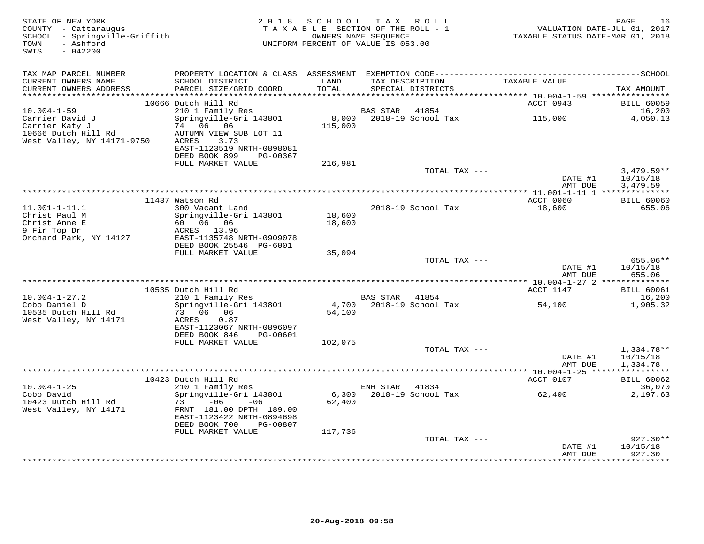| STATE OF NEW YORK<br>COUNTY - Cattaraugus<br>SCHOOL - Springville-Griffith<br>- Ashford<br>TOWN<br>SWIS<br>$-042200$ |                                                                      | 2018 SCHOOL TAX ROLL<br>TAXABLE SECTION OF THE ROLL - 1<br>OWNERS NAME SEQUENCE<br>UNIFORM PERCENT OF VALUE IS 053.00 |                |                                      | VALUATION DATE-JUL 01, 2017<br>TAXABLE STATUS DATE-MAR 01, 2018         | PAGE<br>16                  |
|----------------------------------------------------------------------------------------------------------------------|----------------------------------------------------------------------|-----------------------------------------------------------------------------------------------------------------------|----------------|--------------------------------------|-------------------------------------------------------------------------|-----------------------------|
| TAX MAP PARCEL NUMBER                                                                                                |                                                                      |                                                                                                                       |                |                                      |                                                                         |                             |
| CURRENT OWNERS NAME<br>CURRENT OWNERS ADDRESS<br>***********************                                             | SCHOOL DISTRICT<br>PARCEL SIZE/GRID COORD                            | LAND<br>TOTAL<br>*****************                                                                                    |                | TAX DESCRIPTION<br>SPECIAL DISTRICTS | TAXABLE VALUE                                                           | TAX AMOUNT                  |
|                                                                                                                      | 10666 Dutch Hill Rd                                                  |                                                                                                                       |                |                                      | ***************************** 10.004-1-59 ****************<br>ACCT 0943 | <b>BILL 60059</b>           |
| $10.004 - 1 - 59$                                                                                                    | 210 1 Family Res                                                     |                                                                                                                       | BAS STAR       | 41854                                |                                                                         | 16,200                      |
| Carrier David J<br>Carrier Katy J                                                                                    | Springville-Gri 143801<br>74 06 06                                   | 8,000<br>115,000                                                                                                      |                | 2018-19 School Tax                   | 115,000                                                                 | 4,050.13                    |
| 10666 Dutch Hill Rd<br>West Valley, NY 14171-9750                                                                    | AUTUMN VIEW SUB LOT 11<br>ACRES<br>3.73<br>EAST-1123519 NRTH-0898081 |                                                                                                                       |                |                                      |                                                                         |                             |
|                                                                                                                      | DEED BOOK 899<br>PG-00367<br>FULL MARKET VALUE                       | 216,981                                                                                                               |                |                                      |                                                                         |                             |
|                                                                                                                      |                                                                      |                                                                                                                       |                | TOTAL TAX ---                        |                                                                         | $3,479.59**$                |
|                                                                                                                      |                                                                      |                                                                                                                       |                |                                      | DATE #1<br>AMT DUE                                                      | 10/15/18<br>3,479.59        |
|                                                                                                                      | 11437 Watson Rd                                                      |                                                                                                                       |                |                                      | ACCT 0060                                                               | <b>BILL 60060</b>           |
| $11.001 - 1 - 11.1$                                                                                                  | 300 Vacant Land                                                      |                                                                                                                       |                | 2018-19 School Tax                   | 18,600                                                                  | 655.06                      |
| Christ Paul M<br>Christ Anne E                                                                                       | Springville-Gri 143801<br>60 06 06                                   | 18,600<br>18,600                                                                                                      |                |                                      |                                                                         |                             |
| 9 Fir Top Dr<br>Orchard Park, NY 14127                                                                               | ACRES 13.96<br>EAST-1135748 NRTH-0909078                             |                                                                                                                       |                |                                      |                                                                         |                             |
|                                                                                                                      | DEED BOOK 25546 PG-6001<br>FULL MARKET VALUE                         | 35,094                                                                                                                |                |                                      |                                                                         |                             |
|                                                                                                                      |                                                                      |                                                                                                                       |                | TOTAL TAX ---                        | DATE #1                                                                 | 655.06**<br>10/15/18        |
|                                                                                                                      |                                                                      |                                                                                                                       |                |                                      | AMT DUE                                                                 | 655.06                      |
|                                                                                                                      | 10535 Dutch Hill Rd                                                  |                                                                                                                       |                |                                      | ACCT 1147                                                               | <b>BILL 60061</b>           |
| $10.004 - 1 - 27.2$                                                                                                  | 210 1 Family Res                                                     |                                                                                                                       | BAS STAR 41854 |                                      |                                                                         | 16,200                      |
| Cobo Daniel D<br>10535 Dutch Hill Rd                                                                                 | Springville-Gri 143801<br>73 06 06                                   | 4,700<br>54,100                                                                                                       |                | 2018-19 School Tax                   | 54,100                                                                  | 1,905.32                    |
| West Valley, NY 14171                                                                                                | 0.87<br>ACRES<br>EAST-1123067 NRTH-0896097                           |                                                                                                                       |                |                                      |                                                                         |                             |
|                                                                                                                      | DEED BOOK 846<br>PG-00601                                            |                                                                                                                       |                |                                      |                                                                         |                             |
|                                                                                                                      | FULL MARKET VALUE                                                    | 102,075                                                                                                               |                | TOTAL TAX ---                        |                                                                         | 1,334.78**                  |
|                                                                                                                      |                                                                      |                                                                                                                       |                |                                      | DATE #1<br>AMT DUE                                                      | 10/15/18<br>1,334.78        |
|                                                                                                                      |                                                                      |                                                                                                                       |                |                                      |                                                                         |                             |
| $10.004 - 1 - 25$                                                                                                    | 10423 Dutch Hill Rd<br>210 1 Family Res                              |                                                                                                                       | ENH STAR       | 41834                                | ACCT 0107                                                               | <b>BILL 60062</b><br>36,070 |
| Cobo David                                                                                                           | Springville-Gri 143801                                               | 6,300                                                                                                                 |                | 2018-19 School Tax                   | 62,400                                                                  | 2,197.63                    |
| 10423 Dutch Hill Rd<br>West Valley, NY 14171                                                                         | $-06$<br>$-06$<br>73<br>FRNT 181.00 DPTH 189.00                      | 62,400                                                                                                                |                |                                      |                                                                         |                             |
|                                                                                                                      | EAST-1123422 NRTH-0894698<br>DEED BOOK 700<br>PG-00807               |                                                                                                                       |                |                                      |                                                                         |                             |
|                                                                                                                      | FULL MARKET VALUE                                                    | 117,736                                                                                                               |                | TOTAL TAX ---                        |                                                                         | $927.30**$                  |
|                                                                                                                      |                                                                      |                                                                                                                       |                |                                      | DATE #1<br>AMT DUE                                                      | 10/15/18<br>927.30          |
|                                                                                                                      |                                                                      |                                                                                                                       |                |                                      |                                                                         |                             |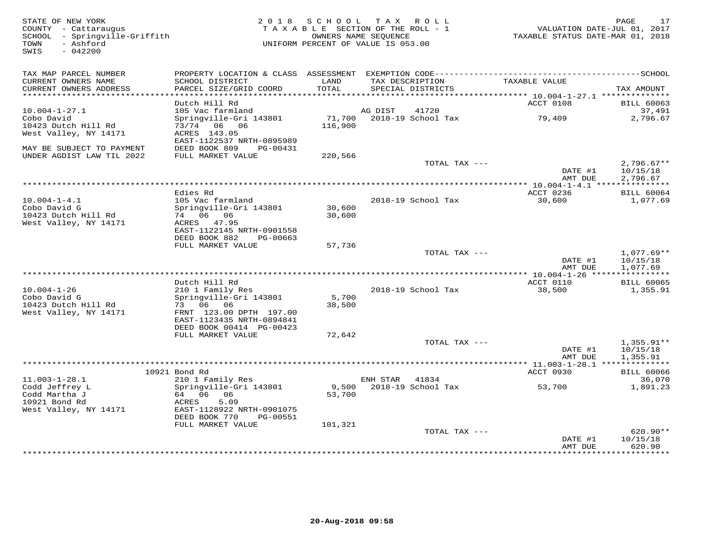| STATE OF NEW YORK<br>COUNTY - Cattaraugus<br>SCHOOL - Springville-Griffith<br>- Ashford<br>TOWN<br>SWIS<br>$-042200$ |                                                      | 2018 SCHOOL   | TAX ROLL<br>TAXABLE SECTION OF THE ROLL - 1<br>OWNERS NAME SEOUENCE<br>UNIFORM PERCENT OF VALUE IS 053.00 | VALUATION DATE-JUL 01, 2017<br>TAXABLE STATUS DATE-MAR 01, 2018 | 17<br>PAGE           |
|----------------------------------------------------------------------------------------------------------------------|------------------------------------------------------|---------------|-----------------------------------------------------------------------------------------------------------|-----------------------------------------------------------------|----------------------|
| TAX MAP PARCEL NUMBER                                                                                                |                                                      |               |                                                                                                           |                                                                 |                      |
| CURRENT OWNERS NAME<br>CURRENT OWNERS ADDRESS<br>***********************                                             | SCHOOL DISTRICT<br>PARCEL SIZE/GRID COORD            | LAND<br>TOTAL | TAX DESCRIPTION<br>SPECIAL DISTRICTS                                                                      | TAXABLE VALUE                                                   | TAX AMOUNT           |
|                                                                                                                      | Dutch Hill Rd                                        |               |                                                                                                           | ACCT 0108                                                       | <b>BILL 60063</b>    |
| $10.004 - 1 - 27.1$                                                                                                  | 105 Vac farmland                                     |               | 41720<br>AG DIST                                                                                          |                                                                 | 37,491               |
| Cobo David                                                                                                           | Springville-Gri 143801                               | 71,700        | 2018-19 School Tax                                                                                        | 79,409                                                          | 2,796.67             |
| 10423 Dutch Hill Rd                                                                                                  | 73/74 06 06                                          | 116,900       |                                                                                                           |                                                                 |                      |
| West Valley, NY 14171                                                                                                | ACRES 143.05<br>EAST-1122537 NRTH-0895989            |               |                                                                                                           |                                                                 |                      |
| MAY BE SUBJECT TO PAYMENT                                                                                            | DEED BOOK 809<br>PG-00431                            |               |                                                                                                           |                                                                 |                      |
| UNDER AGDIST LAW TIL 2022                                                                                            | FULL MARKET VALUE                                    | 220,566       |                                                                                                           |                                                                 |                      |
|                                                                                                                      |                                                      |               | TOTAL TAX ---                                                                                             |                                                                 | $2,796.67**$         |
|                                                                                                                      |                                                      |               |                                                                                                           | DATE #1<br>AMT DUE                                              | 10/15/18<br>2,796.67 |
|                                                                                                                      |                                                      |               |                                                                                                           |                                                                 |                      |
|                                                                                                                      | Edies Rd                                             |               |                                                                                                           | ACCT 0236                                                       | <b>BILL 60064</b>    |
| $10.004 - 1 - 4.1$                                                                                                   | 105 Vac farmland                                     |               | 2018-19 School Tax                                                                                        | 30,600                                                          | 1,077.69             |
| Cobo David G                                                                                                         | Springville-Gri 143801                               | 30,600        |                                                                                                           |                                                                 |                      |
| 10423 Dutch Hill Rd<br>West Valley, NY 14171                                                                         | 74 06 06<br>ACRES 47.95                              | 30,600        |                                                                                                           |                                                                 |                      |
|                                                                                                                      | EAST-1122145 NRTH-0901558                            |               |                                                                                                           |                                                                 |                      |
|                                                                                                                      | DEED BOOK 882<br>PG-00663                            |               |                                                                                                           |                                                                 |                      |
|                                                                                                                      | FULL MARKET VALUE                                    | 57,736        |                                                                                                           |                                                                 |                      |
|                                                                                                                      |                                                      |               | TOTAL TAX ---                                                                                             |                                                                 | $1,077.69**$         |
|                                                                                                                      |                                                      |               |                                                                                                           | DATE #1<br>AMT DUE                                              | 10/15/18<br>1,077.69 |
|                                                                                                                      |                                                      |               |                                                                                                           |                                                                 |                      |
|                                                                                                                      | Dutch Hill Rd                                        |               |                                                                                                           | ACCT 0110                                                       | <b>BILL 60065</b>    |
| $10.004 - 1 - 26$                                                                                                    | 210 1 Family Res                                     |               | 2018-19 School Tax                                                                                        | 38,500                                                          | 1,355.91             |
| Cobo David G                                                                                                         | Springville-Gri 143801                               | 5,700         |                                                                                                           |                                                                 |                      |
| 10423 Dutch Hill Rd                                                                                                  | 73 06 06                                             | 38,500        |                                                                                                           |                                                                 |                      |
| West Valley, NY 14171                                                                                                | FRNT 123.00 DPTH 197.00<br>EAST-1123435 NRTH-0894841 |               |                                                                                                           |                                                                 |                      |
|                                                                                                                      | DEED BOOK 00414 PG-00423                             |               |                                                                                                           |                                                                 |                      |
|                                                                                                                      | FULL MARKET VALUE                                    | 72,642        |                                                                                                           |                                                                 |                      |
|                                                                                                                      |                                                      |               | TOTAL TAX ---                                                                                             |                                                                 | $1,355.91**$         |
|                                                                                                                      |                                                      |               |                                                                                                           | DATE #1<br>AMT DUE                                              | 10/15/18             |
|                                                                                                                      |                                                      |               |                                                                                                           | *********** 11.003-1-28.1 **************                        | 1,355.91             |
|                                                                                                                      | 10921 Bond Rd                                        |               |                                                                                                           | ACCT 0930                                                       | <b>BILL 60066</b>    |
| $11.003 - 1 - 28.1$                                                                                                  | 210 1 Family Res                                     |               | 41834<br>ENH STAR                                                                                         |                                                                 | 36,070               |
| Codd Jeffrey L                                                                                                       | Springville-Gri 143801                               | 9,500         | 2018-19 School Tax                                                                                        | 53,700                                                          | 1,891.23             |
| Codd Martha J                                                                                                        | 64 06<br>06                                          | 53,700        |                                                                                                           |                                                                 |                      |
| 10921 Bond Rd<br>West Valley, NY 14171                                                                               | 5.09<br>ACRES<br>EAST-1128922 NRTH-0901075           |               |                                                                                                           |                                                                 |                      |
|                                                                                                                      | DEED BOOK 770<br>PG-00551                            |               |                                                                                                           |                                                                 |                      |
|                                                                                                                      | FULL MARKET VALUE                                    | 101,321       |                                                                                                           |                                                                 |                      |
|                                                                                                                      |                                                      |               | TOTAL TAX ---                                                                                             |                                                                 | $620.90**$           |
|                                                                                                                      |                                                      |               |                                                                                                           | DATE #1                                                         | 10/15/18             |
|                                                                                                                      |                                                      |               |                                                                                                           | AMT DUE                                                         | 620.90<br>********   |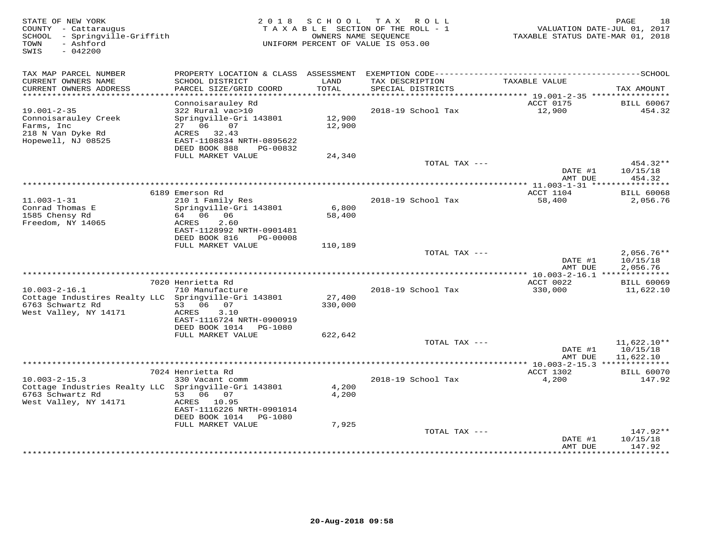| STATE OF NEW YORK<br>COUNTY - Cattaraugus<br>- Springville-Griffith<br>SCHOOL<br>- Ashford<br>TOWN<br>$-042200$<br>SWIS | 2 0 1 8                                        | SCHOOL          | T A X<br>R O L L<br>TAXABLE SECTION OF THE ROLL - 1<br>OWNERS NAME SEQUENCE<br>UNIFORM PERCENT OF VALUE IS 053.00 | VALUATION DATE-JUL 01, 2017<br>TAXABLE STATUS DATE-MAR 01, 2018 | PAGE<br>18                     |
|-------------------------------------------------------------------------------------------------------------------------|------------------------------------------------|-----------------|-------------------------------------------------------------------------------------------------------------------|-----------------------------------------------------------------|--------------------------------|
| TAX MAP PARCEL NUMBER                                                                                                   |                                                |                 |                                                                                                                   |                                                                 |                                |
| CURRENT OWNERS NAME<br>CURRENT OWNERS ADDRESS<br>*************************                                              | SCHOOL DISTRICT<br>PARCEL SIZE/GRID COORD      | LAND<br>TOTAL   | TAX DESCRIPTION<br>SPECIAL DISTRICTS                                                                              | TAXABLE VALUE                                                   | TAX AMOUNT                     |
|                                                                                                                         | Connoisarauley Rd                              |                 |                                                                                                                   | ACCT 0175                                                       | <b>BILL 60067</b>              |
| $19.001 - 2 - 35$                                                                                                       | 322 Rural vac>10                               |                 | 2018-19 School Tax                                                                                                | 12,900                                                          | 454.32                         |
| Connoisarauley Creek                                                                                                    | Springville-Gri 143801                         | 12,900          |                                                                                                                   |                                                                 |                                |
| Farms, Inc                                                                                                              | 27 06<br>07                                    | 12,900          |                                                                                                                   |                                                                 |                                |
| 218 N Van Dyke Rd<br>Hopewell, NJ 08525                                                                                 | ACRES 32.43<br>EAST-1108834 NRTH-0895622       |                 |                                                                                                                   |                                                                 |                                |
|                                                                                                                         | DEED BOOK 888<br>PG-00832                      |                 |                                                                                                                   |                                                                 |                                |
|                                                                                                                         | FULL MARKET VALUE                              | 24,340          |                                                                                                                   |                                                                 |                                |
|                                                                                                                         |                                                |                 | TOTAL TAX ---                                                                                                     |                                                                 | 454.32**                       |
|                                                                                                                         |                                                |                 |                                                                                                                   | DATE #1<br>AMT DUE                                              | 10/15/18<br>454.32             |
|                                                                                                                         |                                                |                 |                                                                                                                   |                                                                 |                                |
|                                                                                                                         | 6189 Emerson Rd                                |                 |                                                                                                                   | ACCT 1104                                                       | <b>BILL 60068</b>              |
| $11.003 - 1 - 31$                                                                                                       | 210 1 Family Res                               |                 | 2018-19 School Tax                                                                                                | 58,400                                                          | 2,056.76                       |
| Conrad Thomas E<br>1585 Chensy Rd                                                                                       | Springville-Gri 143801<br>64 06 06             | 6,800<br>58,400 |                                                                                                                   |                                                                 |                                |
| Freedom, NY 14065                                                                                                       | ACRES<br>2.60                                  |                 |                                                                                                                   |                                                                 |                                |
|                                                                                                                         | EAST-1128992 NRTH-0901481                      |                 |                                                                                                                   |                                                                 |                                |
|                                                                                                                         | DEED BOOK 816<br>PG-00008                      |                 |                                                                                                                   |                                                                 |                                |
|                                                                                                                         | FULL MARKET VALUE                              | 110,189         | TOTAL TAX ---                                                                                                     |                                                                 | $2,056.76**$                   |
|                                                                                                                         |                                                |                 |                                                                                                                   | DATE #1                                                         | 10/15/18                       |
|                                                                                                                         |                                                |                 |                                                                                                                   | AMT DUE                                                         | 2,056.76                       |
|                                                                                                                         |                                                |                 |                                                                                                                   | **** 10.003-2-16.1 **************                               |                                |
| $10.003 - 2 - 16.1$                                                                                                     | 7020 Henrietta Rd<br>710 Manufacture           |                 | 2018-19 School Tax                                                                                                | ACCT 0022<br>330,000                                            | <b>BILL 60069</b><br>11,622.10 |
| Cottage Industires Realty LLC Springville-Gri 143801                                                                    |                                                | 27,400          |                                                                                                                   |                                                                 |                                |
| 6763 Schwartz Rd                                                                                                        | 53 06 07                                       | 330,000         |                                                                                                                   |                                                                 |                                |
| West Valley, NY 14171                                                                                                   | ACRES<br>3.10                                  |                 |                                                                                                                   |                                                                 |                                |
|                                                                                                                         | EAST-1116724 NRTH-0900919                      |                 |                                                                                                                   |                                                                 |                                |
|                                                                                                                         | DEED BOOK 1014<br>PG-1080<br>FULL MARKET VALUE | 622,642         |                                                                                                                   |                                                                 |                                |
|                                                                                                                         |                                                |                 | TOTAL TAX ---                                                                                                     |                                                                 | $11,622.10**$                  |
|                                                                                                                         |                                                |                 |                                                                                                                   | DATE #1                                                         | 10/15/18                       |
|                                                                                                                         |                                                |                 |                                                                                                                   | AMT DUE                                                         | 11,622.10                      |
|                                                                                                                         | 7024 Henrietta Rd                              |                 |                                                                                                                   | *************** 10.003-2-15.3 ***************<br>ACCT 1302      | <b>BILL 60070</b>              |
| $10.003 - 2 - 15.3$                                                                                                     | 330 Vacant comm                                |                 | 2018-19 School Tax                                                                                                | 4,200                                                           | 147.92                         |
| Cottage Industries Realty LLC                                                                                           | Springville-Gri 143801                         | 4,200           |                                                                                                                   |                                                                 |                                |
| 6763 Schwartz Rd                                                                                                        | 06 07<br>53                                    | 4,200           |                                                                                                                   |                                                                 |                                |
| West Valley, NY 14171                                                                                                   | ACRES 10.95<br>EAST-1116226 NRTH-0901014       |                 |                                                                                                                   |                                                                 |                                |
|                                                                                                                         | DEED BOOK 1014<br>PG-1080                      |                 |                                                                                                                   |                                                                 |                                |
|                                                                                                                         | FULL MARKET VALUE                              | 7,925           |                                                                                                                   |                                                                 |                                |
|                                                                                                                         |                                                |                 | TOTAL TAX ---                                                                                                     |                                                                 | $147.92**$                     |
|                                                                                                                         |                                                |                 |                                                                                                                   | DATE #1                                                         | 10/15/18                       |
|                                                                                                                         |                                                |                 |                                                                                                                   | AMT DUE                                                         | 147.92<br>* * * * * * * *      |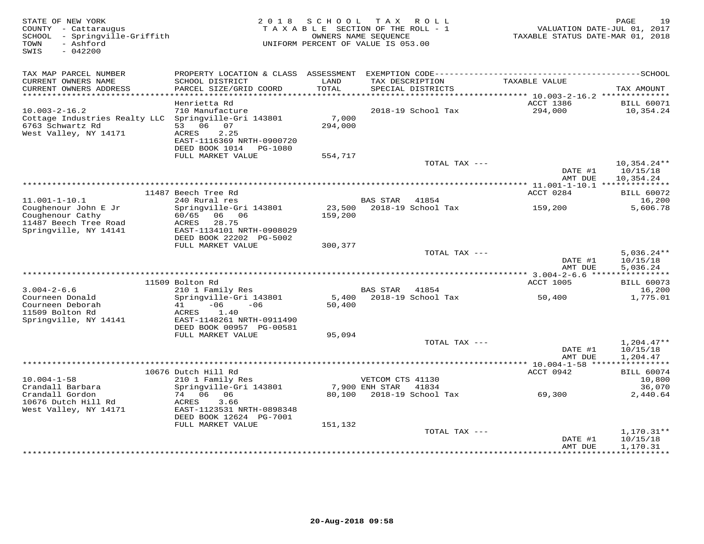| STATE OF NEW YORK<br>COUNTY - Cattaraugus<br>SCHOOL - Springville-Griffith<br>- Ashford<br>TOWN<br>SWIS<br>$-042200$ | 2 0 1 8                                                                                                                          | SCHOOL<br>TAXABLE SECTION OF THE ROLL - 1<br>OWNERS NAME SEQUENCE<br>UNIFORM PERCENT OF VALUE IS 053.00 | T A X            | ROLL                        | VALUATION DATE-JUL 01, 2017<br>TAXABLE STATUS DATE-MAR 01, 2018 | 19<br>PAGE                             |
|----------------------------------------------------------------------------------------------------------------------|----------------------------------------------------------------------------------------------------------------------------------|---------------------------------------------------------------------------------------------------------|------------------|-----------------------------|-----------------------------------------------------------------|----------------------------------------|
| TAX MAP PARCEL NUMBER<br>CURRENT OWNERS NAME                                                                         | SCHOOL DISTRICT                                                                                                                  | LAND                                                                                                    |                  | TAX DESCRIPTION             | TAXABLE VALUE                                                   |                                        |
| CURRENT OWNERS ADDRESS<br>***********************                                                                    | PARCEL SIZE/GRID COORD                                                                                                           | TOTAL                                                                                                   |                  | SPECIAL DISTRICTS           |                                                                 | TAX AMOUNT                             |
|                                                                                                                      | Henrietta Rd                                                                                                                     |                                                                                                         |                  |                             | ACCT 1386                                                       | <b>BILL 60071</b>                      |
| $10.003 - 2 - 16.2$<br>Cottage Industries Realty LLC<br>6763 Schwartz Rd<br>West Valley, NY 14171                    | 710 Manufacture<br>Springville-Gri 143801<br>53 06 07<br>ACRES<br>2.25<br>EAST-1116369 NRTH-0900720<br>DEED BOOK 1014 PG-1080    | 7,000<br>294,000                                                                                        |                  | 2018-19 School Tax          | 294,000                                                         | 10,354.24                              |
|                                                                                                                      | FULL MARKET VALUE                                                                                                                | 554,717                                                                                                 |                  |                             |                                                                 |                                        |
|                                                                                                                      |                                                                                                                                  |                                                                                                         |                  | TOTAL TAX ---               | DATE #1<br>AMT DUE                                              | $10,354.24**$<br>10/15/18<br>10,354.24 |
|                                                                                                                      |                                                                                                                                  |                                                                                                         |                  |                             | ************** 11.001-1-10.1 ***************                    |                                        |
|                                                                                                                      | 11487 Beech Tree Rd                                                                                                              |                                                                                                         |                  |                             | ACCT 0284                                                       | <b>BILL 60072</b>                      |
| $11.001 - 1 - 10.1$<br>Coughenour John E Jr<br>Coughenour Cathy<br>11487 Beech Tree Road<br>Springville, NY 14141    | 240 Rural res<br>Springville-Gri 143801<br>60/65 06 06<br>ACRES<br>28.75<br>EAST-1134101 NRTH-0908029                            | 23,500<br>159,200                                                                                       | <b>BAS STAR</b>  | 41854<br>2018-19 School Tax | 159,200                                                         | 16,200<br>5,606.78                     |
|                                                                                                                      | DEED BOOK 22202 PG-5002                                                                                                          |                                                                                                         |                  |                             |                                                                 |                                        |
|                                                                                                                      | FULL MARKET VALUE                                                                                                                | 300,377                                                                                                 |                  | TOTAL TAX ---               | DATE #1<br>AMT DUE                                              | $5,036.24**$<br>10/15/18<br>5,036.24   |
|                                                                                                                      |                                                                                                                                  |                                                                                                         |                  |                             |                                                                 |                                        |
| $3.004 - 2 - 6.6$                                                                                                    | 11509 Bolton Rd<br>210 1 Family Res                                                                                              |                                                                                                         | BAS STAR 41854   |                             | <b>ACCT 1005</b>                                                | <b>BILL 60073</b><br>16,200            |
| Courneen Donald<br>Courneen Deborah<br>11509 Bolton Rd<br>Springville, NY 14141                                      | Springville-Gri 143801<br>$-06$<br>$-06$<br>41<br>1.40<br>ACRES<br>EAST-1148261 NRTH-0911490                                     | 50,400                                                                                                  |                  | 5,400 2018-19 School Tax    | 50,400                                                          | 1,775.01                               |
|                                                                                                                      | DEED BOOK 00957 PG-00581<br>FULL MARKET VALUE                                                                                    | 95,094                                                                                                  |                  |                             |                                                                 |                                        |
|                                                                                                                      |                                                                                                                                  |                                                                                                         |                  | TOTAL TAX ---               | DATE #1<br>AMT DUE                                              | $1,204.47**$<br>10/15/18<br>1,204.47   |
|                                                                                                                      |                                                                                                                                  |                                                                                                         |                  |                             |                                                                 |                                        |
|                                                                                                                      | 10676 Dutch Hill Rd                                                                                                              |                                                                                                         |                  |                             | ACCT 0942                                                       | <b>BILL 60074</b>                      |
| $10.004 - 1 - 58$                                                                                                    | 210 1 Family Res                                                                                                                 |                                                                                                         | VETCOM CTS 41130 |                             |                                                                 | 10,800                                 |
| Crandall Barbara<br>Crandall Gordon<br>10676 Dutch Hill Rd<br>West Valley, NY 14171                                  | Springville-Gri 143801<br>74 06 06<br>3.66<br>ACRES<br>EAST-1123531 NRTH-0898348<br>DEED BOOK 12624 PG-7001<br>FULL MARKET VALUE | 80,100<br>151,132                                                                                       | 7,900 ENH STAR   | 41834<br>2018-19 School Tax | 69,300                                                          | 36,070<br>2,440.64                     |
|                                                                                                                      |                                                                                                                                  |                                                                                                         |                  | TOTAL TAX ---               |                                                                 | $1,170.31**$                           |
|                                                                                                                      |                                                                                                                                  |                                                                                                         |                  |                             | DATE #1<br>AMT DUE                                              | 10/15/18<br>1,170.31                   |
|                                                                                                                      |                                                                                                                                  |                                                                                                         |                  |                             | ***************                                                 | ***********                            |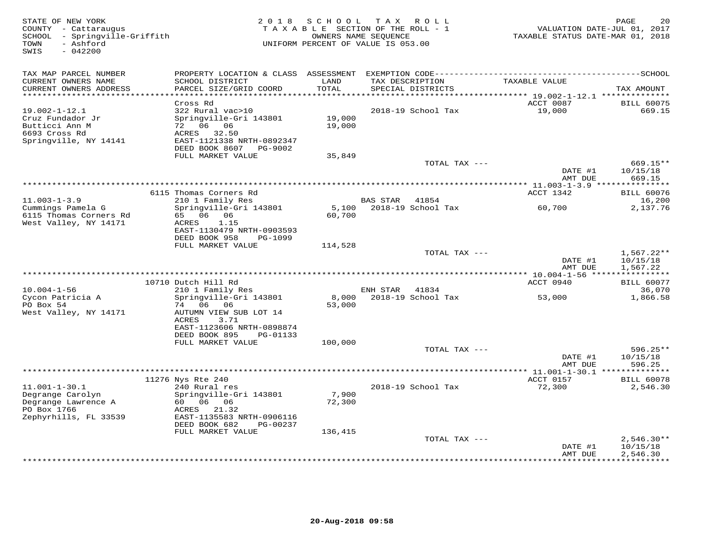| STATE OF NEW YORK<br>COUNTY - Cattaraugus<br>SCHOOL - Springville-Griffith<br>- Ashford<br>TOWN<br>SWIS<br>$-042200$ | 2 0 1 8                                                | SCHOOL          | TAX ROLL<br>TAXABLE SECTION OF THE ROLL - 1<br>OWNERS NAME SEQUENCE<br>UNIFORM PERCENT OF VALUE IS 053.00 |               | VALUATION DATE-JUL 01, 2017<br>TAXABLE STATUS DATE-MAR 01, 2018 | PAGE<br>20               |
|----------------------------------------------------------------------------------------------------------------------|--------------------------------------------------------|-----------------|-----------------------------------------------------------------------------------------------------------|---------------|-----------------------------------------------------------------|--------------------------|
| TAX MAP PARCEL NUMBER                                                                                                |                                                        | LAND            |                                                                                                           |               |                                                                 |                          |
| CURRENT OWNERS NAME<br>CURRENT OWNERS ADDRESS<br>**********************                                              | SCHOOL DISTRICT<br>PARCEL SIZE/GRID COORD              | <b>TOTAL</b>    | TAX DESCRIPTION<br>SPECIAL DISTRICTS                                                                      |               | TAXABLE VALUE                                                   | TAX AMOUNT               |
|                                                                                                                      | Cross Rd                                               |                 |                                                                                                           |               | ACCT 0087                                                       | <b>BILL 60075</b>        |
| $19.002 - 1 - 12.1$                                                                                                  | 322 Rural vac>10                                       |                 | 2018-19 School Tax                                                                                        |               | 19,000                                                          | 669.15                   |
| Cruz Fundador Jr                                                                                                     | Springville-Gri 143801                                 | 19,000          |                                                                                                           |               |                                                                 |                          |
| Butticci Ann M                                                                                                       | 72 06 06                                               | 19,000          |                                                                                                           |               |                                                                 |                          |
| 6693 Cross Rd<br>Springville, NY 14141                                                                               | 32.50<br>ACRES<br>EAST-1121338 NRTH-0892347            |                 |                                                                                                           |               |                                                                 |                          |
|                                                                                                                      | DEED BOOK 8607 PG-9002                                 |                 |                                                                                                           |               |                                                                 |                          |
|                                                                                                                      | FULL MARKET VALUE                                      | 35,849          |                                                                                                           |               |                                                                 |                          |
|                                                                                                                      |                                                        |                 |                                                                                                           | TOTAL TAX --- |                                                                 | 669.15**                 |
|                                                                                                                      |                                                        |                 |                                                                                                           |               | DATE #1<br>AMT DUE                                              | 10/15/18<br>669.15       |
|                                                                                                                      |                                                        |                 |                                                                                                           |               |                                                                 |                          |
|                                                                                                                      | 6115 Thomas Corners Rd                                 |                 |                                                                                                           |               | ACCT 1342                                                       | <b>BILL 60076</b>        |
| $11.003 - 1 - 3.9$                                                                                                   | 210 1 Family Res                                       |                 | BAS STAR 41854                                                                                            |               |                                                                 | 16,200                   |
| Cummings Pamela G<br>6115 Thomas Corners Rd                                                                          | Springville-Gri 143801<br>65 06 06                     | 5,100<br>60,700 | 2018-19 School Tax                                                                                        |               | 60,700                                                          | 2,137.76                 |
| West Valley, NY 14171                                                                                                | 1.15<br>ACRES                                          |                 |                                                                                                           |               |                                                                 |                          |
|                                                                                                                      | EAST-1130479 NRTH-0903593                              |                 |                                                                                                           |               |                                                                 |                          |
|                                                                                                                      | DEED BOOK 958<br>PG-1099                               |                 |                                                                                                           |               |                                                                 |                          |
|                                                                                                                      | FULL MARKET VALUE                                      | 114,528         |                                                                                                           |               |                                                                 |                          |
|                                                                                                                      |                                                        |                 |                                                                                                           | TOTAL TAX --- | DATE #1                                                         | $1,567.22**$<br>10/15/18 |
|                                                                                                                      |                                                        |                 |                                                                                                           |               | AMT DUE                                                         | 1,567.22                 |
|                                                                                                                      |                                                        |                 |                                                                                                           |               |                                                                 |                          |
|                                                                                                                      | 10710 Dutch Hill Rd                                    |                 |                                                                                                           |               | ACCT 0940                                                       | <b>BILL 60077</b>        |
| $10.004 - 1 - 56$<br>Cycon Patricia A                                                                                | 210 1 Family Res<br>Springville-Gri 143801             | 8,000           | ENH STAR<br>2018-19 School Tax                                                                            | 41834         | 53,000                                                          | 36,070<br>1,866.58       |
| PO Box 54                                                                                                            | 74 06<br>06                                            | 53,000          |                                                                                                           |               |                                                                 |                          |
| West Valley, NY 14171                                                                                                | AUTUMN VIEW SUB LOT 14                                 |                 |                                                                                                           |               |                                                                 |                          |
|                                                                                                                      | 3.71<br>ACRES                                          |                 |                                                                                                           |               |                                                                 |                          |
|                                                                                                                      | EAST-1123606 NRTH-0898874<br>DEED BOOK 895<br>PG-01133 |                 |                                                                                                           |               |                                                                 |                          |
|                                                                                                                      | FULL MARKET VALUE                                      | 100,000         |                                                                                                           |               |                                                                 |                          |
|                                                                                                                      |                                                        |                 |                                                                                                           | TOTAL TAX --- |                                                                 | $596.25**$               |
|                                                                                                                      |                                                        |                 |                                                                                                           |               | DATE #1                                                         | 10/15/18                 |
|                                                                                                                      |                                                        |                 |                                                                                                           |               | AMT DUE<br>$** 11.001 - 1 - 30.1 **$                            | 596.25<br>*********      |
|                                                                                                                      | 11276 Nys Rte 240                                      |                 |                                                                                                           |               | ACCT 0157                                                       | <b>BILL 60078</b>        |
| $11.001 - 1 - 30.1$                                                                                                  | 240 Rural res                                          |                 | 2018-19 School Tax                                                                                        |               | 72,300                                                          | 2,546.30                 |
| Degrange Carolyn                                                                                                     | Springville-Gri 143801                                 | 7,900           |                                                                                                           |               |                                                                 |                          |
| Degrange Lawrence A                                                                                                  | 60 06 06                                               | 72,300          |                                                                                                           |               |                                                                 |                          |
| PO Box 1766<br>Zephyrhills, FL 33539                                                                                 | 21.32<br>ACRES<br>EAST-1135583 NRTH-0906116            |                 |                                                                                                           |               |                                                                 |                          |
|                                                                                                                      | DEED BOOK 682<br>PG-00237                              |                 |                                                                                                           |               |                                                                 |                          |
|                                                                                                                      | FULL MARKET VALUE                                      | 136,415         |                                                                                                           |               |                                                                 |                          |
|                                                                                                                      |                                                        |                 |                                                                                                           | TOTAL TAX --- |                                                                 | $2,546.30**$             |
|                                                                                                                      |                                                        |                 |                                                                                                           |               | DATE #1<br>AMT DUE                                              | 10/15/18<br>2,546.30     |
|                                                                                                                      |                                                        |                 |                                                                                                           |               |                                                                 | **********               |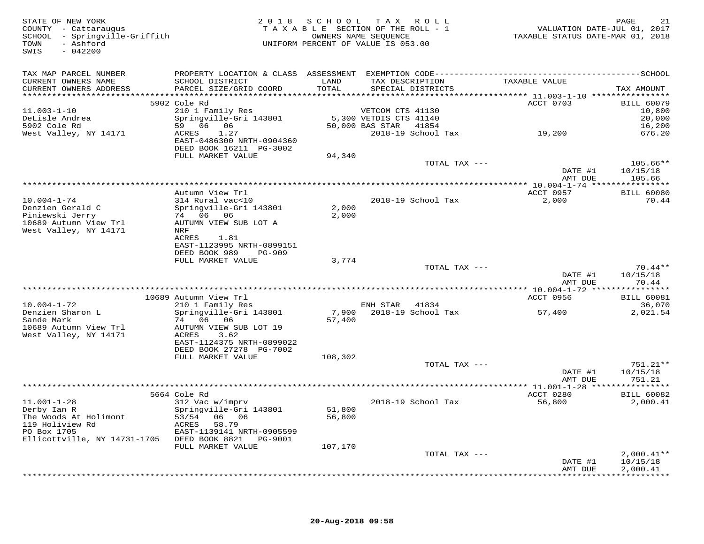| STATE OF NEW YORK<br>COUNTY - Cattaraugus<br>SCHOOL - Springville-Griffith<br>- Ashford<br>TOWN<br>SWIS<br>$-042200$ |                                                                       |               | 2018 SCHOOL TAX ROLL<br>TAXABLE SECTION OF THE ROLL - 1<br>OWNERS NAME SEQUENCE<br>UNIFORM PERCENT OF VALUE IS 053.00 |                           | PAGE<br>21<br>VALUATION DATE-JUL 01, 2017<br>TAXABLE STATUS DATE-MAR 01, 2018 |
|----------------------------------------------------------------------------------------------------------------------|-----------------------------------------------------------------------|---------------|-----------------------------------------------------------------------------------------------------------------------|---------------------------|-------------------------------------------------------------------------------|
| TAX MAP PARCEL NUMBER                                                                                                |                                                                       |               |                                                                                                                       |                           |                                                                               |
| CURRENT OWNERS NAME<br>CURRENT OWNERS ADDRESS                                                                        | SCHOOL DISTRICT<br>PARCEL SIZE/GRID COORD                             | LAND<br>TOTAL | TAX DESCRIPTION<br>SPECIAL DISTRICTS                                                                                  | TAXABLE VALUE             | TAX AMOUNT                                                                    |
|                                                                                                                      | 5902 Cole Rd                                                          |               |                                                                                                                       | ACCT 0703                 | <b>BILL 60079</b>                                                             |
| $11.003 - 1 - 10$                                                                                                    | 210 1 Family Res                                                      |               | VETCOM CTS 41130                                                                                                      |                           | 10,800                                                                        |
| DeLisle Andrea                                                                                                       | Springville-Gri 143801                                                |               | 5,300 VETDIS CTS 41140                                                                                                |                           | 20,000                                                                        |
| 5902 Cole Rd                                                                                                         | 59   06   06                                                          |               | 50,000 BAS STAR 41854                                                                                                 |                           | 16,200                                                                        |
| West Valley, NY 14171                                                                                                | 1.27<br>ACRES<br>EAST-0486300 NRTH-0904360<br>DEED BOOK 16211 PG-3002 |               |                                                                                                                       | 2018-19 School Tax 19,200 | 676.20                                                                        |
|                                                                                                                      | FULL MARKET VALUE                                                     | 94,340        |                                                                                                                       |                           |                                                                               |
|                                                                                                                      |                                                                       |               |                                                                                                                       | TOTAL TAX ---             | $105.66**$<br>DATE #1<br>10/15/18                                             |
|                                                                                                                      |                                                                       |               |                                                                                                                       |                           | AMT DUE<br>105.66                                                             |
|                                                                                                                      | Autumn View Trl                                                       |               |                                                                                                                       | ACCT 0957                 | <b>BILL 60080</b>                                                             |
| $10.004 - 1 - 74$                                                                                                    | 314 Rural vac<10                                                      |               | 2018-19 School Tax                                                                                                    | 2,000                     | 70.44                                                                         |
| Denzien Gerald C                                                                                                     | Springville-Gri 143801                                                | 2,000         |                                                                                                                       |                           |                                                                               |
| Piniewski Jerry                                                                                                      | 74 06 06                                                              | 2,000         |                                                                                                                       |                           |                                                                               |
| 10689 Autumn View Trl                                                                                                | AUTUMN VIEW SUB LOT A                                                 |               |                                                                                                                       |                           |                                                                               |
| West Valley, NY 14171                                                                                                | NRF                                                                   |               |                                                                                                                       |                           |                                                                               |
|                                                                                                                      | ACRES<br>1.81<br>EAST-1123995 NRTH-0899151                            |               |                                                                                                                       |                           |                                                                               |
|                                                                                                                      | DEED BOOK 989<br>PG-909                                               |               |                                                                                                                       |                           |                                                                               |
|                                                                                                                      | FULL MARKET VALUE                                                     | 3,774         |                                                                                                                       |                           |                                                                               |
|                                                                                                                      |                                                                       |               |                                                                                                                       | TOTAL TAX ---             | $70.44**$                                                                     |
|                                                                                                                      |                                                                       |               |                                                                                                                       |                           | DATE #1<br>10/15/18<br>AMT DUE<br>70.44                                       |
|                                                                                                                      |                                                                       |               |                                                                                                                       |                           |                                                                               |
| $10.004 - 1 - 72$                                                                                                    | 10689 Autumn View Trl<br>210 1 Family Res                             |               |                                                                                                                       | ACCT 0956                 | <b>BILL 60081</b><br>36,070                                                   |
| Denzien Sharon L                                                                                                     | Springville-Gri 143801                                                | 7,900         | ENH STAR 41834<br>2018-19 School Tax                                                                                  | 57,400                    | 2,021.54                                                                      |
| Sande Mark                                                                                                           | 74 06 06                                                              | 57,400        |                                                                                                                       |                           |                                                                               |
| 10689 Autumn View Trl                                                                                                | AUTUMN VIEW SUB LOT 19                                                |               |                                                                                                                       |                           |                                                                               |
| West Valley, NY 14171                                                                                                | ACRES<br>3.62                                                         |               |                                                                                                                       |                           |                                                                               |
|                                                                                                                      | EAST-1124375 NRTH-0899022                                             |               |                                                                                                                       |                           |                                                                               |
|                                                                                                                      | DEED BOOK 27278 PG-7002                                               |               |                                                                                                                       |                           |                                                                               |
|                                                                                                                      | FULL MARKET VALUE                                                     | 108,302       |                                                                                                                       | TOTAL TAX ---             | 751.21**                                                                      |
|                                                                                                                      |                                                                       |               |                                                                                                                       |                           | DATE #1<br>10/15/18                                                           |
|                                                                                                                      |                                                                       |               |                                                                                                                       |                           | 751.21<br>AMT DUE                                                             |
|                                                                                                                      |                                                                       |               |                                                                                                                       |                           | *** $11.001 - 1 - 28$ ****************                                        |
|                                                                                                                      | 5664 Cole Rd                                                          |               |                                                                                                                       | ACCT 0280                 | <b>BILL 60082</b>                                                             |
| $11.001 - 1 - 28$                                                                                                    | 312 Vac w/imprv                                                       |               | 2018-19 School Tax                                                                                                    | 56,800                    | 2,000.41                                                                      |
| Derby Ian R                                                                                                          | Springville-Gri 143801                                                | 51,800        |                                                                                                                       |                           |                                                                               |
| The Woods At Holimont<br>119 Holiview Rd                                                                             | 06 06<br>53/54<br>58.79<br>ACRES                                      | 56,800        |                                                                                                                       |                           |                                                                               |
| PO Box 1705                                                                                                          | EAST-1139141 NRTH-0905599                                             |               |                                                                                                                       |                           |                                                                               |
| Ellicottville, NY 14731-1705 DEED BOOK 8821 PG-9001                                                                  |                                                                       |               |                                                                                                                       |                           |                                                                               |
|                                                                                                                      | FULL MARKET VALUE                                                     | 107,170       |                                                                                                                       |                           |                                                                               |
|                                                                                                                      |                                                                       |               |                                                                                                                       | TOTAL TAX ---             | $2,000.41**$                                                                  |
|                                                                                                                      |                                                                       |               |                                                                                                                       |                           | DATE #1<br>10/15/18                                                           |
|                                                                                                                      |                                                                       |               |                                                                                                                       |                           | 2,000.41<br>AMT DUE<br>************                                           |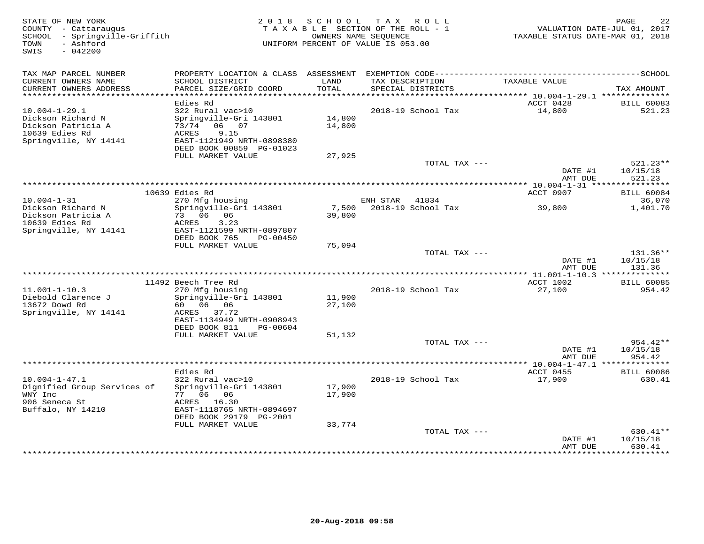| STATE OF NEW YORK<br>COUNTY - Cattaraugus<br>SCHOOL - Springville-Griffith<br>- Ashford<br>TOWN<br>$-042200$<br>SWIS | 2 0 1 8                                                                                | S C H O O L      | T A X<br>ROLL<br>TAXABLE SECTION OF THE ROLL - 1<br>OWNERS NAME SEQUENCE<br>UNIFORM PERCENT OF VALUE IS 053.00 | TAXABLE STATUS DATE-MAR 01, 2018 | PAGE<br>22<br>VALUATION DATE-JUL 01, 2017 |
|----------------------------------------------------------------------------------------------------------------------|----------------------------------------------------------------------------------------|------------------|----------------------------------------------------------------------------------------------------------------|----------------------------------|-------------------------------------------|
| TAX MAP PARCEL NUMBER                                                                                                |                                                                                        |                  |                                                                                                                |                                  |                                           |
| CURRENT OWNERS NAME<br>CURRENT OWNERS ADDRESS<br>**************************                                          | SCHOOL DISTRICT<br>PARCEL SIZE/GRID COORD                                              | LAND<br>TOTAL    | TAX DESCRIPTION<br>SPECIAL DISTRICTS                                                                           | TAXABLE VALUE                    | TAX AMOUNT                                |
|                                                                                                                      | Edies Rd                                                                               |                  |                                                                                                                | ACCT 0428                        | <b>BILL 60083</b>                         |
| $10.004 - 1 - 29.1$                                                                                                  | 322 Rural vac>10                                                                       |                  | 2018-19 School Tax                                                                                             | 14,800                           | 521.23                                    |
| Dickson Richard N<br>Dickson Patricia A<br>10639 Edies Rd<br>Springville, NY 14141                                   | Springville-Gri 143801<br>73/74<br>06 07<br>ACRES<br>9.15<br>EAST-1121949 NRTH-0898380 | 14,800<br>14,800 |                                                                                                                |                                  |                                           |
|                                                                                                                      | DEED BOOK 00859 PG-01023<br>FULL MARKET VALUE                                          | 27,925           |                                                                                                                |                                  |                                           |
|                                                                                                                      |                                                                                        |                  | TOTAL TAX ---                                                                                                  |                                  | $521.23**$                                |
|                                                                                                                      |                                                                                        |                  |                                                                                                                | DATE #1<br>AMT DUE               | 10/15/18<br>521.23                        |
|                                                                                                                      |                                                                                        |                  |                                                                                                                |                                  |                                           |
|                                                                                                                      | 10639 Edies Rd                                                                         |                  |                                                                                                                | ACCT 0907                        | <b>BILL 60084</b>                         |
| $10.004 - 1 - 31$<br>Dickson Richard N                                                                               | 270 Mfg housing<br>Springville-Gri 143801                                              | 7,500            | ENH STAR<br>41834<br>2018-19 School Tax                                                                        | 39,800                           | 36,070<br>1,401.70                        |
| Dickson Patricia A<br>10639 Edies Rd<br>Springville, NY 14141                                                        | 73 06 06<br>3.23<br>ACRES<br>EAST-1121599 NRTH-0897807<br>DEED BOOK 765<br>PG-00450    | 39,800           |                                                                                                                |                                  |                                           |
|                                                                                                                      | FULL MARKET VALUE                                                                      | 75,094           |                                                                                                                |                                  |                                           |
|                                                                                                                      |                                                                                        |                  | TOTAL TAX ---                                                                                                  | DATE #1<br>AMT DUE               | 131.36**<br>10/15/18<br>131.36            |
|                                                                                                                      |                                                                                        |                  |                                                                                                                | ** 11.001-1-10.3 **************  |                                           |
|                                                                                                                      | 11492 Beech Tree Rd                                                                    |                  |                                                                                                                | ACCT 1002                        | <b>BILL 60085</b>                         |
| $11.001 - 1 - 10.3$                                                                                                  | 270 Mfg housing                                                                        |                  | 2018-19 School Tax                                                                                             | 27,100                           | 954.42                                    |
| Diebold Clarence J<br>13672 Dowd Rd<br>Springville, NY 14141                                                         | Springville-Gri 143801<br>60  06  06<br>ACRES<br>37.72                                 | 11,900<br>27,100 |                                                                                                                |                                  |                                           |
|                                                                                                                      | EAST-1134949 NRTH-0908943<br>DEED BOOK 811<br>PG-00604                                 |                  |                                                                                                                |                                  |                                           |
|                                                                                                                      | FULL MARKET VALUE                                                                      | 51,132           |                                                                                                                |                                  |                                           |
|                                                                                                                      |                                                                                        |                  | TOTAL TAX ---                                                                                                  | DATE #1<br>AMT DUE               | 954.42**<br>10/15/18<br>954.42            |
|                                                                                                                      |                                                                                        |                  |                                                                                                                |                                  |                                           |
|                                                                                                                      | Edies Rd                                                                               |                  |                                                                                                                | ACCT 0455                        | <b>BILL 60086</b>                         |
| $10.004 - 1 - 47.1$<br>Dignified Group Services of<br>WNY Inc                                                        | 322 Rural vac>10<br>Springville-Gri 143801<br>77 06 06                                 | 17,900<br>17,900 | 2018-19 School Tax                                                                                             | 17,900                           | 630.41                                    |
| 906 Seneca St<br>Buffalo, NY 14210                                                                                   | ACRES 16.30<br>EAST-1118765 NRTH-0894697                                               |                  |                                                                                                                |                                  |                                           |
|                                                                                                                      | DEED BOOK 29179 PG-2001                                                                |                  |                                                                                                                |                                  |                                           |
|                                                                                                                      | FULL MARKET VALUE                                                                      | 33,774           |                                                                                                                |                                  |                                           |
|                                                                                                                      |                                                                                        |                  | TOTAL TAX ---                                                                                                  | DATE #1<br>AMT DUE               | 630.41**<br>10/15/18<br>630.41            |
|                                                                                                                      |                                                                                        |                  |                                                                                                                |                                  | * * * * * * * * *                         |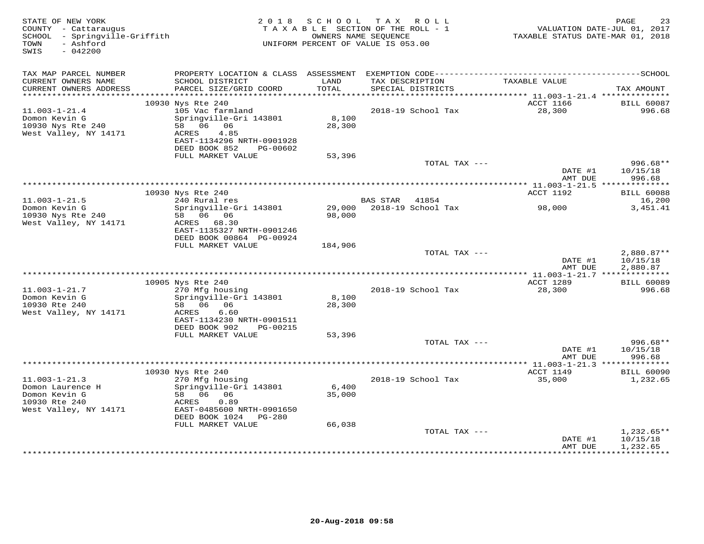| STATE OF NEW YORK<br>COUNTY - Cattaraugus<br>SCHOOL - Springville-Griffith<br>- Ashford<br>TOWN<br>$-042200$<br>SWIS | 2018                                                                                                 |                  | SCHOOL TAX ROLL<br>TAXABLE SECTION OF THE ROLL - 1<br>OWNERS NAME SEQUENCE<br>UNIFORM PERCENT OF VALUE IS 053.00 | TAXABLE STATUS DATE-MAR 01, 2018                             | PAGE<br>23<br>VALUATION DATE-JUL 01, 2017 |
|----------------------------------------------------------------------------------------------------------------------|------------------------------------------------------------------------------------------------------|------------------|------------------------------------------------------------------------------------------------------------------|--------------------------------------------------------------|-------------------------------------------|
| TAX MAP PARCEL NUMBER<br>CURRENT OWNERS NAME                                                                         | SCHOOL DISTRICT                                                                                      | LAND             | TAX DESCRIPTION                                                                                                  | TAXABLE VALUE                                                |                                           |
| CURRENT OWNERS ADDRESS<br>************************                                                                   | PARCEL SIZE/GRID COORD                                                                               | TOTAL            | SPECIAL DISTRICTS                                                                                                |                                                              | TAX AMOUNT                                |
|                                                                                                                      | 10930 Nys Rte 240                                                                                    |                  |                                                                                                                  | ACCT 1166                                                    | <b>BILL 60087</b>                         |
| $11.003 - 1 - 21.4$<br>Domon Kevin G<br>10930 Nys Rte 240<br>West Valley, NY 14171                                   | 105 Vac farmland<br>Springville-Gri 143801<br>58 06 06<br>ACRES<br>4.85<br>EAST-1134296 NRTH-0901928 | 8,100<br>28,300  | 2018-19 School Tax                                                                                               | 28,300                                                       | 996.68                                    |
|                                                                                                                      | DEED BOOK 852<br>PG-00602<br>FULL MARKET VALUE                                                       | 53,396           |                                                                                                                  |                                                              |                                           |
|                                                                                                                      |                                                                                                      |                  | TOTAL TAX ---                                                                                                    | DATE #1                                                      | $996.68**$<br>10/15/18                    |
|                                                                                                                      |                                                                                                      |                  |                                                                                                                  | AMT DUE                                                      | 996.68                                    |
|                                                                                                                      | 10930 Nys Rte 240                                                                                    |                  | **************************************                                                                           | ****************** 11.003-1-21.5 **************<br>ACCT 1192 | <b>BILL 60088</b>                         |
| $11.003 - 1 - 21.5$                                                                                                  | 240 Rural res                                                                                        |                  | BAS STAR<br>41854                                                                                                |                                                              | 16,200                                    |
| Domon Kevin G<br>10930 Nys Rte 240<br>West Valley, NY 14171                                                          | Springville-Gri 143801<br>58 06 06<br>ACRES 68.30<br>EAST-1135327 NRTH-0901246                       | 29,000<br>98,000 | 2018-19 School Tax                                                                                               | 98,000                                                       | 3,451.41                                  |
|                                                                                                                      | DEED BOOK 00864 PG-00924                                                                             |                  |                                                                                                                  |                                                              |                                           |
|                                                                                                                      | FULL MARKET VALUE                                                                                    | 184,906          | TOTAL TAX ---                                                                                                    | DATE #1<br>AMT DUE                                           | 2,880.87**<br>10/15/18<br>2,880.87        |
|                                                                                                                      |                                                                                                      |                  |                                                                                                                  |                                                              |                                           |
| $11.003 - 1 - 21.7$<br>Domon Kevin G                                                                                 | 10905 Nys Rte 240<br>270 Mfg housing<br>Springville-Gri 143801                                       | 8,100            | 2018-19 School Tax                                                                                               | ACCT 1289<br>28,300                                          | <b>BILL 60089</b><br>996.68               |
| 10930 Rte 240<br>West Valley, NY 14171                                                                               | 58 06 06<br>ACRES<br>6.60<br>EAST-1134230 NRTH-0901511<br>DEED BOOK 902<br>PG-00215                  | 28,300           |                                                                                                                  |                                                              |                                           |
|                                                                                                                      | FULL MARKET VALUE                                                                                    | 53,396           |                                                                                                                  |                                                              |                                           |
|                                                                                                                      |                                                                                                      |                  | TOTAL TAX ---                                                                                                    | DATE #1<br>AMT DUE                                           | $996.68**$<br>10/15/18<br>996.68          |
|                                                                                                                      |                                                                                                      |                  |                                                                                                                  |                                                              |                                           |
|                                                                                                                      | 10930 Nys Rte 240                                                                                    |                  |                                                                                                                  | ACCT 1149                                                    | <b>BILL 60090</b>                         |
| $11.003 - 1 - 21.3$<br>Domon Laurence H<br>Domon Kevin G<br>10930 Rte 240<br>West Valley, NY 14171                   | 270 Mfg housing<br>Springville-Gri 143801<br>58 06 06<br>0.89<br>ACRES<br>EAST-0485600 NRTH-0901650  | 6,400<br>35,000  | 2018-19 School Tax                                                                                               | 35,000                                                       | 1,232.65                                  |
|                                                                                                                      | DEED BOOK 1024 PG-280                                                                                |                  |                                                                                                                  |                                                              |                                           |
|                                                                                                                      | FULL MARKET VALUE                                                                                    | 66,038           |                                                                                                                  |                                                              |                                           |
|                                                                                                                      |                                                                                                      |                  | TOTAL TAX ---                                                                                                    | DATE #1<br>AMT DUE                                           | $1,232.65**$<br>10/15/18<br>1,232.65      |
|                                                                                                                      |                                                                                                      |                  |                                                                                                                  |                                                              | <b>+++++++++</b>                          |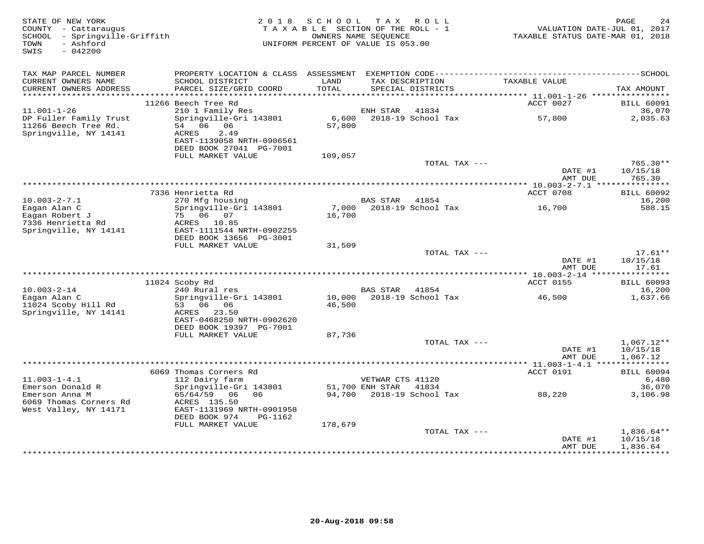| STATE OF NEW YORK<br>COUNTY - Cattaraugus<br>SCHOOL - Springville-Griffith<br>- Ashford<br>TOWN<br>$-042200$<br>SWIS | 2 0 1 8                                                               | SCHOOL<br>TAXABLE SECTION OF THE ROLL - 1<br>OWNERS NAME SEQUENCE<br>UNIFORM PERCENT OF VALUE IS 053.00 |                  | TAX ROLL                             | TAXABLE STATUS DATE-MAR 01, 2018                       | PAGE<br>24<br>VALUATION DATE-JUL 01, 2017 |
|----------------------------------------------------------------------------------------------------------------------|-----------------------------------------------------------------------|---------------------------------------------------------------------------------------------------------|------------------|--------------------------------------|--------------------------------------------------------|-------------------------------------------|
| TAX MAP PARCEL NUMBER                                                                                                | PROPERTY LOCATION & CLASS ASSESSMENT                                  |                                                                                                         |                  |                                      |                                                        |                                           |
| CURRENT OWNERS NAME<br>CURRENT OWNERS ADDRESS                                                                        | SCHOOL DISTRICT<br>PARCEL SIZE/GRID COORD                             | LAND<br>TOTAL                                                                                           |                  | TAX DESCRIPTION<br>SPECIAL DISTRICTS | TAXABLE VALUE                                          | TAX AMOUNT                                |
| ***********************                                                                                              |                                                                       |                                                                                                         |                  |                                      |                                                        |                                           |
| $11.001 - 1 - 26$                                                                                                    | 11266 Beech Tree Rd<br>210 1 Family Res                               |                                                                                                         | ENH STAR         | 41834                                | ACCT 0027                                              | <b>BILL 60091</b><br>36,070               |
| DP Fuller Family Trust<br>11266 Beech Tree Rd.                                                                       | Springville-Gri 143801<br>54 06 06                                    | 6,600<br>57,800                                                                                         |                  | 2018-19 School Tax                   | 57,800                                                 | 2,035.63                                  |
| Springville, NY 14141                                                                                                | ACRES<br>2.49<br>EAST-1139058 NRTH-0906561<br>DEED BOOK 27041 PG-7001 |                                                                                                         |                  |                                      |                                                        |                                           |
|                                                                                                                      | FULL MARKET VALUE                                                     | 109,057                                                                                                 |                  |                                      |                                                        |                                           |
|                                                                                                                      |                                                                       |                                                                                                         |                  | TOTAL TAX ---                        | DATE #1                                                | $765.30**$<br>10/15/18                    |
|                                                                                                                      |                                                                       |                                                                                                         |                  |                                      | AMT DUE<br>************* 10.003-2-7.1 **************** | 765.30                                    |
|                                                                                                                      | 7336 Henrietta Rd                                                     |                                                                                                         |                  |                                      | ACCT 0708                                              | <b>BILL 60092</b>                         |
| $10.003 - 2 - 7.1$                                                                                                   | 270 Mfg housing                                                       |                                                                                                         | <b>BAS STAR</b>  | 41854                                |                                                        | 16,200                                    |
| Eagan Alan C<br>Eagan Robert J                                                                                       | Springville-Gri 143801<br>75 06 07                                    | 7,000<br>16,700                                                                                         |                  | 2018-19 School Tax                   | 16,700                                                 | 588.15                                    |
| 7336 Henrietta Rd<br>Springville, NY 14141                                                                           | ACRES 10.85<br>EAST-1111544 NRTH-0902255<br>DEED BOOK 13656 PG-3001   |                                                                                                         |                  |                                      |                                                        |                                           |
|                                                                                                                      | FULL MARKET VALUE                                                     | 31,509                                                                                                  |                  |                                      |                                                        |                                           |
|                                                                                                                      |                                                                       |                                                                                                         |                  | TOTAL TAX ---                        |                                                        | $17.61**$                                 |
|                                                                                                                      |                                                                       |                                                                                                         |                  |                                      | DATE #1<br>AMT DUE                                     | 10/15/18<br>17.61                         |
|                                                                                                                      | 11024 Scoby Rd                                                        |                                                                                                         |                  |                                      | <b>ACCT 0155</b>                                       | <b>BILL 60093</b>                         |
| $10.003 - 2 - 14$                                                                                                    | 240 Rural res                                                         |                                                                                                         | BAS STAR         | 41854                                |                                                        | 16,200                                    |
| Eagan Alan C                                                                                                         | Springville-Gri 143801                                                |                                                                                                         |                  | 10,000 2018-19 School Tax            | 46,500                                                 | 1,637.66                                  |
| 11024 Scoby Hill Rd<br>Springville, NY 14141                                                                         | 53 06 06<br>ACRES 23.50<br>EAST-0468250 NRTH-0902620                  | 46,500                                                                                                  |                  |                                      |                                                        |                                           |
|                                                                                                                      | DEED BOOK 19397 PG-7001                                               |                                                                                                         |                  |                                      |                                                        |                                           |
|                                                                                                                      | FULL MARKET VALUE                                                     | 87,736                                                                                                  |                  |                                      |                                                        |                                           |
|                                                                                                                      |                                                                       |                                                                                                         |                  | TOTAL TAX ---                        |                                                        | $1,067.12**$                              |
|                                                                                                                      |                                                                       |                                                                                                         |                  |                                      | DATE #1<br>AMT DUE                                     | 10/15/18<br>1,067.12                      |
|                                                                                                                      | 6069 Thomas Corners Rd                                                |                                                                                                         |                  |                                      | ACCT 0191                                              | <b>BILL 60094</b>                         |
| $11.003 - 1 - 4.1$                                                                                                   | 112 Dairy farm                                                        |                                                                                                         | VETWAR CTS 41120 |                                      |                                                        | 6,480                                     |
| Emerson Donald R                                                                                                     | Springville-Gri 143801                                                |                                                                                                         | 51,700 ENH STAR  | 41834                                |                                                        | 36,070                                    |
| Emerson Anna M<br>6069 Thomas Corners Rd<br>West Valley, NY 14171                                                    | 65/64/59 06<br>06<br>ACRES 135.50<br>EAST-1131969 NRTH-0901958        | 94,700                                                                                                  |                  | 2018-19 School Tax                   | 88,220                                                 | 3,106.98                                  |
|                                                                                                                      | DEED BOOK 974<br>PG-1162                                              |                                                                                                         |                  |                                      |                                                        |                                           |
|                                                                                                                      | FULL MARKET VALUE                                                     | 178,679                                                                                                 |                  |                                      |                                                        |                                           |
|                                                                                                                      |                                                                       |                                                                                                         |                  | TOTAL TAX ---                        | DATE #1<br>AMT DUE                                     | $1,836.64**$<br>10/15/18<br>1,836.64      |
|                                                                                                                      |                                                                       |                                                                                                         |                  |                                      | ************                                           | ***********                               |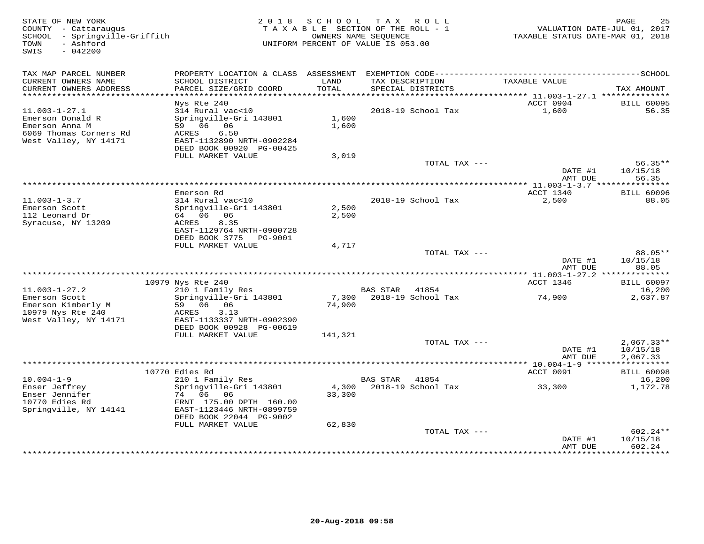| STATE OF NEW YORK<br>COUNTY - Cattaraugus<br>SCHOOL - Springville-Griffith<br>- Ashford<br>TOWN<br>SWIS<br>$-042200$ | 2 0 1 8                                                                                              | SCHOOL          | TAX ROLL<br>TAXABLE SECTION OF THE ROLL - 1<br>OWNERS NAME SEOUENCE<br>UNIFORM PERCENT OF VALUE IS 053.00 | VALUATION DATE-JUL 01, 2017<br>TAXABLE STATUS DATE-MAR 01, 2018 | 25<br>PAGE                       |
|----------------------------------------------------------------------------------------------------------------------|------------------------------------------------------------------------------------------------------|-----------------|-----------------------------------------------------------------------------------------------------------|-----------------------------------------------------------------|----------------------------------|
| TAX MAP PARCEL NUMBER                                                                                                |                                                                                                      |                 |                                                                                                           |                                                                 |                                  |
| CURRENT OWNERS NAME<br>CURRENT OWNERS ADDRESS                                                                        | SCHOOL DISTRICT<br>PARCEL SIZE/GRID COORD                                                            | LAND<br>TOTAL   | TAX DESCRIPTION<br>SPECIAL DISTRICTS                                                                      | TAXABLE VALUE                                                   | TAX AMOUNT                       |
| ***********************                                                                                              | Nys Rte 240                                                                                          |                 |                                                                                                           | ACCT 0904                                                       | <b>BILL 60095</b>                |
| $11.003 - 1 - 27.1$<br>Emerson Donald R<br>Emerson Anna M<br>6069 Thomas Corners Rd                                  | 314 Rural vac<10<br>Springville-Gri 143801<br>59 06 06<br>6.50<br>ACRES                              | 1,600<br>1,600  | 2018-19 School Tax                                                                                        | 1,600                                                           | 56.35                            |
| West Valley, NY 14171                                                                                                | EAST-1132890 NRTH-0902284<br>DEED BOOK 00920 PG-00425                                                |                 |                                                                                                           |                                                                 |                                  |
|                                                                                                                      | FULL MARKET VALUE                                                                                    | 3,019           | TOTAL TAX ---                                                                                             |                                                                 | $56.35**$                        |
|                                                                                                                      |                                                                                                      |                 |                                                                                                           | DATE #1<br>AMT DUE                                              | 10/15/18<br>56.35                |
|                                                                                                                      |                                                                                                      |                 |                                                                                                           | **** 11.003-1-3.7 *******                                       | * * * * * * * *                  |
|                                                                                                                      | Emerson Rd                                                                                           |                 |                                                                                                           | ACCT 1340                                                       | <b>BILL 60096</b>                |
| $11.003 - 1 - 3.7$<br>Emerson Scott<br>112 Leonard Dr<br>Syracuse, NY 13209                                          | 314 Rural vac<10<br>Springville-Gri 143801<br>64 06 06<br>ACRES<br>8.35<br>EAST-1129764 NRTH-0900728 | 2,500<br>2,500  | 2018-19 School Tax                                                                                        | 2,500                                                           | 88.05                            |
|                                                                                                                      | DEED BOOK 3775<br>PG-9001                                                                            |                 |                                                                                                           |                                                                 |                                  |
|                                                                                                                      | FULL MARKET VALUE                                                                                    | 4,717           |                                                                                                           |                                                                 |                                  |
|                                                                                                                      |                                                                                                      |                 | TOTAL TAX ---                                                                                             | DATE #1<br>AMT DUE                                              | 88.05**<br>10/15/18<br>88.05     |
|                                                                                                                      |                                                                                                      |                 |                                                                                                           |                                                                 |                                  |
|                                                                                                                      | 10979 Nys Rte 240                                                                                    |                 |                                                                                                           | ACCT 1346                                                       | <b>BILL 60097</b>                |
| $11.003 - 1 - 27.2$<br>Emerson Scott<br>Emerson Kimberly M                                                           | 210 1 Family Res<br>Springville-Gri 143801<br>59 06<br>06                                            | 7,300<br>74,900 | <b>BAS STAR</b><br>41854<br>2018-19 School Tax                                                            | 74,900                                                          | 16,200<br>2,637.87               |
| 10979 Nys Rte 240<br>West Valley, NY 14171                                                                           | ACRES<br>3.13<br>EAST-1133337 NRTH-0902390                                                           |                 |                                                                                                           |                                                                 |                                  |
|                                                                                                                      | DEED BOOK 00928 PG-00619<br>FULL MARKET VALUE                                                        | 141,321         |                                                                                                           |                                                                 |                                  |
|                                                                                                                      |                                                                                                      |                 | TOTAL TAX ---                                                                                             |                                                                 | $2,067.33**$                     |
|                                                                                                                      |                                                                                                      |                 |                                                                                                           | DATE #1<br>AMT DUE                                              | 10/15/18<br>2,067.33             |
|                                                                                                                      |                                                                                                      |                 |                                                                                                           | *********** 10.004-1-9 ******************                       |                                  |
| $10.004 - 1 - 9$                                                                                                     | 10770 Edies Rd                                                                                       |                 | 41854                                                                                                     | ACCT 0091                                                       | <b>BILL 60098</b>                |
| Enser Jeffrey<br>Enser Jennifer                                                                                      | 210 1 Family Res<br>Springville-Gri 143801<br>74 06 06                                               | 4,300<br>33,300 | BAS STAR<br>2018-19 School Tax                                                                            | 33,300                                                          | 16,200<br>1,172.78               |
| 10770 Edies Rd<br>Springville, NY 14141                                                                              | FRNT 175.00 DPTH 160.00<br>EAST-1123446 NRTH-0899759<br>DEED BOOK 22044 PG-9002                      |                 |                                                                                                           |                                                                 |                                  |
|                                                                                                                      | FULL MARKET VALUE                                                                                    | 62,830          |                                                                                                           |                                                                 |                                  |
|                                                                                                                      |                                                                                                      |                 | TOTAL TAX ---                                                                                             | DATE #1<br>AMT DUE                                              | $602.24**$<br>10/15/18<br>602.24 |
|                                                                                                                      |                                                                                                      |                 |                                                                                                           | **********                                                      | * * * * * * * *                  |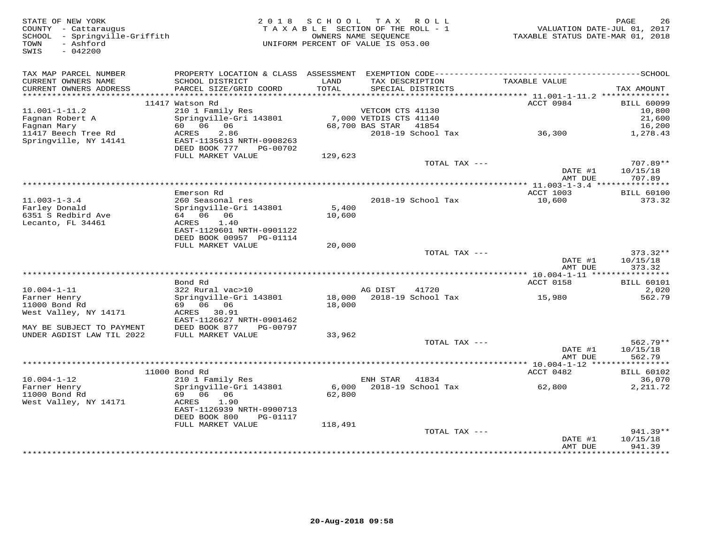| STATE OF NEW YORK<br>COUNTY - Cattaraugus<br>SCHOOL - Springville-Griffith<br>- Ashford<br>TOWN<br>$-042200$<br>SWIS |                                                     |                 | 2018 SCHOOL TAX ROLL<br>TAXABLE SECTION OF THE ROLL - 1<br>OWNERS NAME SEQUENCE<br>UNIFORM PERCENT OF VALUE IS 053.00 | VALUATION DATE-JUL 01, 2017<br>TAXABLE STATUS DATE-MAR 01, 2018 | PAGE<br>26             |
|----------------------------------------------------------------------------------------------------------------------|-----------------------------------------------------|-----------------|-----------------------------------------------------------------------------------------------------------------------|-----------------------------------------------------------------|------------------------|
| TAX MAP PARCEL NUMBER<br>CURRENT OWNERS NAME                                                                         | SCHOOL DISTRICT                                     | LAND            | TAX DESCRIPTION                                                                                                       | TAXABLE VALUE                                                   |                        |
| CURRENT OWNERS ADDRESS                                                                                               | PARCEL SIZE/GRID COORD                              | TOTAL           | SPECIAL DISTRICTS                                                                                                     |                                                                 | TAX AMOUNT             |
| ************************                                                                                             | 11417 Watson Rd                                     |                 |                                                                                                                       | ACCT 0984                                                       | <b>BILL 60099</b>      |
| $11.001 - 1 - 11.2$                                                                                                  | 210 1 Family Res                                    |                 | VETCOM CTS 41130                                                                                                      |                                                                 | 10,800                 |
| Fagnan Robert A                                                                                                      | Springville-Gri 143801                              |                 | 7,000 VETDIS CTS 41140                                                                                                |                                                                 | 21,600                 |
| Fagnan Mary                                                                                                          | 60 06 06                                            |                 | 68,700 BAS STAR 41854                                                                                                 |                                                                 | 16,200                 |
| 11417 Beech Tree Rd                                                                                                  | ACRES<br>2.86                                       |                 | 2018-19 School Tax                                                                                                    | 36,300                                                          | 1,278.43               |
| Springville, NY 14141                                                                                                | EAST-1135613 NRTH-0908263<br>DEED BOOK 777 PG-00702 |                 |                                                                                                                       |                                                                 |                        |
|                                                                                                                      | FULL MARKET VALUE                                   | 129,623         |                                                                                                                       |                                                                 |                        |
|                                                                                                                      |                                                     |                 | TOTAL TAX ---                                                                                                         |                                                                 | 707.89**               |
|                                                                                                                      |                                                     |                 |                                                                                                                       | DATE #1                                                         | 10/15/18               |
|                                                                                                                      |                                                     |                 | **************************************                                                                                | AMT DUE                                                         | 707.89                 |
|                                                                                                                      | Emerson Rd                                          |                 |                                                                                                                       | *************** 11.003-1-3.4 ****************<br>ACCT 1003      | <b>BILL 60100</b>      |
| $11.003 - 1 - 3.4$                                                                                                   | 260 Seasonal res                                    |                 | 2018-19 School Tax                                                                                                    | 10,600                                                          | 373.32                 |
| Farley Donald                                                                                                        | Springville-Gri 143801                              | 5,400           |                                                                                                                       |                                                                 |                        |
| 6351 S Redbird Ave                                                                                                   | 64 06 06                                            | 10,600          |                                                                                                                       |                                                                 |                        |
| Lecanto, FL 34461                                                                                                    | ACRES 1.40<br>EAST-1129601 NRTH-0901122             |                 |                                                                                                                       |                                                                 |                        |
|                                                                                                                      | DEED BOOK 00957 PG-01114                            |                 |                                                                                                                       |                                                                 |                        |
|                                                                                                                      | FULL MARKET VALUE                                   | 20,000          |                                                                                                                       |                                                                 |                        |
|                                                                                                                      |                                                     |                 | TOTAL TAX ---                                                                                                         |                                                                 | $373.32**$             |
|                                                                                                                      |                                                     |                 |                                                                                                                       | DATE #1                                                         | 10/15/18               |
|                                                                                                                      |                                                     |                 |                                                                                                                       | AMT DUE                                                         | 373.32                 |
|                                                                                                                      | Bond Rd                                             |                 |                                                                                                                       | <b>ACCT 0158</b>                                                | <b>BILL 60101</b>      |
| $10.004 - 1 - 11$                                                                                                    | 322 Rural vac>10                                    |                 | AG DIST<br>41720                                                                                                      |                                                                 | 2,020                  |
| Farner Henry                                                                                                         | Springville-Gri 143801                              |                 | 18,000 2018-19 School Tax                                                                                             | 15,980                                                          | 562.79                 |
| 11000 Bond Rd<br>West Valley, NY 14171                                                                               | 69 06 06<br>ACRES 30.91                             | 18,000          |                                                                                                                       |                                                                 |                        |
|                                                                                                                      | EAST-1126627 NRTH-0901462                           |                 |                                                                                                                       |                                                                 |                        |
| MAY BE SUBJECT TO PAYMENT                                                                                            | DEED BOOK 877<br>PG-00797                           |                 |                                                                                                                       |                                                                 |                        |
| UNDER AGDIST LAW TIL 2022                                                                                            | FULL MARKET VALUE                                   | 33,962          |                                                                                                                       |                                                                 |                        |
|                                                                                                                      |                                                     |                 | TOTAL TAX ---                                                                                                         |                                                                 | $562.79**$             |
|                                                                                                                      |                                                     |                 |                                                                                                                       | DATE #1<br>AMT DUE                                              | 10/15/18<br>562.79     |
|                                                                                                                      |                                                     |                 |                                                                                                                       |                                                                 |                        |
|                                                                                                                      | 11000 Bond Rd                                       |                 |                                                                                                                       | ACCT 0482                                                       | <b>BILL 60102</b>      |
| $10.004 - 1 - 12$                                                                                                    | 210 1 Family Res                                    |                 | ENH STAR<br>41834                                                                                                     |                                                                 | 36,070                 |
| Farner Henry<br>11000 Bond Rd                                                                                        | Springville-Gri 143801<br>69 06 06                  | 6,000<br>62,800 | 2018-19 School Tax                                                                                                    | 62,800                                                          | 2, 211.72              |
| West Valley, NY 14171                                                                                                | 1.90<br>ACRES                                       |                 |                                                                                                                       |                                                                 |                        |
|                                                                                                                      | EAST-1126939 NRTH-0900713                           |                 |                                                                                                                       |                                                                 |                        |
|                                                                                                                      | DEED BOOK 800<br>PG-01117                           |                 |                                                                                                                       |                                                                 |                        |
|                                                                                                                      | FULL MARKET VALUE                                   | 118,491         |                                                                                                                       |                                                                 |                        |
|                                                                                                                      |                                                     |                 | TOTAL TAX ---                                                                                                         | DATE #1                                                         | $941.39**$<br>10/15/18 |
|                                                                                                                      |                                                     |                 |                                                                                                                       | AMT DUE                                                         | 941.39                 |
|                                                                                                                      |                                                     |                 |                                                                                                                       |                                                                 | <b>++++++++++</b>      |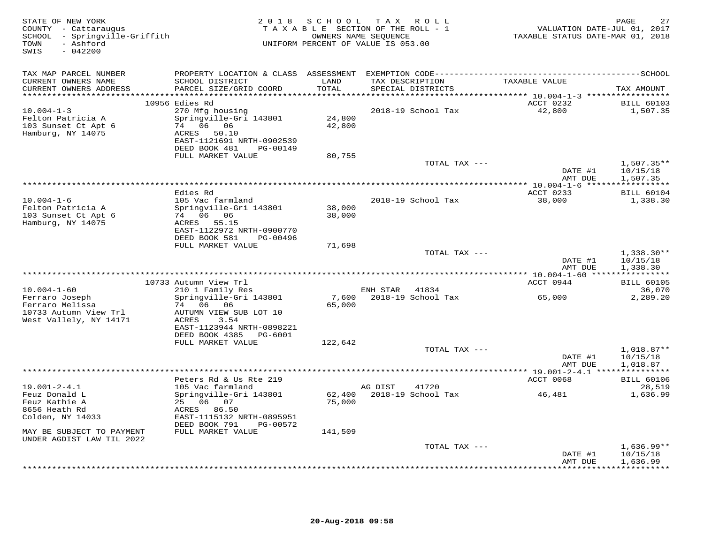| STATE OF NEW YORK<br>COUNTY - Cattaraugus<br>SCHOOL - Springville-Griffith<br>- Ashford<br>TOWN<br>$-042200$<br>SWIS | 2 0 1 8                                                                                                                                    | S C H O O L              | TAX ROLL<br>TAXABLE SECTION OF THE ROLL - 1<br>OWNERS NAME SEQUENCE<br>UNIFORM PERCENT OF VALUE IS 053.00 | VALUATION DATE-JUL 01, 2017<br>TAXABLE STATUS DATE-MAR 01, 2018 | PAGE<br>27                           |
|----------------------------------------------------------------------------------------------------------------------|--------------------------------------------------------------------------------------------------------------------------------------------|--------------------------|-----------------------------------------------------------------------------------------------------------|-----------------------------------------------------------------|--------------------------------------|
| TAX MAP PARCEL NUMBER                                                                                                |                                                                                                                                            |                          |                                                                                                           |                                                                 |                                      |
| CURRENT OWNERS NAME<br>CURRENT OWNERS ADDRESS<br>********************                                                | SCHOOL DISTRICT<br>PARCEL SIZE/GRID COORD                                                                                                  | LAND<br>TOTAL<br>******* | TAX DESCRIPTION<br>SPECIAL DISTRICTS                                                                      | TAXABLE VALUE                                                   | TAX AMOUNT                           |
|                                                                                                                      | 10956 Edies Rd                                                                                                                             |                          |                                                                                                           | ******* 10.004-1-3 ******************<br>ACCT 0232              | <b>BILL 60103</b>                    |
| $10.004 - 1 - 3$<br>Felton Patricia A<br>103 Sunset Ct Apt 6<br>Hamburg, NY 14075                                    | 270 Mfg housing<br>Springville-Gri 143801<br>74 06 06<br>ACRES 50.10<br>EAST-1121691 NRTH-0902539<br>DEED BOOK 481<br>PG-00149             | 24,800<br>42,800         | 2018-19 School Tax                                                                                        | 42,800                                                          | 1,507.35                             |
|                                                                                                                      | FULL MARKET VALUE                                                                                                                          | 80,755                   |                                                                                                           |                                                                 |                                      |
|                                                                                                                      |                                                                                                                                            |                          | TOTAL TAX ---                                                                                             | DATE #1                                                         | $1,507.35**$<br>10/15/18             |
|                                                                                                                      |                                                                                                                                            |                          |                                                                                                           | AMT DUE                                                         | 1,507.35                             |
|                                                                                                                      | Edies Rd                                                                                                                                   |                          |                                                                                                           | ACCT 0233                                                       | <b>BILL 60104</b>                    |
| $10.004 - 1 - 6$<br>Felton Patricia A<br>103 Sunset Ct Apt 6<br>Hamburg, NY 14075                                    | 105 Vac farmland<br>Springville-Gri 143801<br>74 06 06<br>ACRES 55.15<br>EAST-1122972 NRTH-0900770<br>DEED BOOK 581<br>PG-00496            | 38,000<br>38,000         | 2018-19 School Tax                                                                                        | 38,000                                                          | 1,338.30                             |
|                                                                                                                      | FULL MARKET VALUE                                                                                                                          | 71,698                   |                                                                                                           |                                                                 |                                      |
|                                                                                                                      |                                                                                                                                            |                          | TOTAL TAX ---                                                                                             | DATE #1<br>AMT DUE                                              | $1,338.30**$<br>10/15/18<br>1,338.30 |
|                                                                                                                      |                                                                                                                                            |                          | **************************************                                                                    | ************ 10.004-1-60 *****************                      |                                      |
| $10.004 - 1 - 60$                                                                                                    | 10733 Autumn View Trl<br>210 1 Family Res                                                                                                  |                          | 41834<br>ENH STAR                                                                                         | ACCT 0944                                                       | <b>BILL 60105</b><br>36,070          |
| Ferraro Joseph<br>Ferraro Melissa<br>10733 Autumn View Trl<br>West Vallely, NY 14171                                 | Springville-Gri 143801<br>74 06<br>06<br>AUTUMN VIEW SUB LOT 10<br>3.54<br>ACRES<br>EAST-1123944 NRTH-0898221<br>DEED BOOK 4385<br>PG-6001 | 7,600<br>65,000          | 2018-19 School Tax                                                                                        | 65,000                                                          | 2,289.20                             |
|                                                                                                                      | FULL MARKET VALUE                                                                                                                          | 122,642                  |                                                                                                           |                                                                 |                                      |
|                                                                                                                      |                                                                                                                                            |                          | TOTAL TAX ---                                                                                             | DATE #1<br>AMT DUE                                              | $1,018.87**$<br>10/15/18<br>1,018.87 |
|                                                                                                                      |                                                                                                                                            |                          |                                                                                                           |                                                                 |                                      |
| $19.001 - 2 - 4.1$                                                                                                   | Peters Rd & Us Rte 219<br>105 Vac farmland                                                                                                 |                          | 41720<br>AG DIST                                                                                          | ACCT 0068                                                       | <b>BILL 60106</b><br>28,519          |
| Feuz Donald L<br>Feuz Kathie A<br>8656 Heath Rd<br>Colden, NY 14033                                                  | Springville-Gri 143801<br>25 06 07<br>ACRES 86.50<br>EAST-1115132 NRTH-0895951<br>DEED BOOK 791<br>PG-00572                                | 62,400<br>75,000         | 2018-19 School Tax                                                                                        | 46,481                                                          | 1,636.99                             |
| MAY BE SUBJECT TO PAYMENT<br>UNDER AGDIST LAW TIL 2022                                                               | FULL MARKET VALUE                                                                                                                          | 141,509                  |                                                                                                           |                                                                 |                                      |
|                                                                                                                      |                                                                                                                                            |                          | TOTAL TAX ---                                                                                             | DATE #1<br>AMT DUE                                              | $1,636.99**$<br>10/15/18<br>1,636.99 |
|                                                                                                                      |                                                                                                                                            |                          |                                                                                                           |                                                                 | <b>+++++++++</b>                     |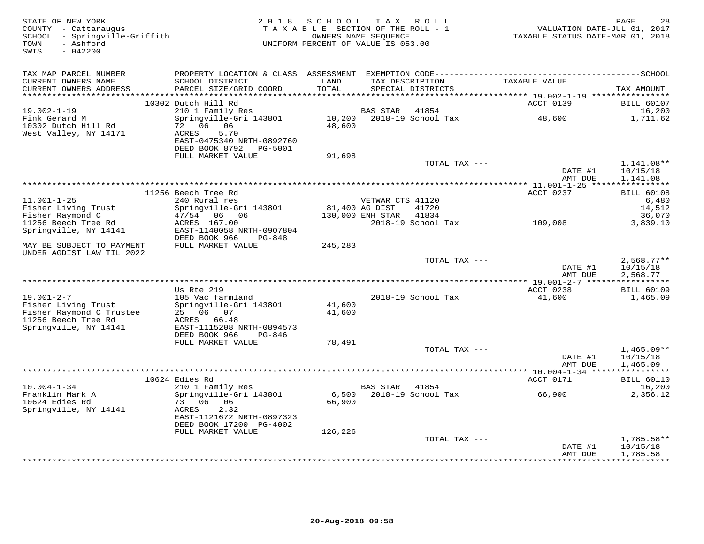| STATE OF NEW YORK<br>COUNTY - Cattaraugus<br>SCHOOL - Springville-Griffith<br>- Ashford<br>TOWN<br>SWIS<br>$-042200$ |                                                                                           | 2018 SCHOOL<br>TAXABLE SECTION OF THE ROLL - 1<br>OWNERS NAME SEQUENCE<br>UNIFORM PERCENT OF VALUE IS 053.00 | TAX ROLL         |                                      | VALUATION DATE-JUL 01, 2017<br>TAXABLE STATUS DATE-MAR 01, 2018 | PAGE<br>28                           |
|----------------------------------------------------------------------------------------------------------------------|-------------------------------------------------------------------------------------------|--------------------------------------------------------------------------------------------------------------|------------------|--------------------------------------|-----------------------------------------------------------------|--------------------------------------|
| TAX MAP PARCEL NUMBER<br>CURRENT OWNERS NAME<br>CURRENT OWNERS ADDRESS<br>************************                   | SCHOOL DISTRICT<br>PARCEL SIZE/GRID COORD                                                 | LAND<br>TOTAL                                                                                                |                  | TAX DESCRIPTION<br>SPECIAL DISTRICTS | TAXABLE VALUE                                                   | TAX AMOUNT                           |
|                                                                                                                      | 10302 Dutch Hill Rd                                                                       |                                                                                                              |                  |                                      | ACCT 0139                                                       | <b>BILL 60107</b>                    |
| $19.002 - 1 - 19$<br>Fink Gerard M<br>10302 Dutch Hill Rd                                                            | 210 1 Family Res<br>Springville-Gri 143801<br>72 06 06                                    | 48,600                                                                                                       | BAS STAR         | 41854<br>10,200 2018-19 School Tax   | 48,600                                                          | 16,200<br>1,711.62                   |
| West Valley, NY 14171                                                                                                | 5.70<br>ACRES<br>EAST-0475340 NRTH-0892760<br>DEED BOOK 8792 PG-5001<br>FULL MARKET VALUE | 91,698                                                                                                       |                  |                                      |                                                                 |                                      |
|                                                                                                                      |                                                                                           |                                                                                                              |                  | TOTAL TAX ---                        | DATE #1<br>AMT DUE                                              | 1,141.08**<br>10/15/18<br>1,141.08   |
|                                                                                                                      |                                                                                           |                                                                                                              |                  |                                      |                                                                 |                                      |
| $11.001 - 1 - 25$                                                                                                    | 11256 Beech Tree Rd<br>240 Rural res                                                      |                                                                                                              | VETWAR CTS 41120 |                                      | ACCT 0237                                                       | <b>BILL 60108</b><br>6,480           |
| Fisher Living Trust<br>Fisher Raymond C                                                                              | Springville-Gri 143801<br>47/54 06 06                                                     | 81,400 AG DIST                                                                                               | 130,000 ENH STAR | 41720<br>41834                       |                                                                 | 14,512<br>36,070                     |
| 11256 Beech Tree Rd<br>Springville, NY 14141                                                                         | ACRES 167.00<br>EAST-1140058 NRTH-0907804<br>DEED BOOK 966<br>PG-848                      |                                                                                                              |                  | 2018-19 School Tax                   | 109,008                                                         | 3,839.10                             |
| MAY BE SUBJECT TO PAYMENT<br>UNDER AGDIST LAW TIL 2022                                                               | FULL MARKET VALUE                                                                         | 245,283                                                                                                      |                  |                                      |                                                                 |                                      |
|                                                                                                                      |                                                                                           |                                                                                                              |                  | TOTAL TAX ---                        | DATE #1<br>AMT DUE                                              | $2,568.77**$<br>10/15/18<br>2,568.77 |
|                                                                                                                      |                                                                                           |                                                                                                              |                  |                                      |                                                                 |                                      |
| $19.001 - 2 - 7$<br>Fisher Living Trust<br>Fisher Raymond C Trustee                                                  | Us Rte 219<br>105 Vac farmland<br>Springville-Gri 143801<br>25 06 07                      | 41,600<br>41,600                                                                                             |                  | 2018-19 School Tax                   | ACCT 0238<br>41,600                                             | <b>BILL 60109</b><br>1,465.09        |
| 11256 Beech Tree Rd<br>Springville, NY 14141                                                                         | ACRES 66.48<br>EAST-1115208 NRTH-0894573<br>DEED BOOK 966<br>PG-846                       |                                                                                                              |                  |                                      |                                                                 |                                      |
|                                                                                                                      | FULL MARKET VALUE                                                                         | 78,491                                                                                                       |                  | TOTAL TAX ---                        | DATE #1<br>AMT DUE                                              | $1,465.09**$<br>10/15/18             |
|                                                                                                                      |                                                                                           |                                                                                                              |                  |                                      | ************ 10.004-1-34 ****                                   | 1,465.09<br>***********              |
| $10.004 - 1 - 34$                                                                                                    | 10624 Edies Rd<br>210 1 Family Res                                                        |                                                                                                              | BAS STAR         | 41854                                | ACCT 0171                                                       | <b>BILL 60110</b><br>16,200          |
| Franklin Mark A<br>10624 Edies Rd<br>Springville, NY 14141                                                           | Springville-Gri 143801<br>73 06 06<br>ACRES<br>2.32<br>EAST-1121672 NRTH-0897323          | 6,500<br>66,900                                                                                              |                  | 2018-19 School Tax                   | 66,900                                                          | 2,356.12                             |
|                                                                                                                      | DEED BOOK 17200 PG-4002                                                                   |                                                                                                              |                  |                                      |                                                                 |                                      |
|                                                                                                                      | FULL MARKET VALUE                                                                         | 126,226                                                                                                      |                  | TOTAL TAX ---                        | DATE #1                                                         | 1,785.58**<br>10/15/18               |
|                                                                                                                      |                                                                                           |                                                                                                              |                  |                                      | AMT DUE<br>****************                                     | 1,785.58<br>************             |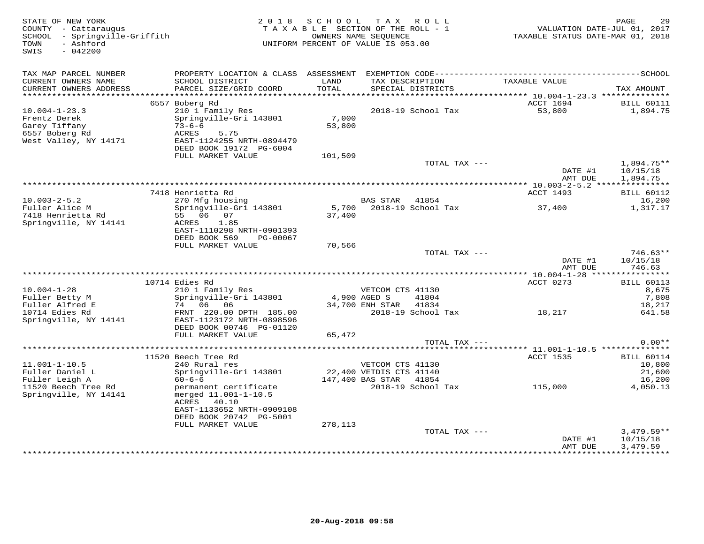| STATE OF NEW YORK<br>COUNTY - Cattaraugus<br>SCHOOL - Springville-Griffith<br>- Ashford<br>TOWN<br>$-042200$<br>SWIS | 2 0 1 8                                                             | SCHOOL<br>TAXABLE SECTION OF THE ROLL - 1<br>UNIFORM PERCENT OF VALUE IS 053.00 | OWNERS NAME SEQUENCE            | TAX ROLL                          | VALUATION DATE-JUL 01, 2017<br>TAXABLE STATUS DATE-MAR 01, 2018 | PAGE<br>29                                    |
|----------------------------------------------------------------------------------------------------------------------|---------------------------------------------------------------------|---------------------------------------------------------------------------------|---------------------------------|-----------------------------------|-----------------------------------------------------------------|-----------------------------------------------|
| TAX MAP PARCEL NUMBER                                                                                                |                                                                     |                                                                                 |                                 |                                   |                                                                 |                                               |
| CURRENT OWNERS NAME<br>CURRENT OWNERS ADDRESS<br>***********************                                             | SCHOOL DISTRICT<br>PARCEL SIZE/GRID COORD                           | LAND<br>TOTAL                                                                   | TAX DESCRIPTION                 | SPECIAL DISTRICTS                 | TAXABLE VALUE                                                   | TAX AMOUNT                                    |
|                                                                                                                      | 6557 Boberg Rd                                                      |                                                                                 |                                 |                                   | ACCT 1694                                                       | <b>BILL 60111</b>                             |
| $10.004 - 1 - 23.3$                                                                                                  | 210 1 Family Res                                                    |                                                                                 |                                 | 2018-19 School Tax                | 53,800                                                          | 1,894.75                                      |
| Frentz Derek<br>Garey Tiffany<br>6557 Boberg Rd                                                                      | Springville-Gri 143801<br>$73 - 6 - 6$<br>ACRES<br>5.75             | 7,000<br>53,800                                                                 |                                 |                                   |                                                                 |                                               |
| West Valley, NY 14171                                                                                                | EAST-1124255 NRTH-0894479<br>DEED BOOK 19172 PG-6004                |                                                                                 |                                 |                                   |                                                                 |                                               |
|                                                                                                                      | FULL MARKET VALUE                                                   | 101,509                                                                         |                                 |                                   |                                                                 |                                               |
|                                                                                                                      |                                                                     |                                                                                 |                                 | TOTAL TAX ---                     | DATE #1<br>AMT DUE                                              | $1,894.75**$<br>10/15/18<br>1,894.75          |
|                                                                                                                      |                                                                     |                                                                                 |                                 |                                   | *************** 10.003-2-5.2 ****************                   |                                               |
|                                                                                                                      | 7418 Henrietta Rd                                                   |                                                                                 |                                 |                                   | ACCT 1493                                                       | <b>BILL 60112</b>                             |
| $10.003 - 2 - 5.2$                                                                                                   | 270 Mfg housing                                                     |                                                                                 | <b>BAS STAR</b>                 | 41854                             |                                                                 | 16,200                                        |
| Fuller Alice M<br>7418 Henrietta Rd                                                                                  | Springville-Gri 143801<br>55 06 07                                  | 5,700<br>37,400                                                                 |                                 | 2018-19 School Tax                | 37,400                                                          | 1,317.17                                      |
| Springville, NY 14141                                                                                                | 1.85<br>ACRES                                                       |                                                                                 |                                 |                                   |                                                                 |                                               |
|                                                                                                                      | EAST-1110298 NRTH-0901393                                           |                                                                                 |                                 |                                   |                                                                 |                                               |
|                                                                                                                      | DEED BOOK 569<br>PG-00067                                           |                                                                                 |                                 |                                   |                                                                 |                                               |
|                                                                                                                      | FULL MARKET VALUE                                                   | 70,566                                                                          |                                 |                                   |                                                                 |                                               |
|                                                                                                                      |                                                                     |                                                                                 |                                 | TOTAL TAX ---                     | DATE #1                                                         | $746.63**$<br>10/15/18                        |
|                                                                                                                      |                                                                     |                                                                                 |                                 |                                   | AMT DUE                                                         | 746.63                                        |
|                                                                                                                      |                                                                     |                                                                                 |                                 |                                   |                                                                 |                                               |
|                                                                                                                      | 10714 Edies Rd                                                      |                                                                                 |                                 |                                   | ACCT 0273                                                       | <b>BILL 60113</b>                             |
| $10.004 - 1 - 28$                                                                                                    | 210 1 Family Res                                                    |                                                                                 | VETCOM CTS 41130                |                                   |                                                                 | 8,675                                         |
| Fuller Betty M<br>Fuller Alfred E                                                                                    | Springville-Gri 143801<br>74 06 06                                  |                                                                                 | 4,900 AGED S<br>34,700 ENH STAR | 41804<br>41834                    |                                                                 | 7,808<br>18,217                               |
| 10714 Edies Rd                                                                                                       | FRNT 220.00 DPTH 185.00                                             |                                                                                 |                                 | 2018-19 School Tax                | 18,217                                                          | 641.58                                        |
| Springville, NY 14141                                                                                                | EAST-1123172 NRTH-0898596                                           |                                                                                 |                                 |                                   |                                                                 |                                               |
|                                                                                                                      | DEED BOOK 00746 PG-01120                                            |                                                                                 |                                 |                                   |                                                                 |                                               |
|                                                                                                                      | FULL MARKET VALUE                                                   | 65,472                                                                          |                                 |                                   |                                                                 | $0.00**$                                      |
|                                                                                                                      |                                                                     |                                                                                 |                                 | TOTAL TAX ---                     |                                                                 |                                               |
|                                                                                                                      | 11520 Beech Tree Rd                                                 |                                                                                 |                                 |                                   | <b>ACCT 1535</b>                                                | <b>BILL 60114</b>                             |
| $11.001 - 1 - 10.5$                                                                                                  | 240 Rural res                                                       |                                                                                 | VETCOM CTS 41130                |                                   |                                                                 | 10,800                                        |
| Fuller Daniel L                                                                                                      | Springville-Gri 143801                                              |                                                                                 | 22,400 VETDIS CTS 41140         |                                   |                                                                 | 21,600                                        |
| Fuller Leigh A<br>11520 Beech Tree Rd                                                                                | $60 - 6 - 6$<br>permanent certificate                               |                                                                                 | 147,400 BAS STAR                | 41854<br>2018-19 School Tax       | 115,000                                                         | 16,200<br>4,050.13                            |
| Springville, NY 14141                                                                                                | merged 11.001-1-10.5<br>ACRES<br>40.10<br>EAST-1133652 NRTH-0909108 |                                                                                 |                                 |                                   |                                                                 |                                               |
|                                                                                                                      | DEED BOOK 20742 PG-5001                                             |                                                                                 |                                 |                                   |                                                                 |                                               |
|                                                                                                                      | FULL MARKET VALUE                                                   | 278,113                                                                         |                                 |                                   |                                                                 |                                               |
|                                                                                                                      |                                                                     |                                                                                 |                                 | TOTAL TAX ---                     |                                                                 | $3,479.59**$                                  |
|                                                                                                                      |                                                                     |                                                                                 |                                 | ********************************* | DATE #1<br>AMT DUE                                              | 10/15/18<br>3,479.59<br>* * * * * * * * * * * |
|                                                                                                                      |                                                                     |                                                                                 |                                 |                                   | * * * * * * * * * * * *                                         |                                               |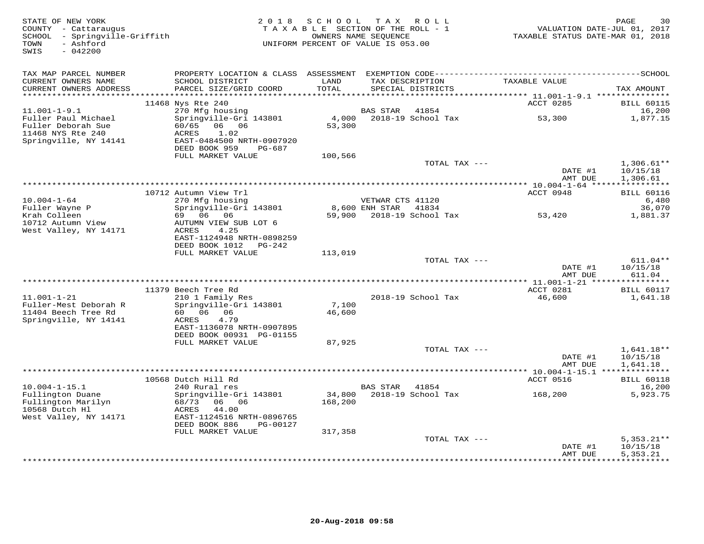| STATE OF NEW YORK<br>COUNTY - Cattaraugus<br>SCHOOL - Springville-Griffith<br>- Ashford<br>TOWN<br>SWIS<br>$-042200$ |                                                                                                                | 2018 SCHOOL       | T A X<br>R O L L<br>TAXABLE SECTION OF THE ROLL - 1<br>OWNERS NAME SEQUENCE<br>UNIFORM PERCENT OF VALUE IS 053.00 | VALUATION DATE-JUL 01, 2017<br>TAXABLE STATUS DATE-MAR 01, 2018 | PAGE<br>30                           |
|----------------------------------------------------------------------------------------------------------------------|----------------------------------------------------------------------------------------------------------------|-------------------|-------------------------------------------------------------------------------------------------------------------|-----------------------------------------------------------------|--------------------------------------|
| TAX MAP PARCEL NUMBER                                                                                                |                                                                                                                |                   |                                                                                                                   |                                                                 |                                      |
| CURRENT OWNERS NAME<br>CURRENT OWNERS ADDRESS                                                                        | SCHOOL DISTRICT<br>PARCEL SIZE/GRID COORD                                                                      | LAND<br>TOTAL     | TAX DESCRIPTION<br>SPECIAL DISTRICTS                                                                              | TAXABLE VALUE                                                   | TAX AMOUNT                           |
|                                                                                                                      | 11468 Nys Rte 240                                                                                              |                   |                                                                                                                   | ACCT 0285                                                       | <b>BILL 60115</b>                    |
| $11.001 - 1 - 9.1$                                                                                                   | 270 Mfg housing                                                                                                |                   | BAS STAR<br>41854                                                                                                 |                                                                 | 16,200                               |
| Fuller Paul Michael<br>Fuller Deborah Sue<br>11468 NYS Rte 240<br>Springville, NY 14141                              | Springville-Gri 143801<br>60/65 06 06<br>ACRES<br>1.02<br>EAST-0484500 NRTH-0907920<br>DEED BOOK 959<br>PG-687 | 4,000<br>53,300   | 2018-19 School Tax                                                                                                | 53,300                                                          | 1,877.15                             |
|                                                                                                                      | FULL MARKET VALUE                                                                                              | 100,566           |                                                                                                                   |                                                                 |                                      |
|                                                                                                                      |                                                                                                                |                   | TOTAL TAX ---                                                                                                     | DATE #1                                                         | $1,306.61**$<br>10/15/18             |
|                                                                                                                      |                                                                                                                |                   |                                                                                                                   | AMT DUE                                                         | 1,306.61                             |
|                                                                                                                      | 10712 Autumn View Trl                                                                                          |                   |                                                                                                                   | ACCT 0948                                                       | <b>BILL 60116</b>                    |
| $10.004 - 1 - 64$                                                                                                    | 270 Mfg housing                                                                                                |                   | VETWAR CTS 41120                                                                                                  |                                                                 | 6,480                                |
| Fuller Wayne P                                                                                                       | Springville-Gri 143801                                                                                         |                   | 8,600 ENH STAR 41834                                                                                              |                                                                 | 36,070                               |
| Krah Colleen<br>10712 Autumn View<br>West Valley, NY 14171                                                           | 69 06 06<br>AUTUMN VIEW SUB LOT 6<br>ACRES<br>4.25<br>EAST-1124948 NRTH-0898259<br>DEED BOOK 1012 PG-242       |                   | 59,900 2018-19 School Tax                                                                                         | 53,420                                                          | 1,881.37                             |
|                                                                                                                      | FULL MARKET VALUE                                                                                              | 113,019           |                                                                                                                   |                                                                 |                                      |
|                                                                                                                      |                                                                                                                |                   | TOTAL TAX ---                                                                                                     | DATE #1                                                         | $611.04**$<br>10/15/18               |
|                                                                                                                      |                                                                                                                |                   |                                                                                                                   | AMT DUE                                                         | 611.04                               |
|                                                                                                                      | 11379 Beech Tree Rd                                                                                            |                   |                                                                                                                   | ACCT 0281                                                       | <b>BILL 60117</b>                    |
| $11.001 - 1 - 21$                                                                                                    | 210 1 Family Res                                                                                               |                   | 2018-19 School Tax                                                                                                | 46,600                                                          | 1,641.18                             |
| Fuller-Mest Deborah R<br>11404 Beech Tree Rd<br>Springville, NY 14141                                                | Springville-Gri 143801<br>60 06 06<br>4.79<br>ACRES<br>EAST-1136078 NRTH-0907895<br>DEED BOOK 00931 PG-01155   | 7,100<br>46,600   |                                                                                                                   |                                                                 |                                      |
|                                                                                                                      | FULL MARKET VALUE                                                                                              | 87,925            |                                                                                                                   |                                                                 |                                      |
|                                                                                                                      |                                                                                                                |                   | TOTAL TAX ---                                                                                                     | DATE #1<br>AMT DUE                                              | $1,641.18**$<br>10/15/18<br>1,641.18 |
|                                                                                                                      |                                                                                                                |                   |                                                                                                                   |                                                                 |                                      |
|                                                                                                                      | 10568 Dutch Hill Rd                                                                                            |                   |                                                                                                                   | ACCT 0516                                                       | <b>BILL 60118</b>                    |
| $10.004 - 1 - 15.1$<br>Fullington Duane<br>Fullington Marilyn                                                        | 240 Rural res<br>Springville-Gri 143801<br>68/73 06 06                                                         | 34,800<br>168,200 | BAS STAR<br>41854<br>2018-19 School Tax                                                                           | 168,200                                                         | 16,200<br>5,923.75                   |
| 10568 Dutch Hl<br>West Valley, NY 14171                                                                              | 44.00<br>ACRES<br>EAST-1124516 NRTH-0896765<br>DEED BOOK 886<br>PG-00127                                       |                   |                                                                                                                   |                                                                 |                                      |
|                                                                                                                      | FULL MARKET VALUE                                                                                              | 317,358           |                                                                                                                   |                                                                 |                                      |
|                                                                                                                      |                                                                                                                |                   | TOTAL TAX ---                                                                                                     | DATE #1                                                         | $5,353.21**$<br>10/15/18             |
|                                                                                                                      |                                                                                                                |                   |                                                                                                                   | AMT DUE                                                         | 5,353.21<br>***********              |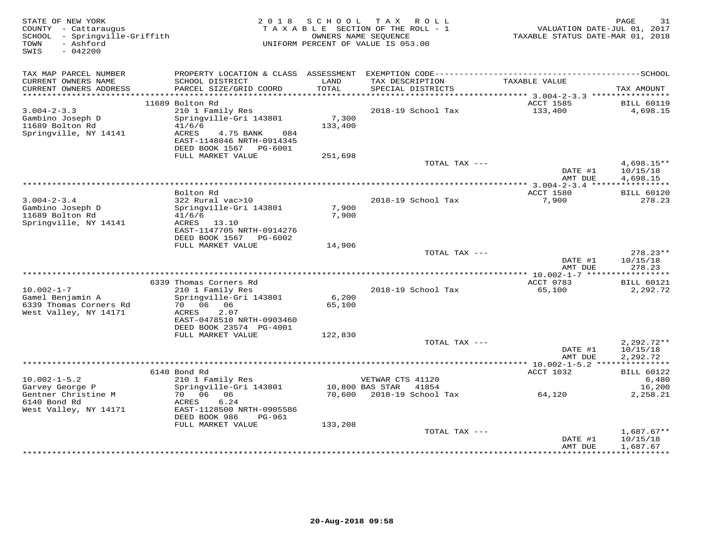| STATE OF NEW YORK<br>COUNTY - Cattaraugus<br>SCHOOL - Springville-Griffith<br>- Ashford<br>TOWN<br>SWIS<br>$-042200$ |                                                                                                                      | 2018 SCHOOL      | TAX ROLL<br>TAXABLE SECTION OF THE ROLL - 1<br>OWNERS NAME SEQUENCE<br>UNIFORM PERCENT OF VALUE IS 053.00 | VALUATION DATE-JUL 01, 2017<br>TAXABLE STATUS DATE-MAR 01, 2018 | PAGE<br>31                           |
|----------------------------------------------------------------------------------------------------------------------|----------------------------------------------------------------------------------------------------------------------|------------------|-----------------------------------------------------------------------------------------------------------|-----------------------------------------------------------------|--------------------------------------|
| TAX MAP PARCEL NUMBER                                                                                                |                                                                                                                      |                  |                                                                                                           |                                                                 |                                      |
| CURRENT OWNERS NAME<br>CURRENT OWNERS ADDRESS                                                                        | SCHOOL DISTRICT<br>PARCEL SIZE/GRID COORD                                                                            | LAND<br>TOTAL    | TAX DESCRIPTION<br>SPECIAL DISTRICTS                                                                      | TAXABLE VALUE                                                   | TAX AMOUNT                           |
| ************************                                                                                             |                                                                                                                      |                  |                                                                                                           |                                                                 |                                      |
| $3.004 - 2 - 3.3$                                                                                                    | 11689 Bolton Rd<br>210 1 Family Res                                                                                  |                  | 2018-19 School Tax                                                                                        | ACCT 1585<br>133,400                                            | <b>BILL 60119</b><br>4,698.15        |
| Gambino Joseph D<br>11689 Bolton Rd<br>Springville, NY 14141                                                         | Springville-Gri 143801<br>41/6/6<br>ACRES<br>4.75 BANK<br>084<br>EAST-1148046 NRTH-0914345<br>DEED BOOK 1567 PG-6001 | 7,300<br>133,400 |                                                                                                           |                                                                 |                                      |
|                                                                                                                      | FULL MARKET VALUE                                                                                                    | 251,698          |                                                                                                           |                                                                 |                                      |
|                                                                                                                      |                                                                                                                      |                  | TOTAL TAX ---                                                                                             | DATE #1<br>AMT DUE                                              | $4,698.15**$<br>10/15/18<br>4,698.15 |
|                                                                                                                      |                                                                                                                      |                  | *********************************                                                                         | ********** 3.004-2-3.4 *****                                    | ***********                          |
| $3.004 - 2 - 3.4$                                                                                                    | Bolton Rd<br>322 Rural vac>10                                                                                        |                  | 2018-19 School Tax                                                                                        | ACCT 1580<br>7,900                                              | <b>BILL 60120</b><br>278.23          |
| Gambino Joseph D<br>11689 Bolton Rd<br>Springville, NY 14141                                                         | Springville-Gri 143801<br>41/6/6<br>ACRES 13.10<br>EAST-1147705 NRTH-0914276<br>DEED BOOK 1567 PG-6002               | 7,900<br>7,900   |                                                                                                           |                                                                 |                                      |
|                                                                                                                      | FULL MARKET VALUE                                                                                                    | 14,906           |                                                                                                           |                                                                 |                                      |
|                                                                                                                      |                                                                                                                      |                  | TOTAL TAX ---                                                                                             | DATE #1<br>AMT DUE                                              | $278.23**$<br>10/15/18<br>278.23     |
|                                                                                                                      |                                                                                                                      |                  |                                                                                                           |                                                                 |                                      |
| $10.002 - 1 - 7$                                                                                                     | 6339 Thomas Corners Rd<br>210 1 Family Res                                                                           |                  | 2018-19 School Tax                                                                                        | ACCT 0783<br>65,100                                             | <b>BILL 60121</b><br>2,292.72        |
| Gamel Benjamin A<br>6339 Thomas Corners Rd<br>West Valley, NY 14171                                                  | Springville-Gri 143801<br>70 06<br>06<br>2.07<br>ACRES                                                               | 6,200<br>65,100  |                                                                                                           |                                                                 |                                      |
|                                                                                                                      | EAST-0478510 NRTH-0903460<br>DEED BOOK 23574 PG-4001                                                                 |                  |                                                                                                           |                                                                 |                                      |
|                                                                                                                      | FULL MARKET VALUE                                                                                                    | 122,830          |                                                                                                           |                                                                 |                                      |
|                                                                                                                      |                                                                                                                      |                  | TOTAL TAX ---                                                                                             | DATE #1<br>AMT DUE                                              | $2,292.72**$<br>10/15/18<br>2,292.72 |
|                                                                                                                      |                                                                                                                      |                  |                                                                                                           |                                                                 |                                      |
|                                                                                                                      | 6140 Bond Rd                                                                                                         |                  |                                                                                                           | ACCT 1032                                                       | <b>BILL 60122</b>                    |
| $10.002 - 1 - 5.2$<br>Garvey George P                                                                                | 210 1 Family Res<br>Springville-Gri 143801                                                                           |                  | VETWAR CTS 41120<br>10,800 BAS STAR<br>41854                                                              |                                                                 | 6,480<br>16,200                      |
| Gentner Christine M<br>6140 Bond Rd                                                                                  | 70 06<br>06<br>ACRES<br>6.24                                                                                         | 70,600           | 2018-19 School Tax                                                                                        | 64,120                                                          | 2,258.21                             |
| West Valley, NY 14171                                                                                                | EAST-1128500 NRTH-0905586<br>DEED BOOK 986<br>PG-961<br>FULL MARKET VALUE                                            |                  |                                                                                                           |                                                                 |                                      |
|                                                                                                                      |                                                                                                                      | 133,208          | TOTAL TAX ---                                                                                             |                                                                 | $1,687.67**$                         |
|                                                                                                                      |                                                                                                                      |                  |                                                                                                           | DATE #1<br>AMT DUE                                              | 10/15/18<br>1,687.67                 |
|                                                                                                                      |                                                                                                                      |                  |                                                                                                           | * * * * * * * * * * * * * * * * * *                             | ***********                          |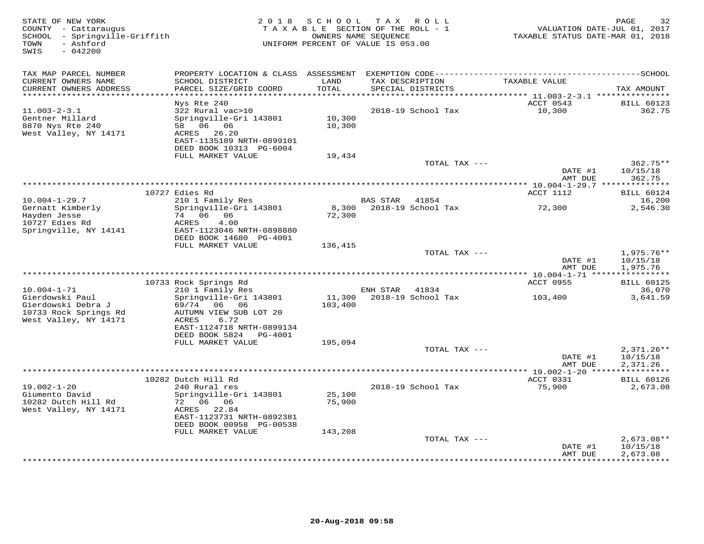| STATE OF NEW YORK<br>COUNTY - Cattaraugus<br>- Springville-Griffith<br>SCHOOL<br>- Ashford<br>TOWN<br>$-042200$<br>SWIS | 2 0 1 8                                                                                                                                                                  | S C H O O L                 | TAX ROLL<br>TAXABLE SECTION OF THE ROLL - 1<br>OWNERS NAME SEQUENCE<br>UNIFORM PERCENT OF VALUE IS 053.00 | VALUATION DATE-JUL 01, 2017<br>TAXABLE STATUS DATE-MAR 01, 2018 | 32<br>PAGE                                        |
|-------------------------------------------------------------------------------------------------------------------------|--------------------------------------------------------------------------------------------------------------------------------------------------------------------------|-----------------------------|-----------------------------------------------------------------------------------------------------------|-----------------------------------------------------------------|---------------------------------------------------|
| TAX MAP PARCEL NUMBER<br>CURRENT OWNERS NAME<br>CURRENT OWNERS ADDRESS<br>***********************                       | SCHOOL DISTRICT<br>PARCEL SIZE/GRID COORD                                                                                                                                | LAND<br>TOTAL               | TAX DESCRIPTION<br>SPECIAL DISTRICTS                                                                      | TAXABLE VALUE                                                   | TAX AMOUNT                                        |
| $11.003 - 2 - 3.1$<br>Gentner Millard<br>8870 Nys Rte 240<br>West Valley, NY 14171                                      | Nys Rte 240<br>322 Rural vac>10<br>Springville-Gri 143801<br>58 06 06<br>ACRES<br>26.20<br>EAST-1135189 NRTH-0899101<br>DEED BOOK 10313 PG-6004                          | 10,300<br>10,300            | 2018-19 School Tax                                                                                        | ACCT 0543<br>10,300                                             | <b>BILL 60123</b><br>362.75                       |
|                                                                                                                         | FULL MARKET VALUE                                                                                                                                                        | 19,434                      | TOTAL TAX ---                                                                                             | DATE #1<br>AMT DUE                                              | $362.75**$<br>10/15/18<br>362.75                  |
|                                                                                                                         | 10727 Edies Rd                                                                                                                                                           |                             |                                                                                                           | ACCT 1112                                                       | <b>BILL 60124</b>                                 |
| $10.004 - 1 - 29.7$<br>Gernatt Kimberly<br>Hayden Jesse<br>10727 Edies Rd<br>Springville, NY 14141                      | 210 1 Family Res<br>Springville-Gri 143801<br>74 06 06<br>ACRES<br>4.00<br>EAST-1123046 NRTH-0898880<br>DEED BOOK 14680 PG-4001                                          | 8,300<br>72,300             | BAS STAR<br>41854<br>2018-19 School Tax                                                                   | 72,300                                                          | 16,200<br>2,546.30                                |
|                                                                                                                         | FULL MARKET VALUE                                                                                                                                                        | 136,415                     | TOTAL TAX ---                                                                                             | DATE #1<br>AMT DUE                                              | $1,975.76**$<br>10/15/18<br>1,975.76              |
|                                                                                                                         | 10733 Rock Springs Rd                                                                                                                                                    |                             |                                                                                                           | *********** 10.004-1-71 *****************<br>ACCT 0955          | <b>BILL 60125</b>                                 |
| $10.004 - 1 - 71$<br>Gierdowski Paul<br>Gierdowski Debra J<br>10733 Rock Springs Rd<br>West Valley, NY 14171            | 210 1 Family Res<br>Springville-Gri 143801<br>06 06<br>69/74<br>AUTUMN VIEW SUB LOT 20<br><b>ACRES</b><br>6.72<br>EAST-1124718 NRTH-0899134<br>DEED BOOK 5824<br>PG-4001 | 11,300<br>103,400           | 41834<br>ENH STAR<br>2018-19 School Tax                                                                   | 103,400                                                         | 36,070<br>3,641.59                                |
|                                                                                                                         | FULL MARKET VALUE                                                                                                                                                        | 195,094                     | TOTAL TAX ---                                                                                             | DATE #1<br>AMT DUE                                              | $2,371.26**$<br>10/15/18                          |
|                                                                                                                         |                                                                                                                                                                          |                             | ************************                                                                                  | ** 19.002-1-20 **                                               | 2,371.26<br>* * * * * * * * * * *                 |
| $19.002 - 1 - 20$<br>Giumento David<br>10282 Dutch Hill Rd<br>West Valley, NY 14171                                     | 10282 Dutch Hill Rd<br>240 Rural res<br>Springville-Gri 143801<br>72 06 06<br>ACRES 22.84<br>EAST-1123731 NRTH-0892381<br>DEED BOOK 00958 PG-00538<br>FULL MARKET VALUE  | 25,100<br>75,900<br>143,208 | 2018-19 School Tax                                                                                        | ACCT 0331<br>75,900                                             | <b>BILL 60126</b><br>2,673.08                     |
|                                                                                                                         |                                                                                                                                                                          |                             | TOTAL TAX ---                                                                                             | DATE #1<br>AMT DUE                                              | $2,673.08**$<br>10/15/18<br>2,673.08<br>********* |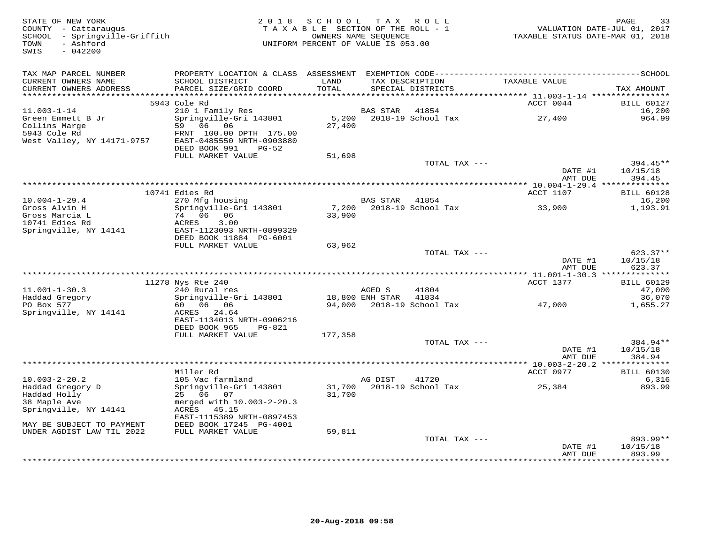| STATE OF NEW YORK<br>COUNTY - Cattaraugus<br>SCHOOL - Springville-Griffith<br>- Ashford<br>TOWN<br>SWIS<br>$-042200$ |                                                                                              | 2018 SCHOOL TAX ROLL<br>TAXABLE SECTION OF THE ROLL - 1<br>UNIFORM PERCENT OF VALUE IS 053.00 | OWNERS NAME SEQUENCE |                                                                                                                        | TAXABLE STATUS DATE-MAR 01, 2018 | PAGE<br>33<br>VALUATION DATE-JUL 01, 2017 |
|----------------------------------------------------------------------------------------------------------------------|----------------------------------------------------------------------------------------------|-----------------------------------------------------------------------------------------------|----------------------|------------------------------------------------------------------------------------------------------------------------|----------------------------------|-------------------------------------------|
| TAX MAP PARCEL NUMBER                                                                                                | PROPERTY LOCATION & CLASS ASSESSMENT EXEMPTION CODE-----------------------------------SCHOOL |                                                                                               |                      |                                                                                                                        |                                  |                                           |
| CURRENT OWNERS NAME<br>CURRENT OWNERS ADDRESS                                                                        | SCHOOL DISTRICT<br>PARCEL SIZE/GRID COORD                                                    | LAND<br>TOTAL                                                                                 |                      | TAX DESCRIPTION<br>SPECIAL DISTRICTS                                                                                   | TAXABLE VALUE                    | TAX AMOUNT                                |
|                                                                                                                      | 5943 Cole Rd                                                                                 |                                                                                               |                      |                                                                                                                        | ACCT 0044                        | <b>BILL 60127</b>                         |
| $11.003 - 1 - 14$                                                                                                    | 210 1 Family Res                                                                             |                                                                                               | BAS STAR             | 41854                                                                                                                  |                                  | 16,200                                    |
| Green Emmett B Jr                                                                                                    | Springville-Gri 143801                                                                       |                                                                                               |                      | 5,200 2018-19 School Tax                                                                                               | 27,400                           | 964.99                                    |
| Collins Marge<br>5943 Cole Rd                                                                                        | 59 06 06                                                                                     | 27,400                                                                                        |                      |                                                                                                                        |                                  |                                           |
| West Valley, NY 14171-9757                                                                                           | FRNT 100.00 DPTH 175.00<br>EAST-0485550 NRTH-0903880                                         |                                                                                               |                      |                                                                                                                        |                                  |                                           |
|                                                                                                                      | DEED BOOK 991<br>PG-52                                                                       |                                                                                               |                      |                                                                                                                        |                                  |                                           |
|                                                                                                                      | FULL MARKET VALUE                                                                            | 51,698                                                                                        |                      |                                                                                                                        |                                  |                                           |
|                                                                                                                      |                                                                                              |                                                                                               |                      | TOTAL TAX ---                                                                                                          |                                  | 394.45**                                  |
|                                                                                                                      |                                                                                              |                                                                                               |                      |                                                                                                                        | DATE #1<br>AMT DUE               | 10/15/18<br>394.45                        |
|                                                                                                                      |                                                                                              |                                                                                               |                      |                                                                                                                        |                                  |                                           |
|                                                                                                                      | 10741 Edies Rd                                                                               |                                                                                               |                      |                                                                                                                        | ACCT 1107                        | <b>BILL 60128</b>                         |
| $10.004 - 1 - 29.4$                                                                                                  | 270 Mfg housing                                                                              |                                                                                               | BAS STAR 41854       |                                                                                                                        |                                  | 16,200                                    |
| Gross Alvin H                                                                                                        | Springville-Gri 143801                                                                       | 7,200                                                                                         |                      | 2018-19 School Tax                                                                                                     | 33,900                           | 1,193.91                                  |
| Gross Marcia L<br>10741 Edies Rd                                                                                     | 74 06 06<br>ACRES<br>3.00                                                                    | 33,900                                                                                        |                      |                                                                                                                        |                                  |                                           |
| Springville, NY 14141                                                                                                | EAST-1123093 NRTH-0899329                                                                    |                                                                                               |                      |                                                                                                                        |                                  |                                           |
|                                                                                                                      | DEED BOOK 11884 PG-6001                                                                      |                                                                                               |                      |                                                                                                                        |                                  |                                           |
|                                                                                                                      | FULL MARKET VALUE                                                                            | 63,962                                                                                        |                      |                                                                                                                        |                                  |                                           |
|                                                                                                                      |                                                                                              |                                                                                               |                      | TOTAL TAX ---                                                                                                          |                                  | 623.37**                                  |
|                                                                                                                      |                                                                                              |                                                                                               |                      |                                                                                                                        | DATE #1<br>AMT DUE               | 10/15/18<br>623.37                        |
|                                                                                                                      |                                                                                              |                                                                                               |                      |                                                                                                                        |                                  |                                           |
|                                                                                                                      | 11278 Nys Rte 240                                                                            |                                                                                               |                      |                                                                                                                        | ACCT 1377                        | <b>BILL 60129</b>                         |
| $11.001 - 1 - 30.3$                                                                                                  | 240 Rural res                                                                                |                                                                                               | AGED S               | 41804                                                                                                                  |                                  | 47,000                                    |
| Haddad Gregory                                                                                                       | Springville-Gri 143801                                                                       |                                                                                               | 18,800 ENH STAR      | 41834                                                                                                                  |                                  | 36,070                                    |
| PO Box 577<br>Springville, NY 14141                                                                                  | 60 06 06<br>ACRES 24.64                                                                      |                                                                                               |                      | 94,000 2018-19 School Tax                                                                                              | 47,000                           | 1,655.27                                  |
|                                                                                                                      | EAST-1134013 NRTH-0906216                                                                    |                                                                                               |                      |                                                                                                                        |                                  |                                           |
|                                                                                                                      | DEED BOOK 965<br>PG-821                                                                      |                                                                                               |                      |                                                                                                                        |                                  |                                           |
|                                                                                                                      | FULL MARKET VALUE                                                                            | 177,358                                                                                       |                      |                                                                                                                        |                                  |                                           |
|                                                                                                                      |                                                                                              |                                                                                               |                      | TOTAL TAX ---                                                                                                          |                                  | 384.94**                                  |
|                                                                                                                      |                                                                                              |                                                                                               |                      |                                                                                                                        | DATE #1<br>AMT DUE               | 10/15/18<br>384.94                        |
|                                                                                                                      |                                                                                              |                                                                                               |                      |                                                                                                                        |                                  |                                           |
|                                                                                                                      | Miller Rd                                                                                    |                                                                                               |                      |                                                                                                                        | ACCT 0977                        | <b>BILL 60130</b>                         |
| $10.003 - 2 - 20.2$                                                                                                  | 105 Vac farmland                                                                             |                                                                                               | AG DIST              | 41720                                                                                                                  |                                  | 6,316                                     |
| Haddad Gregory D                                                                                                     | Springville-Gri 143801                                                                       |                                                                                               |                      | 31,700 2018-19 School Tax                                                                                              | 25,384                           | 893.99                                    |
| Haddad Holly<br>38 Maple Ave                                                                                         | 25 06 07<br>merged with 10.003-2-20.3                                                        | 31,700                                                                                        |                      |                                                                                                                        |                                  |                                           |
| Springville, NY 14141                                                                                                | ACRES 45.15                                                                                  |                                                                                               |                      |                                                                                                                        |                                  |                                           |
|                                                                                                                      | EAST-1115389 NRTH-0897453                                                                    |                                                                                               |                      |                                                                                                                        |                                  |                                           |
| MAY BE SUBJECT TO PAYMENT                                                                                            | DEED BOOK 17245 PG-4001                                                                      |                                                                                               |                      |                                                                                                                        |                                  |                                           |
| UNDER AGDIST LAW TIL 2022                                                                                            | FULL MARKET VALUE                                                                            | 59,811                                                                                        |                      |                                                                                                                        |                                  |                                           |
|                                                                                                                      |                                                                                              |                                                                                               |                      | TOTAL TAX ---                                                                                                          | DATE #1                          | $893.99**$<br>10/15/18                    |
|                                                                                                                      |                                                                                              |                                                                                               |                      |                                                                                                                        | AMT DUE                          | 893.99                                    |
|                                                                                                                      |                                                                                              |                                                                                               |                      | بلدانة بالدائر بالدائر بالدائر بالدائر بالدائر بالدائر بالدائر بالدائر بالدائر بالدائر بالدائر بالدائر بالدائر بالدائر |                                  | ل بل بل بل بل بل بل بل بل                 |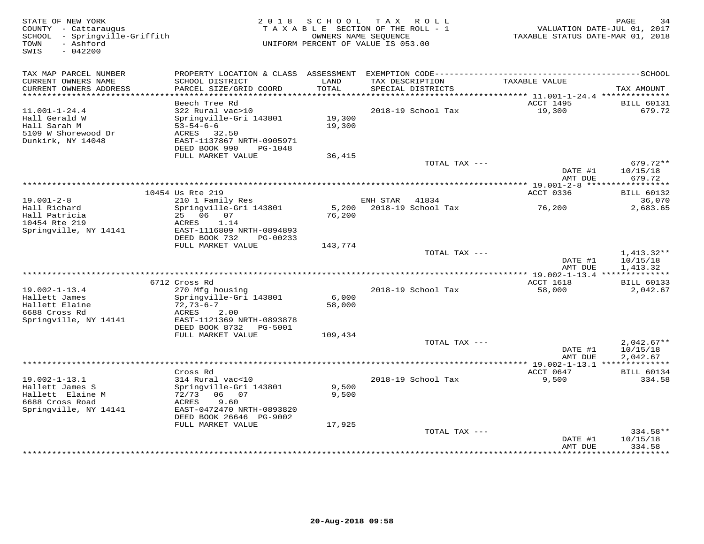| STATE OF NEW YORK<br>COUNTY - Cattaraugus<br>SCHOOL - Springville-Griffith<br>- Ashford<br>TOWN<br>SWIS<br>$-042200$ |                                                | 2018 SCHOOL    | TAX ROLL<br>TAXABLE SECTION OF THE ROLL - 1<br>OWNERS NAME SEQUENCE<br>UNIFORM PERCENT OF VALUE IS 053.00 | TAXABLE STATUS DATE-MAR 01, 2018             | PAGE<br>34<br>VALUATION DATE-JUL 01, 2017 |
|----------------------------------------------------------------------------------------------------------------------|------------------------------------------------|----------------|-----------------------------------------------------------------------------------------------------------|----------------------------------------------|-------------------------------------------|
| TAX MAP PARCEL NUMBER                                                                                                |                                                |                |                                                                                                           |                                              |                                           |
| CURRENT OWNERS NAME<br>CURRENT OWNERS ADDRESS                                                                        | SCHOOL DISTRICT<br>PARCEL SIZE/GRID COORD      | LAND<br>TOTAL  | TAX DESCRIPTION<br>SPECIAL DISTRICTS                                                                      | TAXABLE VALUE                                | TAX AMOUNT                                |
|                                                                                                                      |                                                |                |                                                                                                           |                                              |                                           |
| $11.001 - 1 - 24.4$                                                                                                  | Beech Tree Rd<br>322 Rural vac>10              |                | 2018-19 School Tax                                                                                        | ACCT 1495<br>19,300                          | <b>BILL 60131</b><br>679.72               |
| Hall Gerald W                                                                                                        | Springville-Gri 143801                         | 19,300         |                                                                                                           |                                              |                                           |
| Hall Sarah M                                                                                                         | $53 - 54 - 6 - 6$                              | 19,300         |                                                                                                           |                                              |                                           |
| 5109 W Shorewood Dr                                                                                                  | ACRES 32.50                                    |                |                                                                                                           |                                              |                                           |
| Dunkirk, NY 14048                                                                                                    | EAST-1137867 NRTH-0905971                      |                |                                                                                                           |                                              |                                           |
|                                                                                                                      | DEED BOOK 990<br>PG-1048                       |                |                                                                                                           |                                              |                                           |
|                                                                                                                      | FULL MARKET VALUE                              | 36,415         | TOTAL TAX ---                                                                                             |                                              | 679.72**                                  |
|                                                                                                                      |                                                |                |                                                                                                           | DATE #1                                      | 10/15/18                                  |
|                                                                                                                      |                                                |                |                                                                                                           | AMT DUE                                      | 679.72                                    |
|                                                                                                                      |                                                |                |                                                                                                           |                                              |                                           |
|                                                                                                                      | 10454 Us Rte 219                               |                |                                                                                                           | ACCT 0336                                    | <b>BILL 60132</b>                         |
| $19.001 - 2 - 8$                                                                                                     | 210 1 Family Res                               |                | ENH STAR<br>41834                                                                                         |                                              | 36,070                                    |
| Hall Richard                                                                                                         | Springville-Gri 143801                         | 5,200          | 2018-19 School Tax                                                                                        | 76,200                                       | 2,683.65                                  |
| Hall Patricia<br>10454 Rte 219                                                                                       | 25 06 07<br>ACRES<br>1.14                      | 76,200         |                                                                                                           |                                              |                                           |
| Springville, NY 14141                                                                                                | EAST-1116809 NRTH-0894893                      |                |                                                                                                           |                                              |                                           |
|                                                                                                                      | DEED BOOK 732<br>PG-00233                      |                |                                                                                                           |                                              |                                           |
|                                                                                                                      | FULL MARKET VALUE                              | 143,774        |                                                                                                           |                                              |                                           |
|                                                                                                                      |                                                |                | TOTAL TAX ---                                                                                             |                                              | 1,413.32**                                |
|                                                                                                                      |                                                |                |                                                                                                           | DATE #1                                      | 10/15/18                                  |
|                                                                                                                      |                                                |                |                                                                                                           | AMT DUE<br>*** 19.002-1-13.4 *************** | 1,413.32                                  |
|                                                                                                                      | 6712 Cross Rd                                  |                |                                                                                                           | ACCT 1618                                    | <b>BILL 60133</b>                         |
| $19.002 - 1 - 13.4$                                                                                                  | 270 Mfg housing                                |                | 2018-19 School Tax                                                                                        | 58,000                                       | 2,042.67                                  |
| Hallett James                                                                                                        | Springville-Gri 143801                         | 6,000          |                                                                                                           |                                              |                                           |
| Hallett Elaine                                                                                                       | $72,73-6-7$                                    | 58,000         |                                                                                                           |                                              |                                           |
| 6688 Cross Rd                                                                                                        | ACRES<br>2.00                                  |                |                                                                                                           |                                              |                                           |
| Springville, NY 14141                                                                                                | EAST-1121369 NRTH-0893878                      |                |                                                                                                           |                                              |                                           |
|                                                                                                                      | DEED BOOK 8732<br>PG-5001<br>FULL MARKET VALUE | 109,434        |                                                                                                           |                                              |                                           |
|                                                                                                                      |                                                |                | TOTAL TAX ---                                                                                             |                                              | $2,042.67**$                              |
|                                                                                                                      |                                                |                |                                                                                                           | DATE #1                                      | 10/15/18                                  |
|                                                                                                                      |                                                |                |                                                                                                           | AMT DUE                                      | 2,042.67                                  |
|                                                                                                                      |                                                |                |                                                                                                           |                                              |                                           |
|                                                                                                                      | Cross Rd                                       |                |                                                                                                           | ACCT 0647                                    | <b>BILL 60134</b>                         |
| $19.002 - 1 - 13.1$                                                                                                  | 314 Rural vac<10                               |                | 2018-19 School Tax                                                                                        | 9,500                                        | 334.58                                    |
| Hallett James S<br>Hallett Elaine M                                                                                  | Springville-Gri 143801<br>72/73<br>06 07       | 9,500<br>9,500 |                                                                                                           |                                              |                                           |
| 6688 Cross Road                                                                                                      | 9.60<br>ACRES                                  |                |                                                                                                           |                                              |                                           |
| Springville, NY 14141                                                                                                | EAST-0472470 NRTH-0893820                      |                |                                                                                                           |                                              |                                           |
|                                                                                                                      | DEED BOOK 26646 PG-9002                        |                |                                                                                                           |                                              |                                           |
|                                                                                                                      | FULL MARKET VALUE                              | 17,925         |                                                                                                           |                                              |                                           |
|                                                                                                                      |                                                |                | TOTAL TAX ---                                                                                             |                                              | 334.58**                                  |
|                                                                                                                      |                                                |                |                                                                                                           | DATE #1                                      | 10/15/18                                  |
|                                                                                                                      |                                                |                |                                                                                                           | AMT DUE                                      | 334.58<br><b>++++++++</b>                 |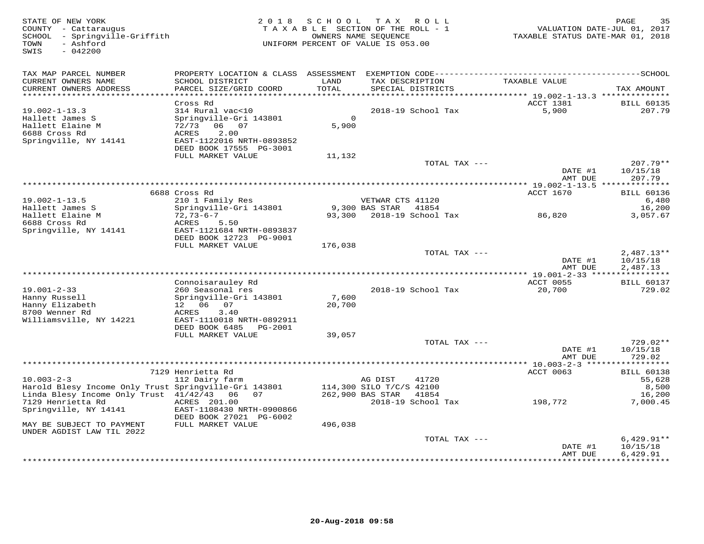| STATE OF NEW YORK<br>COUNTY - Cattaraugus<br>SCHOOL - Springville-Griffith<br>- Ashford<br>TOWN<br>SWIS<br>$-042200$ | 2 0 1 8                                                                                                                                                 | S C H O O L                 | T A X<br>R O L L<br>TAXABLE SECTION OF THE ROLL - 1<br>OWNERS NAME SEQUENCE<br>UNIFORM PERCENT OF VALUE IS 053.00 | VALUATION DATE-JUL 01, 2017<br>TAXABLE STATUS DATE-MAR 01, 2018 | PAGE<br>35                           |
|----------------------------------------------------------------------------------------------------------------------|---------------------------------------------------------------------------------------------------------------------------------------------------------|-----------------------------|-------------------------------------------------------------------------------------------------------------------|-----------------------------------------------------------------|--------------------------------------|
| TAX MAP PARCEL NUMBER<br>CURRENT OWNERS NAME<br>CURRENT OWNERS ADDRESS<br>***********************                    | PROPERTY LOCATION & CLASS ASSESSMENT<br>SCHOOL DISTRICT<br>PARCEL SIZE/GRID COORD<br>*************************                                          | LAND<br>TOTAL               | TAX DESCRIPTION<br>SPECIAL DISTRICTS                                                                              | TAXABLE VALUE                                                   | TAX AMOUNT                           |
|                                                                                                                      | Cross Rd                                                                                                                                                |                             |                                                                                                                   | ACCT 1381                                                       | <b>BILL 60135</b>                    |
| $19.002 - 1 - 13.3$<br>Hallett James S<br>Hallett Elaine M<br>6688 Cross Rd<br>Springville, NY 14141                 | 314 Rural vac<10<br>Springville-Gri 143801<br>72/73 06 07<br>2.00<br>ACRES<br>EAST-1122016 NRTH-0893852<br>DEED BOOK 17555 PG-3001<br>FULL MARKET VALUE | $\Omega$<br>5,900<br>11,132 | 2018-19 School Tax                                                                                                | 5,900                                                           | 207.79                               |
|                                                                                                                      |                                                                                                                                                         |                             | TOTAL TAX ---                                                                                                     |                                                                 | $207.79**$                           |
|                                                                                                                      |                                                                                                                                                         |                             |                                                                                                                   | DATE #1<br>AMT DUE<br>*********** 19.002-1-13.5 *************** | 10/15/18<br>207.79                   |
|                                                                                                                      | 6688 Cross Rd                                                                                                                                           |                             |                                                                                                                   | ACCT 1670                                                       | <b>BILL 60136</b>                    |
| $19.002 - 1 - 13.5$                                                                                                  | 210 1 Family Res                                                                                                                                        |                             | VETWAR CTS 41120                                                                                                  |                                                                 | 6,480                                |
| Hallett James S                                                                                                      | Springville-Gri 143801                                                                                                                                  |                             | 9,300 BAS STAR<br>41854                                                                                           |                                                                 | 16,200                               |
| Hallett Elaine M<br>6688 Cross Rd                                                                                    | $72,73-6-7$<br>ACRES<br>5.50                                                                                                                            |                             | 93,300 2018-19 School Tax                                                                                         | 86,820                                                          | 3,057.67                             |
| Springville, NY 14141                                                                                                | EAST-1121684 NRTH-0893837<br>DEED BOOK 12723 PG-9001                                                                                                    |                             |                                                                                                                   |                                                                 |                                      |
|                                                                                                                      | FULL MARKET VALUE                                                                                                                                       | 176,038                     |                                                                                                                   |                                                                 |                                      |
|                                                                                                                      |                                                                                                                                                         |                             | TOTAL TAX ---                                                                                                     | DATE #1<br>AMT DUE                                              | $2,487.13**$<br>10/15/18<br>2,487.13 |
| ********************                                                                                                 |                                                                                                                                                         |                             |                                                                                                                   |                                                                 |                                      |
|                                                                                                                      | Connoisarauley Rd                                                                                                                                       |                             |                                                                                                                   | ACCT 0055                                                       | <b>BILL 60137</b>                    |
| $19.001 - 2 - 33$<br>Hanny Russell<br>Hanny Elizabeth<br>8700 Wenner Rd                                              | 260 Seasonal res<br>Springville-Gri 143801<br>12  06  07<br>ACRES<br>3.40                                                                               | 7,600<br>20,700             | 2018-19 School Tax                                                                                                | 20,700                                                          | 729.02                               |
| Williamsville, NY 14221                                                                                              | EAST-1110018 NRTH-0892911<br>DEED BOOK 6485 PG-2001                                                                                                     |                             |                                                                                                                   |                                                                 |                                      |
|                                                                                                                      | FULL MARKET VALUE                                                                                                                                       | 39,057                      |                                                                                                                   |                                                                 |                                      |
|                                                                                                                      |                                                                                                                                                         |                             | TOTAL TAX ---                                                                                                     | DATE #1<br>AMT DUE                                              | 729.02**<br>10/15/18<br>729.02       |
|                                                                                                                      |                                                                                                                                                         |                             |                                                                                                                   |                                                                 |                                      |
|                                                                                                                      | 7129 Henrietta Rd                                                                                                                                       |                             |                                                                                                                   | ACCT 0063                                                       | <b>BILL 60138</b>                    |
| $10.003 - 2 - 3$<br>Harold Blesy Income Only Trust Springville-Gri 143801                                            | 112 Dairy farm                                                                                                                                          |                             | AG DIST<br>41720<br>114,300 SILO T/C/S 42100                                                                      |                                                                 | 55,628<br>8,500                      |
| Linda Blesy Income Only Trust 41/42/43 06                                                                            | 07                                                                                                                                                      |                             | 262,900 BAS STAR<br>41854                                                                                         |                                                                 | 16,200                               |
| 7129 Henrietta Rd<br>Springville, NY 14141                                                                           | ACRES 201.00<br>EAST-1108430 NRTH-0900866                                                                                                               |                             | 2018-19 School Tax                                                                                                | 198,772                                                         | 7,000.45                             |
| MAY BE SUBJECT TO PAYMENT                                                                                            | DEED BOOK 27021 PG-6002<br>FULL MARKET VALUE                                                                                                            | 496,038                     |                                                                                                                   |                                                                 |                                      |
| UNDER AGDIST LAW TIL 2022                                                                                            |                                                                                                                                                         |                             | TOTAL TAX ---                                                                                                     |                                                                 | $6,429.91**$                         |
|                                                                                                                      |                                                                                                                                                         |                             |                                                                                                                   | DATE #1                                                         | 10/15/18                             |
|                                                                                                                      |                                                                                                                                                         |                             |                                                                                                                   | AMT DUE                                                         | 6,429.91<br>**********               |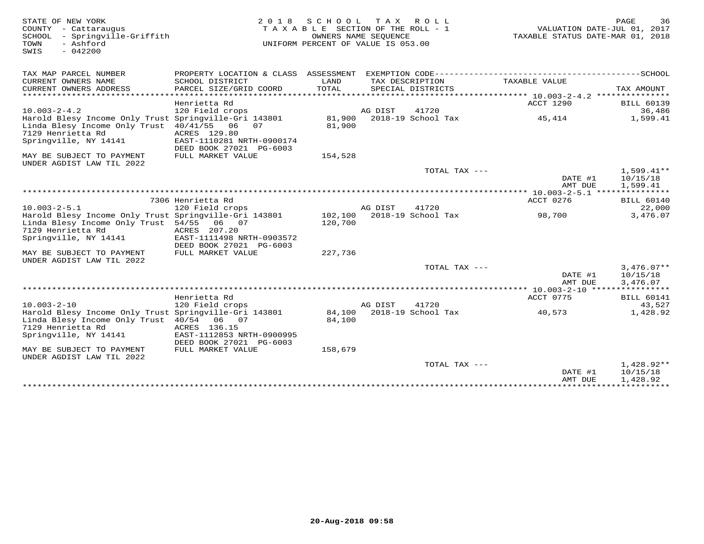| STATE OF NEW YORK<br>COUNTY - Cattaraugus<br>SCHOOL<br>- Springville-Griffith<br>- Ashford<br>TOWN<br>$-042200$<br>SWIS | 2 0 1 8                                   | SCHOOL<br>TAXABLE SECTION OF THE ROLL - 1<br>OWNERS NAME SEQUENCE<br>UNIFORM PERCENT OF VALUE IS 053.00 |         | TAX ROLL           | VALUATION DATE-JUL 01, 2017<br>TAXABLE STATUS DATE-MAR 01, 2018 | PAGE                 | 36       |
|-------------------------------------------------------------------------------------------------------------------------|-------------------------------------------|---------------------------------------------------------------------------------------------------------|---------|--------------------|-----------------------------------------------------------------|----------------------|----------|
| TAX MAP PARCEL NUMBER                                                                                                   |                                           |                                                                                                         |         |                    |                                                                 |                      |          |
| CURRENT OWNERS NAME                                                                                                     | SCHOOL DISTRICT                           | LAND                                                                                                    |         | TAX DESCRIPTION    | TAXABLE VALUE                                                   |                      |          |
| CURRENT OWNERS ADDRESS                                                                                                  | PARCEL SIZE/GRID COORD                    | TOTAL                                                                                                   |         | SPECIAL DISTRICTS  |                                                                 | TAX AMOUNT           |          |
|                                                                                                                         | Henrietta Rd                              |                                                                                                         |         |                    | <b>ACCT 1290</b>                                                | <b>BILL 60139</b>    |          |
| $10.003 - 2 - 4.2$                                                                                                      | 120 Field crops                           |                                                                                                         | AG DIST | 41720              |                                                                 |                      | 36,486   |
| Harold Blesy Income Only Trust Springville-Gri 143801                                                                   |                                           | 81,900                                                                                                  |         | 2018-19 School Tax | 45,414                                                          |                      | 1,599.41 |
| Linda Blesy Income Only Trust 40/41/55 06                                                                               | 07                                        | 81,900                                                                                                  |         |                    |                                                                 |                      |          |
| 7129 Henrietta Rd<br>Springville, NY 14141                                                                              | ACRES 129.80<br>EAST-1110281 NRTH-0900174 |                                                                                                         |         |                    |                                                                 |                      |          |
|                                                                                                                         | DEED BOOK 27021 PG-6003                   |                                                                                                         |         |                    |                                                                 |                      |          |
| MAY BE SUBJECT TO PAYMENT                                                                                               | FULL MARKET VALUE                         | 154,528                                                                                                 |         |                    |                                                                 |                      |          |
| UNDER AGDIST LAW TIL 2022                                                                                               |                                           |                                                                                                         |         |                    |                                                                 |                      |          |
|                                                                                                                         |                                           |                                                                                                         |         | TOTAL TAX $---$    |                                                                 | 1,599.41**           |          |
|                                                                                                                         |                                           |                                                                                                         |         |                    | DATE #1<br>AMT DUE                                              | 10/15/18<br>1,599.41 |          |
|                                                                                                                         |                                           |                                                                                                         |         |                    |                                                                 |                      |          |
|                                                                                                                         | 7306 Henrietta Rd                         |                                                                                                         |         |                    | ACCT 0276                                                       | <b>BILL 60140</b>    |          |
| $10.003 - 2 - 5.1$                                                                                                      | 120 Field crops                           |                                                                                                         | AG DIST | 41720              |                                                                 |                      | 22,000   |
| Harold Blesy Income Only Trust Springville-Gri 143801                                                                   |                                           | 102,100                                                                                                 |         | 2018-19 School Tax | 98,700                                                          |                      | 3,476.07 |
| Linda Blesy Income Only Trust 54/55<br>7129 Henrietta Rd                                                                | 06 07                                     | 120,700                                                                                                 |         |                    |                                                                 |                      |          |
| Springville, NY 14141                                                                                                   | ACRES 207.20<br>EAST-1111498 NRTH-0903572 |                                                                                                         |         |                    |                                                                 |                      |          |
|                                                                                                                         | DEED BOOK 27021 PG-6003                   |                                                                                                         |         |                    |                                                                 |                      |          |
| MAY BE SUBJECT TO PAYMENT                                                                                               | FULL MARKET VALUE                         | 227,736                                                                                                 |         |                    |                                                                 |                      |          |
| UNDER AGDIST LAW TIL 2022                                                                                               |                                           |                                                                                                         |         |                    |                                                                 |                      |          |
|                                                                                                                         |                                           |                                                                                                         |         | TOTAL TAX ---      |                                                                 | $3.476.07**$         |          |
|                                                                                                                         |                                           |                                                                                                         |         |                    | DATE #1<br>AMT DUE                                              | 10/15/18<br>3,476.07 |          |
|                                                                                                                         |                                           |                                                                                                         |         |                    | *********** 10.003-2-10 ****************                        |                      |          |
|                                                                                                                         | Henrietta Rd                              |                                                                                                         |         |                    | ACCT 0775                                                       | <b>BILL 60141</b>    |          |
| $10.003 - 2 - 10$                                                                                                       | 120 Field crops                           |                                                                                                         | AG DIST | 41720              |                                                                 |                      | 43,527   |
| Harold Blesy Income Only Trust Springville-Gri 143801                                                                   |                                           | 84,100                                                                                                  |         | 2018-19 School Tax | 40,573                                                          |                      | 1,428.92 |
| Linda Blesy Income Only Trust 40/54 06 07<br>7129 Henrietta Rd                                                          | ACRES 136.15                              | 84,100                                                                                                  |         |                    |                                                                 |                      |          |
| Springville, NY 14141                                                                                                   | EAST-1112853 NRTH-0900995                 |                                                                                                         |         |                    |                                                                 |                      |          |
|                                                                                                                         | DEED BOOK 27021 PG-6003                   |                                                                                                         |         |                    |                                                                 |                      |          |
| MAY BE SUBJECT TO PAYMENT<br>UNDER AGDIST LAW TIL 2022                                                                  | FULL MARKET VALUE                         | 158,679                                                                                                 |         |                    |                                                                 |                      |          |
|                                                                                                                         |                                           |                                                                                                         |         | TOTAL TAX ---      |                                                                 | $1,428.92**$         |          |
|                                                                                                                         |                                           |                                                                                                         |         |                    | DATE #1                                                         | 10/15/18             |          |
|                                                                                                                         |                                           |                                                                                                         |         |                    | AMT DUE                                                         | 1,428.92             |          |
|                                                                                                                         |                                           |                                                                                                         |         |                    |                                                                 |                      |          |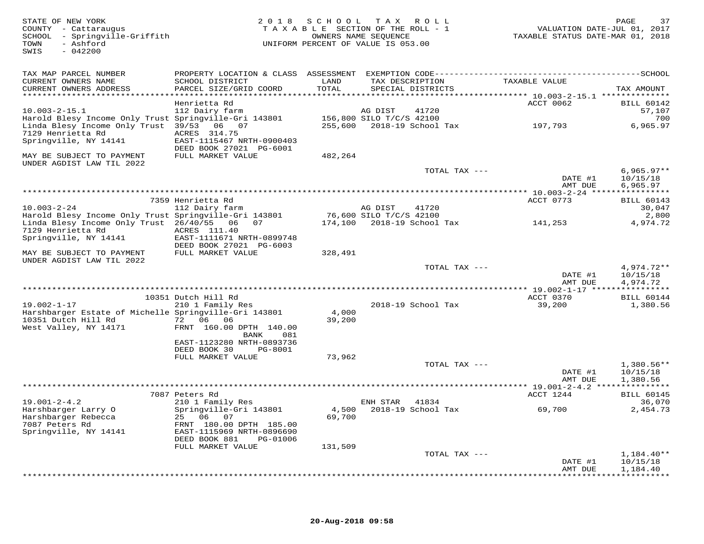| STATE OF NEW YORK<br>COUNTY - Cattaraugus<br>SCHOOL - Springville-Griffith<br>- Ashford<br>TOWN<br>SWIS<br>$-042200$ |                                                        |                 | 2018 SCHOOL TAX ROLL<br>TAXABLE SECTION OF THE ROLL - 1<br>OWNERS NAME SEQUENCE<br>UNIFORM PERCENT OF VALUE IS 053.00 | VALUATION DATE-JUL 01, 2017<br>TAXABLE STATUS DATE-MAR 01, 2018 | PAGE<br>37             |
|----------------------------------------------------------------------------------------------------------------------|--------------------------------------------------------|-----------------|-----------------------------------------------------------------------------------------------------------------------|-----------------------------------------------------------------|------------------------|
| TAX MAP PARCEL NUMBER                                                                                                |                                                        |                 |                                                                                                                       |                                                                 |                        |
| CURRENT OWNERS NAME<br>CURRENT OWNERS ADDRESS                                                                        | SCHOOL DISTRICT<br>PARCEL SIZE/GRID COORD              | LAND<br>TOTAL   | TAX DESCRIPTION<br>SPECIAL DISTRICTS                                                                                  | TAXABLE VALUE                                                   | TAX AMOUNT             |
| ************************                                                                                             | Henrietta Rd                                           |                 |                                                                                                                       | ACCT 0062                                                       | <b>BILL 60142</b>      |
| $10.003 - 2 - 15.1$                                                                                                  | 112 Dairy farm                                         |                 | AG DIST<br>41720                                                                                                      |                                                                 | 57,107                 |
| Harold Blesy Income Only Trust Springville-Gri 143801                                                                |                                                        |                 | 156,800 SILO T/C/S 42100                                                                                              |                                                                 | 700                    |
| Linda Blesy Income Only Trust 39/53 06 07                                                                            |                                                        |                 | 255,600 2018-19 School Tax                                                                                            | 197,793                                                         | 6,965.97               |
| 7129 Henrietta Rd<br>Springville, NY 14141                                                                           | ACRES 314.75<br>EAST-1115467 NRTH-0900403              |                 |                                                                                                                       |                                                                 |                        |
|                                                                                                                      | DEED BOOK 27021 PG-6001                                |                 |                                                                                                                       |                                                                 |                        |
| MAY BE SUBJECT TO PAYMENT<br>UNDER AGDIST LAW TIL 2022                                                               | FULL MARKET VALUE                                      | 482,264         |                                                                                                                       |                                                                 |                        |
|                                                                                                                      |                                                        |                 | TOTAL TAX ---                                                                                                         |                                                                 | $6,965.97**$           |
|                                                                                                                      |                                                        |                 |                                                                                                                       | DATE #1                                                         | 10/15/18               |
|                                                                                                                      |                                                        |                 |                                                                                                                       | AMT DUE<br>***** 10.003-2-24 *****************                  | 6,965.97               |
|                                                                                                                      | 7359 Henrietta Rd                                      |                 |                                                                                                                       | ACCT 0773                                                       | <b>BILL 60143</b>      |
| $10.003 - 2 - 24$                                                                                                    | 112 Dairy farm                                         |                 | AG DIST<br>41720                                                                                                      |                                                                 | 30,047                 |
| Harold Blesy Income Only Trust Springville-Gri 143801                                                                |                                                        |                 | 76,600 SILO T/C/S 42100                                                                                               |                                                                 | 2,800                  |
| Linda Blesy Income Only Trust 26/40/55 06 07<br>7129 Henrietta Rd                                                    | ACRES 111.40                                           |                 | 174,100 2018-19 School Tax                                                                                            | 141,253                                                         | 4,974.72               |
| Springville, NY 14141                                                                                                | EAST-1111671 NRTH-0899748                              |                 |                                                                                                                       |                                                                 |                        |
|                                                                                                                      | DEED BOOK 27021 PG-6003                                |                 |                                                                                                                       |                                                                 |                        |
| MAY BE SUBJECT TO PAYMENT<br>UNDER AGDIST LAW TIL 2022                                                               | FULL MARKET VALUE                                      | 328,491         |                                                                                                                       |                                                                 |                        |
|                                                                                                                      |                                                        |                 | TOTAL TAX ---                                                                                                         |                                                                 | $4,974.72**$           |
|                                                                                                                      |                                                        |                 |                                                                                                                       | DATE #1<br>AMT DUE                                              | 10/15/18<br>4,974.72   |
|                                                                                                                      |                                                        |                 |                                                                                                                       | **** 19.002-1-17 ****************                               |                        |
|                                                                                                                      | 10351 Dutch Hill Rd                                    |                 |                                                                                                                       | ACCT 0370                                                       | <b>BILL 60144</b>      |
| $19.002 - 1 - 17$                                                                                                    | 210 1 Family Res                                       |                 | 2018-19 School Tax                                                                                                    | 39,200                                                          | 1,380.56               |
| Harshbarger Estate of Michelle Springville-Gri 143801<br>10351 Dutch Hill Rd                                         | 72 06 06                                               | 4,000<br>39,200 |                                                                                                                       |                                                                 |                        |
| West Valley, NY 14171                                                                                                | FRNT 160.00 DPTH 140.00                                |                 |                                                                                                                       |                                                                 |                        |
|                                                                                                                      | BANK<br>081                                            |                 |                                                                                                                       |                                                                 |                        |
|                                                                                                                      | EAST-1123280 NRTH-0893736                              |                 |                                                                                                                       |                                                                 |                        |
|                                                                                                                      | DEED BOOK 30<br>PG-8001<br>FULL MARKET VALUE           | 73,962          |                                                                                                                       |                                                                 |                        |
|                                                                                                                      |                                                        |                 | TOTAL TAX ---                                                                                                         |                                                                 | $1,380.56**$           |
|                                                                                                                      |                                                        |                 |                                                                                                                       | DATE #1                                                         | 10/15/18               |
|                                                                                                                      |                                                        |                 |                                                                                                                       | AMT DUE                                                         | 1,380.56               |
|                                                                                                                      | 7087 Peters Rd                                         |                 | ***********************                                                                                               | ** 19.001-2-4.2 ***************                                 | <b>BILL 60145</b>      |
| $19.001 - 2 - 4.2$                                                                                                   | 210 1 Family Res                                       |                 | ENH STAR 41834                                                                                                        | ACCT 1244                                                       | 36,070                 |
| Harshbarger Larry O                                                                                                  | Springville-Gri 143801                                 | 4,500           | 2018-19 School Tax                                                                                                    | 69,700                                                          | 2,454.73               |
| Harshbarger Rebecca                                                                                                  | 25 06<br>07                                            | 69,700          |                                                                                                                       |                                                                 |                        |
| 7087 Peters Rd                                                                                                       | FRNT 180.00 DPTH 185.00                                |                 |                                                                                                                       |                                                                 |                        |
| Springville, NY 14141                                                                                                | EAST-1115969 NRTH-0896690<br>DEED BOOK 881<br>PG-01006 |                 |                                                                                                                       |                                                                 |                        |
|                                                                                                                      | FULL MARKET VALUE                                      | 131,509         |                                                                                                                       |                                                                 |                        |
|                                                                                                                      |                                                        |                 | TOTAL TAX ---                                                                                                         |                                                                 | $1,184.40**$           |
|                                                                                                                      |                                                        |                 |                                                                                                                       | DATE #1                                                         | 10/15/18               |
|                                                                                                                      |                                                        |                 |                                                                                                                       | AMT DUE                                                         | 1,184.40<br>********** |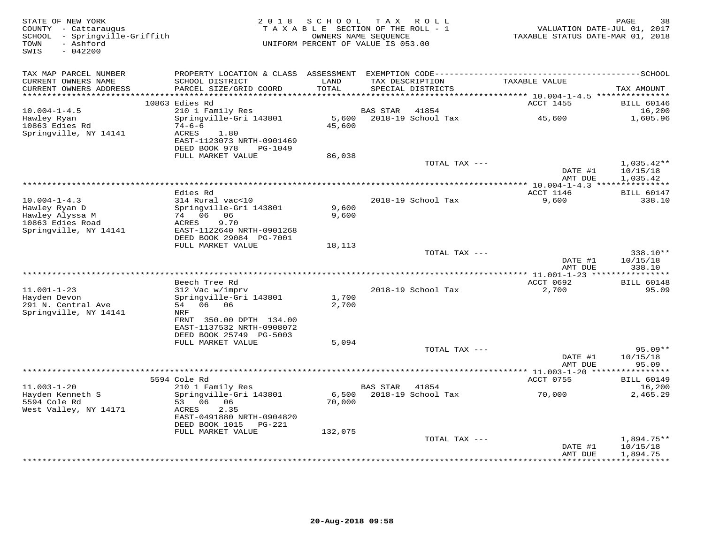| STATE OF NEW YORK<br>COUNTY - Cattaraugus<br>SCHOOL - Springville-Griffith<br>- Ashford<br>TOWN<br>$-042200$<br>SWIS | 2 0 1 8                                                                       | SCHOOL TAX ROLL<br>TAXABLE SECTION OF THE ROLL - 1<br>OWNERS NAME SEQUENCE<br>UNIFORM PERCENT OF VALUE IS 053.00 |                 |                             | VALUATION DATE-JUL 01, 2017<br>TAXABLE STATUS DATE-MAR 01, 2018 | PAGE<br>38                          |
|----------------------------------------------------------------------------------------------------------------------|-------------------------------------------------------------------------------|------------------------------------------------------------------------------------------------------------------|-----------------|-----------------------------|-----------------------------------------------------------------|-------------------------------------|
| TAX MAP PARCEL NUMBER<br>CURRENT OWNERS NAME<br>CURRENT OWNERS ADDRESS                                               | SCHOOL DISTRICT<br>PARCEL SIZE/GRID COORD                                     | LAND<br>TOTAL                                                                                                    | TAX DESCRIPTION | SPECIAL DISTRICTS           | TAXABLE VALUE                                                   | TAX AMOUNT                          |
| *******************                                                                                                  |                                                                               | *********                                                                                                        |                 |                             | ******** 10.004-1-4.5 ****************                          |                                     |
|                                                                                                                      | 10863 Edies Rd                                                                |                                                                                                                  |                 |                             | <b>ACCT 1455</b>                                                | <b>BILL 60146</b>                   |
| $10.004 - 1 - 4.5$<br>Hawley Ryan<br>10863 Edies Rd                                                                  | 210 1 Family Res<br>Springville-Gri 143801<br>$74 - 6 - 6$                    | 5,600<br>45,600                                                                                                  | <b>BAS STAR</b> | 41854<br>2018-19 School Tax | 45,600                                                          | 16,200<br>1,605.96                  |
| Springville, NY 14141                                                                                                | <b>ACRES</b><br>1.80<br>EAST-1123073 NRTH-0901469<br>DEED BOOK 978<br>PG-1049 |                                                                                                                  |                 |                             |                                                                 |                                     |
|                                                                                                                      | FULL MARKET VALUE                                                             | 86,038                                                                                                           |                 |                             |                                                                 |                                     |
|                                                                                                                      |                                                                               |                                                                                                                  |                 | TOTAL TAX ---               | DATE #1                                                         | $1,035.42**$<br>10/15/18            |
|                                                                                                                      |                                                                               |                                                                                                                  |                 |                             | AMT DUE<br>** 10.004-1-4.3 ***************                      | 1,035.42                            |
|                                                                                                                      | Edies Rd                                                                      |                                                                                                                  |                 |                             | ACCT 1146                                                       | <b>BILL 60147</b>                   |
| $10.004 - 1 - 4.3$                                                                                                   | 314 Rural vac<10                                                              |                                                                                                                  |                 | 2018-19 School Tax          | 9,600                                                           | 338.10                              |
| Hawley Ryan D                                                                                                        | Springville-Gri 143801                                                        | 9,600                                                                                                            |                 |                             |                                                                 |                                     |
| Hawley Alyssa M<br>10863 Edies Road                                                                                  | 74 06 06<br>9.70<br>ACRES                                                     | 9,600                                                                                                            |                 |                             |                                                                 |                                     |
| Springville, NY 14141                                                                                                | EAST-1122640 NRTH-0901268                                                     |                                                                                                                  |                 |                             |                                                                 |                                     |
|                                                                                                                      | DEED BOOK 29084 PG-7001                                                       |                                                                                                                  |                 |                             |                                                                 |                                     |
|                                                                                                                      | FULL MARKET VALUE                                                             | 18,113                                                                                                           |                 |                             |                                                                 |                                     |
|                                                                                                                      |                                                                               |                                                                                                                  |                 | TOTAL TAX ---               | DATE #1                                                         | 338.10**<br>10/15/18                |
|                                                                                                                      |                                                                               |                                                                                                                  |                 |                             | AMT DUE                                                         | 338.10                              |
|                                                                                                                      |                                                                               |                                                                                                                  |                 |                             |                                                                 |                                     |
|                                                                                                                      | Beech Tree Rd                                                                 |                                                                                                                  |                 |                             | ACCT 0692                                                       | <b>BILL 60148</b>                   |
| $11.001 - 1 - 23$<br>Hayden Devon                                                                                    | 312 Vac w/imprv<br>Springville-Gri 143801                                     | 1,700                                                                                                            |                 | 2018-19 School Tax          | 2,700                                                           | 95.09                               |
| 291 N. Central Ave                                                                                                   | 54 06 06                                                                      | 2,700                                                                                                            |                 |                             |                                                                 |                                     |
| Springville, NY 14141                                                                                                | NRF                                                                           |                                                                                                                  |                 |                             |                                                                 |                                     |
|                                                                                                                      | FRNT 350.00 DPTH 134.00                                                       |                                                                                                                  |                 |                             |                                                                 |                                     |
|                                                                                                                      | EAST-1137532 NRTH-0908072<br>DEED BOOK 25749 PG-5003                          |                                                                                                                  |                 |                             |                                                                 |                                     |
|                                                                                                                      | FULL MARKET VALUE                                                             | 5,094                                                                                                            |                 |                             |                                                                 |                                     |
|                                                                                                                      |                                                                               |                                                                                                                  |                 | TOTAL TAX ---               |                                                                 | 95.09**                             |
|                                                                                                                      |                                                                               |                                                                                                                  |                 |                             | DATE #1<br>AMT DUE                                              | 10/15/18<br>95.09                   |
|                                                                                                                      |                                                                               |                                                                                                                  |                 |                             |                                                                 | ***********                         |
|                                                                                                                      | 5594 Cole Rd                                                                  |                                                                                                                  |                 |                             | ACCT 0755                                                       | <b>BILL 60149</b>                   |
| $11.003 - 1 - 20$                                                                                                    | 210 1 Family Res                                                              |                                                                                                                  | BAS STAR        | 41854                       |                                                                 | 16,200                              |
| Hayden Kenneth S<br>5594 Cole Rd                                                                                     | Springville-Gri 143801<br>53 06 06                                            | 6,500<br>70,000                                                                                                  |                 | 2018-19 School Tax          | 70,000                                                          | 2,465.29                            |
| West Valley, NY 14171                                                                                                | ACRES<br>2.35                                                                 |                                                                                                                  |                 |                             |                                                                 |                                     |
|                                                                                                                      | EAST-0491880 NRTH-0904820<br>DEED BOOK 1015<br>PG-221                         |                                                                                                                  |                 |                             |                                                                 |                                     |
|                                                                                                                      | FULL MARKET VALUE                                                             | 132,075                                                                                                          |                 |                             |                                                                 |                                     |
|                                                                                                                      |                                                                               |                                                                                                                  |                 | TOTAL TAX ---               | DATE #1                                                         | $1,894.75**$<br>10/15/18            |
|                                                                                                                      |                                                                               |                                                                                                                  |                 |                             | AMT DUE                                                         | 1,894.75<br>* * * * * * * * * * * * |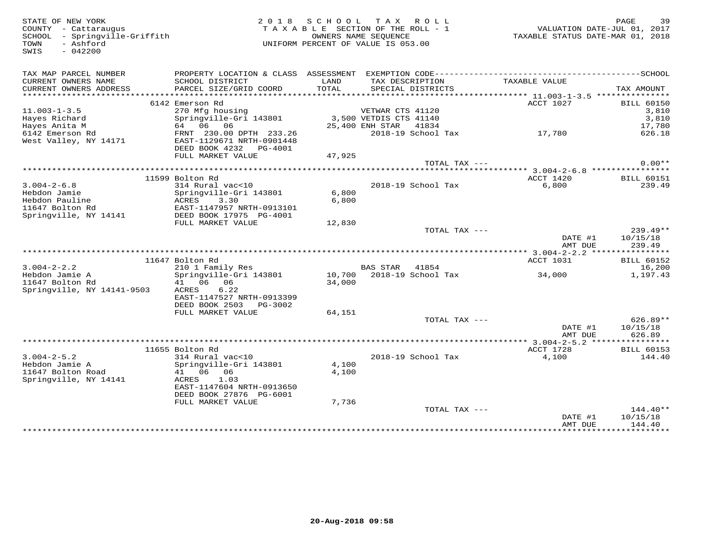SWIS - 042200

STATE OF NEW YORK 2 0 1 8 S C H O O L T A X R O L L PAGE 39 COUNTY - Cattaraugus T A X A B L E SECTION OF THE ROLL - 1 VALUATION DATE-JUL 01, 2017 SCHOOL - Springville-Griffith OWNERS NAME SEQUENCE TAXABLE STATUS DATE-MAR 01, 2018 TOWN - Ashford UNIFORM PERCENT OF VALUE IS 053.00

| TAX MAP PARCEL NUMBER<br>CURRENT OWNERS NAME<br>CURRENT OWNERS ADDRESS | PROPERTY LOCATION & CLASS ASSESSMENT<br>SCHOOL DISTRICT<br>PARCEL SIZE/GRID COORD | LAND<br>TOTAL | EXEMPTION CODE----------<br>TAX DESCRIPTION<br>SPECIAL DISTRICTS | TAXABLE VALUE                                    | $----SCHOOL$<br>TAX AMOUNT |
|------------------------------------------------------------------------|-----------------------------------------------------------------------------------|---------------|------------------------------------------------------------------|--------------------------------------------------|----------------------------|
| *******************                                                    |                                                                                   |               |                                                                  | ****************** 11.003-1-3.5 **************** |                            |
| $11.003 - 1 - 3.5$                                                     | 6142 Emerson Rd<br>270 Mfg housing                                                |               | VETWAR CTS 41120                                                 | ACCT 1027                                        | <b>BILL 60150</b><br>3,810 |
| Hayes Richard<br>Hayes Anita M                                         | Springville-Gri 143801<br>64 06 06                                                |               | 3,500 VETDIS CTS 41140<br>25,400 ENH STAR 41834                  |                                                  | 3,810<br>17,780            |
| 6142 Emerson Rd<br>West Valley, NY 14171                               | FRNT 230.00 DPTH 233.26<br>EAST-1129671 NRTH-0901448<br>DEED BOOK 4232<br>PG-4001 |               | 2018-19 School Tax                                               | 17,780                                           | 626.18                     |
|                                                                        | FULL MARKET VALUE                                                                 | 47,925        |                                                                  |                                                  |                            |
|                                                                        |                                                                                   |               | TOTAL TAX ---                                                    |                                                  | $0.00**$                   |
|                                                                        |                                                                                   |               |                                                                  |                                                  |                            |
|                                                                        | 11599 Bolton Rd                                                                   |               |                                                                  | ACCT 1420                                        | <b>BILL 60151</b>          |
| $3.004 - 2 - 6.8$                                                      | 314 Rural vac<10                                                                  |               | 2018-19 School Tax                                               | 6,800                                            | 239.49                     |
| Hebdon Jamie                                                           | Springville-Gri 143801                                                            | 6,800         |                                                                  |                                                  |                            |
| Hebdon Pauline                                                         | ACRES<br>3.30                                                                     | 6,800         |                                                                  |                                                  |                            |
| 11647 Bolton Rd                                                        | EAST-1147957 NRTH-0913101                                                         |               |                                                                  |                                                  |                            |
| Springville, NY 14141                                                  | DEED BOOK 17975 PG-4001                                                           |               |                                                                  |                                                  |                            |
|                                                                        | FULL MARKET VALUE                                                                 | 12,830        |                                                                  |                                                  | $239.49**$                 |
|                                                                        |                                                                                   |               | TOTAL TAX $---$                                                  | DATE #1                                          | 10/15/18                   |
|                                                                        |                                                                                   |               |                                                                  | AMT DUE                                          | 239.49                     |
|                                                                        |                                                                                   |               |                                                                  |                                                  |                            |
|                                                                        | 11647 Bolton Rd                                                                   |               |                                                                  | ACCT 1031                                        | <b>BILL 60152</b>          |
| $3.004 - 2 - 2.2$                                                      | 210 1 Family Res                                                                  |               | <b>BAS STAR</b><br>41854                                         |                                                  | 16,200                     |
| Hebdon Jamie A                                                         | Springville-Gri 143801                                                            | 10,700        | 2018-19 School Tax                                               | 34,000                                           | 1,197.43                   |
| 11647 Bolton Rd                                                        | 41 06 06                                                                          | 34,000        |                                                                  |                                                  |                            |
| Springville, NY 14141-9503                                             | 6.22<br>ACRES                                                                     |               |                                                                  |                                                  |                            |
|                                                                        | EAST-1147527 NRTH-0913399                                                         |               |                                                                  |                                                  |                            |
|                                                                        | DEED BOOK 2503<br>PG-3002                                                         |               |                                                                  |                                                  |                            |
|                                                                        | FULL MARKET VALUE                                                                 | 64,151        |                                                                  |                                                  |                            |
|                                                                        |                                                                                   |               | TOTAL TAX ---                                                    |                                                  | $626.89**$                 |
|                                                                        |                                                                                   |               |                                                                  | DATE #1                                          | 10/15/18                   |
|                                                                        |                                                                                   |               |                                                                  | AMT DUE                                          | 626.89                     |
|                                                                        |                                                                                   |               |                                                                  |                                                  |                            |
|                                                                        | 11655 Bolton Rd                                                                   |               |                                                                  | ACCT 1728                                        | <b>BILL 60153</b>          |
| $3.004 - 2 - 5.2$                                                      | 314 Rural vac<10                                                                  |               | 2018-19 School Tax                                               | 4,100                                            | 144.40                     |
| Hebdon Jamie A                                                         | Springville-Gri 143801<br>41 06<br>06                                             | 4,100         |                                                                  |                                                  |                            |
| 11647 Bolton Road<br>Springville, NY 14141                             | <b>ACRES</b><br>1.03                                                              | 4,100         |                                                                  |                                                  |                            |
|                                                                        | EAST-1147604 NRTH-0913650                                                         |               |                                                                  |                                                  |                            |
|                                                                        | DEED BOOK 27876 PG-6001                                                           |               |                                                                  |                                                  |                            |
|                                                                        | FULL MARKET VALUE                                                                 | 7,736         |                                                                  |                                                  |                            |
|                                                                        |                                                                                   |               | TOTAL TAX $---$                                                  |                                                  | $144.40**$                 |
|                                                                        |                                                                                   |               |                                                                  | DATE #1                                          | 10/15/18                   |
|                                                                        |                                                                                   |               |                                                                  | AMT DUE                                          | 144.40                     |
|                                                                        |                                                                                   |               |                                                                  | *********************                            | * * * * * * * * * * * *    |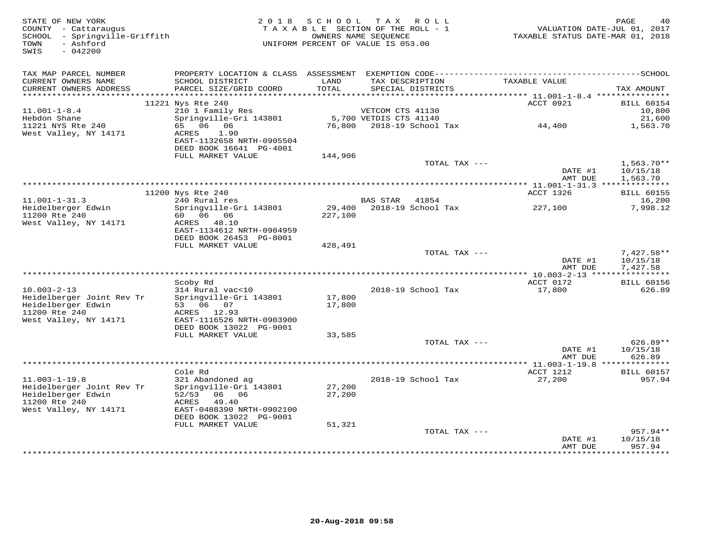| STATE OF NEW YORK<br>COUNTY - Cattaraugus<br>SCHOOL - Springville-Griffith<br>- Ashford<br>TOWN<br>SWIS<br>$-042200$ |                                                                        |                  | 2018 SCHOOL TAX ROLL<br>TAXABLE SECTION OF THE ROLL - 1<br>OWNERS NAME SEQUENCE<br>UNIFORM PERCENT OF VALUE IS 053.00 | TAXABLE STATUS DATE-MAR 01, 2018 | PAGE<br>40<br>VALUATION DATE-JUL 01, 2017 |
|----------------------------------------------------------------------------------------------------------------------|------------------------------------------------------------------------|------------------|-----------------------------------------------------------------------------------------------------------------------|----------------------------------|-------------------------------------------|
| TAX MAP PARCEL NUMBER                                                                                                |                                                                        |                  |                                                                                                                       |                                  |                                           |
| CURRENT OWNERS NAME<br>CURRENT OWNERS ADDRESS<br>*************************                                           | SCHOOL DISTRICT<br>PARCEL SIZE/GRID COORD                              | LAND<br>TOTAL    | TAX DESCRIPTION<br>SPECIAL DISTRICTS                                                                                  | TAXABLE VALUE                    | TAX AMOUNT                                |
|                                                                                                                      | 11221 Nys Rte 240                                                      |                  |                                                                                                                       | ACCT 0921                        | <b>BILL 60154</b>                         |
| $11.001 - 1 - 8.4$                                                                                                   | 210 1 Family Res                                                       |                  | VETCOM CTS 41130                                                                                                      |                                  | 10,800                                    |
| Hebdon Shane                                                                                                         | Springville-Gri 143801                                                 |                  | 5,700 VETDIS CTS 41140                                                                                                |                                  | 21,600                                    |
| 11221 NYS Rte 240                                                                                                    | 65 06 06                                                               |                  | 76,800 2018-19 School Tax                                                                                             | 44,400                           | 1,563.70                                  |
| West Valley, NY 14171                                                                                                | 1.90<br>ACRES<br>EAST-1132658 NRTH-0905504<br>DEED BOOK 16641 PG-4001  |                  |                                                                                                                       |                                  |                                           |
|                                                                                                                      | FULL MARKET VALUE                                                      | 144,906          |                                                                                                                       |                                  |                                           |
|                                                                                                                      |                                                                        |                  | TOTAL TAX ---                                                                                                         | DATE #1<br>AMT DUE               | $1,563.70**$<br>10/15/18<br>1,563.70      |
|                                                                                                                      |                                                                        |                  |                                                                                                                       |                                  |                                           |
|                                                                                                                      | 11200 Nys Rte 240                                                      |                  |                                                                                                                       | ACCT 1326                        | <b>BILL 60155</b>                         |
| $11.001 - 1 - 31.3$                                                                                                  | 240 Rural res                                                          |                  | BAS STAR 41854                                                                                                        |                                  | 16,200                                    |
| Heidelberger Edwin<br>11200 Rte 240<br>West Valley, NY 14171                                                         | Springville-Gri 143801<br>60 06 06<br>ACRES 48.10                      | 227,100          | 29,400 2018-19 School Tax                                                                                             | 227,100                          | 7,998.12                                  |
|                                                                                                                      | EAST-1134612 NRTH-0904959                                              |                  |                                                                                                                       |                                  |                                           |
|                                                                                                                      | DEED BOOK 26453 PG-8001<br>FULL MARKET VALUE                           | 428,491          |                                                                                                                       |                                  |                                           |
|                                                                                                                      |                                                                        |                  | TOTAL TAX ---                                                                                                         | DATE #1                          | $7,427.58**$<br>10/15/18                  |
|                                                                                                                      |                                                                        |                  |                                                                                                                       | AMT DUE                          | 7,427.58                                  |
|                                                                                                                      | Scoby Rd                                                               |                  |                                                                                                                       | ACCT 0172                        | <b>BILL 60156</b>                         |
| $10.003 - 2 - 13$                                                                                                    | 314 Rural vac<10                                                       |                  | 2018-19 School Tax                                                                                                    | 17,800                           | 626.89                                    |
| Heidelberger Joint Rev Tr                                                                                            | Springville-Gri 143801                                                 | 17,800           |                                                                                                                       |                                  |                                           |
| Heidelberger Edwin<br>11200 Rte 240                                                                                  | 53 06 07<br>ACRES 12.93                                                | 17,800           |                                                                                                                       |                                  |                                           |
| West Valley, NY 14171                                                                                                | EAST-1116526 NRTH-0903900<br>DEED BOOK 13022 PG-9001                   |                  |                                                                                                                       |                                  |                                           |
|                                                                                                                      | FULL MARKET VALUE                                                      | 33,585           |                                                                                                                       |                                  |                                           |
|                                                                                                                      |                                                                        |                  | TOTAL TAX ---                                                                                                         |                                  | $626.89**$                                |
|                                                                                                                      |                                                                        |                  |                                                                                                                       | DATE #1<br>AMT DUE               | 10/15/18<br>626.89                        |
|                                                                                                                      |                                                                        |                  |                                                                                                                       |                                  |                                           |
| $11.003 - 1 - 19.8$                                                                                                  | Cole Rd<br>321 Abandoned ag                                            |                  | 2018-19 School Tax                                                                                                    | ACCT 1212<br>27,200              | <b>BILL 60157</b><br>957.94               |
| Heidelberger Joint Rev Tr<br>Heidelberger Edwin                                                                      | Springville-Gri 143801<br>06 06<br>52/53                               | 27,200<br>27,200 |                                                                                                                       |                                  |                                           |
| 11200 Rte 240<br>West Valley, NY 14171                                                                               | 49.40<br>ACRES<br>EAST-0488390 NRTH-0902100<br>DEED BOOK 13022 PG-9001 |                  |                                                                                                                       |                                  |                                           |
|                                                                                                                      | FULL MARKET VALUE                                                      | 51,321           |                                                                                                                       |                                  |                                           |
|                                                                                                                      |                                                                        |                  | TOTAL TAX ---                                                                                                         |                                  | $957.94**$                                |
|                                                                                                                      |                                                                        |                  |                                                                                                                       | DATE #1<br>AMT DUE               | 10/15/18<br>957.94                        |
|                                                                                                                      |                                                                        |                  |                                                                                                                       |                                  | * * * * * * * * *                         |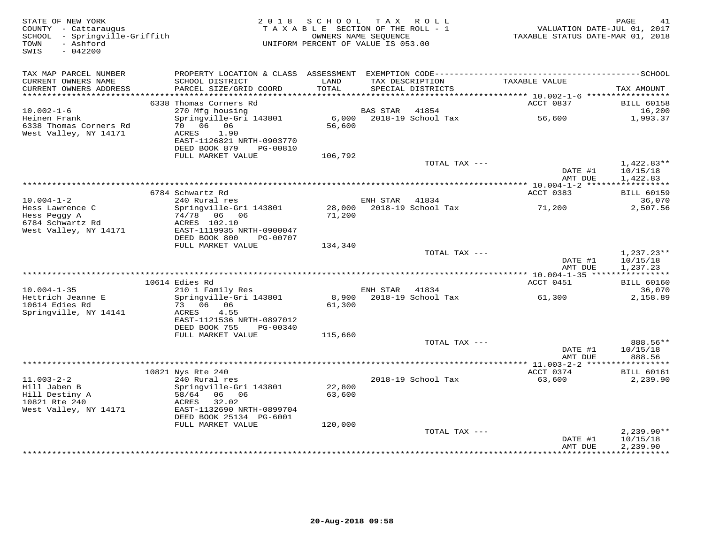| STATE OF NEW YORK<br>COUNTY - Cattaraugus<br>SCHOOL - Springville-Griffith<br>- Ashford<br>TOWN<br>$-042200$<br>SWIS |                                                                                              | 2018 SCHOOL TAX ROLL<br>TAXABLE SECTION OF THE ROLL - 1<br>UNIFORM PERCENT OF VALUE IS 053.00 | OWNERS NAME SEQUENCE |                                      | TAXABLE STATUS DATE-MAR 01, 2018        | 41<br>PAGE<br>VALUATION DATE-JUL 01, 2017 |
|----------------------------------------------------------------------------------------------------------------------|----------------------------------------------------------------------------------------------|-----------------------------------------------------------------------------------------------|----------------------|--------------------------------------|-----------------------------------------|-------------------------------------------|
| TAX MAP PARCEL NUMBER                                                                                                | PROPERTY LOCATION & CLASS ASSESSMENT EXEMPTION CODE-----------------------------------SCHOOL |                                                                                               |                      |                                      |                                         |                                           |
| CURRENT OWNERS NAME<br>CURRENT OWNERS ADDRESS                                                                        | SCHOOL DISTRICT<br>PARCEL SIZE/GRID COORD                                                    | LAND<br>TOTAL                                                                                 |                      | TAX DESCRIPTION<br>SPECIAL DISTRICTS | TAXABLE VALUE                           | TAX AMOUNT                                |
| *************************                                                                                            |                                                                                              |                                                                                               |                      |                                      |                                         |                                           |
| $10.002 - 1 - 6$                                                                                                     | 6338 Thomas Corners Rd<br>270 Mfg housing                                                    |                                                                                               | <b>BAS STAR</b>      | 41854                                | ACCT 0837                               | <b>BILL 60158</b><br>16,200               |
| Heinen Frank                                                                                                         | Springville-Gri 143801                                                                       | 6,000                                                                                         |                      | 2018-19 School Tax                   | 56,600                                  | 1,993.37                                  |
| 6338 Thomas Corners Rd<br>West Valley, NY 14171                                                                      | 70 06 06<br>ACRES<br>1.90                                                                    | 56,600                                                                                        |                      |                                      |                                         |                                           |
|                                                                                                                      | EAST-1126821 NRTH-0903770<br>DEED BOOK 879<br>PG-00810                                       |                                                                                               |                      |                                      |                                         |                                           |
|                                                                                                                      | FULL MARKET VALUE                                                                            | 106,792                                                                                       |                      |                                      |                                         | $1,422.83**$                              |
|                                                                                                                      |                                                                                              |                                                                                               |                      | TOTAL TAX ---                        | DATE #1<br>AMT DUE                      | 10/15/18<br>1,422.83                      |
|                                                                                                                      |                                                                                              |                                                                                               |                      |                                      |                                         | ***********                               |
|                                                                                                                      | 6784 Schwartz Rd                                                                             |                                                                                               |                      |                                      | ACCT 0383                               | <b>BILL 60159</b>                         |
| $10.004 - 1 - 2$                                                                                                     | 240 Rural res                                                                                |                                                                                               | ENH STAR             | 41834                                |                                         | 36,070                                    |
| Hess Lawrence C<br>Hess Peggy A<br>6784 Schwartz Rd<br>West Valley, NY 14171                                         | Springville-Gri 143801<br>74/78 06 06<br>ACRES 102.10<br>EAST-1119935 NRTH-0900047           | 71,200                                                                                        |                      | 28,000 2018-19 School Tax            | 71,200                                  | 2,507.56                                  |
|                                                                                                                      | DEED BOOK 800<br>PG-00707                                                                    |                                                                                               |                      |                                      |                                         |                                           |
|                                                                                                                      | FULL MARKET VALUE                                                                            | 134,340                                                                                       |                      | TOTAL TAX ---                        |                                         |                                           |
|                                                                                                                      |                                                                                              |                                                                                               |                      |                                      | DATE #1<br>AMT DUE                      | $1,237.23**$<br>10/15/18<br>1,237.23      |
|                                                                                                                      |                                                                                              |                                                                                               |                      |                                      |                                         |                                           |
| $10.004 - 1 - 35$                                                                                                    | 10614 Edies Rd<br>210 1 Family Res                                                           |                                                                                               | ENH STAR 41834       |                                      | ACCT 0451                               | <b>BILL 60160</b><br>36,070               |
| Hettrich Jeanne E                                                                                                    | Springville-Gri 143801                                                                       |                                                                                               |                      | 8,900 2018-19 School Tax             | 61,300                                  | 2,158.89                                  |
| 10614 Edies Rd<br>Springville, NY 14141                                                                              | 73 06 06<br>ACRES<br>4.55<br>EAST-1121536 NRTH-0897012                                       | 61,300                                                                                        |                      |                                      |                                         |                                           |
|                                                                                                                      | DEED BOOK 755<br>PG-00340                                                                    |                                                                                               |                      |                                      |                                         |                                           |
|                                                                                                                      | FULL MARKET VALUE                                                                            | 115,660                                                                                       |                      |                                      |                                         |                                           |
|                                                                                                                      |                                                                                              |                                                                                               |                      | TOTAL TAX ---                        |                                         | 888.56**                                  |
|                                                                                                                      |                                                                                              |                                                                                               |                      |                                      | DATE #1<br>AMT DUE                      | 10/15/18<br>888.56                        |
|                                                                                                                      | 10821 Nys Rte 240                                                                            |                                                                                               |                      |                                      | ACCT 0374                               | <b>BILL 60161</b>                         |
| $11.003 - 2 - 2$                                                                                                     | 240 Rural res                                                                                |                                                                                               |                      | 2018-19 School Tax                   | 63,600                                  | 2,239.90                                  |
| Hill Jaben B                                                                                                         | Springville-Gri 143801                                                                       | 22,800                                                                                        |                      |                                      |                                         |                                           |
| Hill Destiny A<br>10821 Rte 240<br>West Valley, NY 14171                                                             | 58/64 06 06<br>32.02<br>ACRES<br>EAST-1132690 NRTH-0899704                                   | 63,600                                                                                        |                      |                                      |                                         |                                           |
|                                                                                                                      | DEED BOOK 25134 PG-6001                                                                      |                                                                                               |                      |                                      |                                         |                                           |
|                                                                                                                      | FULL MARKET VALUE                                                                            | 120,000                                                                                       |                      |                                      |                                         |                                           |
|                                                                                                                      |                                                                                              |                                                                                               |                      | TOTAL TAX ---                        |                                         | $2,239.90**$                              |
|                                                                                                                      |                                                                                              |                                                                                               |                      |                                      | DATE #1<br>AMT DUE<br>***************** | 10/15/18<br>2,239.90<br>**********        |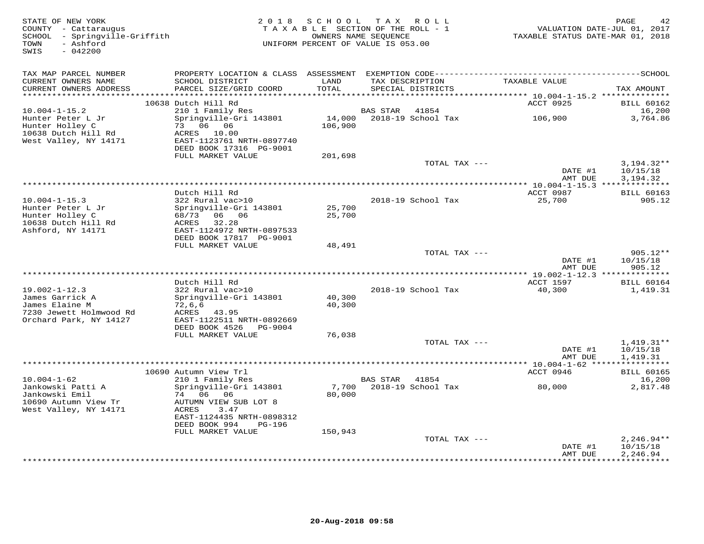| STATE OF NEW YORK<br>COUNTY - Cattaraugus<br>SCHOOL - Springville-Griffith<br>TOWN<br>- Ashford<br>SWIS<br>$-042200$ |                                           |                  | 2018 SCHOOL TAX ROLL<br>TAXABLE SECTION OF THE ROLL - 1<br>OWNERS NAME SEQUENCE<br>UNIFORM PERCENT OF VALUE IS 053.00 | TAXABLE STATUS DATE-MAR 01, 2018      | PAGE<br>42<br>VALUATION DATE-JUL 01, 2017 |
|----------------------------------------------------------------------------------------------------------------------|-------------------------------------------|------------------|-----------------------------------------------------------------------------------------------------------------------|---------------------------------------|-------------------------------------------|
| TAX MAP PARCEL NUMBER                                                                                                |                                           |                  |                                                                                                                       |                                       |                                           |
| CURRENT OWNERS NAME<br>CURRENT OWNERS ADDRESS                                                                        | SCHOOL DISTRICT<br>PARCEL SIZE/GRID COORD | LAND<br>TOTAL    | TAX DESCRIPTION<br>SPECIAL DISTRICTS                                                                                  | TAXABLE VALUE                         | TAX AMOUNT                                |
| *******************                                                                                                  |                                           | **********       |                                                                                                                       | ******* 10.004-1-15.2 *************** |                                           |
|                                                                                                                      | 10638 Dutch Hill Rd                       |                  |                                                                                                                       | ACCT 0925                             | <b>BILL 60162</b>                         |
| $10.004 - 1 - 15.2$                                                                                                  | 210 1 Family Res                          | 14,000           | BAS STAR<br>41854                                                                                                     | 106,900                               | 16,200                                    |
| Hunter Peter L Jr<br>Hunter Holley C                                                                                 | Springville-Gri 143801<br>73 06 06        | 106,900          | 2018-19 School Tax                                                                                                    |                                       | 3,764.86                                  |
| 10638 Dutch Hill Rd                                                                                                  | ACRES 10.00                               |                  |                                                                                                                       |                                       |                                           |
| West Valley, NY 14171                                                                                                | EAST-1123761 NRTH-0897740                 |                  |                                                                                                                       |                                       |                                           |
|                                                                                                                      | DEED BOOK 17316 PG-9001                   |                  |                                                                                                                       |                                       |                                           |
|                                                                                                                      | FULL MARKET VALUE                         | 201,698          |                                                                                                                       |                                       |                                           |
|                                                                                                                      |                                           |                  | TOTAL TAX ---                                                                                                         | DATE #1                               | $3,194.32**$<br>10/15/18                  |
|                                                                                                                      |                                           |                  |                                                                                                                       | AMT DUE                               | 3,194.32                                  |
|                                                                                                                      |                                           |                  |                                                                                                                       |                                       |                                           |
|                                                                                                                      | Dutch Hill Rd                             |                  |                                                                                                                       | ACCT 0987                             | <b>BILL 60163</b>                         |
| $10.004 - 1 - 15.3$                                                                                                  | 322 Rural vac>10                          |                  | 2018-19 School Tax                                                                                                    | 25,700                                | 905.12                                    |
| Hunter Peter L Jr<br>Hunter Holley C                                                                                 | Springville-Gri 143801<br>68/73 06 06     | 25,700<br>25,700 |                                                                                                                       |                                       |                                           |
| 10638 Dutch Hill Rd                                                                                                  | 32.28<br>ACRES                            |                  |                                                                                                                       |                                       |                                           |
| Ashford, NY 14171                                                                                                    | EAST-1124972 NRTH-0897533                 |                  |                                                                                                                       |                                       |                                           |
|                                                                                                                      | DEED BOOK 17817 PG-9001                   |                  |                                                                                                                       |                                       |                                           |
|                                                                                                                      | FULL MARKET VALUE                         | 48,491           |                                                                                                                       |                                       |                                           |
|                                                                                                                      |                                           |                  | TOTAL TAX ---                                                                                                         | DATE #1                               | 905.12**<br>10/15/18                      |
|                                                                                                                      |                                           |                  |                                                                                                                       | AMT DUE                               | 905.12                                    |
| ******************************                                                                                       |                                           |                  |                                                                                                                       |                                       |                                           |
|                                                                                                                      | Dutch Hill Rd                             |                  |                                                                                                                       | ACCT 1597                             | <b>BILL 60164</b>                         |
| $19.002 - 1 - 12.3$                                                                                                  | 322 Rural vac>10                          |                  | 2018-19 School Tax                                                                                                    | 40,300                                | 1,419.31                                  |
| James Garrick A                                                                                                      | Springville-Gri 143801                    | 40,300           |                                                                                                                       |                                       |                                           |
| James Elaine M<br>7230 Jewett Holmwood Rd                                                                            | 72,6,6<br>ACRES<br>43.95                  | 40,300           |                                                                                                                       |                                       |                                           |
| Orchard Park, NY 14127                                                                                               | EAST-1122511 NRTH-0892669                 |                  |                                                                                                                       |                                       |                                           |
|                                                                                                                      | DEED BOOK 4526 PG-9004                    |                  |                                                                                                                       |                                       |                                           |
|                                                                                                                      | FULL MARKET VALUE                         | 76,038           |                                                                                                                       |                                       |                                           |
|                                                                                                                      |                                           |                  | TOTAL TAX ---                                                                                                         |                                       | $1,419.31**$                              |
|                                                                                                                      |                                           |                  |                                                                                                                       | DATE #1<br>AMT DUE                    | 10/15/18<br>1,419.31                      |
|                                                                                                                      |                                           |                  |                                                                                                                       |                                       |                                           |
|                                                                                                                      | 10690 Autumn View Trl                     |                  |                                                                                                                       | ACCT 0946                             | <b>BILL 60165</b>                         |
| $10.004 - 1 - 62$                                                                                                    | 210 1 Family Res                          |                  | BAS STAR 41854                                                                                                        |                                       | 16,200                                    |
| Jankowski Patti A                                                                                                    | Springville-Gri 143801                    | 7,700            | 2018-19 School Tax                                                                                                    | 80,000                                | 2,817.48                                  |
| Jankowski Emil<br>10690 Autumn View Tr                                                                               | 74 06 06<br>AUTUMN VIEW SUB LOT 8         | 80,000           |                                                                                                                       |                                       |                                           |
| West Valley, NY 14171                                                                                                | ACRES<br>3.47                             |                  |                                                                                                                       |                                       |                                           |
|                                                                                                                      | EAST-1124435 NRTH-0898312                 |                  |                                                                                                                       |                                       |                                           |
|                                                                                                                      | DEED BOOK 994<br>PG-196                   |                  |                                                                                                                       |                                       |                                           |
|                                                                                                                      | FULL MARKET VALUE                         | 150,943          |                                                                                                                       |                                       |                                           |
|                                                                                                                      |                                           |                  | TOTAL TAX ---                                                                                                         |                                       | $2,246.94**$                              |
|                                                                                                                      |                                           |                  |                                                                                                                       | DATE #1                               | 10/15/18                                  |
|                                                                                                                      |                                           |                  |                                                                                                                       | AMT DUE                               | 2,246.94<br>* * * * * * * * * * * *       |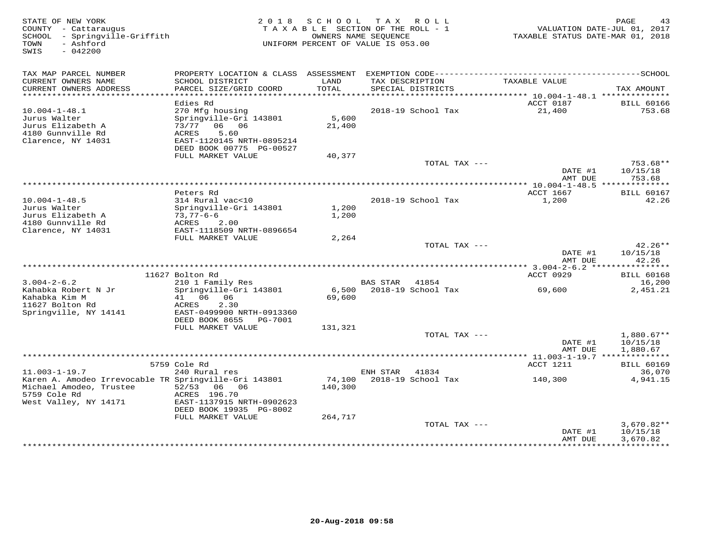| STATE OF NEW YORK<br>COUNTY - Cattaraugus<br>- Springville-Griffith<br>SCHOOL<br>- Ashford<br>TOWN<br>$-042200$<br>SWIS   |                                                                                                                                                | 2018 SCHOOL       | TAX ROLL<br>TAXABLE SECTION OF THE ROLL - 1<br>OWNERS NAME SEQUENCE<br>UNIFORM PERCENT OF VALUE IS 053.00 | TAXABLE STATUS DATE-MAR 01, 2018 | PAGE<br>43<br>VALUATION DATE-JUL 01, 2017 |
|---------------------------------------------------------------------------------------------------------------------------|------------------------------------------------------------------------------------------------------------------------------------------------|-------------------|-----------------------------------------------------------------------------------------------------------|----------------------------------|-------------------------------------------|
| TAX MAP PARCEL NUMBER<br>CURRENT OWNERS NAME<br>CURRENT OWNERS ADDRESS                                                    | SCHOOL DISTRICT<br>PARCEL SIZE/GRID COORD                                                                                                      | LAND<br>TOTAL     | TAX DESCRIPTION<br>SPECIAL DISTRICTS                                                                      | TAXABLE VALUE                    | TAX AMOUNT                                |
| ******************************                                                                                            |                                                                                                                                                |                   |                                                                                                           |                                  |                                           |
| $10.004 - 1 - 48.1$<br>Jurus Walter<br>Jurus Elizabeth A<br>4180 Gunnville Rd<br>Clarence, NY 14031                       | Edies Rd<br>270 Mfg housing<br>Springville-Gri 143801<br>73/77 06 06<br>ACRES<br>5.60<br>EAST-1120145 NRTH-0895214<br>DEED BOOK 00775 PG-00527 | 5,600<br>21,400   | 2018-19 School Tax                                                                                        | ACCT 0187<br>21,400              | <b>BILL 60166</b><br>753.68               |
|                                                                                                                           | FULL MARKET VALUE                                                                                                                              | 40,377            |                                                                                                           |                                  |                                           |
|                                                                                                                           |                                                                                                                                                |                   | TOTAL TAX ---                                                                                             | DATE #1<br>AMT DUE               | 753.68**<br>10/15/18<br>753.68            |
|                                                                                                                           |                                                                                                                                                |                   |                                                                                                           |                                  |                                           |
| $10.004 - 1 - 48.5$<br>Jurus Walter<br>Jurus Elizabeth A                                                                  | Peters Rd<br>314 Rural vac<10<br>Springville-Gri 143801<br>$73,77-6-6$                                                                         | 1,200<br>1,200    | 2018-19 School Tax                                                                                        | ACCT 1667<br>1,200               | <b>BILL 60167</b><br>42.26                |
| 4180 Gunnville Rd<br>Clarence, NY 14031                                                                                   | ACRES<br>2.00<br>EAST-1118509 NRTH-0896654<br>FULL MARKET VALUE                                                                                | 2,264             |                                                                                                           |                                  |                                           |
|                                                                                                                           |                                                                                                                                                |                   | TOTAL TAX ---                                                                                             | DATE #1<br>AMT DUE               | 42.26**<br>10/15/18<br>42.26              |
|                                                                                                                           |                                                                                                                                                |                   |                                                                                                           |                                  |                                           |
| $3.004 - 2 - 6.2$                                                                                                         | 11627 Bolton Rd<br>210 1 Family Res                                                                                                            |                   | <b>BAS STAR</b><br>41854                                                                                  | ACCT 0929                        | <b>BILL 60168</b><br>16,200               |
| Kahabka Robert N Jr<br>Kahabka Kim M                                                                                      | Springville-Gri 143801<br>41 06 06                                                                                                             | 6,500<br>69,600   | 2018-19 School Tax                                                                                        | 69,600                           | 2,451.21                                  |
| 11627 Bolton Rd<br>Springville, NY 14141                                                                                  | ACRES<br>2.30<br>EAST-0499900 NRTH-0913360<br>DEED BOOK 8655 PG-7001                                                                           |                   |                                                                                                           |                                  |                                           |
|                                                                                                                           | FULL MARKET VALUE                                                                                                                              | 131,321           | TOTAL TAX ---                                                                                             |                                  | $1,880.67**$                              |
|                                                                                                                           |                                                                                                                                                |                   |                                                                                                           | DATE #1<br>AMT DUE               | 10/15/18<br>1,880.67                      |
|                                                                                                                           |                                                                                                                                                |                   |                                                                                                           | ********** 11.003-1-19.7 ***     | ***********                               |
| $11.003 - 1 - 19.7$                                                                                                       | 5759 Cole Rd<br>240 Rural res                                                                                                                  |                   | ENH STAR<br>41834                                                                                         | ACCT 1211                        | <b>BILL 60169</b><br>36,070               |
| Karen A. Amodeo Irrevocable TR Springville-Gri 143801<br>Michael Amodeo, Trustee<br>5759 Cole Rd<br>West Valley, NY 14171 | 52/53 06 06<br>ACRES 196.70<br>EAST-1137915 NRTH-0902623<br>DEED BOOK 19935 PG-8002                                                            | 74,100<br>140,300 | 2018-19 School Tax                                                                                        | 140,300                          | 4,941.15                                  |
|                                                                                                                           | FULL MARKET VALUE                                                                                                                              | 264,717           |                                                                                                           |                                  |                                           |
|                                                                                                                           |                                                                                                                                                |                   | TOTAL TAX ---                                                                                             | DATE #1<br>AMT DUE               | $3,670.82**$<br>10/15/18<br>3,670.82      |
|                                                                                                                           |                                                                                                                                                |                   |                                                                                                           |                                  | * * * * * * * * * * * *                   |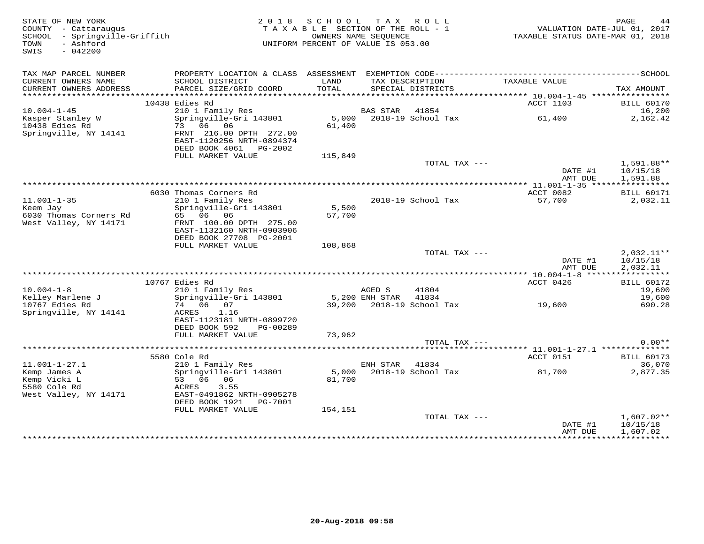| STATE OF NEW YORK<br>COUNTY - Cattaraugus<br>SCHOOL - Springville-Griffith<br>TOWN<br>- Ashford<br>SWIS<br>$-042200$ | 2 0 1 8                                                                                                          | SCHOOL TAX ROLL<br>TAXABLE SECTION OF THE ROLL - 1<br>OWNERS NAME SEOUENCE<br>UNIFORM PERCENT OF VALUE IS 053.00 |                          |                                      | VALUATION DATE-JUL 01, 2017<br>TAXABLE STATUS DATE-MAR 01, 2018 | PAGE<br>44                           |
|----------------------------------------------------------------------------------------------------------------------|------------------------------------------------------------------------------------------------------------------|------------------------------------------------------------------------------------------------------------------|--------------------------|--------------------------------------|-----------------------------------------------------------------|--------------------------------------|
| TAX MAP PARCEL NUMBER<br>CURRENT OWNERS NAME<br>CURRENT OWNERS ADDRESS                                               | SCHOOL DISTRICT<br>PARCEL SIZE/GRID COORD                                                                        | LAND<br>TOTAL                                                                                                    |                          | TAX DESCRIPTION<br>SPECIAL DISTRICTS | TAXABLE VALUE                                                   | TAX AMOUNT                           |
|                                                                                                                      |                                                                                                                  |                                                                                                                  |                          |                                      |                                                                 |                                      |
|                                                                                                                      | 10438 Edies Rd                                                                                                   |                                                                                                                  |                          |                                      | ACCT 1103                                                       | <b>BILL 60170</b>                    |
| $10.004 - 1 - 45$<br>Kasper Stanley W<br>10438 Edies Rd<br>Springville, NY 14141                                     | 210 1 Family Res<br>Springville-Gri 143801<br>73 06 06<br>FRNT 216.00 DPTH 272.00<br>EAST-1120256 NRTH-0894374   | 61,400                                                                                                           | BAS STAR                 | 41854<br>5,000 2018-19 School Tax    | 61,400                                                          | 16,200<br>2,162.42                   |
|                                                                                                                      | DEED BOOK 4061 PG-2002                                                                                           |                                                                                                                  |                          |                                      |                                                                 |                                      |
|                                                                                                                      | FULL MARKET VALUE                                                                                                | 115,849                                                                                                          |                          |                                      |                                                                 |                                      |
|                                                                                                                      |                                                                                                                  |                                                                                                                  |                          | TOTAL TAX ---                        | DATE #1<br>AMT DUE                                              | 1,591.88**<br>10/15/18<br>1,591.88   |
|                                                                                                                      |                                                                                                                  |                                                                                                                  |                          |                                      |                                                                 | ************                         |
| $11.001 - 1 - 35$<br>Keem Jay                                                                                        | 6030 Thomas Corners Rd<br>210 1 Family Res<br>Springville-Gri 143801                                             | 5,500                                                                                                            |                          | 2018-19 School Tax                   | ACCT 0082<br>57,700                                             | <b>BILL 60171</b><br>2,032.11        |
| 6030 Thomas Corners Rd<br>West Valley, NY 14171                                                                      | 65 06 06<br>FRNT 100.00 DPTH 275.00<br>EAST-1132160 NRTH-0903906<br>DEED BOOK 27708 PG-2001                      | 57,700                                                                                                           |                          |                                      |                                                                 |                                      |
|                                                                                                                      | FULL MARKET VALUE                                                                                                | 108,868                                                                                                          |                          |                                      |                                                                 |                                      |
|                                                                                                                      |                                                                                                                  |                                                                                                                  |                          | TOTAL TAX ---                        | DATE #1<br>AMT DUE                                              | $2,032.11**$<br>10/15/18<br>2,032.11 |
|                                                                                                                      | 10767 Edies Rd                                                                                                   |                                                                                                                  |                          |                                      | ACCT 0426                                                       | <b>BILL 60172</b>                    |
| $10.004 - 1 - 8$<br>Kelley Marlene J                                                                                 | 210 1 Family Res<br>Springville-Gri 143801                                                                       |                                                                                                                  | AGED S<br>5,200 ENH STAR | 41804<br>41834                       |                                                                 | 19,600<br>19,600                     |
| 10767 Edies Rd<br>Springville, NY 14141                                                                              | 74 06 07<br>1.16<br>ACRES<br>EAST-1123181 NRTH-0899720<br>DEED BOOK 592<br>PG-00289                              |                                                                                                                  |                          | 39,200 2018-19 School Tax            | 19,600                                                          | 690.28                               |
|                                                                                                                      | FULL MARKET VALUE                                                                                                | 73,962                                                                                                           |                          |                                      |                                                                 |                                      |
|                                                                                                                      |                                                                                                                  |                                                                                                                  |                          | TOTAL TAX ---                        |                                                                 | $0.00**$                             |
|                                                                                                                      |                                                                                                                  |                                                                                                                  |                          |                                      |                                                                 |                                      |
| $11.001 - 1 - 27.1$                                                                                                  | 5580 Cole Rd<br>210 1 Family Res                                                                                 |                                                                                                                  | ENH STAR                 | 41834                                | ACCT 0151                                                       | <b>BILL 60173</b><br>36,070          |
| Kemp James A<br>Kemp Vicki L<br>5580 Cole Rd<br>West Valley, NY 14171                                                | Springville-Gri 143801<br>53 06<br>06<br>ACRES<br>3.55<br>EAST-0491862 NRTH-0905278<br>DEED BOOK 1921<br>PG-7001 | 81,700                                                                                                           |                          | 5,000 2018-19 School Tax             | 81,700                                                          | 2,877.35                             |
|                                                                                                                      | FULL MARKET VALUE                                                                                                | 154,151                                                                                                          |                          | TOTAL TAX ---                        |                                                                 | $1,607.02**$                         |
|                                                                                                                      |                                                                                                                  |                                                                                                                  |                          |                                      | DATE #1<br>AMT DUE                                              | 10/15/18<br>1,607.02                 |
|                                                                                                                      |                                                                                                                  |                                                                                                                  |                          |                                      |                                                                 |                                      |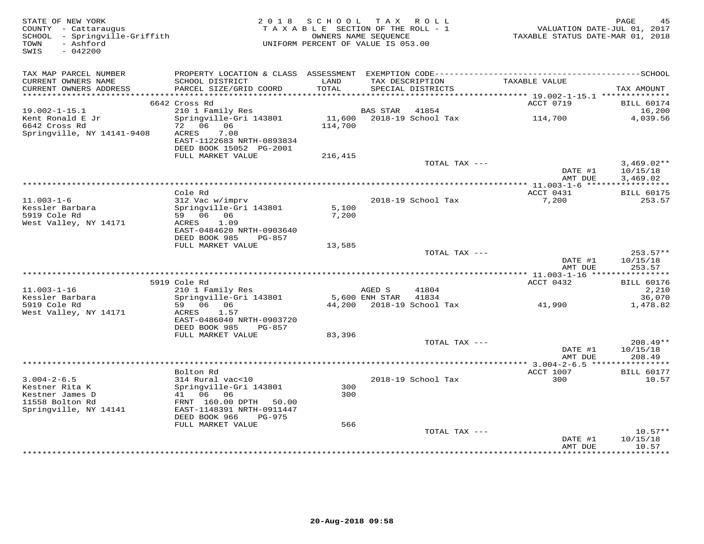| STATE OF NEW YORK<br>COUNTY - Cattaraugus<br>SCHOOL - Springville-Griffith | 2 0 1 8                                              | SCHOOL<br>TAXABLE SECTION OF THE ROLL - 1<br>OWNERS NAME SEOUENCE |                | TAX ROLL                  | VALUATION DATE-JUL 01, 2017<br>TAXABLE STATUS DATE-MAR 01, 2018 | PAGE<br>45        |
|----------------------------------------------------------------------------|------------------------------------------------------|-------------------------------------------------------------------|----------------|---------------------------|-----------------------------------------------------------------|-------------------|
| - Ashford<br>TOWN<br>SWIS<br>$-042200$                                     |                                                      | UNIFORM PERCENT OF VALUE IS 053.00                                |                |                           |                                                                 |                   |
| TAX MAP PARCEL NUMBER                                                      |                                                      |                                                                   |                |                           |                                                                 |                   |
| CURRENT OWNERS NAME                                                        | SCHOOL DISTRICT                                      | LAND                                                              |                | TAX DESCRIPTION           | TAXABLE VALUE                                                   |                   |
| CURRENT OWNERS ADDRESS                                                     | PARCEL SIZE/GRID COORD                               | TOTAL                                                             |                | SPECIAL DISTRICTS         |                                                                 | TAX AMOUNT        |
|                                                                            | 6642 Cross Rd                                        |                                                                   |                |                           | ACCT 0719                                                       | <b>BILL 60174</b> |
| $19.002 - 1 - 15.1$                                                        | 210 1 Family Res                                     |                                                                   | BAS STAR       | 41854                     |                                                                 | 16,200            |
| Kent Ronald E Jr                                                           | Springville-Gri 143801                               | 11,600                                                            |                | 2018-19 School Tax        | 114,700                                                         | 4,039.56          |
| 6642 Cross Rd                                                              | 72 06 06                                             | 114,700                                                           |                |                           |                                                                 |                   |
| Springville, NY 14141-9408                                                 | ACRES<br>7.08<br>EAST-1122683 NRTH-0893834           |                                                                   |                |                           |                                                                 |                   |
|                                                                            | DEED BOOK 15052 PG-2001                              |                                                                   |                |                           |                                                                 |                   |
|                                                                            | FULL MARKET VALUE                                    | 216,415                                                           |                |                           |                                                                 |                   |
|                                                                            |                                                      |                                                                   |                | TOTAL TAX ---             |                                                                 | $3,469.02**$      |
|                                                                            |                                                      |                                                                   |                |                           | DATE #1                                                         | 10/15/18          |
|                                                                            |                                                      |                                                                   |                |                           | AMT DUE<br>****************** 11.003-1-6 ******************     | 3,469.02          |
|                                                                            | Cole Rd                                              |                                                                   |                |                           | ACCT 0431                                                       | <b>BILL 60175</b> |
| $11.003 - 1 - 6$                                                           | 312 Vac w/imprv                                      |                                                                   |                | 2018-19 School Tax        | 7,200                                                           | 253.57            |
| Kessler Barbara                                                            | Springville-Gri 143801                               | 5,100                                                             |                |                           |                                                                 |                   |
| 5919 Cole Rd                                                               | 59 06 06                                             | 7,200                                                             |                |                           |                                                                 |                   |
| West Valley, NY 14171                                                      | 1.09<br>ACRES<br>EAST-0484620 NRTH-0903640           |                                                                   |                |                           |                                                                 |                   |
|                                                                            | DEED BOOK 985<br>$PG-857$                            |                                                                   |                |                           |                                                                 |                   |
|                                                                            | FULL MARKET VALUE                                    | 13,585                                                            |                |                           |                                                                 |                   |
|                                                                            |                                                      |                                                                   |                | TOTAL TAX ---             |                                                                 | $253.57**$        |
|                                                                            |                                                      |                                                                   |                |                           | DATE #1                                                         | 10/15/18          |
|                                                                            |                                                      |                                                                   |                |                           | AMT DUE                                                         | 253.57            |
|                                                                            | 5919 Cole Rd                                         |                                                                   |                |                           | ACCT 0432                                                       | <b>BILL 60176</b> |
| $11.003 - 1 - 16$                                                          | 210 1 Family Res                                     |                                                                   | AGED S         | 41804                     |                                                                 | 2,210             |
| Kessler Barbara                                                            | Springville-Gri 143801                               |                                                                   | 5,600 ENH STAR | 41834                     |                                                                 | 36,070            |
| 5919 Cole Rd                                                               | 59 06 06                                             |                                                                   |                | 44,200 2018-19 School Tax | 41,990                                                          | 1,478.82          |
| West Valley, NY 14171                                                      | ACRES<br>1.57                                        |                                                                   |                |                           |                                                                 |                   |
|                                                                            | EAST-0486040 NRTH-0903720<br>DEED BOOK 985<br>PG-857 |                                                                   |                |                           |                                                                 |                   |
|                                                                            | FULL MARKET VALUE                                    | 83,396                                                            |                |                           |                                                                 |                   |
|                                                                            |                                                      |                                                                   |                | TOTAL TAX ---             |                                                                 | 208.49**          |
|                                                                            |                                                      |                                                                   |                |                           | DATE #1                                                         | 10/15/18          |
|                                                                            |                                                      |                                                                   |                |                           | AMT DUE                                                         | 208.49            |
|                                                                            | Bolton Rd                                            |                                                                   |                |                           | ACCT 1007                                                       | <b>BILL 60177</b> |
| $3.004 - 2 - 6.5$                                                          | 314 Rural vac<10                                     |                                                                   |                | 2018-19 School Tax        | 300                                                             | 10.57             |
| Kestner Rita K                                                             | Springville-Gri 143801                               | 300                                                               |                |                           |                                                                 |                   |
| Kestner James D                                                            | 41 06<br>06                                          | 300                                                               |                |                           |                                                                 |                   |
| 11558 Bolton Rd                                                            | FRNT 160.00 DPTH<br>50.00                            |                                                                   |                |                           |                                                                 |                   |
| Springville, NY 14141                                                      | EAST-1148391 NRTH-0911447                            |                                                                   |                |                           |                                                                 |                   |
|                                                                            | DEED BOOK 966<br><b>PG-975</b><br>FULL MARKET VALUE  | 566                                                               |                |                           |                                                                 |                   |
|                                                                            |                                                      |                                                                   |                | TOTAL TAX ---             |                                                                 | $10.57**$         |
|                                                                            |                                                      |                                                                   |                |                           | DATE #1                                                         | 10/15/18          |
|                                                                            |                                                      |                                                                   |                |                           | AMT DUE                                                         | 10.57             |
|                                                                            |                                                      |                                                                   |                |                           | ************                                                    | **********        |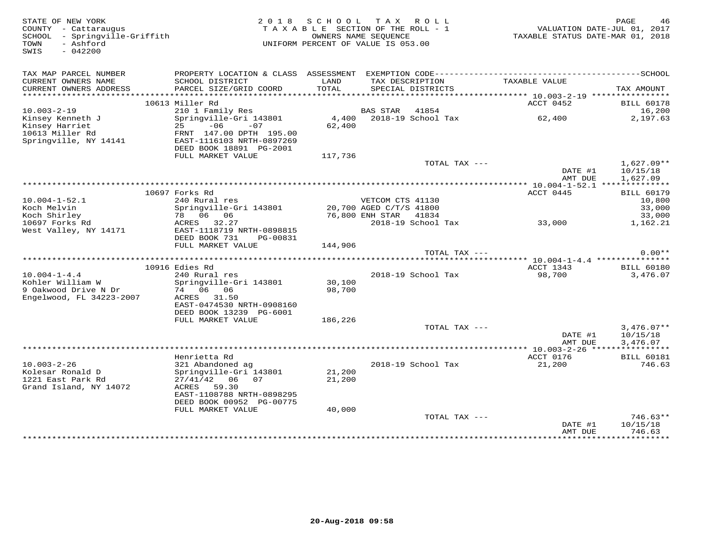| STATE OF NEW YORK<br>COUNTY - Cattaraugus<br>SCHOOL - Springville-Griffith<br>- Ashford<br>TOWN<br>SWIS<br>$-042200$ |                                                        | 2018 SCHOOL TAX ROLL<br>TAXABLE SECTION OF THE ROLL - 1<br>UNIFORM PERCENT OF VALUE IS 053.00 | OWNERS NAME SEQUENCE  |                                      | TAXABLE STATUS DATE-MAR 01, 2018 | PAGE<br>46<br>VALUATION DATE-JUL 01, 2017 |
|----------------------------------------------------------------------------------------------------------------------|--------------------------------------------------------|-----------------------------------------------------------------------------------------------|-----------------------|--------------------------------------|----------------------------------|-------------------------------------------|
| TAX MAP PARCEL NUMBER                                                                                                |                                                        |                                                                                               |                       |                                      |                                  |                                           |
| CURRENT OWNERS NAME<br>CURRENT OWNERS ADDRESS                                                                        | SCHOOL DISTRICT<br>PARCEL SIZE/GRID COORD              | LAND<br>TOTAL                                                                                 |                       | TAX DESCRIPTION<br>SPECIAL DISTRICTS | TAXABLE VALUE                    | TAX AMOUNT                                |
|                                                                                                                      |                                                        |                                                                                               |                       |                                      |                                  |                                           |
|                                                                                                                      | 10613 Miller Rd                                        |                                                                                               |                       |                                      | ACCT 0452                        | <b>BILL 60178</b>                         |
| $10.003 - 2 - 19$                                                                                                    | 210 1 Family Res                                       |                                                                                               | BAS STAR 41854        |                                      |                                  | 16,200                                    |
| -o.o.s<br>Kinsey Kenneth J<br>Kinsey Harriet<br>10613 Miller Rd                                                      | Springville-Gri 143801                                 |                                                                                               |                       | 4,400 2018-19 School Tax             | 62,400                           | 2,197.63                                  |
|                                                                                                                      | $-06$<br>25<br>$-07$                                   | 62,400                                                                                        |                       |                                      |                                  |                                           |
| Springville, NY 14141                                                                                                | FRNT 147.00 DPTH 195.00<br>EAST-1116103 NRTH-0897269   |                                                                                               |                       |                                      |                                  |                                           |
|                                                                                                                      | DEED BOOK 18891 PG-2001                                |                                                                                               |                       |                                      |                                  |                                           |
|                                                                                                                      | FULL MARKET VALUE                                      | 117,736                                                                                       |                       |                                      |                                  |                                           |
|                                                                                                                      |                                                        |                                                                                               |                       | TOTAL TAX ---                        |                                  | $1,627.09**$                              |
|                                                                                                                      |                                                        |                                                                                               |                       |                                      | DATE #1                          | 10/15/18                                  |
|                                                                                                                      |                                                        |                                                                                               |                       |                                      | AMT DUE                          | 1,627.09                                  |
|                                                                                                                      | 10697 Forks Rd                                         |                                                                                               |                       |                                      | ACCT 0445                        | <b>BILL 60179</b>                         |
| $10.004 - 1 - 52.1$                                                                                                  | 240 Rural res                                          |                                                                                               | VETCOM CTS 41130      |                                      |                                  | 10,800                                    |
| Koch Melvin                                                                                                          | Springville-Gri 143801                                 | 20,700 AGED C/T/S 41800                                                                       |                       |                                      |                                  | 33,000                                    |
| Koch Shirley                                                                                                         | 78 06 06                                               |                                                                                               | 76,800 ENH STAR 41834 |                                      |                                  | 33,000                                    |
| 10697 Forks Rd                                                                                                       | ACRES 32.27                                            |                                                                                               |                       | 2018-19 School Tax                   | 33,000                           | 1,162.21                                  |
| West Valley, NY 14171                                                                                                | EAST-1118719 NRTH-0898815<br>DEED BOOK 731<br>PG-00831 |                                                                                               |                       |                                      |                                  |                                           |
|                                                                                                                      | FULL MARKET VALUE                                      | 144,906                                                                                       |                       |                                      |                                  |                                           |
|                                                                                                                      |                                                        |                                                                                               |                       | TOTAL TAX ---                        |                                  | $0.00**$                                  |
|                                                                                                                      |                                                        |                                                                                               |                       |                                      |                                  |                                           |
|                                                                                                                      | 10916 Edies Rd                                         |                                                                                               |                       |                                      | ACCT 1343                        | <b>BILL 60180</b>                         |
| $10.004 - 1 - 4.4$                                                                                                   | 240 Rural res                                          |                                                                                               |                       | 2018-19 School Tax                   | 98,700                           | 3,476.07                                  |
| Kohler William W<br>9 Oakwood Drive N Dr                                                                             | Springville-Gri 143801<br>74 06 06                     | 30,100<br>98,700                                                                              |                       |                                      |                                  |                                           |
| Engelwood, FL 34223-2007                                                                                             | ACRES 31.50                                            |                                                                                               |                       |                                      |                                  |                                           |
|                                                                                                                      | EAST-0474530 NRTH-0908160                              |                                                                                               |                       |                                      |                                  |                                           |
|                                                                                                                      | DEED BOOK 13239 PG-6001                                |                                                                                               |                       |                                      |                                  |                                           |
|                                                                                                                      | FULL MARKET VALUE                                      | 186,226                                                                                       |                       |                                      |                                  |                                           |
|                                                                                                                      |                                                        |                                                                                               |                       | TOTAL TAX ---                        |                                  | $3,476.07**$                              |
|                                                                                                                      |                                                        |                                                                                               |                       |                                      | DATE #1<br>AMT DUE               | 10/15/18<br>3,476.07                      |
|                                                                                                                      |                                                        |                                                                                               |                       |                                      |                                  |                                           |
|                                                                                                                      | Henrietta Rd                                           |                                                                                               |                       |                                      | ACCT 0176                        | <b>BILL 60181</b>                         |
| $10.003 - 2 - 26$                                                                                                    | 321 Abandoned ag                                       |                                                                                               |                       | 2018-19 School Tax                   | 21,200                           | 746.63                                    |
| Kolesar Ronald D                                                                                                     | Springville-Gri 143801                                 | 21,200                                                                                        |                       |                                      |                                  |                                           |
| 1221 East Park Rd<br>Grand Island, NY 14072                                                                          | $27/41/42$ 06 07<br>ACRES 59.30                        | 21,200                                                                                        |                       |                                      |                                  |                                           |
|                                                                                                                      | EAST-1108788 NRTH-0898295                              |                                                                                               |                       |                                      |                                  |                                           |
|                                                                                                                      | DEED BOOK 00952 PG-00775                               |                                                                                               |                       |                                      |                                  |                                           |
|                                                                                                                      | FULL MARKET VALUE                                      | 40,000                                                                                        |                       |                                      |                                  |                                           |
|                                                                                                                      |                                                        |                                                                                               |                       | TOTAL TAX ---                        |                                  | $746.63**$                                |
|                                                                                                                      |                                                        |                                                                                               |                       |                                      | DATE #1                          | 10/15/18                                  |
|                                                                                                                      |                                                        |                                                                                               |                       |                                      | AMT DUE                          | 746.63<br>************                    |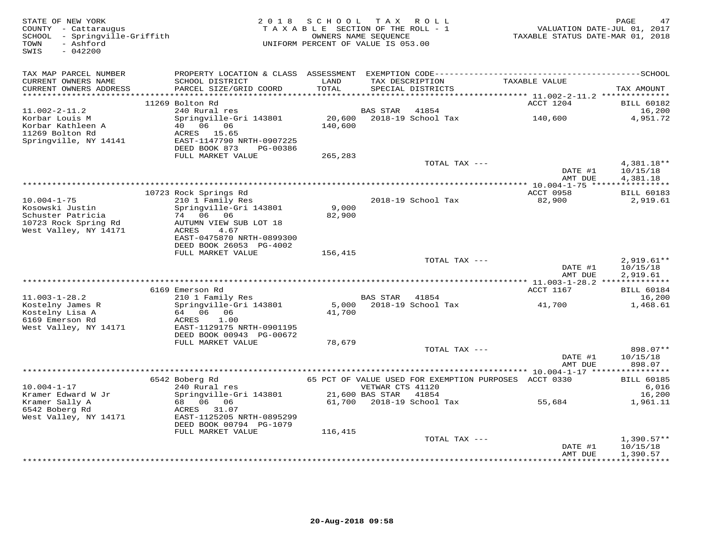| STATE OF NEW YORK<br>COUNTY - Cattaraugus<br>- Springville-Griffith<br>SCHOOL<br>- Ashford<br>TOWN<br>SWIS<br>$-042200$ | 2 0 1 8                                                                                                                                                 | SCHOOL            | T A X<br>R O L L<br>TAXABLE SECTION OF THE ROLL - 1<br>OWNERS NAME SEQUENCE<br>UNIFORM PERCENT OF VALUE IS 053.00 | TAXABLE STATUS DATE-MAR 01, 2018              | PAGE<br>47<br>VALUATION DATE-JUL 01, 2017          |
|-------------------------------------------------------------------------------------------------------------------------|---------------------------------------------------------------------------------------------------------------------------------------------------------|-------------------|-------------------------------------------------------------------------------------------------------------------|-----------------------------------------------|----------------------------------------------------|
| TAX MAP PARCEL NUMBER<br>CURRENT OWNERS NAME<br>CURRENT OWNERS ADDRESS                                                  | SCHOOL DISTRICT<br>PARCEL SIZE/GRID COORD                                                                                                               | LAND<br>TOTAL     | TAX DESCRIPTION<br>SPECIAL DISTRICTS                                                                              | TAXABLE VALUE                                 | TAX AMOUNT                                         |
|                                                                                                                         | 11269 Bolton Rd                                                                                                                                         |                   |                                                                                                                   | ACCT 1204                                     | <b>BILL 60182</b>                                  |
| $11.002 - 2 - 11.2$                                                                                                     | 240 Rural res                                                                                                                                           |                   | <b>BAS STAR</b><br>41854                                                                                          |                                               | 16,200                                             |
| Korbar Louis M<br>Korbar Kathleen A<br>11269 Bolton Rd<br>Springville, NY 14141                                         | Springville-Gri 143801<br>40   06   06<br>ACRES<br>15.65<br>EAST-1147790 NRTH-0907225<br>DEED BOOK 873<br>PG-00386                                      | 20,600<br>140,600 | 2018-19 School Tax                                                                                                | 140,600                                       | 4,951.72                                           |
|                                                                                                                         | FULL MARKET VALUE                                                                                                                                       | 265,283           | TOTAL TAX ---                                                                                                     |                                               | 4,381.18**                                         |
|                                                                                                                         |                                                                                                                                                         |                   |                                                                                                                   | DATE #1<br>AMT DUE                            | 10/15/18<br>4,381.18                               |
|                                                                                                                         |                                                                                                                                                         |                   |                                                                                                                   | <b>ACCT 0958</b>                              |                                                    |
| $10.004 - 1 - 75$<br>Kosowski Justin<br>Schuster Patricia<br>10723 Rock Spring Rd<br>West Valley, NY 14171              | 10723 Rock Springs Rd<br>210 1 Family Res<br>Springville-Gri 143801<br>74 06 06<br>AUTUMN VIEW SUB LOT 18<br>ACRES<br>4.67<br>EAST-0475870 NRTH-0899300 | 9,000<br>82,900   | 2018-19 School Tax                                                                                                | 82,900                                        | <b>BILL 60183</b><br>2,919.61                      |
|                                                                                                                         | DEED BOOK 26053 PG-4002                                                                                                                                 |                   |                                                                                                                   |                                               |                                                    |
|                                                                                                                         | FULL MARKET VALUE                                                                                                                                       | 156,415           | TOTAL TAX ---                                                                                                     |                                               | $2,919.61**$                                       |
|                                                                                                                         |                                                                                                                                                         |                   |                                                                                                                   | DATE #1<br>AMT DUE                            | 10/15/18<br>2,919.61                               |
|                                                                                                                         |                                                                                                                                                         |                   |                                                                                                                   | *************** 11.003-1-28.2 *************** |                                                    |
| $11.003 - 1 - 28.2$                                                                                                     | 6169 Emerson Rd<br>210 1 Family Res                                                                                                                     |                   | <b>BAS STAR</b><br>41854                                                                                          | ACCT 1167                                     | <b>BILL 60184</b><br>16,200                        |
| Kostelny James R<br>Kostelny Lisa A<br>6169 Emerson Rd<br>West Valley, NY 14171                                         | Springville-Gri 143801<br>64 06 06<br>1.00<br>ACRES<br>EAST-1129175 NRTH-0901195<br>DEED BOOK 00943 PG-00672                                            | 5,000<br>41,700   | 2018-19 School Tax                                                                                                | 41,700                                        | 1,468.61                                           |
|                                                                                                                         | FULL MARKET VALUE                                                                                                                                       | 78,679            |                                                                                                                   |                                               |                                                    |
|                                                                                                                         |                                                                                                                                                         |                   | TOTAL TAX ---                                                                                                     | DATE #1<br>AMT DUE                            | 898.07**<br>10/15/18<br>898.07                     |
|                                                                                                                         | 6542 Boberg Rd                                                                                                                                          |                   | 65 PCT OF VALUE USED FOR EXEMPTION PURPOSES ACCT 0330                                                             |                                               | * * * * * * * * * * *<br><b>BILL 60185</b>         |
| $10.004 - 1 - 17$                                                                                                       | 240 Rural res                                                                                                                                           |                   | VETWAR CTS 41120                                                                                                  |                                               | 6,016                                              |
| Kramer Edward W Jr<br>Kramer Sally A<br>6542 Boberg Rd<br>West Valley, NY 14171                                         | Springville-Gri 143801<br>68 06 06<br>ACRES 31.07<br>EAST-1125205 NRTH-0895299<br>DEED BOOK 00794 PG-1079                                               | 61,700            | 21,600 BAS STAR<br>41854<br>2018-19 School Tax                                                                    | 55,684                                        | 16,200<br>1,961.11                                 |
|                                                                                                                         | FULL MARKET VALUE                                                                                                                                       | 116,415           | TOTAL TAX ---                                                                                                     |                                               |                                                    |
|                                                                                                                         |                                                                                                                                                         |                   | *********************************                                                                                 | DATE #1<br>AMT DUE<br>* * * * * * * * * * * * | $1,390.57**$<br>10/15/18<br>1,390.57<br>********** |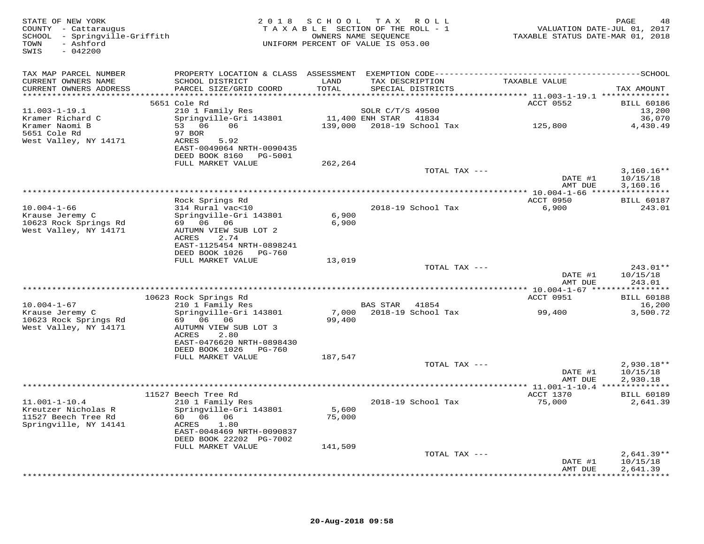| STATE OF NEW YORK<br>COUNTY - Cattaraugus<br>SCHOOL - Springville-Griffith<br>- Ashford<br>TOWN<br>$-042200$<br>SWIS |                                                      | 2018 SCHOOL    | TAX ROLL<br>TAXABLE SECTION OF THE ROLL - 1<br>OWNERS NAME SEQUENCE<br>UNIFORM PERCENT OF VALUE IS 053.00 | VALUATION DATE-JUL 01, 2017<br>TAXABLE STATUS DATE-MAR 01, 2018 | PAGE<br>48                  |
|----------------------------------------------------------------------------------------------------------------------|------------------------------------------------------|----------------|-----------------------------------------------------------------------------------------------------------|-----------------------------------------------------------------|-----------------------------|
| TAX MAP PARCEL NUMBER                                                                                                |                                                      |                |                                                                                                           |                                                                 |                             |
| CURRENT OWNERS NAME<br>CURRENT OWNERS ADDRESS                                                                        | SCHOOL DISTRICT<br>PARCEL SIZE/GRID COORD            | LAND<br>TOTAL  | TAX DESCRIPTION<br>SPECIAL DISTRICTS                                                                      | TAXABLE VALUE                                                   | TAX AMOUNT                  |
|                                                                                                                      | 5651 Cole Rd                                         |                |                                                                                                           | ACCT 0552                                                       | <b>BILL 60186</b>           |
| $11.003 - 1 - 19.1$                                                                                                  | 210 1 Family Res                                     |                | SOLR C/T/S 49500                                                                                          |                                                                 | 13,200                      |
| Kramer Richard C                                                                                                     | Springville-Gri 143801                               |                | 11,400 ENH STAR 41834                                                                                     |                                                                 | 36,070                      |
| Kramer Naomi B<br>5651 Cole Rd                                                                                       | 53 06<br>06                                          |                | 139,000 2018-19 School Tax                                                                                | 125,800                                                         | 4,430.49                    |
| West Valley, NY 14171                                                                                                | 97 BOR<br>ACRES<br>5.92                              |                |                                                                                                           |                                                                 |                             |
|                                                                                                                      | EAST-0049064 NRTH-0090435                            |                |                                                                                                           |                                                                 |                             |
|                                                                                                                      | DEED BOOK 8160 PG-5001                               |                |                                                                                                           |                                                                 |                             |
|                                                                                                                      | FULL MARKET VALUE                                    | 262,264        |                                                                                                           |                                                                 |                             |
|                                                                                                                      |                                                      |                | TOTAL TAX ---                                                                                             |                                                                 | $3,160.16**$                |
|                                                                                                                      |                                                      |                |                                                                                                           | DATE #1<br>AMT DUE                                              | 10/15/18<br>3,160.16        |
|                                                                                                                      |                                                      |                |                                                                                                           |                                                                 |                             |
|                                                                                                                      | Rock Springs Rd                                      |                |                                                                                                           | ACCT 0950                                                       | <b>BILL 60187</b>           |
| $10.004 - 1 - 66$                                                                                                    | 314 Rural vac<10                                     |                | 2018-19 School Tax                                                                                        | 6,900                                                           | 243.01                      |
| Krause Jeremy C<br>10623 Rock Springs Rd                                                                             | Springville-Gri 143801<br>69 06 06                   | 6,900<br>6,900 |                                                                                                           |                                                                 |                             |
| West Valley, NY 14171                                                                                                | AUTUMN VIEW SUB LOT 2                                |                |                                                                                                           |                                                                 |                             |
|                                                                                                                      | ACRES<br>2.74                                        |                |                                                                                                           |                                                                 |                             |
|                                                                                                                      | EAST-1125454 NRTH-0898241                            |                |                                                                                                           |                                                                 |                             |
|                                                                                                                      | DEED BOOK 1026 PG-760                                |                |                                                                                                           |                                                                 |                             |
|                                                                                                                      | FULL MARKET VALUE                                    | 13,019         | TOTAL TAX ---                                                                                             |                                                                 | 243.01**                    |
|                                                                                                                      |                                                      |                |                                                                                                           | DATE #1                                                         | 10/15/18                    |
|                                                                                                                      |                                                      |                |                                                                                                           | AMT DUE                                                         | 243.01                      |
|                                                                                                                      |                                                      |                |                                                                                                           |                                                                 |                             |
| $10.004 - 1 - 67$                                                                                                    | 10623 Rock Springs Rd<br>210 1 Family Res            |                | BAS STAR 41854                                                                                            | ACCT 0951                                                       | <b>BILL 60188</b><br>16,200 |
| Krause Jeremy C                                                                                                      | Springville-Gri 143801                               | 7,000          | 2018-19 School Tax                                                                                        | 99,400                                                          | 3,500.72                    |
| 10623 Rock Springs Rd                                                                                                | 69 06 06                                             | 99,400         |                                                                                                           |                                                                 |                             |
| West Valley, NY 14171                                                                                                | AUTUMN VIEW SUB LOT 3                                |                |                                                                                                           |                                                                 |                             |
|                                                                                                                      | 2.80<br>ACRES                                        |                |                                                                                                           |                                                                 |                             |
|                                                                                                                      | EAST-0476620 NRTH-0898430<br>DEED BOOK 1026 PG-760   |                |                                                                                                           |                                                                 |                             |
|                                                                                                                      | FULL MARKET VALUE                                    | 187,547        |                                                                                                           |                                                                 |                             |
|                                                                                                                      |                                                      |                | TOTAL TAX ---                                                                                             |                                                                 | $2,930.18**$                |
|                                                                                                                      |                                                      |                |                                                                                                           | DATE #1                                                         | 10/15/18                    |
|                                                                                                                      |                                                      |                |                                                                                                           | AMT DUE                                                         | 2,930.18                    |
|                                                                                                                      | 11527 Beech Tree Rd                                  |                |                                                                                                           | ACCT 1370                                                       | <b>BILL 60189</b>           |
| $11.001 - 1 - 10.4$                                                                                                  | 210 1 Family Res                                     |                | 2018-19 School Tax                                                                                        | 75,000                                                          | 2,641.39                    |
| Kreutzer Nicholas R                                                                                                  | Springville-Gri 143801                               | 5,600          |                                                                                                           |                                                                 |                             |
| 11527 Beech Tree Rd                                                                                                  | 60   06   06                                         | 75,000         |                                                                                                           |                                                                 |                             |
| Springville, NY 14141                                                                                                | ACRES<br>1.80                                        |                |                                                                                                           |                                                                 |                             |
|                                                                                                                      | EAST-0048469 NRTH-0090837<br>DEED BOOK 22202 PG-7002 |                |                                                                                                           |                                                                 |                             |
|                                                                                                                      | FULL MARKET VALUE                                    | 141,509        |                                                                                                           |                                                                 |                             |
|                                                                                                                      |                                                      |                | TOTAL TAX ---                                                                                             |                                                                 | $2,641.39**$                |
|                                                                                                                      |                                                      |                |                                                                                                           | DATE #1                                                         | 10/15/18                    |
|                                                                                                                      |                                                      |                |                                                                                                           | AMT DUE                                                         | 2,641.39                    |
|                                                                                                                      |                                                      |                |                                                                                                           |                                                                 |                             |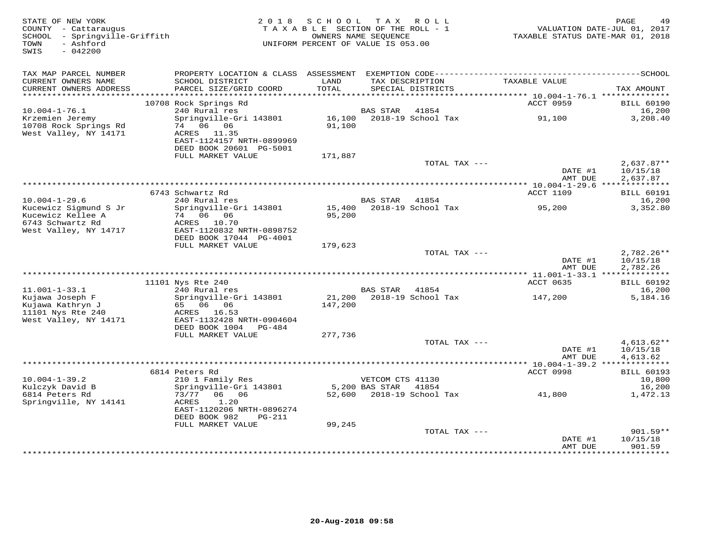| STATE OF NEW YORK<br>COUNTY - Cattaraugus<br>SCHOOL - Springville-Griffith<br>- Ashford<br>TOWN<br>SWIS<br>$-042200$ |                                                                                                           | 2018 SCHOOL TAX ROLL<br>TAXABLE SECTION OF THE ROLL - 1<br>UNIFORM PERCENT OF VALUE IS 053.00 | OWNERS NAME SEQUENCE               |                                      | TAXABLE STATUS DATE-MAR 01, 2018                | PAGE<br>49<br>VALUATION DATE-JUL 01, 2017 |
|----------------------------------------------------------------------------------------------------------------------|-----------------------------------------------------------------------------------------------------------|-----------------------------------------------------------------------------------------------|------------------------------------|--------------------------------------|-------------------------------------------------|-------------------------------------------|
| TAX MAP PARCEL NUMBER                                                                                                |                                                                                                           |                                                                                               |                                    |                                      |                                                 |                                           |
| CURRENT OWNERS NAME<br>CURRENT OWNERS ADDRESS<br>************************                                            | SCHOOL DISTRICT<br>PARCEL SIZE/GRID COORD                                                                 | LAND<br>TOTAL                                                                                 |                                    | TAX DESCRIPTION<br>SPECIAL DISTRICTS | TAXABLE VALUE                                   | TAX AMOUNT                                |
|                                                                                                                      | 10708 Rock Springs Rd                                                                                     |                                                                                               |                                    |                                      | ACCT 0959                                       | <b>BILL 60190</b>                         |
| $10.004 - 1 - 76.1$                                                                                                  | 240 Rural res                                                                                             |                                                                                               | BAS STAR                           | 41854                                |                                                 | 16,200                                    |
| Krzemien Jeremy<br>10708 Rock Springs Rd<br>West Valley, NY 14171                                                    | Springville-Gri 143801<br>74 06 06<br>ACRES 11.35<br>EAST-1124157 NRTH-0899969<br>DEED BOOK 20601 PG-5001 | 16,100<br>91,100                                                                              |                                    | 2018-19 School Tax                   | 91,100                                          | 3,208.40                                  |
|                                                                                                                      | FULL MARKET VALUE                                                                                         | 171,887                                                                                       |                                    |                                      |                                                 |                                           |
|                                                                                                                      |                                                                                                           |                                                                                               |                                    | TOTAL TAX ---                        | DATE #1<br>AMT DUE                              | $2,637.87**$<br>10/15/18<br>2,637.87      |
|                                                                                                                      |                                                                                                           |                                                                                               |                                    |                                      | ***************** 10.004-1-29.6 *************** |                                           |
|                                                                                                                      | 6743 Schwartz Rd                                                                                          |                                                                                               |                                    |                                      | ACCT 1109                                       | <b>BILL 60191</b>                         |
| $10.004 - 1 - 29.6$<br>Kucewicz Sigmund S Jr<br>Kucewicz Kellee A                                                    | 240 Rural res<br>Springville-Gri 143801<br>74 06 06                                                       | 95,200                                                                                        | <b>BAS STAR</b>                    | 41854<br>15,400 2018-19 School Tax   | 95,200                                          | 16,200<br>3,352.80                        |
| 6743 Schwartz Rd<br>West Valley, NY 14717                                                                            | ACRES 10.70<br>EAST-1120832 NRTH-0898752<br>DEED BOOK 17044 PG-4001                                       |                                                                                               |                                    |                                      |                                                 |                                           |
|                                                                                                                      | FULL MARKET VALUE                                                                                         | 179,623                                                                                       |                                    |                                      |                                                 |                                           |
|                                                                                                                      |                                                                                                           |                                                                                               |                                    | TOTAL TAX ---                        | DATE #1<br>AMT DUE                              | $2,782.26**$<br>10/15/18<br>2,782.26      |
|                                                                                                                      | 11101 Nys Rte 240                                                                                         |                                                                                               |                                    |                                      | ACCT 0635                                       | <b>BILL 60192</b>                         |
| $11.001 - 1 - 33.1$                                                                                                  | 240 Rural res                                                                                             |                                                                                               | BAS STAR 41854                     |                                      |                                                 | 16,200                                    |
| Kujawa Joseph F<br>Kujawa Kathryn J<br>11101 Nys Rte 240                                                             | Springville-Gri 143801<br>65 06 06<br>ACRES 16.53                                                         | 147,200                                                                                       |                                    | 21,200 2018-19 School Tax            | 147,200                                         | 5,184.16                                  |
| West Valley, NY 14171                                                                                                | EAST-1132428 NRTH-0904604<br>DEED BOOK 1004<br>PG-484                                                     |                                                                                               |                                    |                                      |                                                 |                                           |
|                                                                                                                      | FULL MARKET VALUE                                                                                         | 277,736                                                                                       |                                    | TOTAL TAX ---                        |                                                 | $4,613.62**$                              |
|                                                                                                                      |                                                                                                           |                                                                                               |                                    |                                      | DATE #1<br>AMT DUE                              | 10/15/18<br>4,613.62                      |
|                                                                                                                      |                                                                                                           |                                                                                               |                                    |                                      |                                                 |                                           |
|                                                                                                                      | 6814 Peters Rd                                                                                            |                                                                                               |                                    |                                      | <b>ACCT 0998</b>                                | <b>BILL 60193</b>                         |
| $10.004 - 1 - 39.2$<br>Kulczyk David B                                                                               | 210 1 Family Res<br>Springville-Gri 143801                                                                |                                                                                               | VETCOM CTS 41130<br>5,200 BAS STAR | 41854                                |                                                 | 10,800<br>16,200                          |
| 6814 Peters Rd<br>Springville, NY 14141                                                                              | 73/77<br>06<br>06<br>1.20<br>ACRES<br>EAST-1120206 NRTH-0896274<br>DEED BOOK 982<br>PG-211                |                                                                                               |                                    | 52,600 2018-19 School Tax            | 41,800                                          | 1,472.13                                  |
|                                                                                                                      | FULL MARKET VALUE                                                                                         | 99,245                                                                                        |                                    |                                      |                                                 |                                           |
|                                                                                                                      |                                                                                                           |                                                                                               |                                    | TOTAL TAX ---                        | DATE #1<br>AMT DUE                              | $901.59**$<br>10/15/18<br>901.59          |
|                                                                                                                      |                                                                                                           |                                                                                               |                                    |                                      | ***************                                 | *********                                 |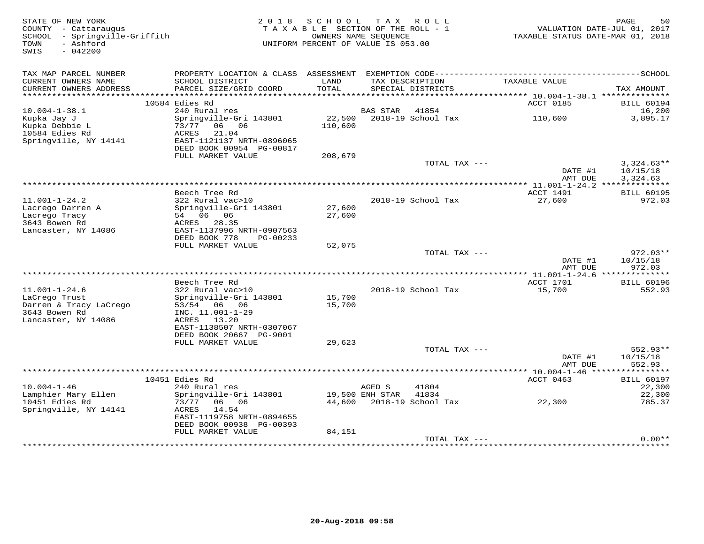| STATE OF NEW YORK<br>COUNTY - Cattaraugus<br>SCHOOL - Springville-Griffith<br>- Ashford<br>TOWN<br>SWIS<br>$-042200$ | 2 0 1 8                                                                                                                      | SCHOOL TAX ROLL<br>TAXABLE SECTION OF THE ROLL - 1<br>OWNERS NAME SEOUENCE<br>UNIFORM PERCENT OF VALUE IS 053.00 |                 |                                      | TAXABLE STATUS DATE-MAR 01, 2018 | 50<br>PAGE<br>VALUATION DATE-JUL 01, 2017 |
|----------------------------------------------------------------------------------------------------------------------|------------------------------------------------------------------------------------------------------------------------------|------------------------------------------------------------------------------------------------------------------|-----------------|--------------------------------------|----------------------------------|-------------------------------------------|
| TAX MAP PARCEL NUMBER<br>CURRENT OWNERS NAME<br>CURRENT OWNERS ADDRESS                                               | SCHOOL DISTRICT<br>PARCEL SIZE/GRID COORD                                                                                    | LAND<br>TOTAL                                                                                                    |                 | TAX DESCRIPTION<br>SPECIAL DISTRICTS | TAXABLE VALUE                    | TAX AMOUNT                                |
|                                                                                                                      |                                                                                                                              |                                                                                                                  |                 |                                      |                                  |                                           |
|                                                                                                                      | 10584 Edies Rd                                                                                                               |                                                                                                                  |                 |                                      | ACCT 0185                        | <b>BILL 60194</b>                         |
| $10.004 - 1 - 38.1$<br>Kupka Jay J<br>Kupka Debbie L<br>10584 Edies Rd<br>Springville, NY 14141                      | 240 Rural res<br>Springville-Gri 143801<br>73/77 06 06<br>21.04<br>ACRES<br>EAST-1121137 NRTH-0896065                        | 22,500<br>110,600                                                                                                | <b>BAS STAR</b> | 41854<br>2018-19 School Tax          | 110,600                          | 16,200<br>3,895.17                        |
|                                                                                                                      | DEED BOOK 00954 PG-00817                                                                                                     |                                                                                                                  |                 |                                      |                                  |                                           |
|                                                                                                                      | FULL MARKET VALUE                                                                                                            | 208,679                                                                                                          |                 |                                      |                                  |                                           |
|                                                                                                                      |                                                                                                                              |                                                                                                                  |                 | TOTAL TAX ---                        | DATE #1<br>AMT DUE               | $3,324.63**$<br>10/15/18<br>3,324.63      |
|                                                                                                                      |                                                                                                                              |                                                                                                                  |                 |                                      |                                  |                                           |
|                                                                                                                      | Beech Tree Rd                                                                                                                |                                                                                                                  |                 |                                      | ACCT 1491                        | <b>BILL 60195</b>                         |
| $11.001 - 1 - 24.2$<br>Lacrego Darren A                                                                              | 322 Rural vac>10<br>Springville-Gri 143801                                                                                   | 27,600                                                                                                           |                 | 2018-19 School Tax                   | 27,600                           | 972.03                                    |
| Lacrego Tracy<br>3643 Bowen Rd<br>Lancaster, NY 14086                                                                | 54 06 06<br>ACRES<br>28.35<br>EAST-1137996 NRTH-0907563                                                                      | 27,600                                                                                                           |                 |                                      |                                  |                                           |
|                                                                                                                      | DEED BOOK 778<br>PG-00233<br>FULL MARKET VALUE                                                                               |                                                                                                                  |                 |                                      |                                  |                                           |
|                                                                                                                      |                                                                                                                              | 52,075                                                                                                           |                 | TOTAL TAX ---                        | DATE #1                          | $972.03**$<br>10/15/18                    |
|                                                                                                                      |                                                                                                                              |                                                                                                                  |                 |                                      | AMT DUE                          | 972.03                                    |
|                                                                                                                      |                                                                                                                              |                                                                                                                  |                 |                                      |                                  |                                           |
| $11.001 - 1 - 24.6$                                                                                                  | Beech Tree Rd                                                                                                                |                                                                                                                  |                 | 2018-19 School Tax                   | ACCT 1701                        | <b>BILL 60196</b>                         |
| LaCrego Trust<br>Darren & Tracy LaCrego<br>3643 Bowen Rd<br>Lancaster, NY 14086                                      | 322 Rural vac>10<br>Springville-Gri 143801<br>53/54 06 06<br>INC. 11.001-1-29<br>13.20<br>ACRES<br>EAST-1138507 NRTH-0307067 | 15,700<br>15,700                                                                                                 |                 |                                      | 15,700                           | 552.93                                    |
|                                                                                                                      | DEED BOOK 20667 PG-9001                                                                                                      |                                                                                                                  |                 |                                      |                                  |                                           |
|                                                                                                                      | FULL MARKET VALUE                                                                                                            | 29,623                                                                                                           |                 | TOTAL TAX ---                        | DATE #1                          | 552.93**<br>10/15/18                      |
|                                                                                                                      |                                                                                                                              |                                                                                                                  |                 |                                      | AMT DUE                          | 552.93                                    |
|                                                                                                                      | 10451 Edies Rd                                                                                                               |                                                                                                                  |                 |                                      | ACCT 0463                        | <b>BILL 60197</b>                         |
| $10.004 - 1 - 46$                                                                                                    | 240 Rural res                                                                                                                |                                                                                                                  | AGED S          | 41804                                |                                  | 22,300                                    |
| Lamphier Mary Ellen<br>10451 Edies Rd<br>Springville, NY 14141                                                       | Springville-Gri 143801<br>73/77<br>06 06<br>14.54<br>ACRES<br>EAST-1119758 NRTH-0894655<br>DEED BOOK 00938 PG-00393          | 44,600                                                                                                           | 19,500 ENH STAR | 41834<br>2018-19 School Tax          | 22,300                           | 22,300<br>785.37                          |
|                                                                                                                      | FULL MARKET VALUE                                                                                                            | 84,151                                                                                                           |                 |                                      |                                  |                                           |
|                                                                                                                      |                                                                                                                              |                                                                                                                  |                 | TOTAL TAX ---                        |                                  | $0.00**$                                  |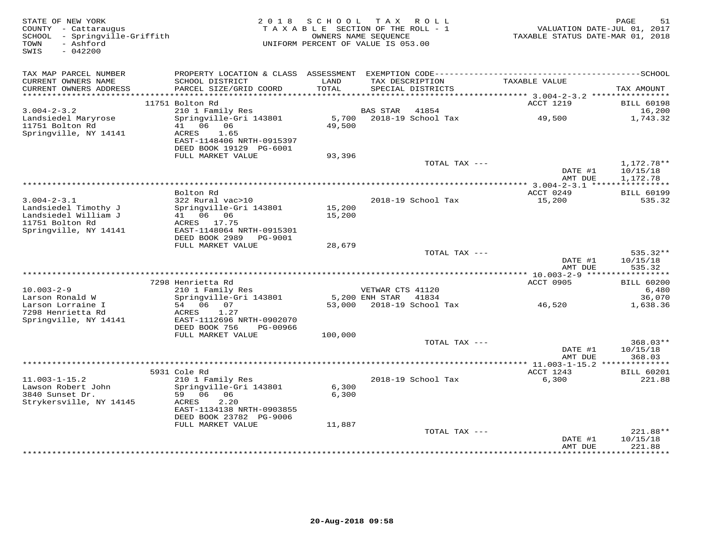| STATE OF NEW YORK<br>COUNTY - Cattaraugus<br>SCHOOL - Springville-Griffith<br>- Ashford<br>TOWN | 2 0 1 8                                        | SCHOOL        | TAX ROLL<br>TAXABLE SECTION OF THE ROLL - 1<br>OWNERS NAME SEQUENCE<br>UNIFORM PERCENT OF VALUE IS 053.00 | TAXABLE STATUS DATE-MAR 01, 2018   | PAGE<br>51<br>VALUATION DATE-JUL 01, 2017 |
|-------------------------------------------------------------------------------------------------|------------------------------------------------|---------------|-----------------------------------------------------------------------------------------------------------|------------------------------------|-------------------------------------------|
| $-042200$<br>SWIS                                                                               |                                                |               |                                                                                                           |                                    |                                           |
| TAX MAP PARCEL NUMBER                                                                           | PROPERTY LOCATION & CLASS ASSESSMENT           |               |                                                                                                           |                                    |                                           |
| CURRENT OWNERS NAME<br>CURRENT OWNERS ADDRESS                                                   | SCHOOL DISTRICT<br>PARCEL SIZE/GRID COORD      | LAND<br>TOTAL | TAX DESCRIPTION<br>SPECIAL DISTRICTS                                                                      | TAXABLE VALUE                      | TAX AMOUNT                                |
| ***********************                                                                         |                                                |               |                                                                                                           |                                    |                                           |
|                                                                                                 | 11751 Bolton Rd                                |               |                                                                                                           | ACCT 1219                          | <b>BILL 60198</b>                         |
| $3.004 - 2 - 3.2$<br>Landsiedel Maryrose                                                        | 210 1 Family Res<br>Springville-Gri 143801     | 5,700         | <b>BAS STAR</b><br>41854<br>2018-19 School Tax                                                            | 49,500                             | 16,200<br>1,743.32                        |
| 11751 Bolton Rd                                                                                 | 41 06 06                                       | 49,500        |                                                                                                           |                                    |                                           |
| Springville, NY 14141                                                                           | 1.65<br>ACRES                                  |               |                                                                                                           |                                    |                                           |
|                                                                                                 | EAST-1148406 NRTH-0915397                      |               |                                                                                                           |                                    |                                           |
|                                                                                                 | DEED BOOK 19129 PG-6001                        |               |                                                                                                           |                                    |                                           |
|                                                                                                 | FULL MARKET VALUE                              | 93,396        | TOTAL TAX ---                                                                                             |                                    | 1,172.78**                                |
|                                                                                                 |                                                |               |                                                                                                           | DATE #1                            | 10/15/18                                  |
|                                                                                                 |                                                |               |                                                                                                           | AMT DUE                            | 1,172.78                                  |
|                                                                                                 |                                                |               |                                                                                                           | **************** 3.004-2-3.1 ***** | ***********                               |
| $3.004 - 2 - 3.1$                                                                               | Bolton Rd<br>322 Rural vac>10                  |               | 2018-19 School Tax                                                                                        | ACCT 0249<br>15,200                | <b>BILL 60199</b><br>535.32               |
| Landsiedel Timothy J                                                                            | Springville-Gri 143801                         | 15,200        |                                                                                                           |                                    |                                           |
| Landsiedel William J                                                                            | 41 06 06                                       | 15,200        |                                                                                                           |                                    |                                           |
| 11751 Bolton Rd                                                                                 | ACRES 17.75                                    |               |                                                                                                           |                                    |                                           |
| Springville, NY 14141                                                                           | EAST-1148064 NRTH-0915301                      |               |                                                                                                           |                                    |                                           |
|                                                                                                 | DEED BOOK 2989 PG-9001                         |               |                                                                                                           |                                    |                                           |
|                                                                                                 | FULL MARKET VALUE                              | 28,679        | TOTAL TAX ---                                                                                             |                                    | $535.32**$                                |
|                                                                                                 |                                                |               |                                                                                                           | DATE #1                            | 10/15/18                                  |
|                                                                                                 |                                                |               |                                                                                                           | AMT DUE                            | 535.32                                    |
|                                                                                                 |                                                |               |                                                                                                           |                                    |                                           |
| $10.003 - 2 - 9$                                                                                | 7298 Henrietta Rd                              |               | VETWAR CTS 41120                                                                                          | ACCT 0905                          | <b>BILL 60200</b><br>6,480                |
| Larson Ronald W                                                                                 | 210 1 Family Res<br>Springville-Gri 143801     |               | 5,200 ENH STAR<br>41834                                                                                   |                                    | 36,070                                    |
| Larson Lorraine I                                                                               | 54 06 07                                       |               | 53,000 2018-19 School Tax                                                                                 | 46,520                             | 1,638.36                                  |
| 7298 Henrietta Rd                                                                               | ACRES<br>1.27                                  |               |                                                                                                           |                                    |                                           |
| Springville, NY 14141                                                                           | EAST-1112696 NRTH-0902070                      |               |                                                                                                           |                                    |                                           |
|                                                                                                 | DEED BOOK 756<br>PG-00966<br>FULL MARKET VALUE | 100,000       |                                                                                                           |                                    |                                           |
|                                                                                                 |                                                |               | TOTAL TAX ---                                                                                             |                                    | 368.03**                                  |
|                                                                                                 |                                                |               |                                                                                                           | DATE #1                            | 10/15/18                                  |
|                                                                                                 |                                                |               |                                                                                                           | AMT DUE                            | 368.03                                    |
|                                                                                                 |                                                |               |                                                                                                           |                                    |                                           |
| $11.003 - 1 - 15.2$                                                                             | 5931 Cole Rd<br>210 1 Family Res               |               | 2018-19 School Tax                                                                                        | ACCT 1243<br>6,300                 | <b>BILL 60201</b><br>221.88               |
| Lawson Robert John                                                                              | Springville-Gri 143801                         | 6,300         |                                                                                                           |                                    |                                           |
| 3840 Sunset Dr.                                                                                 | 59 06<br>06                                    | 6,300         |                                                                                                           |                                    |                                           |
| Strykersville, NY 14145                                                                         | 2.20<br>ACRES                                  |               |                                                                                                           |                                    |                                           |
|                                                                                                 | EAST-1134138 NRTH-0903855                      |               |                                                                                                           |                                    |                                           |
|                                                                                                 | DEED BOOK 23782 PG-9006<br>FULL MARKET VALUE   | 11,887        |                                                                                                           |                                    |                                           |
|                                                                                                 |                                                |               | TOTAL TAX ---                                                                                             |                                    | 221.88**                                  |
|                                                                                                 |                                                |               |                                                                                                           | DATE #1                            | 10/15/18                                  |
|                                                                                                 |                                                |               |                                                                                                           | AMT DUE<br>*************           | 221.88<br>**********                      |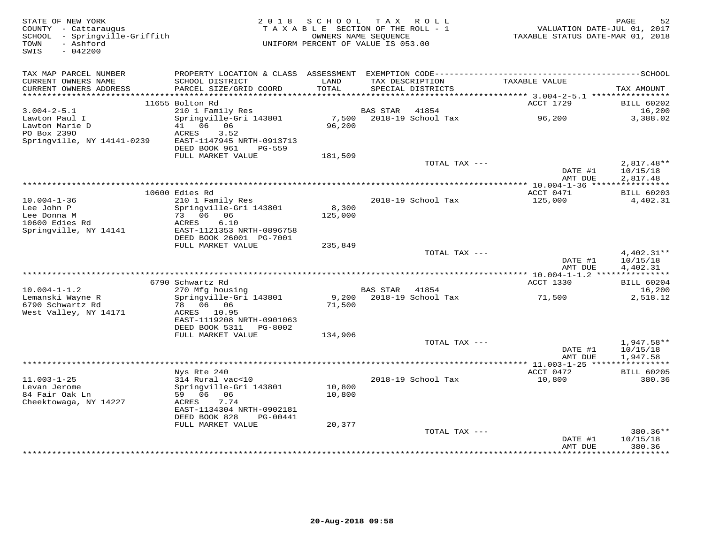| STATE OF NEW YORK<br>COUNTY - Cattaraugus<br>SCHOOL - Springville-Griffith<br>- Ashford<br>TOWN | 2018                               | S C H O O L<br>TAXABLE SECTION OF THE ROLL - 1<br>UNIFORM PERCENT OF VALUE IS 053.00 | OWNERS NAME SEQUENCE | TAX ROLL                 | VALUATION DATE-JUL 01, 2017<br>TAXABLE STATUS DATE-MAR 01, 2018 | PAGE<br>52               |
|-------------------------------------------------------------------------------------------------|------------------------------------|--------------------------------------------------------------------------------------|----------------------|--------------------------|-----------------------------------------------------------------|--------------------------|
| SWIS<br>$-042200$                                                                               |                                    |                                                                                      |                      |                          |                                                                 |                          |
|                                                                                                 |                                    |                                                                                      |                      |                          |                                                                 |                          |
| TAX MAP PARCEL NUMBER<br>CURRENT OWNERS NAME                                                    | SCHOOL DISTRICT                    | LAND                                                                                 |                      | TAX DESCRIPTION          | TAXABLE VALUE                                                   |                          |
| CURRENT OWNERS ADDRESS                                                                          | PARCEL SIZE/GRID COORD             | TOTAL                                                                                |                      | SPECIAL DISTRICTS        |                                                                 | TAX AMOUNT               |
| ***********************                                                                         |                                    |                                                                                      |                      |                          |                                                                 |                          |
|                                                                                                 | 11655 Bolton Rd                    |                                                                                      |                      |                          | ACCT 1729                                                       | <b>BILL 60202</b>        |
| $3.004 - 2 - 5.1$                                                                               | 210 1 Family Res                   |                                                                                      | <b>BAS STAR</b>      | 41854                    |                                                                 | 16,200                   |
| Lawton Paul I<br>Lawton Marie D                                                                 | Springville-Gri 143801<br>41 06 06 | 7,500<br>96,200                                                                      |                      | 2018-19 School Tax       | 96,200                                                          | 3,388.02                 |
| PO Box 2390                                                                                     | ACRES<br>3.52                      |                                                                                      |                      |                          |                                                                 |                          |
| Springville, NY 14141-0239                                                                      | EAST-1147945 NRTH-0913713          |                                                                                      |                      |                          |                                                                 |                          |
|                                                                                                 | DEED BOOK 961<br><b>PG-559</b>     |                                                                                      |                      |                          |                                                                 |                          |
|                                                                                                 | FULL MARKET VALUE                  | 181,509                                                                              |                      |                          |                                                                 |                          |
|                                                                                                 |                                    |                                                                                      |                      | TOTAL TAX ---            | DATE #1                                                         | $2,817.48**$<br>10/15/18 |
|                                                                                                 |                                    |                                                                                      |                      |                          | AMT DUE                                                         | 2,817.48                 |
|                                                                                                 |                                    | ***********************************                                                  |                      |                          | *** $10.004 - 1 - 36$ ****                                      | ***********              |
|                                                                                                 | 10600 Edies Rd                     |                                                                                      |                      |                          | ACCT 0471                                                       | <b>BILL 60203</b>        |
| $10.004 - 1 - 36$                                                                               | 210 1 Family Res                   |                                                                                      |                      | 2018-19 School Tax       | 125,000                                                         | 4,402.31                 |
| Lee John P<br>Lee Donna M                                                                       | Springville-Gri 143801<br>73 06 06 | 8,300<br>125,000                                                                     |                      |                          |                                                                 |                          |
| 10600 Edies Rd                                                                                  | 6.10<br>ACRES                      |                                                                                      |                      |                          |                                                                 |                          |
| Springville, NY 14141                                                                           | EAST-1121353 NRTH-0896758          |                                                                                      |                      |                          |                                                                 |                          |
|                                                                                                 | DEED BOOK 26001 PG-7001            |                                                                                      |                      |                          |                                                                 |                          |
|                                                                                                 | FULL MARKET VALUE                  | 235,849                                                                              |                      |                          |                                                                 |                          |
|                                                                                                 |                                    |                                                                                      |                      | TOTAL TAX ---            | DATE #1                                                         | 4,402.31**<br>10/15/18   |
|                                                                                                 |                                    |                                                                                      |                      |                          | AMT DUE                                                         | 4,402.31                 |
|                                                                                                 |                                    |                                                                                      |                      |                          |                                                                 |                          |
|                                                                                                 | 6790 Schwartz Rd                   |                                                                                      |                      |                          | ACCT 1330                                                       | <b>BILL 60204</b>        |
| $10.004 - 1 - 1.2$                                                                              | 270 Mfg housing                    |                                                                                      | BAS STAR             | 41854                    |                                                                 | 16,200                   |
| Lemanski Wayne R<br>6790 Schwartz Rd                                                            | Springville-Gri 143801<br>78 06 06 | 71,500                                                                               |                      | 9,200 2018-19 School Tax | 71,500                                                          | 2,518.12                 |
| West Valley, NY 14171                                                                           | ACRES 10.95                        |                                                                                      |                      |                          |                                                                 |                          |
|                                                                                                 | EAST-1119208 NRTH-0901063          |                                                                                      |                      |                          |                                                                 |                          |
|                                                                                                 | DEED BOOK 5311<br>PG-8002          |                                                                                      |                      |                          |                                                                 |                          |
|                                                                                                 | FULL MARKET VALUE                  | 134,906                                                                              |                      |                          |                                                                 |                          |
|                                                                                                 |                                    |                                                                                      |                      | TOTAL TAX ---            | DATE #1                                                         | $1,947.58**$<br>10/15/18 |
|                                                                                                 |                                    |                                                                                      |                      |                          | AMT DUE                                                         | 1,947.58                 |
|                                                                                                 |                                    |                                                                                      |                      |                          | *************** 11.003-1-25 *****************                   |                          |
|                                                                                                 | Nys Rte 240                        |                                                                                      |                      |                          | ACCT 0472                                                       | <b>BILL 60205</b>        |
| $11.003 - 1 - 25$                                                                               | 314 Rural vac<10                   |                                                                                      |                      | 2018-19 School Tax       | 10,800                                                          | 380.36                   |
| Levan Jerome<br>84 Fair Oak Ln                                                                  | Springville-Gri 143801<br>59 06 06 | 10,800<br>10,800                                                                     |                      |                          |                                                                 |                          |
| Cheektowaga, NY 14227                                                                           | 7.74<br>ACRES                      |                                                                                      |                      |                          |                                                                 |                          |
|                                                                                                 | EAST-1134304 NRTH-0902181          |                                                                                      |                      |                          |                                                                 |                          |
|                                                                                                 | DEED BOOK 828<br>PG-00441          |                                                                                      |                      |                          |                                                                 |                          |
|                                                                                                 | FULL MARKET VALUE                  | 20,377                                                                               |                      |                          |                                                                 |                          |
|                                                                                                 |                                    |                                                                                      |                      | TOTAL TAX ---            | DATE #1                                                         | 380.36**<br>10/15/18     |
|                                                                                                 |                                    |                                                                                      |                      |                          | AMT DUE                                                         | 380.36                   |
|                                                                                                 |                                    |                                                                                      |                      |                          | ***********                                                     | .                        |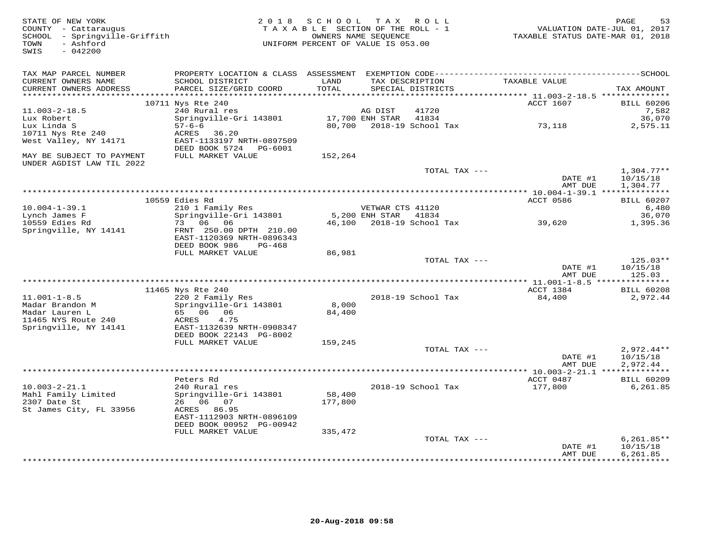| STATE OF NEW YORK<br>COUNTY - Cattaraugus<br>SCHOOL - Springville-Griffith<br>- Ashford<br>TOWN<br>$-042200$<br>SWIS |                                                                                                                                 | 2018 SCHOOL TAX ROLL<br>TAXABLE SECTION OF THE ROLL - 1<br>UNIFORM PERCENT OF VALUE IS 053.00 | OWNERS NAME SEQUENCE                     |                                      | VALUATION DATE-JUL 01, 2017<br>TAXABLE STATUS DATE-MAR 01, 2018 | PAGE<br>53                           |
|----------------------------------------------------------------------------------------------------------------------|---------------------------------------------------------------------------------------------------------------------------------|-----------------------------------------------------------------------------------------------|------------------------------------------|--------------------------------------|-----------------------------------------------------------------|--------------------------------------|
| TAX MAP PARCEL NUMBER<br>CURRENT OWNERS NAME<br>CURRENT OWNERS ADDRESS<br>*******************                        | SCHOOL DISTRICT<br>PARCEL SIZE/GRID COORD                                                                                       | LAND<br>TOTAL<br>***********                                                                  | TAX DESCRIPTION                          | SPECIAL DISTRICTS                    | TAXABLE VALUE                                                   | TAX AMOUNT                           |
|                                                                                                                      | 10711 Nys Rte 240                                                                                                               |                                                                                               |                                          |                                      | ACCT 1607                                                       | <b>BILL 60206</b>                    |
| $11.003 - 2 - 18.5$<br>Lux Robert<br>Lux Linda S<br>10711 Nys Rte 240                                                | 240 Rural res<br>Springville-Gri 143801<br>$57 - 6 - 6$<br>36.20<br>ACRES                                                       | 80,700                                                                                        | AG DIST<br>17,700 ENH STAR               | 41720<br>41834<br>2018-19 School Tax | 73,118                                                          | 7,582<br>36,070<br>2,575.11          |
| West Valley, NY 14171<br>MAY BE SUBJECT TO PAYMENT<br>UNDER AGDIST LAW TIL 2022                                      | EAST-1133197 NRTH-0897509<br>DEED BOOK 5724 PG-6001<br>FULL MARKET VALUE                                                        | 152,264                                                                                       |                                          |                                      |                                                                 |                                      |
|                                                                                                                      |                                                                                                                                 |                                                                                               |                                          | TOTAL TAX ---                        | DATE #1<br>AMT DUE                                              | $1,304.77**$<br>10/15/18<br>1,304.77 |
|                                                                                                                      | 10559 Edies Rd                                                                                                                  |                                                                                               |                                          |                                      | ACCT 0586                                                       | <b>BILL 60207</b>                    |
| $10.004 - 1 - 39.1$<br>Lynch James F                                                                                 | 210 1 Family Res<br>Springville-Gri 143801                                                                                      |                                                                                               | VETWAR CTS 41120<br>5,200 ENH STAR 41834 |                                      |                                                                 | 6,480<br>36,070                      |
| 10559 Edies Rd<br>Springville, NY 14141                                                                              | 73 06 06<br>FRNT 250.00 DPTH 210.00<br>EAST-1120369 NRTH-0896343<br>DEED BOOK 986<br>PG-468                                     | 46,100                                                                                        |                                          | 2018-19 School Tax                   | 39,620                                                          | 1,395.36                             |
|                                                                                                                      | FULL MARKET VALUE                                                                                                               | 86,981                                                                                        |                                          |                                      |                                                                 |                                      |
|                                                                                                                      |                                                                                                                                 |                                                                                               |                                          | TOTAL TAX ---                        | DATE #1<br>AMT DUE                                              | $125.03**$<br>10/15/18<br>125.03     |
|                                                                                                                      |                                                                                                                                 |                                                                                               |                                          |                                      |                                                                 |                                      |
| $11.001 - 1 - 8.5$                                                                                                   | 11465 Nys Rte 240                                                                                                               |                                                                                               |                                          |                                      | ACCT 1384                                                       | <b>BILL 60208</b>                    |
| Madar Brandon M<br>Madar Lauren L<br>11465 NYS Route 240<br>Springville, NY 14141                                    | 220 2 Family Res<br>Springville-Gri 143801<br>65 06 06<br>4.75<br>ACRES<br>EAST-1132639 NRTH-0908347<br>DEED BOOK 22143 PG-8002 | 8,000<br>84,400                                                                               |                                          | 2018-19 School Tax                   | 84,400                                                          | 2,972.44                             |
|                                                                                                                      | FULL MARKET VALUE                                                                                                               | 159,245                                                                                       |                                          |                                      |                                                                 |                                      |
|                                                                                                                      |                                                                                                                                 |                                                                                               |                                          | TOTAL TAX ---                        | DATE #1<br>AMT DUE                                              | $2,972.44**$<br>10/15/18<br>2,972.44 |
|                                                                                                                      | Peters Rd                                                                                                                       |                                                                                               |                                          |                                      | ACCT 0487                                                       | <b>BILL 60209</b>                    |
| $10.003 - 2 - 21.1$<br>Mahl Family Limited                                                                           | 240 Rural res<br>Springville-Gri 143801                                                                                         | 58,400                                                                                        |                                          | 2018-19 School Tax                   | 177,800                                                         | 6,261.85                             |
| 2307 Date St<br>St James City, FL 33956                                                                              | 26 06 07<br>ACRES 86.95<br>EAST-1112903 NRTH-0896109<br>DEED BOOK 00952 PG-00942                                                | 177,800                                                                                       |                                          |                                      |                                                                 |                                      |
|                                                                                                                      | FULL MARKET VALUE                                                                                                               | 335,472                                                                                       |                                          | TOTAL TAX ---                        |                                                                 | $6, 261.85**$                        |
|                                                                                                                      |                                                                                                                                 |                                                                                               |                                          |                                      | DATE #1<br>AMT DUE                                              | 10/15/18<br>6,261.85<br>***********  |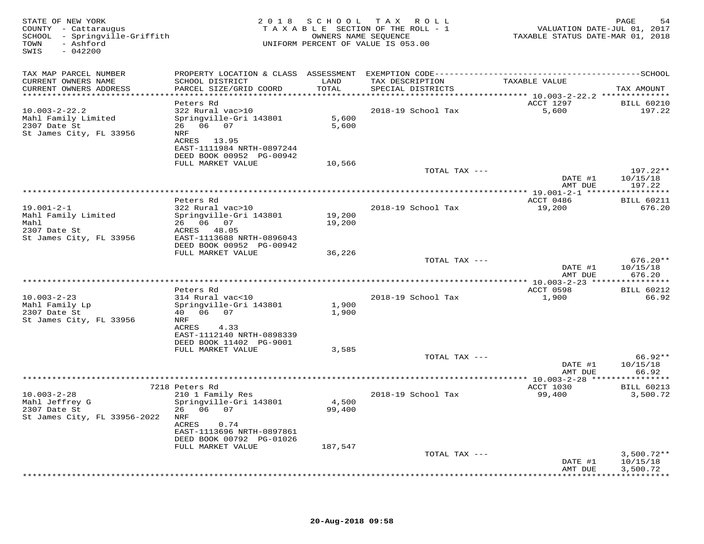| STATE OF NEW YORK<br>COUNTY - Cattaraugus<br>SCHOOL - Springville-Griffith<br>- Ashford<br>TOWN<br>$-042200$<br>SWIS |                                                                              |                  | 2018 SCHOOL TAX ROLL<br>TAXABLE SECTION OF THE ROLL - 1<br>OWNERS NAME SEQUENCE<br>UNIFORM PERCENT OF VALUE IS 053.00 | VALUATION DATE-JUL 01, 2017<br>TAXABLE STATUS DATE-MAR 01, 2018 | PAGE<br>54                           |
|----------------------------------------------------------------------------------------------------------------------|------------------------------------------------------------------------------|------------------|-----------------------------------------------------------------------------------------------------------------------|-----------------------------------------------------------------|--------------------------------------|
| TAX MAP PARCEL NUMBER<br>CURRENT OWNERS NAME                                                                         | SCHOOL DISTRICT                                                              | LAND             | TAX DESCRIPTION                                                                                                       | TAXABLE VALUE                                                   |                                      |
| CURRENT OWNERS ADDRESS<br>******************************                                                             | PARCEL SIZE/GRID COORD                                                       | TOTAL            | SPECIAL DISTRICTS                                                                                                     |                                                                 | TAX AMOUNT                           |
|                                                                                                                      | Peters Rd                                                                    |                  |                                                                                                                       | ACCT 1297                                                       | <b>BILL 60210</b>                    |
| $10.003 - 2 - 22.2$<br>Mahl Family Limited<br>2307 Date St<br>St James City, FL 33956                                | 322 Rural vac>10<br>Springville-Gri 143801<br>26 06 07<br>NRF<br>ACRES 13.95 | 5,600<br>5,600   | 2018-19 School Tax                                                                                                    | 5,600                                                           | 197.22                               |
|                                                                                                                      | EAST-1111984 NRTH-0897244<br>DEED BOOK 00952 PG-00942                        |                  |                                                                                                                       |                                                                 |                                      |
|                                                                                                                      | FULL MARKET VALUE                                                            | 10,566           |                                                                                                                       |                                                                 |                                      |
|                                                                                                                      |                                                                              |                  | TOTAL TAX ---                                                                                                         | DATE #1<br>AMT DUE                                              | 197.22**<br>10/15/18<br>197.22       |
|                                                                                                                      |                                                                              |                  |                                                                                                                       |                                                                 |                                      |
|                                                                                                                      | Peters Rd                                                                    |                  |                                                                                                                       | ACCT 0486                                                       | <b>BILL 60211</b>                    |
| $19.001 - 2 - 1$<br>Mahl Family Limited<br>Mahl                                                                      | 322 Rural vac>10<br>Springville-Gri 143801<br>26 06 07                       | 19,200<br>19,200 | 2018-19 School Tax                                                                                                    | 19,200                                                          | 676.20                               |
| 2307 Date St<br>St James City, FL 33956                                                                              | ACRES 48.05<br>EAST-1113688 NRTH-0896043                                     |                  |                                                                                                                       |                                                                 |                                      |
|                                                                                                                      | DEED BOOK 00952 PG-00942<br>FULL MARKET VALUE                                | 36,226           |                                                                                                                       |                                                                 |                                      |
|                                                                                                                      |                                                                              |                  | TOTAL TAX ---                                                                                                         | DATE #1<br>AMT DUE                                              | $676.20**$<br>10/15/18<br>676.20     |
|                                                                                                                      |                                                                              |                  |                                                                                                                       |                                                                 |                                      |
|                                                                                                                      | Peters Rd                                                                    |                  |                                                                                                                       | ACCT 0598                                                       | <b>BILL 60212</b>                    |
| $10.003 - 2 - 23$<br>Mahl Family Lp<br>2307 Date St                                                                  | 314 Rural vac<10<br>Springville-Gri 143801<br>40  06  07                     | 1,900<br>1,900   | 2018-19 School Tax                                                                                                    | 1,900                                                           | 66.92                                |
| St James City, FL 33956                                                                                              | NRF<br>ACRES<br>4.33<br>EAST-1112140 NRTH-0898339                            |                  |                                                                                                                       |                                                                 |                                      |
|                                                                                                                      | DEED BOOK 11402 PG-9001                                                      |                  |                                                                                                                       |                                                                 |                                      |
|                                                                                                                      | FULL MARKET VALUE                                                            | 3,585            |                                                                                                                       |                                                                 |                                      |
|                                                                                                                      |                                                                              |                  | TOTAL TAX ---                                                                                                         | DATE #1<br>AMT DUE                                              | $66.92**$<br>10/15/18<br>66.92       |
|                                                                                                                      |                                                                              |                  |                                                                                                                       |                                                                 |                                      |
|                                                                                                                      | 7218 Peters Rd                                                               |                  |                                                                                                                       | ACCT 1030                                                       | <b>BILL 60213</b>                    |
| $10.003 - 2 - 28$<br>Mahl Jeffrey G<br>2307 Date St<br>St James City, FL 33956-2022                                  | 210 1 Family Res<br>Springville-Gri 143801<br>26 06 07<br>NRF                | 4,500<br>99,400  | 2018-19 School Tax                                                                                                    | 99,400                                                          | 3,500.72                             |
|                                                                                                                      | ACRES<br>0.74<br>EAST-1113696 NRTH-0897861<br>DEED BOOK 00792 PG-01026       |                  |                                                                                                                       |                                                                 |                                      |
|                                                                                                                      | FULL MARKET VALUE                                                            | 187,547          |                                                                                                                       |                                                                 |                                      |
|                                                                                                                      |                                                                              |                  | TOTAL TAX ---                                                                                                         | DATE #1<br>AMT DUE                                              | $3,500.72**$<br>10/15/18<br>3,500.72 |
|                                                                                                                      |                                                                              |                  |                                                                                                                       |                                                                 |                                      |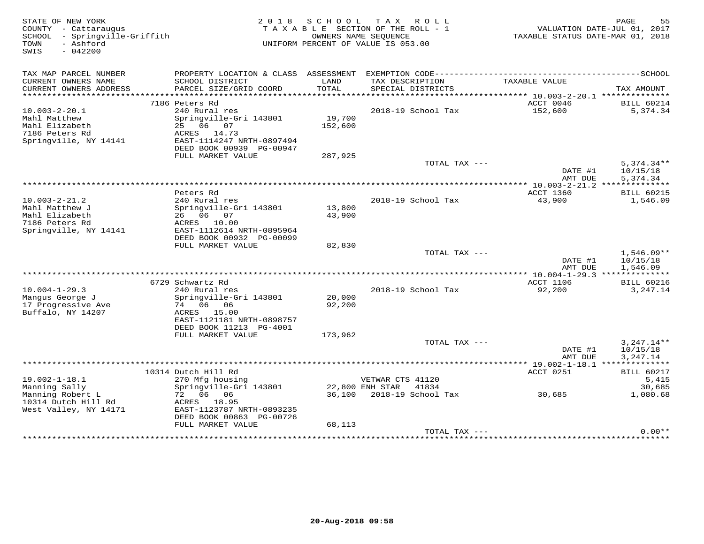| STATE OF NEW YORK<br>COUNTY - Cattaraugus<br>- Springville-Griffith<br>SCHOOL<br>- Ashford<br>TOWN<br>SWIS<br>$-042200$ |                                               | 2018 SCHOOL | TAX ROLL<br>TAXABLE SECTION OF THE ROLL - 1<br>OWNERS NAME SEOUENCE<br>UNIFORM PERCENT OF VALUE IS 053.00 | TAXABLE STATUS DATE-MAR 01, 2018 | PAGE<br>55<br>VALUATION DATE-JUL 01, 2017 |
|-------------------------------------------------------------------------------------------------------------------------|-----------------------------------------------|-------------|-----------------------------------------------------------------------------------------------------------|----------------------------------|-------------------------------------------|
|                                                                                                                         |                                               |             |                                                                                                           |                                  |                                           |
| TAX MAP PARCEL NUMBER<br>CURRENT OWNERS NAME                                                                            | SCHOOL DISTRICT                               | LAND        | TAX DESCRIPTION                                                                                           | TAXABLE VALUE                    |                                           |
| CURRENT OWNERS ADDRESS                                                                                                  | PARCEL SIZE/GRID COORD                        | TOTAL       | SPECIAL DISTRICTS                                                                                         |                                  | TAX AMOUNT                                |
|                                                                                                                         |                                               |             |                                                                                                           | ACCT 0046                        |                                           |
| $10.003 - 2 - 20.1$                                                                                                     | 7186 Peters Rd<br>240 Rural res               |             | 2018-19 School Tax                                                                                        | 152,600                          | <b>BILL 60214</b><br>5,374.34             |
| Mahl Matthew                                                                                                            | Springville-Gri 143801                        | 19,700      |                                                                                                           |                                  |                                           |
| Mahl Elizabeth                                                                                                          | 25 06 07                                      | 152,600     |                                                                                                           |                                  |                                           |
| 7186 Peters Rd                                                                                                          | ACRES 14.73                                   |             |                                                                                                           |                                  |                                           |
| Springville, NY 14141                                                                                                   | EAST-1114247 NRTH-0897494                     |             |                                                                                                           |                                  |                                           |
|                                                                                                                         | DEED BOOK 00939 PG-00947                      |             |                                                                                                           |                                  |                                           |
|                                                                                                                         | FULL MARKET VALUE                             | 287,925     |                                                                                                           |                                  |                                           |
|                                                                                                                         |                                               |             | TOTAL TAX ---                                                                                             | DATE #1                          | $5,374.34**$<br>10/15/18                  |
|                                                                                                                         |                                               |             |                                                                                                           | AMT DUE                          | 5,374.34                                  |
|                                                                                                                         |                                               |             |                                                                                                           |                                  |                                           |
|                                                                                                                         | Peters Rd                                     |             |                                                                                                           | ACCT 1360                        | <b>BILL 60215</b>                         |
| $10.003 - 2 - 21.2$                                                                                                     | 240 Rural res                                 |             | 2018-19 School Tax                                                                                        | 43,900                           | 1,546.09                                  |
| Mahl Matthew J                                                                                                          | Springville-Gri 143801                        | 13,800      |                                                                                                           |                                  |                                           |
| Mahl Elizabeth                                                                                                          | 26 06 07                                      | 43,900      |                                                                                                           |                                  |                                           |
| 7186 Peters Rd<br>Springville, NY 14141                                                                                 | ACRES 10.00<br>EAST-1112614 NRTH-0895964      |             |                                                                                                           |                                  |                                           |
|                                                                                                                         | DEED BOOK 00932 PG-00099                      |             |                                                                                                           |                                  |                                           |
|                                                                                                                         | FULL MARKET VALUE                             | 82,830      |                                                                                                           |                                  |                                           |
|                                                                                                                         |                                               |             | TOTAL TAX ---                                                                                             |                                  | $1,546.09**$                              |
|                                                                                                                         |                                               |             |                                                                                                           | DATE #1                          | 10/15/18                                  |
|                                                                                                                         |                                               |             |                                                                                                           | AMT DUE                          | 1,546.09                                  |
|                                                                                                                         |                                               |             |                                                                                                           |                                  |                                           |
| $10.004 - 1 - 29.3$                                                                                                     | 6729 Schwartz Rd<br>240 Rural res             |             | 2018-19 School Tax                                                                                        | <b>ACCT 1106</b><br>92,200       | <b>BILL 60216</b><br>3,247.14             |
| Mangus George J                                                                                                         | Springville-Gri 143801                        | 20,000      |                                                                                                           |                                  |                                           |
| 17 Progressive Ave                                                                                                      | 74 06 06                                      | 92,200      |                                                                                                           |                                  |                                           |
| Buffalo, NY 14207                                                                                                       | ACRES 15.00                                   |             |                                                                                                           |                                  |                                           |
|                                                                                                                         | EAST-1121181 NRTH-0898757                     |             |                                                                                                           |                                  |                                           |
|                                                                                                                         | DEED BOOK 11213 PG-4001                       |             |                                                                                                           |                                  |                                           |
|                                                                                                                         | FULL MARKET VALUE                             | 173,962     |                                                                                                           |                                  |                                           |
|                                                                                                                         |                                               |             | TOTAL TAX $---$                                                                                           |                                  | $3,247.14**$                              |
|                                                                                                                         |                                               |             |                                                                                                           | DATE #1<br>AMT DUE               | 10/15/18<br>3,247.14                      |
|                                                                                                                         |                                               |             |                                                                                                           |                                  |                                           |
|                                                                                                                         | 10314 Dutch Hill Rd                           |             |                                                                                                           | ACCT 0251                        | <b>BILL 60217</b>                         |
| $19.002 - 1 - 18.1$                                                                                                     | 270 Mfg housing                               |             | VETWAR CTS 41120                                                                                          |                                  | 5,415                                     |
| Manning Sally                                                                                                           | Springville-Gri 143801                        |             | 22,800 ENH STAR<br>41834                                                                                  |                                  | 30,685                                    |
| Manning Robert L                                                                                                        | 72 06 06                                      |             | 36,100 2018-19 School Tax                                                                                 | 30,685                           | 1,080.68                                  |
| 10314 Dutch Hill Rd                                                                                                     | ACRES 18.95                                   |             |                                                                                                           |                                  |                                           |
| West Valley, NY 14171                                                                                                   | EAST-1123787 NRTH-0893235                     |             |                                                                                                           |                                  |                                           |
|                                                                                                                         | DEED BOOK 00863 PG-00726<br>FULL MARKET VALUE | 68,113      |                                                                                                           |                                  |                                           |
|                                                                                                                         |                                               |             | TOTAL TAX ---                                                                                             |                                  | $0.00**$                                  |
|                                                                                                                         |                                               |             |                                                                                                           |                                  |                                           |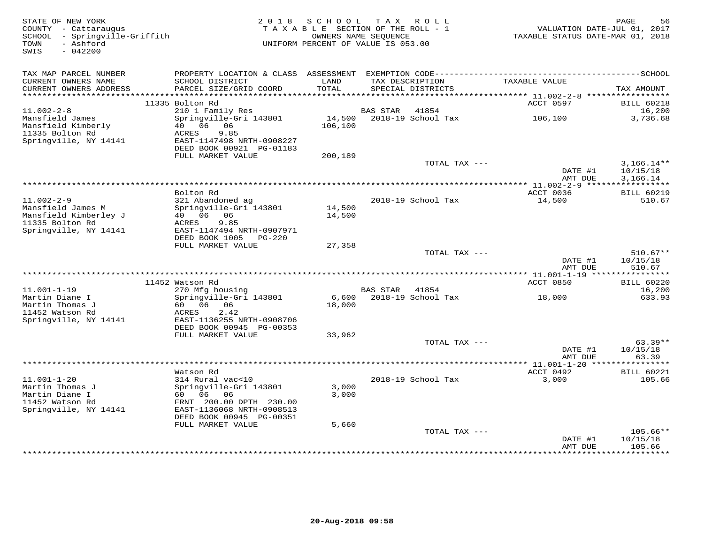| STATE OF NEW YORK<br>COUNTY - Cattaraugus<br>SCHOOL - Springville-Griffith | 2 0 1 8                                               | SCHOOL<br>TAXABLE SECTION OF THE ROLL - 1<br>OWNERS NAME SEQUENCE | T A X                  | R O L L            | VALUATION DATE-JUL 01, 2017<br>TAXABLE STATUS DATE-MAR 01, 2018 | PAGE<br>56                      |
|----------------------------------------------------------------------------|-------------------------------------------------------|-------------------------------------------------------------------|------------------------|--------------------|-----------------------------------------------------------------|---------------------------------|
| - Ashford<br>TOWN<br>SWIS<br>$-042200$                                     |                                                       | UNIFORM PERCENT OF VALUE IS 053.00                                |                        |                    |                                                                 |                                 |
| TAX MAP PARCEL NUMBER                                                      |                                                       |                                                                   |                        |                    |                                                                 |                                 |
| CURRENT OWNERS NAME                                                        | SCHOOL DISTRICT                                       | LAND                                                              |                        | TAX DESCRIPTION    | TAXABLE VALUE                                                   |                                 |
| CURRENT OWNERS ADDRESS<br>***********************                          | PARCEL SIZE/GRID COORD                                | TOTAL                                                             |                        | SPECIAL DISTRICTS  |                                                                 | TAX AMOUNT                      |
|                                                                            | 11335 Bolton Rd                                       |                                                                   |                        |                    | ACCT 0597                                                       | <b>BILL 60218</b>               |
| $11.002 - 2 - 8$                                                           | 210 1 Family Res                                      |                                                                   | <b>BAS STAR</b>        | 41854              |                                                                 | 16,200                          |
| Mansfield James                                                            | Springville-Gri 143801                                | 14,500                                                            |                        | 2018-19 School Tax | 106,100                                                         | 3,736.68                        |
| Mansfield Kimberly                                                         | 06<br>40<br>06                                        | 106,100                                                           |                        |                    |                                                                 |                                 |
| 11335 Bolton Rd                                                            | ACRES<br>9.85<br>EAST-1147498 NRTH-0908227            |                                                                   |                        |                    |                                                                 |                                 |
| Springville, NY 14141                                                      | DEED BOOK 00921 PG-01183                              |                                                                   |                        |                    |                                                                 |                                 |
|                                                                            | FULL MARKET VALUE                                     | 200,189                                                           |                        |                    |                                                                 |                                 |
|                                                                            |                                                       |                                                                   |                        | TOTAL TAX ---      |                                                                 | $3,166.14**$                    |
|                                                                            |                                                       |                                                                   |                        |                    | DATE #1                                                         | 10/15/18                        |
|                                                                            | *****************                                     |                                                                   | ********************** |                    | AMT DUE                                                         | 3,166.14<br>* * * * * * * * * * |
|                                                                            | Bolton Rd                                             |                                                                   |                        |                    | $*11.002 - 2 - 9$ ***<br>ACCT 0036                              | <b>BILL 60219</b>               |
| $11.002 - 2 - 9$                                                           | 321 Abandoned ag                                      |                                                                   |                        | 2018-19 School Tax | 14,500                                                          | 510.67                          |
| Mansfield James M                                                          | Springville-Gri 143801                                | 14,500                                                            |                        |                    |                                                                 |                                 |
| Mansfield Kimberley J                                                      | 40 06 06                                              | 14,500                                                            |                        |                    |                                                                 |                                 |
| 11335 Bolton Rd                                                            | 9.85<br>ACRES                                         |                                                                   |                        |                    |                                                                 |                                 |
| Springville, NY 14141                                                      | EAST-1147494 NRTH-0907971<br>DEED BOOK 1005<br>PG-220 |                                                                   |                        |                    |                                                                 |                                 |
|                                                                            | FULL MARKET VALUE                                     | 27,358                                                            |                        |                    |                                                                 |                                 |
|                                                                            |                                                       |                                                                   |                        | TOTAL TAX ---      |                                                                 | $510.67**$                      |
|                                                                            |                                                       |                                                                   |                        |                    | DATE #1                                                         | 10/15/18                        |
|                                                                            |                                                       |                                                                   |                        |                    | AMT DUE                                                         | 510.67                          |
|                                                                            | 11452 Watson Rd                                       |                                                                   |                        |                    | ACCT 0850                                                       | <b>BILL 60220</b>               |
| $11.001 - 1 - 19$                                                          | 270 Mfg housing                                       |                                                                   | BAS STAR               | 41854              |                                                                 | 16,200                          |
| Martin Diane I                                                             | Springville-Gri 143801                                | 6,600                                                             |                        | 2018-19 School Tax | 18,000                                                          | 633.93                          |
| Martin Thomas J                                                            | 60 06<br>06                                           | 18,000                                                            |                        |                    |                                                                 |                                 |
| 11452 Watson Rd                                                            | 2.42<br>ACRES                                         |                                                                   |                        |                    |                                                                 |                                 |
| Springville, NY 14141                                                      | EAST-1136255 NRTH-0908706<br>DEED BOOK 00945 PG-00353 |                                                                   |                        |                    |                                                                 |                                 |
|                                                                            | FULL MARKET VALUE                                     | 33,962                                                            |                        |                    |                                                                 |                                 |
|                                                                            |                                                       |                                                                   |                        | TOTAL TAX $---$    |                                                                 | $63.39**$                       |
|                                                                            |                                                       |                                                                   |                        |                    | DATE #1                                                         | 10/15/18                        |
|                                                                            | *********************************                     |                                                                   |                        |                    | AMT DUE                                                         | 63.39                           |
|                                                                            | Watson Rd                                             |                                                                   |                        |                    | ********** 11.001-1-20 ****<br>ACCT 0492                        | *******<br><b>BILL 60221</b>    |
| $11.001 - 1 - 20$                                                          | 314 Rural vac<10                                      |                                                                   |                        | 2018-19 School Tax | 3,000                                                           | 105.66                          |
| Martin Thomas J                                                            | Springville-Gri 143801                                | 3,000                                                             |                        |                    |                                                                 |                                 |
| Martin Diane I                                                             | 60 06<br>06                                           | 3,000                                                             |                        |                    |                                                                 |                                 |
| 11452 Watson Rd                                                            | FRNT 200.00 DPTH 230.00                               |                                                                   |                        |                    |                                                                 |                                 |
| Springville, NY 14141                                                      | EAST-1136068 NRTH-0908513                             |                                                                   |                        |                    |                                                                 |                                 |
|                                                                            | DEED BOOK 00945 PG-00351<br>FULL MARKET VALUE         | 5,660                                                             |                        |                    |                                                                 |                                 |
|                                                                            |                                                       |                                                                   |                        | TOTAL TAX ---      |                                                                 | $105.66**$                      |
|                                                                            |                                                       |                                                                   |                        |                    | DATE #1                                                         | 10/15/18                        |
|                                                                            |                                                       |                                                                   |                        |                    | AMT DUE                                                         | 105.66                          |
|                                                                            |                                                       |                                                                   |                        |                    |                                                                 | * * * * * * * *                 |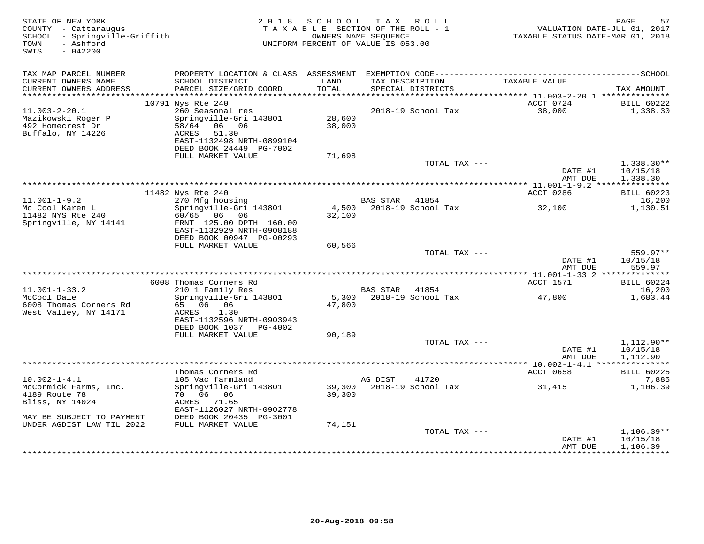| STATE OF NEW YORK<br>COUNTY - Cattaraugus<br>SCHOOL - Springville-Griffith<br>- Ashford<br>TOWN<br>SWIS<br>$-042200$ |                                                                                                                                     |                  | 2018 SCHOOL TAX ROLL<br>TAXABLE SECTION OF THE ROLL - 1<br>OWNERS NAME SEQUENCE<br>UNIFORM PERCENT OF VALUE IS 053.00 | VALUATION DATE-JUL 01, 2017<br>TAXABLE STATUS DATE-MAR 01, 2018 | PAGE<br>57                           |
|----------------------------------------------------------------------------------------------------------------------|-------------------------------------------------------------------------------------------------------------------------------------|------------------|-----------------------------------------------------------------------------------------------------------------------|-----------------------------------------------------------------|--------------------------------------|
| TAX MAP PARCEL NUMBER<br>CURRENT OWNERS NAME                                                                         | SCHOOL DISTRICT                                                                                                                     | LAND             | TAX DESCRIPTION                                                                                                       | TAXABLE VALUE                                                   |                                      |
| CURRENT OWNERS ADDRESS                                                                                               | PARCEL SIZE/GRID COORD                                                                                                              | TOTAL            | SPECIAL DISTRICTS                                                                                                     |                                                                 | TAX AMOUNT                           |
|                                                                                                                      | 10791 Nys Rte 240                                                                                                                   |                  |                                                                                                                       | ACCT 0724                                                       | <b>BILL 60222</b>                    |
| $11.003 - 2 - 20.1$<br>Mazikowski Roger P<br>492 Homecrest Dr<br>Buffalo, NY 14226                                   | 260 Seasonal res<br>Springville-Gri 143801<br>58/64 06 06<br>51.30<br>ACRES<br>EAST-1132498 NRTH-0899104<br>DEED BOOK 24449 PG-7002 | 28,600<br>38,000 | 2018-19 School Tax                                                                                                    | 38,000                                                          | 1,338.30                             |
|                                                                                                                      | FULL MARKET VALUE                                                                                                                   | 71,698           |                                                                                                                       |                                                                 |                                      |
|                                                                                                                      |                                                                                                                                     |                  | TOTAL TAX ---                                                                                                         | DATE #1<br>AMT DUE                                              | $1,338.30**$<br>10/15/18<br>1,338.30 |
|                                                                                                                      |                                                                                                                                     |                  |                                                                                                                       |                                                                 |                                      |
|                                                                                                                      | 11482 Nys Rte 240                                                                                                                   |                  |                                                                                                                       | ACCT 0286                                                       | <b>BILL 60223</b>                    |
| $11.001 - 1 - 9.2$<br>Mc Cool Karen L<br>11482 NYS Rte 240<br>Springville, NY 14141                                  | 270 Mfg housing<br>Springville-Gri 143801<br>60/65 06 06<br>FRNT 125.00 DPTH 160.00<br>EAST-1132929 NRTH-0908188                    | 32,100           | BAS STAR 41854<br>4,500 2018-19 School Tax                                                                            | 32,100                                                          | 16,200<br>1,130.51                   |
|                                                                                                                      | DEED BOOK 00947 PG-00293<br>FULL MARKET VALUE                                                                                       | 60,566           |                                                                                                                       |                                                                 |                                      |
|                                                                                                                      |                                                                                                                                     |                  | TOTAL TAX ---                                                                                                         | DATE #1<br>AMT DUE                                              | 559.97**<br>10/15/18<br>559.97       |
|                                                                                                                      |                                                                                                                                     |                  |                                                                                                                       |                                                                 |                                      |
| $11.001 - 1 - 33.2$                                                                                                  | 6008 Thomas Corners Rd<br>210 1 Family Res                                                                                          |                  | BAS STAR 41854                                                                                                        | ACCT 1571                                                       | <b>BILL 60224</b><br>16,200          |
| McCool Dale<br>6008 Thomas Corners Rd<br>West Valley, NY 14171                                                       | Springville-Gri 143801<br>65 06 06<br>ACRES<br>1.30<br>EAST-1132596 NRTH-0903943                                                    | 47,800           | 5,300 2018-19 School Tax                                                                                              | 47,800                                                          | 1,683.44                             |
|                                                                                                                      | DEED BOOK 1037 PG-4002                                                                                                              |                  |                                                                                                                       |                                                                 |                                      |
|                                                                                                                      | FULL MARKET VALUE                                                                                                                   | 90,189           |                                                                                                                       |                                                                 |                                      |
|                                                                                                                      |                                                                                                                                     |                  | TOTAL TAX ---                                                                                                         | DATE #1<br>AMT DUE                                              | 1,112.90**<br>10/15/18<br>1,112.90   |
|                                                                                                                      |                                                                                                                                     |                  |                                                                                                                       |                                                                 |                                      |
|                                                                                                                      | Thomas Corners Rd                                                                                                                   |                  |                                                                                                                       | ACCT 0658                                                       | <b>BILL 60225</b>                    |
| $10.002 - 1 - 4.1$<br>McCormick Farms, Inc.<br>4189 Route 78<br>Bliss, NY 14024<br>MAY BE SUBJECT TO PAYMENT         | 105 Vac farmland<br>Springville-Gri 143801<br>70 06 06<br>ACRES<br>71.65<br>EAST-1126027 NRTH-0902778<br>DEED BOOK 20435 PG-3001    | 39,300<br>39,300 | AG DIST<br>41720<br>2018-19 School Tax                                                                                | 31,415                                                          | 7,885<br>1,106.39                    |
| UNDER AGDIST LAW TIL 2022                                                                                            | FULL MARKET VALUE                                                                                                                   | 74,151           |                                                                                                                       |                                                                 |                                      |
|                                                                                                                      |                                                                                                                                     |                  | TOTAL TAX ---                                                                                                         | DATE #1<br>AMT DUE                                              | $1,106.39**$<br>10/15/18<br>1,106.39 |
|                                                                                                                      |                                                                                                                                     |                  |                                                                                                                       |                                                                 |                                      |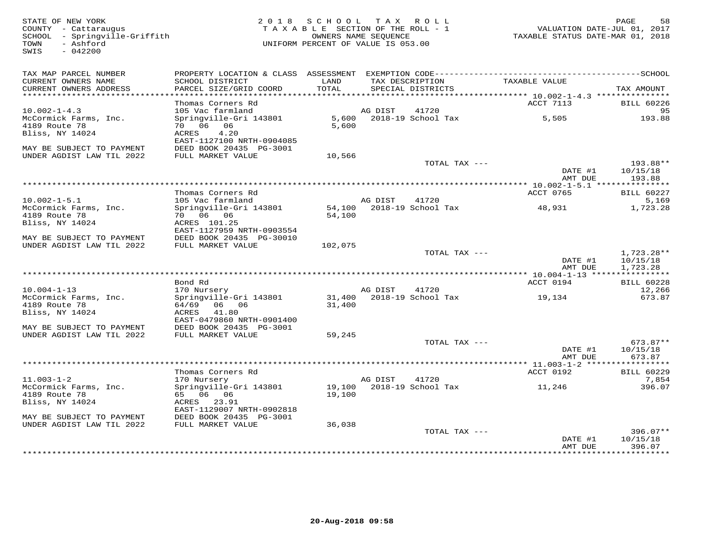SWIS - 042200

## STATE OF NEW YORK 2 0 1 8 S C H O O L T A X R O L L PAGE 58 COUNTY - Cattaraugus T A X A B L E SECTION OF THE ROLL - 1 VALUATION DATE-JUL 01, 2017 SCHOOL - Springville-Griffith OWNERS NAME SEQUENCE TAXABLE STATUS DATE-MAR 01, 2018 TOWN - Ashford UNIFORM PERCENT OF VALUE IS 053.00

| TAX MAP PARCEL NUMBER<br>CURRENT OWNERS NAME<br>CURRENT OWNERS ADDRESS | PROPERTY LOCATION & CLASS ASSESSMENT<br>SCHOOL DISTRICT<br>PARCEL SIZE/GRID COORD | LAND<br>TOTAL    |         | EXEMPTION CODE-----------<br>TAX DESCRIPTION<br>SPECIAL DISTRICTS | TAXABLE VALUE                | -------------SCHOOL<br>TAX AMOUNT    |
|------------------------------------------------------------------------|-----------------------------------------------------------------------------------|------------------|---------|-------------------------------------------------------------------|------------------------------|--------------------------------------|
| **********************                                                 |                                                                                   |                  |         |                                                                   |                              |                                      |
| $10.002 - 1 - 4.3$                                                     | Thomas Corners Rd<br>105 Vac farmland                                             |                  | AG DIST | 41720                                                             | ACCT 7113                    | <b>BILL 60226</b><br>95              |
| McCormick Farms, Inc.<br>4189 Route 78<br>Bliss, NY 14024              | Springville-Gri 143801<br>70 06 06<br>ACRES<br>4.20<br>EAST-1127100 NRTH-0904085  | 5,600<br>5,600   |         | 2018-19 School Tax                                                | 5,505                        | 193.88                               |
| MAY BE SUBJECT TO PAYMENT<br>UNDER AGDIST LAW TIL 2022                 | DEED BOOK 20435 PG-3001<br>FULL MARKET VALUE                                      | 10,566           |         |                                                                   |                              |                                      |
|                                                                        |                                                                                   |                  |         | TOTAL TAX ---                                                     | DATE #1<br>AMT DUE           | 193.88**<br>10/15/18<br>193.88       |
|                                                                        |                                                                                   |                  |         |                                                                   |                              |                                      |
| $10.002 - 1 - 5.1$                                                     | Thomas Corners Rd<br>105 Vac farmland                                             |                  | AG DIST | 41720                                                             | ACCT 0765                    | BILL 60227<br>5,169                  |
| McCormick Farms, Inc.                                                  | Springville-Gri 143801                                                            | 54,100           |         | 2018-19 School Tax                                                | 48,931                       | 1,723.28                             |
| 4189 Route 78<br>Bliss, NY 14024                                       | 70 06 06<br>ACRES 101.25<br>EAST-1127959 NRTH-0903554                             | 54,100           |         |                                                                   |                              |                                      |
| MAY BE SUBJECT TO PAYMENT                                              | DEED BOOK 20435 PG-30010                                                          |                  |         |                                                                   |                              |                                      |
| UNDER AGDIST LAW TIL 2022                                              | FULL MARKET VALUE                                                                 | 102,075          |         |                                                                   |                              |                                      |
| ******************************                                         |                                                                                   |                  |         | TOTAL TAX ---                                                     | DATE #1<br>AMT DUE           | $1,723.28**$<br>10/15/18<br>1,723.28 |
|                                                                        |                                                                                   |                  |         |                                                                   |                              |                                      |
| $10.004 - 1 - 13$                                                      | Bond Rd<br>170 Nursery                                                            |                  | AG DIST | 41720                                                             | ACCT 0194                    | <b>BILL 60228</b><br>12,266          |
| McCormick Farms, Inc.<br>4189 Route 78<br>Bliss, NY 14024              | Springville-Gri 143801<br>64/69 06 06<br>ACRES<br>41.80                           | 31,400<br>31,400 |         | 2018-19 School Tax                                                | 19,134                       | 673.87                               |
| MAY BE SUBJECT TO PAYMENT                                              | EAST-0479860 NRTH-0901400<br>DEED BOOK 20435 PG-3001                              |                  |         |                                                                   |                              |                                      |
| UNDER AGDIST LAW TIL 2022                                              | FULL MARKET VALUE                                                                 | 59,245           |         | TOTAL TAX ---                                                     |                              | 673.87**                             |
|                                                                        |                                                                                   |                  |         |                                                                   | DATE #1<br>AMT DUE           | 10/15/18<br>673.87                   |
| ************************                                               |                                                                                   |                  |         |                                                                   | *********** 11.003-1-2 ***** | ***********                          |
|                                                                        | Thomas Corners Rd                                                                 |                  |         |                                                                   | ACCT 0192                    | <b>BILL 60229</b>                    |
| $11.003 - 1 - 2$<br>McCormick Farms, Inc.<br>4189 Route 78             | 170 Nursery<br>Springville-Gri 143801<br>65 06 06                                 | 19,100<br>19,100 | AG DIST | 41720<br>2018-19 School Tax                                       | 11,246                       | 7,854<br>396.07                      |
| Bliss, NY 14024                                                        | ACRES 23.91<br>EAST-1129007 NRTH-0902818                                          |                  |         |                                                                   |                              |                                      |
| MAY BE SUBJECT TO PAYMENT<br>UNDER AGDIST LAW TIL 2022                 | DEED BOOK 20435 PG-3001<br>FULL MARKET VALUE                                      | 36,038           |         |                                                                   |                              |                                      |
|                                                                        |                                                                                   |                  |         | TOTAL TAX ---                                                     | DATE #1<br>AMT DUE           | $396.07**$<br>10/15/18<br>396.07     |
|                                                                        |                                                                                   |                  |         |                                                                   |                              |                                      |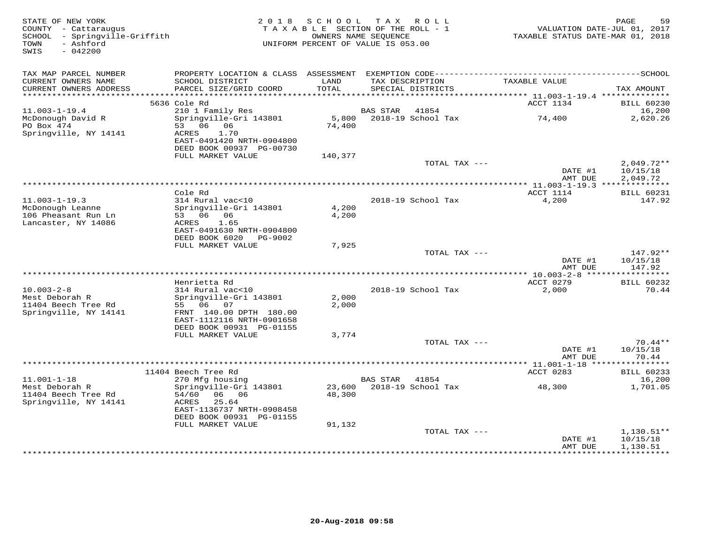| STATE OF NEW YORK<br>COUNTY - Cattaraugus<br>SCHOOL - Springville-Griffith<br>- Ashford<br>TOWN<br>$-042200$<br>SWIS | 2 0 1 8                                                                                      | SCHOOL<br>OWNERS NAME SEQUENCE | TAX ROLL<br>TAXABLE SECTION OF THE ROLL - 1<br>UNIFORM PERCENT OF VALUE IS 053.00 | VALUATION DATE-JUL 01, 2017<br>TAXABLE STATUS DATE-MAR 01, 2018 | PAGE<br>59                           |
|----------------------------------------------------------------------------------------------------------------------|----------------------------------------------------------------------------------------------|--------------------------------|-----------------------------------------------------------------------------------|-----------------------------------------------------------------|--------------------------------------|
| TAX MAP PARCEL NUMBER                                                                                                |                                                                                              |                                |                                                                                   |                                                                 |                                      |
| CURRENT OWNERS NAME<br>CURRENT OWNERS ADDRESS                                                                        | SCHOOL DISTRICT<br>PARCEL SIZE/GRID COORD                                                    | LAND<br>TOTAL                  | TAX DESCRIPTION<br>SPECIAL DISTRICTS                                              | TAXABLE VALUE                                                   | TAX AMOUNT                           |
| **********************                                                                                               |                                                                                              |                                |                                                                                   |                                                                 |                                      |
| $11.003 - 1 - 19.4$                                                                                                  | 5636 Cole Rd<br>210 1 Family Res                                                             |                                | BAS STAR<br>41854                                                                 | ACCT 1134                                                       | <b>BILL 60230</b><br>16,200          |
| McDonough David R                                                                                                    | Springville-Gri 143801                                                                       | 5,800                          | 2018-19 School Tax                                                                | 74,400                                                          | 2,620.26                             |
| PO Box 474<br>Springville, NY 14141                                                                                  | 53 06 06<br>1.70<br>ACRES<br>EAST-0491420 NRTH-0904800<br>DEED BOOK 00937 PG-00730           | 74,400                         |                                                                                   |                                                                 |                                      |
|                                                                                                                      | FULL MARKET VALUE                                                                            | 140,377                        |                                                                                   |                                                                 |                                      |
|                                                                                                                      |                                                                                              |                                | TOTAL TAX ---                                                                     | DATE #1<br>AMT DUE                                              | $2,049.72**$<br>10/15/18<br>2,049.72 |
|                                                                                                                      |                                                                                              |                                |                                                                                   |                                                                 |                                      |
|                                                                                                                      | Cole Rd                                                                                      |                                |                                                                                   | ACCT 1114                                                       | <b>BILL 60231</b>                    |
| $11.003 - 1 - 19.3$<br>McDonough Leanne<br>106 Pheasant Run Ln                                                       | 314 Rural vac<10<br>Springville-Gri 143801<br>53 06 06                                       | 4,200<br>4,200                 | 2018-19 School Tax                                                                | 4,200                                                           | 147.92                               |
| Lancaster, NY 14086                                                                                                  | ACRES<br>1.65<br>EAST-0491630 NRTH-0904800<br>DEED BOOK 6020<br>PG-9002                      |                                |                                                                                   |                                                                 |                                      |
|                                                                                                                      | FULL MARKET VALUE                                                                            | 7,925                          |                                                                                   |                                                                 |                                      |
|                                                                                                                      |                                                                                              |                                | TOTAL TAX ---                                                                     |                                                                 | 147.92**                             |
|                                                                                                                      |                                                                                              |                                |                                                                                   | DATE #1<br>AMT DUE                                              | 10/15/18<br>147.92                   |
|                                                                                                                      | Henrietta Rd                                                                                 |                                |                                                                                   | ACCT 0279                                                       | <b>BILL 60232</b>                    |
| $10.003 - 2 - 8$<br>Mest Deborah R                                                                                   | 314 Rural vac<10<br>Springville-Gri 143801                                                   | 2,000                          | 2018-19 School Tax                                                                | 2,000                                                           | 70.44                                |
| 11404 Beech Tree Rd<br>Springville, NY 14141                                                                         | 55 06 07<br>FRNT 140.00 DPTH 180.00<br>EAST-1112116 NRTH-0901658<br>DEED BOOK 00931 PG-01155 | 2,000                          |                                                                                   |                                                                 |                                      |
|                                                                                                                      | FULL MARKET VALUE                                                                            | 3,774                          |                                                                                   |                                                                 |                                      |
|                                                                                                                      |                                                                                              |                                | TOTAL TAX ---                                                                     |                                                                 | $70.44**$                            |
|                                                                                                                      |                                                                                              |                                |                                                                                   | DATE #1<br>AMT DUE                                              | 10/15/18<br>70.44                    |
|                                                                                                                      |                                                                                              |                                |                                                                                   |                                                                 |                                      |
| $11.001 - 1 - 18$                                                                                                    | 11404 Beech Tree Rd<br>270 Mfg housing                                                       |                                | <b>BAS STAR</b><br>41854                                                          | ACCT 0283                                                       | <b>BILL 60233</b><br>16,200          |
| Mest Deborah R                                                                                                       | Springville-Gri 143801                                                                       | 23,600                         | 2018-19 School Tax                                                                | 48,300                                                          | 1,701.05                             |
| 11404 Beech Tree Rd<br>Springville, NY 14141                                                                         | 54/60<br>06 06<br>ACRES<br>25.64<br>EAST-1136737 NRTH-0908458                                | 48,300                         |                                                                                   |                                                                 |                                      |
|                                                                                                                      | DEED BOOK 00931 PG-01155                                                                     |                                |                                                                                   |                                                                 |                                      |
|                                                                                                                      | FULL MARKET VALUE                                                                            | 91,132                         |                                                                                   |                                                                 |                                      |
|                                                                                                                      |                                                                                              |                                | TOTAL TAX ---                                                                     | DATE #1<br>AMT DUE                                              | $1,130.51**$<br>10/15/18<br>1,130.51 |
|                                                                                                                      |                                                                                              |                                |                                                                                   | *****************                                               | **********                           |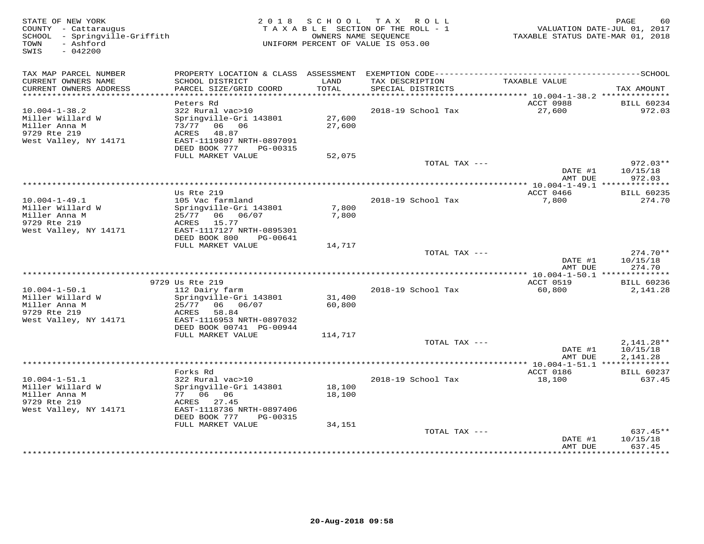| STATE OF NEW YORK<br>COUNTY - Cattaraugus<br>SCHOOL - Springville-Griffith<br>- Ashford<br>TOWN<br>$-042200$<br>SWIS |                                           |                  | 2018 SCHOOL TAX ROLL<br>TAXABLE SECTION OF THE ROLL - 1<br>OWNERS NAME SEQUENCE<br>UNIFORM PERCENT OF VALUE IS 053.00 | TAXABLE STATUS DATE-MAR 01, 2018 | PAGE<br>60<br>VALUATION DATE-JUL 01, 2017 |
|----------------------------------------------------------------------------------------------------------------------|-------------------------------------------|------------------|-----------------------------------------------------------------------------------------------------------------------|----------------------------------|-------------------------------------------|
| TAX MAP PARCEL NUMBER                                                                                                |                                           |                  |                                                                                                                       |                                  |                                           |
| CURRENT OWNERS NAME<br>CURRENT OWNERS ADDRESS                                                                        | SCHOOL DISTRICT<br>PARCEL SIZE/GRID COORD | LAND<br>TOTAL    | TAX DESCRIPTION<br>SPECIAL DISTRICTS                                                                                  | TAXABLE VALUE                    | TAX AMOUNT                                |
| **************************                                                                                           |                                           |                  |                                                                                                                       |                                  |                                           |
|                                                                                                                      | Peters Rd                                 |                  |                                                                                                                       | ACCT 0988                        | <b>BILL 60234</b>                         |
| $10.004 - 1 - 38.2$                                                                                                  | 322 Rural vac>10                          |                  | 2018-19 School Tax                                                                                                    | 27,600                           | 972.03                                    |
| Miller Willard W<br>Miller Anna M                                                                                    | Springville-Gri 143801<br>73/77 06 06     | 27,600<br>27,600 |                                                                                                                       |                                  |                                           |
| 9729 Rte 219                                                                                                         | 48.87<br>ACRES                            |                  |                                                                                                                       |                                  |                                           |
| West Valley, NY 14171                                                                                                | EAST-1119807 NRTH-0897091                 |                  |                                                                                                                       |                                  |                                           |
|                                                                                                                      | DEED BOOK 777<br>PG-00315                 |                  |                                                                                                                       |                                  |                                           |
|                                                                                                                      | FULL MARKET VALUE                         | 52,075           |                                                                                                                       |                                  |                                           |
|                                                                                                                      |                                           |                  | TOTAL TAX ---                                                                                                         |                                  | $972.03**$                                |
|                                                                                                                      |                                           |                  |                                                                                                                       | DATE #1                          | 10/15/18                                  |
|                                                                                                                      |                                           |                  |                                                                                                                       | AMT DUE                          | 972.03                                    |
|                                                                                                                      | Us Rte 219                                |                  |                                                                                                                       | ACCT 0466                        | <b>BILL 60235</b>                         |
| $10.004 - 1 - 49.1$                                                                                                  | 105 Vac farmland                          |                  | 2018-19 School Tax                                                                                                    | 7,800                            | 274.70                                    |
| Miller Willard W                                                                                                     | Springville-Gri 143801                    | 7,800            |                                                                                                                       |                                  |                                           |
| Miller Anna M                                                                                                        | 25/77 06 06/07                            | 7,800            |                                                                                                                       |                                  |                                           |
| 9729 Rte 219                                                                                                         | ACRES<br>15.77                            |                  |                                                                                                                       |                                  |                                           |
| West Valley, NY 14171                                                                                                | EAST-1117127 NRTH-0895301                 |                  |                                                                                                                       |                                  |                                           |
|                                                                                                                      | DEED BOOK 800<br>PG-00641                 |                  |                                                                                                                       |                                  |                                           |
|                                                                                                                      | FULL MARKET VALUE                         | 14,717           | TOTAL TAX ---                                                                                                         |                                  | $274.70**$                                |
|                                                                                                                      |                                           |                  |                                                                                                                       | DATE #1                          | 10/15/18                                  |
|                                                                                                                      |                                           |                  |                                                                                                                       | AMT DUE                          | 274.70                                    |
|                                                                                                                      |                                           |                  |                                                                                                                       | ** 10.004-1-50.1 *************** |                                           |
|                                                                                                                      | 9729 Us Rte 219                           |                  |                                                                                                                       | ACCT 0519                        | <b>BILL 60236</b>                         |
| $10.004 - 1 - 50.1$                                                                                                  | 112 Dairy farm                            |                  | 2018-19 School Tax                                                                                                    | 60,800                           | 2,141.28                                  |
| Miller Willard W                                                                                                     | Springville-Gri 143801                    | 31,400           |                                                                                                                       |                                  |                                           |
| Miller Anna M<br>9729 Rte 219                                                                                        | 06 06/07<br>25/77<br>58.84<br>ACRES       | 60,800           |                                                                                                                       |                                  |                                           |
| West Valley, NY 14171                                                                                                | EAST-1116953 NRTH-0897032                 |                  |                                                                                                                       |                                  |                                           |
|                                                                                                                      | DEED BOOK 00741 PG-00944                  |                  |                                                                                                                       |                                  |                                           |
|                                                                                                                      | FULL MARKET VALUE                         | 114,717          |                                                                                                                       |                                  |                                           |
|                                                                                                                      |                                           |                  | TOTAL TAX ---                                                                                                         |                                  | $2,141.28**$                              |
|                                                                                                                      |                                           |                  |                                                                                                                       | DATE #1                          | 10/15/18                                  |
|                                                                                                                      |                                           |                  |                                                                                                                       | AMT DUE                          | 2,141.28                                  |
|                                                                                                                      | Forks Rd                                  |                  |                                                                                                                       | ACCT 0186                        | <b>BILL 60237</b>                         |
| $10.004 - 1 - 51.1$                                                                                                  | 322 Rural vac>10                          |                  | 2018-19 School Tax                                                                                                    | 18,100                           | 637.45                                    |
| Miller Willard W                                                                                                     | Springville-Gri 143801                    | 18,100           |                                                                                                                       |                                  |                                           |
| Miller Anna M                                                                                                        | 77 06 06                                  | 18,100           |                                                                                                                       |                                  |                                           |
| 9729 Rte 219                                                                                                         | ACRES 27.45                               |                  |                                                                                                                       |                                  |                                           |
| West Valley, NY 14171                                                                                                | EAST-1118736 NRTH-0897406                 |                  |                                                                                                                       |                                  |                                           |
|                                                                                                                      | DEED BOOK 777<br>PG-00315                 |                  |                                                                                                                       |                                  |                                           |
|                                                                                                                      | FULL MARKET VALUE                         | 34,151           |                                                                                                                       |                                  |                                           |
|                                                                                                                      |                                           |                  | TOTAL TAX ---                                                                                                         | DATE #1                          | $637.45**$<br>10/15/18                    |
|                                                                                                                      |                                           |                  |                                                                                                                       | AMT DUE                          | 637.45                                    |
|                                                                                                                      |                                           |                  |                                                                                                                       |                                  | * * * * * * * *                           |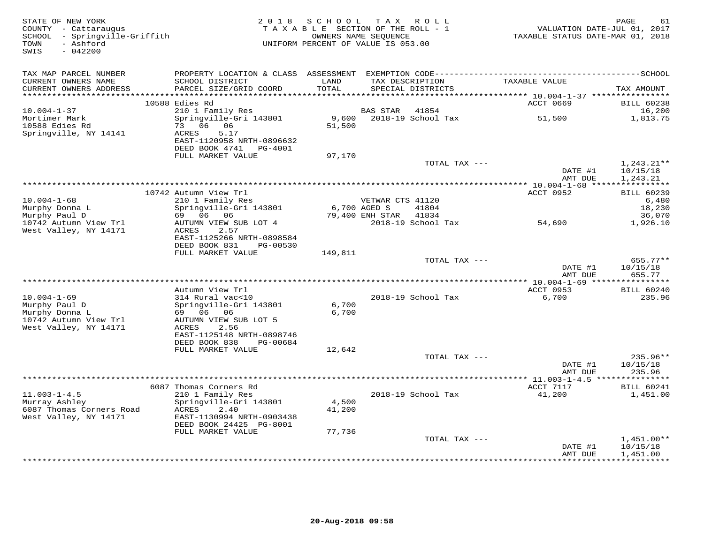| STATE OF NEW YORK<br>COUNTY - Cattaraugus<br>SCHOOL - Springville-Griffith<br>- Ashford<br>TOWN<br>SWIS<br>$-042200$ | 2 0 1 8                                                                                                             | SCHOOL<br>TAXABLE SECTION OF THE ROLL - 1<br>UNIFORM PERCENT OF VALUE IS 053.00 | T A X<br>OWNERS NAME SEQUENCE    | ROLL ROLL                   | VALUATION DATE-JUL 01, 2017<br>TAXABLE STATUS DATE-MAR 01, 2018 | PAGE<br>61                           |
|----------------------------------------------------------------------------------------------------------------------|---------------------------------------------------------------------------------------------------------------------|---------------------------------------------------------------------------------|----------------------------------|-----------------------------|-----------------------------------------------------------------|--------------------------------------|
| TAX MAP PARCEL NUMBER<br>CURRENT OWNERS NAME<br>CURRENT OWNERS ADDRESS<br>************************                   | SCHOOL DISTRICT<br>PARCEL SIZE/GRID COORD                                                                           | LAND<br>TOTAL                                                                   | TAX DESCRIPTION                  | SPECIAL DISTRICTS           | TAXABLE VALUE                                                   | TAX AMOUNT                           |
|                                                                                                                      | 10588 Edies Rd                                                                                                      |                                                                                 |                                  |                             | ACCT 0669                                                       | <b>BILL 60238</b>                    |
| $10.004 - 1 - 37$                                                                                                    | 210 1 Family Res                                                                                                    |                                                                                 | BAS STAR                         | 41854                       |                                                                 | 16,200                               |
| Mortimer Mark<br>10588 Edies Rd<br>Springville, NY 14141                                                             | Springville-Gri 143801<br>73<br>06 06<br>5.17<br>ACRES<br>EAST-1120958 NRTH-0896632<br>DEED BOOK 4741 PG-4001       | 9,600<br>51,500                                                                 |                                  | 2018-19 School Tax          | 51,500                                                          | 1,813.75                             |
|                                                                                                                      | FULL MARKET VALUE                                                                                                   | 97,170                                                                          |                                  | TOTAL TAX ---               |                                                                 | $1,243.21**$                         |
|                                                                                                                      |                                                                                                                     |                                                                                 |                                  |                             | DATE #1<br>AMT DUE                                              | 10/15/18<br>1,243.21                 |
|                                                                                                                      | 10742 Autumn View Trl                                                                                               |                                                                                 |                                  |                             | ACCT 0952                                                       | <b>BILL 60239</b>                    |
| $10.004 - 1 - 68$<br>Murphy Donna L                                                                                  | 210 1 Family Res<br>Springville-Gri 143801                                                                          |                                                                                 | VETWAR CTS 41120<br>6,700 AGED S | 41804                       |                                                                 | 6,480<br>18,230                      |
| Murphy Paul D<br>10742 Autumn View Trl                                                                               | 69 06 06<br>AUTUMN VIEW SUB LOT 4                                                                                   |                                                                                 | 79,400 ENH STAR                  | 41834<br>2018-19 School Tax | 54,690                                                          | 36,070<br>1,926.10                   |
| West Valley, NY 14171                                                                                                | ACRES<br>2.57<br>EAST-1125266 NRTH-0898584<br>DEED BOOK 831<br>PG-00530<br>FULL MARKET VALUE                        | 149,811                                                                         |                                  |                             |                                                                 |                                      |
|                                                                                                                      |                                                                                                                     |                                                                                 |                                  | TOTAL TAX ---               |                                                                 | $655.77**$                           |
|                                                                                                                      |                                                                                                                     |                                                                                 |                                  |                             | DATE #1<br>AMT DUE                                              | 10/15/18<br>655.77                   |
|                                                                                                                      | Autumn View Trl                                                                                                     |                                                                                 |                                  |                             | ACCT 0953                                                       | <b>BILL 60240</b>                    |
| $10.004 - 1 - 69$<br>Murphy Paul D<br>Murphy Donna L<br>10742 Autumn View Trl                                        | 314 Rural vac<10<br>Springville-Gri 143801<br>69 06 06<br>AUTUMN VIEW SUB LOT 5                                     | 6,700<br>6,700                                                                  |                                  | 2018-19 School Tax          | 6,700                                                           | 235.96                               |
| West Valley, NY 14171                                                                                                | ACRES<br>2.56<br>EAST-1125148 NRTH-0898746<br>DEED BOOK 838<br>PG-00684<br>FULL MARKET VALUE                        | 12,642                                                                          |                                  |                             |                                                                 |                                      |
|                                                                                                                      |                                                                                                                     |                                                                                 |                                  | TOTAL TAX ---               |                                                                 | $235.96**$                           |
|                                                                                                                      |                                                                                                                     |                                                                                 |                                  |                             | DATE #1<br>AMT DUE                                              | 10/15/18<br>235.96                   |
|                                                                                                                      | 6087 Thomas Corners Rd                                                                                              |                                                                                 |                                  |                             | ACCT 7117                                                       | <b>BILL 60241</b>                    |
| $11.003 - 1 - 4.5$<br>Murray Ashley<br>6087 Thomas Corners Road<br>West Valley, NY 14171                             | 210 1 Family Res<br>Springville-Gri 143801<br>2.40<br>ACRES<br>EAST-1130994 NRTH-0903438<br>DEED BOOK 24425 PG-8001 | 4,500<br>41,200                                                                 |                                  | 2018-19 School Tax          | 41,200                                                          | 1,451.00                             |
|                                                                                                                      | FULL MARKET VALUE                                                                                                   | 77,736                                                                          |                                  |                             |                                                                 |                                      |
|                                                                                                                      |                                                                                                                     |                                                                                 |                                  | TOTAL TAX ---               | DATE #1<br>AMT DUE                                              | $1,451.00**$<br>10/15/18<br>1,451.00 |
|                                                                                                                      |                                                                                                                     |                                                                                 |                                  |                             | ******************************                                  |                                      |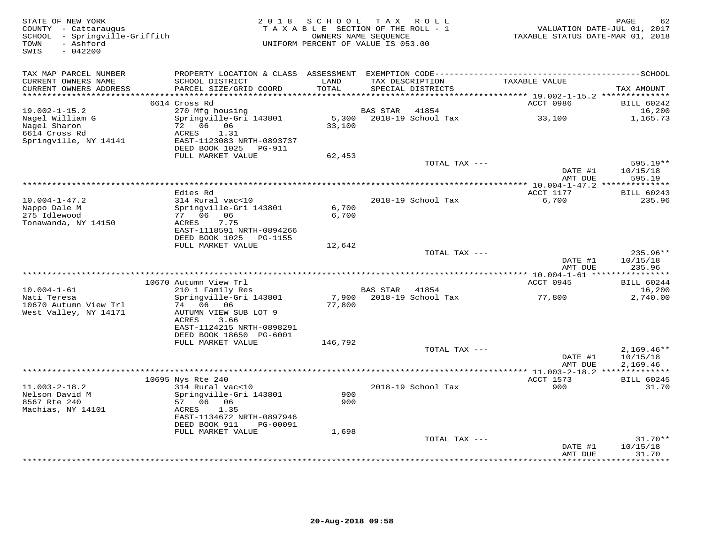| STATE OF NEW YORK<br>COUNTY - Cattaraugus<br>SCHOOL - Springville-Griffith<br>- Ashford<br>TOWN<br>$-042200$<br>SWIS | 2 0 1 8                                                                  | SCHOOL TAX ROLL<br>TAXABLE SECTION OF THE ROLL - 1<br>UNIFORM PERCENT OF VALUE IS 053.00 | OWNERS NAME SEQUENCE                 |                             | TAXABLE STATUS DATE-MAR 01, 2018                                      | 62<br>PAGE<br>VALUATION DATE-JUL 01, 2017 |
|----------------------------------------------------------------------------------------------------------------------|--------------------------------------------------------------------------|------------------------------------------------------------------------------------------|--------------------------------------|-----------------------------|-----------------------------------------------------------------------|-------------------------------------------|
| TAX MAP PARCEL NUMBER<br>CURRENT OWNERS NAME<br>CURRENT OWNERS ADDRESS<br>********************                       | SCHOOL DISTRICT<br>PARCEL SIZE/GRID COORD                                | LAND<br>TOTAL<br>* * * * * * * * * *                                                     | TAX DESCRIPTION<br>SPECIAL DISTRICTS |                             | TAXABLE VALUE                                                         | TAX AMOUNT                                |
|                                                                                                                      | 6614 Cross Rd                                                            |                                                                                          |                                      |                             | *************************** 19.002-1-15.2 **************<br>ACCT 0986 | <b>BILL 60242</b>                         |
| $19.002 - 1 - 15.2$<br>Nagel William G<br>Nagel Sharon                                                               | 270 Mfg housing<br>Springville-Gri 143801<br>72 06 06                    | 5,300<br>33,100                                                                          | BAS STAR                             | 41854<br>2018-19 School Tax | 33,100                                                                | 16,200<br>1,165.73                        |
| 6614 Cross Rd<br>Springville, NY 14141                                                                               | ACRES<br>1.31<br>EAST-1123083 NRTH-0893737<br>DEED BOOK 1025<br>PG-911   |                                                                                          |                                      |                             |                                                                       |                                           |
|                                                                                                                      | FULL MARKET VALUE                                                        | 62,453                                                                                   |                                      |                             |                                                                       |                                           |
|                                                                                                                      |                                                                          |                                                                                          |                                      | TOTAL TAX ---               | DATE #1<br>AMT DUE                                                    | 595.19**<br>10/15/18<br>595.19            |
|                                                                                                                      |                                                                          |                                                                                          |                                      |                             |                                                                       |                                           |
| $10.004 - 1 - 47.2$                                                                                                  | Edies Rd<br>314 Rural vac<10                                             |                                                                                          |                                      | 2018-19 School Tax          | ACCT 1177<br>6,700                                                    | <b>BILL 60243</b><br>235.96               |
| Nappo Dale M<br>275 Idlewood<br>Tonawanda, NY 14150                                                                  | Springville-Gri 143801<br>77 06 06<br>ACRES<br>7.75                      | 6,700<br>6,700                                                                           |                                      |                             |                                                                       |                                           |
|                                                                                                                      | EAST-1118591 NRTH-0894266<br>DEED BOOK 1025 PG-1155<br>FULL MARKET VALUE | 12,642                                                                                   |                                      |                             |                                                                       |                                           |
|                                                                                                                      |                                                                          |                                                                                          |                                      | TOTAL TAX ---               | DATE #1<br>AMT DUE                                                    | $235.96**$<br>10/15/18<br>235.96          |
|                                                                                                                      |                                                                          |                                                                                          |                                      |                             |                                                                       |                                           |
|                                                                                                                      | 10670 Autumn View Trl                                                    |                                                                                          |                                      |                             | ACCT 0945                                                             | <b>BILL 60244</b>                         |
| $10.004 - 1 - 61$<br>Nati Teresa                                                                                     | 210 1 Family Res<br>Springville-Gri 143801                               | 7,900                                                                                    | <b>BAS STAR</b>                      | 41854<br>2018-19 School Tax | 77,800                                                                | 16,200<br>2,740.00                        |
| 10670 Autumn View Trl<br>West Valley, NY 14171                                                                       | 74 06 06<br>AUTUMN VIEW SUB LOT 9<br>3.66<br>ACRES                       | 77,800                                                                                   |                                      |                             |                                                                       |                                           |
|                                                                                                                      | EAST-1124215 NRTH-0898291<br>DEED BOOK 18650 PG-6001                     |                                                                                          |                                      |                             |                                                                       |                                           |
|                                                                                                                      | FULL MARKET VALUE                                                        | 146,792                                                                                  |                                      | TOTAL TAX ---               |                                                                       | $2,169.46**$                              |
|                                                                                                                      |                                                                          |                                                                                          |                                      |                             | DATE #1<br>AMT DUE                                                    | 10/15/18<br>2,169.46                      |
|                                                                                                                      | 10695 Nys Rte 240                                                        |                                                                                          |                                      |                             | ACCT 1573                                                             | <b>BILL 60245</b>                         |
| $11.003 - 2 - 18.2$<br>Nelson David M                                                                                | 314 Rural vac<10<br>Springville-Gri 143801                               | 900                                                                                      |                                      | 2018-19 School Tax          | 900                                                                   | 31.70                                     |
| 8567 Rte 240<br>Machias, NY 14101                                                                                    | 57 06 06<br>ACRES<br>1.35                                                | 900                                                                                      |                                      |                             |                                                                       |                                           |
|                                                                                                                      | EAST-1134672 NRTH-0897946<br>DEED BOOK 911<br>PG-00091                   |                                                                                          |                                      |                             |                                                                       |                                           |
|                                                                                                                      | FULL MARKET VALUE                                                        | 1,698                                                                                    |                                      |                             |                                                                       | $31.70**$                                 |
|                                                                                                                      |                                                                          |                                                                                          |                                      | TOTAL TAX ---               | DATE #1<br>AMT DUE                                                    | 10/15/18<br>31.70                         |
|                                                                                                                      |                                                                          |                                                                                          |                                      |                             | ************                                                          | * * * * * * * *                           |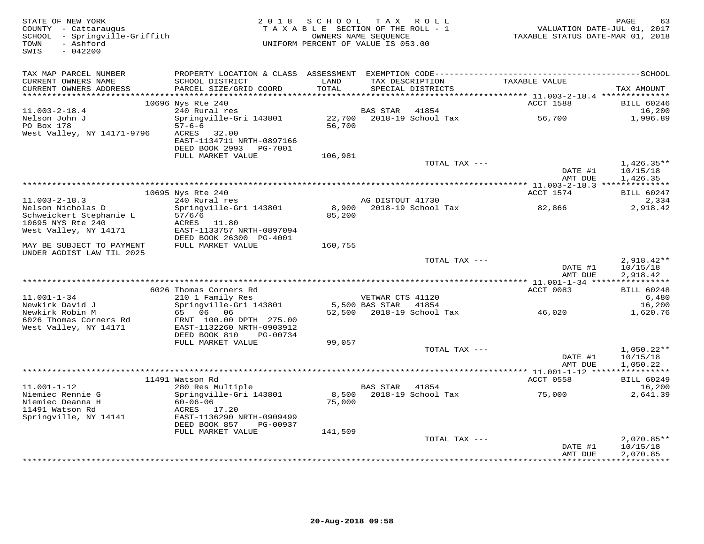| STATE OF NEW YORK<br>COUNTY - Cattaraugus<br>SCHOOL - Springville-Griffith<br>- Ashford<br>TOWN<br>SWIS<br>$-042200$ |                                                                       |                 | 2018 SCHOOL TAX ROLL<br>TAXABLE SECTION OF THE ROLL - 1<br>OWNERS NAME SEQUENCE<br>UNIFORM PERCENT OF VALUE IS 053.00 | TAXABLE STATUS DATE-MAR 01, 2018 | PAGE<br>63<br>VALUATION DATE-JUL 01, 2017 |
|----------------------------------------------------------------------------------------------------------------------|-----------------------------------------------------------------------|-----------------|-----------------------------------------------------------------------------------------------------------------------|----------------------------------|-------------------------------------------|
| TAX MAP PARCEL NUMBER                                                                                                |                                                                       |                 |                                                                                                                       |                                  |                                           |
| CURRENT OWNERS NAME<br>CURRENT OWNERS ADDRESS<br>***********************                                             | SCHOOL DISTRICT<br>PARCEL SIZE/GRID COORD                             | LAND<br>TOTAL   | TAX DESCRIPTION<br>SPECIAL DISTRICTS                                                                                  | TAXABLE VALUE                    | TAX AMOUNT                                |
|                                                                                                                      | 10696 Nys Rte 240                                                     |                 |                                                                                                                       | ACCT 1588                        | <b>BILL 60246</b>                         |
| $11.003 - 2 - 18.4$                                                                                                  | 240 Rural res                                                         |                 | <b>BAS STAR</b><br>41854                                                                                              |                                  | 16,200                                    |
| Nelson John J                                                                                                        | Springville-Gri 143801                                                | 22,700          | 2018-19 School Tax                                                                                                    | 56,700                           | 1,996.89                                  |
| PO Box 178                                                                                                           | $57 - 6 - 6$                                                          | 56,700          |                                                                                                                       |                                  |                                           |
| West Valley, NY 14171-9796                                                                                           | ACRES<br>32.00<br>EAST-1134711 NRTH-0897166<br>DEED BOOK 2993 PG-7001 |                 |                                                                                                                       |                                  |                                           |
|                                                                                                                      | FULL MARKET VALUE                                                     | 106,981         |                                                                                                                       |                                  |                                           |
|                                                                                                                      |                                                                       |                 | TOTAL TAX ---                                                                                                         |                                  | $1,426.35**$                              |
|                                                                                                                      |                                                                       |                 |                                                                                                                       | DATE #1                          | 10/15/18                                  |
|                                                                                                                      |                                                                       |                 |                                                                                                                       | AMT DUE                          | 1,426.35                                  |
|                                                                                                                      | 10695 Nys Rte 240                                                     |                 |                                                                                                                       | ACCT 1574                        | <b>BILL 60247</b>                         |
| $11.003 - 2 - 18.3$                                                                                                  | 240 Rural res                                                         |                 | AG DISTOUT 41730                                                                                                      |                                  | 2,334                                     |
| Nelson Nicholas D                                                                                                    | Springville-Gri 143801                                                | 8,900           | 2018-19 School Tax                                                                                                    | 82,866                           | 2,918.42                                  |
| Schweickert Stephanie L<br>10695 NYS Rte 240                                                                         | 57/6/6<br>ACRES 11.80                                                 | 85,200          |                                                                                                                       |                                  |                                           |
| West Valley, NY 14171                                                                                                | EAST-1133757 NRTH-0897094                                             |                 |                                                                                                                       |                                  |                                           |
|                                                                                                                      | DEED BOOK 26300 PG-4001                                               |                 |                                                                                                                       |                                  |                                           |
| MAY BE SUBJECT TO PAYMENT<br>UNDER AGDIST LAW TIL 2025                                                               | FULL MARKET VALUE                                                     | 160,755         |                                                                                                                       |                                  |                                           |
|                                                                                                                      |                                                                       |                 | TOTAL TAX ---                                                                                                         | DATE #1                          | $2,918.42**$<br>10/15/18                  |
|                                                                                                                      |                                                                       |                 |                                                                                                                       | AMT DUE                          | 2,918.42                                  |
|                                                                                                                      | 6026 Thomas Corners Rd                                                |                 |                                                                                                                       | ACCT 0083                        | <b>BILL 60248</b>                         |
| $11.001 - 1 - 34$                                                                                                    | 210 1 Family Res                                                      |                 | VETWAR CTS 41120                                                                                                      |                                  | 6,480                                     |
| Newkirk David J                                                                                                      | Springville-Gri 143801                                                |                 | 5,500 BAS STAR<br>41854                                                                                               |                                  | 16,200                                    |
| Newkirk Robin M                                                                                                      | 65 06 06                                                              |                 | 52,500 2018-19 School Tax                                                                                             | 46,020                           | 1,620.76                                  |
| 6026 Thomas Corners Rd<br>West Valley, NY 14171                                                                      | FRNT 100.00 DPTH 275.00<br>EAST-1132260 NRTH-0903912                  |                 |                                                                                                                       |                                  |                                           |
|                                                                                                                      | DEED BOOK 810<br>PG-00734                                             |                 |                                                                                                                       |                                  |                                           |
|                                                                                                                      | FULL MARKET VALUE                                                     | 99,057          |                                                                                                                       |                                  |                                           |
|                                                                                                                      |                                                                       |                 | TOTAL TAX ---                                                                                                         |                                  | $1,050.22**$                              |
|                                                                                                                      |                                                                       |                 |                                                                                                                       | DATE #1<br>AMT DUE               | 10/15/18<br>1,050.22                      |
|                                                                                                                      |                                                                       |                 |                                                                                                                       |                                  | ***********                               |
|                                                                                                                      | 11491 Watson Rd                                                       |                 |                                                                                                                       | ACCT 0558                        | <b>BILL 60249</b>                         |
| $11.001 - 1 - 12$                                                                                                    | 280 Res Multiple                                                      |                 | BAS STAR<br>41854                                                                                                     |                                  | 16,200                                    |
| Niemiec Rennie G<br>Niemiec Deanna H                                                                                 | Springville-Gri 143801<br>$60 - 06 - 06$                              | 8,500<br>75,000 | 2018-19 School Tax                                                                                                    | 75,000                           | 2,641.39                                  |
| 11491 Watson Rd                                                                                                      | ACRES 17.20                                                           |                 |                                                                                                                       |                                  |                                           |
| Springville, NY 14141                                                                                                | EAST-1136290 NRTH-0909499<br>DEED BOOK 857<br>PG-00937                |                 |                                                                                                                       |                                  |                                           |
|                                                                                                                      | FULL MARKET VALUE                                                     | 141,509         |                                                                                                                       |                                  |                                           |
|                                                                                                                      |                                                                       |                 | TOTAL TAX ---                                                                                                         |                                  | $2,070.85**$                              |
|                                                                                                                      |                                                                       |                 |                                                                                                                       | DATE #1<br>AMT DUE               | 10/15/18<br>2,070.85                      |
|                                                                                                                      |                                                                       |                 |                                                                                                                       |                                  | ***********                               |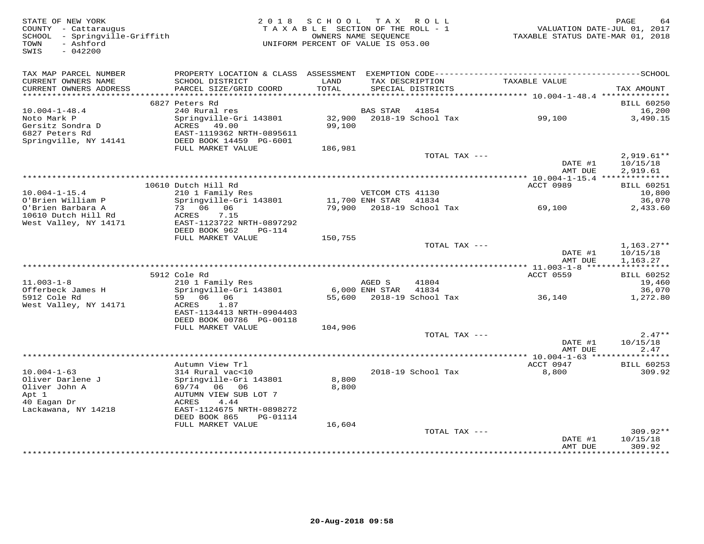| STATE OF NEW YORK<br>COUNTY - Cattaraugus<br>SCHOOL - Springville-Griffith<br>- Ashford<br>TOWN<br>SWIS<br>$-042200$ |                                                                                                                 | 2018 SCHOOL<br>TAXABLE SECTION OF THE ROLL - 1<br>UNIFORM PERCENT OF VALUE IS 053.00 | OWNERS NAME SEQUENCE                      | TAX ROLL                             | VALUATION DATE-JUL 01, 2017<br>TAXABLE STATUS DATE-MAR 01, 2018 | PAGE<br>64                           |
|----------------------------------------------------------------------------------------------------------------------|-----------------------------------------------------------------------------------------------------------------|--------------------------------------------------------------------------------------|-------------------------------------------|--------------------------------------|-----------------------------------------------------------------|--------------------------------------|
| TAX MAP PARCEL NUMBER<br>CURRENT OWNERS NAME<br>CURRENT OWNERS ADDRESS                                               | SCHOOL DISTRICT<br>PARCEL SIZE/GRID COORD                                                                       | LAND<br>TOTAL                                                                        |                                           | TAX DESCRIPTION<br>SPECIAL DISTRICTS | TAXABLE VALUE                                                   | TAX AMOUNT                           |
|                                                                                                                      |                                                                                                                 |                                                                                      |                                           |                                      |                                                                 |                                      |
| $10.004 - 1 - 48.4$                                                                                                  | 6827 Peters Rd<br>240 Rural res                                                                                 |                                                                                      | BAS STAR                                  | 41854                                |                                                                 | <b>BILL 60250</b><br>16,200          |
| Noto Mark P<br>Gersitz Sondra D<br>6827 Peters Rd<br>Springville, NY 14141                                           | Springville-Gri 143801<br>ACRES 49.00<br>EAST-1119362 NRTH-0895611<br>DEED BOOK 14459 PG-6001                   | 32,900<br>99,100                                                                     |                                           | 2018-19 School Tax                   | 99,100                                                          | 3,490.15                             |
|                                                                                                                      | FULL MARKET VALUE                                                                                               | 186,981                                                                              |                                           |                                      |                                                                 |                                      |
|                                                                                                                      |                                                                                                                 |                                                                                      |                                           | TOTAL TAX ---                        | DATE #1<br>AMT DUE                                              | $2,919.61**$<br>10/15/18<br>2,919.61 |
|                                                                                                                      |                                                                                                                 |                                                                                      |                                           |                                      |                                                                 |                                      |
|                                                                                                                      | 10610 Dutch Hill Rd                                                                                             |                                                                                      |                                           |                                      | <b>ACCT 0989</b>                                                | <b>BILL 60251</b>                    |
| $10.004 - 1 - 15.4$<br>O'Brien William P                                                                             | 210 1 Family Res<br>Springville-Gri 143801                                                                      |                                                                                      | VETCOM CTS 41130<br>11,700 ENH STAR 41834 |                                      |                                                                 | 10,800<br>36,070                     |
| O'Brien Barbara A<br>10610 Dutch Hill Rd<br>West Valley, NY 14171                                                    | 73 06 06<br>ACRES<br>7.15<br>EAST-1123722 NRTH-0897292                                                          |                                                                                      |                                           | 79,900 2018-19 School Tax            | 69,100                                                          | 2,433.60                             |
|                                                                                                                      | DEED BOOK 962<br><b>PG-114</b>                                                                                  |                                                                                      |                                           |                                      |                                                                 |                                      |
|                                                                                                                      | FULL MARKET VALUE                                                                                               | 150,755                                                                              |                                           | TOTAL TAX ---                        | DATE #1<br>AMT DUE                                              | $1,163.27**$<br>10/15/18<br>1,163.27 |
|                                                                                                                      |                                                                                                                 |                                                                                      |                                           |                                      |                                                                 |                                      |
|                                                                                                                      | 5912 Cole Rd                                                                                                    |                                                                                      |                                           |                                      | ACCT 0559                                                       | <b>BILL 60252</b>                    |
| $11.003 - 1 - 8$<br>Offerbeck James H                                                                                | 210 1 Family Res<br>Springville-Gri 143801                                                                      |                                                                                      | AGED S<br>6,000 ENH STAR                  | 41804<br>41834                       |                                                                 | 19,460<br>36,070                     |
| 5912 Cole Rd<br>West Valley, NY 14171                                                                                | 59 06 06<br>ACRES<br>1.87<br>EAST-1134413 NRTH-0904403                                                          |                                                                                      |                                           | 55,600 2018-19 School Tax            | 36,140                                                          | 1,272.80                             |
|                                                                                                                      | DEED BOOK 00786 PG-00118                                                                                        |                                                                                      |                                           |                                      |                                                                 |                                      |
|                                                                                                                      | FULL MARKET VALUE                                                                                               | 104,906                                                                              |                                           | TOTAL TAX ---                        |                                                                 | $2.47**$                             |
|                                                                                                                      |                                                                                                                 |                                                                                      |                                           |                                      | DATE #1<br>AMT DUE                                              | 10/15/18<br>2.47                     |
|                                                                                                                      | Autumn View Trl                                                                                                 |                                                                                      |                                           |                                      | ** $10.004 - 1 - 63$ ****************<br>ACCT 0947              | <b>BILL 60253</b>                    |
| $10.004 - 1 - 63$                                                                                                    | 314 Rural vac<10                                                                                                |                                                                                      |                                           | 2018-19 School Tax                   | 8,800                                                           | 309.92                               |
| Oliver Darlene J<br>Oliver John A<br>Apt 1<br>40 Eagan Dr<br>Lackawana, NY 14218                                     | Springville-Gri 143801<br>06 06<br>69/74<br>AUTUMN VIEW SUB LOT 7<br>ACRES<br>4.44<br>EAST-1124675 NRTH-0898272 | 8,800<br>8,800                                                                       |                                           |                                      |                                                                 |                                      |
|                                                                                                                      | DEED BOOK 865<br>PG-01114                                                                                       |                                                                                      |                                           |                                      |                                                                 |                                      |
|                                                                                                                      | FULL MARKET VALUE                                                                                               | 16,604                                                                               |                                           | TOTAL TAX ---                        |                                                                 | $309.92**$                           |
|                                                                                                                      |                                                                                                                 |                                                                                      |                                           |                                      | DATE #1<br>AMT DUE                                              | 10/15/18<br>309.92                   |
|                                                                                                                      |                                                                                                                 |                                                                                      |                                           |                                      | ***************                                                 | *********                            |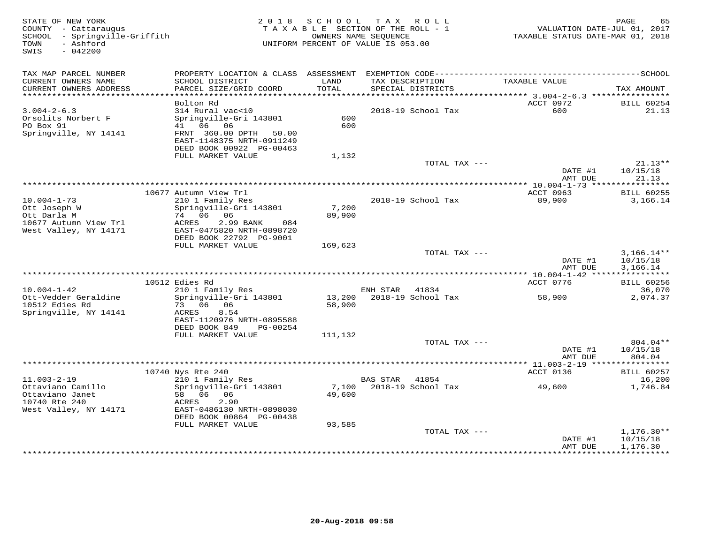| STATE OF NEW YORK<br>COUNTY - Cattaraugus<br>SCHOOL - Springville-Griffith<br>TOWN<br>- Ashford<br>SWIS<br>$-042200$ | 2 0 1 8                                                | S C H O O L | TAX ROLL<br>TAXABLE SECTION OF THE ROLL - 1<br>OWNERS NAME SEQUENCE<br>UNIFORM PERCENT OF VALUE IS 053.00 | VALUATION DATE-JUL 01, 2017<br>TAXABLE STATUS DATE-MAR 01, 2018 | PAGE<br>65            |
|----------------------------------------------------------------------------------------------------------------------|--------------------------------------------------------|-------------|-----------------------------------------------------------------------------------------------------------|-----------------------------------------------------------------|-----------------------|
| TAX MAP PARCEL NUMBER                                                                                                |                                                        |             |                                                                                                           |                                                                 |                       |
| CURRENT OWNERS NAME                                                                                                  | SCHOOL DISTRICT                                        | LAND        | TAX DESCRIPTION<br>SPECIAL DISTRICTS                                                                      | TAXABLE VALUE                                                   |                       |
| CURRENT OWNERS ADDRESS                                                                                               | PARCEL SIZE/GRID COORD                                 | TOTAL       |                                                                                                           |                                                                 | TAX AMOUNT            |
|                                                                                                                      | Bolton Rd                                              |             |                                                                                                           | ACCT 0972                                                       | <b>BILL 60254</b>     |
| $3.004 - 2 - 6.3$                                                                                                    | 314 Rural vac<10                                       |             | 2018-19 School Tax                                                                                        | 600                                                             | 21.13                 |
| Orsolits Norbert F                                                                                                   | Springville-Gri 143801                                 | 600         |                                                                                                           |                                                                 |                       |
| PO Box 91<br>Springville, NY 14141                                                                                   | 41 06<br>06<br>FRNT 360.00 DPTH<br>50.00               | 600         |                                                                                                           |                                                                 |                       |
|                                                                                                                      | EAST-1148375 NRTH-0911249                              |             |                                                                                                           |                                                                 |                       |
|                                                                                                                      | DEED BOOK 00922 PG-00463                               |             |                                                                                                           |                                                                 |                       |
|                                                                                                                      | FULL MARKET VALUE                                      | 1,132       |                                                                                                           |                                                                 |                       |
|                                                                                                                      |                                                        |             | TOTAL TAX ---                                                                                             | DATE #1                                                         | $21.13**$<br>10/15/18 |
|                                                                                                                      |                                                        |             |                                                                                                           | AMT DUE                                                         | 21.13                 |
|                                                                                                                      |                                                        |             |                                                                                                           |                                                                 |                       |
|                                                                                                                      | 10677 Autumn View Trl                                  |             |                                                                                                           | ACCT 0963                                                       | <b>BILL 60255</b>     |
| $10.004 - 1 - 73$<br>Ott Joseph W                                                                                    | 210 1 Family Res<br>Springville-Gri 143801             | 7,200       | 2018-19 School Tax                                                                                        | 89,900                                                          | 3,166.14              |
| Ott Darla M                                                                                                          | 74 06 06                                               | 89,900      |                                                                                                           |                                                                 |                       |
| 10677 Autumn View Trl                                                                                                | ACRES<br>2.99 BANK<br>084                              |             |                                                                                                           |                                                                 |                       |
| West Valley, NY 14171                                                                                                | EAST-0475820 NRTH-0898720                              |             |                                                                                                           |                                                                 |                       |
|                                                                                                                      | DEED BOOK 22792 PG-9001<br>FULL MARKET VALUE           | 169,623     |                                                                                                           |                                                                 |                       |
|                                                                                                                      |                                                        |             | TOTAL TAX ---                                                                                             |                                                                 | $3,166.14**$          |
|                                                                                                                      |                                                        |             |                                                                                                           | DATE #1                                                         | 10/15/18              |
|                                                                                                                      |                                                        |             |                                                                                                           | AMT DUE                                                         | 3,166.14              |
|                                                                                                                      | 10512 Edies Rd                                         |             |                                                                                                           | *********** 10.004-1-42 *****************<br>ACCT 0776          | <b>BILL 60256</b>     |
| $10.004 - 1 - 42$                                                                                                    | 210 1 Family Res                                       |             | ENH STAR 41834                                                                                            |                                                                 | 36,070                |
| Ott-Vedder Geraldine                                                                                                 | Springville-Gri 143801                                 | 13,200      | 2018-19 School Tax                                                                                        | 58,900                                                          | 2,074.37              |
| 10512 Edies Rd                                                                                                       | 73 06 06                                               | 58,900      |                                                                                                           |                                                                 |                       |
| Springville, NY 14141                                                                                                | ACRES<br>8.54                                          |             |                                                                                                           |                                                                 |                       |
|                                                                                                                      | EAST-1120976 NRTH-0895588<br>DEED BOOK 849<br>PG-00254 |             |                                                                                                           |                                                                 |                       |
|                                                                                                                      | FULL MARKET VALUE                                      | 111,132     |                                                                                                           |                                                                 |                       |
|                                                                                                                      |                                                        |             | TOTAL TAX ---                                                                                             |                                                                 | 804.04**              |
|                                                                                                                      |                                                        |             |                                                                                                           | DATE #1                                                         | 10/15/18              |
|                                                                                                                      |                                                        |             |                                                                                                           | AMT DUE<br>*********** 11.003-2-19 *****                        | 804.04<br>*********** |
|                                                                                                                      | 10740 Nys Rte 240                                      |             |                                                                                                           | ACCT 0136                                                       | <b>BILL 60257</b>     |
| $11.003 - 2 - 19$                                                                                                    | 210 1 Family Res                                       |             | 41854<br>BAS STAR                                                                                         |                                                                 | 16,200                |
| Ottaviano Camillo                                                                                                    | Springville-Gri 143801                                 | 7,100       | 2018-19 School Tax                                                                                        | 49,600                                                          | 1,746.84              |
| Ottaviano Janet                                                                                                      | 58 06 06                                               | 49,600      |                                                                                                           |                                                                 |                       |
| 10740 Rte 240<br>West Valley, NY 14171                                                                               | 2.90<br>ACRES<br>EAST-0486130 NRTH-0898030             |             |                                                                                                           |                                                                 |                       |
|                                                                                                                      | DEED BOOK 00864 PG-00438                               |             |                                                                                                           |                                                                 |                       |
|                                                                                                                      | FULL MARKET VALUE                                      | 93,585      |                                                                                                           |                                                                 |                       |
|                                                                                                                      |                                                        |             | TOTAL TAX ---                                                                                             |                                                                 | $1,176.30**$          |
|                                                                                                                      |                                                        |             |                                                                                                           | DATE #1<br>AMT DUE                                              | 10/15/18<br>1,176.30  |
|                                                                                                                      |                                                        |             | ************************                                                                                  | *************                                                   | * * * * * * * * * * * |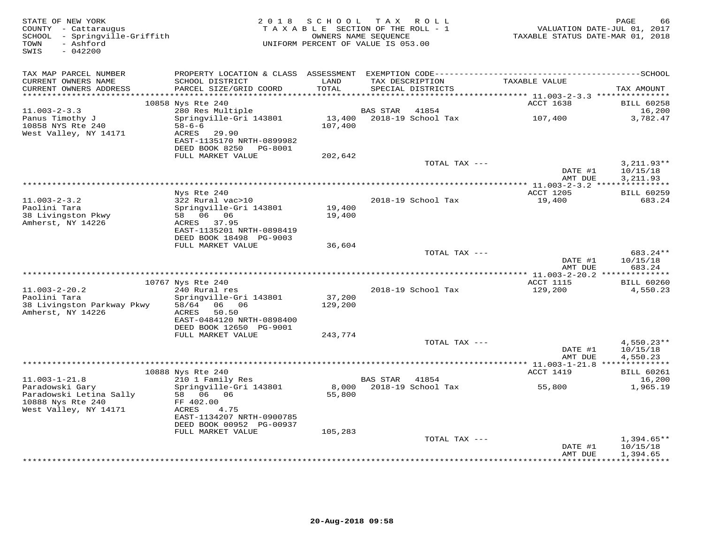| STATE OF NEW YORK<br>COUNTY - Cattaraugus<br>SCHOOL - Springville-Griffith<br>TOWN<br>- Ashford<br>SWIS<br>$-042200$ |                                               |                      | 2018 SCHOOL TAX ROLL<br>TAXABLE SECTION OF THE ROLL - 1<br>OWNERS NAME SEQUENCE<br>UNIFORM PERCENT OF VALUE IS 053.00 |               | VALUATION DATE-JUL 01, 2017<br>TAXABLE STATUS DATE-MAR 01, 2018 | PAGE<br>66                  |
|----------------------------------------------------------------------------------------------------------------------|-----------------------------------------------|----------------------|-----------------------------------------------------------------------------------------------------------------------|---------------|-----------------------------------------------------------------|-----------------------------|
| TAX MAP PARCEL NUMBER                                                                                                |                                               |                      |                                                                                                                       |               |                                                                 |                             |
| CURRENT OWNERS NAME<br>CURRENT OWNERS ADDRESS                                                                        | SCHOOL DISTRICT<br>PARCEL SIZE/GRID COORD     | LAND<br>TOTAL        | TAX DESCRIPTION<br>SPECIAL DISTRICTS                                                                                  |               | TAXABLE VALUE                                                   | TAX AMOUNT                  |
| *********************                                                                                                |                                               | ******************** |                                                                                                                       |               | *********** 11.003-2-3.3 ****************                       |                             |
|                                                                                                                      | 10858 Nys Rte 240                             |                      |                                                                                                                       |               | ACCT 1638                                                       | <b>BILL 60258</b>           |
| $11.003 - 2 - 3.3$                                                                                                   | 280 Res Multiple                              |                      | BAS STAR                                                                                                              | 41854         |                                                                 | 16,200                      |
| Panus Timothy J                                                                                                      | Springville-Gri 143801                        |                      |                                                                                                                       |               | 107,400                                                         | 3,782.47                    |
| 10858 NYS Rte 240                                                                                                    | $58 - 6 - 6$<br>ACRES 29.90                   | 107,400              |                                                                                                                       |               |                                                                 |                             |
| West Valley, NY 14171                                                                                                | EAST-1135170 NRTH-0899982                     |                      |                                                                                                                       |               |                                                                 |                             |
|                                                                                                                      | DEED BOOK 8250 PG-8001                        |                      |                                                                                                                       |               |                                                                 |                             |
|                                                                                                                      | FULL MARKET VALUE                             | 202,642              |                                                                                                                       |               |                                                                 |                             |
|                                                                                                                      |                                               |                      |                                                                                                                       | TOTAL TAX --- |                                                                 | $3,211.93**$                |
|                                                                                                                      |                                               |                      |                                                                                                                       |               | DATE #1                                                         | 10/15/18                    |
|                                                                                                                      |                                               |                      |                                                                                                                       |               | AMT DUE                                                         | 3,211.93                    |
|                                                                                                                      | Nys Rte 240                                   |                      |                                                                                                                       |               | ACCT 1205                                                       | <b>BILL 60259</b>           |
| $11.003 - 2 - 3.2$                                                                                                   | 322 Rural vac>10                              |                      | 2018-19 School Tax                                                                                                    |               | 19,400                                                          | 683.24                      |
| Paolini Tara                                                                                                         | Springville-Gri 143801                        | 19,400               |                                                                                                                       |               |                                                                 |                             |
| 38 Livingston Pkwy                                                                                                   | 58 06 06                                      | 19,400               |                                                                                                                       |               |                                                                 |                             |
| Amherst, NY 14226                                                                                                    | ACRES 37.95<br>EAST-1135201 NRTH-0898419      |                      |                                                                                                                       |               |                                                                 |                             |
|                                                                                                                      | DEED BOOK 18498 PG-9003                       |                      |                                                                                                                       |               |                                                                 |                             |
|                                                                                                                      | FULL MARKET VALUE                             | 36,604               |                                                                                                                       |               |                                                                 |                             |
|                                                                                                                      |                                               |                      |                                                                                                                       | TOTAL TAX --- |                                                                 | 683.24**                    |
|                                                                                                                      |                                               |                      |                                                                                                                       |               | DATE #1                                                         | 10/15/18                    |
|                                                                                                                      |                                               |                      |                                                                                                                       |               | AMT DUE                                                         | 683.24                      |
|                                                                                                                      | 10767 Nys Rte 240                             |                      |                                                                                                                       |               | ACCT 1115                                                       | <b>BILL 60260</b>           |
| $11.003 - 2 - 20.2$                                                                                                  | 240 Rural res                                 |                      | 2018-19 School Tax                                                                                                    |               | 129,200                                                         | 4,550.23                    |
| Paolini Tara                                                                                                         | Springville-Gri 143801                        | 37,200               |                                                                                                                       |               |                                                                 |                             |
| 38 Livingston Parkway Pkwy                                                                                           | 58/64 06 06                                   | 129,200              |                                                                                                                       |               |                                                                 |                             |
| Amherst, NY 14226                                                                                                    | ACRES<br>50.50                                |                      |                                                                                                                       |               |                                                                 |                             |
|                                                                                                                      | EAST-0484120 NRTH-0898400                     |                      |                                                                                                                       |               |                                                                 |                             |
|                                                                                                                      | DEED BOOK 12650 PG-9001<br>FULL MARKET VALUE  | 243,774              |                                                                                                                       |               |                                                                 |                             |
|                                                                                                                      |                                               |                      |                                                                                                                       | TOTAL TAX --- |                                                                 | $4,550.23**$                |
|                                                                                                                      |                                               |                      |                                                                                                                       |               | DATE #1                                                         | 10/15/18                    |
|                                                                                                                      |                                               |                      |                                                                                                                       |               | AMT DUE                                                         | 4,550.23                    |
|                                                                                                                      |                                               |                      |                                                                                                                       |               |                                                                 |                             |
| $11.003 - 1 - 21.8$                                                                                                  | 10888 Nys Rte 240<br>210 1 Family Res         |                      | BAS STAR 41854                                                                                                        |               | ACCT 1419                                                       | <b>BILL 60261</b><br>16,200 |
| Paradowski Gary                                                                                                      | Springville-Gri 143801                        |                      |                                                                                                                       |               | 55,800                                                          | 1,965.19                    |
| Paradowski Letina Sally                                                                                              | 58 06 06                                      | 55,800               |                                                                                                                       |               |                                                                 |                             |
| 10888 Nys Rte 240                                                                                                    | FF 402.00                                     |                      |                                                                                                                       |               |                                                                 |                             |
| West Valley, NY 14171                                                                                                | ACRES<br>4.75                                 |                      |                                                                                                                       |               |                                                                 |                             |
|                                                                                                                      | EAST-1134207 NRTH-0900785                     |                      |                                                                                                                       |               |                                                                 |                             |
|                                                                                                                      | DEED BOOK 00952 PG-00937<br>FULL MARKET VALUE | 105,283              |                                                                                                                       |               |                                                                 |                             |
|                                                                                                                      |                                               |                      |                                                                                                                       | TOTAL TAX --- |                                                                 | $1,394.65**$                |
|                                                                                                                      |                                               |                      |                                                                                                                       |               | DATE #1                                                         | 10/15/18                    |
|                                                                                                                      |                                               |                      |                                                                                                                       |               | AMT DUE                                                         | 1,394.65                    |
|                                                                                                                      |                                               |                      |                                                                                                                       |               |                                                                 | *************               |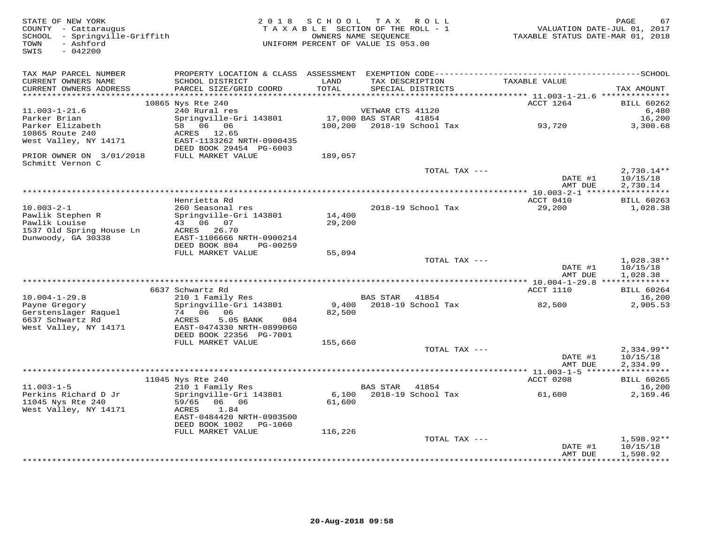| STATE OF NEW YORK<br>COUNTY - Cattaraugus<br>SCHOOL - Springville-Griffith<br>- Ashford<br>TOWN<br>$-042200$<br>SWIS |                                                                                                           | 2018 SCHOOL      | TAX ROLL<br>TAXABLE SECTION OF THE ROLL - 1<br>OWNERS NAME SEQUENCE<br>UNIFORM PERCENT OF VALUE IS 053.00 | VALUATION DATE-JUL 01, 2017<br>TAXABLE STATUS DATE-MAR 01, 2018 | PAGE<br>67                           |
|----------------------------------------------------------------------------------------------------------------------|-----------------------------------------------------------------------------------------------------------|------------------|-----------------------------------------------------------------------------------------------------------|-----------------------------------------------------------------|--------------------------------------|
| TAX MAP PARCEL NUMBER<br>CURRENT OWNERS NAME<br>CURRENT OWNERS ADDRESS                                               | SCHOOL DISTRICT<br>PARCEL SIZE/GRID COORD                                                                 | LAND<br>TOTAL    | TAX DESCRIPTION<br>SPECIAL DISTRICTS                                                                      | TAXABLE VALUE                                                   | TAX AMOUNT                           |
| **********************                                                                                               |                                                                                                           |                  |                                                                                                           |                                                                 |                                      |
|                                                                                                                      | 10865 Nys Rte 240                                                                                         |                  |                                                                                                           | ACCT 1264                                                       | <b>BILL 60262</b>                    |
| $11.003 - 1 - 21.6$<br>Parker Brian                                                                                  | 240 Rural res                                                                                             |                  | VETWAR CTS 41120<br>41854                                                                                 |                                                                 | 6,480                                |
| Parker Elizabeth<br>10865 Route 240<br>West Valley, NY 14171                                                         | Springville-Gri 143801<br>58 06 06<br>ACRES 12.65<br>EAST-1133262 NRTH-0900435<br>DEED BOOK 29454 PG-6003 | 100,200          | 17,000 BAS STAR<br>2018-19 School Tax                                                                     | 93,720                                                          | 16,200<br>3,300.68                   |
| PRIOR OWNER ON 3/01/2018                                                                                             | FULL MARKET VALUE                                                                                         | 189,057          |                                                                                                           |                                                                 |                                      |
| Schmitt Vernon C                                                                                                     |                                                                                                           |                  | TOTAL TAX ---                                                                                             |                                                                 | $2,730.14**$                         |
|                                                                                                                      |                                                                                                           |                  |                                                                                                           | DATE #1<br>AMT DUE                                              | 10/15/18<br>2,730.14                 |
|                                                                                                                      |                                                                                                           |                  |                                                                                                           |                                                                 |                                      |
|                                                                                                                      | Henrietta Rd                                                                                              |                  |                                                                                                           | ACCT 0410                                                       | <b>BILL 60263</b>                    |
| $10.003 - 2 - 1$<br>Pawlik Stephen R<br>Pawlik Louise                                                                | 260 Seasonal res<br>Springville-Gri 143801<br>43 06 07                                                    | 14,400<br>29,200 | 2018-19 School Tax                                                                                        | 29,200                                                          | 1,028.38                             |
| 1537 Old Spring House Ln<br>Dunwoody, GA 30338                                                                       | ACRES 26.70<br>EAST-1106666 NRTH-0900214<br>DEED BOOK 804<br>PG-00259                                     |                  |                                                                                                           |                                                                 |                                      |
|                                                                                                                      | FULL MARKET VALUE                                                                                         | 55,094           |                                                                                                           |                                                                 |                                      |
|                                                                                                                      |                                                                                                           |                  | TOTAL TAX ---                                                                                             | DATE #1                                                         | $1,028.38**$<br>10/15/18             |
|                                                                                                                      |                                                                                                           |                  |                                                                                                           | AMT DUE<br>************ 10.004-1-29.8 **************            | 1,028.38                             |
|                                                                                                                      | 6637 Schwartz Rd                                                                                          |                  |                                                                                                           | ACCT 1110                                                       | <b>BILL 60264</b>                    |
| $10.004 - 1 - 29.8$                                                                                                  | 210 1 Family Res                                                                                          |                  | BAS STAR<br>41854                                                                                         |                                                                 | 16,200                               |
| Payne Gregory<br>Gerstenslager Raquel<br>6637 Schwartz Rd<br>West Valley, NY 14171                                   | Springville-Gri 143801<br>74 06 06<br>ACRES<br>5.05 BANK<br>084<br>EAST-0474330 NRTH-0899060              | 9,400<br>82,500  | 2018-19 School Tax                                                                                        | 82,500                                                          | 2,905.53                             |
|                                                                                                                      | DEED BOOK 22356 PG-7001<br>FULL MARKET VALUE                                                              | 155,660          |                                                                                                           |                                                                 |                                      |
|                                                                                                                      |                                                                                                           |                  | TOTAL TAX ---                                                                                             | DATE #1<br>AMT DUE                                              | $2,334.99**$<br>10/15/18<br>2,334.99 |
|                                                                                                                      |                                                                                                           |                  |                                                                                                           |                                                                 |                                      |
|                                                                                                                      | 11045 Nys Rte 240                                                                                         |                  |                                                                                                           | ACCT 0208                                                       | <b>BILL 60265</b>                    |
| $11.003 - 1 - 5$<br>Perkins Richard D Jr<br>11045 Nys Rte 240                                                        | 210 1 Family Res<br>Springville-Gri 143801<br>59/65<br>06 06                                              | 6,100<br>61,600  | BAS STAR 41854<br>2018-19 School Tax                                                                      | 61,600                                                          | 16,200<br>2,169.46                   |
| West Valley, NY 14171                                                                                                | 1.84<br>ACRES<br>EAST-0484420 NRTH-0903500<br>DEED BOOK 1002<br>PG-1060                                   |                  |                                                                                                           |                                                                 |                                      |
|                                                                                                                      | FULL MARKET VALUE                                                                                         | 116,226          |                                                                                                           |                                                                 |                                      |
|                                                                                                                      |                                                                                                           |                  | TOTAL TAX ---                                                                                             | DATE #1                                                         | $1,598.92**$<br>10/15/18             |
|                                                                                                                      |                                                                                                           |                  |                                                                                                           | AMT DUE                                                         | 1,598.92                             |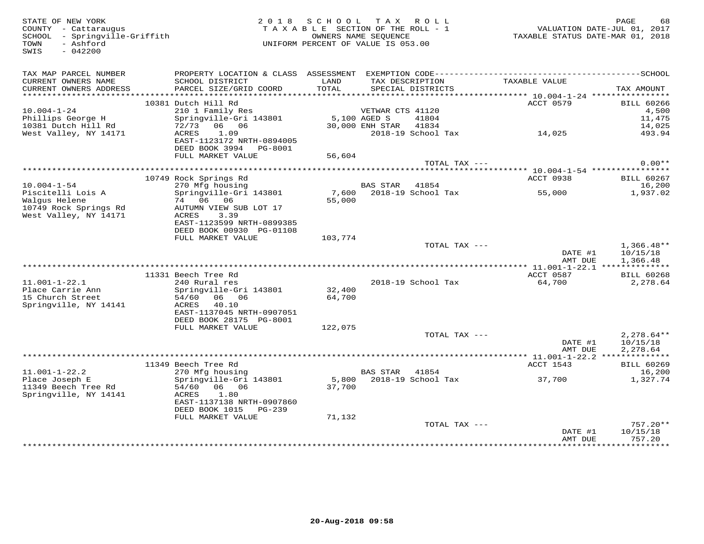| STATE OF NEW YORK<br>COUNTY - Cattaraugus<br>SCHOOL - Springville-Griffith<br>- Ashford<br>TOWN<br>$-042200$<br>SWIS | 2 0 1 8                                                                                      | S C H O O L<br>TAXABLE SECTION OF THE ROLL - 1<br>UNIFORM PERCENT OF VALUE IS 053.00 | OWNERS NAME SEOUENCE | TAX ROLL                             |               | PAGE<br>68<br>VALUATION DATE-JUL 01, 2017<br>TAXABLE STATUS DATE-MAR 01, 2018 |
|----------------------------------------------------------------------------------------------------------------------|----------------------------------------------------------------------------------------------|--------------------------------------------------------------------------------------|----------------------|--------------------------------------|---------------|-------------------------------------------------------------------------------|
| TAX MAP PARCEL NUMBER                                                                                                | PROPERTY LOCATION & CLASS ASSESSMENT EXEMPTION CODE-----------------------------------SCHOOL |                                                                                      |                      |                                      |               |                                                                               |
| CURRENT OWNERS NAME<br>CURRENT OWNERS ADDRESS                                                                        | SCHOOL DISTRICT<br>PARCEL SIZE/GRID COORD                                                    | LAND<br>TOTAL                                                                        |                      | TAX DESCRIPTION<br>SPECIAL DISTRICTS | TAXABLE VALUE | TAX AMOUNT                                                                    |
|                                                                                                                      | 10381 Dutch Hill Rd                                                                          |                                                                                      |                      |                                      | ACCT 0579     |                                                                               |
| $10.004 - 1 - 24$                                                                                                    | 210 1 Family Res                                                                             |                                                                                      | VETWAR CTS 41120     |                                      |               | <b>BILL 60266</b><br>4,500                                                    |
| Phillips George H                                                                                                    | Springville-Gri 143801                                                                       |                                                                                      | 5,100 AGED S         | 41804                                |               | 11,475                                                                        |
| 10381 Dutch Hill Rd                                                                                                  | 72/73 06 06                                                                                  |                                                                                      | 30,000 ENH STAR      | 41834                                |               | 14,025                                                                        |
| West Valley, NY 14171                                                                                                | ACRES<br>1.09                                                                                |                                                                                      |                      | 2018-19 School Tax                   | 14,025        | 493.94                                                                        |
|                                                                                                                      | EAST-1123172 NRTH-0894005                                                                    |                                                                                      |                      |                                      |               |                                                                               |
|                                                                                                                      | DEED BOOK 3994 PG-8001                                                                       |                                                                                      |                      |                                      |               |                                                                               |
|                                                                                                                      | FULL MARKET VALUE                                                                            | 56,604                                                                               |                      |                                      |               | $0.00**$                                                                      |
|                                                                                                                      |                                                                                              |                                                                                      |                      | TOTAL TAX ---                        |               |                                                                               |
|                                                                                                                      | 10749 Rock Springs Rd                                                                        |                                                                                      |                      |                                      | ACCT 0938     | <b>BILL 60267</b>                                                             |
| $10.004 - 1 - 54$                                                                                                    | 270 Mfg housing                                                                              |                                                                                      | BAS STAR             | 41854                                |               | 16,200                                                                        |
| Piscitelli Lois A                                                                                                    | Springville-Gri 143801                                                                       | 7,600                                                                                |                      | 2018-19 School Tax                   | 55,000        | 1,937.02                                                                      |
| Walgus Helene                                                                                                        | 74 06 06                                                                                     | 55,000                                                                               |                      |                                      |               |                                                                               |
| 10749 Rock Springs Rd                                                                                                | AUTUMN VIEW SUB LOT 17                                                                       |                                                                                      |                      |                                      |               |                                                                               |
| West Valley, NY 14171                                                                                                | 3.39<br>ACRES                                                                                |                                                                                      |                      |                                      |               |                                                                               |
|                                                                                                                      | EAST-1123599 NRTH-0899385<br>DEED BOOK 00930 PG-01108                                        |                                                                                      |                      |                                      |               |                                                                               |
|                                                                                                                      | FULL MARKET VALUE                                                                            | 103,774                                                                              |                      |                                      |               |                                                                               |
|                                                                                                                      |                                                                                              |                                                                                      |                      | TOTAL TAX ---                        |               | $1,366.48**$                                                                  |
|                                                                                                                      |                                                                                              |                                                                                      |                      |                                      | DATE #1       | 10/15/18                                                                      |
|                                                                                                                      |                                                                                              |                                                                                      |                      |                                      | AMT DUE       | 1,366.48                                                                      |
|                                                                                                                      |                                                                                              |                                                                                      |                      |                                      |               |                                                                               |
|                                                                                                                      | 11331 Beech Tree Rd                                                                          |                                                                                      |                      |                                      | ACCT 0587     | <b>BILL 60268</b>                                                             |
| $11.001 - 1 - 22.1$                                                                                                  | 240 Rural res                                                                                |                                                                                      |                      | 2018-19 School Tax                   | 64,700        | 2,278.64                                                                      |
| Place Carrie Ann<br>15 Church Street                                                                                 | Springville-Gri 143801<br>06 06<br>54/60                                                     | 32,400<br>64,700                                                                     |                      |                                      |               |                                                                               |
| Springville, NY 14141                                                                                                | ACRES<br>40.10                                                                               |                                                                                      |                      |                                      |               |                                                                               |
|                                                                                                                      | EAST-1137045 NRTH-0907051                                                                    |                                                                                      |                      |                                      |               |                                                                               |
|                                                                                                                      | DEED BOOK 28175 PG-8001                                                                      |                                                                                      |                      |                                      |               |                                                                               |
|                                                                                                                      | FULL MARKET VALUE                                                                            | 122,075                                                                              |                      |                                      |               |                                                                               |
|                                                                                                                      |                                                                                              |                                                                                      |                      | TOTAL TAX ---                        |               | $2,278.64**$                                                                  |
|                                                                                                                      |                                                                                              |                                                                                      |                      |                                      | DATE #1       | 10/15/18                                                                      |
|                                                                                                                      |                                                                                              |                                                                                      |                      |                                      | AMT DUE       | 2,278.64                                                                      |
|                                                                                                                      | 11349 Beech Tree Rd                                                                          |                                                                                      |                      |                                      | ACCT 1543     | <b>BILL 60269</b>                                                             |
| $11.001 - 1 - 22.2$                                                                                                  | 270 Mfg housing                                                                              |                                                                                      | <b>BAS STAR</b>      | 41854                                |               | 16,200                                                                        |
| Place Joseph E                                                                                                       | Springville-Gri 143801                                                                       | 5,800                                                                                |                      | 2018-19 School Tax                   | 37,700        | 1,327.74                                                                      |
| 11349 Beech Tree Rd                                                                                                  | 54/60<br>06 06                                                                               | 37,700                                                                               |                      |                                      |               |                                                                               |
| Springville, NY 14141                                                                                                | ACRES<br>1.80                                                                                |                                                                                      |                      |                                      |               |                                                                               |
|                                                                                                                      | EAST-1137138 NRTH-0907860                                                                    |                                                                                      |                      |                                      |               |                                                                               |
|                                                                                                                      | DEED BOOK 1015<br>PG-239                                                                     |                                                                                      |                      |                                      |               |                                                                               |
|                                                                                                                      | FULL MARKET VALUE                                                                            | 71,132                                                                               |                      | TOTAL TAX ---                        |               | $757.20**$                                                                    |
|                                                                                                                      |                                                                                              |                                                                                      |                      |                                      | DATE #1       | 10/15/18                                                                      |
|                                                                                                                      |                                                                                              |                                                                                      |                      |                                      | AMT DUE       | 757.20                                                                        |
|                                                                                                                      |                                                                                              |                                                                                      |                      |                                      |               |                                                                               |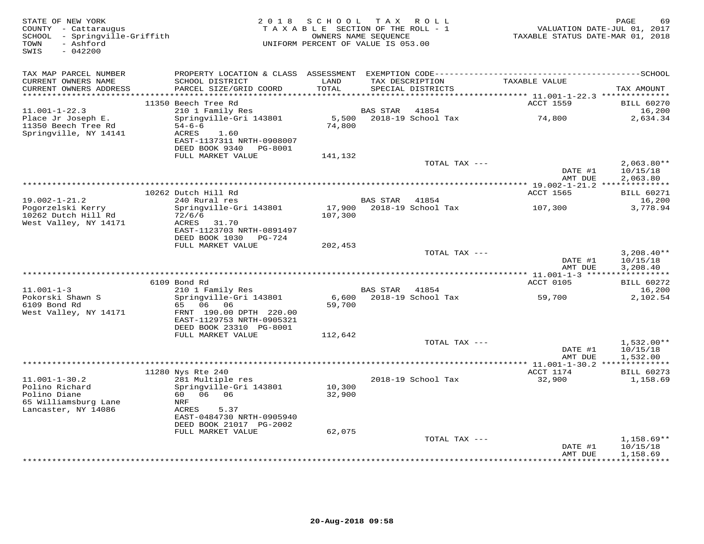| STATE OF NEW YORK<br>COUNTY - Cattaraugus<br>SCHOOL - Springville-Griffith<br>- Ashford<br>TOWN<br>$-042200$<br>SWIS |                                                                                                                          | 2018 SCHOOL<br>TAXABLE SECTION OF THE ROLL - 1<br>OWNERS NAME SEQUENCE<br>UNIFORM PERCENT OF VALUE IS 053.00 |                 | TAX ROLL                             | TAXABLE STATUS DATE-MAR 01, 2018     | PAGE<br>69<br>VALUATION DATE-JUL 01, 2017 |
|----------------------------------------------------------------------------------------------------------------------|--------------------------------------------------------------------------------------------------------------------------|--------------------------------------------------------------------------------------------------------------|-----------------|--------------------------------------|--------------------------------------|-------------------------------------------|
| TAX MAP PARCEL NUMBER                                                                                                |                                                                                                                          |                                                                                                              |                 |                                      |                                      |                                           |
| CURRENT OWNERS NAME<br>CURRENT OWNERS ADDRESS<br>***********************                                             | SCHOOL DISTRICT<br>PARCEL SIZE/GRID COORD                                                                                | LAND<br>TOTAL                                                                                                |                 | TAX DESCRIPTION<br>SPECIAL DISTRICTS | TAXABLE VALUE                        | TAX AMOUNT                                |
|                                                                                                                      | 11350 Beech Tree Rd                                                                                                      |                                                                                                              |                 |                                      | ACCT 1559                            | <b>BILL 60270</b>                         |
| $11.001 - 1 - 22.3$                                                                                                  | 210 1 Family Res                                                                                                         |                                                                                                              | <b>BAS STAR</b> | 41854                                |                                      | 16,200                                    |
| Place Jr Joseph E.<br>11350 Beech Tree Rd<br>Springville, NY 14141                                                   | Springville-Gri 143801<br>$54 - 6 - 6$<br>ACRES<br>1.60<br>EAST-1137311 NRTH-0908007<br>DEED BOOK 9340 PG-8001           | 5,500<br>74,800                                                                                              |                 | 2018-19 School Tax                   | 74,800                               | 2,634.34                                  |
|                                                                                                                      | FULL MARKET VALUE                                                                                                        | 141,132                                                                                                      |                 | TOTAL TAX ---                        |                                      | $2,063.80**$                              |
|                                                                                                                      |                                                                                                                          |                                                                                                              |                 |                                      | DATE #1<br>AMT DUE                   | 10/15/18<br>2,063.80                      |
|                                                                                                                      |                                                                                                                          |                                                                                                              |                 |                                      |                                      |                                           |
| $19.002 - 1 - 21.2$                                                                                                  | 10262 Dutch Hill Rd<br>240 Rural res                                                                                     |                                                                                                              | BAS STAR 41854  |                                      | ACCT 1565                            | <b>BILL 60271</b><br>16,200               |
| Pogorzelski Kerry                                                                                                    | Springville-Gri 143801                                                                                                   | 17,900                                                                                                       |                 | 2018-19 School Tax                   | 107,300                              | 3,778.94                                  |
| 10262 Dutch Hill Rd<br>West Valley, NY 14171                                                                         | 72/6/6<br>ACRES 31.70<br>EAST-1123703 NRTH-0891497<br>DEED BOOK 1030<br>PG-724                                           | 107,300                                                                                                      |                 |                                      |                                      |                                           |
|                                                                                                                      | FULL MARKET VALUE                                                                                                        | 202,453                                                                                                      |                 | TOTAL TAX ---                        |                                      | $3,208.40**$                              |
|                                                                                                                      |                                                                                                                          |                                                                                                              |                 |                                      | DATE #1<br>AMT DUE                   | 10/15/18<br>3,208.40                      |
|                                                                                                                      |                                                                                                                          |                                                                                                              |                 |                                      |                                      |                                           |
| $11.001 - 1 - 3$                                                                                                     | 6109 Bond Rd<br>210 1 Family Res                                                                                         |                                                                                                              | <b>BAS STAR</b> | 41854                                | ACCT 0105                            | <b>BILL 60272</b><br>16,200               |
| Pokorski Shawn S<br>6109 Bond Rd<br>West Valley, NY 14171                                                            | Springville-Gri 143801<br>65<br>06 06<br>FRNT 190.00 DPTH 220.00<br>EAST-1129753 NRTH-0905321<br>DEED BOOK 23310 PG-8001 | 6,600<br>59,700                                                                                              |                 | 2018-19 School Tax                   | 59,700                               | 2,102.54                                  |
|                                                                                                                      | FULL MARKET VALUE                                                                                                        | 112,642                                                                                                      |                 |                                      |                                      |                                           |
|                                                                                                                      |                                                                                                                          |                                                                                                              |                 | TOTAL TAX ---                        | DATE #1<br>AMT DUE                   | $1,532.00**$<br>10/15/18<br>1,532.00      |
|                                                                                                                      |                                                                                                                          |                                                                                                              |                 |                                      | ******* 11.001-1-30.2 ************** |                                           |
| $11.001 - 1 - 30.2$<br>Polino Richard<br>Polino Diane<br>65 Williamsburg Lane<br>Lancaster, NY 14086                 | 11280 Nys Rte 240<br>281 Multiple res<br>Springville-Gri 143801<br>60 06 06<br>NRF<br>ACRES<br>5.37                      | 10,300<br>32,900                                                                                             |                 | 2018-19 School Tax                   | ACCT 1174<br>32,900                  | <b>BILL 60273</b><br>1,158.69             |
|                                                                                                                      | EAST-0484730 NRTH-0905940<br>DEED BOOK 21017 PG-2002                                                                     |                                                                                                              |                 |                                      |                                      |                                           |
|                                                                                                                      | FULL MARKET VALUE                                                                                                        | 62,075                                                                                                       |                 |                                      |                                      |                                           |
|                                                                                                                      |                                                                                                                          |                                                                                                              |                 | TOTAL TAX ---                        | DATE #1<br>AMT DUE                   | $1,158.69**$<br>10/15/18<br>1,158.69      |
|                                                                                                                      |                                                                                                                          |                                                                                                              |                 |                                      |                                      | **********                                |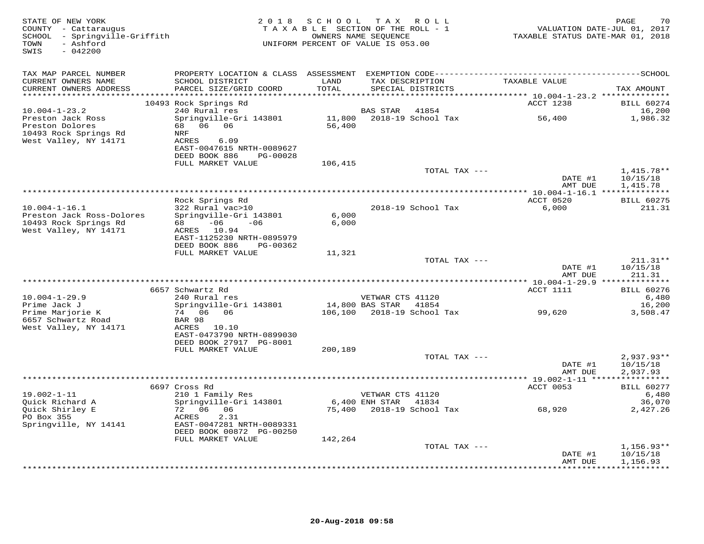| STATE OF NEW YORK<br>COUNTY - Cattaraugus<br>SCHOOL - Springville-Griffith<br>- Ashford<br>TOWN<br>$-042200$<br>SWIS | 2 0 1 8                                        | SCHOOL<br>TAXABLE SECTION OF THE ROLL - 1<br>OWNERS NAME SEQUENCE<br>UNIFORM PERCENT OF VALUE IS 053.00 |                       | TAX ROLL                             | VALUATION DATE-JUL 01, 2017<br>TAXABLE STATUS DATE-MAR 01, 2018 | 70<br>PAGE                  |
|----------------------------------------------------------------------------------------------------------------------|------------------------------------------------|---------------------------------------------------------------------------------------------------------|-----------------------|--------------------------------------|-----------------------------------------------------------------|-----------------------------|
| TAX MAP PARCEL NUMBER                                                                                                |                                                |                                                                                                         |                       |                                      |                                                                 |                             |
| CURRENT OWNERS NAME<br>CURRENT OWNERS ADDRESS                                                                        | SCHOOL DISTRICT<br>PARCEL SIZE/GRID COORD      | LAND<br>TOTAL                                                                                           |                       | TAX DESCRIPTION<br>SPECIAL DISTRICTS | TAXABLE VALUE                                                   | TAX AMOUNT                  |
|                                                                                                                      |                                                |                                                                                                         |                       |                                      |                                                                 |                             |
| $10.004 - 1 - 23.2$                                                                                                  | 10493 Rock Springs Rd<br>240 Rural res         |                                                                                                         | BAS STAR              | 41854                                | ACCT 1238                                                       | <b>BILL 60274</b><br>16,200 |
| Preston Jack Ross                                                                                                    | Springville-Gri 143801                         |                                                                                                         |                       | 11,800    2018-19    School Tax      | 56,400                                                          | 1,986.32                    |
| Preston Dolores                                                                                                      | 68 06 06                                       | 56,400                                                                                                  |                       |                                      |                                                                 |                             |
| 10493 Rock Springs Rd                                                                                                | NRF                                            |                                                                                                         |                       |                                      |                                                                 |                             |
| West Valley, NY 14171                                                                                                | 6.09<br>ACRES<br>EAST-0047615 NRTH-0089627     |                                                                                                         |                       |                                      |                                                                 |                             |
|                                                                                                                      | DEED BOOK 886<br>PG-00028                      |                                                                                                         |                       |                                      |                                                                 |                             |
|                                                                                                                      | FULL MARKET VALUE                              | 106,415                                                                                                 |                       |                                      |                                                                 |                             |
|                                                                                                                      |                                                |                                                                                                         |                       | TOTAL TAX ---                        |                                                                 | $1.415.78**$                |
|                                                                                                                      |                                                |                                                                                                         |                       |                                      | DATE #1<br>AMT DUE                                              | 10/15/18<br>1,415.78        |
|                                                                                                                      |                                                |                                                                                                         |                       |                                      |                                                                 |                             |
|                                                                                                                      | Rock Springs Rd                                |                                                                                                         |                       |                                      | ACCT 0520                                                       | <b>BILL 60275</b>           |
| $10.004 - 1 - 16.1$<br>Preston Jack Ross-Dolores                                                                     | 322 Rural vac>10<br>Springville-Gri 143801     | 6,000                                                                                                   |                       | 2018-19 School Tax                   | 6,000                                                           | 211.31                      |
| 10493 Rock Springs Rd                                                                                                | $-06$<br>$-06$<br>68 — 10                      | 6,000                                                                                                   |                       |                                      |                                                                 |                             |
| West Valley, NY 14171                                                                                                | ACRES 10.94                                    |                                                                                                         |                       |                                      |                                                                 |                             |
|                                                                                                                      | EAST-1125230 NRTH-0895979                      |                                                                                                         |                       |                                      |                                                                 |                             |
|                                                                                                                      | DEED BOOK 886<br>PG-00362<br>FULL MARKET VALUE | 11,321                                                                                                  |                       |                                      |                                                                 |                             |
|                                                                                                                      |                                                |                                                                                                         |                       | TOTAL TAX ---                        |                                                                 | $211.31**$                  |
|                                                                                                                      |                                                |                                                                                                         |                       |                                      | DATE #1                                                         | 10/15/18                    |
|                                                                                                                      |                                                |                                                                                                         |                       |                                      | AMT DUE                                                         | 211.31                      |
|                                                                                                                      | 6657 Schwartz Rd                               |                                                                                                         |                       |                                      | ACCT 1111                                                       | <b>BILL 60276</b>           |
| $10.004 - 1 - 29.9$                                                                                                  | 240 Rural res                                  |                                                                                                         | VETWAR CTS 41120      |                                      |                                                                 | 6,480                       |
| Prime Jack J                                                                                                         | Springville-Gri 143801<br>74 06 06             |                                                                                                         | 14,800 BAS STAR 41854 |                                      | 99,620                                                          | 16,200                      |
| Prime Marjorie K<br>6657 Schwartz Road                                                                               | BAR 98                                         |                                                                                                         |                       | 106,100 2018-19 School Tax           |                                                                 | 3,508.47                    |
| West Valley, NY 14171                                                                                                | ACRES 10.10                                    |                                                                                                         |                       |                                      |                                                                 |                             |
|                                                                                                                      | EAST-0473790 NRTH-0899030                      |                                                                                                         |                       |                                      |                                                                 |                             |
|                                                                                                                      | DEED BOOK 27917 PG-8001<br>FULL MARKET VALUE   | 200,189                                                                                                 |                       |                                      |                                                                 |                             |
|                                                                                                                      |                                                |                                                                                                         |                       | TOTAL TAX ---                        |                                                                 | $2,937.93**$                |
|                                                                                                                      |                                                |                                                                                                         |                       |                                      | DATE #1                                                         | 10/15/18                    |
|                                                                                                                      |                                                |                                                                                                         |                       |                                      | AMT DUE                                                         | 2,937.93                    |
|                                                                                                                      | 6697 Cross Rd                                  |                                                                                                         |                       |                                      | ACCT 0053                                                       | <b>BILL 60277</b>           |
| $19.002 - 1 - 11$                                                                                                    | 210 1 Family Res                               |                                                                                                         | VETWAR CTS 41120      |                                      |                                                                 | 6,480                       |
| Quick Richard A                                                                                                      | Springville-Gri 143801                         |                                                                                                         | 6,400 ENH STAR 41834  |                                      |                                                                 | 36,070                      |
| Quick Shirley E<br>PO Box 355                                                                                        | 72 06 06<br>ACRES<br>2.31                      |                                                                                                         |                       | 75,400    2018-19    School Tax      | 68,920                                                          | 2,427.26                    |
| Springville, NY 14141                                                                                                | EAST-0047281 NRTH-0089331                      |                                                                                                         |                       |                                      |                                                                 |                             |
|                                                                                                                      | DEED BOOK 00872 PG-00250                       |                                                                                                         |                       |                                      |                                                                 |                             |
|                                                                                                                      | FULL MARKET VALUE                              | 142,264                                                                                                 |                       |                                      |                                                                 |                             |
|                                                                                                                      |                                                |                                                                                                         |                       | TOTAL TAX ---                        | DATE #1                                                         | $1,156.93**$<br>10/15/18    |
|                                                                                                                      |                                                |                                                                                                         |                       |                                      | AMT DUE                                                         | 1,156.93                    |
|                                                                                                                      |                                                |                                                                                                         |                       |                                      |                                                                 | .                           |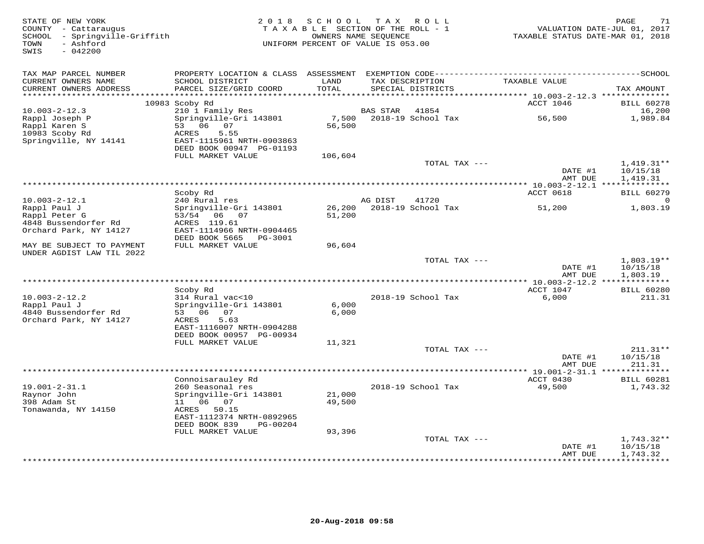| STATE OF NEW YORK<br>COUNTY - Cattaraugus<br>SCHOOL - Springville-Griffith<br>- Ashford<br>TOWN<br>$-042200$<br>SWIS | 2 0 1 8                                       | SCHOOL<br>TAXABLE SECTION OF THE ROLL - 1<br>OWNERS NAME SEQUENCE<br>UNIFORM PERCENT OF VALUE IS 053.00 | T A X                     | R O L L                              | TAXABLE STATUS DATE-MAR 01, 2018                                         | PAGE<br>71<br>VALUATION DATE-JUL 01, 2017 |
|----------------------------------------------------------------------------------------------------------------------|-----------------------------------------------|---------------------------------------------------------------------------------------------------------|---------------------------|--------------------------------------|--------------------------------------------------------------------------|-------------------------------------------|
| TAX MAP PARCEL NUMBER                                                                                                | PROPERTY LOCATION & CLASS ASSESSMENT          |                                                                                                         |                           |                                      |                                                                          |                                           |
| CURRENT OWNERS NAME<br>CURRENT OWNERS ADDRESS<br>**********************                                              | SCHOOL DISTRICT<br>PARCEL SIZE/GRID COORD     | LAND<br>TOTAL                                                                                           |                           | TAX DESCRIPTION<br>SPECIAL DISTRICTS | TAXABLE VALUE                                                            | TAX AMOUNT                                |
|                                                                                                                      | 10983 Scoby Rd                                |                                                                                                         |                           |                                      | ****************************** 10.003-2-12.3 **************<br>ACCT 1046 | <b>BILL 60278</b>                         |
| $10.003 - 2 - 12.3$                                                                                                  | 210 1 Family Res                              |                                                                                                         | <b>BAS STAR</b>           | 41854                                |                                                                          | 16,200                                    |
| Rappl Joseph P                                                                                                       | Springville-Gri 143801                        | 7,500                                                                                                   |                           | 2018-19 School Tax                   | 56,500                                                                   | 1,989.84                                  |
| Rappl Karen S                                                                                                        | 53 06 07                                      | 56,500                                                                                                  |                           |                                      |                                                                          |                                           |
| 10983 Scoby Rd                                                                                                       | <b>ACRES</b><br>5.55                          |                                                                                                         |                           |                                      |                                                                          |                                           |
| Springville, NY 14141                                                                                                | EAST-1115961 NRTH-0903863                     |                                                                                                         |                           |                                      |                                                                          |                                           |
|                                                                                                                      | DEED BOOK 00947 PG-01193<br>FULL MARKET VALUE | 106,604                                                                                                 |                           |                                      |                                                                          |                                           |
|                                                                                                                      |                                               |                                                                                                         |                           | TOTAL TAX ---                        |                                                                          | $1,419.31**$                              |
|                                                                                                                      |                                               |                                                                                                         |                           |                                      | DATE #1                                                                  | 10/15/18                                  |
|                                                                                                                      |                                               |                                                                                                         |                           |                                      | AMT DUE                                                                  | 1,419.31                                  |
|                                                                                                                      |                                               |                                                                                                         |                           |                                      |                                                                          |                                           |
|                                                                                                                      | Scoby Rd                                      |                                                                                                         |                           |                                      | ACCT 0618                                                                | <b>BILL 60279</b>                         |
| $10.003 - 2 - 12.1$<br>Rappl Paul J                                                                                  | 240 Rural res<br>Springville-Gri 143801       |                                                                                                         | AG DIST                   | 41720<br>2018-19 School Tax          |                                                                          |                                           |
| Rappl Peter G                                                                                                        | 53/54 06 07                                   | 26,200<br>51,200                                                                                        |                           |                                      | 51,200                                                                   | 1,803.19                                  |
| 4848 Bussendorfer Rd                                                                                                 | ACRES 119.61                                  |                                                                                                         |                           |                                      |                                                                          |                                           |
| Orchard Park, NY 14127                                                                                               | EAST-1114966 NRTH-0904465                     |                                                                                                         |                           |                                      |                                                                          |                                           |
|                                                                                                                      | DEED BOOK 5665<br>PG-3001                     |                                                                                                         |                           |                                      |                                                                          |                                           |
| MAY BE SUBJECT TO PAYMENT<br>UNDER AGDIST LAW TIL 2022                                                               | FULL MARKET VALUE                             | 96,604                                                                                                  |                           |                                      |                                                                          |                                           |
|                                                                                                                      |                                               |                                                                                                         |                           | TOTAL TAX ---                        |                                                                          | $1,803.19**$                              |
|                                                                                                                      |                                               |                                                                                                         |                           |                                      | DATE #1<br>AMT DUE                                                       | 10/15/18<br>1,803.19                      |
|                                                                                                                      |                                               |                                                                                                         | *********************     |                                      | ** 10.003-2-12.2 **************                                          |                                           |
|                                                                                                                      | Scoby Rd                                      |                                                                                                         |                           |                                      | ACCT 1047                                                                | <b>BILL 60280</b>                         |
| $10.003 - 2 - 12.2$                                                                                                  | 314 Rural vac<10                              |                                                                                                         |                           | 2018-19 School Tax                   | 6,000                                                                    | 211.31                                    |
| Rappl Paul J                                                                                                         | Springville-Gri 143801                        | 6,000                                                                                                   |                           |                                      |                                                                          |                                           |
| 4840 Bussendorfer Rd                                                                                                 | 53 06<br>07                                   | 6,000                                                                                                   |                           |                                      |                                                                          |                                           |
| Orchard Park, NY 14127                                                                                               | ACRES<br>5.63<br>EAST-1116007 NRTH-0904288    |                                                                                                         |                           |                                      |                                                                          |                                           |
|                                                                                                                      | DEED BOOK 00957 PG-00934                      |                                                                                                         |                           |                                      |                                                                          |                                           |
|                                                                                                                      | FULL MARKET VALUE                             | 11,321                                                                                                  |                           |                                      |                                                                          |                                           |
|                                                                                                                      |                                               |                                                                                                         |                           | TOTAL TAX ---                        |                                                                          | $211.31**$                                |
|                                                                                                                      |                                               |                                                                                                         |                           |                                      | DATE #1                                                                  | 10/15/18                                  |
|                                                                                                                      | *****************************                 |                                                                                                         | ************************* |                                      | AMT DUE                                                                  | 211.31                                    |
|                                                                                                                      |                                               |                                                                                                         |                           |                                      | $***$ 19.001-2-31.1 *                                                    | * * * * * * * * *                         |
| $19.001 - 2 - 31.1$                                                                                                  | Connoisarauley Rd<br>260 Seasonal res         |                                                                                                         |                           | 2018-19 School Tax                   | ACCT 0430<br>49,500                                                      | <b>BILL 60281</b><br>1,743.32             |
| Raynor John                                                                                                          | Springville-Gri 143801                        | 21,000                                                                                                  |                           |                                      |                                                                          |                                           |
| 398 Adam St                                                                                                          | 11   06   07                                  | 49,500                                                                                                  |                           |                                      |                                                                          |                                           |
| Tonawanda, NY 14150                                                                                                  | ACRES 50.15                                   |                                                                                                         |                           |                                      |                                                                          |                                           |
|                                                                                                                      | EAST-1112374 NRTH-0892965                     |                                                                                                         |                           |                                      |                                                                          |                                           |
|                                                                                                                      | DEED BOOK 839<br>PG-00204                     |                                                                                                         |                           |                                      |                                                                          |                                           |
|                                                                                                                      | FULL MARKET VALUE                             | 93,396                                                                                                  |                           | TOTAL TAX ---                        |                                                                          | $1,743.32**$                              |
|                                                                                                                      |                                               |                                                                                                         |                           |                                      | DATE #1                                                                  | 10/15/18                                  |
|                                                                                                                      |                                               |                                                                                                         |                           |                                      | AMT DUE                                                                  | 1,743.32                                  |
|                                                                                                                      |                                               |                                                                                                         |                           |                                      | * * * * * * * * *                                                        | * * * * * * * * * *                       |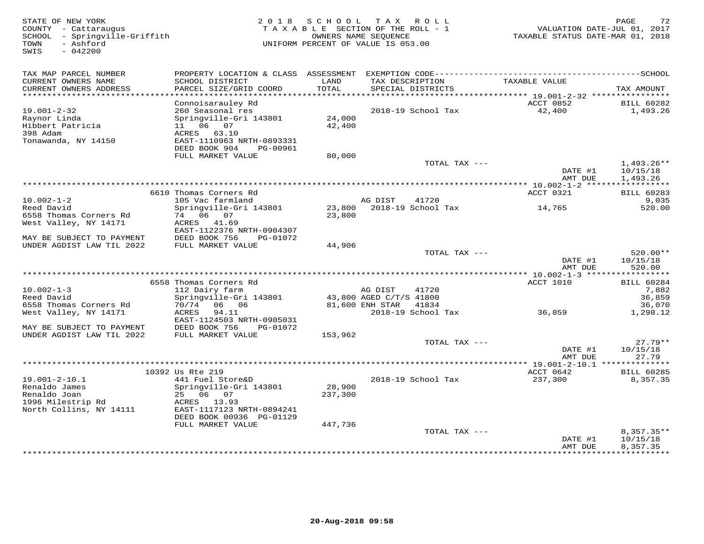37 STATE OF NEW YORK MESS FOR SOLE 2 2 0 1 8 S C H O O L T A X R O L L AND THE DOUNTY - CATTARUM STATE OF NEW<br>COUNTY - Cattaraugus TA X A B L E SECTION OF THE ROLL - 1 WALUATION DATE-JUL 01, 2017<br>SCHOOL - Springville-Griff SWIS - 042200TAX MAP PARCEL NUMBER PROPERTY LOCATION & CLASS ASSESSMENT EXEMPTION CODE------------------------------------------SCHOOLCURRENT OWNERS NAME SCHOOL DISTRICT LAND TAX DESCRIPTION TAXABLE VALUE CURRENT OWNERS ADDRESS PARCEL SIZE/GRID COORD TOTAL SPECIAL DISTRICTS TAX AMOUNT \*\*\*\*\*\*\*\*\*\*\*\*\*\*\*\*\*\*\*\*\*\*\*\*\*\*\*\*\*\*\*\*\*\*\*\*\*\*\*\*\*\*\*\*\*\*\*\*\*\*\*\*\*\*\*\*\*\*\*\*\*\*\*\*\*\*\*\*\*\*\*\*\*\*\*\*\*\*\*\*\*\*\*\*\*\*\*\*\*\*\*\*\*\*\*\*\*\*\*\*\*\*\* 19.001-2-32 \*\*\*\*\*\*\*\*\*\*\*\*\*\*\*\*Connoisarauley Rd<br>
19.001-2-32 260 Seasonal res 2018-19 School Tax ACCT 0852 BILL 60282<br>
Raynor Linda Springville-Gri 143801 24,000<br>
Hibbert Patricia 11 06 07 42,400<br>
398 Adam ACRES 63.10<br>
Tonawanda, NY 14150 EAEST-1110963 FULL MARKET VALUE 80,000TOTAL TAX --- 1,493.26\*\* DATE #1 10/15/18<br>3 MT PUE 1 402 26 AMT DUE 1,493.26 \*\*\*\*\*\*\*\*\*\*\*\*\*\*\*\*\*\*\*\*\*\*\*\*\*\*\*\*\*\*\*\*\*\*\*\*\*\*\*\*\*\*\*\*\*\*\*\*\*\*\*\*\*\*\*\*\*\*\*\*\*\*\*\*\*\*\*\*\*\*\*\*\*\*\*\*\*\*\*\*\*\*\*\*\*\*\*\*\*\*\*\*\*\*\*\*\*\*\*\*\*\*\* 10.002-1-2 \*\*\*\*\*\*\*\*\*\*\*\*\*\*\*\*\*ACCT 0321 BILL 60283 6610 Thomas Corners Rd ACCT 0321 BILL 60283 $9,035$ 10.002-1-2 105 Vac farmland AG DIST 41720 9,035520.00 Reed David Springville-Gri 143801 23,800 2018-19 School Tax 14,765 520.006558 Thomas Corners Rd 74 06 07 23,800 West Valley, NY 14171 ACRES 41.69 EAST-1122376 NRTH-0904307 MAY BE SUBJECT TO PAYMENT DEED BOOK 756 PG-01072 UNDER AGDIST LAW TIL 2022 FULL MARKET VALUE 44,906 TOTAL TAX --- 520.00\*\*DATE #1 10/15/18  $\texttt{DATE}$ #1 10/15/18 **AMT DUE 520.00**  AMT DUE 520.00 \*\*\*\*\*\*\*\*\*\*\*\*\*\*\*\*\*\*\*\*\*\*\*\*\*\*\*\*\*\*\*\*\*\*\*\*\*\*\*\*\*\*\*\*\*\*\*\*\*\*\*\*\*\*\*\*\*\*\*\*\*\*\*\*\*\*\*\*\*\*\*\*\*\*\*\*\*\*\*\*\*\*\*\*\*\*\*\*\*\*\*\*\*\*\*\*\*\*\*\*\*\*\* 10.002-1-3 \*\*\*\*\*\*\*\*\*\*\*\*\*\*\*\*\*ACCT 1010 BILL 60284 6558 Thomas Corners Rd ACCT 1010 BILL 602847,882 10.002-1-3 112 Dairy farm AG DIST 41720 7,88236,859 Reed David Springville-Gri 143801 43,800 AGED C/T/S 41800 36,85936,070 6558 Thomas Corners Rd 70/74 06 06 81,600 ENH STAR 41834 36,0701,298.12 West Valley, NY 14171 ACRES 94.11 2018-19 School Tax 36,859 1,298.12 EAST-1124503 NRTH-0905031 MAY BE SUBJECT TO PAYMENT DEED BOOK 756 PG-01072 UNDER AGDIST LAW TIL 2022 FULL MARKET VALUE 153,962 TOTAL TAX --- 27.79\*\*DATE #1 10/15/18  $\texttt{DATE}$  #1  $\texttt{10/15/18}$ AMT DUE 27.79 AMT DUE 27.79 \*\*\*\*\*\*\*\*\*\*\*\*\*\*\*\*\*\*\*\*\*\*\*\*\*\*\*\*\*\*\*\*\*\*\*\*\*\*\*\*\*\*\*\*\*\*\*\*\*\*\*\*\*\*\*\*\*\*\*\*\*\*\*\*\*\*\*\*\*\*\*\*\*\*\*\*\*\*\*\*\*\*\*\*\*\*\*\*\*\*\*\*\*\*\*\*\*\*\*\*\*\*\* 19.001-2-10.1 \*\*\*\*\*\*\*\*\*\*\*\*\*\* 10392 Us Rte 219 ACCT 0642 BILL 602858,357.35 19.001-2-10.1 441 Fuel Store&D 2018-19 School Tax 237,300 8,357.35Renaldo James Springville-Gri 143801 28,900 Renaldo Joan 25 06 07 237,300 1996 Milestrip Rd ACRES 13.93 North Collins, NY 14111 EAST-1117123 NRTH-0894241 DEED BOOK 00936 PG-01129 FULL MARKET VALUE 447,736 TOTAL TAX --- 8,357.35\*\* $\text{DATE}$  #1  $10/15/18$ AMT DUE 8,357.35 AMT DUE 8,357.35 \*\*\*\*\*\*\*\*\*\*\*\*\*\*\*\*\*\*\*\*\*\*\*\*\*\*\*\*\*\*\*\*\*\*\*\*\*\*\*\*\*\*\*\*\*\*\*\*\*\*\*\*\*\*\*\*\*\*\*\*\*\*\*\*\*\*\*\*\*\*\*\*\*\*\*\*\*\*\*\*\*\*\*\*\*\*\*\*\*\*\*\*\*\*\*\*\*\*\*\*\*\*\*\*\*\*\*\*\*\*\*\*\*\*\*\*\*\*\*\*\*\*\*\*\*\*\*\*\*\*\*\*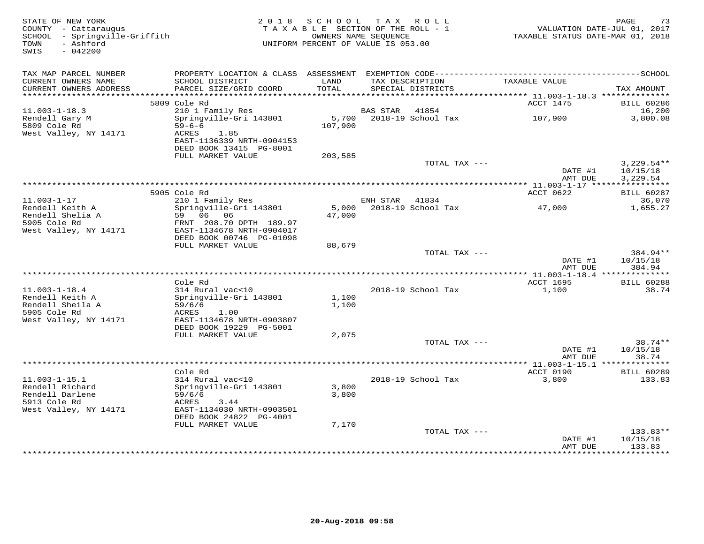| STATE OF NEW YORK<br>COUNTY - Cattaraugus<br>SCHOOL - Springville-Griffith<br>- Ashford<br>TOWN<br>$-042200$<br>SWIS | 2018 SCHOOL<br>TAXABLE SECTION OF THE ROLL - 1<br>UNIFORM PERCENT OF VALUE IS 053.00       | PAGE<br>VALUATION DATE-JUL 01, 2017<br>TAXABLE STATUS DATE-MAR 01, 2018 |                 |                                      |                                              |                                      |
|----------------------------------------------------------------------------------------------------------------------|--------------------------------------------------------------------------------------------|-------------------------------------------------------------------------|-----------------|--------------------------------------|----------------------------------------------|--------------------------------------|
| TAX MAP PARCEL NUMBER                                                                                                |                                                                                            | LAND                                                                    |                 |                                      |                                              |                                      |
| CURRENT OWNERS NAME<br>CURRENT OWNERS ADDRESS                                                                        | SCHOOL DISTRICT<br>PARCEL SIZE/GRID COORD                                                  | TOTAL                                                                   |                 | TAX DESCRIPTION<br>SPECIAL DISTRICTS | TAXABLE VALUE                                | TAX AMOUNT                           |
| ***********************                                                                                              | 5809 Cole Rd                                                                               |                                                                         |                 |                                      | ACCT 1475                                    |                                      |
| $11.003 - 1 - 18.3$                                                                                                  | 210 1 Family Res                                                                           |                                                                         | <b>BAS STAR</b> | 41854                                |                                              | <b>BILL 60286</b><br>16,200          |
| Rendell Gary M<br>5809 Cole Rd<br>West Valley, NY 14171                                                              | Springville-Gri 143801<br>$59 - 6 - 6$<br>ACRES<br>1.85                                    | 5,700<br>107,900                                                        |                 | 2018-19 School Tax                   | 107,900                                      | 3,800.08                             |
|                                                                                                                      | EAST-1136339 NRTH-0904153<br>DEED BOOK 13415 PG-8001                                       |                                                                         |                 |                                      |                                              |                                      |
|                                                                                                                      | FULL MARKET VALUE                                                                          | 203,585                                                                 |                 |                                      |                                              |                                      |
|                                                                                                                      |                                                                                            |                                                                         |                 | TOTAL TAX ---                        | DATE #1<br>AMT DUE                           | $3,229.54**$<br>10/15/18<br>3,229.54 |
|                                                                                                                      |                                                                                            | ***********************************                                     |                 |                                      | ******** 11.003-1-17 *****                   | ***********                          |
|                                                                                                                      | 5905 Cole Rd                                                                               |                                                                         |                 |                                      | ACCT 0622                                    | <b>BILL 60287</b>                    |
| $11.003 - 1 - 17$                                                                                                    | 210 1 Family Res                                                                           |                                                                         | ENH STAR        | 41834                                |                                              | 36,070                               |
| Rendell Keith A<br>Rendell Shelia A<br>5905 Cole Rd<br>West Valley, NY 14171                                         | Springville-Gri 143801<br>59 06 06<br>FRNT 208.70 DPTH 189.97<br>EAST-1134678 NRTH-0904017 | 5,000<br>47,000                                                         |                 | 2018-19 School Tax                   | 47,000                                       | 1,655.27                             |
|                                                                                                                      | DEED BOOK 00746 PG-01098                                                                   |                                                                         |                 |                                      |                                              |                                      |
|                                                                                                                      | FULL MARKET VALUE                                                                          | 88,679                                                                  |                 | TOTAL TAX ---                        |                                              | 384.94**                             |
|                                                                                                                      |                                                                                            |                                                                         |                 |                                      | DATE #1<br>AMT DUE                           | 10/15/18<br>384.94                   |
|                                                                                                                      |                                                                                            |                                                                         |                 |                                      |                                              |                                      |
| $11.003 - 1 - 18.4$                                                                                                  | Cole Rd<br>314 Rural vac<10                                                                |                                                                         |                 | 2018-19 School Tax                   | <b>ACCT 1695</b><br>1,100                    | <b>BILL 60288</b><br>38.74           |
| Rendell Keith A                                                                                                      | Springville-Gri 143801                                                                     | 1,100                                                                   |                 |                                      |                                              |                                      |
| Rendell Sheila A<br>5905 Cole Rd                                                                                     | 59/6/6<br>ACRES<br>1.00                                                                    | 1,100                                                                   |                 |                                      |                                              |                                      |
| West Valley, NY 14171                                                                                                | EAST-1134678 NRTH-0903807                                                                  |                                                                         |                 |                                      |                                              |                                      |
|                                                                                                                      | DEED BOOK 19229 PG-5001<br>FULL MARKET VALUE                                               | 2,075                                                                   |                 |                                      |                                              |                                      |
|                                                                                                                      |                                                                                            |                                                                         |                 | TOTAL TAX $---$                      |                                              | 38.74 **                             |
|                                                                                                                      |                                                                                            |                                                                         |                 |                                      | DATE #1<br>AMT DUE                           | 10/15/18<br>38.74                    |
|                                                                                                                      |                                                                                            |                                                                         |                 |                                      | ************** 11.003-1-15.1 *************** |                                      |
| $11.003 - 1 - 15.1$                                                                                                  | Cole Rd<br>314 Rural vac<10                                                                |                                                                         |                 | 2018-19 School Tax                   | ACCT 0190<br>3,800                           | <b>BILL 60289</b><br>133.83          |
| Rendell Richard                                                                                                      | Springville-Gri 143801                                                                     | 3,800                                                                   |                 |                                      |                                              |                                      |
| Rendell Darlene                                                                                                      | 59/6/6                                                                                     | 3,800                                                                   |                 |                                      |                                              |                                      |
| 5913 Cole Rd<br>West Valley, NY 14171                                                                                | ACRES<br>3.44<br>EAST-1134030 NRTH-0903501                                                 |                                                                         |                 |                                      |                                              |                                      |
|                                                                                                                      | DEED BOOK 24822 PG-4001<br>FULL MARKET VALUE                                               | 7,170                                                                   |                 |                                      |                                              |                                      |
|                                                                                                                      |                                                                                            |                                                                         |                 | TOTAL TAX ---                        |                                              | $133.83**$                           |
|                                                                                                                      |                                                                                            |                                                                         |                 |                                      | DATE #1<br>AMT DUE                           | 10/15/18<br>133.83                   |
|                                                                                                                      |                                                                                            |                                                                         |                 |                                      |                                              | .                                    |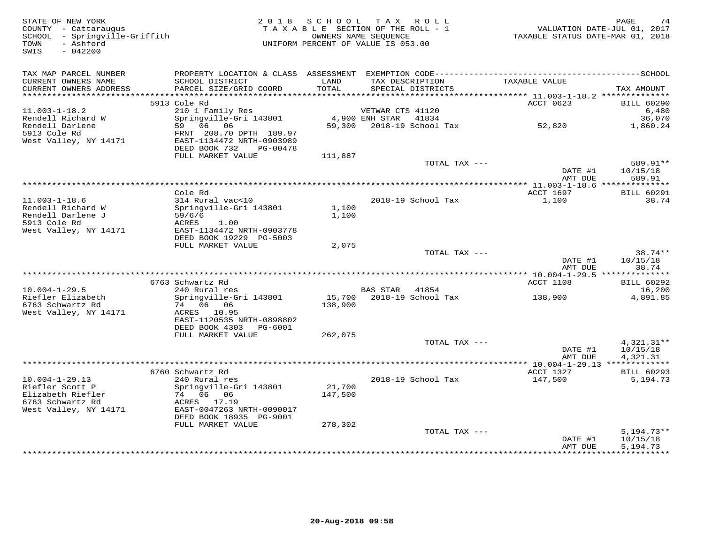| STATE OF NEW YORK<br>COUNTY - Cattaraugus<br>SCHOOL - Springville-Griffith<br>- Ashford<br>TOWN<br>SWIS<br>$-042200$ |                                                      | 2018 SCHOOL TAX ROLL<br>TAXABLE SECTION OF THE ROLL - 1<br>UNIFORM PERCENT OF VALUE IS 053.00 | OWNERS NAME SEQUENCE               |                    | 74<br>PAGE<br>VALUATION DATE-JUL 01, 2017<br>TAXABLE STATUS DATE-MAR 01, 2018 |                          |  |
|----------------------------------------------------------------------------------------------------------------------|------------------------------------------------------|-----------------------------------------------------------------------------------------------|------------------------------------|--------------------|-------------------------------------------------------------------------------|--------------------------|--|
| TAX MAP PARCEL NUMBER                                                                                                |                                                      |                                                                                               |                                    |                    |                                                                               |                          |  |
| CURRENT OWNERS NAME<br>CURRENT OWNERS ADDRESS                                                                        | SCHOOL DISTRICT<br>PARCEL SIZE/GRID COORD            | LAND<br>TOTAL                                                                                 | TAX DESCRIPTION                    | SPECIAL DISTRICTS  | TAXABLE VALUE                                                                 | TAX AMOUNT               |  |
| **********************                                                                                               | *****************************                        |                                                                                               |                                    |                    |                                                                               |                          |  |
|                                                                                                                      | 5913 Cole Rd                                         |                                                                                               |                                    |                    | ACCT 0623                                                                     | <b>BILL 60290</b>        |  |
| $11.003 - 1 - 18.2$<br>Rendell Richard W                                                                             | 210 1 Family Res<br>Springville-Gri 143801           |                                                                                               | VETWAR CTS 41120<br>4,900 ENH STAR | 41834              |                                                                               | 6,480<br>36,070          |  |
| Rendell Darlene                                                                                                      | 59 06 06                                             | 59,300                                                                                        |                                    | 2018-19 School Tax | 52,820                                                                        | 1,860.24                 |  |
| 5913 Cole Rd                                                                                                         | FRNT 208.70 DPTH 189.97                              |                                                                                               |                                    |                    |                                                                               |                          |  |
| West Valley, NY 14171                                                                                                | EAST-1134472 NRTH-0903989                            |                                                                                               |                                    |                    |                                                                               |                          |  |
|                                                                                                                      | DEED BOOK 732<br>PG-00478                            |                                                                                               |                                    |                    |                                                                               |                          |  |
|                                                                                                                      | FULL MARKET VALUE                                    | 111,887                                                                                       |                                    |                    |                                                                               |                          |  |
|                                                                                                                      |                                                      |                                                                                               |                                    | TOTAL TAX ---      |                                                                               | 589.91**                 |  |
|                                                                                                                      |                                                      |                                                                                               |                                    |                    | DATE #1<br>AMT DUE                                                            | 10/15/18<br>589.91       |  |
|                                                                                                                      |                                                      |                                                                                               | *******************                |                    | ** 11.003-1-18.6 ***************                                              |                          |  |
|                                                                                                                      | Cole Rd                                              |                                                                                               |                                    |                    | ACCT 1697                                                                     | <b>BILL 60291</b>        |  |
| $11.003 - 1 - 18.6$                                                                                                  | 314 Rural vac<10                                     |                                                                                               |                                    | 2018-19 School Tax | 1,100                                                                         | 38.74                    |  |
| Rendell Richard W                                                                                                    | Springville-Gri 143801                               | 1,100                                                                                         |                                    |                    |                                                                               |                          |  |
| Rendell Darlene J                                                                                                    | 59/6/6                                               | 1,100                                                                                         |                                    |                    |                                                                               |                          |  |
| 5913 Cole Rd                                                                                                         | ACRES<br>1.00                                        |                                                                                               |                                    |                    |                                                                               |                          |  |
| West Valley, NY 14171                                                                                                | EAST-1134472 NRTH-0903778<br>DEED BOOK 19229 PG-5003 |                                                                                               |                                    |                    |                                                                               |                          |  |
|                                                                                                                      | FULL MARKET VALUE                                    | 2,075                                                                                         |                                    |                    |                                                                               |                          |  |
|                                                                                                                      |                                                      |                                                                                               |                                    | TOTAL TAX ---      |                                                                               | $38.74**$                |  |
|                                                                                                                      |                                                      |                                                                                               |                                    |                    | DATE #1                                                                       | 10/15/18                 |  |
|                                                                                                                      |                                                      |                                                                                               |                                    |                    | AMT DUE                                                                       | 38.74                    |  |
|                                                                                                                      |                                                      |                                                                                               |                                    |                    |                                                                               |                          |  |
| $10.004 - 1 - 29.5$                                                                                                  | 6763 Schwartz Rd<br>240 Rural res                    |                                                                                               | BAS STAR                           | 41854              | ACCT 1108                                                                     | <b>BILL 60292</b>        |  |
| Riefler Elizabeth                                                                                                    | Springville-Gri 143801                               |                                                                                               | 15,700 2018-19 School Tax          |                    | 138,900                                                                       | 16,200<br>4,891.85       |  |
| 6763 Schwartz Rd                                                                                                     | 74 06 06                                             | 138,900                                                                                       |                                    |                    |                                                                               |                          |  |
| West Valley, NY 14171                                                                                                | ACRES 10.95                                          |                                                                                               |                                    |                    |                                                                               |                          |  |
|                                                                                                                      | EAST-1120535 NRTH-0898802                            |                                                                                               |                                    |                    |                                                                               |                          |  |
|                                                                                                                      | DEED BOOK 4303<br>PG-6001                            |                                                                                               |                                    |                    |                                                                               |                          |  |
|                                                                                                                      | FULL MARKET VALUE                                    | 262,075                                                                                       |                                    |                    |                                                                               |                          |  |
|                                                                                                                      |                                                      |                                                                                               |                                    | TOTAL TAX ---      | DATE #1                                                                       | $4,321.31**$<br>10/15/18 |  |
|                                                                                                                      |                                                      |                                                                                               |                                    |                    | AMT DUE                                                                       | 4,321.31                 |  |
|                                                                                                                      |                                                      |                                                                                               |                                    |                    |                                                                               |                          |  |
|                                                                                                                      | 6760 Schwartz Rd                                     |                                                                                               |                                    |                    | ACCT 1327                                                                     | <b>BILL 60293</b>        |  |
| $10.004 - 1 - 29.13$                                                                                                 | 240 Rural res                                        |                                                                                               |                                    | 2018-19 School Tax | 147,500                                                                       | 5,194.73                 |  |
| Riefler Scott P                                                                                                      | Springville-Gri 143801                               | 21,700                                                                                        |                                    |                    |                                                                               |                          |  |
| Elizabeth Riefler                                                                                                    | 74 06 06                                             | 147,500                                                                                       |                                    |                    |                                                                               |                          |  |
| 6763 Schwartz Rd                                                                                                     | ACRES 17.19                                          |                                                                                               |                                    |                    |                                                                               |                          |  |
| West Valley, NY 14171                                                                                                | EAST-0047263 NRTH-0090017<br>DEED BOOK 18935 PG-9001 |                                                                                               |                                    |                    |                                                                               |                          |  |
|                                                                                                                      | FULL MARKET VALUE                                    | 278,302                                                                                       |                                    |                    |                                                                               |                          |  |
|                                                                                                                      |                                                      |                                                                                               |                                    | TOTAL TAX ---      |                                                                               | $5,194.73**$             |  |
|                                                                                                                      |                                                      |                                                                                               |                                    |                    | DATE #1                                                                       | 10/15/18                 |  |
|                                                                                                                      |                                                      |                                                                                               |                                    |                    | AMT DUE                                                                       | 5,194.73                 |  |
|                                                                                                                      |                                                      |                                                                                               |                                    |                    |                                                                               | **********               |  |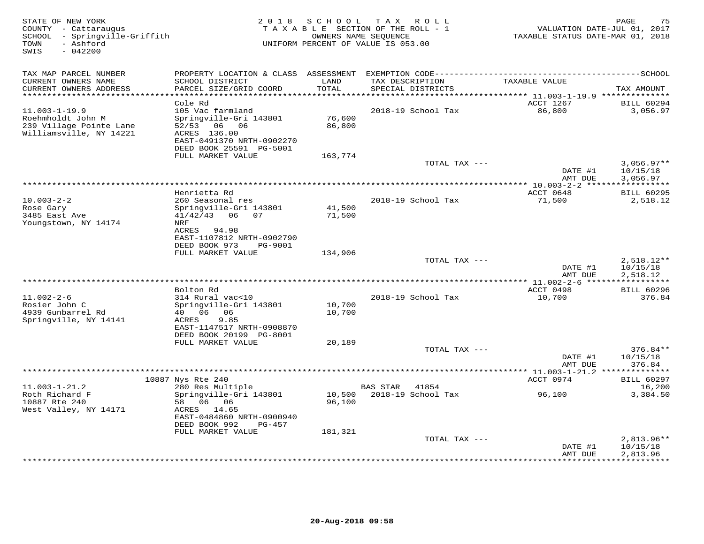| STATE OF NEW YORK<br>COUNTY - Cattaraugus<br>- Springville-Griffith<br>SCHOOL<br>- Ashford<br>TOWN<br>SWIS<br>$-042200$ | 2 0 1 8<br>TAXABLE SECTION OF THE ROLL - 1<br>UNIFORM PERCENT OF VALUE IS 053.00                                                                          | 75<br>PAGE<br>VALUATION DATE-JUL 01, 2017<br>TAXABLE STATUS DATE-MAR 01, 2018 |                                      |                        |                                           |
|-------------------------------------------------------------------------------------------------------------------------|-----------------------------------------------------------------------------------------------------------------------------------------------------------|-------------------------------------------------------------------------------|--------------------------------------|------------------------|-------------------------------------------|
| TAX MAP PARCEL NUMBER<br>CURRENT OWNERS NAME<br>CURRENT OWNERS ADDRESS<br>**********************                        | SCHOOL DISTRICT<br>PARCEL SIZE/GRID COORD                                                                                                                 | LAND<br>TOTAL                                                                 | TAX DESCRIPTION<br>SPECIAL DISTRICTS | TAXABLE VALUE          | TAX AMOUNT                                |
|                                                                                                                         | Cole Rd                                                                                                                                                   |                                                                               |                                      | ACCT 1267              | <b>BILL 60294</b>                         |
| $11.003 - 1 - 19.9$<br>Roehmholdt John M<br>239 Village Pointe Lane<br>Williamsville, NY 14221                          | 105 Vac farmland<br>Springville-Gri 143801<br>52/53<br>06 06<br>ACRES 136.00<br>EAST-0491370 NRTH-0902270<br>DEED BOOK 25591 PG-5001<br>FULL MARKET VALUE | 76,600<br>86,800<br>163,774                                                   | 2018-19 School Tax                   | 86,800                 | 3,056.97                                  |
|                                                                                                                         |                                                                                                                                                           |                                                                               | TOTAL TAX ---                        |                        | $3,056.97**$                              |
|                                                                                                                         |                                                                                                                                                           |                                                                               |                                      | DATE #1<br>AMT DUE     | 10/15/18<br>3,056.97                      |
|                                                                                                                         | Henrietta Rd                                                                                                                                              |                                                                               |                                      | ACCT 0648              | <b>BILL 60295</b>                         |
| $10.003 - 2 - 2$<br>Rose Gary<br>3485 East Ave<br>Youngstown, NY 14174                                                  | 260 Seasonal res<br>Springville-Gri 143801<br>$41/42/43$ 06<br>07<br>NRF<br>ACRES 94.98                                                                   | 41,500<br>71,500                                                              | 2018-19 School Tax                   | 71,500                 | 2,518.12                                  |
|                                                                                                                         | EAST-1107812 NRTH-0902790<br>DEED BOOK 973<br>PG-9001<br>FULL MARKET VALUE                                                                                | 134,906                                                                       |                                      |                        |                                           |
|                                                                                                                         |                                                                                                                                                           |                                                                               | TOTAL TAX ---                        | DATE #1<br>AMT DUE     | $2,518.12**$<br>10/15/18<br>2,518.12      |
|                                                                                                                         | Bolton Rd                                                                                                                                                 |                                                                               |                                      | $* 11.002 - 2 - 6 * *$ | * * * * * * * * * * *                     |
| $11.002 - 2 - 6$<br>Rosier John C<br>4939 Gunbarrel Rd<br>Springville, NY 14141                                         | 314 Rural vac<10<br>Springville-Gri 143801<br>40 06<br>06<br>9.85<br>ACRES<br>EAST-1147517 NRTH-0908870<br>DEED BOOK 20199 PG-8001                        | 10,700<br>10,700                                                              | 2018-19 School Tax                   | ACCT 0498<br>10,700    | <b>BILL 60296</b><br>376.84               |
|                                                                                                                         | FULL MARKET VALUE                                                                                                                                         | 20,189                                                                        |                                      |                        |                                           |
|                                                                                                                         |                                                                                                                                                           |                                                                               | TOTAL TAX ---                        | DATE #1<br>AMT DUE     | 376.84**<br>10/15/18<br>376.84            |
|                                                                                                                         |                                                                                                                                                           |                                                                               |                                      | $* 11.003 - 1 - 21.2$  |                                           |
| $11.003 - 1 - 21.2$                                                                                                     | 10887 Nys Rte 240<br>280 Res Multiple                                                                                                                     |                                                                               | <b>BAS STAR</b><br>41854             | ACCT 0974              | <b>BILL 60297</b><br>16,200               |
| Roth Richard F<br>10887 Rte 240<br>West Valley, NY 14171                                                                | Springville-Gri 143801<br>58 06 06<br>ACRES 14.65<br>EAST-0484860 NRTH-0900940<br>DEED BOOK 992<br>PG-457                                                 | 10,500<br>96,100                                                              | 2018-19 School Tax                   | 96,100                 | 3,384.50                                  |
|                                                                                                                         | FULL MARKET VALUE                                                                                                                                         | 181,321                                                                       | TOTAL TAX ---                        |                        | $2,813.96**$                              |
|                                                                                                                         |                                                                                                                                                           |                                                                               |                                      | DATE #1<br>AMT DUE     | 10/15/18<br>2,813.96<br>* * * * * * * * * |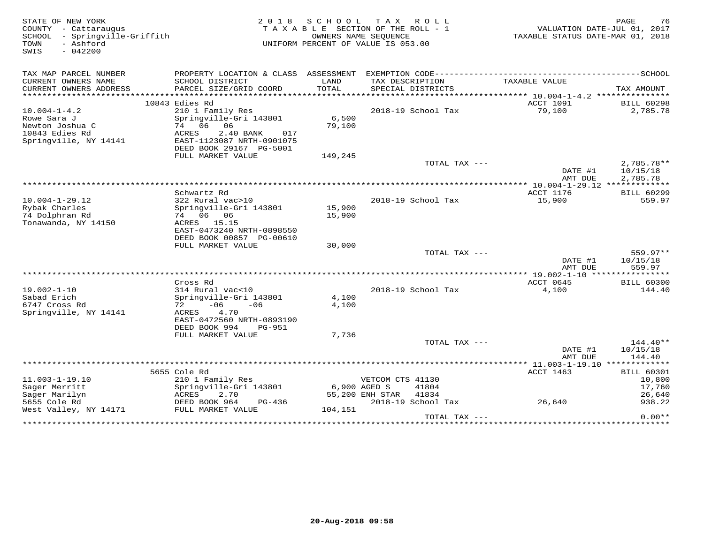| STATE OF NEW YORK<br>COUNTY - Cattaraugus<br>SCHOOL - Springville-Griffith<br>- Ashford<br>TOWN<br>SWIS<br>$-042200$ |                                                                       | 2018 SCHOOL<br>TAXABLE SECTION OF THE ROLL - 1<br>UNIFORM PERCENT OF VALUE IS 053.00 | OWNERS NAME SEOUENCE            | TAX ROLL           | VALUATION DATE-JUL 01, 2017<br>TAXABLE STATUS DATE-MAR 01, 2018 | PAGE<br>76                         |
|----------------------------------------------------------------------------------------------------------------------|-----------------------------------------------------------------------|--------------------------------------------------------------------------------------|---------------------------------|--------------------|-----------------------------------------------------------------|------------------------------------|
| TAX MAP PARCEL NUMBER                                                                                                |                                                                       |                                                                                      |                                 |                    |                                                                 |                                    |
| CURRENT OWNERS NAME<br>CURRENT OWNERS ADDRESS<br>**********************                                              | SCHOOL DISTRICT<br>PARCEL SIZE/GRID COORD                             | LAND<br>TOTAL                                                                        | TAX DESCRIPTION                 | SPECIAL DISTRICTS  | TAXABLE VALUE                                                   | TAX AMOUNT                         |
|                                                                                                                      | 10843 Edies Rd                                                        |                                                                                      |                                 |                    | ACCT 1091                                                       | <b>BILL 60298</b>                  |
| $10.004 - 1 - 4.2$                                                                                                   | 210 1 Family Res                                                      |                                                                                      |                                 | 2018-19 School Tax | 79,100                                                          | 2,785.78                           |
| Rowe Sara J<br>Newton Joshua C<br>10843 Edies Rd                                                                     | Springville-Gri 143801<br>74 06 06<br>ACRES<br>2.40 BANK<br>017       | 6,500<br>79,100                                                                      |                                 |                    |                                                                 |                                    |
| Springville, NY 14141                                                                                                | EAST-1123087 NRTH-0901075<br>DEED BOOK 29167 PG-5001                  |                                                                                      |                                 |                    |                                                                 |                                    |
|                                                                                                                      | FULL MARKET VALUE                                                     | 149,245                                                                              |                                 |                    |                                                                 |                                    |
|                                                                                                                      |                                                                       |                                                                                      |                                 | TOTAL TAX ---      | DATE #1<br>AMT DUE                                              | 2,785.78**<br>10/15/18<br>2,785.78 |
|                                                                                                                      |                                                                       |                                                                                      |                                 |                    |                                                                 |                                    |
|                                                                                                                      | Schwartz Rd                                                           |                                                                                      |                                 |                    | ACCT 1176                                                       | <b>BILL 60299</b>                  |
| $10.004 - 1 - 29.12$                                                                                                 | 322 Rural vac>10                                                      |                                                                                      |                                 | 2018-19 School Tax | 15,900                                                          | 559.97                             |
| Rybak Charles<br>74 Dolphran Rd                                                                                      | Springville-Gri 143801<br>74 06 06                                    | 15,900<br>15,900                                                                     |                                 |                    |                                                                 |                                    |
| Tonawanda, NY 14150                                                                                                  | ACRES 15.15<br>EAST-0473240 NRTH-0898550<br>DEED BOOK 00857 PG-00610  |                                                                                      |                                 |                    |                                                                 |                                    |
|                                                                                                                      | FULL MARKET VALUE                                                     | 30,000                                                                               |                                 |                    |                                                                 |                                    |
|                                                                                                                      |                                                                       |                                                                                      |                                 | TOTAL TAX ---      |                                                                 | $559.97**$                         |
|                                                                                                                      |                                                                       |                                                                                      |                                 |                    | DATE #1<br>AMT DUE                                              | 10/15/18<br>559.97                 |
|                                                                                                                      |                                                                       |                                                                                      |                                 |                    | *********** 19.002-1-10 ****************                        |                                    |
| $19.002 - 1 - 10$                                                                                                    | Cross Rd<br>314 Rural vac<10                                          |                                                                                      |                                 | 2018-19 School Tax | ACCT 0645<br>4,100                                              | <b>BILL 60300</b><br>144.40        |
| Sabad Erich<br>6747 Cross Rd                                                                                         | Springville-Gri 143801<br>$72 - 06$<br>$-06$                          | 4,100<br>4,100                                                                       |                                 |                    |                                                                 |                                    |
| Springville, NY 14141                                                                                                | 4.70<br>ACRES<br>EAST-0472560 NRTH-0893190<br>DEED BOOK 994<br>PG-951 |                                                                                      |                                 |                    |                                                                 |                                    |
|                                                                                                                      | FULL MARKET VALUE                                                     | 7,736                                                                                |                                 |                    |                                                                 |                                    |
|                                                                                                                      |                                                                       |                                                                                      |                                 | TOTAL TAX $---$    |                                                                 | 144.40**                           |
|                                                                                                                      |                                                                       |                                                                                      |                                 |                    | DATE #1<br>AMT DUE                                              | 10/15/18<br>144.40                 |
|                                                                                                                      | *********************                                                 |                                                                                      |                                 |                    | *********** 11.003-1-19.10 **************                       |                                    |
|                                                                                                                      | 5655 Cole Rd                                                          |                                                                                      |                                 |                    | ACCT 1463                                                       | <b>BILL 60301</b>                  |
| $11.003 - 1 - 19.10$                                                                                                 | 210 1 Family Res                                                      |                                                                                      | VETCOM CTS 41130                |                    |                                                                 | 10,800                             |
| Sager Merritt<br>Sager Marilyn                                                                                       | Springville-Gri 143801<br>ACRES<br>2.70                               |                                                                                      | 6,900 AGED S<br>55,200 ENH STAR | 41804<br>41834     |                                                                 | 17,760<br>26,640                   |
| 5655 Cole Rd                                                                                                         | DEED BOOK 964<br>PG-436                                               |                                                                                      |                                 | 2018-19 School Tax | 26,640                                                          | 938.22                             |
| West Valley, NY 14171                                                                                                | FULL MARKET VALUE                                                     | 104,151                                                                              |                                 |                    |                                                                 |                                    |
|                                                                                                                      |                                                                       |                                                                                      |                                 | TOTAL TAX ---      |                                                                 | $0.00**$                           |
|                                                                                                                      |                                                                       |                                                                                      |                                 |                    |                                                                 |                                    |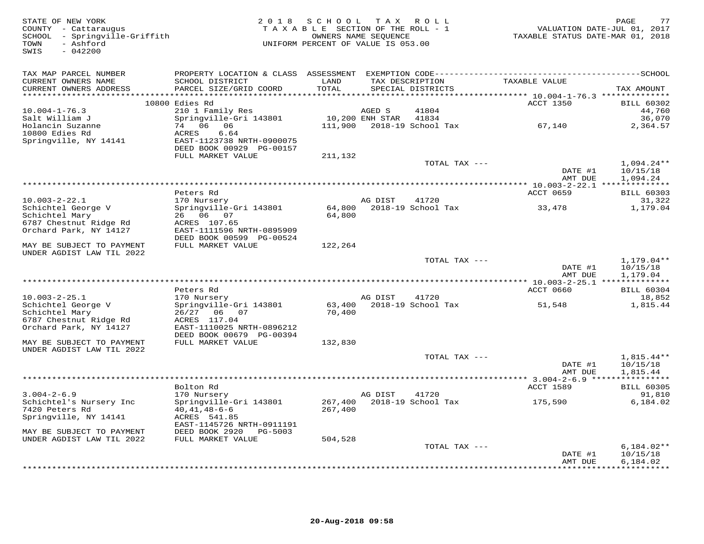| STATE OF NEW YORK<br>COUNTY - Cattaraugus<br>SCHOOL - Springville-Griffith<br>- Ashford<br>TOWN<br>$-042200$<br>SWIS | 2 0 1 8                                                                                     | SCHOOL<br>TAXABLE SECTION OF THE ROLL - 1<br>UNIFORM PERCENT OF VALUE IS 053.00 | T A X<br>OWNERS NAME SEQUENCE | ROLL ROLL                            | TAXABLE STATUS DATE-MAR 01, 2018 | 77<br>PAGE<br>VALUATION DATE-JUL 01, 2017 |
|----------------------------------------------------------------------------------------------------------------------|---------------------------------------------------------------------------------------------|---------------------------------------------------------------------------------|-------------------------------|--------------------------------------|----------------------------------|-------------------------------------------|
| TAX MAP PARCEL NUMBER<br>CURRENT OWNERS NAME<br>CURRENT OWNERS ADDRESS<br>***********************                    | SCHOOL DISTRICT<br>PARCEL SIZE/GRID COORD<br>*****************************                  | LAND<br>TOTAL                                                                   | TAX DESCRIPTION               | SPECIAL DISTRICTS                    | TAXABLE VALUE                    | TAX AMOUNT                                |
|                                                                                                                      | 10800 Edies Rd                                                                              |                                                                                 |                               |                                      | ACCT 1350                        | <b>BILL 60302</b>                         |
| $10.004 - 1 - 76.3$<br>Salt William J<br>Holancin Suzanne<br>10800 Edies Rd                                          | 210 1 Family Res<br>Springville-Gri 143801<br>74 06 06<br><b>ACRES</b><br>6.64              | 111,900                                                                         | AGED S<br>10,200 ENH STAR     | 41804<br>41834<br>2018-19 School Tax | 67,140                           | 44,760<br>36,070<br>2,364.57              |
| Springville, NY 14141                                                                                                | EAST-1123738 NRTH-0900075<br>DEED BOOK 00929 PG-00157<br>FULL MARKET VALUE                  | 211,132                                                                         |                               |                                      |                                  |                                           |
|                                                                                                                      |                                                                                             |                                                                                 |                               | TOTAL TAX ---                        | DATE #1<br>AMT DUE               | $1,094.24**$<br>10/15/18<br>1,094.24      |
|                                                                                                                      |                                                                                             |                                                                                 |                               |                                      |                                  |                                           |
|                                                                                                                      | Peters Rd                                                                                   |                                                                                 | AG DIST                       | 41720                                | ACCT 0659                        | <b>BILL 60303</b>                         |
| $10.003 - 2 - 22.1$<br>Schichtel George V<br>Schichtel Mary<br>6787 Chestnut Ridge Rd                                | 170 Nursery<br>Springville-Gri 143801<br>26 06 07<br>ACRES 107.65                           | 64,800<br>64,800                                                                |                               | 2018-19 School Tax                   | 33,478                           | 31,322<br>1,179.04                        |
| Orchard Park, NY 14127                                                                                               | EAST-1111596 NRTH-0895909<br>DEED BOOK 00599 PG-00524                                       |                                                                                 |                               |                                      |                                  |                                           |
| MAY BE SUBJECT TO PAYMENT<br>UNDER AGDIST LAW TIL 2022                                                               | FULL MARKET VALUE                                                                           | 122,264                                                                         |                               |                                      |                                  |                                           |
|                                                                                                                      |                                                                                             |                                                                                 |                               | TOTAL TAX ---                        | DATE #1<br>AMT DUE               | 1,179.04**<br>10/15/18<br>1,179.04        |
|                                                                                                                      | Peters Rd                                                                                   |                                                                                 |                               |                                      | ACCT 0660                        | <b>BILL 60304</b>                         |
| $10.003 - 2 - 25.1$                                                                                                  | 170 Nursery                                                                                 |                                                                                 | AG DIST                       | 41720                                |                                  | 18,852                                    |
| Schichtel George V<br>Schichtel Mary<br>6787 Chestnut Ridge Rd<br>Orchard Park, NY 14127                             | Springville-Gri 143801<br>26/27 06 07<br>ACRES 117.04<br>EAST-1110025 NRTH-0896212          | 63,400<br>70,400                                                                |                               | 2018-19 School Tax                   | 51,548                           | 1,815.44                                  |
| MAY BE SUBJECT TO PAYMENT                                                                                            | DEED BOOK 00679 PG-00394<br>FULL MARKET VALUE                                               | 132,830                                                                         |                               |                                      |                                  |                                           |
| UNDER AGDIST LAW TIL 2022                                                                                            |                                                                                             |                                                                                 |                               |                                      |                                  |                                           |
|                                                                                                                      |                                                                                             |                                                                                 |                               | TOTAL TAX ---                        | DATE #1<br>AMT DUE               | $1.815.44**$<br>10/15/18<br>1,815.44      |
| ******************************                                                                                       | Bolton Rd                                                                                   |                                                                                 |                               |                                      | ACCT 1589                        | <b>BILL 60305</b>                         |
| $3.004 - 2 - 6.9$                                                                                                    | 170 Nursery                                                                                 |                                                                                 | AG DIST                       | 41720                                |                                  | 91,810                                    |
| Schichtel's Nursery Inc<br>7420 Peters Rd<br>Springville, NY 14141                                                   | Springville-Gri 143801<br>$40, 41, 48 - 6 - 6$<br>ACRES 541.85<br>EAST-1145726 NRTH-0911191 | 267,400<br>267,400                                                              |                               | 2018-19 School Tax                   | 175,590                          | 6,184.02                                  |
| MAY BE SUBJECT TO PAYMENT                                                                                            | DEED BOOK 2920<br>PG-5003                                                                   |                                                                                 |                               |                                      |                                  |                                           |
| UNDER AGDIST LAW TIL 2022                                                                                            | FULL MARKET VALUE                                                                           | 504,528                                                                         |                               |                                      |                                  |                                           |
|                                                                                                                      |                                                                                             |                                                                                 |                               | TOTAL TAX ---                        | DATE #1                          | $6,184.02**$<br>10/15/18                  |
|                                                                                                                      |                                                                                             |                                                                                 |                               |                                      | AMT DUE                          | 6,184.02<br>**********                    |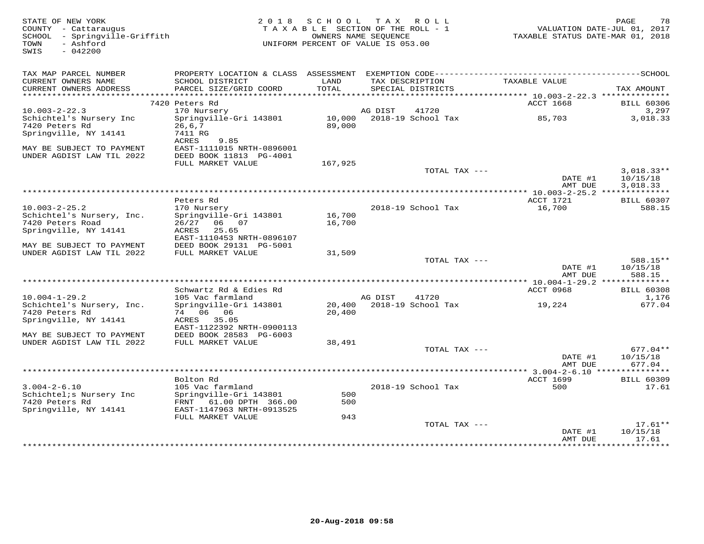| STATE OF NEW YORK<br>COUNTY - Cattaraugus<br>SCHOOL - Springville-Griffith<br>- Ashford<br>TOWN<br>SWIS<br>$-042200$ | 2 0 1 8<br>TAXABLE SECTION OF THE ROLL - 1<br>UNIFORM PERCENT OF VALUE IS 053.00                                | PAGE<br>VALUATION DATE-JUL 01, 2017<br>TAXABLE STATUS DATE-MAR 01, 2018 |         |                    |                                              |                              |
|----------------------------------------------------------------------------------------------------------------------|-----------------------------------------------------------------------------------------------------------------|-------------------------------------------------------------------------|---------|--------------------|----------------------------------------------|------------------------------|
| TAX MAP PARCEL NUMBER<br>CURRENT OWNERS NAME                                                                         | PROPERTY LOCATION & CLASS ASSESSMENT EXEMPTION CODE-----------------------------------SCHOOL<br>SCHOOL DISTRICT | LAND                                                                    |         | TAX DESCRIPTION    | TAXABLE VALUE                                |                              |
| CURRENT OWNERS ADDRESS                                                                                               | PARCEL SIZE/GRID COORD                                                                                          | TOTAL                                                                   |         | SPECIAL DISTRICTS  |                                              | TAX AMOUNT                   |
|                                                                                                                      | 7420 Peters Rd                                                                                                  |                                                                         |         |                    | ACCT 1668                                    | <b>BILL 60306</b>            |
| $10.003 - 2 - 22.3$                                                                                                  | 170 Nursery                                                                                                     |                                                                         | AG DIST | 41720              |                                              | 3,297                        |
| Schichtel's Nursery Inc<br>7420 Peters Rd                                                                            | Springville-Gri 143801<br>26, 6, 7                                                                              | 10,000<br>89,000                                                        |         | 2018-19 School Tax | 85,703                                       | 3,018.33                     |
| Springville, NY 14141                                                                                                | 7411 RG<br><b>ACRES</b><br>9.85                                                                                 |                                                                         |         |                    |                                              |                              |
| MAY BE SUBJECT TO PAYMENT<br>UNDER AGDIST LAW TIL 2022                                                               | EAST-1111015 NRTH-0896001<br>DEED BOOK 11813 PG-4001                                                            |                                                                         |         |                    |                                              |                              |
|                                                                                                                      | FULL MARKET VALUE                                                                                               | 167,925                                                                 |         |                    |                                              |                              |
|                                                                                                                      |                                                                                                                 |                                                                         |         | TOTAL TAX ---      | DATE #1                                      | $3,018.33**$<br>10/15/18     |
|                                                                                                                      |                                                                                                                 |                                                                         |         |                    | AMT DUE<br>*** 10.003-2-25.2 *************** | 3,018.33                     |
|                                                                                                                      | Peters Rd                                                                                                       |                                                                         |         |                    | ACCT 1721                                    | <b>BILL 60307</b>            |
| $10.003 - 2 - 25.2$<br>Schichtel's Nursery, Inc.                                                                     | 170 Nursery<br>Springville-Gri 143801                                                                           | 16,700                                                                  |         | 2018-19 School Tax | 16,700                                       | 588.15                       |
| 7420 Peters Road<br>Springville, NY 14141                                                                            | 26/27 06 07<br>25.65<br>ACRES<br>EAST-1110453 NRTH-0896107                                                      | 16,700                                                                  |         |                    |                                              |                              |
| MAY BE SUBJECT TO PAYMENT<br>UNDER AGDIST LAW TIL 2022                                                               | DEED BOOK 29131 PG-5001<br>FULL MARKET VALUE                                                                    | 31,509                                                                  |         |                    |                                              |                              |
|                                                                                                                      |                                                                                                                 |                                                                         |         | TOTAL TAX ---      | DATE #1                                      | 588.15**<br>10/15/18         |
|                                                                                                                      |                                                                                                                 |                                                                         |         |                    | AMT DUE                                      | 588.15                       |
|                                                                                                                      | Schwartz Rd & Edies Rd                                                                                          |                                                                         |         |                    | ACCT 0968                                    | <b>BILL 60308</b>            |
| $10.004 - 1 - 29.2$                                                                                                  | 105 Vac farmland                                                                                                |                                                                         | AG DIST | 41720              |                                              | 1,176                        |
| Schichtel's Nursery, Inc.<br>7420 Peters Rd                                                                          | Springville-Gri 143801<br>74 06 06                                                                              | 20,400<br>20,400                                                        |         | 2018-19 School Tax | 19,224                                       | 677.04                       |
| Springville, NY 14141                                                                                                | ACRES 35.05<br>EAST-1122392 NRTH-0900113                                                                        |                                                                         |         |                    |                                              |                              |
| MAY BE SUBJECT TO PAYMENT<br>UNDER AGDIST LAW TIL 2022                                                               | DEED BOOK 28583 PG-6003<br>FULL MARKET VALUE                                                                    | 38,491                                                                  |         |                    |                                              |                              |
|                                                                                                                      |                                                                                                                 |                                                                         |         | TOTAL TAX ---      |                                              | $677.04**$                   |
|                                                                                                                      |                                                                                                                 |                                                                         |         |                    | DATE #1<br>AMT DUE                           | 10/15/18<br>677.04           |
|                                                                                                                      |                                                                                                                 |                                                                         |         |                    |                                              |                              |
| $3.004 - 2 - 6.10$                                                                                                   | Bolton Rd<br>105 Vac farmland                                                                                   |                                                                         |         | 2018-19 School Tax | <b>ACCT 1699</b><br>500                      | <b>BILL 60309</b><br>17.61   |
| Schichtel; s Nursery Inc                                                                                             | Springville-Gri 143801                                                                                          | 500                                                                     |         |                    |                                              |                              |
| 7420 Peters Rd<br>Springville, NY 14141                                                                              | FRNT 61.00 DPTH 366.00<br>EAST-1147963 NRTH-0913525                                                             | 500                                                                     |         |                    |                                              |                              |
|                                                                                                                      | FULL MARKET VALUE                                                                                               | 943                                                                     |         |                    |                                              |                              |
|                                                                                                                      |                                                                                                                 |                                                                         |         | TOTAL TAX ---      | DATE #1                                      | $17.61**$<br>10/15/18        |
|                                                                                                                      |                                                                                                                 |                                                                         |         |                    | AMT DUE                                      | 17.61<br>* * * * * * * * * * |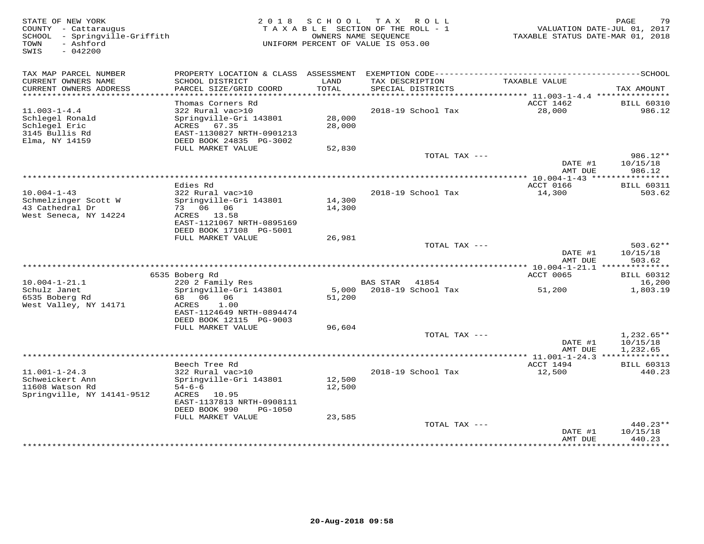| STATE OF NEW YORK<br>COUNTY - Cattaraugus<br>SCHOOL - Springville-Griffith<br>- Ashford<br>TOWN<br>SWIS<br>$-042200$ |                                           |               | 2018 SCHOOL TAX ROLL<br>TAXABLE SECTION OF THE ROLL - 1<br>OWNERS NAME SEQUENCE<br>UNIFORM PERCENT OF VALUE IS 053.00 | VALUATION DATE-JUL 01, 2017<br>TAXABLE STATUS DATE-MAR 01, 2018 | 79<br>PAGE           |
|----------------------------------------------------------------------------------------------------------------------|-------------------------------------------|---------------|-----------------------------------------------------------------------------------------------------------------------|-----------------------------------------------------------------|----------------------|
| TAX MAP PARCEL NUMBER                                                                                                |                                           |               | PROPERTY LOCATION & CLASS ASSESSMENT EXEMPTION CODE-----------------------------------SCHOOL                          |                                                                 |                      |
| CURRENT OWNERS NAME<br>CURRENT OWNERS ADDRESS                                                                        | SCHOOL DISTRICT<br>PARCEL SIZE/GRID COORD | LAND<br>TOTAL | TAX DESCRIPTION<br>SPECIAL DISTRICTS                                                                                  | TAXABLE VALUE                                                   | TAX AMOUNT           |
| *************************                                                                                            |                                           |               |                                                                                                                       |                                                                 |                      |
|                                                                                                                      | Thomas Corners Rd                         |               |                                                                                                                       | ACCT 1462                                                       | <b>BILL 60310</b>    |
| $11.003 - 1 - 4.4$                                                                                                   | 322 Rural vac>10                          |               | 2018-19 School Tax                                                                                                    | 28,000                                                          | 986.12               |
| Schlegel Ronald                                                                                                      | Springville-Gri 143801                    | 28,000        |                                                                                                                       |                                                                 |                      |
| Schlegel Eric<br>3145 Bullis Rd                                                                                      | ACRES 67.35<br>EAST-1130827 NRTH-0901213  | 28,000        |                                                                                                                       |                                                                 |                      |
| Elma, NY 14159                                                                                                       | DEED BOOK 24835 PG-3002                   |               |                                                                                                                       |                                                                 |                      |
|                                                                                                                      | FULL MARKET VALUE                         | 52,830        |                                                                                                                       |                                                                 |                      |
|                                                                                                                      |                                           |               | TOTAL TAX ---                                                                                                         |                                                                 | $986.12**$           |
|                                                                                                                      |                                           |               |                                                                                                                       | DATE #1                                                         | 10/15/18             |
|                                                                                                                      |                                           |               |                                                                                                                       | AMT DUE<br>***** 10.004-1-43 ****************                   | 986.12               |
|                                                                                                                      | Edies Rd                                  |               |                                                                                                                       | ACCT 0166                                                       | <b>BILL 60311</b>    |
| $10.004 - 1 - 43$                                                                                                    | 322 Rural vac>10                          |               | 2018-19 School Tax                                                                                                    | 14,300                                                          | 503.62               |
| Schmelzinger Scott W                                                                                                 | Springville-Gri 143801                    | 14,300        |                                                                                                                       |                                                                 |                      |
| 43 Cathedral Dr                                                                                                      | 73 06 06                                  | 14,300        |                                                                                                                       |                                                                 |                      |
| West Seneca, NY 14224                                                                                                | ACRES 13.58<br>EAST-1121067 NRTH-0895169  |               |                                                                                                                       |                                                                 |                      |
|                                                                                                                      | DEED BOOK 17108 PG-5001                   |               |                                                                                                                       |                                                                 |                      |
|                                                                                                                      | FULL MARKET VALUE                         | 26,981        |                                                                                                                       |                                                                 |                      |
|                                                                                                                      |                                           |               | TOTAL TAX ---                                                                                                         |                                                                 | $503.62**$           |
|                                                                                                                      |                                           |               |                                                                                                                       | DATE #1<br>AMT DUE                                              | 10/15/18<br>503.62   |
|                                                                                                                      |                                           |               |                                                                                                                       |                                                                 |                      |
|                                                                                                                      | 6535 Boberg Rd                            |               |                                                                                                                       | ACCT 0065                                                       | <b>BILL 60312</b>    |
| $10.004 - 1 - 21.1$                                                                                                  | 220 2 Family Res                          |               | BAS STAR 41854                                                                                                        |                                                                 | 16,200               |
| Schulz Janet                                                                                                         | Springville-Gri 143801                    |               | 5,000 2018-19 School Tax                                                                                              | 51,200                                                          | 1,803.19             |
| 6535 Boberg Rd                                                                                                       | 68 06 06<br>1.00                          | 51,200        |                                                                                                                       |                                                                 |                      |
| West Valley, NY 14171                                                                                                | ACRES<br>EAST-1124649 NRTH-0894474        |               |                                                                                                                       |                                                                 |                      |
|                                                                                                                      | DEED BOOK 12115 PG-9003                   |               |                                                                                                                       |                                                                 |                      |
|                                                                                                                      | FULL MARKET VALUE                         | 96,604        |                                                                                                                       |                                                                 |                      |
|                                                                                                                      |                                           |               | TOTAL TAX ---                                                                                                         |                                                                 | $1,232.65**$         |
|                                                                                                                      |                                           |               |                                                                                                                       | DATE #1<br>AMT DUE                                              | 10/15/18<br>1,232.65 |
|                                                                                                                      |                                           |               |                                                                                                                       |                                                                 |                      |
|                                                                                                                      | Beech Tree Rd                             |               |                                                                                                                       | ACCT 1494                                                       | <b>BILL 60313</b>    |
| $11.001 - 1 - 24.3$                                                                                                  | 322 Rural vac>10                          |               | 2018-19 School Tax                                                                                                    | 12,500                                                          | 440.23               |
| Schweickert Ann                                                                                                      | Springville-Gri 143801                    | 12,500        |                                                                                                                       |                                                                 |                      |
| 11608 Watson Rd                                                                                                      | $54 - 6 - 6$                              | 12,500        |                                                                                                                       |                                                                 |                      |
| Springville, NY 14141-9512                                                                                           | ACRES 10.95<br>EAST-1137813 NRTH-0908111  |               |                                                                                                                       |                                                                 |                      |
|                                                                                                                      | DEED BOOK 990<br>PG-1050                  |               |                                                                                                                       |                                                                 |                      |
|                                                                                                                      | FULL MARKET VALUE                         | 23,585        |                                                                                                                       |                                                                 |                      |
|                                                                                                                      |                                           |               | TOTAL TAX ---                                                                                                         |                                                                 | $440.23**$           |
|                                                                                                                      |                                           |               |                                                                                                                       | DATE #1                                                         | 10/15/18             |
|                                                                                                                      |                                           |               |                                                                                                                       | AMT DUE<br>*************                                        | 440.23<br>*********  |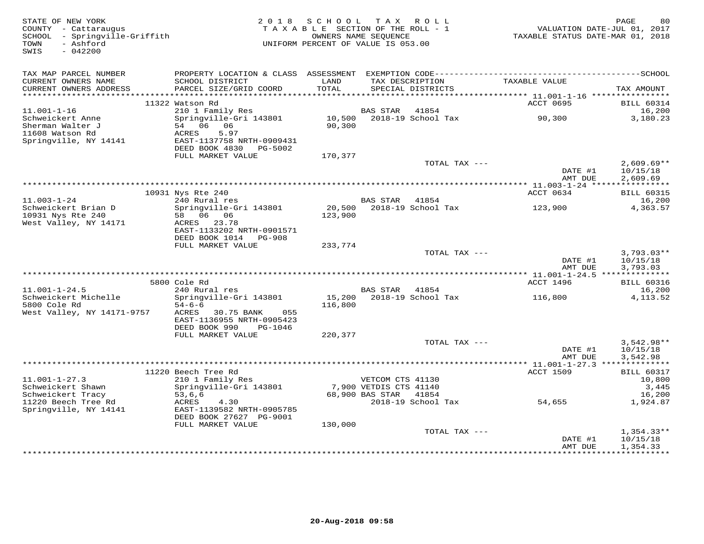| STATE OF NEW YORK<br>COUNTY - Cattaraugus<br>SCHOOL - Springville-Griffith<br>- Ashford<br>TOWN<br>$-042200$<br>SWIS | 2 0 1 8                                                | SCHOOL<br>TAXABLE SECTION OF THE ROLL - 1<br>OWNERS NAME SEOUENCE<br>UNIFORM PERCENT OF VALUE IS 053.00 |                                           | TAX ROLL                             | TAXABLE STATUS DATE-MAR 01, 2018 | PAGE<br>80<br>VALUATION DATE-JUL 01, 2017 |
|----------------------------------------------------------------------------------------------------------------------|--------------------------------------------------------|---------------------------------------------------------------------------------------------------------|-------------------------------------------|--------------------------------------|----------------------------------|-------------------------------------------|
| TAX MAP PARCEL NUMBER                                                                                                |                                                        |                                                                                                         |                                           |                                      |                                  |                                           |
| CURRENT OWNERS NAME<br>CURRENT OWNERS ADDRESS                                                                        | SCHOOL DISTRICT<br>PARCEL SIZE/GRID COORD              | LAND<br>TOTAL                                                                                           |                                           | TAX DESCRIPTION<br>SPECIAL DISTRICTS | TAXABLE VALUE                    | TAX AMOUNT                                |
| ***********************                                                                                              | 11322 Watson Rd                                        |                                                                                                         |                                           |                                      | ACCT 0695                        | <b>BILL 60314</b>                         |
| $11.001 - 1 - 16$                                                                                                    | 210 1 Family Res                                       |                                                                                                         | <b>BAS STAR</b>                           | 41854                                |                                  | 16,200                                    |
| Schweickert Anne<br>Sherman Walter J                                                                                 | Springville-Gri 143801<br>54 06 06                     | 10,500<br>90,300                                                                                        |                                           | 2018-19 School Tax                   | 90,300                           | 3,180.23                                  |
| 11608 Watson Rd                                                                                                      | 5.97<br>ACRES                                          |                                                                                                         |                                           |                                      |                                  |                                           |
| Springville, NY 14141                                                                                                | EAST-1137758 NRTH-0909431<br>DEED BOOK 4830<br>PG-5002 |                                                                                                         |                                           |                                      |                                  |                                           |
|                                                                                                                      | FULL MARKET VALUE                                      | 170,377                                                                                                 |                                           | TOTAL TAX ---                        |                                  | $2,609.69**$                              |
|                                                                                                                      |                                                        |                                                                                                         |                                           |                                      | DATE #1<br>AMT DUE               | 10/15/18<br>2,609.69                      |
|                                                                                                                      |                                                        |                                                                                                         |                                           |                                      | ************** 11.003-1-24 ***** | ***********                               |
|                                                                                                                      | 10931 Nys Rte 240                                      |                                                                                                         |                                           |                                      | ACCT 0634                        | <b>BILL 60315</b>                         |
| $11.003 - 1 - 24$                                                                                                    | 240 Rural res                                          |                                                                                                         | <b>BAS STAR</b>                           | 41854                                |                                  | 16,200                                    |
| Schweickert Brian D<br>10931 Nys Rte 240                                                                             | Springville-Gri 143801<br>58 06 06                     | 20,500                                                                                                  |                                           | 2018-19 School Tax                   | 123,900                          | 4,363.57                                  |
| West Valley, NY 14171                                                                                                | ACRES 23.78                                            | 123,900                                                                                                 |                                           |                                      |                                  |                                           |
|                                                                                                                      | EAST-1133202 NRTH-0901571                              |                                                                                                         |                                           |                                      |                                  |                                           |
|                                                                                                                      | DEED BOOK 1014 PG-908                                  |                                                                                                         |                                           |                                      |                                  |                                           |
|                                                                                                                      | FULL MARKET VALUE                                      | 233,774                                                                                                 |                                           |                                      |                                  |                                           |
|                                                                                                                      |                                                        |                                                                                                         |                                           | TOTAL TAX ---                        | DATE #1                          | $3,793.03**$<br>10/15/18                  |
|                                                                                                                      |                                                        |                                                                                                         |                                           |                                      | AMT DUE                          | 3,793.03                                  |
|                                                                                                                      |                                                        |                                                                                                         |                                           |                                      |                                  |                                           |
|                                                                                                                      | 5800 Cole Rd                                           |                                                                                                         |                                           |                                      | ACCT 1496                        | <b>BILL 60316</b>                         |
| $11.001 - 1 - 24.5$                                                                                                  | 240 Rural res                                          |                                                                                                         | BAS STAR                                  | 41854                                |                                  | 16,200                                    |
| Schweickert Michelle<br>5800 Cole Rd                                                                                 | Springville-Gri 143801<br>$54 - 6 - 6$                 | 116,800                                                                                                 |                                           | 15,200 2018-19 School Tax            | 116,800                          | 4, 113.52                                 |
| West Valley, NY 14171-9757                                                                                           | ACRES<br>30.75 BANK<br>055                             |                                                                                                         |                                           |                                      |                                  |                                           |
|                                                                                                                      | EAST-1136955 NRTH-0905423                              |                                                                                                         |                                           |                                      |                                  |                                           |
|                                                                                                                      | DEED BOOK 990<br>PG-1046                               |                                                                                                         |                                           |                                      |                                  |                                           |
|                                                                                                                      | FULL MARKET VALUE                                      | 220,377                                                                                                 |                                           |                                      |                                  |                                           |
|                                                                                                                      |                                                        |                                                                                                         |                                           | TOTAL TAX ---                        | DATE #1                          | $3,542.98**$<br>10/15/18                  |
|                                                                                                                      |                                                        |                                                                                                         |                                           |                                      | AMT DUE                          | 3,542.98                                  |
|                                                                                                                      |                                                        |                                                                                                         |                                           |                                      |                                  |                                           |
|                                                                                                                      | 11220 Beech Tree Rd                                    |                                                                                                         |                                           |                                      | <b>ACCT 1509</b>                 | <b>BILL 60317</b>                         |
| $11.001 - 1 - 27.3$                                                                                                  | 210 1 Family Res                                       |                                                                                                         | VETCOM CTS 41130                          |                                      |                                  | 10,800                                    |
| Schweickert Shawn<br>Schweickert Tracy                                                                               | Springville-Gri 143801<br>53,6,6                       |                                                                                                         | 7,900 VETDIS CTS 41140<br>68,900 BAS STAR | 41854                                |                                  | 3,445<br>16,200                           |
| 11220 Beech Tree Rd                                                                                                  | ACRES<br>4.30                                          |                                                                                                         |                                           | 2018-19 School Tax                   | 54,655                           | 1,924.87                                  |
| Springville, NY 14141                                                                                                | EAST-1139582 NRTH-0905785                              |                                                                                                         |                                           |                                      |                                  |                                           |
|                                                                                                                      | DEED BOOK 27627 PG-9001                                |                                                                                                         |                                           |                                      |                                  |                                           |
|                                                                                                                      | FULL MARKET VALUE                                      | 130,000                                                                                                 |                                           |                                      |                                  |                                           |
|                                                                                                                      |                                                        |                                                                                                         |                                           | TOTAL TAX ---                        | DATE #1                          | $1,354.33**$<br>10/15/18                  |
|                                                                                                                      |                                                        |                                                                                                         |                                           |                                      | AMT DUE                          | 1,354.33                                  |
|                                                                                                                      |                                                        |                                                                                                         |                                           |                                      | **************                   | * * * * * * * * * * *                     |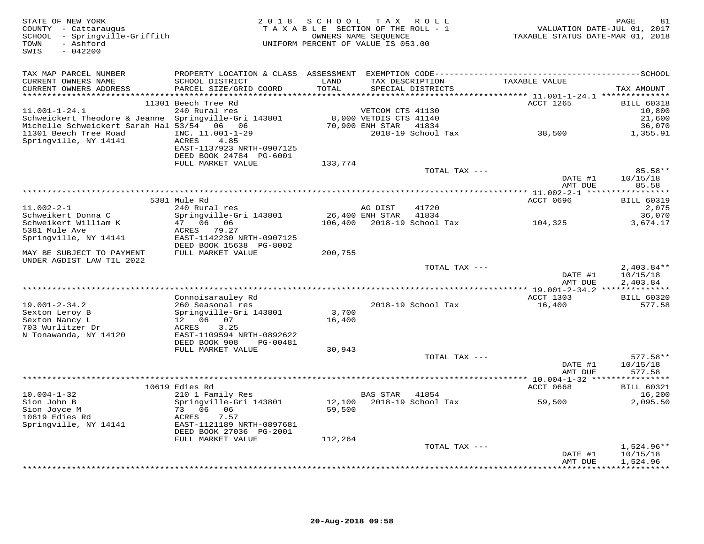| STATE OF NEW YORK<br>COUNTY - Cattaraugus<br>SCHOOL - Springville-Griffith<br>- Ashford<br>TOWN<br>$-042200$<br>SWIS | 2018                                                           | S C H O O L   | T A X<br>R O L L<br>TAXABLE SECTION OF THE ROLL - 1<br>OWNERS NAME SEOUENCE<br>UNIFORM PERCENT OF VALUE IS 053.00 |                    | PAGE<br>81<br>VALUATION DATE-JUL 01, 2017<br>TAXABLE STATUS DATE-MAR 01, 2018 |
|----------------------------------------------------------------------------------------------------------------------|----------------------------------------------------------------|---------------|-------------------------------------------------------------------------------------------------------------------|--------------------|-------------------------------------------------------------------------------|
| TAX MAP PARCEL NUMBER                                                                                                |                                                                |               |                                                                                                                   |                    |                                                                               |
| CURRENT OWNERS NAME<br>CURRENT OWNERS ADDRESS                                                                        | SCHOOL DISTRICT<br>PARCEL SIZE/GRID COORD                      | LAND<br>TOTAL | TAX DESCRIPTION<br>SPECIAL DISTRICTS                                                                              | TAXABLE VALUE      | TAX AMOUNT                                                                    |
|                                                                                                                      |                                                                |               |                                                                                                                   |                    |                                                                               |
|                                                                                                                      | 11301 Beech Tree Rd                                            |               |                                                                                                                   | ACCT 1265          | <b>BILL 60318</b>                                                             |
| $11.001 - 1 - 24.1$                                                                                                  | 240 Rural res                                                  |               | VETCOM CTS 41130                                                                                                  |                    | 10,800                                                                        |
| Schweickert Theodore & Jeanne Springville-Gri 143801                                                                 |                                                                |               | 8,000 VETDIS CTS 41140                                                                                            |                    | 21,600                                                                        |
| Michelle Schweickert Sarah Hal 53/54 06 06                                                                           |                                                                |               | 70,900 ENH STAR<br>41834                                                                                          |                    | 36,070                                                                        |
| 11301 Beech Tree Road<br>Springville, NY 14141                                                                       | INC. 11.001-1-29<br>ACRES<br>4.85<br>EAST-1137923 NRTH-0907125 |               | 2018-19 School Tax                                                                                                | 38,500             | 1,355.91                                                                      |
|                                                                                                                      | DEED BOOK 24784 PG-6001<br>FULL MARKET VALUE                   | 133,774       |                                                                                                                   |                    |                                                                               |
|                                                                                                                      |                                                                |               | TOTAL TAX ---                                                                                                     |                    | 85.58**                                                                       |
|                                                                                                                      |                                                                |               |                                                                                                                   | DATE #1<br>AMT DUE | 10/15/18<br>85.58                                                             |
|                                                                                                                      | 5381 Mule Rd                                                   |               |                                                                                                                   | ACCT 0696          | <b>BILL 60319</b>                                                             |
| $11.002 - 2 - 1$                                                                                                     | 240 Rural res                                                  |               | 41720<br>AG DIST                                                                                                  |                    | 2,075                                                                         |
| Schweikert Donna C                                                                                                   | Springville-Gri 143801                                         |               | 26,400 ENH STAR<br>41834                                                                                          |                    | 36,070                                                                        |
| Schweikert William K                                                                                                 | 47 06 06                                                       |               | 106,400 2018-19 School Tax                                                                                        | 104,325            | 3,674.17                                                                      |
| 5381 Mule Ave                                                                                                        | ACRES 79.27                                                    |               |                                                                                                                   |                    |                                                                               |
| Springville, NY 14141                                                                                                | EAST-1142230 NRTH-0907125                                      |               |                                                                                                                   |                    |                                                                               |
| MAY BE SUBJECT TO PAYMENT<br>UNDER AGDIST LAW TIL 2022                                                               | DEED BOOK 15638 PG-8002<br>FULL MARKET VALUE                   | 200,755       |                                                                                                                   |                    |                                                                               |
|                                                                                                                      |                                                                |               | TOTAL TAX ---                                                                                                     |                    | $2,403.84**$                                                                  |
|                                                                                                                      |                                                                |               |                                                                                                                   | DATE #1<br>AMT DUE | 10/15/18<br>2,403.84                                                          |
|                                                                                                                      |                                                                |               |                                                                                                                   |                    |                                                                               |
| $19.001 - 2 - 34.2$                                                                                                  | Connoisarauley Rd                                              |               | 2018-19 School Tax                                                                                                | ACCT 1303          | <b>BILL 60320</b><br>577.58                                                   |
| Sexton Leroy B                                                                                                       | 260 Seasonal res<br>Springville-Gri 143801                     | 3,700         |                                                                                                                   | 16,400             |                                                                               |
| Sexton Nancy L                                                                                                       | 12 06 07                                                       | 16,400        |                                                                                                                   |                    |                                                                               |
| 703 Wurlitzer Dr                                                                                                     | 3.25<br>ACRES                                                  |               |                                                                                                                   |                    |                                                                               |
| N Tonawanda, NY 14120                                                                                                | EAST-1109594 NRTH-0892622                                      |               |                                                                                                                   |                    |                                                                               |
|                                                                                                                      | DEED BOOK 908<br>PG-00481                                      |               |                                                                                                                   |                    |                                                                               |
|                                                                                                                      | FULL MARKET VALUE                                              | 30,943        | TOTAL TAX ---                                                                                                     |                    | $577.58**$                                                                    |
|                                                                                                                      |                                                                |               |                                                                                                                   | DATE #1<br>AMT DUE | 10/15/18<br>577.58                                                            |
|                                                                                                                      |                                                                |               |                                                                                                                   |                    |                                                                               |
|                                                                                                                      | 10619 Edies Rd                                                 |               |                                                                                                                   | ACCT 0668          | <b>BILL 60321</b>                                                             |
| $10.004 - 1 - 32$<br>Sion John B                                                                                     | 210 1 Family Res<br>Springville-Gri 143801                     | 12,100        | <b>BAS STAR</b><br>41854<br>2018-19 School Tax                                                                    | 59,500             | 16,200<br>2,095.50                                                            |
| Sion Joyce M                                                                                                         | 73 06 06                                                       | 59,500        |                                                                                                                   |                    |                                                                               |
| 10619 Edies Rd                                                                                                       | ACRES<br>7.57                                                  |               |                                                                                                                   |                    |                                                                               |
| Springville, NY 14141                                                                                                | EAST-1121189 NRTH-0897681                                      |               |                                                                                                                   |                    |                                                                               |
|                                                                                                                      | DEED BOOK 27036 PG-2001                                        |               |                                                                                                                   |                    |                                                                               |
|                                                                                                                      | FULL MARKET VALUE                                              | 112,264       | TOTAL TAX ---                                                                                                     |                    | $1,524.96**$                                                                  |
|                                                                                                                      |                                                                |               |                                                                                                                   | DATE #1            | 10/15/18                                                                      |
|                                                                                                                      |                                                                |               |                                                                                                                   | AMT DUE            | 1,524.96                                                                      |
|                                                                                                                      |                                                                |               |                                                                                                                   |                    | + + + + + + + + + +                                                           |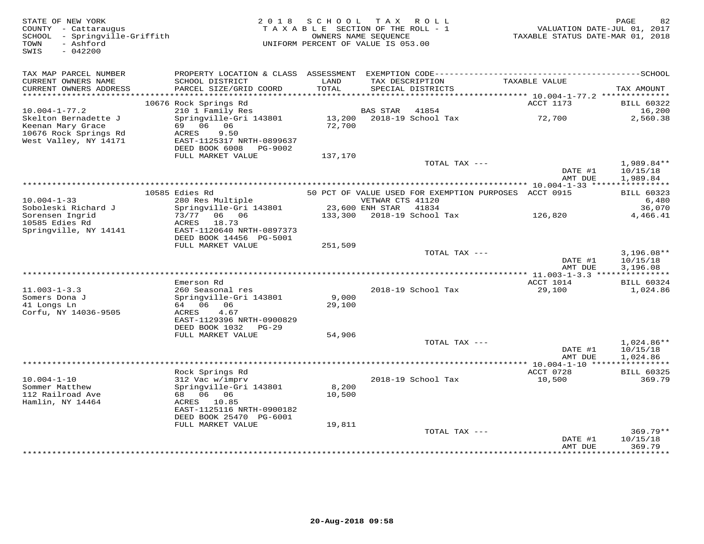| STATE OF NEW YORK<br>COUNTY - Cattaraugus<br>SCHOOL - Springville-Griffith<br>- Ashford<br>TOWN<br>SWIS<br>$-042200$ |                                                                                     | 2018 SCHOOL<br>TAXABLE SECTION OF THE ROLL - 1<br>UNIFORM PERCENT OF VALUE IS 053.00 | OWNERS NAME SEQUENCE  | TAX ROLL                                              | TAXABLE STATUS DATE-MAR 01, 2018 | PAGE<br>VALUATION DATE-JUL 01, 2017 | 82                                   |
|----------------------------------------------------------------------------------------------------------------------|-------------------------------------------------------------------------------------|--------------------------------------------------------------------------------------|-----------------------|-------------------------------------------------------|----------------------------------|-------------------------------------|--------------------------------------|
| TAX MAP PARCEL NUMBER                                                                                                |                                                                                     |                                                                                      |                       |                                                       |                                  |                                     |                                      |
| CURRENT OWNERS NAME<br>CURRENT OWNERS ADDRESS                                                                        | SCHOOL DISTRICT<br>PARCEL SIZE/GRID COORD                                           | LAND<br>TOTAL                                                                        |                       | TAX DESCRIPTION<br>SPECIAL DISTRICTS                  | TAXABLE VALUE                    |                                     | TAX AMOUNT                           |
|                                                                                                                      |                                                                                     |                                                                                      |                       |                                                       |                                  |                                     |                                      |
| $10.004 - 1 - 77.2$                                                                                                  | 10676 Rock Springs Rd<br>210 1 Family Res                                           |                                                                                      | <b>BAS STAR</b>       | 41854                                                 | ACCT 1173                        |                                     | <b>BILL 60322</b><br>16,200          |
| Skelton Bernadette J                                                                                                 | Springville-Gri 143801                                                              | 13,200                                                                               |                       | 2018-19 School Tax                                    | 72,700                           |                                     | 2,560.38                             |
| Keenan Mary Grace<br>10676 Rock Springs Rd<br>West Valley, NY 14171                                                  | 69 06 06<br>9.50<br>ACRES<br>EAST-1125317 NRTH-0899637<br>DEED BOOK 6008<br>PG-9002 | 72,700                                                                               |                       |                                                       |                                  |                                     |                                      |
|                                                                                                                      | FULL MARKET VALUE                                                                   | 137,170                                                                              |                       |                                                       |                                  |                                     |                                      |
|                                                                                                                      |                                                                                     |                                                                                      |                       | TOTAL TAX ---                                         | DATE #1                          |                                     | $1,989.84**$<br>10/15/18             |
|                                                                                                                      |                                                                                     |                                                                                      |                       |                                                       | AMT DUE                          |                                     | 1,989.84                             |
|                                                                                                                      | 10585 Edies Rd                                                                      |                                                                                      |                       | 50 PCT OF VALUE USED FOR EXEMPTION PURPOSES ACCT 0915 |                                  |                                     | <b>BILL 60323</b>                    |
| $10.004 - 1 - 33$                                                                                                    | 280 Res Multiple                                                                    |                                                                                      | VETWAR CTS 41120      |                                                       |                                  |                                     | 6,480                                |
| Soboleski Richard J                                                                                                  | Springville-Gri 143801                                                              |                                                                                      | 23,600 ENH STAR 41834 |                                                       |                                  |                                     | 36,070                               |
| Sorensen Ingrid<br>10585 Edies Rd<br>Springville, NY 14141                                                           | 73/77 06 06<br>ACRES<br>18.73<br>EAST-1120640 NRTH-0897373                          |                                                                                      |                       | 133,300 2018-19 School Tax                            | 126,820                          |                                     | 4,466.41                             |
|                                                                                                                      | DEED BOOK 14456 PG-5001                                                             |                                                                                      |                       |                                                       |                                  |                                     |                                      |
|                                                                                                                      | FULL MARKET VALUE                                                                   | 251,509                                                                              |                       |                                                       |                                  |                                     |                                      |
|                                                                                                                      |                                                                                     |                                                                                      |                       | TOTAL TAX ---                                         | DATE #1<br>AMT DUE               |                                     | $3,196.08**$<br>10/15/18<br>3,196.08 |
|                                                                                                                      |                                                                                     |                                                                                      |                       |                                                       | *** 11.003-1-3.3 *************** |                                     |                                      |
|                                                                                                                      | Emerson Rd                                                                          |                                                                                      |                       |                                                       | ACCT 1014                        |                                     | <b>BILL 60324</b>                    |
| $11.003 - 1 - 3.3$                                                                                                   | 260 Seasonal res                                                                    |                                                                                      |                       | 2018-19 School Tax                                    | 29,100                           |                                     | 1,024.86                             |
| Somers Dona J                                                                                                        | Springville-Gri 143801<br>64 06 06                                                  | 9,000                                                                                |                       |                                                       |                                  |                                     |                                      |
| 41 Longs Ln<br>Corfu, NY 14036-9505                                                                                  | 4.67<br>ACRES<br>EAST-1129396 NRTH-0900829                                          | 29,100                                                                               |                       |                                                       |                                  |                                     |                                      |
|                                                                                                                      | DEED BOOK 1032 PG-29                                                                |                                                                                      |                       |                                                       |                                  |                                     |                                      |
|                                                                                                                      | FULL MARKET VALUE                                                                   | 54,906                                                                               |                       |                                                       |                                  |                                     |                                      |
|                                                                                                                      |                                                                                     |                                                                                      |                       | TOTAL TAX ---                                         | DATE #1<br>AMT DUE               |                                     | 1,024.86**<br>10/15/18<br>1,024.86   |
|                                                                                                                      |                                                                                     |                                                                                      |                       |                                                       |                                  |                                     |                                      |
|                                                                                                                      | Rock Springs Rd                                                                     |                                                                                      |                       |                                                       | ACCT 0728                        |                                     | <b>BILL 60325</b>                    |
| $10.004 - 1 - 10$                                                                                                    | 312 Vac w/imprv                                                                     |                                                                                      |                       | 2018-19 School Tax                                    | 10,500                           |                                     | 369.79                               |
| Sommer Matthew<br>112 Railroad Ave                                                                                   | Springville-Gri 143801<br>68 06 06                                                  | 8,200<br>10,500                                                                      |                       |                                                       |                                  |                                     |                                      |
| Hamlin, NY 14464                                                                                                     | ACRES 10.85                                                                         |                                                                                      |                       |                                                       |                                  |                                     |                                      |
|                                                                                                                      | EAST-1125116 NRTH-0900182<br>DEED BOOK 25470 PG-6001                                |                                                                                      |                       |                                                       |                                  |                                     |                                      |
|                                                                                                                      | FULL MARKET VALUE                                                                   | 19,811                                                                               |                       |                                                       |                                  |                                     |                                      |
|                                                                                                                      |                                                                                     |                                                                                      |                       | TOTAL TAX ---                                         | DATE #1                          |                                     | $369.79**$<br>10/15/18               |
|                                                                                                                      |                                                                                     |                                                                                      |                       |                                                       | AMT DUE                          |                                     | 369.79<br><b>++++++++</b>            |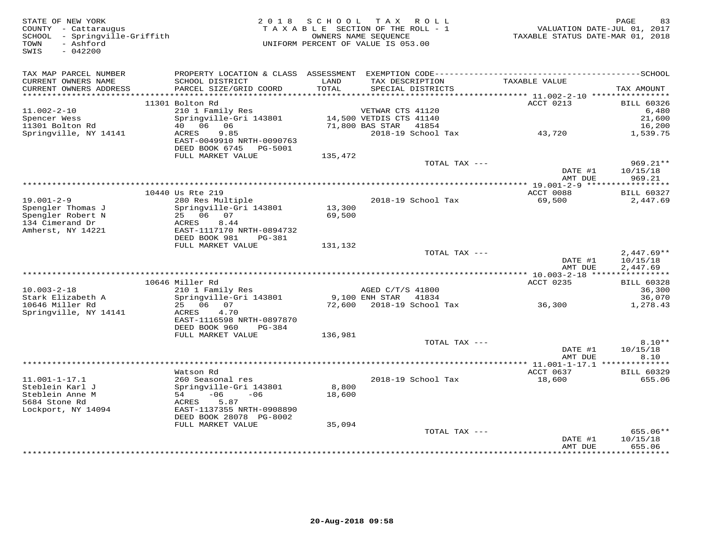| STATE OF NEW YORK<br>COUNTY - Cattaraugus<br>SCHOOL - Springville-Griffith<br>- Ashford<br>TOWN<br>SWIS<br>$-042200$ | 2 0 1 8                                    | SCHOOL        | T A X<br>ROLL<br>TAXABLE SECTION OF THE ROLL - 1<br>OWNERS NAME SEQUENCE<br>UNIFORM PERCENT OF VALUE IS 053.00 | TAXABLE STATUS DATE-MAR 01, 2018                | PAGE<br>83<br>VALUATION DATE-JUL 01, 2017 |
|----------------------------------------------------------------------------------------------------------------------|--------------------------------------------|---------------|----------------------------------------------------------------------------------------------------------------|-------------------------------------------------|-------------------------------------------|
| TAX MAP PARCEL NUMBER                                                                                                |                                            |               |                                                                                                                |                                                 |                                           |
| CURRENT OWNERS NAME<br>CURRENT OWNERS ADDRESS                                                                        | SCHOOL DISTRICT<br>PARCEL SIZE/GRID COORD  | LAND<br>TOTAL | TAX DESCRIPTION<br>SPECIAL DISTRICTS                                                                           | TAXABLE VALUE                                   | TAX AMOUNT                                |
|                                                                                                                      |                                            |               |                                                                                                                |                                                 |                                           |
|                                                                                                                      | 11301 Bolton Rd                            |               |                                                                                                                | ACCT 0213                                       | <b>BILL 60326</b>                         |
| $11.002 - 2 - 10$<br>Spencer Wess                                                                                    | 210 1 Family Res<br>Springville-Gri 143801 |               | VETWAR CTS 41120<br>14,500 VETDIS CTS 41140                                                                    |                                                 | 6,480<br>21,600                           |
| 11301 Bolton Rd                                                                                                      | 40 06 06                                   |               | 71,800 BAS STAR 41854                                                                                          |                                                 | 16,200                                    |
| Springville, NY 14141                                                                                                | 9.85<br>ACRES<br>EAST-0049910 NRTH-0090763 |               | 2018-19 School Tax                                                                                             | 43,720                                          | 1,539.75                                  |
|                                                                                                                      | DEED BOOK 6745<br>PG-5001                  |               |                                                                                                                |                                                 |                                           |
|                                                                                                                      | FULL MARKET VALUE                          | 135,472       | TOTAL TAX ---                                                                                                  |                                                 | $969.21**$                                |
|                                                                                                                      |                                            |               |                                                                                                                | DATE #1<br>AMT DUE                              | 10/15/18<br>969.21                        |
|                                                                                                                      | ************************                   |               |                                                                                                                |                                                 |                                           |
|                                                                                                                      | 10440 Us Rte 219                           |               |                                                                                                                | ACCT 0088                                       | <b>BILL 60327</b>                         |
| $19.001 - 2 - 9$                                                                                                     | 280 Res Multiple                           |               | 2018-19 School Tax                                                                                             | 69,500                                          | 2,447.69                                  |
| Spengler Thomas J                                                                                                    | Springville-Gri 143801                     | 13,300        |                                                                                                                |                                                 |                                           |
| Spengler Robert N                                                                                                    | 25 06 07                                   | 69,500        |                                                                                                                |                                                 |                                           |
| 134 Cimerand Dr<br>Amherst, NY 14221                                                                                 | ACRES<br>8.44<br>EAST-1117170 NRTH-0894732 |               |                                                                                                                |                                                 |                                           |
|                                                                                                                      | DEED BOOK 981<br>PG-381                    |               |                                                                                                                |                                                 |                                           |
|                                                                                                                      | FULL MARKET VALUE                          | 131,132       |                                                                                                                |                                                 |                                           |
|                                                                                                                      |                                            |               | TOTAL TAX ---                                                                                                  |                                                 | $2,447.69**$                              |
|                                                                                                                      |                                            |               |                                                                                                                | DATE #1                                         | 10/15/18                                  |
|                                                                                                                      |                                            |               |                                                                                                                | AMT DUE                                         | 2,447.69                                  |
|                                                                                                                      |                                            |               |                                                                                                                | ******* 10.003-2-18 *****                       | ***********                               |
| $10.003 - 2 - 18$                                                                                                    | 10646 Miller Rd<br>210 1 Family Res        |               | AGED C/T/S 41800                                                                                               | ACCT 0235                                       | <b>BILL 60328</b><br>36,300               |
| Stark Elizabeth A                                                                                                    | Springville-Gri 143801                     |               | 9,100 ENH STAR<br>41834                                                                                        |                                                 | 36,070                                    |
| 10646 Miller Rd                                                                                                      | 25 06 07                                   | 72,600        | 2018-19 School Tax                                                                                             | 36,300                                          | 1,278.43                                  |
| Springville, NY 14141                                                                                                | ACRES<br>4.70                              |               |                                                                                                                |                                                 |                                           |
|                                                                                                                      | EAST-1116598 NRTH-0897870                  |               |                                                                                                                |                                                 |                                           |
|                                                                                                                      | DEED BOOK 960<br>PG-384                    |               |                                                                                                                |                                                 |                                           |
|                                                                                                                      | FULL MARKET VALUE                          | 136,981       |                                                                                                                |                                                 |                                           |
|                                                                                                                      |                                            |               | TOTAL TAX ---                                                                                                  | DATE #1                                         | $8.10**$<br>10/15/18                      |
|                                                                                                                      |                                            |               |                                                                                                                | AMT DUE                                         | 8.10                                      |
|                                                                                                                      |                                            |               |                                                                                                                | ****************** 11.001-1-17.1 ************** |                                           |
|                                                                                                                      | Watson Rd                                  |               |                                                                                                                | ACCT 0637                                       | <b>BILL 60329</b>                         |
| $11.001 - 1 - 17.1$                                                                                                  | 260 Seasonal res                           |               | 2018-19 School Tax                                                                                             | 18,600                                          | 655.06                                    |
| Steblein Karl J                                                                                                      | Springville-Gri 143801                     | 8,800         |                                                                                                                |                                                 |                                           |
| Steblein Anne M                                                                                                      | $-06$<br>$-06$<br>54                       | 18,600        |                                                                                                                |                                                 |                                           |
| 5684 Stone Rd<br>Lockport, NY 14094                                                                                  | ACRES<br>5.87<br>EAST-1137355 NRTH-0908890 |               |                                                                                                                |                                                 |                                           |
|                                                                                                                      | DEED BOOK 28078 PG-8002                    |               |                                                                                                                |                                                 |                                           |
|                                                                                                                      | FULL MARKET VALUE                          | 35,094        |                                                                                                                |                                                 |                                           |
|                                                                                                                      |                                            |               | TOTAL TAX ---                                                                                                  |                                                 | $655.06**$                                |
|                                                                                                                      |                                            |               |                                                                                                                | DATE #1                                         | 10/15/18                                  |
|                                                                                                                      |                                            |               |                                                                                                                | AMT DUE                                         | 655.06<br>* * * * * * * * *               |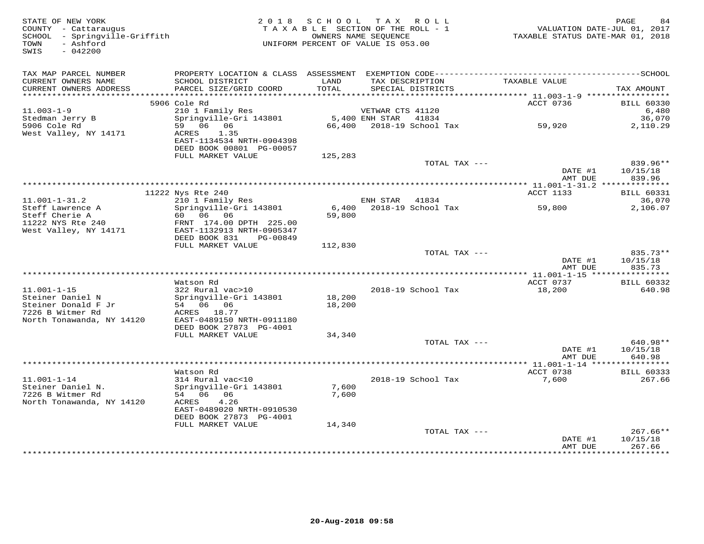| STATE OF NEW YORK<br>COUNTY - Cattaraugus<br>SCHOOL - Springville-Griffith<br>- Ashford<br>TOWN<br>$-042200$<br>SWIS |                                                                        | 2018 SCHOOL | TAX ROLL<br>TAXABLE SECTION OF THE ROLL - 1<br>OWNERS NAME SEOUENCE<br>UNIFORM PERCENT OF VALUE IS 053.00 |               | TAXABLE STATUS DATE-MAR 01, 2018                               | PAGE<br>VALUATION DATE-JUL 01, 2017 | 84    |
|----------------------------------------------------------------------------------------------------------------------|------------------------------------------------------------------------|-------------|-----------------------------------------------------------------------------------------------------------|---------------|----------------------------------------------------------------|-------------------------------------|-------|
| TAX MAP PARCEL NUMBER<br>CURRENT OWNERS NAME                                                                         | SCHOOL DISTRICT                                                        | LAND        | TAX DESCRIPTION                                                                                           |               | TAXABLE VALUE                                                  |                                     |       |
| CURRENT OWNERS ADDRESS                                                                                               | PARCEL SIZE/GRID COORD                                                 | TOTAL       | SPECIAL DISTRICTS                                                                                         |               |                                                                | TAX AMOUNT                          |       |
| ***********************                                                                                              | 5906 Cole Rd                                                           |             |                                                                                                           |               | ACCT 0736                                                      | <b>BILL 60330</b>                   |       |
| $11.003 - 1 - 9$                                                                                                     | 210 1 Family Res                                                       |             | VETWAR CTS 41120                                                                                          |               |                                                                |                                     | 6,480 |
| Stedman Jerry B                                                                                                      | Springville-Gri 143801                                                 |             | 5,400 ENH STAR                                                                                            | 41834         |                                                                | 36,070                              |       |
| 5906 Cole Rd                                                                                                         | 59 06 06                                                               |             | 66,400 2018-19 School Tax                                                                                 |               | 59,920                                                         | 2,110.29                            |       |
| West Valley, NY 14171                                                                                                | ACRES<br>1.35<br>EAST-1134534 NRTH-0904398<br>DEED BOOK 00801 PG-00057 |             |                                                                                                           |               |                                                                |                                     |       |
|                                                                                                                      | FULL MARKET VALUE                                                      | 125,283     |                                                                                                           |               |                                                                |                                     |       |
|                                                                                                                      |                                                                        |             |                                                                                                           | TOTAL TAX --- |                                                                | 839.96**                            |       |
|                                                                                                                      |                                                                        |             |                                                                                                           |               | DATE #1<br>AMT DUE<br>*********** 11.001-1-31.2 ************** | 10/15/18<br>839.96                  |       |
|                                                                                                                      | 11222 Nys Rte 240                                                      |             |                                                                                                           |               | ACCT 1133                                                      | <b>BILL 60331</b>                   |       |
| $11.001 - 1 - 31.2$                                                                                                  | 210 1 Family Res                                                       |             | ENH STAR                                                                                                  | 41834         |                                                                | 36,070                              |       |
| Steff Lawrence A                                                                                                     | Springville-Gri 143801                                                 | 6,400       | 2018-19 School Tax                                                                                        |               | 59,800                                                         | 2,106.07                            |       |
| Steff Cherie A<br>11222 NYS Rte 240                                                                                  | 60 06 06<br>FRNT 174.00 DPTH 225.00                                    | 59,800      |                                                                                                           |               |                                                                |                                     |       |
| West Valley, NY 14171                                                                                                | EAST-1132913 NRTH-0905347                                              |             |                                                                                                           |               |                                                                |                                     |       |
|                                                                                                                      | DEED BOOK 831<br>PG-00849                                              |             |                                                                                                           |               |                                                                |                                     |       |
|                                                                                                                      | FULL MARKET VALUE                                                      | 112,830     |                                                                                                           | TOTAL TAX --- |                                                                | 835.73**                            |       |
|                                                                                                                      |                                                                        |             |                                                                                                           |               | DATE #1                                                        | 10/15/18                            |       |
|                                                                                                                      |                                                                        |             |                                                                                                           |               | AMT DUE                                                        | 835.73                              |       |
|                                                                                                                      |                                                                        |             |                                                                                                           |               |                                                                |                                     |       |
| $11.001 - 1 - 15$                                                                                                    | Watson Rd<br>322 Rural vac>10                                          |             | 2018-19 School Tax                                                                                        |               | ACCT 0737<br>18,200                                            | <b>BILL 60332</b><br>640.98         |       |
| Steiner Daniel N                                                                                                     | Springville-Gri 143801                                                 | 18,200      |                                                                                                           |               |                                                                |                                     |       |
| Steiner Donald F Jr                                                                                                  | 54 06 06                                                               | 18,200      |                                                                                                           |               |                                                                |                                     |       |
| 7226 B Witmer Rd<br>North Tonawanda, NY 14120                                                                        | ACRES 18.77<br>EAST-0489150 NRTH-0911180                               |             |                                                                                                           |               |                                                                |                                     |       |
|                                                                                                                      | DEED BOOK 27873 PG-4001                                                |             |                                                                                                           |               |                                                                |                                     |       |
|                                                                                                                      | FULL MARKET VALUE                                                      | 34,340      |                                                                                                           |               |                                                                |                                     |       |
|                                                                                                                      |                                                                        |             |                                                                                                           | TOTAL TAX --- | DATE #1                                                        | 640.98**<br>10/15/18                |       |
|                                                                                                                      |                                                                        |             |                                                                                                           |               | AMT DUE                                                        | 640.98                              |       |
|                                                                                                                      |                                                                        |             |                                                                                                           |               | ****************** 11.001-1-14 *****************               |                                     |       |
|                                                                                                                      | Watson Rd                                                              |             |                                                                                                           |               | ACCT 0738                                                      | <b>BILL 60333</b>                   |       |
| $11.001 - 1 - 14$<br>Steiner Daniel N.                                                                               | 314 Rural vac<10<br>Springville-Gri 143801                             | 7,600       | 2018-19 School Tax                                                                                        |               | 7,600                                                          | 267.66                              |       |
| 7226 B Witmer Rd                                                                                                     | 54 06 06                                                               | 7,600       |                                                                                                           |               |                                                                |                                     |       |
| North Tonawanda, NY 14120                                                                                            | 4.26<br>ACRES                                                          |             |                                                                                                           |               |                                                                |                                     |       |
|                                                                                                                      | EAST-0489020 NRTH-0910530<br>DEED BOOK 27873 PG-4001                   |             |                                                                                                           |               |                                                                |                                     |       |
|                                                                                                                      | FULL MARKET VALUE                                                      | 14,340      |                                                                                                           |               |                                                                |                                     |       |
|                                                                                                                      |                                                                        |             |                                                                                                           | TOTAL TAX --- |                                                                | $267.66**$                          |       |
|                                                                                                                      |                                                                        |             |                                                                                                           |               | DATE #1<br>AMT DUE                                             | 10/15/18<br>267.66                  |       |
|                                                                                                                      |                                                                        |             |                                                                                                           |               |                                                                | .                                   |       |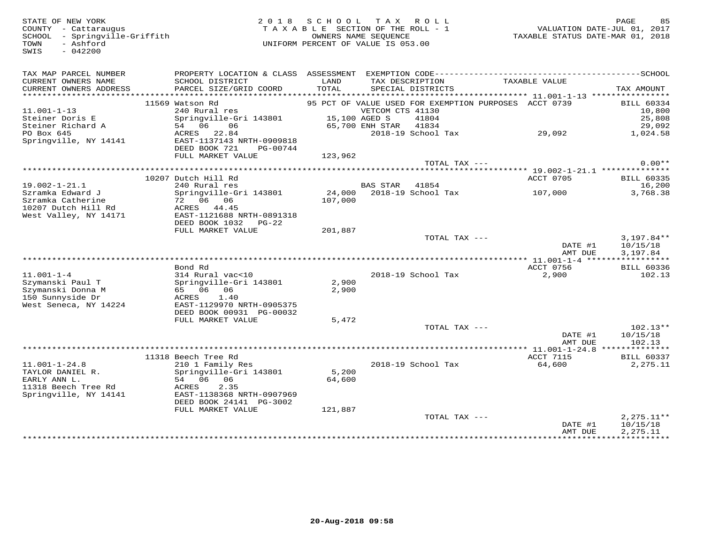SWIS - 042200

#### STATE OF NEW YORK BE ASSEMBLY AND MAGNITY - CATTARING MISS ON THE SECTION OF THE ROLL - 1 TAX A B L E SECTION OF THE ROLL - 1 COUNTY - CATTARING STATE OF A X A B L E SECTION OF THE ROLL - 1 COUNTY - CATTARING STATUS OF A X TAX A B L E SECTION OF THE ROLL - 1 SCHOOL - Springville-Griffith OWNERS NAME SEQUENCE TAXABLE STATUS DATE-MAR 01, 2018UNIFORM PERCENT OF VALUE IS 053.00

| TAX MAP PARCEL NUMBER<br>CURRENT OWNERS NAME<br>CURRENT OWNERS ADDRESS                | SCHOOL DISTRICT<br>PARCEL SIZE/GRID COORD                                                | LAND<br>TOTAL     | TAX DESCRIPTION<br>SPECIAL DISTRICTS                                                                                         | TAXABLE VALUE      | TAX AMOUNT                                      |
|---------------------------------------------------------------------------------------|------------------------------------------------------------------------------------------|-------------------|------------------------------------------------------------------------------------------------------------------------------|--------------------|-------------------------------------------------|
| $11.001 - 1 - 13$<br>Steiner Doris E<br>Steiner Richard A                             | 11569 Watson Rd<br>240 Rural res<br>Springville-Gri 143801<br>54 06<br>06                |                   | 95 PCT OF VALUE USED FOR EXEMPTION PURPOSES ACCT 0739<br>VETCOM CTS 41130<br>15,100 AGED S<br>41804<br>65,700 ENH STAR 41834 |                    | <b>BILL 60334</b><br>10,800<br>25,808<br>29,092 |
| PO Box 645<br>Springville, NY 14141                                                   | 22.84<br>ACRES<br>EAST-1137143 NRTH-0909818<br>DEED BOOK 721<br>PG-00744                 |                   | 2018-19 School Tax                                                                                                           | 29,092             | 1,024.58                                        |
|                                                                                       | FULL MARKET VALUE                                                                        | 123,962           | TOTAL TAX ---                                                                                                                |                    | $0.00**$                                        |
|                                                                                       |                                                                                          |                   |                                                                                                                              |                    |                                                 |
|                                                                                       | 10207 Dutch Hill Rd                                                                      |                   |                                                                                                                              | ACCT 0705          | <b>BILL 60335</b>                               |
| $19.002 - 1 - 21.1$                                                                   | 240 Rural res                                                                            |                   | <b>BAS STAR</b><br>41854                                                                                                     |                    | 16,200                                          |
| Szramka Edward J<br>Szramka Catherine<br>10207 Dutch Hill Rd<br>West Valley, NY 14171 | Springville-Gri 143801<br>72 06 06<br><b>ACRES</b><br>44.45<br>EAST-1121688 NRTH-0891318 | 24,000<br>107,000 | 2018-19 School Tax                                                                                                           | 107,000            | 3,768.38                                        |
|                                                                                       | DEED BOOK 1032<br>$PG-22$                                                                |                   |                                                                                                                              |                    |                                                 |
|                                                                                       | FULL MARKET VALUE                                                                        | 201,887           |                                                                                                                              |                    |                                                 |
|                                                                                       |                                                                                          |                   | TOTAL TAX ---                                                                                                                | DATE #1<br>AMT DUE | $3,197.84**$<br>10/15/18<br>3,197.84            |
|                                                                                       |                                                                                          |                   |                                                                                                                              |                    |                                                 |
|                                                                                       | Bond Rd                                                                                  |                   |                                                                                                                              | ACCT 0756          | <b>BILL 60336</b>                               |
| $11.001 - 1 - 4$                                                                      | 314 Rural vac<10                                                                         |                   | 2018-19 School Tax                                                                                                           | 2,900              | 102.13                                          |
| Szymanski Paul T<br>Szymanski Donna M                                                 | Springville-Gri 143801<br>65 06 06                                                       | 2,900<br>2,900    |                                                                                                                              |                    |                                                 |
| 150 Sunnyside Dr                                                                      | ACRES<br>1.40                                                                            |                   |                                                                                                                              |                    |                                                 |
| West Seneca, NY 14224                                                                 | EAST-1129970 NRTH-0905375<br>DEED BOOK 00931 PG-00032                                    |                   |                                                                                                                              |                    |                                                 |
|                                                                                       | FULL MARKET VALUE                                                                        | 5,472             | TOTAL TAX ---                                                                                                                |                    | $102.13**$                                      |
|                                                                                       |                                                                                          |                   |                                                                                                                              | DATE #1<br>AMT DUE | 10/15/18<br>102.13                              |
|                                                                                       |                                                                                          |                   |                                                                                                                              |                    |                                                 |
|                                                                                       | 11318 Beech Tree Rd                                                                      |                   |                                                                                                                              | <b>ACCT 7115</b>   | <b>BILL 60337</b>                               |
| $11.001 - 1 - 24.8$                                                                   | 210 1 Family Res                                                                         |                   | 2018-19 School Tax                                                                                                           | 64,600             | 2,275.11                                        |
| TAYLOR DANIEL R.<br>EARLY ANN L.                                                      | Springville-Gri 143801<br>54 06 06                                                       | 5,200             |                                                                                                                              |                    |                                                 |
| 11318 Beech Tree Rd                                                                   | ACRES<br>2.35                                                                            | 64,600            |                                                                                                                              |                    |                                                 |
| Springville, NY 14141                                                                 | EAST-1138368 NRTH-0907969<br>DEED BOOK 24141 PG-3002                                     |                   |                                                                                                                              |                    |                                                 |
|                                                                                       | FULL MARKET VALUE                                                                        | 121,887           |                                                                                                                              |                    |                                                 |
|                                                                                       |                                                                                          |                   | TOTAL TAX $---$                                                                                                              | DATE #1<br>AMT DUE | $2,275.11**$<br>10/15/18<br>2,275.11            |
|                                                                                       |                                                                                          |                   |                                                                                                                              |                    |                                                 |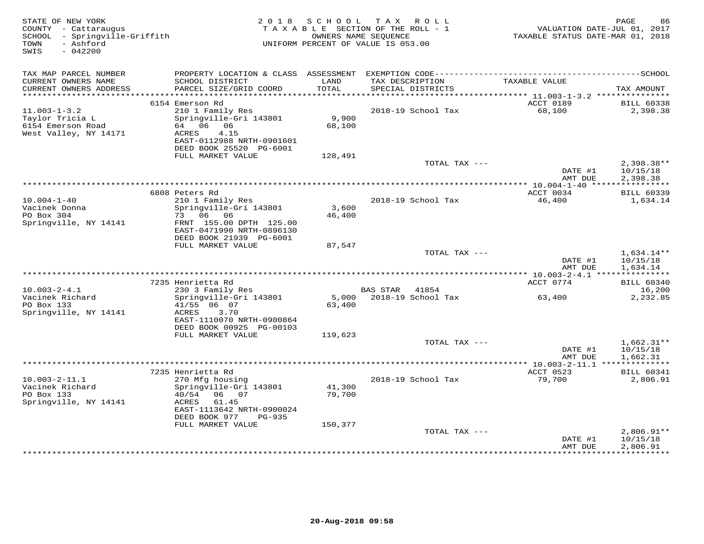| STATE OF NEW YORK<br>COUNTY - Cattaraugus<br>SCHOOL - Springville-Griffith<br>- Ashford<br>TOWN<br>$-042200$<br>SWIS | 2 0 1 8                                                                                                                                                                         | S C H O O L<br>OWNERS NAME SEQUENCE | TAX ROLL<br>TAXABLE SECTION OF THE ROLL - 1<br>UNIFORM PERCENT OF VALUE IS 053.00 | VALUATION DATE-JUL 01, 2017<br>TAXABLE STATUS DATE-MAR 01, 2018 | PAGE<br>86                           |
|----------------------------------------------------------------------------------------------------------------------|---------------------------------------------------------------------------------------------------------------------------------------------------------------------------------|-------------------------------------|-----------------------------------------------------------------------------------|-----------------------------------------------------------------|--------------------------------------|
| TAX MAP PARCEL NUMBER                                                                                                |                                                                                                                                                                                 |                                     |                                                                                   |                                                                 |                                      |
| CURRENT OWNERS NAME<br>CURRENT OWNERS ADDRESS<br>***********************                                             | SCHOOL DISTRICT<br>PARCEL SIZE/GRID COORD                                                                                                                                       | LAND<br>TOTAL                       | TAX DESCRIPTION<br>SPECIAL DISTRICTS                                              | TAXABLE VALUE                                                   | TAX AMOUNT                           |
|                                                                                                                      | 6154 Emerson Rd                                                                                                                                                                 |                                     |                                                                                   | ACCT 0189                                                       | <b>BILL 60338</b>                    |
| $11.003 - 1 - 3.2$<br>Taylor Tricia L<br>6154 Emerson Road<br>West Valley, NY 14171                                  | 210 1 Family Res<br>Springville-Gri 143801<br>64 06 06<br>ACRES<br>4.15<br>EAST-0112988 NRTH-0901601<br>DEED BOOK 25520 PG-6001                                                 | 9,900<br>68,100                     | 2018-19 School Tax                                                                | 68,100                                                          | 2,398.38                             |
|                                                                                                                      | FULL MARKET VALUE                                                                                                                                                               | 128,491                             |                                                                                   |                                                                 |                                      |
|                                                                                                                      |                                                                                                                                                                                 |                                     | TOTAL TAX ---                                                                     | DATE #1<br>AMT DUE                                              | $2,398.38**$<br>10/15/18<br>2,398.38 |
|                                                                                                                      |                                                                                                                                                                                 |                                     |                                                                                   | ** $10.004 - 1 - 40$ *****                                      | * * * * * * * * * * *                |
| $10.004 - 1 - 40$<br>Vacinek Donna<br>PO Box 304<br>Springville, NY 14141                                            | 6808 Peters Rd<br>210 1 Family Res<br>Springville-Gri 143801<br>73 06 06<br>FRNT 155.00 DPTH 125.00<br>EAST-0471990 NRTH-0896130<br>DEED BOOK 21939 PG-6001                     | 3,600<br>46,400                     | 2018-19 School Tax                                                                | ACCT 0034<br>46,400                                             | <b>BILL 60339</b><br>1,634.14        |
|                                                                                                                      | FULL MARKET VALUE                                                                                                                                                               | 87,547                              |                                                                                   |                                                                 |                                      |
|                                                                                                                      |                                                                                                                                                                                 |                                     | TOTAL TAX ---                                                                     | DATE #1<br>AMT DUE                                              | $1,634.14**$<br>10/15/18<br>1,634.14 |
|                                                                                                                      | 7235 Henrietta Rd                                                                                                                                                               |                                     |                                                                                   | ACCT 0774                                                       | <b>BILL 60340</b>                    |
| $10.003 - 2 - 4.1$                                                                                                   | 230 3 Family Res                                                                                                                                                                |                                     | BAS STAR<br>41854                                                                 |                                                                 | 16,200                               |
| Vacinek Richard<br>PO Box 133<br>Springville, NY 14141                                                               | Springville-Gri 143801<br>41/55 06 07<br>3.70<br>ACRES<br>EAST-1110070 NRTH-0900864<br>DEED BOOK 00925 PG-00103<br>FULL MARKET VALUE                                            | 63,400<br>119,623                   | 5,000 2018-19 School Tax                                                          | 63,400                                                          | 2,232.85                             |
|                                                                                                                      |                                                                                                                                                                                 |                                     | TOTAL TAX ---                                                                     |                                                                 | $1,662.31**$                         |
|                                                                                                                      |                                                                                                                                                                                 |                                     |                                                                                   | DATE #1<br>AMT DUE                                              | 10/15/18<br>1,662.31                 |
|                                                                                                                      |                                                                                                                                                                                 |                                     |                                                                                   |                                                                 |                                      |
| $10.003 - 2 - 11.1$<br>Vacinek Richard<br>PO Box 133<br>Springville, NY 14141                                        | 7235 Henrietta Rd<br>270 Mfg housing<br>Springville-Gri 143801<br>40/54<br>06 07<br>ACRES<br>61.45<br>EAST-1113642 NRTH-0900024<br>DEED BOOK 977<br>PG-935<br>FULL MARKET VALUE | 41,300<br>79,700<br>150,377         | 2018-19 School Tax                                                                | ACCT 0523<br>79,700                                             | <b>BILL 60341</b><br>2,806.91        |
|                                                                                                                      |                                                                                                                                                                                 |                                     | TOTAL TAX ---                                                                     | DATE #1                                                         | $2,806.91**$<br>10/15/18             |
|                                                                                                                      |                                                                                                                                                                                 |                                     |                                                                                   | AMT DUE                                                         | 2,806.91                             |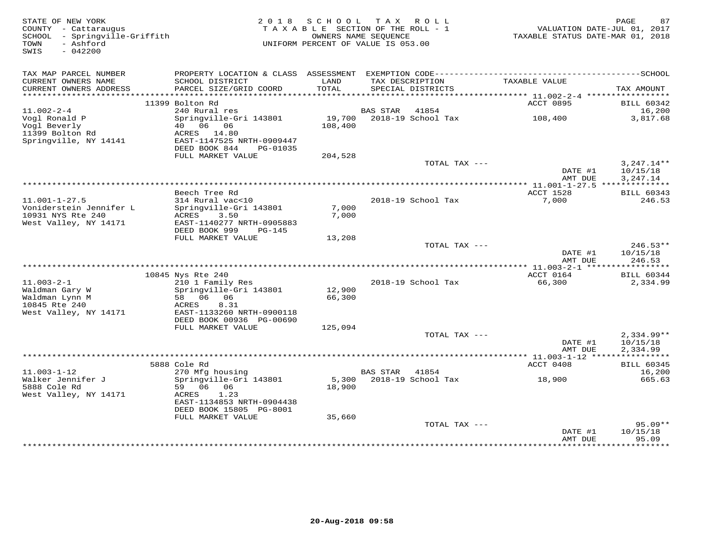| STATE OF NEW YORK<br>COUNTY - Cattaraugus<br>SCHOOL - Springville-Griffith<br>- Ashford<br>TOWN<br>SWIS<br>$-042200$ |                                                                                                                 | 2018 SCHOOL<br>TAXABLE SECTION OF THE ROLL - 1<br>OWNERS NAME SEQUENCE<br>UNIFORM PERCENT OF VALUE IS 053.00 |                 | TAX ROLL                  | VALUATION DATE-JUL 01, 2017<br>TAXABLE STATUS DATE-MAR 01, 2018 | PAGE<br>87                           |
|----------------------------------------------------------------------------------------------------------------------|-----------------------------------------------------------------------------------------------------------------|--------------------------------------------------------------------------------------------------------------|-----------------|---------------------------|-----------------------------------------------------------------|--------------------------------------|
| TAX MAP PARCEL NUMBER<br>CURRENT OWNERS NAME                                                                         | PROPERTY LOCATION & CLASS ASSESSMENT EXEMPTION CODE-----------------------------------SCHOOL<br>SCHOOL DISTRICT | LAND                                                                                                         |                 | TAX DESCRIPTION           | TAXABLE VALUE                                                   |                                      |
| CURRENT OWNERS ADDRESS                                                                                               | PARCEL SIZE/GRID COORD                                                                                          | TOTAL                                                                                                        |                 | SPECIAL DISTRICTS         |                                                                 | TAX AMOUNT                           |
|                                                                                                                      | 11399 Bolton Rd                                                                                                 |                                                                                                              |                 |                           | ACCT 0895                                                       | <b>BILL 60342</b>                    |
| $11.002 - 2 - 4$                                                                                                     | 240 Rural res                                                                                                   |                                                                                                              | <b>BAS STAR</b> | 41854                     |                                                                 | 16,200                               |
| Vogl Ronald P<br>Vogl Beverly<br>11399 Bolton Rd<br>Springville, NY 14141                                            | Springville-Gri 143801<br>40  06  06<br>ACRES 14.80<br>EAST-1147525 NRTH-0909447<br>DEED BOOK 844<br>PG-01035   | 108,400                                                                                                      |                 | 19,700 2018-19 School Tax | 108,400                                                         | 3,817.68                             |
|                                                                                                                      | FULL MARKET VALUE                                                                                               | 204,528                                                                                                      |                 |                           |                                                                 |                                      |
|                                                                                                                      |                                                                                                                 |                                                                                                              |                 | TOTAL TAX ---             | DATE #1<br>AMT DUE                                              | $3,247.14**$<br>10/15/18<br>3,247.14 |
|                                                                                                                      |                                                                                                                 |                                                                                                              |                 |                           | *************** 11.001-1-27.5 ***************                   |                                      |
|                                                                                                                      | Beech Tree Rd                                                                                                   |                                                                                                              |                 |                           | ACCT 1528                                                       | <b>BILL 60343</b>                    |
| $11.001 - 1 - 27.5$<br>Voniderstein Jennifer L<br>10931 NYS Rte 240                                                  | 314 Rural vac<10<br>Springville-Gri 143801<br>ACRES<br>3.50                                                     | 7,000<br>7,000                                                                                               |                 | 2018-19 School Tax        | 7,000                                                           | 246.53                               |
| West Valley, NY 14171                                                                                                | EAST-1140277 NRTH-0905883<br>DEED BOOK 999<br>$PG-145$                                                          |                                                                                                              |                 |                           |                                                                 |                                      |
|                                                                                                                      | FULL MARKET VALUE                                                                                               | 13,208                                                                                                       |                 |                           |                                                                 |                                      |
|                                                                                                                      |                                                                                                                 |                                                                                                              |                 | TOTAL TAX ---             | DATE #1<br>AMT DUE                                              | $246.53**$<br>10/15/18<br>246.53     |
|                                                                                                                      |                                                                                                                 |                                                                                                              |                 |                           |                                                                 |                                      |
|                                                                                                                      | 10845 Nys Rte 240                                                                                               |                                                                                                              |                 |                           | ACCT 0164                                                       | <b>BILL 60344</b>                    |
| $11.003 - 2 - 1$<br>Waldman Gary W<br>Waldman Lynn M<br>10845 Rte 240<br>West Valley, NY 14171                       | 210 1 Family Res<br>Springville-Gri 143801<br>58 06 06<br>ACRES<br>8.31<br>EAST-1133260 NRTH-0900118            | 12,900<br>66,300                                                                                             |                 | 2018-19 School Tax        | 66,300                                                          | 2,334.99                             |
|                                                                                                                      | DEED BOOK 00936 PG-00690                                                                                        |                                                                                                              |                 |                           |                                                                 |                                      |
|                                                                                                                      | FULL MARKET VALUE                                                                                               | 125,094                                                                                                      |                 |                           |                                                                 |                                      |
|                                                                                                                      |                                                                                                                 |                                                                                                              |                 | TOTAL TAX ---             | DATE #1<br>AMT DUE                                              | $2,334.99**$<br>10/15/18<br>2,334.99 |
|                                                                                                                      |                                                                                                                 |                                                                                                              |                 |                           |                                                                 |                                      |
|                                                                                                                      | 5888 Cole Rd                                                                                                    |                                                                                                              |                 |                           | ACCT 0408                                                       | <b>BILL 60345</b>                    |
| $11.003 - 1 - 12$                                                                                                    | 270 Mfg housing                                                                                                 |                                                                                                              | BAS STAR        | 41854                     |                                                                 | 16,200                               |
| Walker Jennifer J<br>5888 Cole Rd<br>West Valley, NY 14171                                                           | Springville-Gri 143801<br>59 06 06<br>ACRES<br>1.23<br>EAST-1134853 NRTH-0904438                                | 18,900                                                                                                       |                 | 5,300 2018-19 School Tax  | 18,900                                                          | 665.63                               |
|                                                                                                                      | DEED BOOK 15805 PG-8001                                                                                         |                                                                                                              |                 |                           |                                                                 |                                      |
|                                                                                                                      | FULL MARKET VALUE                                                                                               | 35,660                                                                                                       |                 | TOTAL TAX ---             | DATE #1                                                         | $95.09**$<br>10/15/18                |
|                                                                                                                      |                                                                                                                 |                                                                                                              |                 |                           | AMT DUE                                                         | 95.09                                |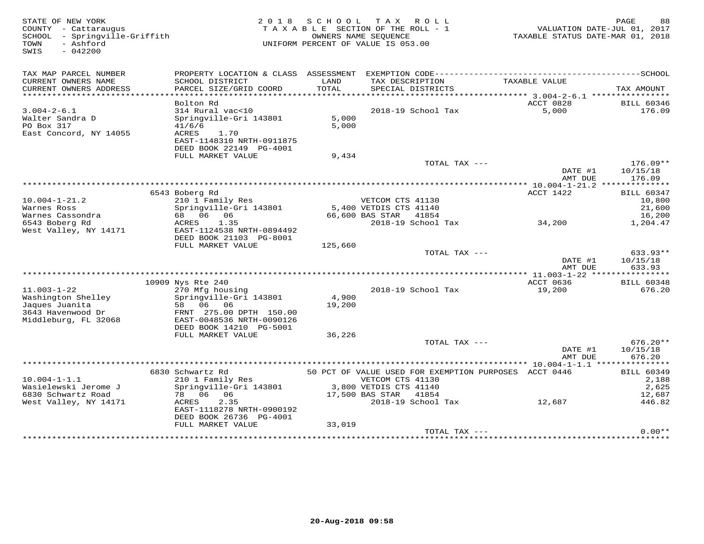| STATE OF NEW YORK<br>COUNTY - Cattaraugus<br>SCHOOL<br>- Springville-Griffith<br>- Ashford<br>TOWN<br>$-042200$<br>SWIS | 2 0 1 8                                   | S C H O O L<br>TAXABLE SECTION OF THE ROLL - 1<br>UNIFORM PERCENT OF VALUE IS 053.00 | T A X<br>OWNERS NAME SEOUENCE        | R O L L       | TAXABLE STATUS DATE-MAR 01, 2018                      | 88<br>PAGE<br>VALUATION DATE-JUL 01, 2017 |
|-------------------------------------------------------------------------------------------------------------------------|-------------------------------------------|--------------------------------------------------------------------------------------|--------------------------------------|---------------|-------------------------------------------------------|-------------------------------------------|
| TAX MAP PARCEL NUMBER                                                                                                   |                                           |                                                                                      |                                      |               |                                                       |                                           |
| CURRENT OWNERS NAME<br>CURRENT OWNERS ADDRESS                                                                           | SCHOOL DISTRICT<br>PARCEL SIZE/GRID COORD | LAND<br>TOTAL                                                                        | TAX DESCRIPTION<br>SPECIAL DISTRICTS |               | TAXABLE VALUE                                         | TAX AMOUNT                                |
| *************************                                                                                               |                                           |                                                                                      |                                      |               |                                                       |                                           |
|                                                                                                                         | Bolton Rd                                 |                                                                                      |                                      |               | ACCT 0828                                             | <b>BILL 60346</b>                         |
| $3.004 - 2 - 6.1$                                                                                                       | 314 Rural vac<10                          |                                                                                      | 2018-19 School Tax                   |               | 5,000                                                 | 176.09                                    |
| Walter Sandra D                                                                                                         | Springville-Gri 143801                    | 5,000                                                                                |                                      |               |                                                       |                                           |
| PO Box 317                                                                                                              | 41/6/6                                    | 5,000                                                                                |                                      |               |                                                       |                                           |
| East Concord, NY 14055                                                                                                  | ACRES<br>1.70                             |                                                                                      |                                      |               |                                                       |                                           |
|                                                                                                                         | EAST-1148310 NRTH-0911875                 |                                                                                      |                                      |               |                                                       |                                           |
|                                                                                                                         | DEED BOOK 22149 PG-4001                   |                                                                                      |                                      |               |                                                       |                                           |
|                                                                                                                         | FULL MARKET VALUE                         | 9,434                                                                                |                                      | TOTAL TAX --- |                                                       | $176.09**$                                |
|                                                                                                                         |                                           |                                                                                      |                                      |               | DATE #1                                               | 10/15/18                                  |
|                                                                                                                         |                                           |                                                                                      |                                      |               | AMT DUE                                               | 176.09                                    |
|                                                                                                                         |                                           |                                                                                      |                                      |               |                                                       |                                           |
|                                                                                                                         | 6543 Boberg Rd                            |                                                                                      |                                      |               | ACCT 1422                                             | <b>BILL 60347</b>                         |
| $10.004 - 1 - 21.2$                                                                                                     | 210 1 Family Res                          |                                                                                      | VETCOM CTS 41130                     |               |                                                       | 10,800                                    |
| Warnes Ross                                                                                                             | Springville-Gri 143801                    |                                                                                      | 5,400 VETDIS CTS 41140               |               |                                                       | 21,600                                    |
| Warnes Cassondra                                                                                                        | 68 06<br>06                               |                                                                                      | 66,600 BAS STAR                      | 41854         |                                                       | 16,200                                    |
| 6543 Boberg Rd                                                                                                          | 1.35<br>ACRES                             |                                                                                      | 2018-19 School Tax                   |               | 34,200                                                | 1,204.47                                  |
| West Valley, NY 14171                                                                                                   | EAST-1124538 NRTH-0894492                 |                                                                                      |                                      |               |                                                       |                                           |
|                                                                                                                         | DEED BOOK 21103 PG-8001                   |                                                                                      |                                      |               |                                                       |                                           |
|                                                                                                                         | FULL MARKET VALUE                         | 125,660                                                                              |                                      |               |                                                       |                                           |
|                                                                                                                         |                                           |                                                                                      |                                      | TOTAL TAX --- | DATE #1                                               | 633.93**                                  |
|                                                                                                                         |                                           |                                                                                      |                                      |               | AMT DUE                                               | 10/15/18<br>633.93                        |
|                                                                                                                         |                                           |                                                                                      |                                      |               |                                                       | ***********                               |
|                                                                                                                         | 10909 Nys Rte 240                         |                                                                                      |                                      |               | ACCT 0636                                             | <b>BILL 60348</b>                         |
| $11.003 - 1 - 22$                                                                                                       | 270 Mfg housing                           |                                                                                      | 2018-19 School Tax                   |               | 19,200                                                | 676.20                                    |
| Washington Shelley                                                                                                      | Springville-Gri 143801                    | 4,900                                                                                |                                      |               |                                                       |                                           |
| Jaques Juanita                                                                                                          | 06<br>58<br>06                            | 19,200                                                                               |                                      |               |                                                       |                                           |
| 3643 Havenwood Dr                                                                                                       | FRNT 275.00 DPTH 150.00                   |                                                                                      |                                      |               |                                                       |                                           |
| Middleburg, FL 32068                                                                                                    | EAST-0048536 NRTH-0090126                 |                                                                                      |                                      |               |                                                       |                                           |
|                                                                                                                         | DEED BOOK 14210 PG-5001                   |                                                                                      |                                      |               |                                                       |                                           |
|                                                                                                                         | FULL MARKET VALUE                         | 36,226                                                                               |                                      |               |                                                       |                                           |
|                                                                                                                         |                                           |                                                                                      |                                      | TOTAL TAX --- |                                                       | $676.20**$                                |
|                                                                                                                         |                                           |                                                                                      |                                      |               | DATE #1<br>AMT DUE                                    | 10/15/18<br>676.20                        |
|                                                                                                                         |                                           |                                                                                      |                                      |               |                                                       |                                           |
|                                                                                                                         | 6830 Schwartz Rd                          |                                                                                      |                                      |               | 50 PCT OF VALUE USED FOR EXEMPTION PURPOSES ACCT 0446 | <b>BILL 60349</b>                         |
| $10.004 - 1 - 1.1$                                                                                                      | 210 1 Family Res                          |                                                                                      | VETCOM CTS 41130                     |               |                                                       | 2,188                                     |
| Wasielewski Jerome J                                                                                                    | Springville-Gri 143801                    |                                                                                      | 3,800 VETDIS CTS 41140               |               |                                                       | 2,625                                     |
| 6830 Schwartz Road                                                                                                      | 78 06<br>06                               |                                                                                      | 17,500 BAS STAR                      | 41854         |                                                       | 12,687                                    |
| West Valley, NY 14171                                                                                                   | ACRES<br>2.35                             |                                                                                      | 2018-19 School Tax                   |               | 12,687                                                | 446.82                                    |
|                                                                                                                         | EAST-1118278 NRTH-0900192                 |                                                                                      |                                      |               |                                                       |                                           |
|                                                                                                                         | DEED BOOK 26736 PG-4001                   |                                                                                      |                                      |               |                                                       |                                           |
|                                                                                                                         | FULL MARKET VALUE                         | 33,019                                                                               |                                      |               |                                                       |                                           |
|                                                                                                                         |                                           |                                                                                      |                                      | TOTAL TAX --- | *************************************                 | $0.00**$                                  |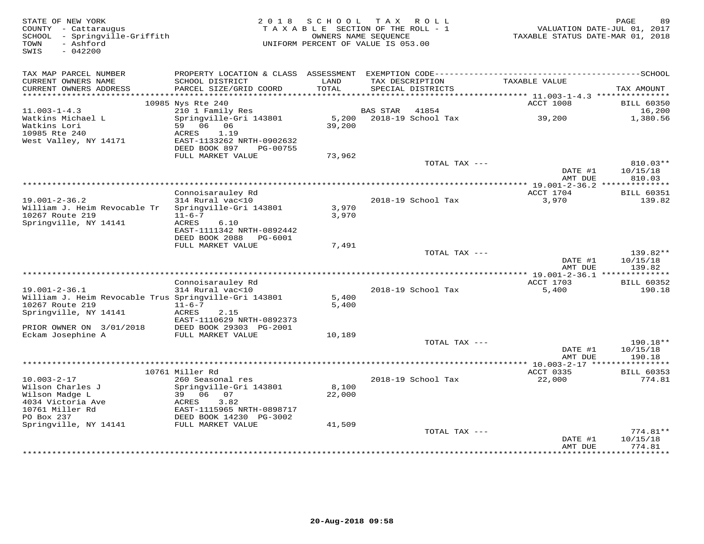| STATE OF NEW YORK<br>COUNTY - Cattaraugus<br>SCHOOL - Springville-Griffith<br>- Ashford<br>TOWN<br>SWIS<br>$-042200$ | 2 0 1 8                                                | SCHOOL<br>TAXABLE SECTION OF THE ROLL - 1<br>OWNERS NAME SEOUENCE<br>UNIFORM PERCENT OF VALUE IS 053.00 | T A X                | ROLL                                 | VALUATION DATE-JUL 01, 2017<br>TAXABLE STATUS DATE-MAR 01, 2018 | PAGE       | 89                          |
|----------------------------------------------------------------------------------------------------------------------|--------------------------------------------------------|---------------------------------------------------------------------------------------------------------|----------------------|--------------------------------------|-----------------------------------------------------------------|------------|-----------------------------|
| TAX MAP PARCEL NUMBER                                                                                                | PROPERTY LOCATION & CLASS                              |                                                                                                         |                      |                                      |                                                                 |            |                             |
| CURRENT OWNERS NAME<br>CURRENT OWNERS ADDRESS<br>**********************                                              | SCHOOL DISTRICT<br>PARCEL SIZE/GRID COORD              | LAND<br>TOTAL                                                                                           |                      | TAX DESCRIPTION<br>SPECIAL DISTRICTS | TAXABLE VALUE                                                   | TAX AMOUNT |                             |
|                                                                                                                      | 10985 Nys Rte 240                                      |                                                                                                         |                      |                                      | ACCT 1008                                                       |            | <b>BILL 60350</b>           |
| $11.003 - 1 - 4.3$                                                                                                   | 210 1 Family Res                                       |                                                                                                         | <b>BAS STAR</b>      | 41854                                |                                                                 |            | 16,200                      |
| Watkins Michael L                                                                                                    | Springville-Gri 143801                                 | 5,200                                                                                                   |                      | 2018-19 School Tax                   | 39,200                                                          |            | 1,380.56                    |
| Watkins Lori                                                                                                         | 59 06<br>06                                            | 39,200                                                                                                  |                      |                                      |                                                                 |            |                             |
| 10985 Rte 240                                                                                                        | <b>ACRES</b><br>1.19                                   |                                                                                                         |                      |                                      |                                                                 |            |                             |
| West Valley, NY 14171                                                                                                | EAST-1133262 NRTH-0902632<br>DEED BOOK 897<br>PG-00755 |                                                                                                         |                      |                                      |                                                                 |            |                             |
|                                                                                                                      | FULL MARKET VALUE                                      | 73,962                                                                                                  |                      |                                      |                                                                 |            |                             |
|                                                                                                                      |                                                        |                                                                                                         |                      | TOTAL TAX ---                        |                                                                 |            | 810.03**                    |
|                                                                                                                      |                                                        |                                                                                                         |                      |                                      | DATE #1                                                         | 10/15/18   |                             |
|                                                                                                                      |                                                        |                                                                                                         |                      |                                      | AMT DUE                                                         |            | 810.03                      |
|                                                                                                                      |                                                        |                                                                                                         | ******************** |                                      | $* 19.001 - 2 - 36.2$ ***                                       |            |                             |
|                                                                                                                      | Connoisarauley Rd                                      |                                                                                                         |                      |                                      | ACCT 1704                                                       |            | <b>BILL 60351</b>           |
| $19.001 - 2 - 36.2$                                                                                                  | 314 Rural vac<10                                       |                                                                                                         |                      | 2018-19 School Tax                   | 3,970                                                           |            | 139.82                      |
| William J. Heim Revocable Tr                                                                                         | Springville-Gri 143801                                 | 3,970                                                                                                   |                      |                                      |                                                                 |            |                             |
| 10267 Route 219<br>Springville, NY 14141                                                                             | $11 - 6 - 7$<br>ACRES<br>6.10                          | 3,970                                                                                                   |                      |                                      |                                                                 |            |                             |
|                                                                                                                      | EAST-1111342 NRTH-0892442                              |                                                                                                         |                      |                                      |                                                                 |            |                             |
|                                                                                                                      | DEED BOOK 2088<br>PG-6001                              |                                                                                                         |                      |                                      |                                                                 |            |                             |
|                                                                                                                      | FULL MARKET VALUE                                      | 7,491                                                                                                   |                      |                                      |                                                                 |            |                             |
|                                                                                                                      |                                                        |                                                                                                         |                      | TOTAL TAX ---                        |                                                                 |            | 139.82**                    |
|                                                                                                                      |                                                        |                                                                                                         |                      |                                      | DATE #1                                                         | 10/15/18   |                             |
| ******************************                                                                                       |                                                        |                                                                                                         |                      |                                      | AMT DUE                                                         |            | 139.82                      |
|                                                                                                                      |                                                        |                                                                                                         |                      |                                      |                                                                 |            |                             |
| $19.001 - 2 - 36.1$                                                                                                  | Connoisarauley Rd<br>314 Rural vac<10                  |                                                                                                         |                      | 2018-19 School Tax                   | ACCT 1703<br>5,400                                              |            | <b>BILL 60352</b><br>190.18 |
| William J. Heim Revocable Trus Springville-Gri 143801                                                                |                                                        | 5,400                                                                                                   |                      |                                      |                                                                 |            |                             |
| 10267 Route 219                                                                                                      | $11 - 6 - 7$                                           | 5,400                                                                                                   |                      |                                      |                                                                 |            |                             |
| Springville, NY 14141                                                                                                | ACRES<br>2.15                                          |                                                                                                         |                      |                                      |                                                                 |            |                             |
|                                                                                                                      | EAST-1110629 NRTH-0892373                              |                                                                                                         |                      |                                      |                                                                 |            |                             |
| PRIOR OWNER ON 3/01/2018                                                                                             | DEED BOOK 29303 PG-2001                                |                                                                                                         |                      |                                      |                                                                 |            |                             |
| Eckam Josephine A                                                                                                    | FULL MARKET VALUE                                      | 10,189                                                                                                  |                      |                                      |                                                                 |            |                             |
|                                                                                                                      |                                                        |                                                                                                         |                      | TOTAL TAX ---                        |                                                                 |            | 190.18**                    |
|                                                                                                                      |                                                        |                                                                                                         |                      |                                      | DATE #1<br>AMT DUE                                              | 10/15/18   | 190.18                      |
|                                                                                                                      |                                                        |                                                                                                         |                      |                                      |                                                                 |            |                             |
|                                                                                                                      | 10761 Miller Rd                                        |                                                                                                         |                      |                                      | ACCT 0335                                                       |            | BILL 60353                  |
| $10.003 - 2 - 17$                                                                                                    | 260 Seasonal res                                       |                                                                                                         |                      | 2018-19 School Tax                   | 22,000                                                          |            | 774.81                      |
| Wilson Charles J                                                                                                     | Springville-Gri 143801                                 | 8,100                                                                                                   |                      |                                      |                                                                 |            |                             |
| Wilson Madge L                                                                                                       | 39<br>06<br>07                                         | 22,000                                                                                                  |                      |                                      |                                                                 |            |                             |
| 4034 Victoria Ave                                                                                                    | 3.82<br>ACRES                                          |                                                                                                         |                      |                                      |                                                                 |            |                             |
| 10761 Miller Rd                                                                                                      | EAST-1115965 NRTH-0898717                              |                                                                                                         |                      |                                      |                                                                 |            |                             |
| PO Box 237<br>Springville, NY 14141                                                                                  | DEED BOOK 14230 PG-3002<br>FULL MARKET VALUE           | 41,509                                                                                                  |                      |                                      |                                                                 |            |                             |
|                                                                                                                      |                                                        |                                                                                                         |                      | TOTAL TAX ---                        |                                                                 |            | $774.81**$                  |
|                                                                                                                      |                                                        |                                                                                                         |                      |                                      | DATE #1                                                         | 10/15/18   |                             |
|                                                                                                                      |                                                        |                                                                                                         |                      |                                      | AMT DUE                                                         |            | 774.81                      |
|                                                                                                                      |                                                        |                                                                                                         |                      |                                      |                                                                 |            | *********                   |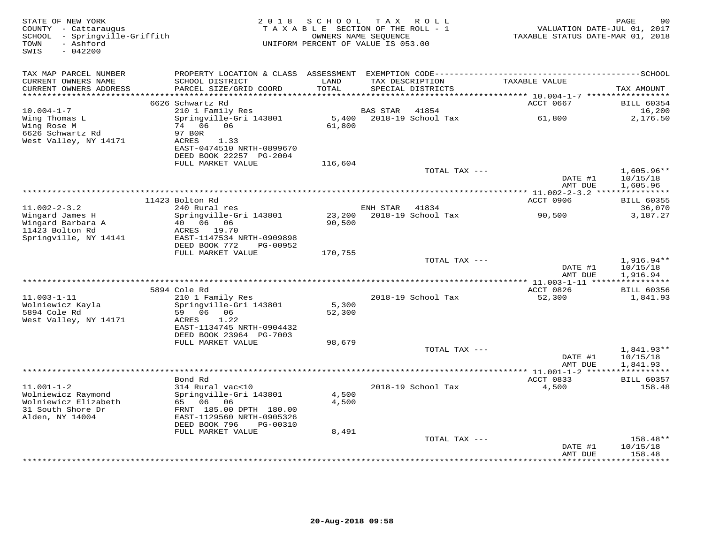| STATE OF NEW YORK<br>COUNTY - Cattaraugus<br>SCHOOL - Springville-Griffith<br>- Ashford<br>TOWN<br>$-042200$<br>SWIS |                                                                                                                                                                  | 2018 SCHOOL<br>TAXABLE SECTION OF THE ROLL - 1<br>OWNERS NAME SEQUENCE<br>UNIFORM PERCENT OF VALUE IS 053.00 |          | TAX ROLL                             | TAXABLE STATUS DATE-MAR 01, 2018                                       | 90<br>PAGE<br>VALUATION DATE-JUL 01, 2017 |
|----------------------------------------------------------------------------------------------------------------------|------------------------------------------------------------------------------------------------------------------------------------------------------------------|--------------------------------------------------------------------------------------------------------------|----------|--------------------------------------|------------------------------------------------------------------------|-------------------------------------------|
| TAX MAP PARCEL NUMBER<br>CURRENT OWNERS NAME<br>CURRENT OWNERS ADDRESS                                               | SCHOOL DISTRICT<br>PARCEL SIZE/GRID COORD                                                                                                                        | LAND<br>TOTAL                                                                                                |          | TAX DESCRIPTION<br>SPECIAL DISTRICTS | TAXABLE VALUE                                                          | TAX AMOUNT                                |
|                                                                                                                      | 6626 Schwartz Rd                                                                                                                                                 | *********                                                                                                    |          |                                      | *************************** 10.004-1-7 ******************<br>ACCT 0667 | <b>BILL 60354</b>                         |
| $10.004 - 1 - 7$<br>Wing Thomas L<br>Wing Rose M<br>6626 Schwartz Rd<br>West Valley, NY 14171                        | 210 1 Family Res<br>Springville-Gri 143801<br>74 06 06<br>97 BOR<br>ACRES<br>1.33                                                                                | 5,400<br>61,800                                                                                              | BAS STAR | 41854<br>2018-19 School Tax          | 61,800                                                                 | 16,200<br>2,176.50                        |
|                                                                                                                      | EAST-0474510 NRTH-0899670<br>DEED BOOK 22257 PG-2004<br>FULL MARKET VALUE                                                                                        | 116,604                                                                                                      |          |                                      |                                                                        |                                           |
|                                                                                                                      |                                                                                                                                                                  |                                                                                                              |          | TOTAL TAX ---                        | DATE #1<br>AMT DUE                                                     | $1,605.96**$<br>10/15/18<br>1,605.96      |
|                                                                                                                      | 11423 Bolton Rd                                                                                                                                                  |                                                                                                              |          |                                      | ACCT 0906                                                              | <b>BILL 60355</b>                         |
| $11.002 - 2 - 3.2$                                                                                                   | 240 Rural res                                                                                                                                                    |                                                                                                              | ENH STAR | 41834                                |                                                                        | 36,070                                    |
| Wingard James H<br>Wingard Barbara A<br>11423 Bolton Rd<br>Springville, NY 14141                                     | Springville-Gri 143801<br>40  06  06<br>ACRES 19.70<br>EAST-1147534 NRTH-0909898                                                                                 | 23,200<br>90,500                                                                                             |          | 2018-19 School Tax                   | 90,500                                                                 | 3,187.27                                  |
|                                                                                                                      | DEED BOOK 772<br>PG-00952<br>FULL MARKET VALUE                                                                                                                   | 170,755                                                                                                      |          |                                      |                                                                        |                                           |
|                                                                                                                      |                                                                                                                                                                  |                                                                                                              |          | TOTAL TAX ---                        | DATE #1<br>AMT DUE                                                     | $1,916.94**$<br>10/15/18<br>1,916.94      |
|                                                                                                                      |                                                                                                                                                                  |                                                                                                              |          |                                      |                                                                        |                                           |
| $11.003 - 1 - 11$<br>Wolniewicz Kayla<br>5894 Cole Rd<br>West Valley, NY 14171                                       | 5894 Cole Rd<br>210 1 Family Res<br>Springville-Gri 143801<br>59 06 06<br>ACRES<br>1.22<br>EAST-1134745 NRTH-0904432<br>DEED BOOK 23964 PG-7003                  | 5,300<br>52,300                                                                                              |          | 2018-19 School Tax                   | ACCT 0826<br>52,300                                                    | <b>BILL 60356</b><br>1,841.93             |
|                                                                                                                      | FULL MARKET VALUE                                                                                                                                                | 98,679                                                                                                       |          |                                      |                                                                        |                                           |
|                                                                                                                      |                                                                                                                                                                  |                                                                                                              |          | TOTAL TAX ---                        | DATE #1<br>AMT DUE                                                     | $1,841.93**$<br>10/15/18<br>1,841.93      |
|                                                                                                                      | Bond Rd                                                                                                                                                          |                                                                                                              |          |                                      | ******** 11.001-1-2 ***<br>ACCT 0833                                   | <b>BILL 60357</b>                         |
| $11.001 - 1 - 2$<br>Wolniewicz Raymond<br>Wolniewicz Elizabeth<br>31 South Shore Dr<br>Alden, NY 14004               | 314 Rural vac<10<br>Springville-Gri 143801<br>65 06 06<br>FRNT 185.00 DPTH 180.00<br>EAST-1129560 NRTH-0905326<br>DEED BOOK 796<br>PG-00310<br>FULL MARKET VALUE | 4,500<br>4,500<br>8,491                                                                                      |          | 2018-19 School Tax                   | 4,500                                                                  | 158.48                                    |
|                                                                                                                      |                                                                                                                                                                  |                                                                                                              |          | TOTAL TAX ---                        |                                                                        | 158.48**                                  |
|                                                                                                                      |                                                                                                                                                                  |                                                                                                              |          |                                      | DATE #1<br>AMT DUE<br>************                                     | 10/15/18<br>158.48<br>********            |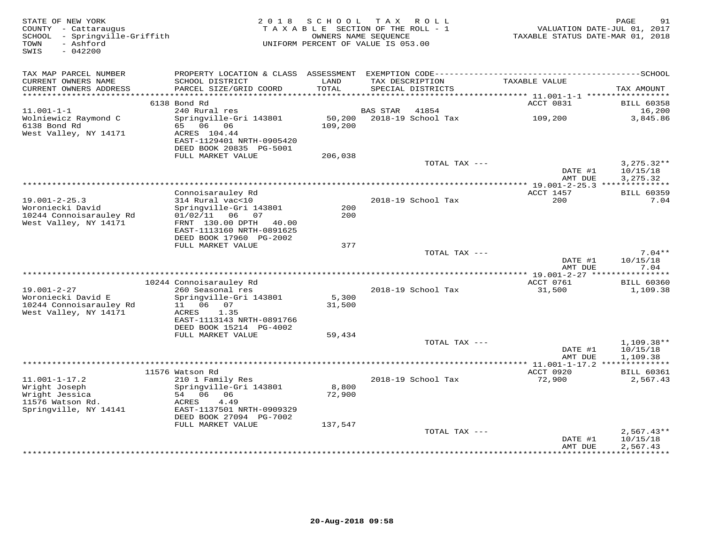| TAX MAP PARCEL NUMBER<br>CURRENT OWNERS NAME<br>SCHOOL DISTRICT<br>LAND<br>TAX DESCRIPTION<br>TAXABLE VALUE<br>CURRENT OWNERS ADDRESS<br>PARCEL SIZE/GRID COORD<br>TOTAL<br>SPECIAL DISTRICTS<br>TAX AMOUNT<br>**********************<br>6138 Bond Rd<br>ACCT 0831<br><b>BILL 60358</b><br>240 Rural res<br>16,200<br>$11.001 - 1 - 1$<br><b>BAS STAR</b><br>41854<br>Wolniewicz Raymond C<br>Springville-Gri 143801<br>50,200<br>2018-19 School Tax<br>109,200<br>3,845.86<br>6138 Bond Rd<br>65<br>06<br>06<br>109,200<br>West Valley, NY 14171<br>ACRES 104.44<br>EAST-1129401 NRTH-0905420<br>DEED BOOK 20835 PG-5001<br>FULL MARKET VALUE<br>206,038<br>TOTAL TAX ---<br>$3,275.32**$<br>DATE #1<br>10/15/18<br>AMT DUE<br>3,275.32<br>************************<br>* 19.001-2-25.3 ***************<br>Connoisarauley Rd<br>ACCT 1457<br><b>BILL 60359</b><br>$19.001 - 2 - 25.3$<br>314 Rural vac<10<br>2018-19 School Tax<br>200<br>7.04<br>Woroniecki David<br>Springville-Gri 143801<br>200<br>10244 Connoisarauley Rd<br>$01/02/11$ 06<br>200<br>07<br>West Valley, NY 14171<br>FRNT 130.00 DPTH<br>40.00<br>EAST-1113160 NRTH-0891625<br>DEED BOOK 17960 PG-2002<br>FULL MARKET VALUE<br>377<br>TOTAL TAX ---<br>$7.04**$<br>DATE #1<br>10/15/18<br>AMT DUE<br>7.04<br>*** 19.001-2-27 ****<br>***********<br>10244 Connoisarauley Rd<br>ACCT 0761<br><b>BILL 60360</b><br>$19.001 - 2 - 27$<br>260 Seasonal res<br>2018-19 School Tax<br>31,500<br>1,109.38<br>Woroniecki David E<br>Springville-Gri 143801<br>5,300<br>10244 Connoisarauley Rd<br>06<br>11<br>07<br>31,500<br>West Valley, NY 14171<br>1.35<br>ACRES<br>EAST-1113143 NRTH-0891766<br>DEED BOOK 15214 PG-4002<br>FULL MARKET VALUE<br>59,434<br>1,109.38**<br>TOTAL TAX ---<br>DATE #1<br>10/15/18<br>AMT DUE<br>1,109.38<br>11576 Watson Rd<br>ACCT 0920<br><b>BILL 60361</b><br>$11.001 - 1 - 17.2$<br>210 1 Family Res<br>2018-19 School Tax<br>72,900<br>2,567.43<br>Wright Joseph<br>Springville-Gri 143801<br>8,800<br>Wright Jessica<br>54<br>06<br>06<br>72,900<br>11576 Watson Rd.<br><b>ACRES</b><br>4.49<br>Springville, NY 14141<br>EAST-1137501 NRTH-0909329<br>DEED BOOK 27094 PG-7002<br>FULL MARKET VALUE<br>137,547<br>TOTAL TAX ---<br>$2,567.43**$<br>DATE #1<br>10/15/18<br>2,567.43<br>AMT DUE<br>* * * * * * * * * * * | STATE OF NEW YORK<br>COUNTY - Cattaraugus<br>- Springville-Griffith<br>SCHOOL<br>- Ashford<br>TOWN<br>SWIS<br>$-042200$ | 2 0 1 8 | SCHOOL<br>TAXABLE SECTION OF THE ROLL - 1<br>OWNERS NAME SEOUENCE<br>UNIFORM PERCENT OF VALUE IS 053.00 | T A X | R O L L | TAXABLE STATUS DATE-MAR 01, 2018 | 91<br>PAGE<br>VALUATION DATE-JUL 01, 2017 |
|-------------------------------------------------------------------------------------------------------------------------------------------------------------------------------------------------------------------------------------------------------------------------------------------------------------------------------------------------------------------------------------------------------------------------------------------------------------------------------------------------------------------------------------------------------------------------------------------------------------------------------------------------------------------------------------------------------------------------------------------------------------------------------------------------------------------------------------------------------------------------------------------------------------------------------------------------------------------------------------------------------------------------------------------------------------------------------------------------------------------------------------------------------------------------------------------------------------------------------------------------------------------------------------------------------------------------------------------------------------------------------------------------------------------------------------------------------------------------------------------------------------------------------------------------------------------------------------------------------------------------------------------------------------------------------------------------------------------------------------------------------------------------------------------------------------------------------------------------------------------------------------------------------------------------------------------------------------------------------------------------------------------------------------------------------------------------------------------------------------------------------------------------------------------------------------------------------------------------------------------------------------------------------------------------------------------------|-------------------------------------------------------------------------------------------------------------------------|---------|---------------------------------------------------------------------------------------------------------|-------|---------|----------------------------------|-------------------------------------------|
|                                                                                                                                                                                                                                                                                                                                                                                                                                                                                                                                                                                                                                                                                                                                                                                                                                                                                                                                                                                                                                                                                                                                                                                                                                                                                                                                                                                                                                                                                                                                                                                                                                                                                                                                                                                                                                                                                                                                                                                                                                                                                                                                                                                                                                                                                                                         |                                                                                                                         |         |                                                                                                         |       |         |                                  |                                           |
|                                                                                                                                                                                                                                                                                                                                                                                                                                                                                                                                                                                                                                                                                                                                                                                                                                                                                                                                                                                                                                                                                                                                                                                                                                                                                                                                                                                                                                                                                                                                                                                                                                                                                                                                                                                                                                                                                                                                                                                                                                                                                                                                                                                                                                                                                                                         |                                                                                                                         |         |                                                                                                         |       |         |                                  |                                           |
|                                                                                                                                                                                                                                                                                                                                                                                                                                                                                                                                                                                                                                                                                                                                                                                                                                                                                                                                                                                                                                                                                                                                                                                                                                                                                                                                                                                                                                                                                                                                                                                                                                                                                                                                                                                                                                                                                                                                                                                                                                                                                                                                                                                                                                                                                                                         |                                                                                                                         |         |                                                                                                         |       |         |                                  |                                           |
|                                                                                                                                                                                                                                                                                                                                                                                                                                                                                                                                                                                                                                                                                                                                                                                                                                                                                                                                                                                                                                                                                                                                                                                                                                                                                                                                                                                                                                                                                                                                                                                                                                                                                                                                                                                                                                                                                                                                                                                                                                                                                                                                                                                                                                                                                                                         |                                                                                                                         |         |                                                                                                         |       |         |                                  |                                           |
|                                                                                                                                                                                                                                                                                                                                                                                                                                                                                                                                                                                                                                                                                                                                                                                                                                                                                                                                                                                                                                                                                                                                                                                                                                                                                                                                                                                                                                                                                                                                                                                                                                                                                                                                                                                                                                                                                                                                                                                                                                                                                                                                                                                                                                                                                                                         |                                                                                                                         |         |                                                                                                         |       |         |                                  |                                           |
|                                                                                                                                                                                                                                                                                                                                                                                                                                                                                                                                                                                                                                                                                                                                                                                                                                                                                                                                                                                                                                                                                                                                                                                                                                                                                                                                                                                                                                                                                                                                                                                                                                                                                                                                                                                                                                                                                                                                                                                                                                                                                                                                                                                                                                                                                                                         |                                                                                                                         |         |                                                                                                         |       |         |                                  |                                           |
|                                                                                                                                                                                                                                                                                                                                                                                                                                                                                                                                                                                                                                                                                                                                                                                                                                                                                                                                                                                                                                                                                                                                                                                                                                                                                                                                                                                                                                                                                                                                                                                                                                                                                                                                                                                                                                                                                                                                                                                                                                                                                                                                                                                                                                                                                                                         |                                                                                                                         |         |                                                                                                         |       |         |                                  |                                           |
|                                                                                                                                                                                                                                                                                                                                                                                                                                                                                                                                                                                                                                                                                                                                                                                                                                                                                                                                                                                                                                                                                                                                                                                                                                                                                                                                                                                                                                                                                                                                                                                                                                                                                                                                                                                                                                                                                                                                                                                                                                                                                                                                                                                                                                                                                                                         |                                                                                                                         |         |                                                                                                         |       |         |                                  |                                           |
|                                                                                                                                                                                                                                                                                                                                                                                                                                                                                                                                                                                                                                                                                                                                                                                                                                                                                                                                                                                                                                                                                                                                                                                                                                                                                                                                                                                                                                                                                                                                                                                                                                                                                                                                                                                                                                                                                                                                                                                                                                                                                                                                                                                                                                                                                                                         |                                                                                                                         |         |                                                                                                         |       |         |                                  |                                           |
|                                                                                                                                                                                                                                                                                                                                                                                                                                                                                                                                                                                                                                                                                                                                                                                                                                                                                                                                                                                                                                                                                                                                                                                                                                                                                                                                                                                                                                                                                                                                                                                                                                                                                                                                                                                                                                                                                                                                                                                                                                                                                                                                                                                                                                                                                                                         |                                                                                                                         |         |                                                                                                         |       |         |                                  |                                           |
|                                                                                                                                                                                                                                                                                                                                                                                                                                                                                                                                                                                                                                                                                                                                                                                                                                                                                                                                                                                                                                                                                                                                                                                                                                                                                                                                                                                                                                                                                                                                                                                                                                                                                                                                                                                                                                                                                                                                                                                                                                                                                                                                                                                                                                                                                                                         |                                                                                                                         |         |                                                                                                         |       |         |                                  |                                           |
|                                                                                                                                                                                                                                                                                                                                                                                                                                                                                                                                                                                                                                                                                                                                                                                                                                                                                                                                                                                                                                                                                                                                                                                                                                                                                                                                                                                                                                                                                                                                                                                                                                                                                                                                                                                                                                                                                                                                                                                                                                                                                                                                                                                                                                                                                                                         |                                                                                                                         |         |                                                                                                         |       |         |                                  |                                           |
|                                                                                                                                                                                                                                                                                                                                                                                                                                                                                                                                                                                                                                                                                                                                                                                                                                                                                                                                                                                                                                                                                                                                                                                                                                                                                                                                                                                                                                                                                                                                                                                                                                                                                                                                                                                                                                                                                                                                                                                                                                                                                                                                                                                                                                                                                                                         |                                                                                                                         |         |                                                                                                         |       |         |                                  |                                           |
|                                                                                                                                                                                                                                                                                                                                                                                                                                                                                                                                                                                                                                                                                                                                                                                                                                                                                                                                                                                                                                                                                                                                                                                                                                                                                                                                                                                                                                                                                                                                                                                                                                                                                                                                                                                                                                                                                                                                                                                                                                                                                                                                                                                                                                                                                                                         |                                                                                                                         |         |                                                                                                         |       |         |                                  |                                           |
|                                                                                                                                                                                                                                                                                                                                                                                                                                                                                                                                                                                                                                                                                                                                                                                                                                                                                                                                                                                                                                                                                                                                                                                                                                                                                                                                                                                                                                                                                                                                                                                                                                                                                                                                                                                                                                                                                                                                                                                                                                                                                                                                                                                                                                                                                                                         |                                                                                                                         |         |                                                                                                         |       |         |                                  |                                           |
|                                                                                                                                                                                                                                                                                                                                                                                                                                                                                                                                                                                                                                                                                                                                                                                                                                                                                                                                                                                                                                                                                                                                                                                                                                                                                                                                                                                                                                                                                                                                                                                                                                                                                                                                                                                                                                                                                                                                                                                                                                                                                                                                                                                                                                                                                                                         |                                                                                                                         |         |                                                                                                         |       |         |                                  |                                           |
|                                                                                                                                                                                                                                                                                                                                                                                                                                                                                                                                                                                                                                                                                                                                                                                                                                                                                                                                                                                                                                                                                                                                                                                                                                                                                                                                                                                                                                                                                                                                                                                                                                                                                                                                                                                                                                                                                                                                                                                                                                                                                                                                                                                                                                                                                                                         |                                                                                                                         |         |                                                                                                         |       |         |                                  |                                           |
|                                                                                                                                                                                                                                                                                                                                                                                                                                                                                                                                                                                                                                                                                                                                                                                                                                                                                                                                                                                                                                                                                                                                                                                                                                                                                                                                                                                                                                                                                                                                                                                                                                                                                                                                                                                                                                                                                                                                                                                                                                                                                                                                                                                                                                                                                                                         |                                                                                                                         |         |                                                                                                         |       |         |                                  |                                           |
|                                                                                                                                                                                                                                                                                                                                                                                                                                                                                                                                                                                                                                                                                                                                                                                                                                                                                                                                                                                                                                                                                                                                                                                                                                                                                                                                                                                                                                                                                                                                                                                                                                                                                                                                                                                                                                                                                                                                                                                                                                                                                                                                                                                                                                                                                                                         |                                                                                                                         |         |                                                                                                         |       |         |                                  |                                           |
|                                                                                                                                                                                                                                                                                                                                                                                                                                                                                                                                                                                                                                                                                                                                                                                                                                                                                                                                                                                                                                                                                                                                                                                                                                                                                                                                                                                                                                                                                                                                                                                                                                                                                                                                                                                                                                                                                                                                                                                                                                                                                                                                                                                                                                                                                                                         |                                                                                                                         |         |                                                                                                         |       |         |                                  |                                           |
|                                                                                                                                                                                                                                                                                                                                                                                                                                                                                                                                                                                                                                                                                                                                                                                                                                                                                                                                                                                                                                                                                                                                                                                                                                                                                                                                                                                                                                                                                                                                                                                                                                                                                                                                                                                                                                                                                                                                                                                                                                                                                                                                                                                                                                                                                                                         |                                                                                                                         |         |                                                                                                         |       |         |                                  |                                           |
|                                                                                                                                                                                                                                                                                                                                                                                                                                                                                                                                                                                                                                                                                                                                                                                                                                                                                                                                                                                                                                                                                                                                                                                                                                                                                                                                                                                                                                                                                                                                                                                                                                                                                                                                                                                                                                                                                                                                                                                                                                                                                                                                                                                                                                                                                                                         |                                                                                                                         |         |                                                                                                         |       |         |                                  |                                           |
|                                                                                                                                                                                                                                                                                                                                                                                                                                                                                                                                                                                                                                                                                                                                                                                                                                                                                                                                                                                                                                                                                                                                                                                                                                                                                                                                                                                                                                                                                                                                                                                                                                                                                                                                                                                                                                                                                                                                                                                                                                                                                                                                                                                                                                                                                                                         |                                                                                                                         |         |                                                                                                         |       |         |                                  |                                           |
|                                                                                                                                                                                                                                                                                                                                                                                                                                                                                                                                                                                                                                                                                                                                                                                                                                                                                                                                                                                                                                                                                                                                                                                                                                                                                                                                                                                                                                                                                                                                                                                                                                                                                                                                                                                                                                                                                                                                                                                                                                                                                                                                                                                                                                                                                                                         |                                                                                                                         |         |                                                                                                         |       |         |                                  |                                           |
|                                                                                                                                                                                                                                                                                                                                                                                                                                                                                                                                                                                                                                                                                                                                                                                                                                                                                                                                                                                                                                                                                                                                                                                                                                                                                                                                                                                                                                                                                                                                                                                                                                                                                                                                                                                                                                                                                                                                                                                                                                                                                                                                                                                                                                                                                                                         |                                                                                                                         |         |                                                                                                         |       |         |                                  |                                           |
|                                                                                                                                                                                                                                                                                                                                                                                                                                                                                                                                                                                                                                                                                                                                                                                                                                                                                                                                                                                                                                                                                                                                                                                                                                                                                                                                                                                                                                                                                                                                                                                                                                                                                                                                                                                                                                                                                                                                                                                                                                                                                                                                                                                                                                                                                                                         |                                                                                                                         |         |                                                                                                         |       |         |                                  |                                           |
|                                                                                                                                                                                                                                                                                                                                                                                                                                                                                                                                                                                                                                                                                                                                                                                                                                                                                                                                                                                                                                                                                                                                                                                                                                                                                                                                                                                                                                                                                                                                                                                                                                                                                                                                                                                                                                                                                                                                                                                                                                                                                                                                                                                                                                                                                                                         |                                                                                                                         |         |                                                                                                         |       |         |                                  |                                           |
|                                                                                                                                                                                                                                                                                                                                                                                                                                                                                                                                                                                                                                                                                                                                                                                                                                                                                                                                                                                                                                                                                                                                                                                                                                                                                                                                                                                                                                                                                                                                                                                                                                                                                                                                                                                                                                                                                                                                                                                                                                                                                                                                                                                                                                                                                                                         |                                                                                                                         |         |                                                                                                         |       |         |                                  |                                           |
|                                                                                                                                                                                                                                                                                                                                                                                                                                                                                                                                                                                                                                                                                                                                                                                                                                                                                                                                                                                                                                                                                                                                                                                                                                                                                                                                                                                                                                                                                                                                                                                                                                                                                                                                                                                                                                                                                                                                                                                                                                                                                                                                                                                                                                                                                                                         |                                                                                                                         |         |                                                                                                         |       |         |                                  |                                           |
|                                                                                                                                                                                                                                                                                                                                                                                                                                                                                                                                                                                                                                                                                                                                                                                                                                                                                                                                                                                                                                                                                                                                                                                                                                                                                                                                                                                                                                                                                                                                                                                                                                                                                                                                                                                                                                                                                                                                                                                                                                                                                                                                                                                                                                                                                                                         |                                                                                                                         |         |                                                                                                         |       |         |                                  |                                           |
|                                                                                                                                                                                                                                                                                                                                                                                                                                                                                                                                                                                                                                                                                                                                                                                                                                                                                                                                                                                                                                                                                                                                                                                                                                                                                                                                                                                                                                                                                                                                                                                                                                                                                                                                                                                                                                                                                                                                                                                                                                                                                                                                                                                                                                                                                                                         |                                                                                                                         |         |                                                                                                         |       |         |                                  |                                           |
|                                                                                                                                                                                                                                                                                                                                                                                                                                                                                                                                                                                                                                                                                                                                                                                                                                                                                                                                                                                                                                                                                                                                                                                                                                                                                                                                                                                                                                                                                                                                                                                                                                                                                                                                                                                                                                                                                                                                                                                                                                                                                                                                                                                                                                                                                                                         |                                                                                                                         |         |                                                                                                         |       |         |                                  |                                           |
|                                                                                                                                                                                                                                                                                                                                                                                                                                                                                                                                                                                                                                                                                                                                                                                                                                                                                                                                                                                                                                                                                                                                                                                                                                                                                                                                                                                                                                                                                                                                                                                                                                                                                                                                                                                                                                                                                                                                                                                                                                                                                                                                                                                                                                                                                                                         |                                                                                                                         |         |                                                                                                         |       |         |                                  |                                           |
|                                                                                                                                                                                                                                                                                                                                                                                                                                                                                                                                                                                                                                                                                                                                                                                                                                                                                                                                                                                                                                                                                                                                                                                                                                                                                                                                                                                                                                                                                                                                                                                                                                                                                                                                                                                                                                                                                                                                                                                                                                                                                                                                                                                                                                                                                                                         |                                                                                                                         |         |                                                                                                         |       |         |                                  |                                           |
|                                                                                                                                                                                                                                                                                                                                                                                                                                                                                                                                                                                                                                                                                                                                                                                                                                                                                                                                                                                                                                                                                                                                                                                                                                                                                                                                                                                                                                                                                                                                                                                                                                                                                                                                                                                                                                                                                                                                                                                                                                                                                                                                                                                                                                                                                                                         |                                                                                                                         |         |                                                                                                         |       |         |                                  |                                           |
|                                                                                                                                                                                                                                                                                                                                                                                                                                                                                                                                                                                                                                                                                                                                                                                                                                                                                                                                                                                                                                                                                                                                                                                                                                                                                                                                                                                                                                                                                                                                                                                                                                                                                                                                                                                                                                                                                                                                                                                                                                                                                                                                                                                                                                                                                                                         |                                                                                                                         |         |                                                                                                         |       |         |                                  |                                           |
|                                                                                                                                                                                                                                                                                                                                                                                                                                                                                                                                                                                                                                                                                                                                                                                                                                                                                                                                                                                                                                                                                                                                                                                                                                                                                                                                                                                                                                                                                                                                                                                                                                                                                                                                                                                                                                                                                                                                                                                                                                                                                                                                                                                                                                                                                                                         |                                                                                                                         |         |                                                                                                         |       |         |                                  |                                           |
|                                                                                                                                                                                                                                                                                                                                                                                                                                                                                                                                                                                                                                                                                                                                                                                                                                                                                                                                                                                                                                                                                                                                                                                                                                                                                                                                                                                                                                                                                                                                                                                                                                                                                                                                                                                                                                                                                                                                                                                                                                                                                                                                                                                                                                                                                                                         |                                                                                                                         |         |                                                                                                         |       |         |                                  |                                           |
|                                                                                                                                                                                                                                                                                                                                                                                                                                                                                                                                                                                                                                                                                                                                                                                                                                                                                                                                                                                                                                                                                                                                                                                                                                                                                                                                                                                                                                                                                                                                                                                                                                                                                                                                                                                                                                                                                                                                                                                                                                                                                                                                                                                                                                                                                                                         |                                                                                                                         |         |                                                                                                         |       |         |                                  |                                           |
|                                                                                                                                                                                                                                                                                                                                                                                                                                                                                                                                                                                                                                                                                                                                                                                                                                                                                                                                                                                                                                                                                                                                                                                                                                                                                                                                                                                                                                                                                                                                                                                                                                                                                                                                                                                                                                                                                                                                                                                                                                                                                                                                                                                                                                                                                                                         |                                                                                                                         |         |                                                                                                         |       |         |                                  |                                           |
|                                                                                                                                                                                                                                                                                                                                                                                                                                                                                                                                                                                                                                                                                                                                                                                                                                                                                                                                                                                                                                                                                                                                                                                                                                                                                                                                                                                                                                                                                                                                                                                                                                                                                                                                                                                                                                                                                                                                                                                                                                                                                                                                                                                                                                                                                                                         |                                                                                                                         |         |                                                                                                         |       |         |                                  |                                           |
|                                                                                                                                                                                                                                                                                                                                                                                                                                                                                                                                                                                                                                                                                                                                                                                                                                                                                                                                                                                                                                                                                                                                                                                                                                                                                                                                                                                                                                                                                                                                                                                                                                                                                                                                                                                                                                                                                                                                                                                                                                                                                                                                                                                                                                                                                                                         |                                                                                                                         |         |                                                                                                         |       |         |                                  |                                           |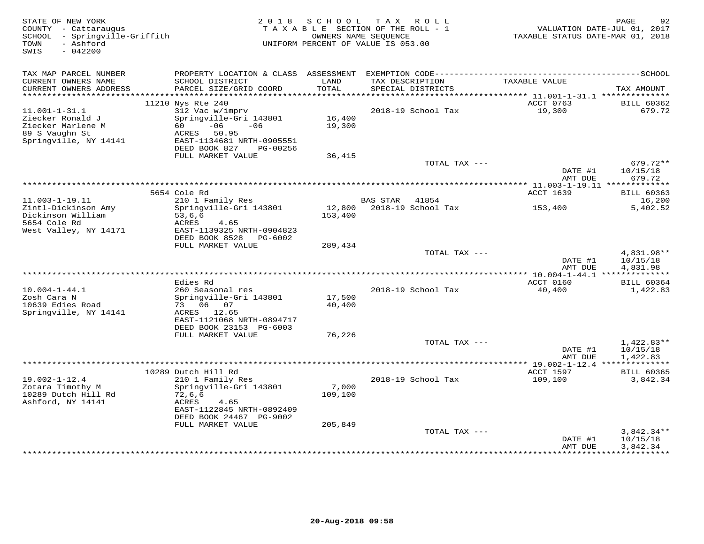| STATE OF NEW YORK<br>COUNTY - Cattaraugus<br>SCHOOL - Springville-Griffith<br>- Ashford<br>TOWN<br>SWIS<br>$-042200$ | 2 0 1 8                                                                                                                                            | S C H O O L                 | TAX ROLL<br>TAXABLE SECTION OF THE ROLL - 1<br>OWNERS NAME SEQUENCE<br>UNIFORM PERCENT OF VALUE IS 053.00 | TAXABLE STATUS DATE-MAR 01, 2018                      | PAGE<br>92<br>VALUATION DATE-JUL 01, 2017 |
|----------------------------------------------------------------------------------------------------------------------|----------------------------------------------------------------------------------------------------------------------------------------------------|-----------------------------|-----------------------------------------------------------------------------------------------------------|-------------------------------------------------------|-------------------------------------------|
|                                                                                                                      |                                                                                                                                                    |                             |                                                                                                           |                                                       |                                           |
| TAX MAP PARCEL NUMBER<br>CURRENT OWNERS NAME<br>CURRENT OWNERS ADDRESS                                               | SCHOOL DISTRICT<br>PARCEL SIZE/GRID COORD                                                                                                          | LAND<br>TOTAL               | TAX DESCRIPTION<br>SPECIAL DISTRICTS                                                                      | TAXABLE VALUE                                         | TAX AMOUNT                                |
| ***********************                                                                                              |                                                                                                                                                    |                             |                                                                                                           |                                                       |                                           |
|                                                                                                                      | 11210 Nys Rte 240                                                                                                                                  |                             |                                                                                                           | ACCT 0763                                             | <b>BILL 60362</b>                         |
| $11.001 - 1 - 31.1$<br>Ziecker Ronald J<br>Ziecker Marlene M<br>89 S Vaughn St<br>Springville, NY 14141              | 312 Vac w/imprv<br>Springville-Gri 143801<br>60 —<br>$-06$<br>$-06$<br>ACRES 50.95<br>EAST-1134681 NRTH-0905551<br>DEED BOOK 827<br>PG-00256       | 16,400<br>19,300            | 2018-19 School Tax                                                                                        | 19,300                                                | 679.72                                    |
|                                                                                                                      | FULL MARKET VALUE                                                                                                                                  | 36,415                      |                                                                                                           |                                                       |                                           |
|                                                                                                                      |                                                                                                                                                    |                             | TOTAL TAX ---                                                                                             | DATE #1                                               | 679.72**<br>10/15/18                      |
|                                                                                                                      |                                                                                                                                                    |                             |                                                                                                           | AMT DUE<br>************ 11.003-1-19.11 ************** | 679.72                                    |
|                                                                                                                      | 5654 Cole Rd                                                                                                                                       |                             |                                                                                                           | ACCT 1639                                             | <b>BILL 60363</b>                         |
| $11.003 - 1 - 19.11$                                                                                                 | 210 1 Family Res                                                                                                                                   |                             | <b>BAS STAR</b><br>41854                                                                                  |                                                       | 16,200                                    |
| Zintl-Dickinson Amy<br>Dickinson William<br>5654 Cole Rd<br>West Valley, NY 14171                                    | Springville-Gri 143801<br>53,6,6<br>ACRES<br>4.65<br>EAST-1139325 NRTH-0904823<br>DEED BOOK 8528<br>PG-6002                                        | 153,400                     | 12,800 2018-19 School Tax                                                                                 | 153,400                                               | 5,402.52                                  |
|                                                                                                                      | FULL MARKET VALUE                                                                                                                                  | 289,434                     |                                                                                                           |                                                       |                                           |
|                                                                                                                      |                                                                                                                                                    |                             | TOTAL TAX ---                                                                                             | DATE #1<br>AMT DUE                                    | 4,831.98**<br>10/15/18<br>4,831.98        |
|                                                                                                                      |                                                                                                                                                    |                             |                                                                                                           |                                                       |                                           |
| $10.004 - 1 - 44.1$<br>Zosh Cara N                                                                                   | Edies Rd<br>260 Seasonal res<br>Springville-Gri 143801                                                                                             | 17,500                      | 2018-19 School Tax                                                                                        | ACCT 0160<br>40,400                                   | <b>BILL 60364</b><br>1,422.83             |
| 10639 Edies Road<br>Springville, NY 14141                                                                            | 73 06 07<br>ACRES 12.65<br>EAST-1121068 NRTH-0894717<br>DEED BOOK 23153 PG-6003                                                                    | 40,400                      |                                                                                                           |                                                       |                                           |
|                                                                                                                      | FULL MARKET VALUE                                                                                                                                  | 76,226                      |                                                                                                           |                                                       |                                           |
|                                                                                                                      |                                                                                                                                                    |                             | TOTAL TAX ---                                                                                             | DATE #1<br>AMT DUE                                    | $1,422.83**$<br>10/15/18<br>1,422.83      |
|                                                                                                                      |                                                                                                                                                    |                             |                                                                                                           |                                                       |                                           |
|                                                                                                                      | 10289 Dutch Hill Rd                                                                                                                                |                             |                                                                                                           | ACCT 1597                                             | <b>BILL 60365</b>                         |
| $19.002 - 1 - 12.4$<br>Zotara Timothy M<br>10289 Dutch Hill Rd<br>Ashford, NY 14141                                  | 210 1 Family Res<br>Springville-Gri 143801<br>72,6,6<br>ACRES<br>4.65<br>EAST-1122845 NRTH-0892409<br>DEED BOOK 24467 PG-9002<br>FULL MARKET VALUE | 7,000<br>109,100<br>205,849 | 2018-19 School Tax                                                                                        | 109,100                                               | 3,842.34                                  |
|                                                                                                                      |                                                                                                                                                    |                             | TOTAL TAX ---                                                                                             |                                                       | $3,842.34**$                              |
|                                                                                                                      |                                                                                                                                                    |                             |                                                                                                           | DATE #1<br>AMT DUE                                    | 10/15/18<br>3,842.34                      |
|                                                                                                                      |                                                                                                                                                    |                             |                                                                                                           | *************                                         | **********                                |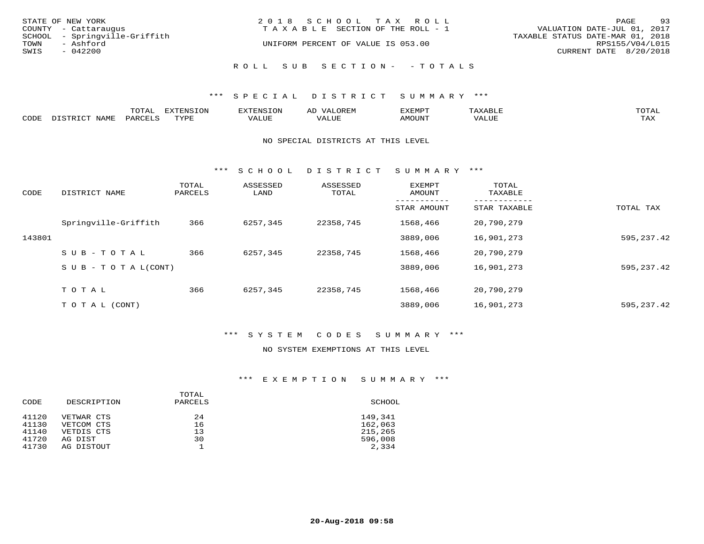| STATE OF NEW YORK<br>COUNTY - Cattaraugus<br>SCHOOL - Springville-Griffith | 2018 SCHOOL TAX ROLL<br>T A X A B L E SECTION OF THE ROLL - 1 | 93<br>PAGE<br>VALUATION DATE-JUL 01, 2017<br>TAXABLE STATUS DATE-MAR 01, 2018 |
|----------------------------------------------------------------------------|---------------------------------------------------------------|-------------------------------------------------------------------------------|
| TOWN<br>- Ashford                                                          | UNIFORM PERCENT OF VALUE IS 053.00                            | RPS155/V04/L015                                                               |
| SWIS<br>$-042200$                                                          |                                                               | CURRENT DATE 8/20/2018                                                        |
|                                                                            | ROLL SUB SECTION- - TOTALS                                    |                                                                               |

#### \*\*\* S P E C I A L D I S T R I C T S U M M A R Y \*\*\*

|      |                | m^m*<br>- ∪ + <del>∩ +</del> | <b>DIZPOIATO TOMT</b><br>w |       | AL.       | פאת <i>צ</i> י |       | π∩π∆           |
|------|----------------|------------------------------|----------------------------|-------|-----------|----------------|-------|----------------|
| CODE | NAME<br>ּפּידי | $\therefore$ PARCET $\sim$   | <b>TVDL</b>                | VALUE | $- - - -$ | <b>AMOUNT</b>  | 'ALUL | TAY.<br>- ⊥777 |

#### NO SPECIAL DISTRICTS AT THIS LEVEL

\*\*\* S C H O O L D I S T R I C T S U M M A R Y \*\*\*

| CODE   | DISTRICT NAME                    | TOTAL<br>PARCELS | ASSESSED<br>LAND | ASSESSED<br>TOTAL | EXEMPT<br>AMOUNT | TOTAL<br>TAXABLE |             |
|--------|----------------------------------|------------------|------------------|-------------------|------------------|------------------|-------------|
|        |                                  |                  |                  |                   | STAR AMOUNT      | STAR TAXABLE     | TOTAL TAX   |
|        | Springville-Griffith             | 366              | 6257,345         | 22358,745         | 1568,466         | 20,790,279       |             |
| 143801 |                                  |                  |                  |                   | 3889,006         | 16,901,273       | 595,237.42  |
|        | $SUB - TO TAL$                   | 366              | 6257,345         | 22358,745         | 1568,466         | 20,790,279       |             |
|        | $S \cup B - T \cup T A L (CONT)$ |                  |                  |                   | 3889,006         | 16,901,273       | 595, 237.42 |
|        | TOTAL                            | 366              | 6257,345         | 22358,745         | 1568,466         | 20,790,279       |             |
|        |                                  |                  |                  |                   |                  |                  |             |
|        | T O T A L (CONT)                 |                  |                  |                   | 3889,006         | 16,901,273       | 595,237.42  |

## \*\*\* S Y S T E M C O D E S S U M M A R Y \*\*\*

#### NO SYSTEM EXEMPTIONS AT THIS LEVEL

## \*\*\* E X E M P T I O N S U M M A R Y \*\*\*

| CODE                    | DESCRIPTION                         | TOTAL<br>PARCELS | SCHOOL                      |
|-------------------------|-------------------------------------|------------------|-----------------------------|
| 41120<br>41130          | VETWAR CTS<br>VETCOM CTS            | 24<br>16         | 149,341<br>162,063          |
| 41140<br>41720<br>41730 | VETDIS CTS<br>AG DIST<br>AG DISTOUT | 13<br>30         | 215,265<br>596,008<br>2,334 |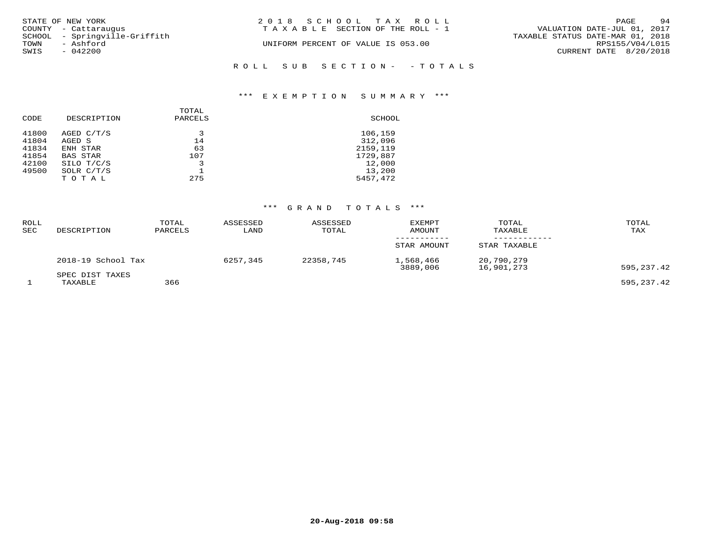| STATE OF NEW YORK<br>COUNTY - Cattaraugus | 2018 SCHOOL TAX ROLL<br>T A X A B L E SECTION OF THE ROLL - 1 | 94<br>PAGE<br>VALUATION DATE-JUL 01, 2017 |
|-------------------------------------------|---------------------------------------------------------------|-------------------------------------------|
| SCHOOL - Springville-Griffith             |                                                               | TAXABLE STATUS DATE-MAR 01, 2018          |
| TOWN<br>- Ashford<br>SWIS<br>- 042200     | UNIFORM PERCENT OF VALUE IS 053.00                            | RPS155/V04/L015<br>CURRENT DATE 8/20/2018 |
|                                           | ROLL SUB SECTION- - TOTALS                                    |                                           |

#### \*\*\* E X E M P T I O N S U M M A R Y \*\*\*

| CODE  | DESCRIPTION  | TOTAL<br>PARCELS | SCHOOL   |
|-------|--------------|------------------|----------|
| 41800 | AGED C/T/S   | 3                | 106,159  |
| 41804 | AGED S       | 14               | 312,096  |
| 41834 | ENH STAR     | 63               | 2159,119 |
| 41854 | BAS STAR     | 107              | 1729,887 |
| 42100 | SILO T/C/S   | 3                | 12,000   |
| 49500 | SOLR $C/T/S$ |                  | 13,200   |
|       | TOTAL        | 275              | 5457,472 |

## \*\*\* G R A N D T O T A L S \*\*\*

| <b>ROLL</b><br>SEC | DESCRIPTION                | TOTAL<br>PARCELS | ASSESSED<br>LAND | ASSESSED<br>TOTAL | <b>EXEMPT</b><br>AMOUNT | TOTAL<br>TAXABLE         | TOTAL<br>TAX |
|--------------------|----------------------------|------------------|------------------|-------------------|-------------------------|--------------------------|--------------|
|                    |                            |                  |                  |                   | STAR AMOUNT             | STAR TAXABLE             |              |
|                    | 2018-19 School Tax         |                  | 6257,345         | 22358,745         | 1,568,466<br>3889,006   | 20,790,279<br>16,901,273 | 595,237.42   |
|                    | SPEC DIST TAXES<br>TAXABLE | 366              |                  |                   |                         |                          | 595,237.42   |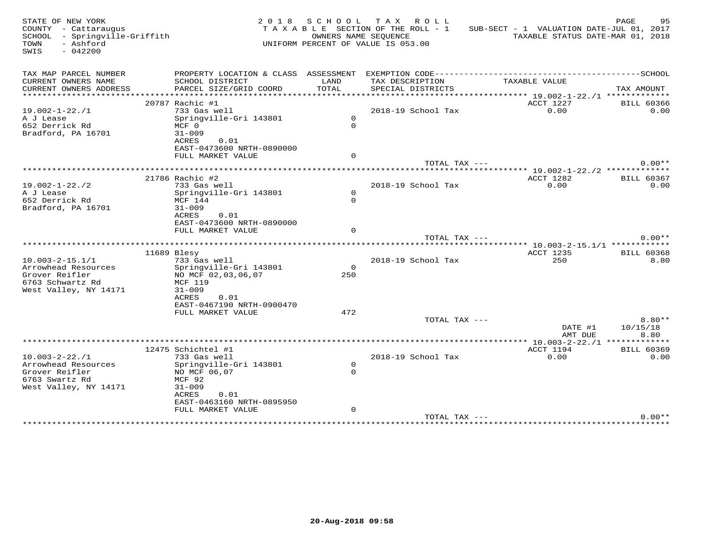| STATE OF NEW YORK<br>COUNTY - Cattaraugus<br>SCHOOL - Springville-Griffith<br>- Ashford<br>TOWN<br>SWIS<br>$-042200$ |                                           |                | 2018 SCHOOL TAX ROLL<br>TAXABLE SECTION OF THE ROLL - 1<br>OWNERS NAME SEOUENCE<br>UNIFORM PERCENT OF VALUE IS 053.00 | SUB-SECT - 1 VALUATION DATE-JUL 01, 2017                    | PAGE<br>95<br>TAXABLE STATUS DATE-MAR 01, 2018 |
|----------------------------------------------------------------------------------------------------------------------|-------------------------------------------|----------------|-----------------------------------------------------------------------------------------------------------------------|-------------------------------------------------------------|------------------------------------------------|
| TAX MAP PARCEL NUMBER                                                                                                |                                           |                |                                                                                                                       |                                                             |                                                |
| CURRENT OWNERS NAME<br>CURRENT OWNERS ADDRESS                                                                        | SCHOOL DISTRICT<br>PARCEL SIZE/GRID COORD | LAND<br>TOTAL  | TAX DESCRIPTION<br>SPECIAL DISTRICTS                                                                                  | TAXABLE VALUE                                               | TAX AMOUNT                                     |
|                                                                                                                      | 20787 Rachic #1                           |                |                                                                                                                       | ***************** 19.002-1-22./1 *************<br>ACCT 1227 | <b>BILL 60366</b>                              |
| $19.002 - 1 - 22.71$                                                                                                 | 733 Gas well                              |                | 2018-19 School Tax                                                                                                    | 0.00                                                        | 0.00                                           |
| A J Lease                                                                                                            | Springville-Gri 143801                    | $\circ$        |                                                                                                                       |                                                             |                                                |
| 652 Derrick Rd                                                                                                       | MCF 0                                     | $\Omega$       |                                                                                                                       |                                                             |                                                |
| Bradford, PA 16701                                                                                                   | $31 - 009$                                |                |                                                                                                                       |                                                             |                                                |
|                                                                                                                      | ACRES<br>0.01                             |                |                                                                                                                       |                                                             |                                                |
|                                                                                                                      | EAST-0473600 NRTH-0890000                 |                |                                                                                                                       |                                                             |                                                |
|                                                                                                                      | FULL MARKET VALUE                         | $\Omega$       |                                                                                                                       |                                                             |                                                |
|                                                                                                                      |                                           |                | TOTAL TAX ---                                                                                                         |                                                             | $0.00**$                                       |
|                                                                                                                      |                                           |                |                                                                                                                       | *********** 19.002-1-22./2 *************                    |                                                |
|                                                                                                                      | 21786 Rachic #2                           |                |                                                                                                                       | ACCT 1282                                                   | <b>BILL 60367</b>                              |
| $19.002 - 1 - 22.72$                                                                                                 | 733 Gas well                              | $\circ$        | 2018-19 School Tax                                                                                                    | 0.00                                                        | 0.00                                           |
| A J Lease<br>652 Derrick Rd                                                                                          | Springville-Gri 143801<br>MCF 144         | $\Omega$       |                                                                                                                       |                                                             |                                                |
| Bradford, PA 16701                                                                                                   | $31 - 009$                                |                |                                                                                                                       |                                                             |                                                |
|                                                                                                                      | ACRES<br>0.01                             |                |                                                                                                                       |                                                             |                                                |
|                                                                                                                      | EAST-0473600 NRTH-0890000                 |                |                                                                                                                       |                                                             |                                                |
|                                                                                                                      | FULL MARKET VALUE                         | $\Omega$       |                                                                                                                       |                                                             |                                                |
|                                                                                                                      |                                           |                | TOTAL TAX ---                                                                                                         |                                                             | $0.00**$                                       |
|                                                                                                                      |                                           |                |                                                                                                                       |                                                             |                                                |
|                                                                                                                      | 11689 Blesy                               |                |                                                                                                                       | ACCT 1235                                                   | <b>BILL 60368</b>                              |
| $10.003 - 2 - 15.1/1$                                                                                                | 733 Gas well                              |                | 2018-19 School Tax                                                                                                    | 250                                                         | 8.80                                           |
| Arrowhead Resources<br>Grover Reifler                                                                                | Springville-Gri 143801                    | $\circ$<br>250 |                                                                                                                       |                                                             |                                                |
| 6763 Schwartz Rd                                                                                                     | NO MCF 02,03,06,07<br>MCF 119             |                |                                                                                                                       |                                                             |                                                |
| West Valley, NY 14171                                                                                                | $31 - 009$                                |                |                                                                                                                       |                                                             |                                                |
|                                                                                                                      | ACRES<br>0.01                             |                |                                                                                                                       |                                                             |                                                |
|                                                                                                                      | EAST-0467190 NRTH-0900470                 |                |                                                                                                                       |                                                             |                                                |
|                                                                                                                      | FULL MARKET VALUE                         | 472            |                                                                                                                       |                                                             |                                                |
|                                                                                                                      |                                           |                | TOTAL TAX ---                                                                                                         |                                                             | $8.80**$                                       |
|                                                                                                                      |                                           |                |                                                                                                                       | DATE #1                                                     | 10/15/18                                       |
|                                                                                                                      |                                           |                |                                                                                                                       | AMT DUE                                                     | 8.80                                           |
|                                                                                                                      |                                           |                |                                                                                                                       |                                                             |                                                |
|                                                                                                                      | 12475 Schichtel #1                        |                |                                                                                                                       | ACCT 1194                                                   | <b>BILL 60369</b>                              |
| $10.003 - 2 - 22.71$<br>Arrowhead Resources                                                                          | 733 Gas well                              | $\mathsf{O}$   | 2018-19 School Tax                                                                                                    | 0.00                                                        | 0.00                                           |
| Grover Reifler                                                                                                       | Springville-Gri 143801<br>NO MCF 06,07    | $\Omega$       |                                                                                                                       |                                                             |                                                |
| 6763 Swartz Rd                                                                                                       | MCF 92                                    |                |                                                                                                                       |                                                             |                                                |
| West Valley, NY 14171                                                                                                | $31 - 009$                                |                |                                                                                                                       |                                                             |                                                |
|                                                                                                                      | ACRES<br>0.01                             |                |                                                                                                                       |                                                             |                                                |
|                                                                                                                      | EAST-0463160 NRTH-0895950                 |                |                                                                                                                       |                                                             |                                                |
|                                                                                                                      | FULL MARKET VALUE                         | $\mathbf 0$    |                                                                                                                       |                                                             |                                                |
|                                                                                                                      |                                           |                | TOTAL TAX ---                                                                                                         |                                                             | $0.00**$                                       |
|                                                                                                                      |                                           |                |                                                                                                                       |                                                             |                                                |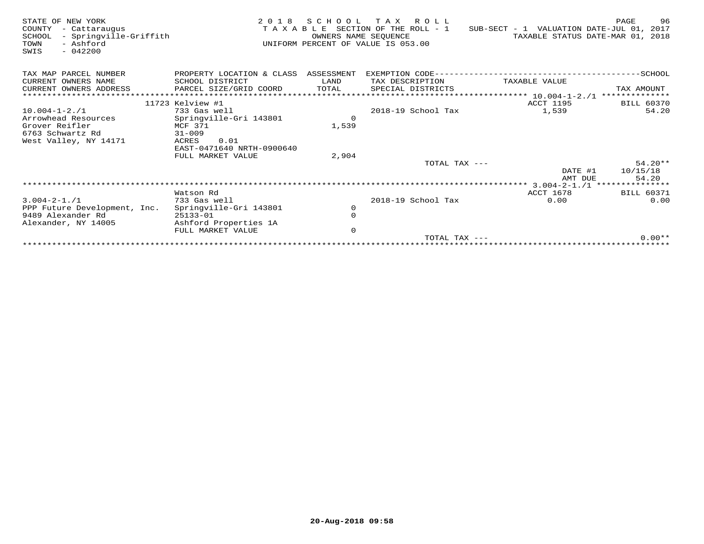| STATE OF NEW YORK<br>COUNTY<br>- Cattaraugus<br>- Springville-Griffith<br>SCHOOL<br>- Ashford<br>TOWN<br>$-042200$<br>SWIS | 2 0 1 8                              | OWNERS NAME SEOUENCE | SCHOOL TAX ROLL<br>TAXABLE SECTION OF THE ROLL - 1<br>UNIFORM PERCENT OF VALUE IS 053.00 | SUB-SECT - 1 VALUATION DATE-JUL 01, 2017<br>TAXABLE STATUS DATE-MAR 01, 2018 | 96<br>PAGE        |
|----------------------------------------------------------------------------------------------------------------------------|--------------------------------------|----------------------|------------------------------------------------------------------------------------------|------------------------------------------------------------------------------|-------------------|
| TAX MAP PARCEL NUMBER                                                                                                      | PROPERTY LOCATION & CLASS ASSESSMENT |                      |                                                                                          |                                                                              |                   |
| CURRENT OWNERS NAME                                                                                                        | SCHOOL DISTRICT                      | LAND                 | TAX DESCRIPTION                                                                          | TAXABLE VALUE                                                                |                   |
| CURRENT OWNERS ADDRESS                                                                                                     | PARCEL SIZE/GRID COORD               | TOTAL                | SPECIAL DISTRICTS                                                                        |                                                                              | TAX AMOUNT        |
|                                                                                                                            |                                      |                      |                                                                                          |                                                                              | **************    |
|                                                                                                                            | 11723 Kelview #1                     |                      |                                                                                          | ACCT 1195                                                                    | <b>BILL 60370</b> |
| $10.004 - 1 - 2.71$                                                                                                        | 733 Gas well                         |                      | 2018-19 School Tax                                                                       | 1,539                                                                        | 54.20             |
| Arrowhead Resources                                                                                                        | Springville-Gri 143801               | $\Omega$             |                                                                                          |                                                                              |                   |
| Grover Reifler                                                                                                             | MCF 371                              | 1,539                |                                                                                          |                                                                              |                   |
| 6763 Schwartz Rd                                                                                                           | $31 - 009$                           |                      |                                                                                          |                                                                              |                   |
| West Valley, NY 14171                                                                                                      | 0.01<br>ACRES                        |                      |                                                                                          |                                                                              |                   |
|                                                                                                                            | EAST-0471640 NRTH-0900640            |                      |                                                                                          |                                                                              |                   |
|                                                                                                                            | FULL MARKET VALUE                    | 2,904                |                                                                                          |                                                                              |                   |
|                                                                                                                            |                                      |                      | TOTAL TAX $---$                                                                          |                                                                              | $54.20**$         |
|                                                                                                                            |                                      |                      |                                                                                          | DATE #1                                                                      | 10/15/18          |
|                                                                                                                            |                                      |                      |                                                                                          | AMT DUE                                                                      | 54.20             |
|                                                                                                                            |                                      |                      |                                                                                          |                                                                              |                   |
|                                                                                                                            | Watson Rd                            |                      |                                                                                          | ACCT 1678                                                                    | <b>BILL 60371</b> |
| $3.004 - 2 - 1.71$                                                                                                         | 733 Gas well                         |                      | 2018-19 School Tax                                                                       | 0.00                                                                         | 0.00              |
| PPP Future Development, Inc.                                                                                               | Springville-Gri 143801               | $\circ$              |                                                                                          |                                                                              |                   |
| 9489 Alexander Rd                                                                                                          | $25133 - 01$                         | $\mathbf 0$          |                                                                                          |                                                                              |                   |
| Alexander, NY 14005                                                                                                        | Ashford Properties 1A                |                      |                                                                                          |                                                                              |                   |
|                                                                                                                            | FULL MARKET VALUE                    | $\mathbf 0$          |                                                                                          |                                                                              | $0.00**$          |
|                                                                                                                            |                                      |                      | TOTAL TAX ---                                                                            |                                                                              |                   |
|                                                                                                                            |                                      |                      |                                                                                          |                                                                              |                   |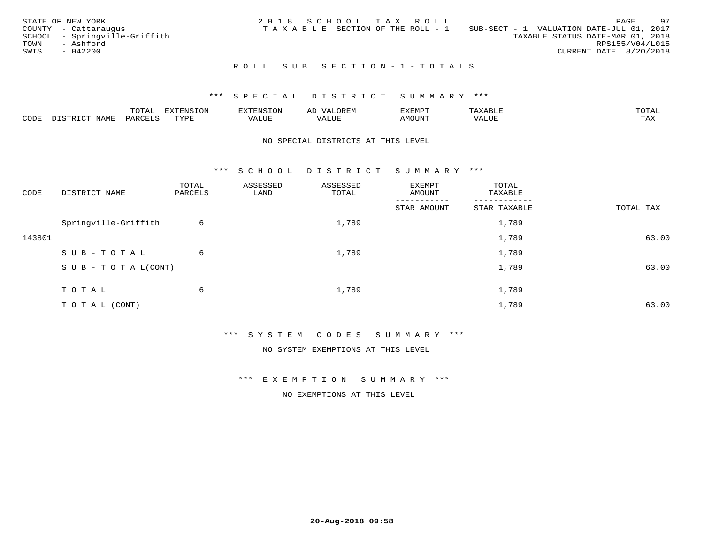|      | STATE OF NEW YORK             | 2018 SCHOOL TAX ROLL |  |                                 |                                          |                                  |                        | PAGE | 97 |
|------|-------------------------------|----------------------|--|---------------------------------|------------------------------------------|----------------------------------|------------------------|------|----|
|      | COUNTY - Cattaraugus          |                      |  | TAXABLE SECTION OF THE ROLL - 1 | SUB-SECT - 1 VALUATION DATE-JUL 01, 2017 |                                  |                        |      |    |
|      | SCHOOL - Springville-Griffith |                      |  |                                 |                                          | TAXABLE STATUS DATE-MAR 01, 2018 |                        |      |    |
| TOWN | - Ashford                     |                      |  |                                 |                                          |                                  | RPS155/V04/L015        |      |    |
| SWIS | $-042200$                     |                      |  |                                 |                                          |                                  | CURRENT DATE 8/20/2018 |      |    |
|      |                               |                      |  |                                 |                                          |                                  |                        |      |    |

## R O L L S U B S E C T I O N - 1 - T O T A L S

## \*\*\* S P E C I A L D I S T R I C T S U M M A R Y \*\*\*

|      |              | ---- | ח 77 | F.N.S              | ΑL | דסMדאי        |       | $m \wedge m \wedge n$ |
|------|--------------|------|------|--------------------|----|---------------|-------|-----------------------|
| CODE | - --<br>NAME | 'AKV | TVDF | <b>TTT</b><br>ALUE |    | <b>MOTIN'</b> | T T T | ГAX                   |

#### NO SPECIAL DISTRICTS AT THIS LEVEL

\*\*\* S C H O O L D I S T R I C T S U M M A R Y \*\*\*

| CODE   | DISTRICT NAME                    | TOTAL<br>PARCELS | ASSESSED<br>LAND | ASSESSED<br>TOTAL | EXEMPT<br>AMOUNT | TOTAL<br>TAXABLE |           |
|--------|----------------------------------|------------------|------------------|-------------------|------------------|------------------|-----------|
|        |                                  |                  |                  |                   | STAR AMOUNT      | STAR TAXABLE     | TOTAL TAX |
|        | Springville-Griffith             | 6                |                  | 1,789             |                  | 1,789            |           |
| 143801 |                                  |                  |                  |                   |                  | 1,789            | 63.00     |
|        | SUB-TOTAL                        | 6                |                  | 1,789             |                  | 1,789            |           |
|        | $S \cup B - T \cup T A L (CONT)$ |                  |                  |                   |                  | 1,789            | 63.00     |
|        | TOTAL                            | 6                |                  | 1,789             |                  | 1,789            |           |
|        | TO TAL (CONT)                    |                  |                  |                   |                  | 1,789            | 63.00     |

\*\*\* S Y S T E M C O D E S S U M M A R Y \*\*\*

NO SYSTEM EXEMPTIONS AT THIS LEVEL

\*\*\* E X E M P T I O N S U M M A R Y \*\*\*

NO EXEMPTIONS AT THIS LEVEL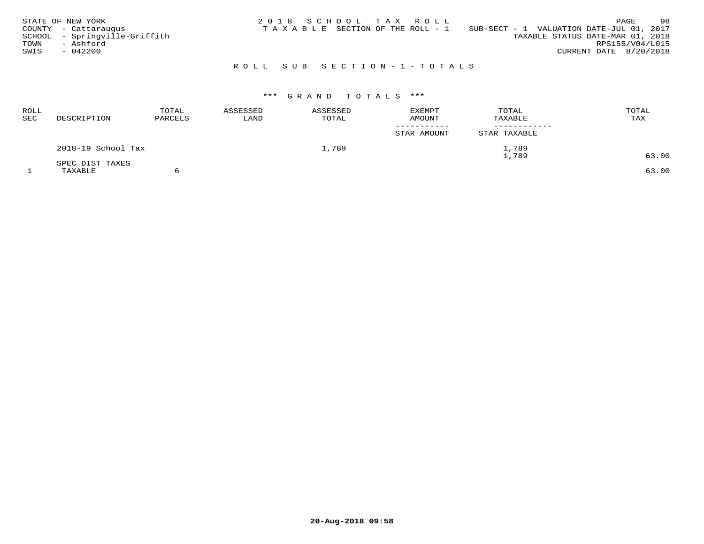|      | STATE OF NEW YORK             |  |  | 2018 SCHOOL TAX ROLL            |                                          |                                  |                        | PAGE | 98 |
|------|-------------------------------|--|--|---------------------------------|------------------------------------------|----------------------------------|------------------------|------|----|
|      | COUNTY - Cattaraugus          |  |  | TAXABLE SECTION OF THE ROLL - 1 | SUB-SECT - 1 VALUATION DATE-JUL 01, 2017 |                                  |                        |      |    |
|      | SCHOOL - Springville-Griffith |  |  |                                 |                                          | TAXABLE STATUS DATE-MAR 01, 2018 |                        |      |    |
| TOWN | - Ashford                     |  |  |                                 |                                          |                                  | RPS155/V04/L015        |      |    |
| SWIS | - 042200                      |  |  |                                 |                                          |                                  | CURRENT DATE 8/20/2018 |      |    |
|      |                               |  |  |                                 |                                          |                                  |                        |      |    |

# R O L L S U B S E C T I O N - 1 - T O T A L S

# \*\*\* G R A N D T O T A L S \*\*\*

| ROLL<br>SEC | DESCRIPTION        | TOTAL<br>PARCELS | ASSESSED<br>LAND | ASSESSED<br>TOTAL | <b>EXEMPT</b><br>AMOUNT | TOTAL<br>TAXABLE | TOTAL<br>TAX |
|-------------|--------------------|------------------|------------------|-------------------|-------------------------|------------------|--------------|
|             |                    |                  |                  |                   | STAR AMOUNT             | STAR TAXABLE     |              |
|             | 2018-19 School Tax |                  |                  | 1,789             |                         | 1,789<br>1,789   | 63.00        |
|             | SPEC DIST TAXES    |                  |                  |                   |                         |                  |              |
|             | TAXABLE            |                  |                  |                   |                         |                  | 63.00        |

 $\sim$  6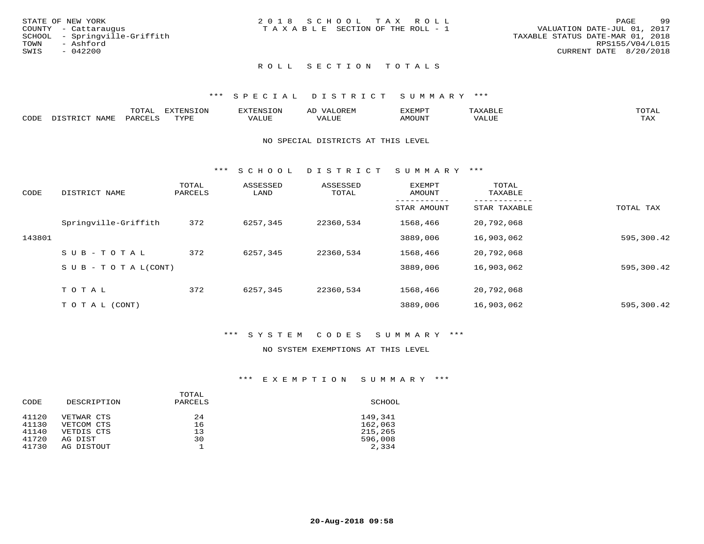|      | STATE OF NEW YORK             | 2018 SCHOOL TAX ROLL |                                       |  | PAGE                             | -99 |
|------|-------------------------------|----------------------|---------------------------------------|--|----------------------------------|-----|
|      | COUNTY - Cattaraugus          |                      | T A X A B L E SECTION OF THE ROLL - 1 |  | VALUATION DATE-JUL 01, 2017      |     |
|      | SCHOOL - Springville-Griffith |                      |                                       |  | TAXABLE STATUS DATE-MAR 01, 2018 |     |
| TOWN | - Ashford                     |                      |                                       |  | RPS155/V04/L015                  |     |
| SWIS | $-042200$                     |                      |                                       |  | CURRENT DATE 8/20/2018           |     |
|      |                               |                      |                                       |  |                                  |     |

# ROLL SECTION TOTALS

## \*\*\* S P E C I A L D I S T R I C T S U M M A R Y \*\*\*

|      | $m \wedge m \wedge n$<br>.UTAL          | <b>EXTENSION</b> | BUN S | OR∏N<br>AĽ<br>11 J I V I V | 'XEMPT        | AAABLE            | $m \wedge m \wedge n$ |
|------|-----------------------------------------|------------------|-------|----------------------------|---------------|-------------------|-----------------------|
| CODE | $NT\Delta MT$<br>$DA$ $R$ $R$ $T$ . $C$ | <b>TVDL</b>      | VALUE | $- - - -$<br>.<br>. Alur   | <b>AMOUNT</b> | VALU <sub>r</sub> | TA Y<br>⊥∟∆∆          |

#### NO SPECIAL DISTRICTS AT THIS LEVEL

\*\*\* S C H O O L D I S T R I C T S U M M A R Y \*\*\*

| CODE   | DISTRICT NAME                    | TOTAL<br>PARCELS | ASSESSED<br>LAND | ASSESSED<br>TOTAL | EXEMPT<br>AMOUNT | TOTAL<br>TAXABLE |            |
|--------|----------------------------------|------------------|------------------|-------------------|------------------|------------------|------------|
|        |                                  |                  |                  |                   | STAR AMOUNT      | STAR TAXABLE     | TOTAL TAX  |
|        | Springville-Griffith             | 372              | 6257,345         | 22360,534         | 1568,466         | 20,792,068       |            |
| 143801 |                                  |                  |                  |                   | 3889,006         | 16,903,062       | 595,300.42 |
|        | SUB-TOTAL                        | 372              | 6257,345         | 22360,534         | 1568,466         | 20,792,068       |            |
|        | $S \cup B - T \cup T A L (CONT)$ |                  |                  |                   | 3889,006         | 16,903,062       | 595,300.42 |
|        | T O T A L                        | 372              | 6257,345         | 22360,534         | 1568,466         | 20,792,068       |            |
|        | T O T A L (CONT)                 |                  |                  |                   | 3889,006         | 16,903,062       | 595,300.42 |

## \*\*\* S Y S T E M C O D E S S U M M A R Y \*\*\*

#### NO SYSTEM EXEMPTIONS AT THIS LEVEL

## \*\*\* E X E M P T I O N S U M M A R Y \*\*\*

| CODE  | DESCRIPTION | TOTAL<br>PARCELS | SCHOOL  |
|-------|-------------|------------------|---------|
| 41120 | VETWAR CTS  | 2.4              | 149,341 |
| 41130 | VETCOM CTS  | 16               | 162,063 |
| 41140 | VETDIS CTS  | 13               | 215,265 |
| 41720 | AG DIST     | 30               | 596,008 |
| 41730 | AG DISTOUT  |                  | 2,334   |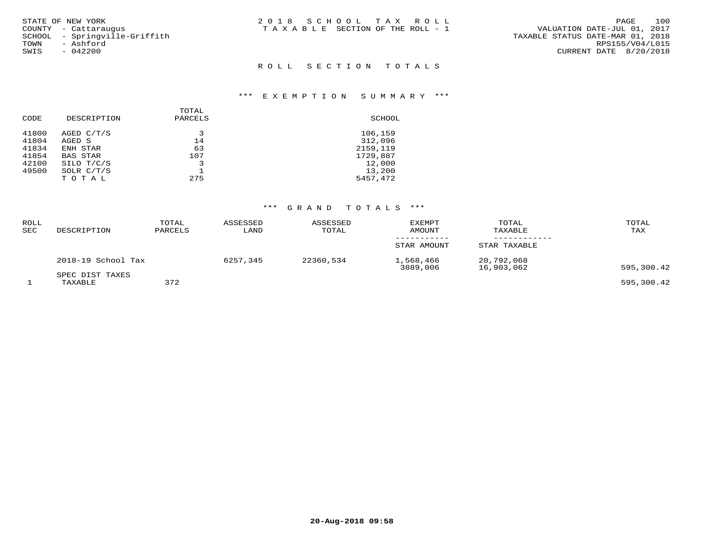| STATE OF NEW YORK             | 2018 SCHOOL TAX ROLL                  | 100<br>PAGE                      |
|-------------------------------|---------------------------------------|----------------------------------|
| COUNTY - Cattarauqus          | T A X A B L E SECTION OF THE ROLL - 1 | VALUATION DATE-JUL 01, 2017      |
| SCHOOL - Sprinqville-Griffith |                                       | TAXABLE STATUS DATE-MAR 01, 2018 |
| TOWN<br>- Ashford             |                                       | RPS155/V04/L015                  |
| $-042200$<br>SWIS             |                                       | CURRENT DATE 8/20/2018           |
|                               |                                       |                                  |

## ROLL SECTION TOTALS

#### \*\*\* E X E M P T I O N S U M M A R Y \*\*\*

| CODE  | DESCRIPTION  | TOTAL<br>PARCELS | SCHOOL   |
|-------|--------------|------------------|----------|
| 41800 | AGED C/T/S   |                  | 106,159  |
| 41804 | AGED S       | 14               | 312,096  |
| 41834 | ENH STAR     | 63               | 2159,119 |
| 41854 | BAS STAR     | 107              | 1729,887 |
| 42100 | SILO T/C/S   |                  | 12,000   |
| 49500 | SOLR $C/T/S$ |                  | 13,200   |
|       | TOTAL        | 275              | 5457,472 |
|       |              |                  |          |

# \*\*\* G R A N D T O T A L S \*\*\*

| <b>ROLL</b><br>SEC | DESCRIPTION                | TOTAL<br>PARCELS | ASSESSED<br>LAND | ASSESSED<br>TOTAL | <b>EXEMPT</b><br><b>AMOUNT</b> | TOTAL<br>TAXABLE         | TOTAL<br>TAX |
|--------------------|----------------------------|------------------|------------------|-------------------|--------------------------------|--------------------------|--------------|
|                    |                            |                  |                  |                   | STAR AMOUNT                    | STAR TAXABLE             |              |
|                    | 2018-19 School Tax         |                  | 6257,345         | 22360,534         | 1,568,466<br>3889,006          | 20,792,068<br>16,903,062 | 595,300.42   |
|                    | SPEC DIST TAXES<br>TAXABLE | 372              |                  |                   |                                |                          | 595,300.42   |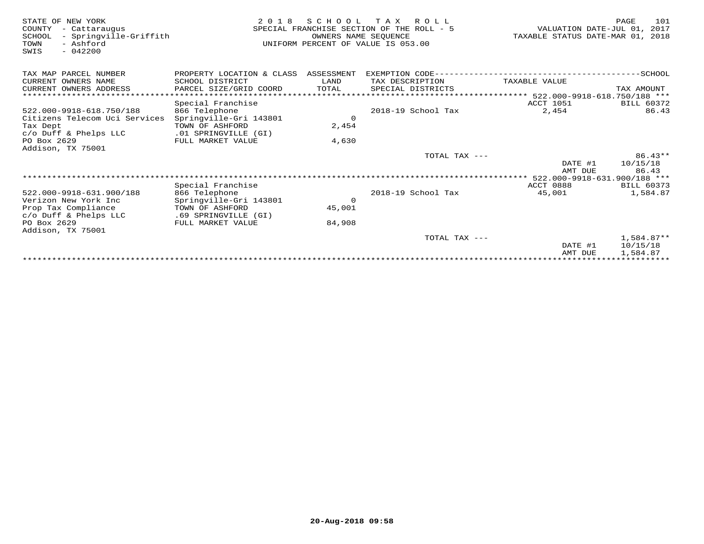| STATE OF NEW YORK<br>COUNTY<br>- Cattaraugus<br>- Springville-Griffith<br>SCHOOL<br>- Ashford<br>TOWN<br>$-042200$<br>SWIS | 2 0 1 8                              | SCHOOL<br>OWNERS NAME SEQUENCE | T A X<br>R O L L<br>SPECIAL FRANCHISE SECTION OF THE ROLL - 5<br>UNIFORM PERCENT OF VALUE IS 053.00 | VALUATION DATE-JUL 01,<br>TAXABLE STATUS DATE-MAR 01, | PAGE<br>101<br>2017<br>2018 |
|----------------------------------------------------------------------------------------------------------------------------|--------------------------------------|--------------------------------|-----------------------------------------------------------------------------------------------------|-------------------------------------------------------|-----------------------------|
| TAX MAP PARCEL NUMBER                                                                                                      | PROPERTY LOCATION & CLASS ASSESSMENT |                                | EXEMPTION CODE------------------------                                                              |                                                       | ------SCHOOL                |
| CURRENT OWNERS NAME                                                                                                        | SCHOOL DISTRICT                      | LAND                           | TAX DESCRIPTION                                                                                     | TAXABLE VALUE                                         |                             |
| CURRENT OWNERS ADDRESS                                                                                                     | PARCEL SIZE/GRID COORD               | TOTAL                          | SPECIAL DISTRICTS                                                                                   |                                                       | TAX AMOUNT                  |
|                                                                                                                            | ********************************     |                                |                                                                                                     | ***************** 522.000-9918-618.750/188 ***        |                             |
|                                                                                                                            | Special Franchise                    |                                |                                                                                                     | <b>ACCT 1051</b>                                      | <b>BILL 60372</b>           |
| 522.000-9918-618.750/188                                                                                                   | 866 Telephone                        |                                | 2018-19 School Tax                                                                                  | 2,454                                                 | 86.43                       |
| Citizens Telecom Uci Services                                                                                              | Springville-Gri 143801               | $\Omega$                       |                                                                                                     |                                                       |                             |
| Tax Dept                                                                                                                   | TOWN OF ASHFORD                      | 2,454                          |                                                                                                     |                                                       |                             |
| $c/O$ Duff & Phelps LLC                                                                                                    | .01 SPRINGVILLE (GI)                 |                                |                                                                                                     |                                                       |                             |
| PO Box 2629<br>Addison, TX 75001                                                                                           | FULL MARKET VALUE                    | 4,630                          |                                                                                                     |                                                       |                             |
|                                                                                                                            |                                      |                                | TOTAL TAX ---                                                                                       |                                                       | $86.43**$                   |
|                                                                                                                            |                                      |                                |                                                                                                     | DATE #1                                               | 10/15/18                    |
|                                                                                                                            |                                      |                                |                                                                                                     | AMT DUE                                               | 86.43                       |
|                                                                                                                            |                                      |                                |                                                                                                     | 522.000-9918-631.900/188 ***                          |                             |
|                                                                                                                            | Special Franchise                    |                                |                                                                                                     | ACCT 0888                                             | <b>BILL 60373</b>           |
| 522.000-9918-631.900/188                                                                                                   | 866 Telephone                        |                                | 2018-19 School Tax                                                                                  | 45,001                                                | 1,584.87                    |
| Verizon New York Inc                                                                                                       | Springville-Gri 143801               | $\Omega$                       |                                                                                                     |                                                       |                             |
| Prop Tax Compliance                                                                                                        | TOWN OF ASHFORD                      | 45,001                         |                                                                                                     |                                                       |                             |
| $c/O$ Duff & Phelps LLC                                                                                                    | .69 SPRINGVILLE (GI)                 |                                |                                                                                                     |                                                       |                             |
| PO Box 2629                                                                                                                | FULL MARKET VALUE                    | 84,908                         |                                                                                                     |                                                       |                             |
| Addison, TX 75001                                                                                                          |                                      |                                |                                                                                                     |                                                       |                             |
|                                                                                                                            |                                      |                                | TOTAL TAX ---                                                                                       |                                                       | $1.584.87**$                |
|                                                                                                                            |                                      |                                |                                                                                                     | DATE #1<br>AMT DUE                                    | 10/15/18<br>1,584.87        |
|                                                                                                                            |                                      |                                |                                                                                                     |                                                       |                             |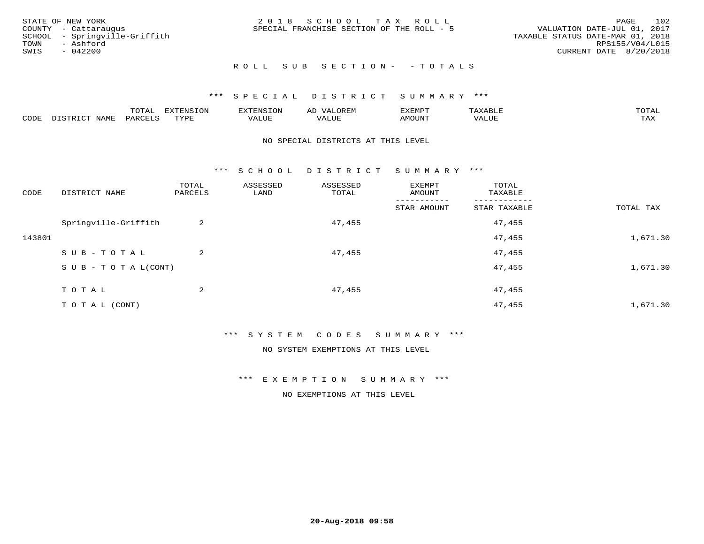|      | STATE OF NEW YORK             | 2018 SCHOOL TAX ROLL                      | 102<br>PAGE                      |
|------|-------------------------------|-------------------------------------------|----------------------------------|
|      | COUNTY - Cattaraugus          | SPECIAL FRANCHISE SECTION OF THE ROLL - 5 | VALUATION DATE-JUL 01, 2017      |
|      | SCHOOL - Springville-Griffith |                                           | TAXABLE STATUS DATE-MAR 01, 2018 |
| TOWN | - Ashford                     |                                           | RPS155/V04/L015                  |
| SWIS | $-042200$                     |                                           | CURRENT DATE 8/20/2018           |
|      |                               |                                           |                                  |

## R O L L S U B S E C T I O N - - T O T A L S

## \*\*\* S P E C I A L D I S T R I C T S U M M A R Y \*\*\*

|      |             | ----<br>$\cdots$ | ת A דפות אידא<br>. OP | <b>ENSION</b> | AL    | YEMPT! |                   | $m \wedge m \wedge n$ |
|------|-------------|------------------|-----------------------|---------------|-------|--------|-------------------|-----------------------|
| CODE | <b>JAME</b> | ᄭᇚᅎᄧᅚ<br>AR'     | TVDF                  | ALUE          | 'ALUE | AMOUNT | $T$ $TT$<br>שטשמי | TAX                   |

#### NO SPECIAL DISTRICTS AT THIS LEVEL

\*\*\* S C H O O L D I S T R I C T S U M M A R Y \*\*\*

| CODE   | DISTRICT NAME                    | TOTAL<br>PARCELS | ASSESSED<br>LAND | ASSESSED<br>TOTAL | EXEMPT<br>AMOUNT | TOTAL<br>TAXABLE |           |
|--------|----------------------------------|------------------|------------------|-------------------|------------------|------------------|-----------|
|        |                                  |                  |                  |                   | STAR AMOUNT      | STAR TAXABLE     | TOTAL TAX |
|        | Springville-Griffith             | 2                |                  | 47,455            |                  | 47,455           |           |
| 143801 |                                  |                  |                  |                   |                  | 47,455           | 1,671.30  |
|        | SUB-TOTAL                        | 2                |                  | 47,455            |                  | 47,455           |           |
|        | $S \cup B - T \cup T A L (CONT)$ |                  |                  |                   |                  | 47,455           | 1,671.30  |
|        | TOTAL                            | 2                |                  | 47,455            |                  | 47,455           |           |
|        | T O T A L (CONT)                 |                  |                  |                   |                  | 47,455           | 1,671.30  |

\*\*\* S Y S T E M C O D E S S U M M A R Y \*\*\*

NO SYSTEM EXEMPTIONS AT THIS LEVEL

\*\*\* E X E M P T I O N S U M M A R Y \*\*\*

NO EXEMPTIONS AT THIS LEVEL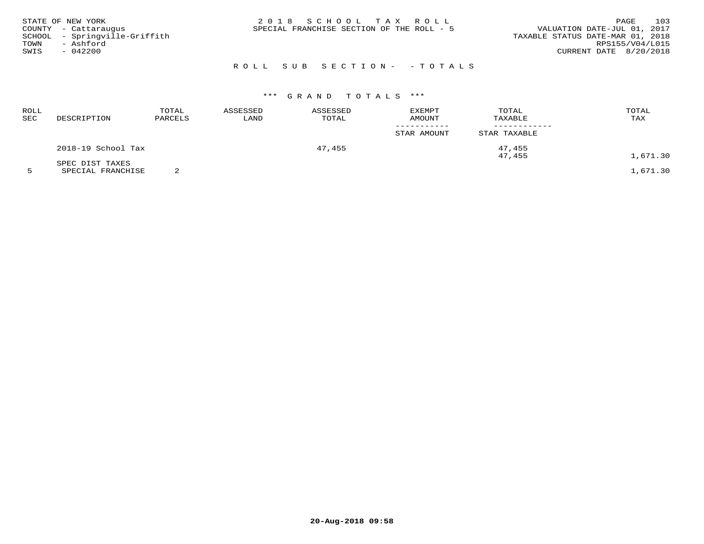| STATE OF NEW YORK<br>COUNTY - Cattaraugus<br>SCHOOL - Springville-Griffith<br>TOWN<br>- Ashford<br>SWIS<br>$-042200$ | 2018 SCHOOL TAX ROLL<br>SPECIAL FRANCHISE SECTION OF THE ROLL - 5 | 103<br>PAGE<br>VALUATION DATE-JUL 01, 2017<br>TAXABLE STATUS DATE-MAR 01, 2018<br>RPS155/V04/L015<br>CURRENT DATE 8/20/2018 |
|----------------------------------------------------------------------------------------------------------------------|-------------------------------------------------------------------|-----------------------------------------------------------------------------------------------------------------------------|
|                                                                                                                      | ROLL SUB SECTION- - TOTALS                                        |                                                                                                                             |

# \*\*\* G R A N D T O T A L S \*\*\*

| DESCRIPTION        | TOTAL<br>PARCELS | ASSESSED<br>LAND | ASSESSED<br>TOTAL | <b>EXEMPT</b><br><b>AMOUNT</b> | TOTAL<br>TAXABLE | TOTAL<br>TAX |
|--------------------|------------------|------------------|-------------------|--------------------------------|------------------|--------------|
|                    |                  |                  |                   | STAR AMOUNT                    | STAR TAXABLE     |              |
| 2018-19 School Tax |                  |                  | 47,455            |                                | 47,455           | 1,671.30     |
| SPEC DIST TAXES    |                  |                  |                   |                                |                  |              |
|                    |                  |                  |                   |                                |                  | 47,455       |

**20-Aug-2018 09:58**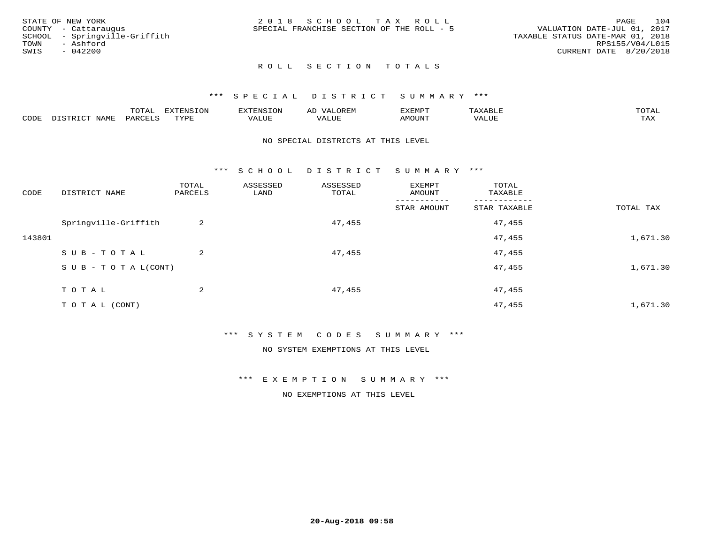| STATE OF NEW YORK             | 2018 SCHOOL TAX ROLL                      | 104<br>PAGE                      |
|-------------------------------|-------------------------------------------|----------------------------------|
| COUNTY - Cattaraugus          | SPECIAL FRANCHISE SECTION OF THE ROLL - 5 | VALUATION DATE-JUL 01, 2017      |
| SCHOOL - Springville-Griffith |                                           | TAXABLE STATUS DATE-MAR 01, 2018 |
| TOWN<br>- Ashford             |                                           | RPS155/V04/L015                  |
| SWIS<br>$-042200$             |                                           | CURRENT DATE 8/20/2018           |
|                               |                                           |                                  |

## ROLL SECTION TOTALS

#### \*\*\* S P E C I A L D I S T R I C T S U M M A R Y \*\*\*

|      |                                | mom n<br>L∪IAL   | <b>DIZPOIATO TOMT</b><br>LUN | -----------<br>י ו יו   | AD<br>URLIV  | $\ldots$<br>″ –<br>. ۱٬۱۳۰٬۰۰۰ | max                  | $m \wedge m \wedge n$ |
|------|--------------------------------|------------------|------------------------------|-------------------------|--------------|--------------------------------|----------------------|-----------------------|
| CODE | $ -$<br><b>NAM<sup>T</sup></b> | PAR <sub>U</sub> | TVDF                         | $- - - -$<br>$A \cup P$ | ----<br>ALUF | IMOUNT                         | $   -$<br>$\sqrt{A}$ | $m \times r$<br>- −-  |

#### NO SPECIAL DISTRICTS AT THIS LEVEL

\*\*\* S C H O O L D I S T R I C T S U M M A R Y \*\*\*

| CODE   | DISTRICT NAME                    | TOTAL<br>PARCELS | ASSESSED<br>LAND | ASSESSED<br>TOTAL | EXEMPT<br>AMOUNT | TOTAL<br>TAXABLE |           |
|--------|----------------------------------|------------------|------------------|-------------------|------------------|------------------|-----------|
|        |                                  |                  |                  |                   | STAR AMOUNT      | STAR TAXABLE     | TOTAL TAX |
|        | Springville-Griffith             | 2                |                  | 47,455            |                  | 47,455           |           |
| 143801 |                                  |                  |                  |                   |                  | 47,455           | 1,671.30  |
|        | SUB-TOTAL                        | $\overline{2}$   |                  | 47,455            |                  | 47,455           |           |
|        | $S \cup B - T \cup T A L (CONT)$ |                  |                  |                   |                  | 47,455           | 1,671.30  |
|        | TOTAL                            | 2                |                  | 47,455            |                  | 47,455           |           |
|        | T O T A L (CONT)                 |                  |                  |                   |                  | 47,455           | 1,671.30  |

\*\*\* S Y S T E M C O D E S S U M M A R Y \*\*\*

NO SYSTEM EXEMPTIONS AT THIS LEVEL

\*\*\* E X E M P T I O N S U M M A R Y \*\*\*

NO EXEMPTIONS AT THIS LEVEL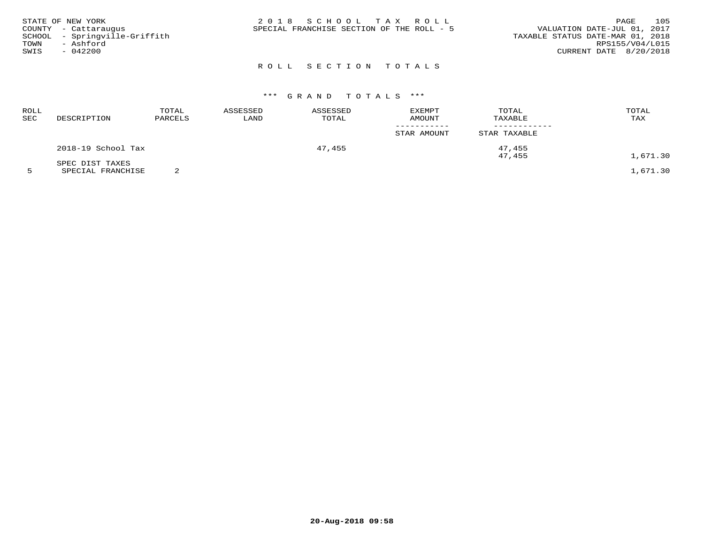| 2018 SCHOOL TAX ROLL<br>SPECIAL FRANCHISE SECTION OF THE ROLL - 5 | 105<br>PAGE<br>VALUATION DATE-JUL 01, 2017<br>TAXABLE STATUS DATE-MAR 01, 2018<br>RPS155/V04/L015<br>CURRENT DATE 8/20/2018 |
|-------------------------------------------------------------------|-----------------------------------------------------------------------------------------------------------------------------|
|                                                                   |                                                                                                                             |
|                                                                   |                                                                                                                             |

# ROLL SECTION TOTALS

# \*\*\* G R A N D T O T A L S \*\*\*

| ROLL<br>SEC | DESCRIPTION        | TOTAL<br>PARCELS | ASSESSED<br>LAND | ASSESSED<br>TOTAL | EXEMPT<br>AMOUNT | TOTAL<br>TAXABLE | TOTAL<br>TAX                                                                                                                |
|-------------|--------------------|------------------|------------------|-------------------|------------------|------------------|-----------------------------------------------------------------------------------------------------------------------------|
|             |                    |                  |                  |                   | STAR AMOUNT      | STAR TAXABLE     |                                                                                                                             |
|             | 2018-19 School Tax |                  |                  | 47,455            |                  | 47,455           |                                                                                                                             |
|             | SPEC DIST TAXES    |                  |                  |                   |                  | 47,455           | 1,671.30<br>the contract of the contract of the contract of the contract of the contract of the contract of the contract of |

5 SPECIAL FRANCHISE 2 1,671.30

**20-Aug-2018 09:58**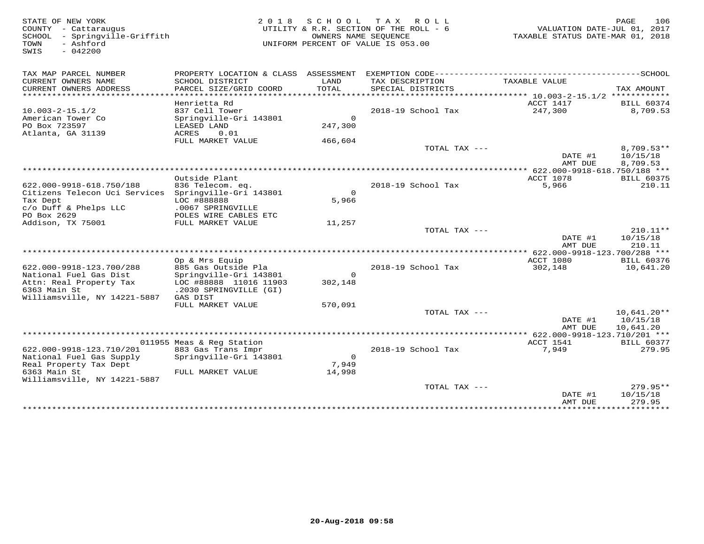| STATE OF NEW YORK<br>COUNTY - Cattaraugus<br>- Springville-Griffith<br>SCHOOL<br>- Ashford<br>TOWN<br>$-042200$<br>SWIS | 2 0 1 8                                                             |                               | SCHOOL TAX ROLL<br>UTILITY & R.R. SECTION OF THE ROLL - 6<br>OWNERS NAME SEQUENCE<br>UNIFORM PERCENT OF VALUE IS 053.00 | VALUATION DATE-JUL 01, 2017<br>TAXABLE STATUS DATE-MAR 01, 2018 | PAGE<br>106                   |
|-------------------------------------------------------------------------------------------------------------------------|---------------------------------------------------------------------|-------------------------------|-------------------------------------------------------------------------------------------------------------------------|-----------------------------------------------------------------|-------------------------------|
| TAX MAP PARCEL NUMBER                                                                                                   |                                                                     |                               |                                                                                                                         |                                                                 |                               |
| CURRENT OWNERS NAME<br>CURRENT OWNERS ADDRESS<br>*********************                                                  | SCHOOL DISTRICT<br>PARCEL SIZE/GRID COORD<br>********************** | LAND<br>TOTAL<br>************ | TAX DESCRIPTION<br>SPECIAL DISTRICTS                                                                                    | TAXABLE VALUE                                                   | TAX AMOUNT                    |
|                                                                                                                         |                                                                     |                               |                                                                                                                         |                                                                 |                               |
| $10.003 - 2 - 15.1/2$                                                                                                   | Henrietta Rd<br>837 Cell Tower                                      |                               | 2018-19 School Tax                                                                                                      | ACCT 1417<br>247,300                                            | <b>BILL 60374</b><br>8,709.53 |
| American Tower Co                                                                                                       | Springville-Gri 143801                                              | $\Omega$                      |                                                                                                                         |                                                                 |                               |
| PO Box 723597                                                                                                           | LEASED LAND                                                         | 247,300                       |                                                                                                                         |                                                                 |                               |
| Atlanta, GA 31139                                                                                                       | 0.01<br>ACRES                                                       |                               |                                                                                                                         |                                                                 |                               |
|                                                                                                                         | FULL MARKET VALUE                                                   | 466,604                       |                                                                                                                         |                                                                 |                               |
|                                                                                                                         |                                                                     |                               | TOTAL TAX ---                                                                                                           |                                                                 | 8,709.53**                    |
|                                                                                                                         |                                                                     |                               |                                                                                                                         | DATE #1<br>AMT DUE                                              | 10/15/18<br>8,709.53          |
|                                                                                                                         |                                                                     |                               |                                                                                                                         | ************** 622.000-9918-618.750/188 ***                     |                               |
|                                                                                                                         | Outside Plant                                                       |                               |                                                                                                                         | ACCT 1078                                                       | <b>BILL 60375</b>             |
| 622.000-9918-618.750/188                                                                                                | 836 Telecom. eq.                                                    |                               | 2018-19 School Tax                                                                                                      | 5,966                                                           | 210.11                        |
| Citizens Telecon Uci Services Springville-Gri 143801                                                                    |                                                                     | $\Omega$                      |                                                                                                                         |                                                                 |                               |
| Tax Dept                                                                                                                | LOC #888888                                                         | 5,966                         |                                                                                                                         |                                                                 |                               |
| c/o Duff & Phelps LLC                                                                                                   | .0067 SPRINGVILLE                                                   |                               |                                                                                                                         |                                                                 |                               |
| PO Box 2629<br>Addison, TX 75001                                                                                        | POLES WIRE CABLES ETC<br>FULL MARKET VALUE                          | 11,257                        |                                                                                                                         |                                                                 |                               |
|                                                                                                                         |                                                                     |                               | TOTAL TAX ---                                                                                                           |                                                                 | 210.11**                      |
|                                                                                                                         |                                                                     |                               |                                                                                                                         | DATE #1                                                         | 10/15/18                      |
|                                                                                                                         |                                                                     |                               |                                                                                                                         | AMT DUE                                                         | 210.11                        |
| ******************************                                                                                          |                                                                     |                               |                                                                                                                         |                                                                 |                               |
|                                                                                                                         | Op & Mrs Equip                                                      |                               |                                                                                                                         | ACCT 1080                                                       | <b>BILL 60376</b>             |
| 622.000-9918-123.700/288                                                                                                | 885 Gas Outside Pla                                                 |                               | 2018-19 School Tax                                                                                                      | 302,148                                                         | 10,641.20                     |
| National Fuel Gas Dist                                                                                                  | Springville-Gri 143801                                              | $\mathsf{O}$                  |                                                                                                                         |                                                                 |                               |
| Attn: Real Property Tax                                                                                                 | LOC #88888 11016 11903                                              | 302,148                       |                                                                                                                         |                                                                 |                               |
| 6363 Main St                                                                                                            | .2030 SPRINGVILLE (GI)                                              |                               |                                                                                                                         |                                                                 |                               |
| Williamsville, NY 14221-5887                                                                                            | GAS DIST<br>FULL MARKET VALUE                                       | 570,091                       |                                                                                                                         |                                                                 |                               |
|                                                                                                                         |                                                                     |                               | TOTAL TAX $---$                                                                                                         |                                                                 | $10,641.20**$                 |
|                                                                                                                         |                                                                     |                               |                                                                                                                         | DATE #1                                                         | 10/15/18                      |
|                                                                                                                         |                                                                     |                               |                                                                                                                         | AMT DUE                                                         | 10,641.20                     |
|                                                                                                                         |                                                                     |                               |                                                                                                                         |                                                                 |                               |
|                                                                                                                         | 011955 Meas & Reg Station                                           |                               |                                                                                                                         | ACCT 1541                                                       | <b>BILL 60377</b>             |
| 622.000-9918-123.710/201                                                                                                | 883 Gas Trans Impr                                                  |                               | 2018-19 School Tax                                                                                                      | 7,949                                                           | 279.95                        |
| National Fuel Gas Supply                                                                                                | Springville-Gri 143801                                              | $\overline{0}$                |                                                                                                                         |                                                                 |                               |
| Real Property Tax Dept                                                                                                  |                                                                     | 7,949                         |                                                                                                                         |                                                                 |                               |
| 6363 Main St                                                                                                            | FULL MARKET VALUE                                                   | 14,998                        |                                                                                                                         |                                                                 |                               |
| Williamsville, NY 14221-5887                                                                                            |                                                                     |                               | TOTAL TAX $---$                                                                                                         |                                                                 | $279.95**$                    |
|                                                                                                                         |                                                                     |                               |                                                                                                                         | DATE #1                                                         | 10/15/18                      |
|                                                                                                                         |                                                                     |                               |                                                                                                                         | AMT DUE                                                         | 279.95                        |
|                                                                                                                         |                                                                     |                               |                                                                                                                         | ***************                                                 | **********                    |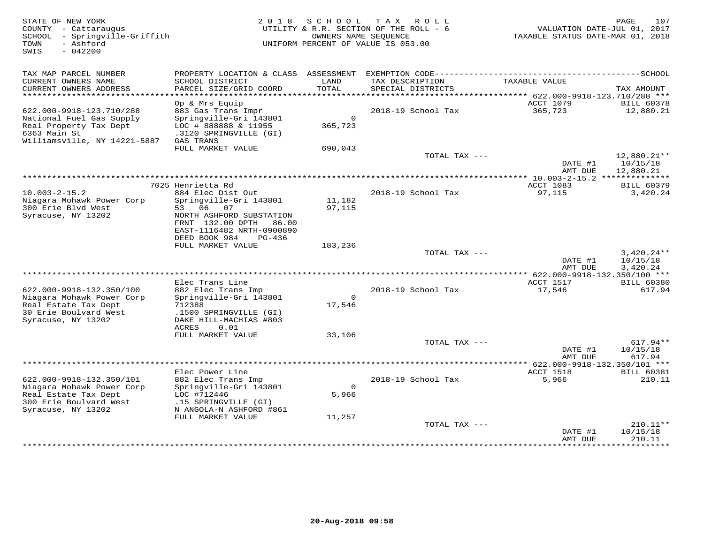| STATE OF NEW YORK<br>COUNTY - Cattaraugus<br>SCHOOL<br>- Springville-Griffith<br>- Ashford<br>TOWN<br>$-042200$<br>SWIS        | 2 0 1 8                                                                                                                                                               | SCHOOL                     | T A X<br>ROLL<br>UTILITY & R.R. SECTION OF THE ROLL - 6<br>OWNERS NAME SEQUENCE<br>UNIFORM PERCENT OF VALUE IS 053.00 | VALUATION DATE-JUL 01, 2017<br>TAXABLE STATUS DATE-MAR 01, 2018 | PAGE<br>107                          |
|--------------------------------------------------------------------------------------------------------------------------------|-----------------------------------------------------------------------------------------------------------------------------------------------------------------------|----------------------------|-----------------------------------------------------------------------------------------------------------------------|-----------------------------------------------------------------|--------------------------------------|
| TAX MAP PARCEL NUMBER<br>CURRENT OWNERS NAME<br>CURRENT OWNERS ADDRESS                                                         | SCHOOL DISTRICT<br>PARCEL SIZE/GRID COORD                                                                                                                             | LAND<br>TOTAL              | TAX DESCRIPTION<br>SPECIAL DISTRICTS                                                                                  | TAXABLE VALUE                                                   | TAX AMOUNT                           |
| ************************                                                                                                       |                                                                                                                                                                       |                            |                                                                                                                       |                                                                 |                                      |
| 622.000-9918-123.710/288<br>National Fuel Gas Supply<br>Real Property Tax Dept<br>6363 Main St<br>Williamsville, NY 14221-5887 | Op & Mrs Equip<br>883 Gas Trans Impr<br>Springville-Gri 143801<br>LOC # 888888 & 11955<br>.3120 SPRINGVILLE (GI)<br>GAS TRANS                                         | $\circ$<br>365,723         | 2018-19 School Tax                                                                                                    | ACCT 1079<br>365,723                                            | <b>BILL 60378</b><br>12,880.21       |
|                                                                                                                                | FULL MARKET VALUE                                                                                                                                                     | 690,043                    |                                                                                                                       |                                                                 |                                      |
|                                                                                                                                |                                                                                                                                                                       |                            | TOTAL TAX ---                                                                                                         | DATE #1                                                         | 12,880.21**<br>10/15/18              |
|                                                                                                                                |                                                                                                                                                                       |                            |                                                                                                                       | AMT DUE                                                         | 12,880.21                            |
|                                                                                                                                | 7025 Henrietta Rd                                                                                                                                                     |                            |                                                                                                                       | ACCT 1083                                                       | <b>BILL 60379</b>                    |
| $10.003 - 2 - 15.2$<br>Niagara Mohawk Power Corp<br>300 Erie Blvd West<br>Syracuse, NY 13202                                   | 884 Elec Dist Out<br>Springville-Gri 143801<br>53 06 07<br>NORTH ASHFORD SUBSTATION<br>FRNT 132.00 DPTH 86.00<br>EAST-1116482 NRTH-0900890<br>DEED BOOK 984<br>PG-436 | 11,182<br>97,115           | 2018-19 School Tax                                                                                                    | 97,115                                                          | 3,420.24                             |
|                                                                                                                                | FULL MARKET VALUE                                                                                                                                                     | 183,236                    |                                                                                                                       |                                                                 |                                      |
|                                                                                                                                |                                                                                                                                                                       |                            | TOTAL TAX ---                                                                                                         | DATE #1<br>AMT DUE                                              | $3,420.24**$<br>10/15/18<br>3,420.24 |
|                                                                                                                                |                                                                                                                                                                       |                            |                                                                                                                       | ACCT 1517                                                       |                                      |
| 622.000-9918-132.350/100<br>Niagara Mohawk Power Corp<br>Real Estate Tax Dept<br>30 Erie Boulvard West<br>Syracuse, NY 13202   | Elec Trans Line<br>882 Elec Trans Imp<br>Springville-Gri 143801<br>712388<br>.1500 SPRINGVILLE (GI)<br>DAKE HILL-MACHIAS #803<br>ACRES<br>0.01                        | $\circ$<br>17,546          | 2018-19 School Tax                                                                                                    | 17,546                                                          | <b>BILL 60380</b><br>617.94          |
|                                                                                                                                | FULL MARKET VALUE                                                                                                                                                     | 33,106                     |                                                                                                                       |                                                                 |                                      |
|                                                                                                                                |                                                                                                                                                                       |                            | TOTAL TAX ---                                                                                                         | DATE #1<br>AMT DUE                                              | $617.94**$<br>10/15/18<br>617.94     |
|                                                                                                                                |                                                                                                                                                                       |                            |                                                                                                                       |                                                                 |                                      |
| 622.000-9918-132.350/101<br>Niagara Mohawk Power Corp<br>Real Estate Tax Dept<br>300 Erie Boulvard West<br>Syracuse, NY 13202  | Elec Power Line<br>882 Elec Trans Imp<br>Springville-Gri 143801<br>LOC #712446<br>.15 SPRINGVILLE (GI)<br>N ANGOLA-N ASHFORD #861<br>FULL MARKET VALUE                | $\circ$<br>5,966<br>11,257 | 2018-19 School Tax                                                                                                    | ACCT 1518<br>5,966                                              | <b>BILL 60381</b><br>210.11          |
|                                                                                                                                |                                                                                                                                                                       |                            | TOTAL TAX ---                                                                                                         |                                                                 | 210.11**                             |
|                                                                                                                                |                                                                                                                                                                       |                            |                                                                                                                       | DATE #1<br>AMT DUE<br>*************                             | 10/15/18<br>210.11<br>*********      |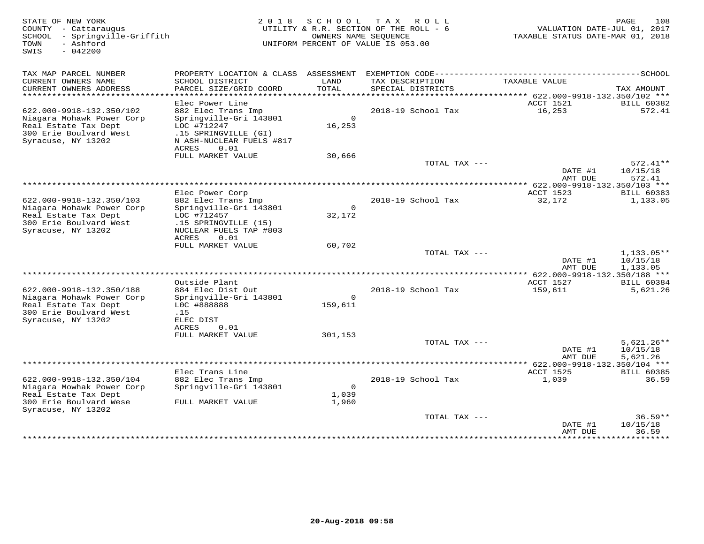| STATE OF NEW YORK<br>COUNTY - Cattaraugus<br>SCHOOL<br>- Springville-Griffith<br>- Ashford<br>TOWN<br>$-042200$<br>SWIS | 2 0 1 8                                                                    | SCHOOL<br>OWNERS NAME SEQUENCE | T A X<br>R O L L<br>UTILITY & R.R. SECTION OF THE ROLL - 6<br>UNIFORM PERCENT OF VALUE IS 053.00 | VALUATION DATE-JUL 01, 2017<br>TAXABLE STATUS DATE-MAR 01, 2018 | 108<br>PAGE            |
|-------------------------------------------------------------------------------------------------------------------------|----------------------------------------------------------------------------|--------------------------------|--------------------------------------------------------------------------------------------------|-----------------------------------------------------------------|------------------------|
| TAX MAP PARCEL NUMBER                                                                                                   | PROPERTY LOCATION & CLASS ASSESSMENT EXEMPTION CODE----------------------- |                                |                                                                                                  |                                                                 | ----------------SCHOOL |
| CURRENT OWNERS NAME<br>CURRENT OWNERS ADDRESS                                                                           | SCHOOL DISTRICT<br>PARCEL SIZE/GRID COORD                                  | LAND<br>TOTAL                  | TAX DESCRIPTION<br>SPECIAL DISTRICTS                                                             | TAXABLE VALUE                                                   | TAX AMOUNT             |
| *************************                                                                                               |                                                                            |                                |                                                                                                  |                                                                 |                        |
|                                                                                                                         | Elec Power Line                                                            |                                |                                                                                                  | ACCT 1521                                                       | <b>BILL 60382</b>      |
| 622.000-9918-132.350/102                                                                                                | 882 Elec Trans Imp                                                         | $\overline{0}$                 | 2018-19 School Tax                                                                               | 16,253                                                          | 572.41                 |
| Niagara Mohawk Power Corp<br>Real Estate Tax Dept                                                                       | Springville-Gri 143801<br>LOC #712247                                      | 16,253                         |                                                                                                  |                                                                 |                        |
| 300 Erie Boulvard West                                                                                                  | .15 SPRINGVILLE (GI)                                                       |                                |                                                                                                  |                                                                 |                        |
| Syracuse, NY 13202                                                                                                      | N ASH-NUCLEAR FUELS #817                                                   |                                |                                                                                                  |                                                                 |                        |
|                                                                                                                         | ACRES<br>0.01                                                              |                                |                                                                                                  |                                                                 |                        |
|                                                                                                                         | FULL MARKET VALUE                                                          | 30,666                         | TOTAL TAX ---                                                                                    |                                                                 | $572.41**$             |
|                                                                                                                         |                                                                            |                                |                                                                                                  | DATE #1                                                         | 10/15/18               |
| *****************************                                                                                           |                                                                            |                                |                                                                                                  | AMT DUE                                                         | 572.41                 |
|                                                                                                                         | Elec Power Corp                                                            |                                |                                                                                                  | ACCT 1523                                                       | <b>BILL 60383</b>      |
| 622.000-9918-132.350/103                                                                                                | 882 Elec Trans Imp                                                         |                                | 2018-19 School Tax                                                                               | 32,172                                                          | 1,133.05               |
| Niagara Mohawk Power Corp                                                                                               | Springville-Gri 143801                                                     | $\Omega$                       |                                                                                                  |                                                                 |                        |
| Real Estate Tax Dept                                                                                                    | LOC #712457                                                                | 32,172                         |                                                                                                  |                                                                 |                        |
| 300 Erie Boulvard West<br>Syracuse, NY 13202                                                                            | .15 SPRINGVILLE (15)<br>NUCLEAR FUELS TAP #803                             |                                |                                                                                                  |                                                                 |                        |
|                                                                                                                         | <b>ACRES</b><br>0.01                                                       |                                |                                                                                                  |                                                                 |                        |
|                                                                                                                         | FULL MARKET VALUE                                                          | 60,702                         |                                                                                                  |                                                                 |                        |
|                                                                                                                         |                                                                            |                                | TOTAL TAX ---                                                                                    |                                                                 | $1,133.05**$           |
|                                                                                                                         |                                                                            |                                |                                                                                                  | DATE #1<br>AMT DUE                                              | 10/15/18<br>1,133.05   |
|                                                                                                                         |                                                                            |                                |                                                                                                  | $***$ 622.000-9918-132.350/188 ***                              |                        |
|                                                                                                                         | Outside Plant                                                              |                                |                                                                                                  | ACCT 1527                                                       | <b>BILL 60384</b>      |
| 622.000-9918-132.350/188                                                                                                | 884 Elec Dist Out                                                          | $\circ$                        | 2018-19 School Tax                                                                               | 159,611                                                         | 5,621.26               |
| Niagara Mohawk Power Corp<br>Real Estate Tax Dept                                                                       | Springville-Gri 143801<br>LOC #888888                                      | 159,611                        |                                                                                                  |                                                                 |                        |
| 300 Erie Boulvard West                                                                                                  | .15                                                                        |                                |                                                                                                  |                                                                 |                        |
| Syracuse, NY 13202                                                                                                      | ELEC DIST                                                                  |                                |                                                                                                  |                                                                 |                        |
|                                                                                                                         | ACRES<br>0.01<br>FULL MARKET VALUE                                         | 301,153                        |                                                                                                  |                                                                 |                        |
|                                                                                                                         |                                                                            |                                | TOTAL TAX ---                                                                                    |                                                                 | $5,621.26**$           |
|                                                                                                                         |                                                                            |                                |                                                                                                  | DATE #1                                                         | 10/15/18               |
|                                                                                                                         |                                                                            |                                |                                                                                                  | AMT DUE                                                         | 5,621.26               |
|                                                                                                                         | Elec Trans Line                                                            |                                |                                                                                                  | ACCT 1525                                                       | <b>BILL 60385</b>      |
| 622.000-9918-132.350/104                                                                                                | 882 Elec Trans Imp                                                         |                                | 2018-19 School Tax                                                                               | 1,039                                                           | 36.59                  |
| Niagara Mowhak Power Corp                                                                                               | Springville-Gri 143801                                                     | $\circ$                        |                                                                                                  |                                                                 |                        |
| Real Estate Tax Dept                                                                                                    |                                                                            | 1,039                          |                                                                                                  |                                                                 |                        |
| 300 Erie Boulvard Wese<br>Syracuse, NY 13202                                                                            | FULL MARKET VALUE                                                          | 1,960                          |                                                                                                  |                                                                 |                        |
|                                                                                                                         |                                                                            |                                | TOTAL TAX ---                                                                                    |                                                                 | $36.59**$              |
|                                                                                                                         |                                                                            |                                |                                                                                                  | DATE #1                                                         | 10/15/18               |
|                                                                                                                         |                                                                            |                                |                                                                                                  | AMT DUE<br>**************                                       | 36.59<br>*********     |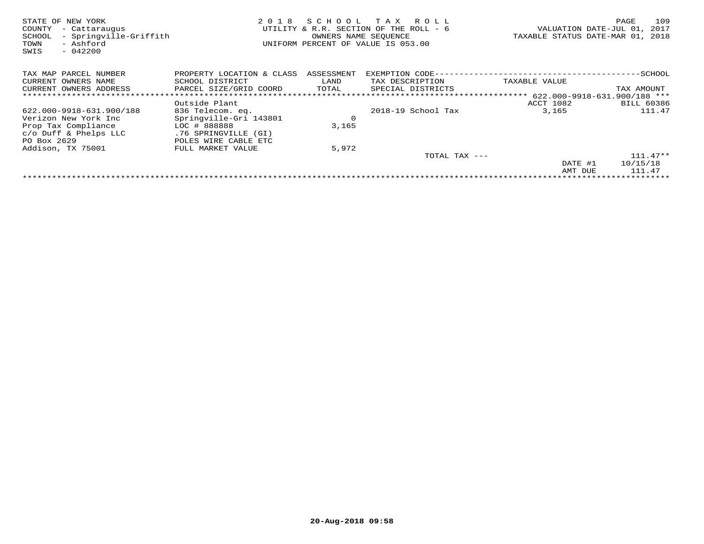| STATE OF NEW YORK<br>COUNTY<br>- Cattaraugus<br>- Springville-Griffith<br>SCHOOL<br>- Ashford<br>TOWN<br>SWIS<br>$-042200$ | 2 0 1 8                   | SCHOOL     | T A X<br>R O L L<br>UTILITY & R.R. SECTION OF THE ROLL - 6<br>OWNERS NAME SEQUENCE<br>UNIFORM PERCENT OF VALUE IS 053.00 | VALUATION DATE-JUL 01,<br>TAXABLE STATUS DATE-MAR 01, 2018 | 109<br>PAGE<br>2017          |
|----------------------------------------------------------------------------------------------------------------------------|---------------------------|------------|--------------------------------------------------------------------------------------------------------------------------|------------------------------------------------------------|------------------------------|
| TAX MAP PARCEL NUMBER                                                                                                      | PROPERTY LOCATION & CLASS | ASSESSMENT | EXEMPTION CODE-                                                                                                          |                                                            | -SCHOOL                      |
| OWNERS NAME<br>CURRENT                                                                                                     | SCHOOL DISTRICT           | LAND       | TAX DESCRIPTION                                                                                                          | TAXABLE VALUE                                              |                              |
| CURRENT OWNERS ADDRESS                                                                                                     | PARCEL SIZE/GRID COORD    | TOTAL      | SPECIAL DISTRICTS                                                                                                        |                                                            | TAX AMOUNT                   |
|                                                                                                                            |                           |            |                                                                                                                          |                                                            | 622.000-9918-631.900/188 *** |
|                                                                                                                            | Outside Plant             |            |                                                                                                                          | ACCT 1082                                                  | <b>BILL 60386</b>            |
| 622.000-9918-631.900/188                                                                                                   | 836 Telecom. eq.          |            | 2018-19 School Tax                                                                                                       | 3,165                                                      | 111.47                       |
| Verizon New York Inc                                                                                                       | Springville-Gri 143801    | $\circ$    |                                                                                                                          |                                                            |                              |
| Prop Tax Compliance                                                                                                        | LOC # 888888              | 3,165      |                                                                                                                          |                                                            |                              |
| $c/O$ Duff & Phelps LLC                                                                                                    | .76 SPRINGVILLE (GI)      |            |                                                                                                                          |                                                            |                              |
| PO Box 2629                                                                                                                | POLES WIRE CABLE ETC      |            |                                                                                                                          |                                                            |                              |
| Addison, TX 75001                                                                                                          | FULL MARKET VALUE         | 5,972      |                                                                                                                          |                                                            |                              |
|                                                                                                                            |                           |            | TOTAL TAX ---                                                                                                            |                                                            | $111.47**$                   |
|                                                                                                                            |                           |            |                                                                                                                          | DATE #1                                                    | 10/15/18                     |
|                                                                                                                            |                           |            |                                                                                                                          | AMT DUE                                                    | 111.47                       |
|                                                                                                                            |                           |            |                                                                                                                          |                                                            |                              |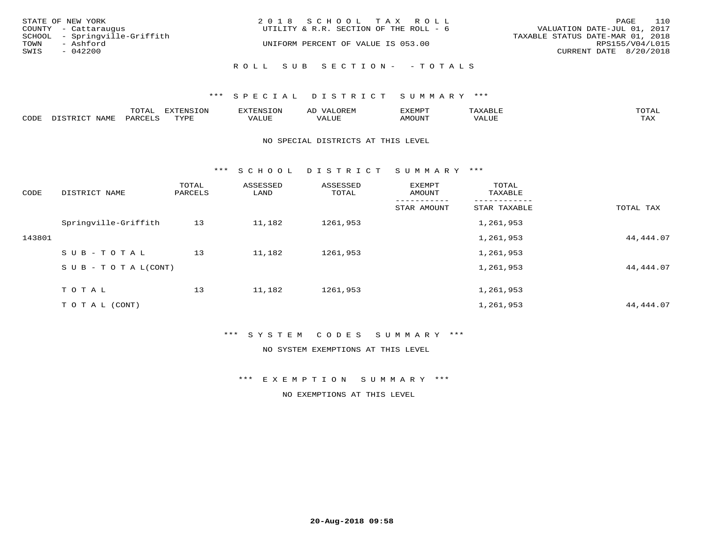| STATE OF NEW YORK<br>COUNTY - Cattaraugus          | 2018 SCHOOL TAX ROLL<br>UTILITY & R.R. SECTION OF THE ROLL - 6 | 110<br>PAGE<br>VALUATION DATE-JUL 01, 2017          |
|----------------------------------------------------|----------------------------------------------------------------|-----------------------------------------------------|
| SCHOOL - Springville-Griffith<br>TOWN<br>- Ashford | UNIFORM PERCENT OF VALUE IS 053.00                             | TAXABLE STATUS DATE-MAR 01, 2018<br>RPS155/V04/L015 |
| SWIS<br>$-042200$                                  |                                                                | CURRENT DATE 8/20/2018                              |
|                                                    | ROLL SUB SECTION- - TOTALS                                     |                                                     |

## \*\*\* SPECIAL DISTRICT SUMMARY \*\*\*

|      |      | $m \wedge m \wedge n$<br>◡∸ғ | TON                              | . HUNY              | AĽ                  | ے ا      |       | $m \wedge m \wedge n$ |
|------|------|------------------------------|----------------------------------|---------------------|---------------------|----------|-------|-----------------------|
| CODE | NAMF | 'AK                          | $m \times r \times r$<br>- - - - | T T T<br>اللالمستحم | - ---<br>اللالمستعم | 57077375 | VALUF | $m \times r$<br>- −-  |

#### NO SPECIAL DISTRICTS AT THIS LEVEL

\*\*\* S C H O O L D I S T R I C T S U M M A R Y \*\*\*

| CODE   | DISTRICT NAME                    | TOTAL<br>PARCELS | ASSESSED<br>LAND | ASSESSED<br>TOTAL | EXEMPT<br>AMOUNT | TOTAL<br>TAXABLE |            |
|--------|----------------------------------|------------------|------------------|-------------------|------------------|------------------|------------|
|        |                                  |                  |                  |                   | STAR AMOUNT      | STAR TAXABLE     | TOTAL TAX  |
|        | Springville-Griffith             | 13               | 11,182           | 1261,953          |                  | 1,261,953        |            |
| 143801 |                                  |                  |                  |                   |                  | 1,261,953        | 44,444.07  |
|        | SUB-TOTAL                        | 13               | 11,182           | 1261,953          |                  | 1,261,953        |            |
|        | $S \cup B - T \cup T A L (CONT)$ |                  |                  |                   |                  | 1,261,953        | 44,444.07  |
|        | TOTAL                            | 13               | 11,182           | 1261,953          |                  | 1,261,953        |            |
|        | T O T A L (CONT)                 |                  |                  |                   |                  | 1,261,953        | 44, 444.07 |

# \*\*\* S Y S T E M C O D E S S U M M A R Y \*\*\*

NO SYSTEM EXEMPTIONS AT THIS LEVEL

\*\*\* E X E M P T I O N S U M M A R Y \*\*\*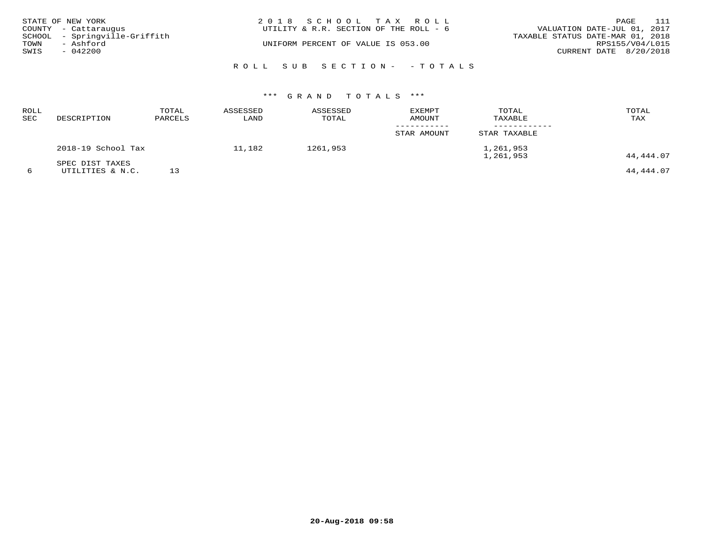|      | STATE OF NEW YORK<br>COUNTY - Cattaraugus  | 2018 SCHOOL TAX ROLL<br>UTILITY & R.R. SECTION OF THE ROLL - 6 | 111<br>PAGE<br>VALUATION DATE-JUL 01, 2017          |
|------|--------------------------------------------|----------------------------------------------------------------|-----------------------------------------------------|
| TOWN | SCHOOL - Springville-Griffith<br>- Ashford | UNIFORM PERCENT OF VALUE IS 053.00                             | TAXABLE STATUS DATE-MAR 01, 2018<br>RPS155/V04/L015 |
| SWIS | $-042200$                                  |                                                                | CURRENT DATE 8/20/2018                              |
|      |                                            | ROLL SUB SECTION- - TOTALS                                     |                                                     |

| ROLL<br><b>SEC</b> | DESCRIPTION                         | TOTAL<br>PARCELS | ASSESSED<br>LAND | ASSESSED<br>TOTAL | <b>EXEMPT</b><br>AMOUNT | TOTAL<br>TAXABLE       | TOTAL<br>TAX |
|--------------------|-------------------------------------|------------------|------------------|-------------------|-------------------------|------------------------|--------------|
|                    |                                     |                  |                  |                   | STAR AMOUNT             | STAR TAXABLE           |              |
|                    | 2018-19 School Tax                  |                  | 11,182           | 1261,953          |                         | 1,261,953<br>1,261,953 | 44,444.07    |
|                    | SPEC DIST TAXES<br>UTILITIES & N.C. | 13               |                  |                   |                         |                        | 44,444.07    |

**20-Aug-2018 09:58**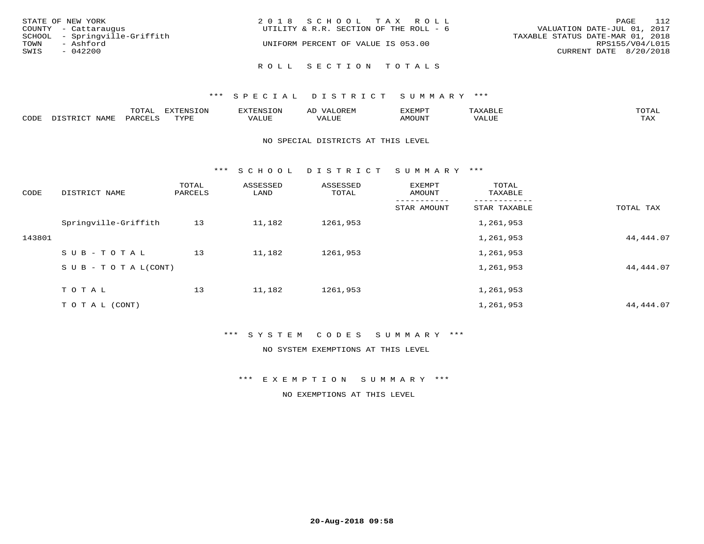| STATE OF NEW YORK             | 2018 SCHOOL TAX ROLL                   | 112<br>PAGE                      |
|-------------------------------|----------------------------------------|----------------------------------|
| COUNTY - Cattaraugus          | UTILITY & R.R. SECTION OF THE ROLL - 6 | VALUATION DATE-JUL 01, 2017      |
| SCHOOL - Springville-Griffith |                                        | TAXABLE STATUS DATE-MAR 01, 2018 |
| TOWN<br>- Ashford             | UNIFORM PERCENT OF VALUE IS 053.00     | RPS155/V04/L015                  |
| SWIS<br>$-042200$             |                                        | CURRENT DATE 8/20/2018           |
|                               | ROLL SECTION TOTALS                    |                                  |

|      |      | mom n<br>-777 | pszmpato<br>$ \sim$ $\sim$<br>-UP | AL.         | ,,, <del>,</del> ,,, <del>,</del> ,<br>້ |                         | $m \wedge m \wedge n$ |
|------|------|---------------|-----------------------------------|-------------|------------------------------------------|-------------------------|-----------------------|
| CODE | ⊥'⊥⊥ | PARO          | TVDF                              | ۳۰ تا سند د | <b>MOTTNT</b>                            | - ---<br>$'$ $\Delta$ . | $m \times r$<br>- −-  |

### NO SPECIAL DISTRICTS AT THIS LEVEL

\*\*\* S C H O O L D I S T R I C T S U M M A R Y \*\*\*

| CODE   | DISTRICT NAME                    | TOTAL<br>PARCELS | ASSESSED<br>LAND | ASSESSED<br>TOTAL | EXEMPT<br>AMOUNT | TOTAL<br>TAXABLE |            |
|--------|----------------------------------|------------------|------------------|-------------------|------------------|------------------|------------|
|        |                                  |                  |                  |                   | STAR AMOUNT      | STAR TAXABLE     | TOTAL TAX  |
|        | Springville-Griffith             | 13               | 11,182           | 1261,953          |                  | 1,261,953        |            |
| 143801 |                                  |                  |                  |                   |                  | 1,261,953        | 44,444.07  |
|        | SUB-TOTAL                        | 13               | 11,182           | 1261,953          |                  | 1,261,953        |            |
|        | $S \cup B - T \cup T A L (CONT)$ |                  |                  |                   |                  | 1,261,953        | 44,444.07  |
|        | TOTAL                            | 13               | 11,182           | 1261,953          |                  | 1,261,953        |            |
|        | T O T A L (CONT)                 |                  |                  |                   |                  | 1,261,953        | 44, 444.07 |

# \*\*\* S Y S T E M C O D E S S U M M A R Y \*\*\*

NO SYSTEM EXEMPTIONS AT THIS LEVEL

\*\*\* E X E M P T I O N S U M M A R Y \*\*\*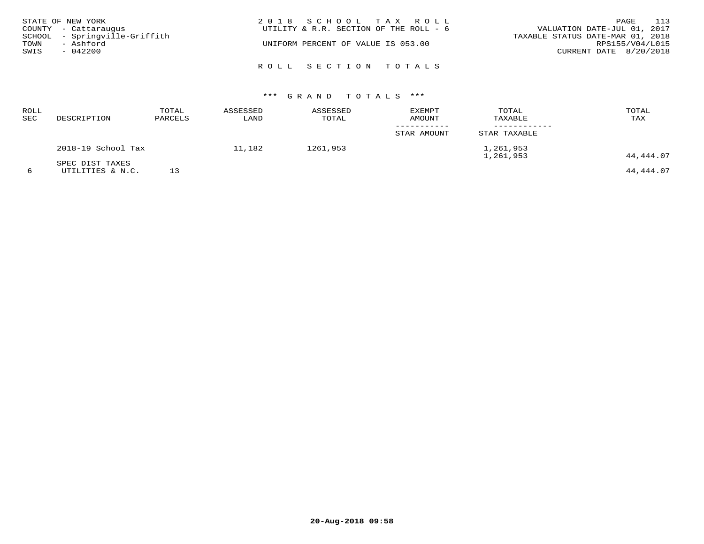|      | STATE OF NEW YORK                                     | 2018 SCHOOL TAX ROLL                   | 113<br>PAGE                                                     |
|------|-------------------------------------------------------|----------------------------------------|-----------------------------------------------------------------|
|      | COUNTY - Cattaraugus<br>SCHOOL - Springville-Griffith | UTILITY & R.R. SECTION OF THE ROLL - 6 | VALUATION DATE-JUL 01, 2017<br>TAXABLE STATUS DATE-MAR 01, 2018 |
| TOWN | - Ashford                                             | UNIFORM PERCENT OF VALUE IS 053.00     | RPS155/V04/L015                                                 |
| SWIS | $-042200$                                             |                                        | CURRENT DATE 8/20/2018                                          |
|      |                                                       | ROLL SECTION TOTALS                    |                                                                 |

| <b>ROLL</b><br><b>SEC</b> | DESCRIPTION                         | TOTAL<br>PARCELS | ASSESSED<br>LAND | ASSESSED<br>TOTAL | <b>EXEMPT</b><br><b>AMOUNT</b> | TOTAL<br>TAXABLE       | TOTAL<br>TAX |
|---------------------------|-------------------------------------|------------------|------------------|-------------------|--------------------------------|------------------------|--------------|
|                           |                                     |                  |                  |                   | STAR AMOUNT                    | STAR TAXABLE           |              |
|                           | 2018-19 School Tax                  |                  | 11,182           | 1261,953          |                                | 1,261,953<br>1,261,953 | 44,444.07    |
|                           | SPEC DIST TAXES<br>UTILITIES & N.C. |                  |                  |                   |                                |                        | 44,444.07    |

**20-Aug-2018 09:58**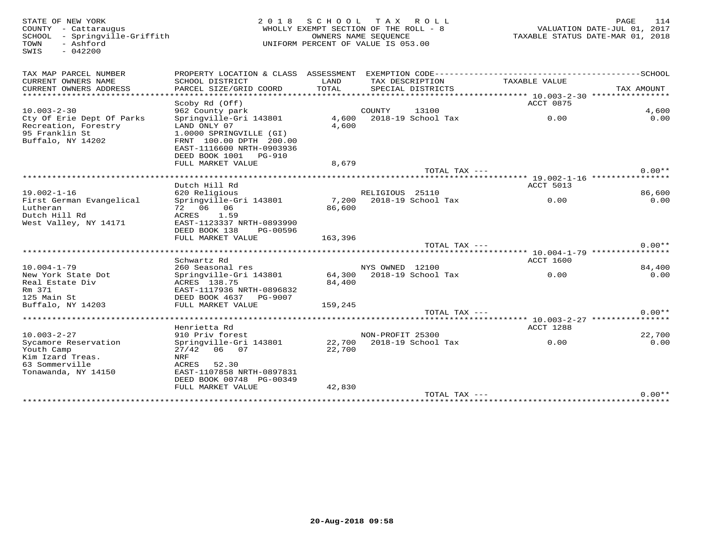SWIS - 042200

### STATE OF NEW YORK PURSE 114<br>
COUNTY - Cattaraugus and the country - Cattaraugus and the country - Cattaraugus and the country - Cattaraugu<br>
SCHOOL - Springville-Griffith And MHOLLY EXEMPT SECTION OF THE ROLL - 8<br>
TAXABLE S WHOLLY EXEMPT SECTION OF THE ROLL - 8 SCHOOL - Springville-Griffith OWNERS NAME SEQUENCE TAXABLE STATUS DATE-MAR 01, 2018UNIFORM PERCENT OF VALUE IS 053.00

| TAX MAP PARCEL NUMBER        | PROPERTY LOCATION & CLASS ASSESSMENT |         |                  | EXEMPTION CODE------------- |                  | --------------SCHOOL |
|------------------------------|--------------------------------------|---------|------------------|-----------------------------|------------------|----------------------|
| CURRENT OWNERS NAME          | SCHOOL DISTRICT                      | LAND    | TAX DESCRIPTION  |                             | TAXABLE VALUE    |                      |
| CURRENT OWNERS ADDRESS       | PARCEL SIZE/GRID COORD               | TOTAL   |                  | SPECIAL DISTRICTS           |                  | TAX AMOUNT           |
| *******************          | **********************               |         |                  |                             |                  |                      |
|                              | Scoby Rd (Off)                       |         |                  |                             | ACCT 0875        |                      |
| $10.003 - 2 - 30$            | 962 County park                      |         | COUNTY           | 13100                       |                  | 4,600                |
| Cty Of Erie Dept Of Parks    | Springville-Gri 143801               | 4,600   |                  | 2018-19 School Tax          | 0.00             | 0.00                 |
| Recreation, Forestry         | LAND ONLY 07                         | 4,600   |                  |                             |                  |                      |
| 95 Franklin St               | 1.0000 SPRINGVILLE (GI)              |         |                  |                             |                  |                      |
| Buffalo, NY 14202            | FRNT 100.00 DPTH 200.00              |         |                  |                             |                  |                      |
|                              | EAST-1116600 NRTH-0903936            |         |                  |                             |                  |                      |
|                              | DEED BOOK 1001<br><b>PG-910</b>      |         |                  |                             |                  |                      |
|                              | FULL MARKET VALUE                    | 8,679   |                  |                             |                  |                      |
|                              |                                      |         |                  | TOTAL TAX ---               |                  | $0.00**$             |
|                              | *********************************    |         |                  |                             |                  |                      |
|                              | Dutch Hill Rd                        |         |                  |                             | ACCT 5013        |                      |
| $19.002 - 1 - 16$            | 620 Religious                        |         | RELIGIOUS 25110  |                             |                  | 86,600               |
| First German Evangelical     | Springville-Gri 143801               | 7,200   |                  | 2018-19 School Tax          | 0.00             | 0.00                 |
| Lutheran                     | 72 06 06                             | 86,600  |                  |                             |                  |                      |
| Dutch Hill Rd                | ACRES<br>1.59                        |         |                  |                             |                  |                      |
| West Valley, NY 14171        | EAST-1123337 NRTH-0893990            |         |                  |                             |                  |                      |
|                              | DEED BOOK 138<br>PG-00596            |         |                  |                             |                  |                      |
|                              | FULL MARKET VALUE                    | 163,396 |                  | TOTAL TAX $---$             |                  | $0.00**$             |
| **************************** |                                      |         |                  |                             |                  |                      |
|                              | Schwartz Rd                          |         |                  |                             | <b>ACCT 1600</b> |                      |
| $10.004 - 1 - 79$            | 260 Seasonal res                     |         | NYS OWNED 12100  |                             |                  | 84,400               |
| New York State Dot           | Springville-Gri 143801               | 64,300  |                  | 2018-19 School Tax          | 0.00             | 0.00                 |
| Real Estate Div              | ACRES 138.75                         | 84,400  |                  |                             |                  |                      |
| Rm 371                       | EAST-1117936 NRTH-0896832            |         |                  |                             |                  |                      |
| 125 Main St                  | DEED BOOK 4637<br>PG-9007            |         |                  |                             |                  |                      |
| Buffalo, NY 14203            | FULL MARKET VALUE                    | 159,245 |                  |                             |                  |                      |
|                              |                                      |         |                  | TOTAL TAX ---               |                  | $0.00**$             |
|                              |                                      |         |                  |                             |                  |                      |
|                              | Henrietta Rd                         |         |                  |                             | ACCT 1288        |                      |
| $10.003 - 2 - 27$            | 910 Priv forest                      |         | NON-PROFIT 25300 |                             |                  | 22,700               |
| Sycamore Reservation         | Springville-Gri 143801               | 22,700  |                  | 2018-19 School Tax          | 0.00             | 0.00                 |
| Youth Camp                   | 27/42<br>06 07                       | 22,700  |                  |                             |                  |                      |
| Kim Izard Treas.             | NRF                                  |         |                  |                             |                  |                      |
| 63 Sommerville               | ACRES<br>52.30                       |         |                  |                             |                  |                      |
| Tonawanda, NY 14150          | EAST-1107858 NRTH-0897831            |         |                  |                             |                  |                      |
|                              | DEED BOOK 00748 PG-00349             |         |                  |                             |                  |                      |
|                              | FULL MARKET VALUE                    | 42,830  |                  |                             |                  |                      |
|                              |                                      |         |                  | TOTAL TAX ---               |                  | $0.00**$             |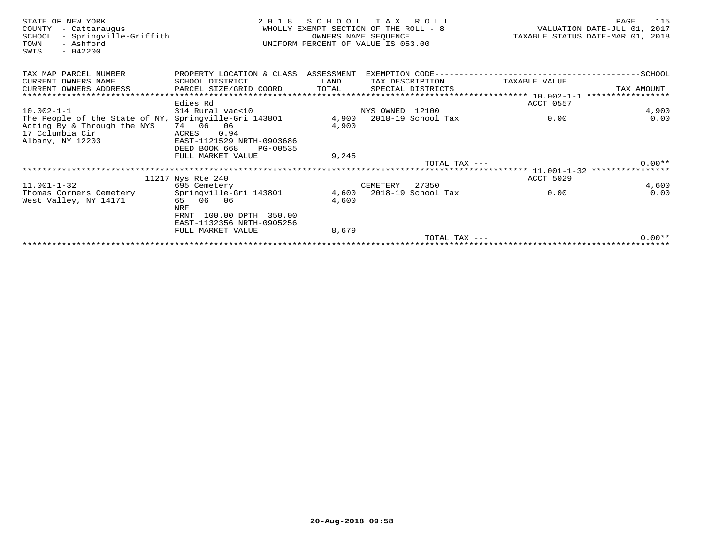| STATE OF NEW YORK<br>- Cattaraugus<br>COUNTY<br>- Springville-Griffith<br>SCHOOL<br>- Ashford<br>TOWN<br>$-042200$<br>SWIS | 2 0 1 8                              | SCHOOL TAX ROLL<br>WHOLLY EXEMPT SECTION OF THE ROLL - 8<br>UNIFORM PERCENT OF VALUE IS 053.00 | OWNERS NAME SEQUENCE |                          |                  | 115<br>PAGE<br>VALUATION DATE-JUL 01, 2017<br>TAXABLE STATUS DATE-MAR 01, 2018 |
|----------------------------------------------------------------------------------------------------------------------------|--------------------------------------|------------------------------------------------------------------------------------------------|----------------------|--------------------------|------------------|--------------------------------------------------------------------------------|
| TAX MAP PARCEL NUMBER                                                                                                      | PROPERTY LOCATION & CLASS ASSESSMENT |                                                                                                |                      |                          |                  |                                                                                |
| CURRENT OWNERS NAME                                                                                                        | SCHOOL DISTRICT                      | LAND                                                                                           |                      | TAX DESCRIPTION          | TAXABLE VALUE    |                                                                                |
| CURRENT OWNERS ADDRESS                                                                                                     | PARCEL SIZE/GRID COORD               | TOTAL                                                                                          |                      | SPECIAL DISTRICTS        |                  | TAX AMOUNT                                                                     |
|                                                                                                                            |                                      |                                                                                                |                      |                          |                  |                                                                                |
|                                                                                                                            | Edies Rd                             |                                                                                                |                      |                          | ACCT 0557        |                                                                                |
| $10.002 - 1 - 1$                                                                                                           | 314 Rural vac<10                     |                                                                                                | NYS OWNED 12100      |                          |                  | 4,900                                                                          |
| The People of the State of NY, Springville-Gri 143801<br>Acting By & Through the NYS                                       | 74 06 06                             | 4,900<br>4,900                                                                                 |                      | 2018-19 School Tax       | 0.00             | 0.00                                                                           |
| 17 Columbia Cir                                                                                                            | 0.94<br>ACRES                        |                                                                                                |                      |                          |                  |                                                                                |
| Albany, NY 12203                                                                                                           | EAST-1121529 NRTH-0903686            |                                                                                                |                      |                          |                  |                                                                                |
|                                                                                                                            | DEED BOOK 668<br>PG-00535            |                                                                                                |                      |                          |                  |                                                                                |
|                                                                                                                            | FULL MARKET VALUE                    | 9,245                                                                                          |                      |                          |                  |                                                                                |
|                                                                                                                            |                                      |                                                                                                |                      | TOTAL TAX $---$          |                  | $0.00**$                                                                       |
|                                                                                                                            |                                      |                                                                                                |                      |                          |                  |                                                                                |
|                                                                                                                            | 11217 Nys Rte 240                    |                                                                                                |                      |                          | <b>ACCT 5029</b> |                                                                                |
| $11.001 - 1 - 32$                                                                                                          | 695 Cemetery                         |                                                                                                | CEMETERY             | 27350                    |                  | 4,600                                                                          |
| Thomas Corners Cemetery                                                                                                    | Springville-Gri 143801               |                                                                                                |                      | 4,600 2018-19 School Tax | 0.00             | 0.00                                                                           |
| West Valley, NY 14171                                                                                                      | 65 06 06                             | 4,600                                                                                          |                      |                          |                  |                                                                                |
|                                                                                                                            | NRF                                  |                                                                                                |                      |                          |                  |                                                                                |
|                                                                                                                            | 100.00 DPTH 350.00<br>FRNT           |                                                                                                |                      |                          |                  |                                                                                |
|                                                                                                                            | EAST-1132356 NRTH-0905256            |                                                                                                |                      |                          |                  |                                                                                |
|                                                                                                                            | FULL MARKET VALUE                    | 8,679                                                                                          |                      |                          |                  |                                                                                |
|                                                                                                                            |                                      |                                                                                                |                      | TOTAL TAX $---$          |                  | $0.00**$                                                                       |
|                                                                                                                            |                                      |                                                                                                |                      |                          |                  |                                                                                |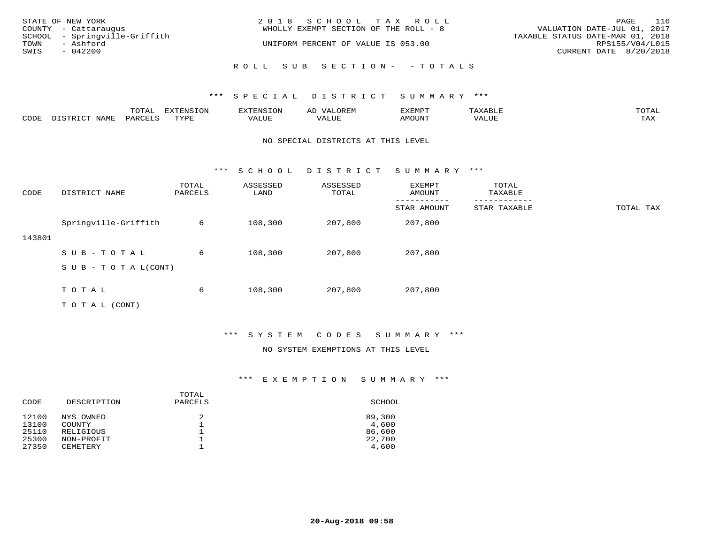|      | STATE OF NEW YORK             | 2018 SCHOOL TAX ROLL                  | 116<br>PAGE                      |
|------|-------------------------------|---------------------------------------|----------------------------------|
|      | COUNTY - Cattaraugus          | WHOLLY EXEMPT SECTION OF THE ROLL - 8 | VALUATION DATE-JUL 01, 2017      |
|      | SCHOOL - Springville-Griffith |                                       | TAXABLE STATUS DATE-MAR 01, 2018 |
| TOWN | - Ashford                     | UNIFORM PERCENT OF VALUE IS 053.00    | RPS155/V04/L015                  |
| SWIS | - 042200                      |                                       | CURRENT DATE 8/20/2018           |
|      |                               | ROLL SUB SECTION- - TOTALS            |                                  |

|      |      | ----<br>.U LAI | $T \cap N$<br>--- | ے۔ | רס אי הי     | .     | $m \wedge m \wedge$<br>$\sim$ |
|------|------|----------------|-------------------|----|--------------|-------|-------------------------------|
| CODE | NAME | UARCFT         | $m \tau \tau n$   |    | <b>MOUNT</b> | VALUE | max 37<br>⊥ ∠~∡∆              |

#### NO SPECIAL DISTRICTS AT THIS LEVEL

\*\*\* S C H O O L D I S T R I C T S U M M A R Y \*\*\*

| CODE   | DISTRICT NAME             | TOTAL<br>PARCELS | ASSESSED<br>LAND | ASSESSED<br>TOTAL | EXEMPT<br>AMOUNT | TOTAL<br>TAXABLE |           |
|--------|---------------------------|------------------|------------------|-------------------|------------------|------------------|-----------|
|        |                           |                  |                  |                   | STAR AMOUNT      | STAR TAXABLE     | TOTAL TAX |
|        | Springville-Griffith      | 6                | 108,300          | 207,800           | 207,800          |                  |           |
| 143801 |                           |                  |                  |                   |                  |                  |           |
|        | SUB-TOTAL                 | 6                | 108,300          | 207,800           | 207,800          |                  |           |
|        | S U B - T O T A $L(CONT)$ |                  |                  |                   |                  |                  |           |
|        |                           |                  |                  |                   |                  |                  |           |
|        | TOTAL                     | 6                | 108,300          | 207,800           | 207,800          |                  |           |
|        | T O T A L (CONT)          |                  |                  |                   |                  |                  |           |

\*\*\* S Y S T E M C O D E S S U M M A R Y \*\*\*

## NO SYSTEM EXEMPTIONS AT THIS LEVEL

## \*\*\* E X E M P T I O N S U M M A R Y \*\*\*

| DESCRIPTION            | TOTAL<br>PARCELS | SCHOOL          |
|------------------------|------------------|-----------------|
| NYS OWNED              | 2                | 89,300<br>4,600 |
| RELIGIOUS              |                  | 86,600          |
| NON-PROFIT<br>CEMETERY |                  | 22,700<br>4,600 |
|                        | COUNTY           |                 |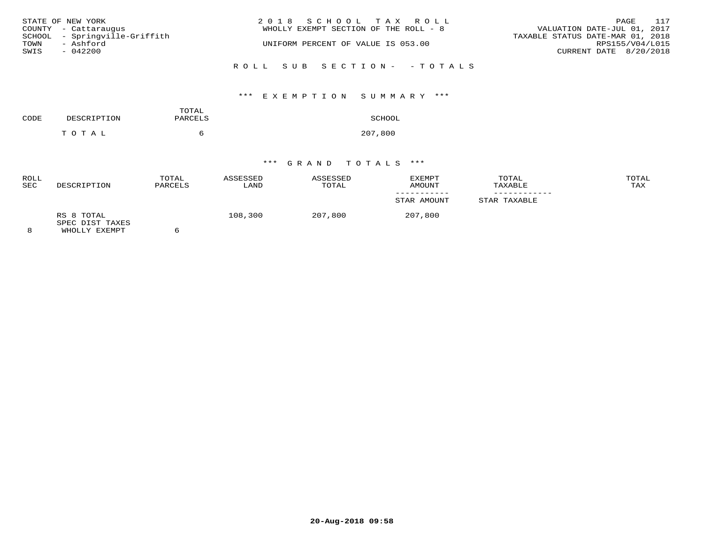| STATE OF NEW YORK<br>COUNTY - Cattaraugus                               | 2018 SCHOOL TAX ROLL<br>WHOLLY EXEMPT SECTION OF THE ROLL - 8 | 117<br>PAGE<br>VALUATION DATE-JUL 01, 2017                                    |
|-------------------------------------------------------------------------|---------------------------------------------------------------|-------------------------------------------------------------------------------|
| SCHOOL - Springville-Griffith<br>- Ashford<br>TOWN<br>SWIS<br>$-042200$ | UNIFORM PERCENT OF VALUE IS 053.00                            | TAXABLE STATUS DATE-MAR 01, 2018<br>RPS155/V04/L015<br>CURRENT DATE 8/20/2018 |
|                                                                         | ROLL SUB SECTION- - TOTALS                                    |                                                                               |

# \*\*\* E X E M P T I O N S U M M A R Y \*\*\*

| CODE | DESCRIPTION | TOTAL<br>PARCELS | SCHOOL  |
|------|-------------|------------------|---------|
|      | TOTAL       |                  | 207,800 |

| <b>ROLL</b><br><b>SEC</b> | DESCRIPTION                                    | TOTAL<br>PARCELS | ASSESSED<br>LAND | ASSESSED<br>TOTAL | EXEMPT<br>AMOUNT | TOTAL<br>TAXABLE | TOTAL<br>TAX |
|---------------------------|------------------------------------------------|------------------|------------------|-------------------|------------------|------------------|--------------|
|                           |                                                |                  |                  |                   | STAR AMOUNT      | STAR TAXABLE     |              |
| 8                         | RS 8 TOTAL<br>SPEC DIST TAXES<br>WHOLLY EXEMPT |                  | 108,300          | 207,800           | 207,800          |                  |              |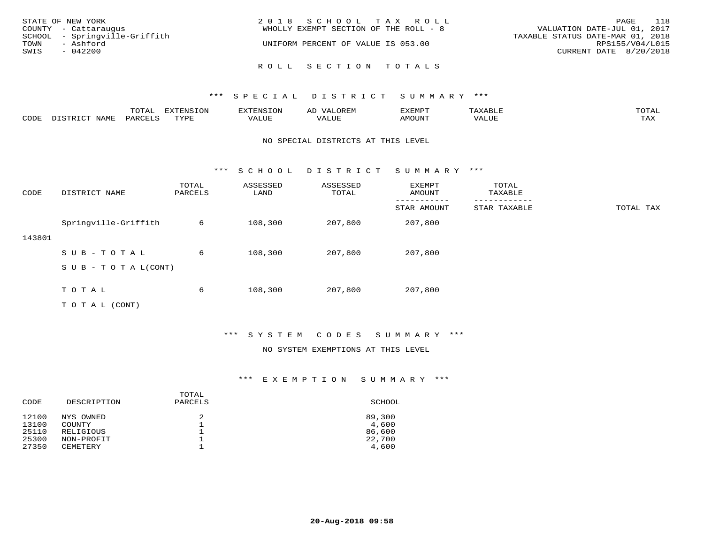| STATE OF NEW YORK<br>COUNTY - Cattaraugus<br>SCHOOL - Springville-Griffith<br>TOWN<br>- Ashford<br>SWIS<br>$-042200$ | 2018 SCHOOL TAX ROLL<br>WHOLLY EXEMPT SECTION OF THE ROLL - 8<br>UNIFORM PERCENT OF VALUE IS 053.00 | 118<br>PAGE<br>VALUATION DATE-JUL 01, 2017<br>TAXABLE STATUS DATE-MAR 01, 2018<br>RPS155/V04/L015<br>CURRENT DATE 8/20/2018 |
|----------------------------------------------------------------------------------------------------------------------|-----------------------------------------------------------------------------------------------------|-----------------------------------------------------------------------------------------------------------------------------|
|                                                                                                                      | ROLL SECTION TOTALS                                                                                 |                                                                                                                             |

|      |      | $m \wedge m \wedge n$<br>TOTAT | <b>FYTFNCTOM</b><br>TOT | H: N.S                              | ΑD   | דסאיזצי<br>ـالمىتىدە | . .⊥  | $m \wedge m \wedge n$<br>- I ` 1∆ ' |
|------|------|--------------------------------|-------------------------|-------------------------------------|------|----------------------|-------|-------------------------------------|
| CODE | NAMF | PARCELS                        | $m \tau \tau \tau$      | * * * * * * *<br>$\sqrt{ }$<br>ALUL | ALUP | MOUNT                | VALUE | may<br>- ∠∡∡                        |

#### NO SPECIAL DISTRICTS AT THIS LEVEL

\*\*\* S C H O O L D I S T R I C T S U M M A R Y \*\*\*

| CODE   | DISTRICT NAME             | TOTAL<br>PARCELS | ASSESSED<br>LAND | ASSESSED<br>TOTAL | EXEMPT<br>AMOUNT | TOTAL<br>TAXABLE |           |
|--------|---------------------------|------------------|------------------|-------------------|------------------|------------------|-----------|
|        |                           |                  |                  |                   | STAR AMOUNT      | STAR TAXABLE     | TOTAL TAX |
|        | Springville-Griffith      | 6                | 108,300          | 207,800           | 207,800          |                  |           |
| 143801 |                           |                  |                  |                   |                  |                  |           |
|        | SUB-TOTAL                 | 6                | 108,300          | 207,800           | 207,800          |                  |           |
|        | S U B - T O T A $L(CONT)$ |                  |                  |                   |                  |                  |           |
|        |                           |                  |                  |                   |                  |                  |           |
|        | TOTAL                     | 6                | 108,300          | 207,800           | 207,800          |                  |           |
|        | T O T A L (CONT)          |                  |                  |                   |                  |                  |           |

\*\*\* S Y S T E M C O D E S S U M M A R Y \*\*\*

#### NO SYSTEM EXEMPTIONS AT THIS LEVEL

## \*\*\* E X E M P T I O N S U M M A R Y \*\*\*

| CODE  | DESCRIPTION     | TOTAL<br>PARCELS | SCHOOL |
|-------|-----------------|------------------|--------|
| 12100 | NYS OWNED       | 2                | 89,300 |
| 13100 | COUNTY          |                  | 4,600  |
| 25110 | RELIGIOUS       |                  | 86,600 |
| 25300 | NON-PROFIT      |                  | 22,700 |
| 27350 | <b>CEMETERY</b> |                  | 4,600  |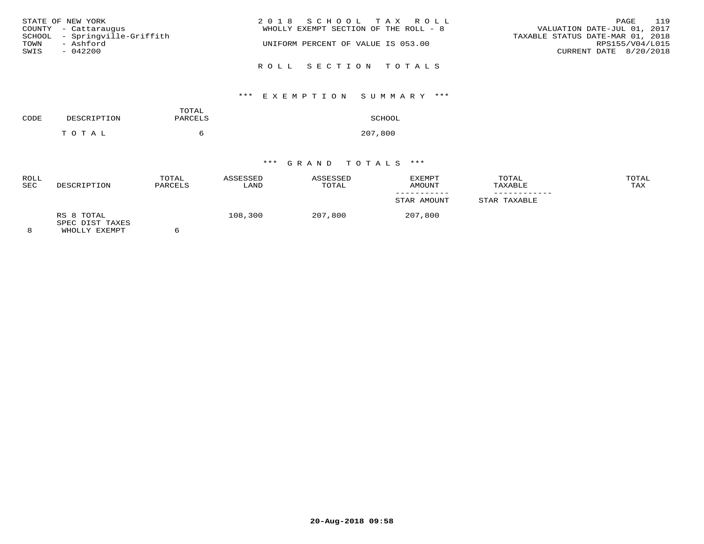| STATE OF NEW YORK             | 2018 SCHOOL TAX ROLL                  | 119<br>PAGE                      |
|-------------------------------|---------------------------------------|----------------------------------|
| COUNTY - Cattaraugus          | WHOLLY EXEMPT SECTION OF THE ROLL - 8 | VALUATION DATE-JUL 01, 2017      |
| SCHOOL - Springville-Griffith |                                       | TAXABLE STATUS DATE-MAR 01, 2018 |
| TOWN<br>- Ashford             | UNIFORM PERCENT OF VALUE IS 053.00    | RPS155/V04/L015                  |
| SWIS<br>$-042200$             |                                       | CURRENT DATE 8/20/2018           |
|                               | ROLL SECTION TOTALS                   |                                  |

# \*\*\* E X E M P T I O N S U M M A R Y \*\*\*

| CODE | DESCRIPTION | TOTAL<br>PARCELS | SCHOOL  |
|------|-------------|------------------|---------|
|      | TOTAL       |                  | 207,800 |

| <b>ROLL</b><br><b>SEC</b> | DESCRIPTION                                    | TOTAL<br>PARCELS | ASSESSED<br>LAND | ASSESSED<br>TOTAL | <b>EXEMPT</b><br>AMOUNT | TOTAL<br>TAXABLE | TOTAL<br>TAX |
|---------------------------|------------------------------------------------|------------------|------------------|-------------------|-------------------------|------------------|--------------|
|                           |                                                |                  |                  |                   | STAR AMOUNT             | STAR TAXABLE     |              |
| 8                         | RS 8 TOTAL<br>SPEC DIST TAXES<br>WHOLLY EXEMPT |                  | 108,300          | 207,800           | 207,800                 |                  |              |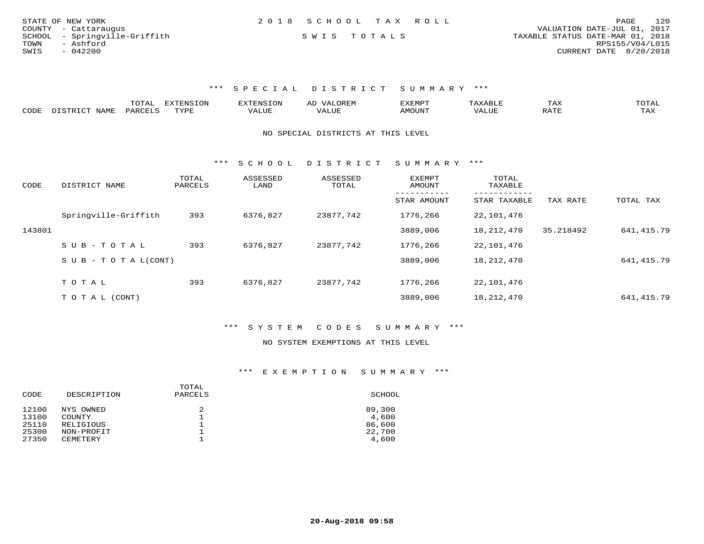| STATE OF NEW YORK             | 2018 SCHOOL TAX ROLL |  |                                  | PAGE                   | 120 |
|-------------------------------|----------------------|--|----------------------------------|------------------------|-----|
| COUNTY - Cattaraugus          |                      |  | VALUATION DATE-JUL 01, 2017      |                        |     |
| SCHOOL - Springville-Griffith | SWIS TOTALS          |  | TAXABLE STATUS DATE-MAR 01, 2018 |                        |     |
| TOWN<br>- Ashford             |                      |  |                                  | RPS155/V04/L015        |     |
| SWIS<br>$-042200$             |                      |  |                                  | CURRENT DATE 8/20/2018 |     |

|      |            | ----- | n s   |  | א ועו | ᆠᅎᄼ                  | $m \wedge m \wedge n$ |
|------|------------|-------|-------|--|-------|----------------------|-----------------------|
| CODE | <b>BAT</b> |       | 757D1 |  |       | $\sim$ $\sim$ $\sim$ | ----<br>- 512         |

#### NO SPECIAL DISTRICTS AT THIS LEVEL

\*\*\* S C H O O L D I S T R I C T S U M M A R Y \*\*\*

| CODE   | DISTRICT NAME              | TOTAL<br>PARCELS | ASSESSED<br>LAND | ASSESSED<br>TOTAL | <b>EXEMPT</b><br>AMOUNT | TOTAL<br>TAXABLE |           |            |
|--------|----------------------------|------------------|------------------|-------------------|-------------------------|------------------|-----------|------------|
|        |                            |                  |                  |                   | STAR AMOUNT             | STAR TAXABLE     | TAX RATE  | TOTAL TAX  |
|        | Springville-Griffith       | 393              | 6376,827         | 23877,742         | 1776,266                | 22,101,476       |           |            |
| 143801 |                            |                  |                  |                   | 3889,006                | 18,212,470       | 35.218492 | 641,415.79 |
|        | SUB-TOTAL                  | 393              | 6376,827         | 23877,742         | 1776,266                | 22,101,476       |           |            |
|        | S U B - T O T A $L$ (CONT) |                  |                  |                   | 3889,006                | 18,212,470       |           | 641,415.79 |
|        | TOTAL                      |                  |                  |                   | 1776,266                |                  |           |            |
|        |                            | 393              | 6376,827         | 23877,742         |                         | 22,101,476       |           |            |
|        | T O T A L (CONT)           |                  |                  |                   | 3889,006                | 18,212,470       |           | 641,415.79 |

## \*\*\* S Y S T E M C O D E S S U M M A R Y \*\*\*

#### NO SYSTEM EXEMPTIONS AT THIS LEVEL

# \*\*\* E X E M P T I O N S U M M A R Y \*\*\*

| CODE  | DESCRIPTION   | TOTAL<br>PARCELS | SCHOOL |
|-------|---------------|------------------|--------|
| 12100 | NYS OWNED     | 2                | 89,300 |
| 13100 | <b>COUNTY</b> |                  | 4,600  |
| 25110 | RELIGIOUS     |                  | 86,600 |
| 25300 | NON-PROFIT    |                  | 22,700 |
| 27350 | CEMETERY      |                  | 4,600  |
|       |               |                  |        |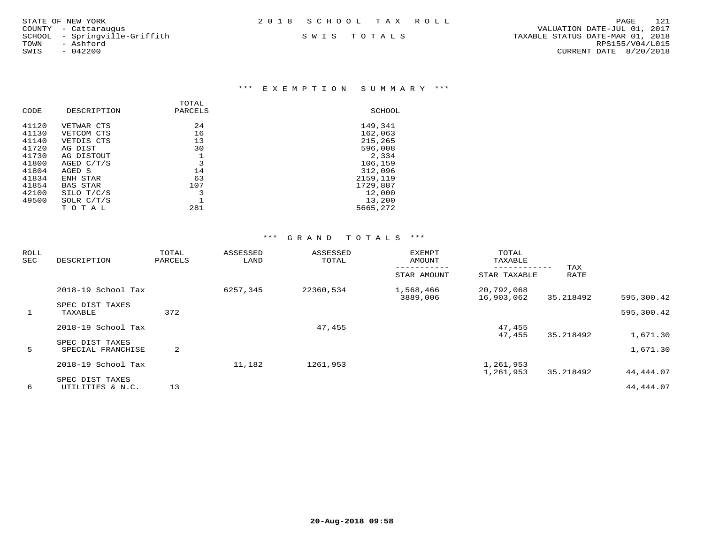COUNTY - Cattaraugus<br>SCHOOL - Springville-Griffith<br>TOWN - Ashford

## \*\*\* E X E M P T I O N S U M M A R Y \*\*\*

| CODE  | DESCRIPTION     | TOTAL<br>PARCELS | SCHOOL   |
|-------|-----------------|------------------|----------|
| 41120 | VETWAR CTS      | 24               | 149,341  |
| 41130 | VETCOM CTS      | 16               | 162,063  |
| 41140 | VETDIS CTS      | 13               | 215,265  |
| 41720 | AG DIST         | 30               | 596,008  |
| 41730 | AG DISTOUT      |                  | 2,334    |
| 41800 | AGED $C/T/S$    | 3                | 106,159  |
| 41804 | AGED S          | 14               | 312,096  |
| 41834 | ENH STAR        | 63               | 2159,119 |
| 41854 | <b>BAS STAR</b> | 107              | 1729,887 |
| 42100 | SILO T/C/S      | 3                | 12,000   |
| 49500 | SOLR $C/T/S$    |                  | 13,200   |
|       | TOTAL           | 281              | 5665,272 |
|       |                 |                  |          |

| <b>ROLL</b><br>SEC | DESCRIPTION                          | TOTAL<br>PARCELS | ASSESSED<br>LAND | ASSESSED<br>TOTAL | <b>EXEMPT</b><br>AMOUNT | TOTAL<br>TAXABLE         | TAX       |            |
|--------------------|--------------------------------------|------------------|------------------|-------------------|-------------------------|--------------------------|-----------|------------|
|                    |                                      |                  |                  |                   | STAR AMOUNT             | STAR TAXABLE             | RATE      |            |
|                    | 2018-19 School Tax                   |                  | 6257,345         | 22360,534         | 1,568,466<br>3889,006   | 20,792,068<br>16,903,062 | 35.218492 | 595,300.42 |
| $\mathbf{1}$       | SPEC DIST TAXES<br>TAXABLE           | 372              |                  |                   |                         |                          |           | 595,300.42 |
|                    | 2018-19 School Tax                   |                  |                  | 47,455            |                         | 47,455<br>47,455         | 35.218492 | 1,671.30   |
| 5                  | SPEC DIST TAXES<br>SPECIAL FRANCHISE | 2                |                  |                   |                         |                          |           | 1,671.30   |
|                    | 2018-19 School Tax                   |                  | 11,182           | 1261,953          |                         | 1,261,953<br>1,261,953   | 35.218492 | 44,444.07  |
| 6                  | SPEC DIST TAXES<br>UTILITIES & N.C.  | 13               |                  |                   |                         |                          |           | 44, 444.07 |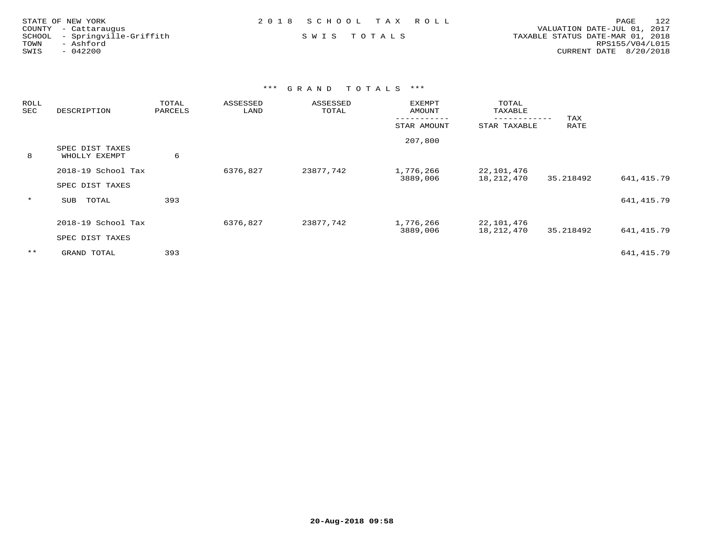|      | STATE OF NEW YORK             | 2018 SCHOOL TAX ROLL |  |                                  | PAGE            | 122 |
|------|-------------------------------|----------------------|--|----------------------------------|-----------------|-----|
|      | COUNTY - Cattaraugus          |                      |  | VALUATION DATE-JUL 01, 2017      |                 |     |
|      | SCHOOL - Springville-Griffith | SWIS TOTALS          |  | TAXABLE STATUS DATE-MAR 01, 2018 |                 |     |
| TOWN | - Ashford                     |                      |  |                                  | RPS155/V04/L015 |     |
| SWIS | $-042200$                     |                      |  | CURRENT DATE 8/20/2018           |                 |     |

| <b>ROLL</b><br>SEC | DESCRIPTION                           | TOTAL<br>PARCELS | ASSESSED<br>LAND | ASSESSED<br>TOTAL | <b>EXEMPT</b><br>AMOUNT | TOTAL<br>TAXABLE         |             |             |
|--------------------|---------------------------------------|------------------|------------------|-------------------|-------------------------|--------------------------|-------------|-------------|
|                    |                                       |                  |                  |                   | STAR AMOUNT             | STAR TAXABLE             | TAX<br>RATE |             |
| 8                  | SPEC DIST TAXES<br>WHOLLY EXEMPT      | 6                |                  |                   | 207,800                 |                          |             |             |
|                    | 2018-19 School Tax<br>SPEC DIST TAXES |                  | 6376,827         | 23877,742         | 1,776,266<br>3889,006   | 22,101,476<br>18,212,470 | 35.218492   | 641,415.79  |
| $\star$            | TOTAL<br>SUB                          | 393              |                  |                   |                         |                          |             | 641, 415.79 |
|                    | 2018-19 School Tax<br>SPEC DIST TAXES |                  | 6376,827         | 23877,742         | 1,776,266<br>3889,006   | 22,101,476<br>18,212,470 | 35.218492   | 641, 415.79 |
| $***$              | GRAND TOTAL                           | 393              |                  |                   |                         |                          |             | 641, 415.79 |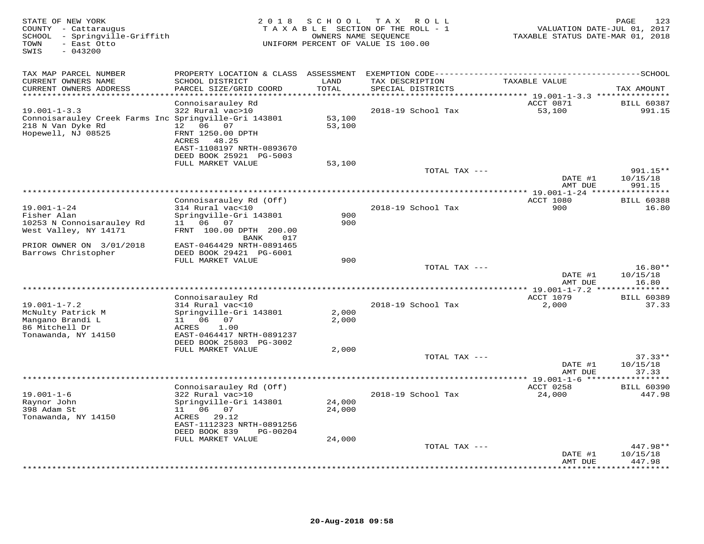| STATE OF NEW YORK<br>COUNTY - Cattaraugus<br>SCHOOL - Springville-Griffith<br>- East Otto<br>TOWN<br>SWIS<br>$-043200$ | 2 0 1 8                                                                                                 | S C H O O L<br>OWNERS NAME SEQUENCE | TAX ROLL<br>TAXABLE SECTION OF THE ROLL - 1<br>UNIFORM PERCENT OF VALUE IS 100.00 | VALUATION DATE-JUL 01, 2017<br>TAXABLE STATUS DATE-MAR 01, 2018 | 123<br>PAGE                      |
|------------------------------------------------------------------------------------------------------------------------|---------------------------------------------------------------------------------------------------------|-------------------------------------|-----------------------------------------------------------------------------------|-----------------------------------------------------------------|----------------------------------|
| TAX MAP PARCEL NUMBER                                                                                                  |                                                                                                         |                                     | PROPERTY LOCATION & CLASS ASSESSMENT EXEMPTION CODE------------------------       |                                                                 | --------------SCHOOL             |
| CURRENT OWNERS NAME<br>CURRENT OWNERS ADDRESS                                                                          | SCHOOL DISTRICT<br>PARCEL SIZE/GRID COORD                                                               | LAND<br>TOTAL                       | TAX DESCRIPTION<br>SPECIAL DISTRICTS                                              | TAXABLE VALUE                                                   | TAX AMOUNT                       |
| ******************************                                                                                         | Connoisarauley Rd                                                                                       |                                     |                                                                                   | ACCT 0871                                                       | <b>BILL 60387</b>                |
| $19.001 - 1 - 3.3$                                                                                                     | 322 Rural vac>10                                                                                        |                                     | 2018-19 School Tax                                                                | 53,100                                                          | 991.15                           |
| Connoisarauley Creek Farms Inc Springville-Gri 143801<br>218 N Van Dyke Rd<br>Hopewell, NJ 08525                       | 12  06  07<br>FRNT 1250.00 DPTH<br>ACRES 48.25<br>EAST-1108197 NRTH-0893670                             | 53,100<br>53,100                    |                                                                                   |                                                                 |                                  |
|                                                                                                                        | DEED BOOK 25921 PG-5003                                                                                 |                                     |                                                                                   |                                                                 |                                  |
|                                                                                                                        | FULL MARKET VALUE                                                                                       | 53,100                              |                                                                                   |                                                                 |                                  |
|                                                                                                                        |                                                                                                         |                                     | TOTAL TAX ---                                                                     | DATE #1                                                         | $991.15**$<br>10/15/18           |
|                                                                                                                        |                                                                                                         |                                     |                                                                                   | AMT DUE                                                         | 991.15                           |
|                                                                                                                        | Connoisarauley Rd (Off)                                                                                 |                                     |                                                                                   | ACCT 1080                                                       | <b>BILL 60388</b>                |
| $19.001 - 1 - 24$<br>Fisher Alan<br>10253 N Connoisarauley Rd<br>West Valley, NY 14171                                 | 314 Rural vac<10<br>Springville-Gri 143801<br>11 06<br>07<br>FRNT 100.00 DPTH 200.00                    | 900<br>900                          | 2018-19 School Tax                                                                | 900                                                             | 16.80                            |
| PRIOR OWNER ON 3/01/2018<br>Barrows Christopher                                                                        | 017<br>BANK<br>EAST-0464429 NRTH-0891465<br>DEED BOOK 29421 PG-6001                                     |                                     |                                                                                   |                                                                 |                                  |
|                                                                                                                        | FULL MARKET VALUE                                                                                       | 900                                 |                                                                                   |                                                                 |                                  |
|                                                                                                                        |                                                                                                         |                                     | TOTAL TAX ---                                                                     | DATE #1                                                         | $16.80**$<br>10/15/18            |
|                                                                                                                        |                                                                                                         |                                     |                                                                                   | AMT DUE                                                         | 16.80                            |
|                                                                                                                        | Connoisarauley Rd                                                                                       |                                     |                                                                                   | ACCT 1079                                                       | <b>BILL 60389</b>                |
| $19.001 - 1 - 7.2$<br>McNulty Patrick M<br>Mangano Brandi L<br>86 Mitchell Dr<br>Tonawanda, NY 14150                   | 314 Rural vac<10<br>Springville-Gri 143801<br>11 06<br>07<br>ACRES<br>1.00<br>EAST-0464417 NRTH-0891237 | 2,000<br>2,000                      | 2018-19 School Tax                                                                | 2,000                                                           | 37.33                            |
|                                                                                                                        | DEED BOOK 25803 PG-3002<br>FULL MARKET VALUE                                                            | 2,000                               |                                                                                   |                                                                 |                                  |
|                                                                                                                        |                                                                                                         |                                     | TOTAL TAX ---                                                                     | DATE #1<br>AMT DUE                                              | $37.33**$<br>10/15/18<br>37.33   |
|                                                                                                                        | Connoisarauley Rd (Off)                                                                                 |                                     |                                                                                   | ACCT 0258                                                       | <b>BILL 60390</b>                |
| $19.001 - 1 - 6$<br>Raynor John<br>398 Adam St<br>Tonawanda, NY 14150                                                  | 322 Rural vac>10<br>Springville-Gri 143801<br>11 06 07<br>ACRES<br>29.12<br>EAST-1112323 NRTH-0891256   | 24,000<br>24,000                    | 2018-19 School Tax                                                                | 24,000                                                          | 447.98                           |
|                                                                                                                        | DEED BOOK 839<br>PG-00204                                                                               |                                     |                                                                                   |                                                                 |                                  |
|                                                                                                                        | FULL MARKET VALUE                                                                                       | 24,000                              |                                                                                   |                                                                 |                                  |
|                                                                                                                        |                                                                                                         |                                     | TOTAL TAX ---                                                                     | DATE #1<br>AMT DUE                                              | $447.98**$<br>10/15/18<br>447.98 |
|                                                                                                                        |                                                                                                         |                                     |                                                                                   |                                                                 | .                                |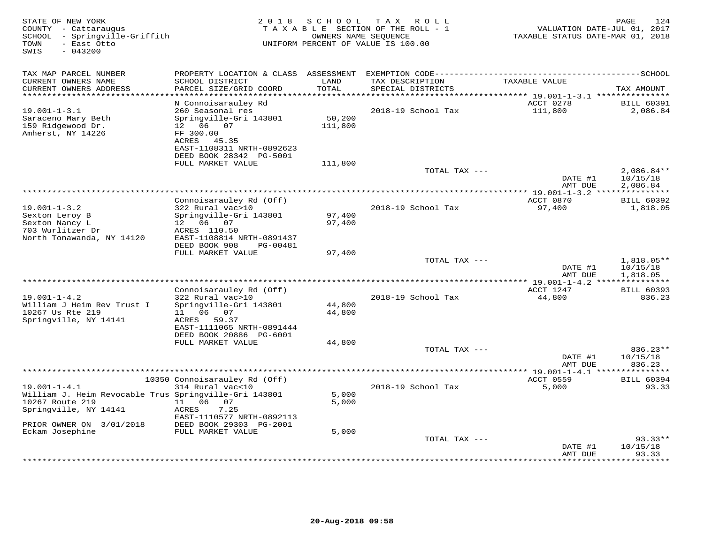| TAX MAP PARCEL NUMBER<br>CURRENT OWNERS NAME<br>SCHOOL DISTRICT<br>LAND<br>TAX DESCRIPTION<br>TAXABLE VALUE<br>CURRENT OWNERS ADDRESS<br>PARCEL SIZE/GRID COORD<br>TOTAL<br>SPECIAL DISTRICTS<br>**********************<br>N Connoisarauley Rd<br>ACCT 0278<br>111,800<br>$19.001 - 1 - 3.1$<br>260 Seasonal res<br>2018-19 School Tax | VALUATION DATE-JUL 01, 2017<br>TAXABLE STATUS DATE-MAR 01, 2018 |
|----------------------------------------------------------------------------------------------------------------------------------------------------------------------------------------------------------------------------------------------------------------------------------------------------------------------------------------|-----------------------------------------------------------------|
|                                                                                                                                                                                                                                                                                                                                        |                                                                 |
|                                                                                                                                                                                                                                                                                                                                        | TAX AMOUNT                                                      |
|                                                                                                                                                                                                                                                                                                                                        | <b>BILL 60391</b>                                               |
| Saraceno Mary Beth<br>Springville-Gri 143801<br>50,200<br>12  06  07<br>159 Ridgewood Dr.<br>111,800<br>Amherst, NY 14226<br>FF 300.00<br>ACRES 45.35<br>EAST-1108311 NRTH-0892623<br>DEED BOOK 28342 PG-5001                                                                                                                          | 2,086.84                                                        |
| FULL MARKET VALUE<br>111,800                                                                                                                                                                                                                                                                                                           |                                                                 |
| TOTAL TAX ---<br>DATE #1                                                                                                                                                                                                                                                                                                               | $2,086.84**$<br>10/15/18                                        |
| AMT DUE                                                                                                                                                                                                                                                                                                                                | 2,086.84                                                        |
| Connoisarauley Rd (Off)<br>ACCT 0870                                                                                                                                                                                                                                                                                                   | <b>BILL 60392</b>                                               |
| $19.001 - 1 - 3.2$<br>322 Rural vac>10<br>2018-19 School Tax<br>97,400<br>Sexton Leroy B<br>Springville-Gri 143801<br>97,400<br>Sexton Nancy L<br>12 06 07<br>97,400                                                                                                                                                                   | 1,818.05                                                        |
| 703 Wurlitzer Dr<br>ACRES 110.50<br>North Tonawanda, NY 14120<br>EAST-1108814 NRTH-0891437<br>DEED BOOK 908<br>PG-00481                                                                                                                                                                                                                |                                                                 |
| FULL MARKET VALUE<br>97,400                                                                                                                                                                                                                                                                                                            |                                                                 |
| TOTAL TAX ---<br>DATE #1<br>AMT DUE                                                                                                                                                                                                                                                                                                    | $1,818.05**$<br>10/15/18<br>1,818.05                            |
| ******** 19.001-1-4.2 ****************                                                                                                                                                                                                                                                                                                 |                                                                 |
| Connoisarauley Rd (Off)<br>ACCT 1247                                                                                                                                                                                                                                                                                                   | <b>BILL 60393</b>                                               |
| $19.001 - 1 - 4.2$<br>322 Rural vac>10<br>2018-19 School Tax<br>44,800<br>William J Heim Rev Trust I<br>Springville-Gri 143801<br>44,800<br>10267 Us Rte 219<br>11   06   07<br>44,800<br>Springville, NY 14141<br>ACRES 59.37<br>EAST-1111065 NRTH-0891444                                                                            | 836.23                                                          |
| DEED BOOK 20886 PG-6001<br>FULL MARKET VALUE<br>44,800                                                                                                                                                                                                                                                                                 |                                                                 |
| TOTAL TAX ---<br>DATE #1<br>AMT DUE                                                                                                                                                                                                                                                                                                    | 836.23**<br>10/15/18<br>836.23                                  |
|                                                                                                                                                                                                                                                                                                                                        | ************                                                    |
| 10350 Connoisarauley Rd (Off)<br>ACCT 0559<br>$19.001 - 1 - 4.1$<br>314 Rural vac<10<br>2018-19 School Tax<br>5,000<br>William J. Heim Revocable Trus Springville-Gri 143801<br>5,000<br>10267 Route 219<br>11 06 07<br>5,000                                                                                                          | <b>BILL 60394</b><br>93.33                                      |
| Springville, NY 14141<br>ACRES<br>7.25<br>EAST-1110577 NRTH-0892113<br>PRIOR OWNER ON 3/01/2018<br>DEED BOOK 29303 PG-2001                                                                                                                                                                                                             |                                                                 |
| Eckam Josephine<br>FULL MARKET VALUE<br>5,000                                                                                                                                                                                                                                                                                          |                                                                 |
| TOTAL TAX ---<br>DATE #1<br>AMT DUE                                                                                                                                                                                                                                                                                                    | $93.33**$<br>10/15/18<br>93.33<br>*********                     |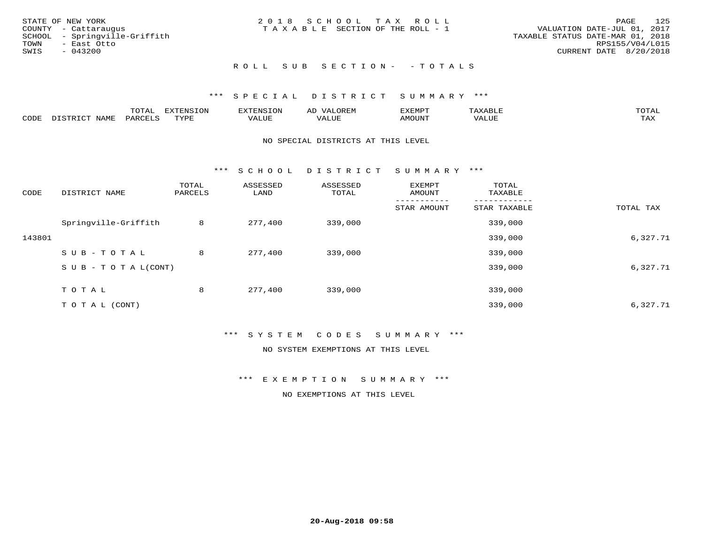| STATE OF NEW YORK             | 2018 SCHOOL TAX ROLL                  | - 125<br>PAGE                    |
|-------------------------------|---------------------------------------|----------------------------------|
| COUNTY - Cattaraugus          | T A X A B L E SECTION OF THE ROLL - 1 | VALUATION DATE-JUL 01, 2017      |
| SCHOOL - Springville-Griffith |                                       | TAXABLE STATUS DATE-MAR 01, 2018 |
| TOWN<br>- East Otto           |                                       | RPS155/V04/L015                  |
| SWIS<br>$-043200$             |                                       | CURRENT DATE 8/20/2018           |
|                               |                                       |                                  |
|                               |                                       |                                  |

# R O L L S U B S E C T I O N - - T O T A L S

## \*\*\* S P E C I A L D I S T R I C T S U M M A R Y \*\*\*

|      |             | ----<br>$\cdots$ | ת A דפות אידא<br>. OP | <b>ENSION</b> | AL    | YEMPT! |                   | $m \wedge m \wedge n$ |
|------|-------------|------------------|-----------------------|---------------|-------|--------|-------------------|-----------------------|
| CODE | <b>JAME</b> | ᄭᇚᅎᄧᅚ<br>AR'     | TVDF                  | ALUE          | 'ALUE | AMOUNT | $T$ $TT$<br>שטשמי | TAX                   |

#### NO SPECIAL DISTRICTS AT THIS LEVEL

\*\*\* S C H O O L D I S T R I C T S U M M A R Y \*\*\*

| CODE   | DISTRICT NAME                    | TOTAL<br>PARCELS | ASSESSED<br>LAND | ASSESSED<br>TOTAL | EXEMPT<br>AMOUNT | TOTAL<br>TAXABLE |           |
|--------|----------------------------------|------------------|------------------|-------------------|------------------|------------------|-----------|
|        |                                  |                  |                  |                   | STAR AMOUNT      | STAR TAXABLE     | TOTAL TAX |
|        | Springville-Griffith             | 8                | 277,400          | 339,000           |                  | 339,000          |           |
| 143801 |                                  |                  |                  |                   |                  | 339,000          | 6,327.71  |
|        | SUB-TOTAL                        | 8                | 277,400          | 339,000           |                  | 339,000          |           |
|        | $S \cup B - T \cup T A L (CONT)$ |                  |                  |                   |                  | 339,000          | 6,327.71  |
|        | T O T A L                        | 8                | 277,400          | 339,000           |                  | 339,000          |           |
|        | T O T A L (CONT)                 |                  |                  |                   |                  | 339,000          | 6,327.71  |

### \*\*\* S Y S T E M C O D E S S U M M A R Y \*\*\*

NO SYSTEM EXEMPTIONS AT THIS LEVEL

\*\*\* E X E M P T I O N S U M M A R Y \*\*\*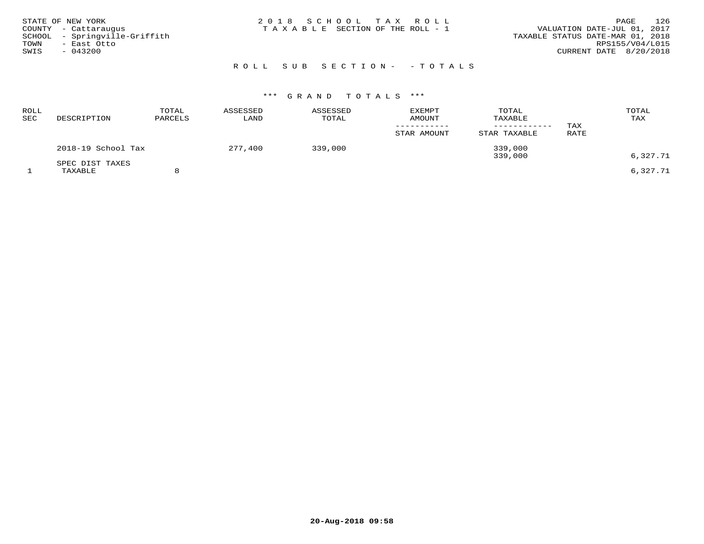| STATE OF NEW YORK<br>COUNTY - Cattaraugus<br>SCHOOL - Springville-Griffith<br>TOWN<br>– East Otto<br>SWIS<br>$-043200$ | 2018 SCHOOL TAX ROLL<br>T A X A B L E SECTION OF THE ROLL - 1 | 126<br>PAGE<br>VALUATION DATE-JUL 01, 2017<br>TAXABLE STATUS DATE-MAR 01, 2018<br>RPS155/V04/L015<br>CURRENT DATE 8/20/2018 |
|------------------------------------------------------------------------------------------------------------------------|---------------------------------------------------------------|-----------------------------------------------------------------------------------------------------------------------------|
|                                                                                                                        | ROLL SUB SECTION- - TOTALS                                    |                                                                                                                             |

| ROLL<br>SEC | DESCRIPTION                | TOTAL<br>PARCELS | ASSESSED<br>LAND | ASSESSED<br>TOTAL | <b>EXEMPT</b><br>AMOUNT<br>STAR AMOUNT | TOTAL<br>TAXABLE<br>----------<br>STAR TAXABLE | TAX<br>RATE | TOTAL<br>TAX |
|-------------|----------------------------|------------------|------------------|-------------------|----------------------------------------|------------------------------------------------|-------------|--------------|
|             | 2018-19 School Tax         |                  | 277,400          | 339,000           |                                        | 339,000<br>339,000                             |             | 6,327.71     |
|             | SPEC DIST TAXES<br>TAXABLE |                  |                  |                   |                                        |                                                |             | 6,327.71     |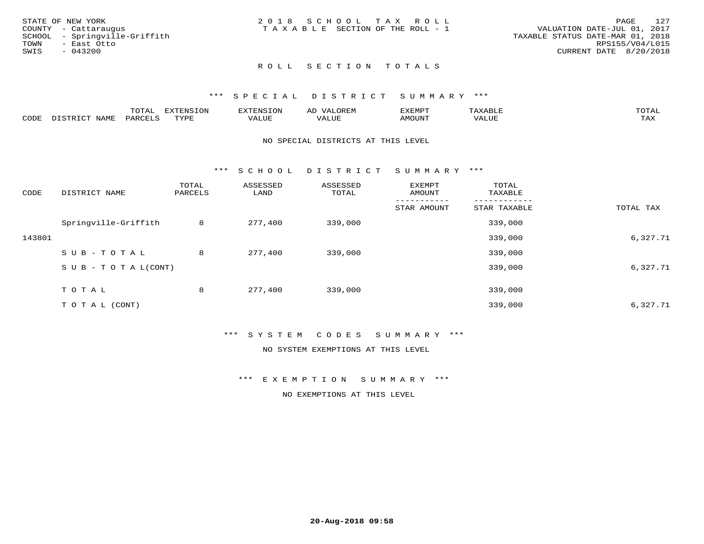| STATE OF NEW YORK             | 2018 SCHOOL TAX ROLL            | 127<br>PAGE                      |
|-------------------------------|---------------------------------|----------------------------------|
| COUNTY - Cattarauqus          | TAXABLE SECTION OF THE ROLL - 1 | VALUATION DATE-JUL 01, 2017      |
| SCHOOL - Springville-Griffith |                                 | TAXABLE STATUS DATE-MAR 01, 2018 |
| TOWN<br>- East Otto           |                                 | RPS155/V04/L015                  |
| SWIS<br>- 043200              |                                 | CURRENT DATE 8/20/2018           |
|                               |                                 |                                  |
|                               |                                 |                                  |

# ROLL SECTION TOTALS

#### \*\*\* S P E C I A L D I S T R I C T S U M M A R Y \*\*\*

|      |                  | momm <sup>.</sup><br>TOTAT | <b>ELIMENT OF ONT</b><br>T OTA | 'ENS   | OREM                     | CXEMPT        | $max$ and $max$          | $m \wedge m \wedge n$ |
|------|------------------|----------------------------|--------------------------------|--------|--------------------------|---------------|--------------------------|-----------------------|
| CODE | NAME<br>DISTRICT | PARCELS                    | TVDF<br>.                      | 7ALUE. | . <del>.</del><br>. ALUF | <b>AMOUNT</b> | * * * * * * * *<br>'ALUL | <b>TAY</b><br>⊥⇔∆     |

#### NO SPECIAL DISTRICTS AT THIS LEVEL

\*\*\* S C H O O L D I S T R I C T S U M M A R Y \*\*\*

| CODE   | DISTRICT NAME                    | TOTAL<br>PARCELS | ASSESSED<br>LAND | ASSESSED<br>TOTAL | EXEMPT<br>AMOUNT | TOTAL<br>TAXABLE |           |
|--------|----------------------------------|------------------|------------------|-------------------|------------------|------------------|-----------|
|        |                                  |                  |                  |                   | STAR AMOUNT      | STAR TAXABLE     | TOTAL TAX |
|        | Springville-Griffith             | 8                | 277,400          | 339,000           |                  | 339,000          |           |
| 143801 |                                  |                  |                  |                   |                  | 339,000          | 6,327.71  |
|        | SUB-TOTAL                        | 8                | 277,400          | 339,000           |                  | 339,000          |           |
|        | $S \cup B - T \cup T A L (CONT)$ |                  |                  |                   |                  | 339,000          | 6,327.71  |
|        | T O T A L                        | 8                | 277,400          | 339,000           |                  | 339,000          |           |
|        | T O T A L (CONT)                 |                  |                  |                   |                  | 339,000          | 6,327.71  |

### \*\*\* S Y S T E M C O D E S S U M M A R Y \*\*\*

NO SYSTEM EXEMPTIONS AT THIS LEVEL

\*\*\* E X E M P T I O N S U M M A R Y \*\*\*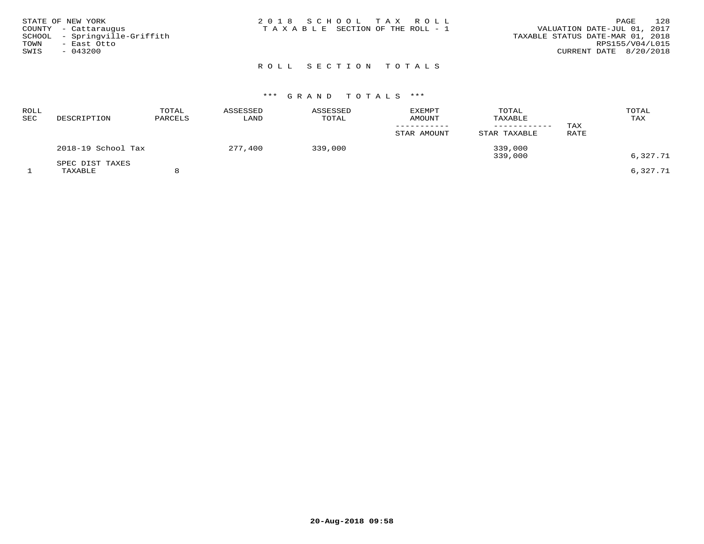| STATE OF NEW YORK<br>COUNTY - Cattaraugus<br>SCHOOL - Springville-Griffith<br>TOWN<br>- East Otto<br>SWIS<br>$-043200$ | 2018 SCHOOL TAX ROLL<br>T A X A B L E SECTION OF THE ROLL - 1 | 128<br>PAGE<br>VALUATION DATE-JUL 01, 2017<br>TAXABLE STATUS DATE-MAR 01, 2018<br>RPS155/V04/L015<br>CURRENT DATE 8/20/2018 |
|------------------------------------------------------------------------------------------------------------------------|---------------------------------------------------------------|-----------------------------------------------------------------------------------------------------------------------------|
|                                                                                                                        | ROLL SECTION TOTALS                                           |                                                                                                                             |

| ROLL<br>SEC | DESCRIPTION                | TOTAL<br>PARCELS | ASSESSED<br>LAND | ASSESSED<br>TOTAL | <b>EXEMPT</b><br><b>AMOUNT</b> | TOTAL<br>TAXABLE   | TAX  | TOTAL<br>TAX |
|-------------|----------------------------|------------------|------------------|-------------------|--------------------------------|--------------------|------|--------------|
|             |                            |                  |                  |                   | STAR AMOUNT                    | STAR TAXABLE       | RATE |              |
|             | 2018-19 School Tax         |                  | 277,400          | 339,000           |                                | 339,000<br>339,000 |      | 6,327.71     |
|             | SPEC DIST TAXES<br>TAXABLE |                  |                  |                   |                                |                    |      | 6,327.71     |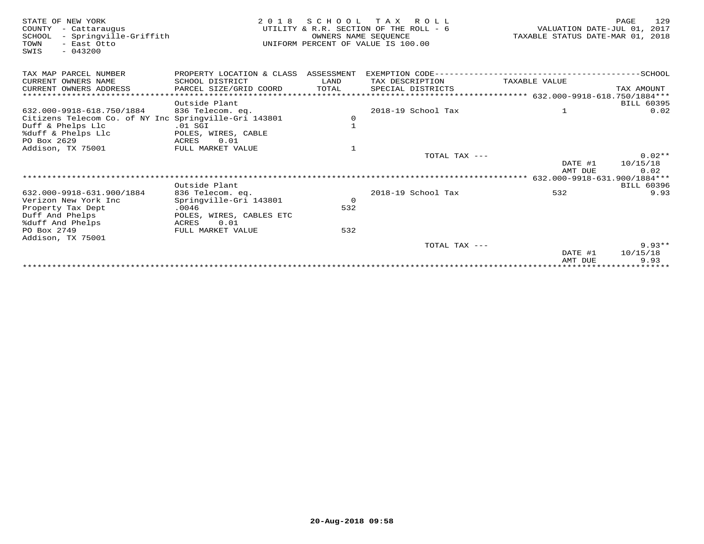| STATE OF NEW YORK<br>COUNTY<br>- Cattaraugus<br>- Springville-Griffith<br>SCHOOL<br>TOWN<br>- East Otto<br>$-043200$<br>SWIS | 2 0 1 8                              | OWNERS NAME SEQUENCE | SCHOOL TAX ROLL<br>UTILITY & R.R. SECTION OF THE ROLL - 6<br>UNIFORM PERCENT OF VALUE IS 100.00 | VALUATION DATE-JUL 01, 2017<br>TAXABLE STATUS DATE-MAR 01, 2018 | 129<br>PAGE |
|------------------------------------------------------------------------------------------------------------------------------|--------------------------------------|----------------------|-------------------------------------------------------------------------------------------------|-----------------------------------------------------------------|-------------|
| TAX MAP PARCEL NUMBER                                                                                                        | PROPERTY LOCATION & CLASS ASSESSMENT |                      |                                                                                                 |                                                                 |             |
| CURRENT OWNERS NAME                                                                                                          | SCHOOL DISTRICT                      | LAND                 | TAX DESCRIPTION                                                                                 | TAXABLE VALUE                                                   |             |
| CURRENT OWNERS ADDRESS                                                                                                       | PARCEL SIZE/GRID COORD               | TOTAL                | SPECIAL DISTRICTS                                                                               |                                                                 | TAX AMOUNT  |
|                                                                                                                              |                                      |                      |                                                                                                 |                                                                 |             |
|                                                                                                                              | Outside Plant                        |                      |                                                                                                 |                                                                 | BILL 60395  |
| 632.000-9918-618.750/1884                                                                                                    | 836 Telecom. eq.                     |                      | 2018-19 School Tax                                                                              | $\mathbf{1}$                                                    | 0.02        |
| Citizens Telecom Co. of NY Inc Springville-Gri 143801                                                                        |                                      | $\circ$              |                                                                                                 |                                                                 |             |
| Duff & Phelps Llc                                                                                                            | $.01$ SGI                            | $\mathbf{1}$         |                                                                                                 |                                                                 |             |
| %duff & Phelps Llc                                                                                                           | POLES, WIRES, CABLE                  |                      |                                                                                                 |                                                                 |             |
| PO Box 2629                                                                                                                  | 0.01<br>ACRES                        |                      |                                                                                                 |                                                                 |             |
| Addison, TX 75001                                                                                                            | FULL MARKET VALUE                    | $\mathbf{1}$         |                                                                                                 |                                                                 |             |
|                                                                                                                              |                                      |                      | TOTAL TAX ---                                                                                   |                                                                 | $0.02**$    |
|                                                                                                                              |                                      |                      |                                                                                                 | DATE #1                                                         | 10/15/18    |
|                                                                                                                              |                                      |                      |                                                                                                 | AMT DUE                                                         | 0.02        |
|                                                                                                                              |                                      |                      |                                                                                                 |                                                                 |             |
|                                                                                                                              | Outside Plant                        |                      |                                                                                                 |                                                                 | BILL 60396  |
| 632.000-9918-631.900/1884                                                                                                    | 836 Telecom. eq.                     |                      | 2018-19 School Tax                                                                              | 532                                                             | 9.93        |
| Verizon New York Inc                                                                                                         | Springville-Gri 143801               | $\overline{0}$       |                                                                                                 |                                                                 |             |
| Property Tax Dept                                                                                                            | .0046                                | 532                  |                                                                                                 |                                                                 |             |
| Duff And Phelps<br>%duff And Phelps                                                                                          | POLES, WIRES, CABLES ETC<br>0.01     |                      |                                                                                                 |                                                                 |             |
| PO Box 2749                                                                                                                  | ACRES<br>FULL MARKET VALUE           | 532                  |                                                                                                 |                                                                 |             |
| Addison, TX 75001                                                                                                            |                                      |                      |                                                                                                 |                                                                 |             |
|                                                                                                                              |                                      |                      | TOTAL TAX ---                                                                                   |                                                                 | $9.93**$    |
|                                                                                                                              |                                      |                      |                                                                                                 | DATE #1                                                         | 10/15/18    |
|                                                                                                                              |                                      |                      |                                                                                                 | AMT DUE                                                         | 9.93        |
|                                                                                                                              |                                      |                      |                                                                                                 | *******************************                                 |             |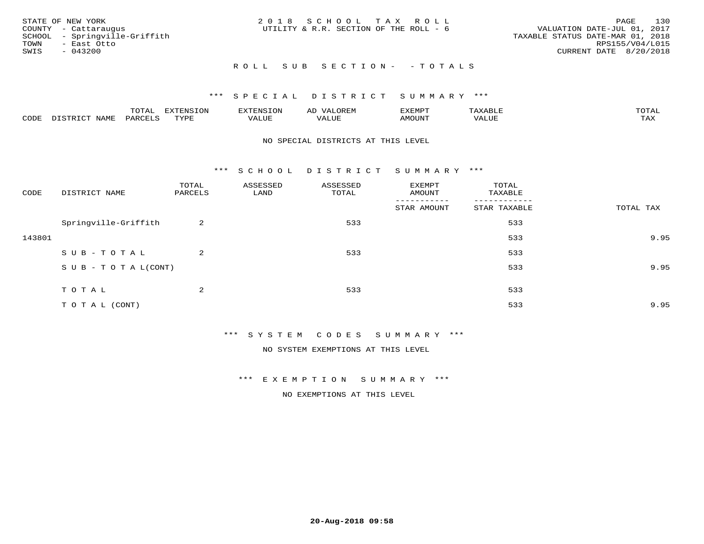| STATE OF NEW YORK<br>COUNTY - Cattaraugus | 2018 SCHOOL TAX ROLL<br>UTILITY & R.R. SECTION OF THE ROLL - 6 | 130<br>PAGE<br>VALUATION DATE-JUL 01, 2017 |
|-------------------------------------------|----------------------------------------------------------------|--------------------------------------------|
| SCHOOL - Springville-Griffith             |                                                                | TAXABLE STATUS DATE-MAR 01, 2018           |
| TOWN<br>- East Otto<br>SWIS<br>- 043200   |                                                                | RPS155/V04/L015<br>CURRENT DATE 8/20/2018  |
|                                           | ROLL SUB SECTION- - TOTALS                                     |                                            |

|                  |              | $m \wedge m$ |      | FNT C                                   | AL                         | <u>'</u> XEMPT |       | $m \wedge m \wedge n$ |
|------------------|--------------|--------------|------|-----------------------------------------|----------------------------|----------------|-------|-----------------------|
| C <sub>CDI</sub> | $ -$<br>NAME | PARO         | TVDF | ,, , ,, <del>,</del><br>▵<br>۳۰ تابلد ک | , <del>,</del> , , , , , , | $\cdots$       | VALUE | $m \times r$<br>- −-  |

#### NO SPECIAL DISTRICTS AT THIS LEVEL

\*\*\* S C H O O L D I S T R I C T S U M M A R Y \*\*\*

| CODE   | DISTRICT NAME                    | TOTAL<br>PARCELS | ASSESSED<br>LAND | ASSESSED<br>TOTAL | EXEMPT<br>AMOUNT       | TOTAL<br>TAXABLE         |           |
|--------|----------------------------------|------------------|------------------|-------------------|------------------------|--------------------------|-----------|
|        |                                  |                  |                  |                   | -------<br>STAR AMOUNT | --------<br>STAR TAXABLE | TOTAL TAX |
|        | Springville-Griffith             | 2                |                  | 533               |                        | 533                      |           |
| 143801 |                                  |                  |                  |                   |                        | 533                      | 9.95      |
|        | SUB-TOTAL                        | $\overline{a}$   |                  | 533               |                        | 533                      |           |
|        | $S \cup B - T \cup T A L (CONT)$ |                  |                  |                   |                        | 533                      | 9.95      |
|        | TOTAL                            | 2                |                  | 533               |                        | 533                      |           |
|        | TO TAL (CONT)                    |                  |                  |                   |                        | 533                      | 9.95      |

\*\*\* S Y S T E M C O D E S S U M M A R Y \*\*\*

NO SYSTEM EXEMPTIONS AT THIS LEVEL

\*\*\* E X E M P T I O N S U M M A R Y \*\*\*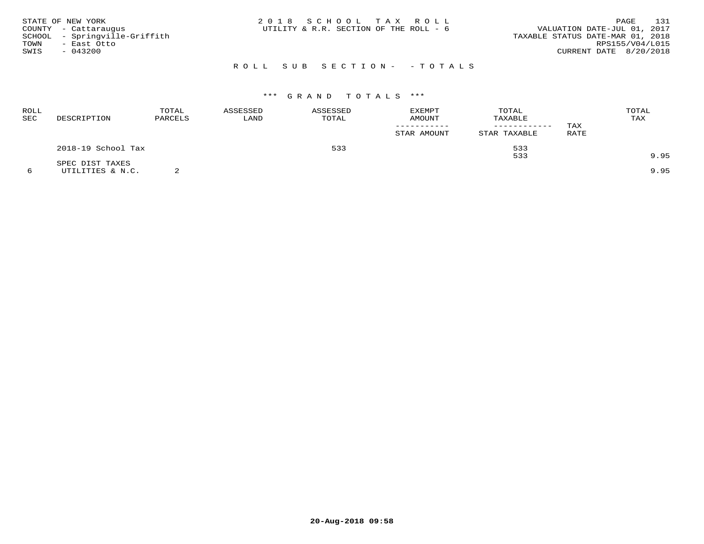| STATE OF NEW YORK<br>COUNTY - Cattaraugus<br>SCHOOL - Springville-Griffith<br>TOWN<br>- East Otto<br>SWIS<br>- 043200 | 2018 SCHOOL TAX ROLL<br>UTILITY & R.R. SECTION OF THE ROLL - 6 | 131<br>PAGE<br>VALUATION DATE-JUL 01, 2017<br>TAXABLE STATUS DATE-MAR 01, 2018<br>RPS155/V04/L015<br>CURRENT DATE 8/20/2018 |
|-----------------------------------------------------------------------------------------------------------------------|----------------------------------------------------------------|-----------------------------------------------------------------------------------------------------------------------------|
|                                                                                                                       | ROLL SUB SECTION- - TOTALS                                     |                                                                                                                             |

| ROLL<br>SEC | DESCRIPTION        | TOTAL<br>PARCELS | ASSESSED<br>LAND | ASSESSED<br>TOTAL | <b>EXEMPT</b><br>AMOUNT | TOTAL<br>TAXABLE<br>---------- | TAX  | TOTAL<br>TAX |
|-------------|--------------------|------------------|------------------|-------------------|-------------------------|--------------------------------|------|--------------|
|             |                    |                  |                  |                   | STAR AMOUNT             | STAR TAXABLE                   | RATE |              |
|             | 2018-19 School Tax |                  |                  | 533               |                         | 533                            |      |              |
|             | SPEC DIST TAXES    |                  |                  |                   |                         | 533                            |      | 9.95         |
|             | UTILITIES & N.C.   |                  |                  |                   |                         |                                |      | 9.95         |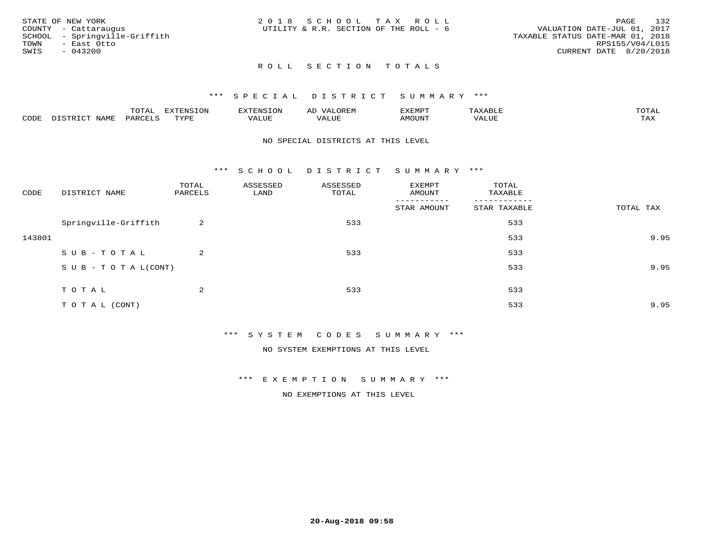| STATE OF NEW YORK             | 2018 SCHOOL TAX ROLL                   | 132<br>PAGE                      |
|-------------------------------|----------------------------------------|----------------------------------|
| COUNTY - Cattaraugus          | UTILITY & R.R. SECTION OF THE ROLL - 6 | VALUATION DATE-JUL 01, 2017      |
| SCHOOL - Springville-Griffith |                                        | TAXABLE STATUS DATE-MAR 01, 2018 |
| TOWN<br>– East Otto           |                                        | RPS155/V04/L015                  |
| SWIS<br>$-043200$             |                                        | CURRENT DATE 8/20/2018           |
|                               |                                        |                                  |
|                               |                                        |                                  |

# ROLL SECTION TOTALS

# \*\*\* SPECIAL DISTRICT SUMMARY \*\*\*

|      |               | m^m*<br><u>UIAI</u> | . v             | $\mathbf{H}$<br>– ∺'Ni≻⊺    | AL       | $T\rightarrow T\rightarrow T\rightarrow T\rightarrow T\rightarrow T$ | P      | $m \wedge m \wedge n$ |
|------|---------------|---------------------|-----------------|-----------------------------|----------|----------------------------------------------------------------------|--------|-----------------------|
| CODE | ∧T∆M™<br>⊥∙⊥⊥ | VAKU                | $m \tau \tau n$ | <b>TTT</b><br>اللالما للده. | TA T TTT | MOTIN'                                                               | تتتت ت | ГAX                   |

#### NO SPECIAL DISTRICTS AT THIS LEVEL

\*\*\* S C H O O L D I S T R I C T S U M M A R Y \*\*\*

| CODE   | DISTRICT NAME                    | TOTAL<br>PARCELS | ASSESSED<br>LAND | ASSESSED<br>TOTAL | EXEMPT<br>AMOUNT<br>------- | TOTAL<br>TAXABLE<br>-------- |           |
|--------|----------------------------------|------------------|------------------|-------------------|-----------------------------|------------------------------|-----------|
|        |                                  |                  |                  |                   | STAR AMOUNT                 | STAR TAXABLE                 | TOTAL TAX |
|        | Springville-Griffith             | 2                |                  | 533               |                             | 533                          |           |
| 143801 |                                  |                  |                  |                   |                             | 533                          | 9.95      |
|        | SUB-TOTAL                        | 2                |                  | 533               |                             | 533                          |           |
|        | $S \cup B - T \cup T A L (CONT)$ |                  |                  |                   |                             | 533                          | 9.95      |
|        | TOTAL                            | 2                |                  | 533               |                             | 533                          |           |
|        | TO TAL (CONT)                    |                  |                  |                   |                             | 533                          | 9.95      |

\*\*\* S Y S T E M C O D E S S U M M A R Y \*\*\*

NO SYSTEM EXEMPTIONS AT THIS LEVEL

\*\*\* E X E M P T I O N S U M M A R Y \*\*\*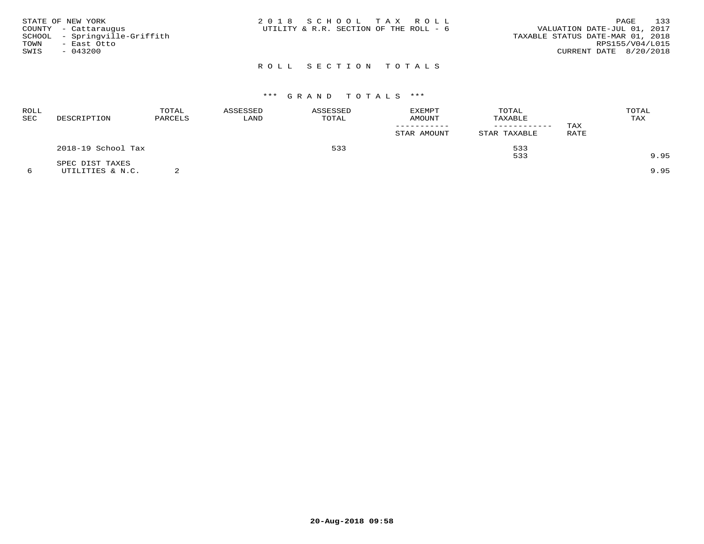| STATE OF NEW YORK<br>COUNTY - Cattaraugus<br>SCHOOL - Springville-Griffith<br>TOWN<br>- East Otto<br>SWIS<br>$-043200$ | 2018 SCHOOL TAX ROLL<br>UTILITY & R.R. SECTION OF THE ROLL - 6 | 133<br>PAGE<br>VALUATION DATE-JUL 01, 2017<br>TAXABLE STATUS DATE-MAR 01, 2018<br>RPS155/V04/L015<br>CURRENT DATE 8/20/2018 |
|------------------------------------------------------------------------------------------------------------------------|----------------------------------------------------------------|-----------------------------------------------------------------------------------------------------------------------------|
|                                                                                                                        | ROLL SECTION TOTALS                                            |                                                                                                                             |

| ROLL<br>SEC | DESCRIPTION        | TOTAL<br>PARCELS | ASSESSED<br>LAND | ASSESSED<br>TOTAL | <b>EXEMPT</b><br>AMOUNT | TOTAL<br>TAXABLE<br>--------- | TAX  | TOTAL<br>TAX |
|-------------|--------------------|------------------|------------------|-------------------|-------------------------|-------------------------------|------|--------------|
|             |                    |                  |                  |                   | STAR AMOUNT             | STAR TAXABLE                  | RATE |              |
|             | 2018-19 School Tax |                  |                  | 533               |                         | 533                           |      |              |
|             | SPEC DIST TAXES    |                  |                  |                   |                         | 533                           |      | 9.95         |
|             | UTILITIES & N.C.   |                  |                  |                   |                         |                               |      | 9.95         |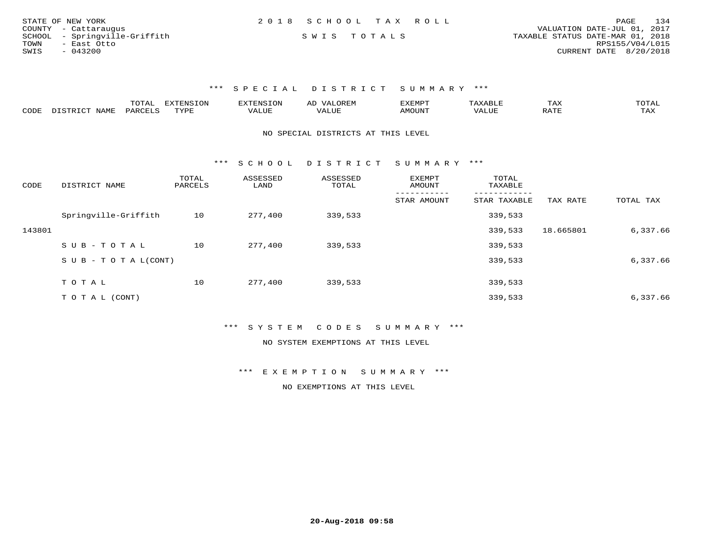| STATE OF NEW YORK             | 2018 SCHOOL TAX ROLL |             |                                  | PAGE                   | 134 |
|-------------------------------|----------------------|-------------|----------------------------------|------------------------|-----|
| COUNTY - Cattaraugus          |                      |             | VALUATION DATE-JUL 01, 2017      |                        |     |
| SCHOOL - Springville-Griffith |                      | SWIS TOTALS | TAXABLE STATUS DATE-MAR 01, 2018 |                        |     |
| TOWN<br>– East Otto           |                      |             |                                  | RPS155/V04/L015        |     |
| SWIS<br>- 043200              |                      |             |                                  | CURRENT DATE 8/20/2018 |     |

|      |                                  | "Ω"ΠΩ<br>⊥∪⊥⊓⊥ | <b>EXTENSION</b> |                         | A <sub>L</sub> | XEMPT:        |                        | 1 A A       |                     |
|------|----------------------------------|----------------|------------------|-------------------------|----------------|---------------|------------------------|-------------|---------------------|
| CODE | <b>NAMF</b><br><u>היה דפידים</u> | <b>PARC</b>    | TYPE             | $\mathcal{A}\text{LUF}$ |                | <b>AMOUNT</b> | , 7 7 T T T T<br>VALUE | הדרח ג<br>▵ | $m \times r$<br>⊥≞∆ |

#### NO SPECIAL DISTRICTS AT THIS LEVEL

\*\*\* S C H O O L D I S T R I C T S U M M A R Y \*\*\*

| CODE   | DISTRICT NAME                    | TOTAL<br>PARCELS | ASSESSED<br>LAND | ASSESSED<br>TOTAL | <b>EXEMPT</b><br>AMOUNT | TOTAL<br>TAXABLE |           |           |
|--------|----------------------------------|------------------|------------------|-------------------|-------------------------|------------------|-----------|-----------|
|        |                                  |                  |                  |                   | STAR AMOUNT             | STAR TAXABLE     | TAX RATE  | TOTAL TAX |
|        | Springville-Griffith             | 10               | 277,400          | 339,533           |                         | 339,533          |           |           |
| 143801 |                                  |                  |                  |                   |                         | 339,533          | 18.665801 | 6,337.66  |
|        | SUB-TOTAL                        | 10               | 277,400          | 339,533           |                         | 339,533          |           |           |
|        | $S \cup B - T \cup T A L (CONT)$ |                  |                  |                   |                         | 339,533          |           | 6,337.66  |
|        |                                  |                  |                  |                   |                         |                  |           |           |
|        | TOTAL                            | 10               | 277,400          | 339,533           |                         | 339,533          |           |           |
|        | T O T A L (CONT)                 |                  |                  |                   |                         | 339,533          |           | 6,337.66  |

## \*\*\* S Y S T E M C O D E S S U M M A R Y \*\*\*

#### NO SYSTEM EXEMPTIONS AT THIS LEVEL

\*\*\* E X E M P T I O N S U M M A R Y \*\*\*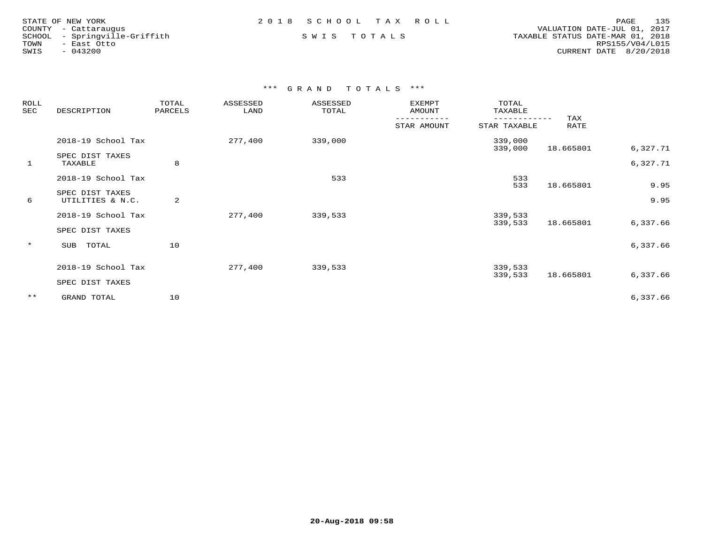| STATE OF NEW YORK |                        |
|-------------------|------------------------|
|                   | COUNTY - Cattarauqus   |
| SCHOOL            | - Springville-Griffith |
| TOWN              | - East Otto            |
| SWIS              | $-043200$              |

COUNTY - Cattaraugus<br>SCHOOL - Springville-Griffith S M I S N I S T O T A L S S SON S TAXABLE STATUS DATE-MAR 01, 2018 TOWN - East Otto RPS155/V04/L015SWIS - 043200 CURRENT DATE 8/20/2018

| ROLL<br>SEC<br>DESCRIPTION |                                     | TOTAL<br>PARCELS | ASSESSED<br>LAND | ASSESSED<br>TOTAL | EXEMPT<br>AMOUNT | TOTAL<br>TAXABLE   |             |          |
|----------------------------|-------------------------------------|------------------|------------------|-------------------|------------------|--------------------|-------------|----------|
|                            |                                     |                  |                  |                   | STAR AMOUNT      | STAR TAXABLE       | TAX<br>RATE |          |
|                            | 2018-19 School Tax                  |                  | 277,400          | 339,000           |                  | 339,000<br>339,000 | 18.665801   | 6,327.71 |
| 1                          | SPEC DIST TAXES<br>TAXABLE          | 8                |                  |                   |                  |                    |             | 6,327.71 |
|                            | 2018-19 School Tax                  |                  |                  | 533               |                  | 533<br>533         |             | 9.95     |
| 6                          | SPEC DIST TAXES<br>UTILITIES & N.C. | 2                |                  |                   |                  |                    | 18.665801   | 9.95     |
|                            | 2018-19 School Tax                  |                  | 277,400          | 339,533           |                  | 339,533<br>339,533 | 18.665801   | 6,337.66 |
|                            | SPEC DIST TAXES                     |                  |                  |                   |                  |                    |             |          |
| $\star$                    | SUB TOTAL                           | 10               |                  |                   |                  |                    |             | 6,337.66 |
|                            | 2018-19 School Tax                  |                  | 277,400          | 339,533           |                  | 339,533<br>339,533 | 18.665801   | 6,337.66 |
|                            | SPEC DIST TAXES                     |                  |                  |                   |                  |                    |             |          |
| $***$                      | GRAND TOTAL                         | 10               |                  |                   |                  |                    |             | 6,337.66 |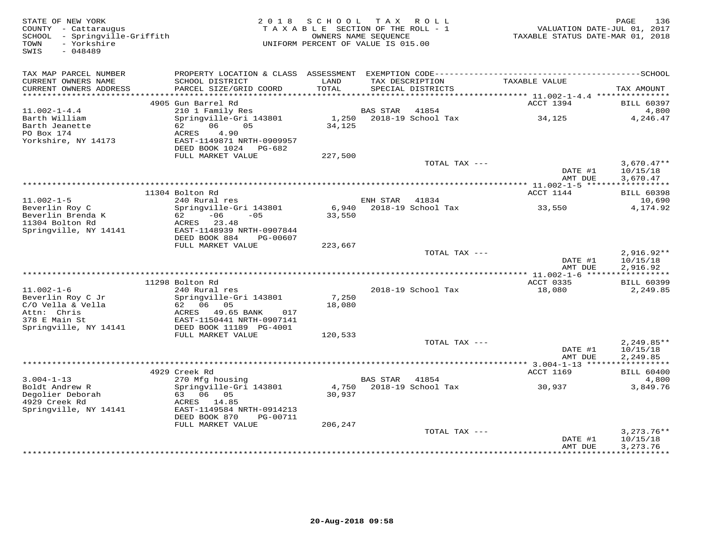| STATE OF NEW YORK<br>COUNTY - Cattaraugus<br>SCHOOL - Springville-Griffith<br>- Yorkshire<br>TOWN<br>$-048489$<br>SWIS | 2 0 1 8                                                                  | SCHOOL<br>TAXABLE SECTION OF THE ROLL - 1<br>OWNERS NAME SEOUENCE<br>UNIFORM PERCENT OF VALUE IS 015.00 |                 | TAX ROLL                             | TAXABLE STATUS DATE-MAR 01, 2018     | PAGE<br>136<br>VALUATION DATE-JUL 01, 2017 |
|------------------------------------------------------------------------------------------------------------------------|--------------------------------------------------------------------------|---------------------------------------------------------------------------------------------------------|-----------------|--------------------------------------|--------------------------------------|--------------------------------------------|
| TAX MAP PARCEL NUMBER                                                                                                  |                                                                          |                                                                                                         |                 |                                      |                                      |                                            |
| CURRENT OWNERS NAME<br>CURRENT OWNERS ADDRESS<br>**********************                                                | SCHOOL DISTRICT<br>PARCEL SIZE/GRID COORD                                | LAND<br>TOTAL                                                                                           |                 | TAX DESCRIPTION<br>SPECIAL DISTRICTS | TAXABLE VALUE                        | TAX AMOUNT                                 |
|                                                                                                                        | 4905 Gun Barrel Rd                                                       |                                                                                                         |                 |                                      | ACCT 1394                            | <b>BILL 60397</b>                          |
| $11.002 - 1 - 4.4$                                                                                                     | 210 1 Family Res                                                         |                                                                                                         | <b>BAS STAR</b> | 41854                                |                                      | 4,800                                      |
| Barth William<br>Barth Jeanette<br>PO Box 174                                                                          | Springville-Gri 143801<br>62<br>06<br>05<br>4.90<br>ACRES                | 1,250<br>34,125                                                                                         |                 | 2018-19 School Tax                   | 34,125                               | 4,246.47                                   |
| Yorkshire, NY 14173                                                                                                    | EAST-1149871 NRTH-0909957<br>DEED BOOK 1024 PG-682<br>FULL MARKET VALUE  | 227,500                                                                                                 |                 |                                      |                                      |                                            |
|                                                                                                                        |                                                                          |                                                                                                         |                 | TOTAL TAX ---                        |                                      | $3,670.47**$                               |
|                                                                                                                        |                                                                          | ********************************                                                                        |                 |                                      | DATE #1<br>AMT DUE                   | 10/15/18<br>3,670.47<br>***********        |
|                                                                                                                        | 11304 Bolton Rd                                                          |                                                                                                         |                 |                                      | **** 11.002-1-5 *****<br>ACCT 1144   | <b>BILL 60398</b>                          |
| $11.002 - 1 - 5$                                                                                                       | 240 Rural res                                                            |                                                                                                         | ENH STAR        | 41834                                |                                      | 10,690                                     |
| Beverlin Roy C<br>Beverlin Brenda K<br>11304 Bolton Rd                                                                 | Springville-Gri 143801<br>$-06$<br>62 —<br>$-0.5$<br>ACRES 23.48         | 6,940<br>33,550                                                                                         |                 | 2018-19 School Tax                   | 33,550                               | 4,174.92                                   |
| Springville, NY 14141                                                                                                  | EAST-1148939 NRTH-0907844<br>DEED BOOK 884<br>PG-00607                   |                                                                                                         |                 |                                      |                                      |                                            |
|                                                                                                                        | FULL MARKET VALUE                                                        | 223,667                                                                                                 |                 | TOTAL TAX ---                        |                                      | $2,916.92**$                               |
|                                                                                                                        |                                                                          |                                                                                                         |                 |                                      | DATE #1<br>AMT DUE                   | 10/15/18<br>2,916.92                       |
|                                                                                                                        | 11298 Bolton Rd                                                          |                                                                                                         |                 |                                      | ACCT 0335                            | <b>BILL 60399</b>                          |
| $11.002 - 1 - 6$                                                                                                       | 240 Rural res                                                            |                                                                                                         |                 | 2018-19 School Tax                   | 18,080                               | 2,249.85                                   |
| Beverlin Roy C Jr<br>C/O Vella & Vella                                                                                 | Springville-Gri 143801<br>62 06 05                                       | 7,250<br>18,080                                                                                         |                 |                                      |                                      |                                            |
| Attn: Chris<br>378 E Main St                                                                                           | ACRES<br>49.65 BANK<br>017<br>EAST-1150441 NRTH-0907141                  |                                                                                                         |                 |                                      |                                      |                                            |
| Springville, NY 14141                                                                                                  | DEED BOOK 11189 PG-4001<br>FULL MARKET VALUE                             | 120,533                                                                                                 |                 |                                      |                                      |                                            |
|                                                                                                                        |                                                                          |                                                                                                         |                 | TOTAL TAX ---                        |                                      | $2,249.85**$                               |
|                                                                                                                        |                                                                          |                                                                                                         |                 |                                      | DATE #1<br>AMT DUE                   | 10/15/18<br>2,249.85                       |
|                                                                                                                        |                                                                          |                                                                                                         |                 |                                      | ****************** 3.004-1-13 ****** | ***********                                |
| $3.004 - 1 - 13$                                                                                                       | 4929 Creek Rd<br>270 Mfg housing                                         |                                                                                                         | <b>BAS STAR</b> | 41854                                | ACCT 1169                            | <b>BILL 60400</b><br>4,800                 |
| Boldt Andrew R<br>Degolier Deborah                                                                                     | Springville-Gri 143801<br>63 06 05                                       | 4,750<br>30,937                                                                                         |                 | 2018-19 School Tax                   | 30,937                               | 3,849.76                                   |
| 4929 Creek Rd<br>Springville, NY 14141                                                                                 | 14.85<br>ACRES<br>EAST-1149584 NRTH-0914213<br>DEED BOOK 870<br>PG-00711 |                                                                                                         |                 |                                      |                                      |                                            |
|                                                                                                                        | FULL MARKET VALUE                                                        | 206,247                                                                                                 |                 |                                      |                                      |                                            |
|                                                                                                                        |                                                                          |                                                                                                         |                 | TOTAL TAX ---                        | DATE #1                              | $3,273.76**$<br>10/15/18                   |
|                                                                                                                        |                                                                          |                                                                                                         |                 |                                      | AMT DUE                              | 3,273.76<br><b>++++++++++</b>              |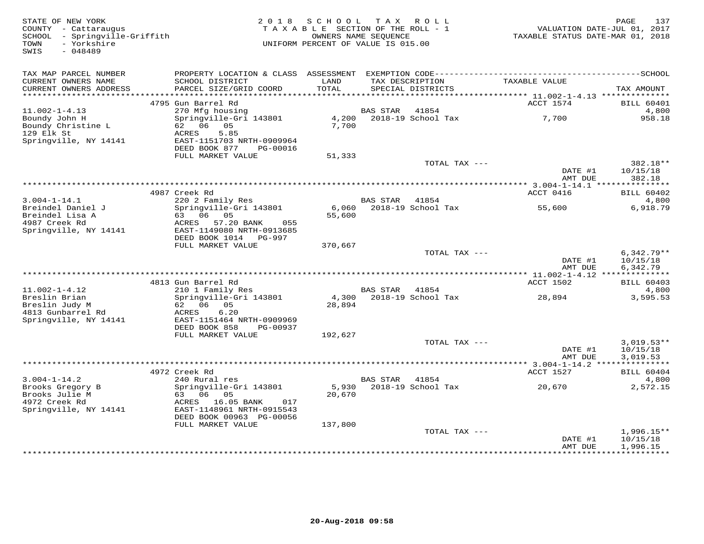| STATE OF NEW YORK<br>COUNTY - Cattaraugus<br>SCHOOL - Springville-Griffith<br>- Yorkshire<br>TOWN | 2018                                               | SCHOOL<br>TAXABLE SECTION OF THE ROLL - 1<br>UNIFORM PERCENT OF VALUE IS 015.00 | T A X<br>OWNERS NAME SEQUENCE | R O L L                     | VALUATION DATE-JUL 01, 2017<br>TAXABLE STATUS DATE-MAR 01, 2018 | 137<br>PAGE                |
|---------------------------------------------------------------------------------------------------|----------------------------------------------------|---------------------------------------------------------------------------------|-------------------------------|-----------------------------|-----------------------------------------------------------------|----------------------------|
| $-048489$<br>SWIS                                                                                 |                                                    |                                                                                 |                               |                             |                                                                 |                            |
| TAX MAP PARCEL NUMBER                                                                             |                                                    |                                                                                 |                               |                             |                                                                 |                            |
| CURRENT OWNERS NAME                                                                               | SCHOOL DISTRICT                                    | LAND                                                                            |                               | TAX DESCRIPTION             | TAXABLE VALUE                                                   |                            |
| CURRENT OWNERS ADDRESS                                                                            | PARCEL SIZE/GRID COORD                             | TOTAL                                                                           |                               | SPECIAL DISTRICTS           |                                                                 | TAX AMOUNT                 |
| ***********************                                                                           |                                                    |                                                                                 |                               |                             |                                                                 |                            |
|                                                                                                   | 4795 Gun Barrel Rd                                 |                                                                                 |                               |                             | ACCT 1574                                                       | <b>BILL 60401</b>          |
| $11.002 - 1 - 4.13$                                                                               | 270 Mfg housing<br>Springville-Gri 143801          | 4,200                                                                           | <b>BAS STAR</b>               | 41854<br>2018-19 School Tax | 7,700                                                           | 4,800<br>958.18            |
| Boundy John H<br>Boundy Christine L                                                               | 62 06 05                                           | 7,700                                                                           |                               |                             |                                                                 |                            |
| 129 Elk St                                                                                        | 5.85<br>ACRES                                      |                                                                                 |                               |                             |                                                                 |                            |
| Springville, NY 14141                                                                             | EAST-1151703 NRTH-0909964                          |                                                                                 |                               |                             |                                                                 |                            |
|                                                                                                   | DEED BOOK 877<br>PG-00016                          |                                                                                 |                               |                             |                                                                 |                            |
|                                                                                                   | FULL MARKET VALUE                                  | 51,333                                                                          |                               | TOTAL TAX ---               |                                                                 | 382.18**                   |
|                                                                                                   |                                                    |                                                                                 |                               |                             | DATE #1                                                         | 10/15/18                   |
|                                                                                                   |                                                    |                                                                                 |                               |                             | AMT DUE                                                         | 382.18                     |
|                                                                                                   |                                                    |                                                                                 |                               |                             | ********** 3.004-1-14.1 ****                                    | ***********                |
| $3.004 - 1 - 14.1$                                                                                | 4987 Creek Rd<br>220 2 Family Res                  |                                                                                 | <b>BAS STAR</b>               | 41854                       | ACCT 0416                                                       | <b>BILL 60402</b><br>4,800 |
| Breindel Daniel J                                                                                 | Springville-Gri 143801                             | 6,060                                                                           |                               | 2018-19 School Tax          | 55,600                                                          | 6,918.79                   |
| Breindel Lisa A                                                                                   | 63 06 05                                           | 55,600                                                                          |                               |                             |                                                                 |                            |
| 4987 Creek Rd                                                                                     | ACRES 57.20 BANK<br>055                            |                                                                                 |                               |                             |                                                                 |                            |
| Springville, NY 14141                                                                             | EAST-1149080 NRTH-0913685<br>DEED BOOK 1014 PG-997 |                                                                                 |                               |                             |                                                                 |                            |
|                                                                                                   | FULL MARKET VALUE                                  | 370,667                                                                         |                               |                             |                                                                 |                            |
|                                                                                                   |                                                    |                                                                                 |                               | TOTAL TAX ---               |                                                                 | $6,342.79**$               |
|                                                                                                   |                                                    |                                                                                 |                               |                             | DATE #1                                                         | 10/15/18                   |
|                                                                                                   |                                                    |                                                                                 |                               |                             | AMT DUE                                                         | 6,342.79                   |
|                                                                                                   | 4813 Gun Barrel Rd                                 |                                                                                 |                               |                             | ACCT 1502                                                       | <b>BILL 60403</b>          |
| $11.002 - 1 - 4.12$                                                                               | 210 1 Family Res                                   |                                                                                 | BAS STAR                      | 41854                       |                                                                 | 4,800                      |
| Breslin Brian                                                                                     | Springville-Gri 143801                             |                                                                                 |                               | 4,300 2018-19 School Tax    | 28,894                                                          | 3,595.53                   |
| Breslin Judy M<br>4813 Gunbarrel Rd                                                               | 05<br>62 06<br>6.20<br>ACRES                       | 28,894                                                                          |                               |                             |                                                                 |                            |
| Springville, NY 14141                                                                             | EAST-1151464 NRTH-0909969                          |                                                                                 |                               |                             |                                                                 |                            |
|                                                                                                   | DEED BOOK 858<br>PG-00937                          |                                                                                 |                               |                             |                                                                 |                            |
|                                                                                                   | FULL MARKET VALUE                                  | 192,627                                                                         |                               |                             |                                                                 |                            |
|                                                                                                   |                                                    |                                                                                 |                               | TOTAL TAX ---               | DATE #1                                                         | $3,019.53**$               |
|                                                                                                   |                                                    |                                                                                 |                               |                             | AMT DUE                                                         | 10/15/18<br>3,019.53       |
|                                                                                                   |                                                    |                                                                                 |                               |                             |                                                                 |                            |
|                                                                                                   | 4972 Creek Rd                                      |                                                                                 |                               |                             | ACCT 1527                                                       | BILL 60404                 |
| $3.004 - 1 - 14.2$                                                                                | 240 Rural res                                      |                                                                                 | <b>BAS STAR</b>               | 41854                       |                                                                 | 4,800                      |
| Brooks Gregory B<br>Brooks Julie M                                                                | Springville-Gri 143801<br>63<br>06 05              | 5,930<br>20,670                                                                 |                               | 2018-19 School Tax          | 20,670                                                          | 2,572.15                   |
| 4972 Creek Rd                                                                                     | ACRES 16.05 BANK<br>017                            |                                                                                 |                               |                             |                                                                 |                            |
| Springville, NY 14141                                                                             | EAST-1148961 NRTH-0915543                          |                                                                                 |                               |                             |                                                                 |                            |
|                                                                                                   | DEED BOOK 00963 PG-00056                           |                                                                                 |                               |                             |                                                                 |                            |
|                                                                                                   | FULL MARKET VALUE                                  | 137,800                                                                         |                               | TOTAL TAX ---               |                                                                 | $1,996.15**$               |
|                                                                                                   |                                                    |                                                                                 |                               |                             | DATE #1                                                         | 10/15/18                   |
|                                                                                                   |                                                    |                                                                                 |                               |                             | AMT DUE                                                         | 1,996.15                   |
|                                                                                                   |                                                    |                                                                                 |                               |                             | * * * * * * * * * * * * *                                       | **********                 |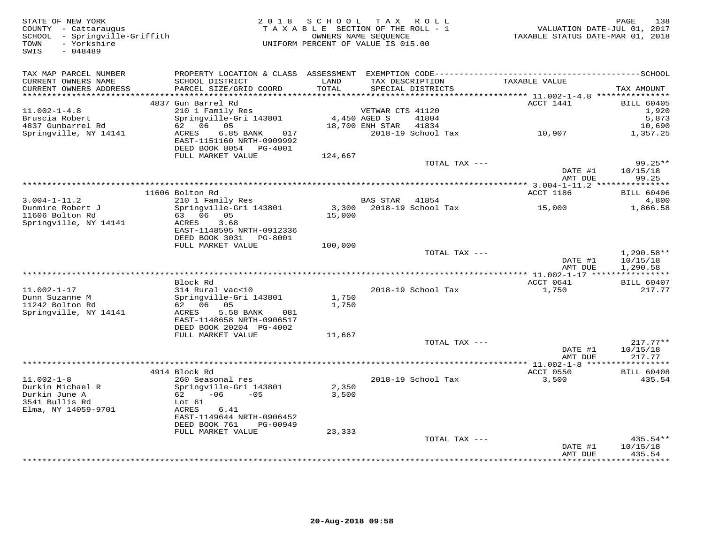| STATE OF NEW YORK<br>COUNTY - Cattaraugus<br>SCHOOL - Springville-Griffith<br>- Yorkshire<br>TOWN<br>SWIS<br>$-048489$ |                                                                                  | 2018 SCHOOL TAX ROLL<br>TAXABLE SECTION OF THE ROLL - 1<br>UNIFORM PERCENT OF VALUE IS 015.00 | OWNERS NAME SEQUENCE                 |                          | VALUATION DATE-JUL 01, 2017<br>TAXABLE STATUS DATE-MAR 01, 2018 | PAGE<br>138        |
|------------------------------------------------------------------------------------------------------------------------|----------------------------------------------------------------------------------|-----------------------------------------------------------------------------------------------|--------------------------------------|--------------------------|-----------------------------------------------------------------|--------------------|
| TAX MAP PARCEL NUMBER                                                                                                  |                                                                                  |                                                                                               |                                      |                          |                                                                 |                    |
| CURRENT OWNERS NAME<br>CURRENT OWNERS ADDRESS<br>***********************                                               | SCHOOL DISTRICT<br>PARCEL SIZE/GRID COORD                                        | LAND<br>TOTAL                                                                                 | TAX DESCRIPTION<br>SPECIAL DISTRICTS |                          | TAXABLE VALUE                                                   | TAX AMOUNT         |
|                                                                                                                        | 4837 Gun Barrel Rd                                                               |                                                                                               |                                      |                          | ACCT 1441                                                       | <b>BILL 60405</b>  |
| $11.002 - 1 - 4.8$                                                                                                     | 210 1 Family Res                                                                 |                                                                                               | VETWAR CTS 41120                     |                          |                                                                 | 1,920              |
| Bruscia Robert                                                                                                         | Springville-Gri 143801                                                           | 4,450 AGED S                                                                                  |                                      | 41804                    |                                                                 | 5,873              |
| 4837 Gunbarrel Rd                                                                                                      | 62 06 05                                                                         |                                                                                               | 18,700 ENH STAR 41834                |                          |                                                                 | 10,690             |
| Springville, NY 14141                                                                                                  | 017<br>ACRES<br>6.85 BANK<br>EAST-1151160 NRTH-0909992<br>DEED BOOK 8054 PG-4001 |                                                                                               |                                      | 2018-19 School Tax       | 10,907                                                          | 1,357.25           |
|                                                                                                                        | FULL MARKET VALUE                                                                | 124,667                                                                                       |                                      |                          |                                                                 |                    |
|                                                                                                                        |                                                                                  |                                                                                               |                                      | TOTAL TAX ---            |                                                                 | $99.25**$          |
|                                                                                                                        |                                                                                  |                                                                                               |                                      |                          | DATE #1<br>AMT DUE                                              | 10/15/18<br>99.25  |
|                                                                                                                        |                                                                                  |                                                                                               |                                      |                          |                                                                 |                    |
|                                                                                                                        | 11606 Bolton Rd                                                                  |                                                                                               |                                      |                          | ACCT 1186                                                       | <b>BILL 60406</b>  |
| $3.004 - 1 - 11.2$                                                                                                     | 210 1 Family Res                                                                 |                                                                                               | BAS STAR 41854                       |                          |                                                                 | 4,800              |
| Dunmire Robert J                                                                                                       | Springville-Gri 143801                                                           |                                                                                               |                                      | 3,300 2018-19 School Tax | 15,000                                                          | 1,866.58           |
| 11606 Bolton Rd                                                                                                        | 63 06 05<br>3.68                                                                 | 15,000                                                                                        |                                      |                          |                                                                 |                    |
| Springville, NY 14141                                                                                                  | ACRES<br>EAST-1148595 NRTH-0912336                                               |                                                                                               |                                      |                          |                                                                 |                    |
|                                                                                                                        | DEED BOOK 3031 PG-8001                                                           |                                                                                               |                                      |                          |                                                                 |                    |
|                                                                                                                        | FULL MARKET VALUE                                                                | 100,000                                                                                       |                                      |                          |                                                                 |                    |
|                                                                                                                        |                                                                                  |                                                                                               |                                      | TOTAL TAX ---            |                                                                 | $1,290.58**$       |
|                                                                                                                        |                                                                                  |                                                                                               |                                      |                          | DATE #1                                                         | 10/15/18           |
|                                                                                                                        |                                                                                  |                                                                                               |                                      |                          | AMT DUE                                                         | 1,290.58           |
|                                                                                                                        | Block Rd                                                                         |                                                                                               |                                      |                          | ACCT 0641                                                       | <b>BILL 60407</b>  |
| $11.002 - 1 - 17$                                                                                                      | 314 Rural vac<10                                                                 |                                                                                               |                                      | 2018-19 School Tax       | 1,750                                                           | 217.77             |
| Dunn Suzanne M                                                                                                         | Springville-Gri 143801                                                           | 1,750                                                                                         |                                      |                          |                                                                 |                    |
| 11242 Bolton Rd                                                                                                        | 62 06 05                                                                         | 1,750                                                                                         |                                      |                          |                                                                 |                    |
| Springville, NY 14141                                                                                                  | ACRES<br>5.58 BANK<br>081                                                        |                                                                                               |                                      |                          |                                                                 |                    |
|                                                                                                                        | EAST-1148658 NRTH-0906517                                                        |                                                                                               |                                      |                          |                                                                 |                    |
|                                                                                                                        | DEED BOOK 20204 PG-4002                                                          |                                                                                               |                                      |                          |                                                                 |                    |
|                                                                                                                        | FULL MARKET VALUE                                                                | 11,667                                                                                        |                                      | TOTAL TAX ---            |                                                                 | $217.77**$         |
|                                                                                                                        |                                                                                  |                                                                                               |                                      |                          | DATE #1                                                         | 10/15/18           |
|                                                                                                                        |                                                                                  |                                                                                               |                                      |                          | AMT DUE                                                         | 217.77             |
|                                                                                                                        |                                                                                  |                                                                                               |                                      |                          |                                                                 |                    |
|                                                                                                                        | 4914 Block Rd                                                                    |                                                                                               |                                      |                          | ACCT 0550                                                       | <b>BILL 60408</b>  |
| $11.002 - 1 - 8$                                                                                                       | 260 Seasonal res                                                                 |                                                                                               |                                      | 2018-19 School Tax       | 3,500                                                           | 435.54             |
| Durkin Michael R                                                                                                       | Springville-Gri 143801                                                           | 2,350                                                                                         |                                      |                          |                                                                 |                    |
| Durkin June A<br>3541 Bullis Rd                                                                                        | 62 6<br>$-06 -05$<br>Lot 61                                                      | 3,500                                                                                         |                                      |                          |                                                                 |                    |
| Elma, NY 14059-9701                                                                                                    | ACRES<br>6.41                                                                    |                                                                                               |                                      |                          |                                                                 |                    |
|                                                                                                                        | EAST-1149644 NRTH-0906452                                                        |                                                                                               |                                      |                          |                                                                 |                    |
|                                                                                                                        | DEED BOOK 761<br>PG-00949                                                        |                                                                                               |                                      |                          |                                                                 |                    |
|                                                                                                                        | FULL MARKET VALUE                                                                | 23,333                                                                                        |                                      |                          |                                                                 |                    |
|                                                                                                                        |                                                                                  |                                                                                               |                                      | TOTAL TAX ---            |                                                                 | 435.54**           |
|                                                                                                                        |                                                                                  |                                                                                               |                                      |                          | DATE #1                                                         | 10/15/18           |
|                                                                                                                        |                                                                                  |                                                                                               |                                      |                          | AMT DUE                                                         | 435.54<br>******** |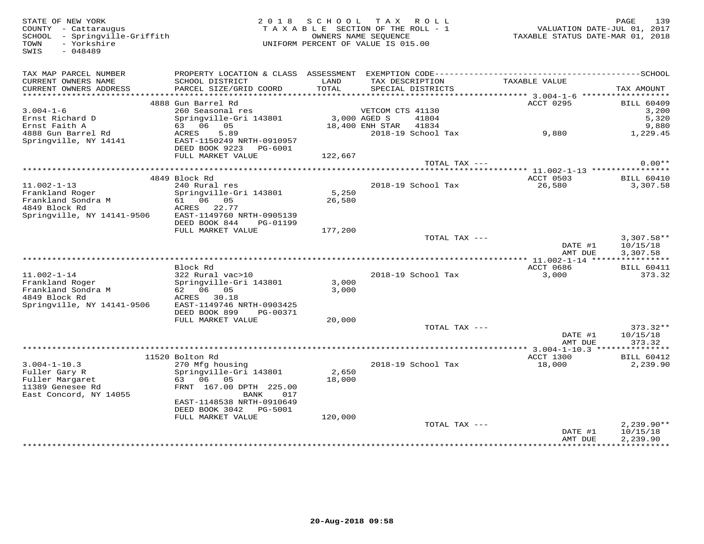STATE OF NEW YORK 2 0 1 8 S C H O O L T A X R O L L PAGE 139 COUNTY - Cattaraugus T A X A B L E SECTION OF THE ROLL - 1 VALUATION DATE-JUL 01, 2017 SCHOOL - Springville-Griffith OWNERS NAME SEQUENCE TAXABLE STATUS DATE-MAR 01, 2018 TOWN - Yorkshire UNIFORM PERCENT OF VALUE IS 015.00SWIS - 048489TAX MAP PARCEL NUMBER PROPERTY LOCATION & CLASS ASSESSMENT EXEMPTION CODE------------------------------------------SCHOOL CURRENT OWNERS NAME SCHOOL DISTRICT LAND TAX DESCRIPTION TAXABLE VALUE CURRENT OWNERS ADDRESS PARCEL SIZE/GRID COORD TOTAL SPECIAL DISTRICTS TAX AMOUNT \*\*\*\*\*\*\*\*\*\*\*\*\*\*\*\*\*\*\*\*\*\*\*\*\*\*\*\*\*\*\*\*\*\*\*\*\*\*\*\*\*\*\*\*\*\*\*\*\*\*\*\*\*\*\*\*\*\*\*\*\*\*\*\*\*\*\*\*\*\*\*\*\*\*\*\*\*\*\*\*\*\*\*\*\*\*\*\*\*\*\*\*\*\*\*\*\*\*\*\*\*\*\* 3.004-1-6 \*\*\*\*\*\*\*\*\*\*\*\*\*\*\*\*\*\* $\begin{array}{cccccccc} 3.004-1-6 & & & & 4888 & \text{Gun} & \text{Barrel} & \text{Rd} & & & & & & & & \text{ACGT 0295} & & & & & & \text{BILL} & 60409 & & & & & & & & \text{BILL} & 60409 & & & & & & & \text{BILL} & 60409 & & & & & & \text{BILL} & 60409 & & & & & & & \text{BILL} & 60409 & & & & & & \text{BILL} & 60409 & & & & & & \text{BILL} & 60409 & & & & & & & \text{BILL} &$  FULL MARKET VALUE 122,667 TOTAL TAX --- 0.00\*\* \*\*\*\*\*\*\*\*\*\*\*\*\*\*\*\*\*\*\*\*\*\*\*\*\*\*\*\*\*\*\*\*\*\*\*\*\*\*\*\*\*\*\*\*\*\*\*\*\*\*\*\*\*\*\*\*\*\*\*\*\*\*\*\*\*\*\*\*\*\*\*\*\*\*\*\*\*\*\*\*\*\*\*\*\*\*\*\*\*\*\*\*\*\*\*\*\*\*\*\*\*\*\* 11.002-1-13 \*\*\*\*\*\*\*\*\*\*\*\*\*\*\*\*ACCT 0503 BILL 60410 4849 Block Rd ACCT 0503 BILL 604103,307.58 11.002-1-13 240 Rural res 2018-19 School Tax 26,580 3,307.58Frankland Roger Springville-Gri 143801 5,250 Frankland Sondra M 61 06 05 26,580 4849 Block Rd ACRES 22.77 Springville, NY 14141-9506 EAST-1149760 NRTH-0905139 DEED BOOK 844 PG-01199 FULL MARKET VALUE 177,200TOTAL TAX  $---$  3,307.58\*\* DATE #1 10/15/18<br>2 MT DIE 2 207 59 AMT DUE 3,307.58 \*\*\*\*\*\*\*\*\*\*\*\*\*\*\*\*\*\*\*\*\*\*\*\*\*\*\*\*\*\*\*\*\*\*\*\*\*\*\*\*\*\*\*\*\*\*\*\*\*\*\*\*\*\*\*\*\*\*\*\*\*\*\*\*\*\*\*\*\*\*\*\*\*\*\*\*\*\*\*\*\*\*\*\*\*\*\*\*\*\*\*\*\*\*\*\*\*\*\*\*\*\*\* 11.002-1-14 \*\*\*\*\*\*\*\*\*\*\*\*\*\*\*\* Block Rd ACCT 0686 BILL 6041111.002-1-14 322 Rural vac>10 2018-19 School Tax 3,000 373.32Frankland Roger Springville-Gri 143801 3,000 Frankland Sondra M 62 06 05 3,000 4849 Block Rd ACRES 30.18 Springville, NY 14141-9506 EAST-1149746 NRTH-0903425 DEED BOOK 899 PG-00371 FULL MARKET VALUE 20,000 TOTAL TAX --- 373.32\*\* $\text{DATE}$ #1  $10/15/18$ AMT DUE 373.32 AMT DUE 373.32 \*\*\*\*\*\*\*\*\*\*\*\*\*\*\*\*\*\*\*\*\*\*\*\*\*\*\*\*\*\*\*\*\*\*\*\*\*\*\*\*\*\*\*\*\*\*\*\*\*\*\*\*\*\*\*\*\*\*\*\*\*\*\*\*\*\*\*\*\*\*\*\*\*\*\*\*\*\*\*\*\*\*\*\*\*\*\*\*\*\*\*\*\*\*\*\*\*\*\*\*\*\*\* 3.004-1-10.3 \*\*\*\*\*\*\*\*\*\*\*\*\*\*\* 11520 Bolton Rd ACCT 1300 BILL 604123.004-1-10.3 270 Mfg housing 2018-19 School Tax 18,000 2,239.90Fuller Gary R Springville-Gri 143801 2,650 Fuller Margaret 63 06 05 18,000 11389 Genesee Rd FRNT 167.00 DPTH 225.00 East Concord, NY 14055 BANK 017 EAST-1148538 NRTH-0910649 DEED BOOK 3042 PG-5001 FULL MARKET VALUE 120,000TOTAL TAX --- 2,239.90\*\* DATE #1 10/15/18 AMT DUE 2,239.90

\*\*\*\*\*\*\*\*\*\*\*\*\*\*\*\*\*\*\*\*\*\*\*\*\*\*\*\*\*\*\*\*\*\*\*\*\*\*\*\*\*\*\*\*\*\*\*\*\*\*\*\*\*\*\*\*\*\*\*\*\*\*\*\*\*\*\*\*\*\*\*\*\*\*\*\*\*\*\*\*\*\*\*\*\*\*\*\*\*\*\*\*\*\*\*\*\*\*\*\*\*\*\*\*\*\*\*\*\*\*\*\*\*\*\*\*\*\*\*\*\*\*\*\*\*\*\*\*\*\*\*\*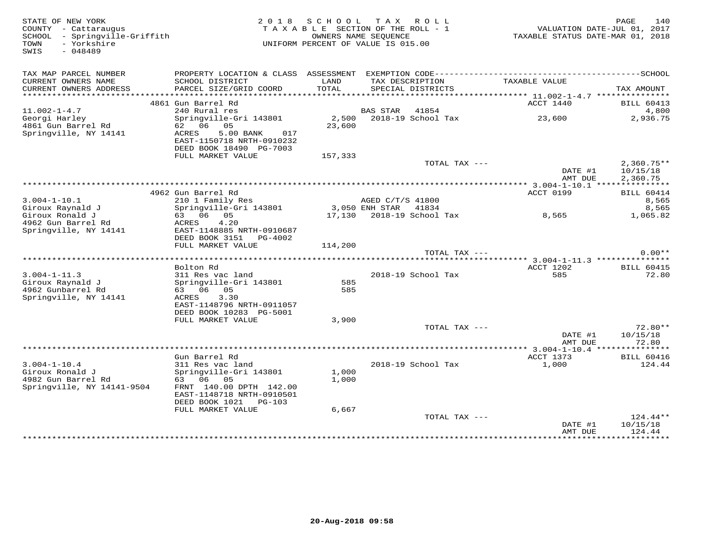| STATE OF NEW YORK<br>COUNTY - Cattaraugus<br>SCHOOL - Springville-Griffith<br>- Yorkshire<br>TOWN<br>$-048489$<br>SWIS | 2 0 1 8                                                                                                                                                                          | SCHOOL<br>TAXABLE SECTION OF THE ROLL - 1<br>UNIFORM PERCENT OF VALUE IS 015.00 | OWNERS NAME SEQUENCE | TAX ROLL                  | TAXABLE STATUS DATE-MAR 01, 2018 | 140<br>PAGE<br>VALUATION DATE-JUL 01, 2017 |
|------------------------------------------------------------------------------------------------------------------------|----------------------------------------------------------------------------------------------------------------------------------------------------------------------------------|---------------------------------------------------------------------------------|----------------------|---------------------------|----------------------------------|--------------------------------------------|
| TAX MAP PARCEL NUMBER                                                                                                  | PROPERTY LOCATION & CLASS ASSESSMENT EXEMPTION CODE-----------------------------------SCHOOL                                                                                     |                                                                                 |                      |                           |                                  |                                            |
| CURRENT OWNERS NAME<br>CURRENT OWNERS ADDRESS                                                                          | SCHOOL DISTRICT<br>PARCEL SIZE/GRID COORD                                                                                                                                        | LAND<br>TOTAL                                                                   | TAX DESCRIPTION      | SPECIAL DISTRICTS         | TAXABLE VALUE                    | TAX AMOUNT                                 |
|                                                                                                                        |                                                                                                                                                                                  |                                                                                 |                      |                           |                                  |                                            |
|                                                                                                                        | 4861 Gun Barrel Rd                                                                                                                                                               |                                                                                 |                      |                           | ACCT 1440                        | <b>BILL 60413</b>                          |
| $11.002 - 1 - 4.7$                                                                                                     | 240 Rural res                                                                                                                                                                    |                                                                                 | <b>BAS STAR</b>      | 41854                     |                                  | 4,800                                      |
| Georgi Harley<br>4861 Gun Barrel Rd<br>Springville, NY 14141                                                           | Springville-Gri 143801<br>62 06 05<br>ACRES<br>5.00 BANK<br>017<br>EAST-1150718 NRTH-0910232<br>DEED BOOK 18490 PG-7003                                                          | 23,600                                                                          |                      | 2,500 2018-19 School Tax  | 23,600                           | 2,936.75                                   |
|                                                                                                                        | FULL MARKET VALUE                                                                                                                                                                | 157,333                                                                         |                      |                           |                                  |                                            |
|                                                                                                                        |                                                                                                                                                                                  |                                                                                 |                      | TOTAL TAX ---             | DATE #1<br>AMT DUE               | $2,360.75**$<br>10/15/18<br>2,360.75       |
|                                                                                                                        |                                                                                                                                                                                  |                                                                                 |                      |                           |                                  |                                            |
|                                                                                                                        | 4962 Gun Barrel Rd                                                                                                                                                               |                                                                                 |                      |                           | ACCT 0199                        | <b>BILL 60414</b>                          |
| $3.004 - 1 - 10.1$                                                                                                     | 210 1 Family Res                                                                                                                                                                 |                                                                                 | AGED C/T/S 41800     |                           |                                  | 8,565                                      |
| Giroux Raynald J                                                                                                       | Springville-Gri 143801                                                                                                                                                           |                                                                                 | 3,050 ENH STAR       | 41834                     |                                  | 8,565                                      |
| Giroux Ronald J<br>4962 Gun Barrel Rd<br>Springville, NY 14141                                                         | 63 06 05<br>4.20<br>ACRES<br>EAST-1148885 NRTH-0910687<br>DEED BOOK 3151 PG-4002                                                                                                 |                                                                                 |                      | 17,130 2018-19 School Tax | 8,565                            | 1,065.82                                   |
|                                                                                                                        | FULL MARKET VALUE                                                                                                                                                                | 114,200                                                                         |                      | TOTAL TAX ---             |                                  | $0.00**$                                   |
|                                                                                                                        |                                                                                                                                                                                  |                                                                                 |                      |                           |                                  |                                            |
|                                                                                                                        | Bolton Rd                                                                                                                                                                        |                                                                                 |                      |                           | ACCT 1202                        | <b>BILL 60415</b>                          |
| $3.004 - 1 - 11.3$<br>Giroux Raynald J<br>4962 Gunbarrel Rd<br>Springville, NY 14141                                   | 311 Res vac land<br>Springville-Gri 143801<br>63 06 05<br>ACRES<br>3.30<br>EAST-1148796 NRTH-0911057<br>DEED BOOK 10283 PG-5001                                                  | 585<br>585                                                                      |                      | 2018-19 School Tax        | 585                              | 72.80                                      |
|                                                                                                                        | FULL MARKET VALUE                                                                                                                                                                | 3,900                                                                           |                      |                           |                                  |                                            |
|                                                                                                                        |                                                                                                                                                                                  |                                                                                 |                      | TOTAL TAX ---             | DATE #1<br>AMT DUE               | 72.80**<br>10/15/18<br>72.80               |
|                                                                                                                        |                                                                                                                                                                                  |                                                                                 |                      |                           |                                  |                                            |
| $3.004 - 1 - 10.4$<br>Giroux Ronald J<br>4982 Gun Barrel Rd<br>Springville, NY 14141-9504                              | Gun Barrel Rd<br>311 Res vac land<br>Springville-Gri 143801<br>63 06 05<br>FRNT 140.00 DPTH 142.00<br>EAST-1148718 NRTH-0910501<br>DEED BOOK 1021<br>PG-103<br>FULL MARKET VALUE | 1,000<br>1,000<br>6,667                                                         |                      | 2018-19 School Tax        | ACCT 1373<br>1,000               | <b>BILL 60416</b><br>124.44                |
|                                                                                                                        |                                                                                                                                                                                  |                                                                                 |                      | TOTAL TAX ---             |                                  | $124.44**$                                 |
|                                                                                                                        |                                                                                                                                                                                  |                                                                                 |                      |                           | DATE #1<br>AMT DUE               | 10/15/18<br>124.44                         |
|                                                                                                                        |                                                                                                                                                                                  |                                                                                 |                      |                           |                                  | ***********                                |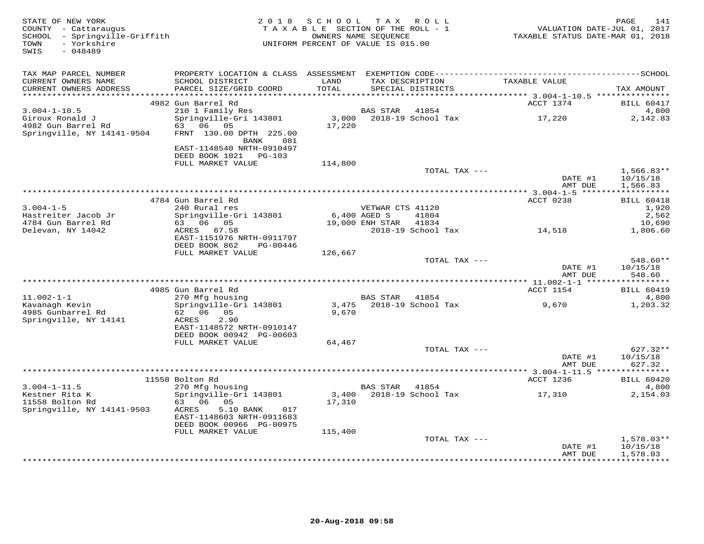| STATE OF NEW YORK<br>COUNTY - Cattaraugus<br>SCHOOL - Springville-Griffith<br>- Yorkshire<br>TOWN<br>SWIS<br>$-048489$ | 2 0 1 8                                                                                                                  | SCHOOL TAX ROLL<br>TAXABLE SECTION OF THE ROLL - 1<br>UNIFORM PERCENT OF VALUE IS 015.00 | OWNERS NAME SEOUENCE                |                             | TAXABLE STATUS DATE-MAR 01, 2018 | PAGE<br>141<br>VALUATION DATE-JUL 01, 2017    |
|------------------------------------------------------------------------------------------------------------------------|--------------------------------------------------------------------------------------------------------------------------|------------------------------------------------------------------------------------------|-------------------------------------|-----------------------------|----------------------------------|-----------------------------------------------|
| TAX MAP PARCEL NUMBER<br>CURRENT OWNERS NAME<br>CURRENT OWNERS ADDRESS<br>***********************                      | SCHOOL DISTRICT<br>PARCEL SIZE/GRID COORD                                                                                | LAND<br>TOTAL                                                                            | TAX DESCRIPTION                     | SPECIAL DISTRICTS           | TAXABLE VALUE                    | TAX AMOUNT                                    |
|                                                                                                                        | 4982 Gun Barrel Rd                                                                                                       |                                                                                          |                                     |                             | ACCT 1374                        | <b>BILL 60417</b>                             |
| $3.004 - 1 - 10.5$<br>Giroux Ronald J<br>4982 Gun Barrel Rd<br>Springville, NY 14141-9504                              | 210 1 Family Res<br>Springville-Gri 143801<br>63 06 05<br>FRNT 130.00 DPTH 225.00<br>BANK<br>081                         | 3,000<br>17,220                                                                          | BAS STAR                            | 41854<br>2018-19 School Tax | 17,220                           | 4,800<br>2,142.83                             |
|                                                                                                                        | EAST-1148540 NRTH-0910497<br>DEED BOOK 1021<br>$PG-103$<br>FULL MARKET VALUE                                             | 114,800                                                                                  |                                     |                             |                                  |                                               |
|                                                                                                                        |                                                                                                                          |                                                                                          |                                     | TOTAL TAX ---               | DATE #1<br>AMT DUE               | $1,566.83**$<br>10/15/18<br>1,566.83          |
|                                                                                                                        |                                                                                                                          |                                                                                          |                                     |                             |                                  |                                               |
| $3.004 - 1 - 5$<br>Hastreiter Jacob Jr<br>4784 Gun Barrel Rd                                                           | 4784 Gun Barrel Rd<br>240 Rural res<br>Springville-Gri 143801<br>63 06 05                                                | 6,400 AGED S                                                                             | VETWAR CTS 41120<br>19,000 ENH STAR | 41804<br>41834              | ACCT 0238                        | <b>BILL 60418</b><br>1,920<br>2,562<br>10,690 |
| Delevan, NY 14042                                                                                                      | ACRES 67.58<br>EAST-1151976 NRTH-0911797<br>DEED BOOK 862<br>PG-00446                                                    |                                                                                          |                                     | 2018-19 School Tax          | 14,518                           | 1,806.60                                      |
|                                                                                                                        | FULL MARKET VALUE                                                                                                        | 126,667                                                                                  |                                     | TOTAL TAX ---               | DATE #1<br>AMT DUE               | 548.60**<br>10/15/18<br>548.60                |
|                                                                                                                        |                                                                                                                          |                                                                                          |                                     |                             |                                  |                                               |
| $11.002 - 1 - 1$<br>Kavanagh Kevin<br>4985 Gunbarrel Rd<br>Springville, NY 14141                                       | 4985 Gun Barrel Rd<br>270 Mfg housing<br>Springville-Gri 143801<br>62 06 05<br>2.90<br>ACRES                             | 3,475<br>9,670                                                                           | <b>BAS STAR</b>                     | 41854<br>2018-19 School Tax | ACCT 1154<br>9,670               | <b>BILL 60419</b><br>4,800<br>1,203.32        |
|                                                                                                                        | EAST-1148572 NRTH-0910147<br>DEED BOOK 00942 PG-00603<br>FULL MARKET VALUE                                               | 64,467                                                                                   |                                     |                             |                                  |                                               |
|                                                                                                                        |                                                                                                                          |                                                                                          |                                     | TOTAL TAX ---               | DATE #1<br>AMT DUE               | 627.32**<br>10/15/18<br>627.32                |
|                                                                                                                        |                                                                                                                          |                                                                                          |                                     |                             |                                  |                                               |
| $3.004 - 1 - 11.5$                                                                                                     | 11558 Bolton Rd<br>270 Mfg housing                                                                                       |                                                                                          | BAS STAR                            | 41854                       | ACCT 1236                        | <b>BILL 60420</b><br>4,800                    |
| Kestner Rita K<br>11558 Bolton Rd<br>Springville, NY 14141-9503                                                        | Springville-Gri 143801<br>63 06 05<br>ACRES<br>5.10 BANK<br>017<br>EAST-1148603 NRTH-0911683<br>DEED BOOK 00966 PG-00975 | 3,400<br>17,310                                                                          |                                     | 2018-19 School Tax          | 17,310                           | 2,154.03                                      |
|                                                                                                                        | FULL MARKET VALUE                                                                                                        | 115,400                                                                                  |                                     | TOTAL TAX ---               | DATE #1<br>AMT DUE               | $1,578.03**$<br>10/15/18<br>1,578.03          |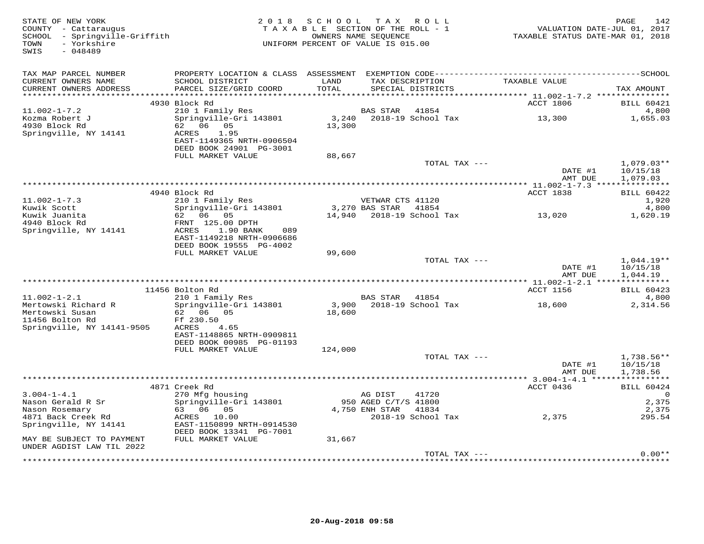| STATE OF NEW YORK<br>COUNTY - Cattaraugus<br>SCHOOL - Springville-Griffith<br>- Yorkshire<br>TOWN<br>SWIS<br>$-048489$ |                                                                                                                                                                                                                                | 2018 SCHOOL<br>TAXABLE SECTION OF THE ROLL - 1<br>UNIFORM PERCENT OF VALUE IS 015.00 | OWNERS NAME SEQUENCE | TAX ROLL                             | TAXABLE STATUS DATE-MAR 01, 2018 | PAGE<br>142<br>VALUATION DATE-JUL 01, 2017 |
|------------------------------------------------------------------------------------------------------------------------|--------------------------------------------------------------------------------------------------------------------------------------------------------------------------------------------------------------------------------|--------------------------------------------------------------------------------------|----------------------|--------------------------------------|----------------------------------|--------------------------------------------|
| TAX MAP PARCEL NUMBER<br>CURRENT OWNERS NAME<br>CURRENT OWNERS ADDRESS                                                 | SCHOOL DISTRICT<br>PARCEL SIZE/GRID COORD                                                                                                                                                                                      | LAND<br>TOTAL                                                                        |                      | TAX DESCRIPTION<br>SPECIAL DISTRICTS | TAXABLE VALUE                    | TAX AMOUNT                                 |
|                                                                                                                        | 4930 Block Rd                                                                                                                                                                                                                  |                                                                                      |                      |                                      | ACCT 1806                        | BILL 60421                                 |
| $11.002 - 1 - 7.2$<br>Kozma Robert J<br>4930 Block Rd                                                                  | 210 1 Family Res<br>Springville-Gri 143801<br>62 06 05                                                                                                                                                                         | 3,240<br>13,300                                                                      | BAS STAR             | 41854<br>2018-19 School Tax          | 13,300                           | 4,800<br>1,655.03                          |
| Springville, NY 14141                                                                                                  | 1.95<br>ACRES<br>EAST-1149365 NRTH-0906504<br>DEED BOOK 24901 PG-3001<br>FULL MARKET VALUE                                                                                                                                     |                                                                                      |                      |                                      |                                  |                                            |
|                                                                                                                        |                                                                                                                                                                                                                                | 88,667                                                                               |                      | TOTAL TAX ---                        | DATE #1<br>AMT DUE               | $1,079.03**$<br>10/15/18<br>1,079.03       |
|                                                                                                                        |                                                                                                                                                                                                                                |                                                                                      |                      |                                      |                                  |                                            |
| $11.002 - 1 - 7.3$                                                                                                     | 4940 Block Rd<br>210 1 Family Res                                                                                                                                                                                              |                                                                                      | VETWAR CTS 41120     |                                      | ACCT 1838                        | <b>BILL 60422</b><br>1,920                 |
| Kuwik Scott                                                                                                            | Springville-Gri 143801                                                                                                                                                                                                         |                                                                                      | 3,270 BAS STAR       | 41854                                |                                  | 4,800                                      |
| Kuwik Juanita<br>4940 Block Rd<br>Springville, NY 14141                                                                | 62 06 05<br>FRNT 125.00 DPTH<br>ACRES<br>1.90 BANK<br>089<br>EAST-1149218 NRTH-0906686<br>DEED BOOK 19555 PG-4002                                                                                                              |                                                                                      |                      | 14,940 2018-19 School Tax            | 13,020                           | 1,620.19                                   |
|                                                                                                                        | FULL MARKET VALUE                                                                                                                                                                                                              | 99,600                                                                               |                      |                                      |                                  |                                            |
|                                                                                                                        |                                                                                                                                                                                                                                |                                                                                      |                      | TOTAL TAX ---                        | DATE #1<br>AMT DUE               | 1,044.19**<br>10/15/18<br>1,044.19         |
|                                                                                                                        |                                                                                                                                                                                                                                |                                                                                      |                      |                                      |                                  |                                            |
| $11.002 - 1 - 2.1$                                                                                                     | 11456 Bolton Rd<br>210 1 Family Res                                                                                                                                                                                            |                                                                                      | BAS STAR             | 41854                                | ACCT 1156                        | <b>BILL 60423</b><br>4,800                 |
| Mertowski Richard R<br>Mertowski Susan<br>11456 Bolton Rd                                                              | Springville-Gri 143801<br>62 06 05<br>Ff 230.50                                                                                                                                                                                | 18,600                                                                               |                      | 3,900 2018-19 School Tax             | 18,600                           | 2,314.56                                   |
| Springville, NY 14141-9505                                                                                             | ACRES<br>4.65<br>EAST-1148865 NRTH-0909811<br>DEED BOOK 00985 PG-01193<br>FULL MARKET VALUE                                                                                                                                    | 124,000                                                                              |                      |                                      |                                  |                                            |
|                                                                                                                        |                                                                                                                                                                                                                                |                                                                                      |                      | TOTAL TAX ---                        |                                  | $1,738.56**$                               |
|                                                                                                                        |                                                                                                                                                                                                                                |                                                                                      |                      |                                      | DATE #1<br>AMT DUE               | 10/15/18<br>1,738.56                       |
|                                                                                                                        | 4871 Creek Rd                                                                                                                                                                                                                  |                                                                                      |                      |                                      | ACCT 0436                        | <b>BILL 60424</b>                          |
| $3.004 - 1 - 4.1$                                                                                                      | 270 Mfg housing                                                                                                                                                                                                                |                                                                                      | AG DIST              | 41720                                |                                  | $\Omega$                                   |
| Nason Gerald R Sr                                                                                                      | Springville-Gri 143801                                                                                                                                                                                                         |                                                                                      | 950 AGED C/T/S 41800 |                                      |                                  | 2,375                                      |
| Nason Rosemary<br>4871 Back Creek Rd                                                                                   | 63 06 05<br>ACRES 10.00                                                                                                                                                                                                        |                                                                                      | 4,750 ENH STAR       | 41834<br>2018-19 School Tax          | 2,375                            | 2,375<br>295.54                            |
| Springville, NY 14141                                                                                                  | EAST-1150899 NRTH-0914530<br>DEED BOOK 13341 PG-7001                                                                                                                                                                           |                                                                                      |                      |                                      |                                  |                                            |
| MAY BE SUBJECT TO PAYMENT<br>UNDER AGDIST LAW TIL 2022                                                                 | FULL MARKET VALUE                                                                                                                                                                                                              | 31,667                                                                               |                      |                                      |                                  | $0.00**$                                   |
|                                                                                                                        | والمناسبة والمناسبة والمناسبة والمناسبة والمتحاولة والمناسبة والمناسبة والمناسبة والمناسبة والمناسبة والمناسبة والمناسبة والمناسبة والمناسبة والمناسبة والمناسبة والمناسبة والمناسبة والمناسبة والمناسبة والمناسبة والمناسبة و |                                                                                      |                      | TOTAL TAX ---                        |                                  |                                            |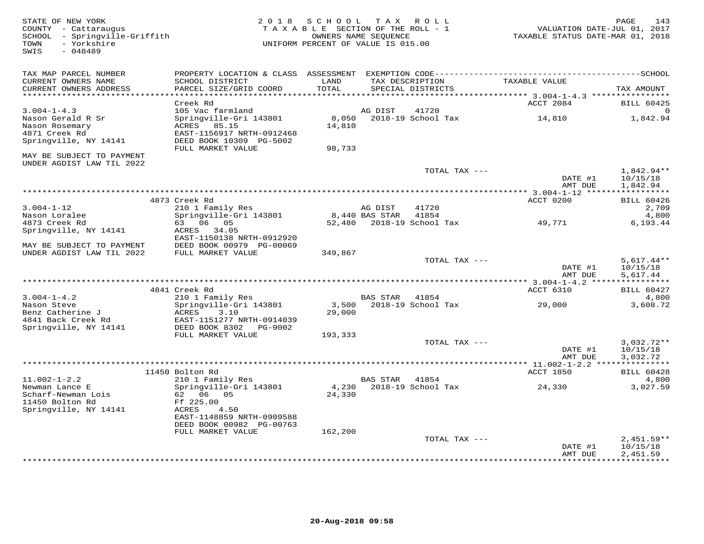STATE OF NEW YORK 2 0 1 8 S C H O O L T A X R O L L PAGE 143 COUNTY - Cattaraugus T A X A B L E SECTION OF THE ROLL - 1 VALUATION DATE-JUL 01, 2017 SCHOOL - Springville-Griffith OWNERS NAME SEQUENCE TAXABLE STATUS DATE-MAR 01, 2018 TOWN - Yorkshire UNIFORM PERCENT OF VALUE IS 015.00SWIS - 048489TAX MAP PARCEL NUMBER PROPERTY LOCATION & CLASS ASSESSMENT EXEMPTION CODE------------------------------------------SCHOOL CURRENT OWNERS NAME SCHOOL DISTRICT LAND TAX DESCRIPTION TAXABLE VALUE CURRENT OWNERS ADDRESS PARCEL SIZE/GRID COORD TOTAL SPECIAL DISTRICTS TAX AMOUNT \*\*\*\*\*\*\*\*\*\*\*\*\*\*\*\*\*\*\*\*\*\*\*\*\*\*\*\*\*\*\*\*\*\*\*\*\*\*\*\*\*\*\*\*\*\*\*\*\*\*\*\*\*\*\*\*\*\*\*\*\*\*\*\*\*\*\*\*\*\*\*\*\*\*\*\*\*\*\*\*\*\*\*\*\*\*\*\*\*\*\*\*\*\*\*\*\*\*\*\*\*\*\* 3.004-1-4.3 \*\*\*\*\*\*\*\*\*\*\*\*\*\*\*\* $\frac{3.001 \text{ m}}{2084}$  BILL 60425 3.004-1-4.3 Creek Rd<br>
Nason Gerald R Sr Springville-Gri 143801 as a community control of the St Springville of the BILL 60425<br>
Nason Rosemary ACRES 85.15 14,810 1,842.94<br>
A871 Creek Rd EAST-1156917 NRTH-0912468 14,810 1,84 MAY BE SUBJECT TO PAYMENT UNDER AGDIST LAW TIL 2022TOTAL TAX  $---$  1,842.94\*\* DATE #1 10/15/18<br>3 MT DIE 1949 04 AMT DUE 1,842.94 \*\*\*\*\*\*\*\*\*\*\*\*\*\*\*\*\*\*\*\*\*\*\*\*\*\*\*\*\*\*\*\*\*\*\*\*\*\*\*\*\*\*\*\*\*\*\*\*\*\*\*\*\*\*\*\*\*\*\*\*\*\*\*\*\*\*\*\*\*\*\*\*\*\*\*\*\*\*\*\*\*\*\*\*\*\*\*\*\*\*\*\*\*\*\*\*\*\*\*\*\*\*\* 3.004-1-12 \*\*\*\*\*\*\*\*\*\*\*\*\*\*\*\*\*3.004-1-12 4873 Creek Rd 210 1 Family Res and DIST 41720<br>
Nason Loralee Springville-Gri 143801 8,440 BAS STAR 41854 2018-19 School Tax 49,771 49,771 4,800<br>
4873 Creek Rd 63 06 05 52,480 2018-19 School Tax 49,771 6,193.44<br> DATE #1 10/15/18 TOTAL TAX ---AMT DUE 5,617.44  $\texttt{AMT} \texttt{DUE} \quad 5\, , 617\, .44$  \*\*\*\*\*\*\*\*\*\*\*\*\*\*\*\*\*\*\*\*\*\*\*\*\*\*\*\*\*\*\*\*\*\*\*\*\*\*\*\*\*\*\*\*\*\*\*\*\*\*\*\*\*\*\*\*\*\*\*\*\*\*\*\*\*\*\*\*\*\*\*\*\*\*\*\*\*\*\*\*\*\*\*\*\*\*\*\*\*\*\*\*\*\*\*\*\*\*\*\*\*\*\* 3.004-1-4.2 \*\*\*\*\*\*\*\*\*\*\*\*\*\*\*\* 4841 Creek Rd ACCT 6310 BILL 604273.004-1-4.2 210 1 Family Res BAS STAR 41854 4,800 3,608.72 Nason Steve Springville-Gri 143801 3,500 2018-19 School Tax 29,000 3,608.72Benz Catherine J ACRES 3.10 29,000 4841 Back Creek Rd EAST-1151277 NRTH-0914039 Springville, NY 14141 DEED BOOK 8302 PG-9002 FULL MARKET VALUE 193,333 TOTAL TAX --- 3,032.72\*\*DATE #1 10/15/18  $\texttt{DATE}$  #1  $\texttt{10/15/18}$ AMT DUE 3.032.72 AMT DUE 3,032.72 \*\*\*\*\*\*\*\*\*\*\*\*\*\*\*\*\*\*\*\*\*\*\*\*\*\*\*\*\*\*\*\*\*\*\*\*\*\*\*\*\*\*\*\*\*\*\*\*\*\*\*\*\*\*\*\*\*\*\*\*\*\*\*\*\*\*\*\*\*\*\*\*\*\*\*\*\*\*\*\*\*\*\*\*\*\*\*\*\*\*\*\*\*\*\*\*\*\*\*\*\*\*\* 11.002-1-2.2 \*\*\*\*\*\*\*\*\*\*\*\*\*\*\* 11450 Bolton Rd ACCT 1850 BILL 60428 11.002-1-2.2 210 1 Family Res BAS STAR 41854 4,800 Newman Lance E Springville-Gri 143801 4,230 2018-19 School Tax 24,330 3,027.59 Scharf-Newman Lois 62 06 05 24,330 11450 Bolton Rd Ff 225.00 Springville, NY 14141 ACRES 4.50 EAST-1148859 NRTH-0909588 DEED BOOK 00982 PG-00763 FULL MARKET VALUE 162,200TOTAL TAX ---  $2,451.59**$ <br>DATE #1  $10/15/18$ AMT DUE 2,451.59 \*\*\*\*\*\*\*\*\*\*\*\*\*\*\*\*\*\*\*\*\*\*\*\*\*\*\*\*\*\*\*\*\*\*\*\*\*\*\*\*\*\*\*\*\*\*\*\*\*\*\*\*\*\*\*\*\*\*\*\*\*\*\*\*\*\*\*\*\*\*\*\*\*\*\*\*\*\*\*\*\*\*\*\*\*\*\*\*\*\*\*\*\*\*\*\*\*\*\*\*\*\*\*\*\*\*\*\*\*\*\*\*\*\*\*\*\*\*\*\*\*\*\*\*\*\*\*\*\*\*\*\*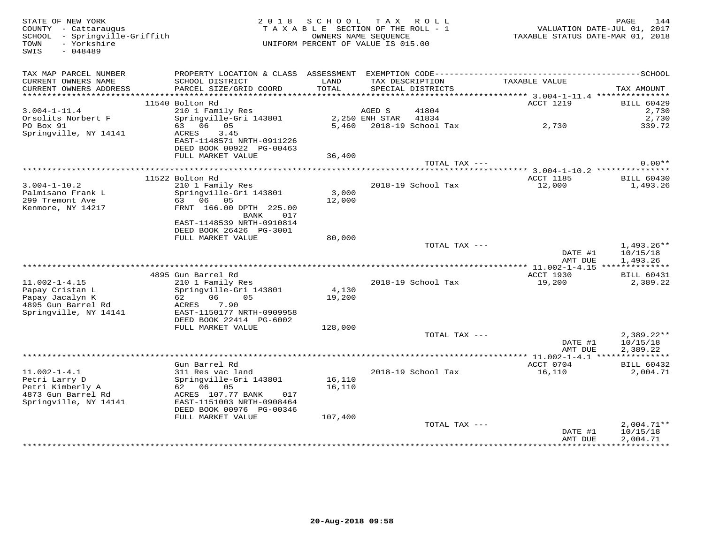| STATE OF NEW YORK<br>COUNTY - Cattaraugus<br>SCHOOL - Springville-Griffith<br>- Yorkshire<br>TOWN<br>SWIS<br>$-048489$ |                                                       | 2018 SCHOOL<br>TAXABLE SECTION OF THE ROLL - 1<br>OWNERS NAME SEOUENCE<br>UNIFORM PERCENT OF VALUE IS 015.00 |                | TAX ROLL                             | TAXABLE STATUS DATE-MAR 01, 2018          | PAGE<br>VALUATION DATE-JUL 01, 2017 | 144                           |
|------------------------------------------------------------------------------------------------------------------------|-------------------------------------------------------|--------------------------------------------------------------------------------------------------------------|----------------|--------------------------------------|-------------------------------------------|-------------------------------------|-------------------------------|
| TAX MAP PARCEL NUMBER                                                                                                  |                                                       |                                                                                                              |                |                                      |                                           |                                     |                               |
| CURRENT OWNERS NAME<br>CURRENT OWNERS ADDRESS                                                                          | SCHOOL DISTRICT<br>PARCEL SIZE/GRID COORD             | LAND<br>TOTAL                                                                                                |                | TAX DESCRIPTION<br>SPECIAL DISTRICTS | TAXABLE VALUE                             | TAX AMOUNT                          |                               |
|                                                                                                                        |                                                       |                                                                                                              |                |                                      |                                           |                                     |                               |
|                                                                                                                        | 11540 Bolton Rd                                       |                                                                                                              |                |                                      | ACCT 1219                                 |                                     | <b>BILL 60429</b>             |
| $3.004 - 1 - 11.4$                                                                                                     | 210 1 Family Res                                      |                                                                                                              | AGED S         | 41804                                |                                           |                                     | 2,730                         |
| Orsolits Norbert F                                                                                                     | Springville-Gri 143801                                |                                                                                                              | 2,250 ENH STAR | 41834                                |                                           |                                     | 2,730                         |
| PO Box 91                                                                                                              | 63 06 05                                              |                                                                                                              |                | 5,460 2018-19 School Tax             | 2,730                                     |                                     | 339.72                        |
| Springville, NY 14141                                                                                                  | 3.45<br>ACRES                                         |                                                                                                              |                |                                      |                                           |                                     |                               |
|                                                                                                                        | EAST-1148571 NRTH-0911226<br>DEED BOOK 00922 PG-00463 |                                                                                                              |                |                                      |                                           |                                     |                               |
|                                                                                                                        | FULL MARKET VALUE                                     | 36,400                                                                                                       |                |                                      |                                           |                                     |                               |
|                                                                                                                        |                                                       |                                                                                                              |                | TOTAL TAX ---                        |                                           |                                     | $0.00**$                      |
|                                                                                                                        |                                                       |                                                                                                              |                |                                      |                                           |                                     |                               |
|                                                                                                                        | 11522 Bolton Rd                                       |                                                                                                              |                |                                      | ACCT 1185                                 |                                     | <b>BILL 60430</b>             |
| $3.004 - 1 - 10.2$                                                                                                     | 210 1 Family Res                                      |                                                                                                              |                | 2018-19 School Tax                   | 12,000                                    |                                     | 1,493.26                      |
| Palmisano Frank L<br>299 Tremont Ave                                                                                   | Springville-Gri 143801<br>63 06 05                    | 3,000<br>12,000                                                                                              |                |                                      |                                           |                                     |                               |
| Kenmore, NY 14217                                                                                                      | FRNT 166.00 DPTH 225.00                               |                                                                                                              |                |                                      |                                           |                                     |                               |
|                                                                                                                        | BANK<br>017                                           |                                                                                                              |                |                                      |                                           |                                     |                               |
|                                                                                                                        | EAST-1148539 NRTH-0910814                             |                                                                                                              |                |                                      |                                           |                                     |                               |
|                                                                                                                        | DEED BOOK 26426 PG-3001                               |                                                                                                              |                |                                      |                                           |                                     |                               |
|                                                                                                                        | FULL MARKET VALUE                                     | 80,000                                                                                                       |                |                                      |                                           |                                     |                               |
|                                                                                                                        |                                                       |                                                                                                              |                | TOTAL TAX ---                        | DATE #1                                   |                                     | $1,493.26**$<br>10/15/18      |
|                                                                                                                        |                                                       |                                                                                                              |                |                                      | AMT DUE                                   |                                     | 1,493.26                      |
|                                                                                                                        |                                                       |                                                                                                              |                |                                      |                                           |                                     |                               |
|                                                                                                                        | 4895 Gun Barrel Rd                                    |                                                                                                              |                |                                      | ACCT 1930                                 |                                     | <b>BILL 60431</b>             |
| $11.002 - 1 - 4.15$                                                                                                    | 210 1 Family Res                                      |                                                                                                              |                | 2018-19 School Tax                   | 19,200                                    |                                     | 2,389.22                      |
| Papay Cristan L                                                                                                        | Springville-Gri 143801                                | 4,130                                                                                                        |                |                                      |                                           |                                     |                               |
| Papay Jacalyn K                                                                                                        | 62 06 05                                              | 19,200                                                                                                       |                |                                      |                                           |                                     |                               |
| 4895 Gun Barrel Rd                                                                                                     | ACRES<br>7.90<br>EAST-1150177 NRTH-0909958            |                                                                                                              |                |                                      |                                           |                                     |                               |
| Springville, NY 14141                                                                                                  | DEED BOOK 22414 PG-6002                               |                                                                                                              |                |                                      |                                           |                                     |                               |
|                                                                                                                        | FULL MARKET VALUE                                     | 128,000                                                                                                      |                |                                      |                                           |                                     |                               |
|                                                                                                                        |                                                       |                                                                                                              |                | TOTAL TAX ---                        |                                           |                                     | $2,389.22**$                  |
|                                                                                                                        |                                                       |                                                                                                              |                |                                      | DATE #1                                   |                                     | 10/15/18                      |
|                                                                                                                        |                                                       |                                                                                                              |                |                                      | AMT DUE                                   |                                     | 2,389.22                      |
|                                                                                                                        |                                                       |                                                                                                              |                |                                      | *********** 11.002-1-4.1 **************** |                                     |                               |
| $11.002 - 1 - 4.1$                                                                                                     | Gun Barrel Rd<br>311 Res vac land                     |                                                                                                              |                | 2018-19 School Tax                   | ACCT 0704<br>16,110                       |                                     | <b>BILL 60432</b><br>2,004.71 |
| Petri Larry D                                                                                                          | Springville-Gri 143801                                | 16,110                                                                                                       |                |                                      |                                           |                                     |                               |
| Petri Kimberly A                                                                                                       | 62 06 05                                              | 16,110                                                                                                       |                |                                      |                                           |                                     |                               |
| 4873 Gun Barrel Rd                                                                                                     | ACRES 107.77 BANK<br>017                              |                                                                                                              |                |                                      |                                           |                                     |                               |
| Springville, NY 14141                                                                                                  | EAST-1151003 NRTH-0908464                             |                                                                                                              |                |                                      |                                           |                                     |                               |
|                                                                                                                        | DEED BOOK 00976 PG-00346                              |                                                                                                              |                |                                      |                                           |                                     |                               |
|                                                                                                                        | FULL MARKET VALUE                                     | 107,400                                                                                                      |                |                                      |                                           |                                     |                               |
|                                                                                                                        |                                                       |                                                                                                              |                | TOTAL TAX ---                        | DATE #1                                   | 10/15/18                            | $2,004.71**$                  |
|                                                                                                                        |                                                       |                                                                                                              |                |                                      | AMT DUE                                   |                                     | 2,004.71                      |
|                                                                                                                        |                                                       |                                                                                                              |                |                                      | ******************************            |                                     |                               |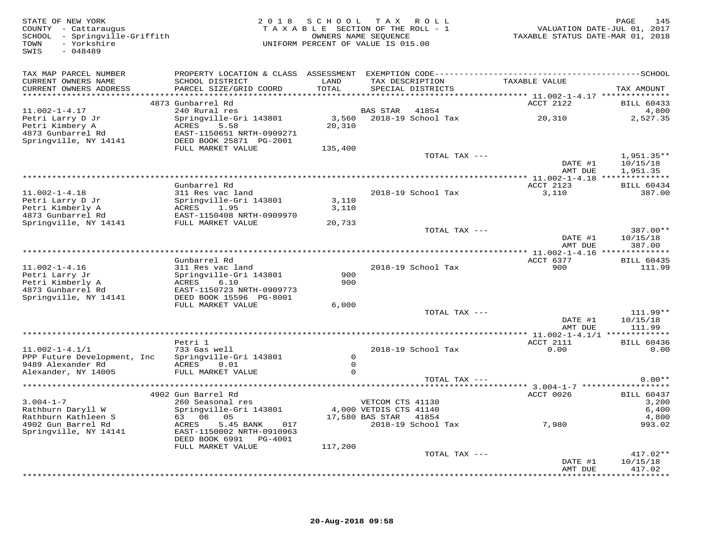| STATE OF NEW YORK<br>COUNTY - Cattaraugus<br>SCHOOL - Springville-Griffith<br>- Yorkshire<br>TOWN<br>$-048489$<br>SWIS |                                           |                | 2018 SCHOOL TAX ROLL<br>TAXABLE SECTION OF THE ROLL - 1<br>OWNERS NAME SEOUENCE<br>UNIFORM PERCENT OF VALUE IS 015.00 | VALUATION DATE-JUL 01, 2017<br>TAXABLE STATUS DATE-MAR 01, 2018 | 145<br>PAGE                 |
|------------------------------------------------------------------------------------------------------------------------|-------------------------------------------|----------------|-----------------------------------------------------------------------------------------------------------------------|-----------------------------------------------------------------|-----------------------------|
| TAX MAP PARCEL NUMBER                                                                                                  |                                           |                |                                                                                                                       |                                                                 |                             |
| CURRENT OWNERS NAME<br>CURRENT OWNERS ADDRESS                                                                          | SCHOOL DISTRICT<br>PARCEL SIZE/GRID COORD | LAND<br>TOTAL  | TAX DESCRIPTION<br>SPECIAL DISTRICTS                                                                                  | TAXABLE VALUE                                                   | TAX AMOUNT                  |
|                                                                                                                        |                                           |                |                                                                                                                       |                                                                 |                             |
|                                                                                                                        | 4873 Gunbarrel Rd                         |                |                                                                                                                       | ACCT 2122                                                       | <b>BILL 60433</b>           |
| $11.002 - 1 - 4.17$                                                                                                    | 240 Rural res                             |                | BAS STAR 41854                                                                                                        |                                                                 | 4,800                       |
| Petri Larry D Jr<br>Petri Kimbery A                                                                                    | Springville-Gri 143801<br>5.58<br>ACRES   | 20,310         |                                                                                                                       |                                                                 | 2,527.35                    |
| 4873 Gunbarrel Rd                                                                                                      | EAST-1150651 NRTH-0909271                 |                |                                                                                                                       |                                                                 |                             |
| Springville, NY 14141                                                                                                  | DEED BOOK 25871 PG-2001                   |                |                                                                                                                       |                                                                 |                             |
|                                                                                                                        | FULL MARKET VALUE                         | 135,400        |                                                                                                                       |                                                                 |                             |
|                                                                                                                        |                                           |                | TOTAL TAX ---                                                                                                         |                                                                 | 1,951.35**                  |
|                                                                                                                        |                                           |                |                                                                                                                       | DATE #1                                                         | 10/15/18                    |
|                                                                                                                        |                                           |                |                                                                                                                       | AMT DUE                                                         | 1,951.35                    |
|                                                                                                                        |                                           |                |                                                                                                                       |                                                                 |                             |
|                                                                                                                        | Gunbarrel Rd                              |                |                                                                                                                       | ACCT 2123                                                       | <b>BILL 60434</b>           |
| $11.002 - 1 - 4.18$                                                                                                    | 311 Res vac land                          | 3,110          | 2018-19 School Tax                                                                                                    | 3,110                                                           | 387.00                      |
| Petri Larry D Jr<br>Petri Kimberly A                                                                                   | Springville-Gri 143801<br>ACRES 1.95      | 3,110          |                                                                                                                       |                                                                 |                             |
| 4873 Gunbarrel Rd                                                                                                      | EAST-1150408 NRTH-0909970                 |                |                                                                                                                       |                                                                 |                             |
| Springville, NY 14141                                                                                                  | FULL MARKET VALUE                         | 20,733         |                                                                                                                       |                                                                 |                             |
|                                                                                                                        |                                           |                | TOTAL TAX ---                                                                                                         |                                                                 | 387.00**                    |
|                                                                                                                        |                                           |                |                                                                                                                       | DATE #1                                                         | 10/15/18                    |
|                                                                                                                        |                                           |                |                                                                                                                       | AMT DUE                                                         | 387.00                      |
|                                                                                                                        |                                           |                |                                                                                                                       |                                                                 |                             |
|                                                                                                                        | Gunbarrel Rd                              |                |                                                                                                                       | ACCT 6377                                                       | <b>BILL 60435</b>           |
| $11.002 - 1 - 4.16$                                                                                                    | 311 Res vac land                          | 900            | 2018-19 School Tax                                                                                                    | 900                                                             | 111.99                      |
| Petri Larry Jr<br>Petri Kimberly A                                                                                     | Springville-Gri 143801<br>ACRES<br>6.10   | 900            |                                                                                                                       |                                                                 |                             |
| 4873 Gunbarrel Rd                                                                                                      | EAST-1150723 NRTH-0909773                 |                |                                                                                                                       |                                                                 |                             |
| Springville, NY 14141                                                                                                  | DEED BOOK 15596 PG-8001                   |                |                                                                                                                       |                                                                 |                             |
|                                                                                                                        | FULL MARKET VALUE                         | 6,000          |                                                                                                                       |                                                                 |                             |
|                                                                                                                        |                                           |                | TOTAL TAX ---                                                                                                         |                                                                 | $111.99**$                  |
|                                                                                                                        |                                           |                |                                                                                                                       | DATE #1                                                         | 10/15/18<br>111.99          |
|                                                                                                                        |                                           |                |                                                                                                                       | AMT DUE                                                         |                             |
|                                                                                                                        | Petri 1                                   |                |                                                                                                                       | ACCT 2111                                                       | <b>BILL 60436</b>           |
| $11.002 - 1 - 4.1/1$                                                                                                   | 733 Gas well                              |                | 2018-19 School Tax                                                                                                    | 0.00                                                            | 0.00                        |
| PPP Future Development, Inc                                                                                            | Springville-Gri 143801                    | $\overline{0}$ |                                                                                                                       |                                                                 |                             |
| 9489 Alexander Rd                                                                                                      | ACRES<br>0.01                             | $\mathbf 0$    |                                                                                                                       |                                                                 |                             |
| Alexander, NY 14005                                                                                                    | FULL MARKET VALUE                         | $\overline{0}$ |                                                                                                                       |                                                                 |                             |
| *******************************                                                                                        | ***********************************       |                | TOTAL TAX ---                                                                                                         |                                                                 | $0.00**$                    |
|                                                                                                                        |                                           |                |                                                                                                                       | ******* 3.004-1-7 *******************                           |                             |
| $3.004 - 1 - 7$                                                                                                        | 4902 Gun Barrel Rd<br>260 Seasonal res    |                | VETCOM CTS 41130                                                                                                      | ACCT 0026                                                       | <b>BILL 60437</b><br>3,200  |
| Rathburn Daryll W                                                                                                      | Springville-Gri 143801                    |                | 4,000 VETDIS CTS 41140                                                                                                |                                                                 | 6,400                       |
| Rathburn Kathleen S                                                                                                    | 63 06 05                                  |                | 17,580 BAS STAR 41854                                                                                                 |                                                                 | 4,800                       |
| 4902 Gun Barrel Rd                                                                                                     | ACRES<br>5.45 BANK<br>017                 |                | 2018-19 School Tax                                                                                                    | 7,980                                                           | 993.02                      |
| Springville, NY 14141                                                                                                  | EAST-1150002 NRTH-0910963                 |                |                                                                                                                       |                                                                 |                             |
|                                                                                                                        | DEED BOOK 6991 PG-4001                    |                |                                                                                                                       |                                                                 |                             |
|                                                                                                                        | FULL MARKET VALUE                         | 117,200        |                                                                                                                       |                                                                 |                             |
|                                                                                                                        |                                           |                | TOTAL TAX ---                                                                                                         |                                                                 | $417.02**$                  |
|                                                                                                                        |                                           |                |                                                                                                                       | DATE #1                                                         | 10/15/18                    |
|                                                                                                                        |                                           |                |                                                                                                                       | AMT DUE                                                         | 417.02<br>* * * * * * * * * |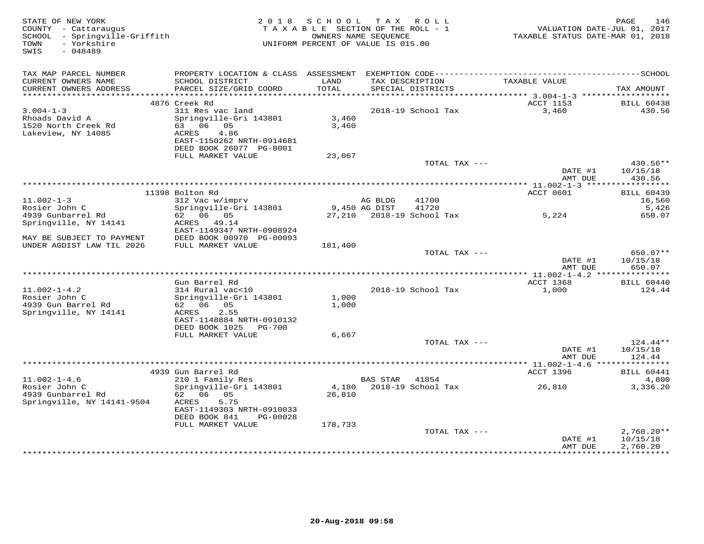| STATE OF NEW YORK<br>COUNTY - Cattaraugus<br>SCHOOL - Springville-Griffith<br>- Yorkshire<br>TOWN<br>SWIS<br>$-048489$ |                                                                                                                                 |                   | 2018 SCHOOL TAX ROLL<br>TAXABLE SECTION OF THE ROLL - 1<br>OWNERS NAME SEQUENCE<br>UNIFORM PERCENT OF VALUE IS 015.00 | VALUATION DATE-JUL 01, 2017<br>TAXABLE STATUS DATE-MAR 01, 2018 | 146<br>PAGE                    |
|------------------------------------------------------------------------------------------------------------------------|---------------------------------------------------------------------------------------------------------------------------------|-------------------|-----------------------------------------------------------------------------------------------------------------------|-----------------------------------------------------------------|--------------------------------|
| TAX MAP PARCEL NUMBER                                                                                                  | PROPERTY LOCATION & CLASS ASSESSMENT EXEMPTION CODE-----------------------------------SCHOOL                                    |                   |                                                                                                                       |                                                                 |                                |
| CURRENT OWNERS NAME<br>CURRENT OWNERS ADDRESS                                                                          | SCHOOL DISTRICT<br>PARCEL SIZE/GRID COORD                                                                                       | LAND<br>TOTAL     | TAX DESCRIPTION<br>SPECIAL DISTRICTS                                                                                  | TAXABLE VALUE                                                   | TAX AMOUNT                     |
|                                                                                                                        | 4876 Creek Rd                                                                                                                   |                   |                                                                                                                       | ACCT 1153                                                       | <b>BILL 60438</b>              |
| $3.004 - 1 - 3$<br>Rhoads David A<br>1520 North Creek Rd<br>Lakeview, NY 14085                                         | 311 Res vac land<br>Springville-Gri 143801<br>63 06 05<br>4.86<br>ACRES<br>EAST-1150262 NRTH-0914681<br>DEED BOOK 26077 PG-8001 | 3,460<br>3,460    | 2018-19 School Tax                                                                                                    | 3,460                                                           | 430.56                         |
|                                                                                                                        | FULL MARKET VALUE                                                                                                               | 23,067            |                                                                                                                       |                                                                 |                                |
|                                                                                                                        |                                                                                                                                 |                   | TOTAL TAX ---                                                                                                         | DATE #1<br>AMT DUE                                              | 430.56**<br>10/15/18<br>430.56 |
|                                                                                                                        |                                                                                                                                 |                   |                                                                                                                       |                                                                 |                                |
|                                                                                                                        | 11398 Bolton Rd                                                                                                                 |                   |                                                                                                                       | ACCT 0601                                                       | <b>BILL 60439</b>              |
| $11.002 - 1 - 3$                                                                                                       | 312 Vac w/imprv                                                                                                                 |                   | 41700<br>AG BLDG                                                                                                      |                                                                 | 16,560                         |
| Rosier John C<br>4939 Gunbarrel Rd                                                                                     | Springville-Gri 143801<br>62 06 05                                                                                              | 9,450 AG DIST     | 41720                                                                                                                 | 5,224                                                           | 5,426<br>650.07                |
| Springville, NY 14141                                                                                                  | ACRES 49.14<br>EAST-1149347 NRTH-0908924                                                                                        |                   |                                                                                                                       |                                                                 |                                |
| MAY BE SUBJECT TO PAYMENT<br>UNDER AGDIST LAW TIL 2026                                                                 | DEED BOOK 00970 PG-00093<br>FULL MARKET VALUE                                                                                   | 181,400           |                                                                                                                       |                                                                 |                                |
|                                                                                                                        |                                                                                                                                 |                   | TOTAL TAX ---                                                                                                         | DATE #1<br>AMT DUE                                              | 650.07**<br>10/15/18<br>650.07 |
|                                                                                                                        |                                                                                                                                 |                   |                                                                                                                       |                                                                 |                                |
|                                                                                                                        | Gun Barrel Rd                                                                                                                   |                   |                                                                                                                       | ACCT 1368                                                       | <b>BILL 60440</b>              |
| $11.002 - 1 - 4.2$<br>Rosier John C                                                                                    | 314 Rural vac<10<br>Springville-Gri 143801                                                                                      | 1,000             | 2018-19 School Tax                                                                                                    | 1,000                                                           | 124.44                         |
| 4939 Gun Barrel Rd                                                                                                     | 62 06 05                                                                                                                        | 1,000             |                                                                                                                       |                                                                 |                                |
| Springville, NY 14141                                                                                                  | ACRES<br>2.55<br>EAST-1148884 NRTH-0910132                                                                                      |                   |                                                                                                                       |                                                                 |                                |
|                                                                                                                        | DEED BOOK 1025 PG-700<br>FULL MARKET VALUE                                                                                      | 6,667             |                                                                                                                       |                                                                 |                                |
|                                                                                                                        |                                                                                                                                 |                   | TOTAL TAX ---                                                                                                         |                                                                 | $124.44**$                     |
|                                                                                                                        |                                                                                                                                 |                   |                                                                                                                       | DATE #1<br>AMT DUE                                              | 10/15/18<br>124.44             |
|                                                                                                                        |                                                                                                                                 |                   |                                                                                                                       |                                                                 |                                |
| $11.002 - 1 - 4.6$                                                                                                     | 4939 Gun Barrel Rd<br>210 1 Family Res                                                                                          |                   | 41854<br>BAS STAR                                                                                                     | ACCT 1396                                                       | <b>BILL 60441</b><br>4,800     |
| Rosier John C                                                                                                          | Springville-Gri 143801                                                                                                          | 4,180             | 2018-19 School Tax                                                                                                    | 26,810                                                          | 3,336.20                       |
| 4939 Gunbarrel Rd<br>Springville, NY 14141-9504                                                                        | 62 06 05<br>5.75<br>ACRES<br>EAST-1149303 NRTH-0910033<br>DEED BOOK 841<br>PG-00028<br>FULL MARKET VALUE                        | 26,810<br>178,733 |                                                                                                                       |                                                                 |                                |
|                                                                                                                        |                                                                                                                                 |                   | TOTAL TAX ---                                                                                                         |                                                                 | $2,760.20**$                   |
|                                                                                                                        |                                                                                                                                 |                   |                                                                                                                       | DATE #1<br>AMT DUE                                              | 10/15/18<br>2,760.20           |
|                                                                                                                        |                                                                                                                                 |                   |                                                                                                                       |                                                                 | ************                   |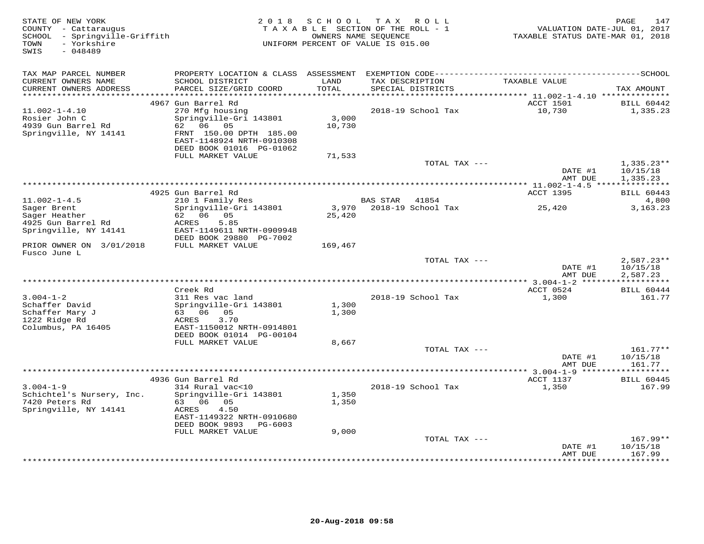| STATE OF NEW YORK<br>COUNTY - Cattaraugus<br>SCHOOL - Springville-Griffith<br>- Yorkshire<br>TOWN<br>SWIS<br>$-048489$ | 2 0 1 8                                                                          | SCHOOL          | TAX ROLL<br>TAXABLE SECTION OF THE ROLL - 1<br>OWNERS NAME SEQUENCE<br>UNIFORM PERCENT OF VALUE IS 015.00 | VALUATION DATE-JUL 01, 2017<br>TAXABLE STATUS DATE-MAR 01, 2018 | PAGE<br>147                         |
|------------------------------------------------------------------------------------------------------------------------|----------------------------------------------------------------------------------|-----------------|-----------------------------------------------------------------------------------------------------------|-----------------------------------------------------------------|-------------------------------------|
| TAX MAP PARCEL NUMBER                                                                                                  |                                                                                  |                 |                                                                                                           |                                                                 |                                     |
| CURRENT OWNERS NAME<br>CURRENT OWNERS ADDRESS<br>***********************                                               | SCHOOL DISTRICT<br>PARCEL SIZE/GRID COORD                                        | LAND<br>TOTAL   | TAX DESCRIPTION<br>SPECIAL DISTRICTS                                                                      | TAXABLE VALUE                                                   | TAX AMOUNT                          |
|                                                                                                                        | 4967 Gun Barrel Rd                                                               |                 |                                                                                                           | ACCT 1501                                                       | <b>BILL 60442</b>                   |
| $11.002 - 1 - 4.10$<br>Rosier John C<br>4939 Gun Barrel Rd<br>Springville, NY 14141                                    | 270 Mfg housing<br>Springville-Gri 143801<br>62 06 05<br>FRNT 150.00 DPTH 185.00 | 3,000<br>10,730 | 2018-19 School Tax                                                                                        | 10,730                                                          | 1,335.23                            |
|                                                                                                                        | EAST-1148924 NRTH-0910308<br>DEED BOOK 01016 PG-01062                            |                 |                                                                                                           |                                                                 |                                     |
|                                                                                                                        | FULL MARKET VALUE                                                                | 71,533          | TOTAL TAX ---                                                                                             |                                                                 | $1,335.23**$                        |
|                                                                                                                        |                                                                                  |                 |                                                                                                           | DATE #1<br>AMT DUE                                              | 10/15/18<br>1,335.23                |
|                                                                                                                        |                                                                                  |                 |                                                                                                           |                                                                 |                                     |
|                                                                                                                        | 4925 Gun Barrel Rd                                                               |                 |                                                                                                           | ACCT 1395                                                       | <b>BILL 60443</b>                   |
| $11.002 - 1 - 4.5$                                                                                                     | 210 1 Family Res<br>Springville-Gri 143801                                       | 3,970           | <b>BAS STAR</b><br>41854<br>2018-19 School Tax                                                            |                                                                 | 4,800<br>3, 163. 23                 |
| Sager Brent<br>Sager Heather                                                                                           | 62 06 05                                                                         | 25,420          |                                                                                                           | 25,420                                                          |                                     |
| 4925 Gun Barrel Rd                                                                                                     | ACRES<br>5.85                                                                    |                 |                                                                                                           |                                                                 |                                     |
| Springville, NY 14141                                                                                                  | EAST-1149611 NRTH-0909948<br>DEED BOOK 29880 PG-7002                             |                 |                                                                                                           |                                                                 |                                     |
| PRIOR OWNER ON 3/01/2018<br>Fusco June L                                                                               | FULL MARKET VALUE                                                                | 169,467         |                                                                                                           |                                                                 |                                     |
|                                                                                                                        |                                                                                  |                 | TOTAL TAX ---                                                                                             | DATE #1                                                         | $2,587.23**$<br>10/15/18            |
|                                                                                                                        |                                                                                  |                 |                                                                                                           | AMT DUE<br>********** 3.004-1-2 ******                          | 2,587.23<br>* * * * * * * * * * * * |
|                                                                                                                        | Creek Rd                                                                         |                 |                                                                                                           | ACCT 0524                                                       | <b>BILL 60444</b>                   |
| $3.004 - 1 - 2$                                                                                                        | 311 Res vac land                                                                 |                 | 2018-19 School Tax                                                                                        | 1,300                                                           | 161.77                              |
| Schaffer David                                                                                                         | Springville-Gri 143801                                                           | 1,300           |                                                                                                           |                                                                 |                                     |
| Schaffer Mary J<br>1222 Ridge Rd                                                                                       | 63 06 05<br>3.70<br>ACRES                                                        | 1,300           |                                                                                                           |                                                                 |                                     |
| Columbus, PA 16405                                                                                                     | EAST-1150012 NRTH-0914801                                                        |                 |                                                                                                           |                                                                 |                                     |
|                                                                                                                        | DEED BOOK 01014 PG-00104                                                         |                 |                                                                                                           |                                                                 |                                     |
|                                                                                                                        | FULL MARKET VALUE                                                                | 8,667           |                                                                                                           |                                                                 |                                     |
|                                                                                                                        |                                                                                  |                 | TOTAL TAX ---                                                                                             | DATE #1<br>AMT DUE                                              | $161.77**$<br>10/15/18<br>161.77    |
|                                                                                                                        |                                                                                  |                 |                                                                                                           | ***************** 3.004-1-9 **                                  |                                     |
|                                                                                                                        | 4936 Gun Barrel Rd                                                               |                 |                                                                                                           | ACCT 1137                                                       | <b>BILL 60445</b>                   |
| $3.004 - 1 - 9$                                                                                                        | 314 Rural vac<10                                                                 |                 | 2018-19 School Tax                                                                                        | 1,350                                                           | 167.99                              |
| Schichtel's Nursery, Inc.                                                                                              | Springville-Gri 143801                                                           | 1,350           |                                                                                                           |                                                                 |                                     |
| 7420 Peters Rd<br>Springville, NY 14141                                                                                | 63 06 05<br>4.50<br>ACRES                                                        | 1,350           |                                                                                                           |                                                                 |                                     |
|                                                                                                                        | EAST-1149322 NRTH-0910680<br>DEED BOOK 9893<br>PG-6003                           |                 |                                                                                                           |                                                                 |                                     |
|                                                                                                                        | FULL MARKET VALUE                                                                | 9,000           |                                                                                                           |                                                                 |                                     |
|                                                                                                                        |                                                                                  |                 | TOTAL TAX ---                                                                                             |                                                                 | $167.99**$                          |
|                                                                                                                        |                                                                                  |                 |                                                                                                           | DATE #1<br>AMT DUE                                              | 10/15/18<br>167.99                  |
|                                                                                                                        |                                                                                  |                 |                                                                                                           | ************                                                    | * * * * * * * *                     |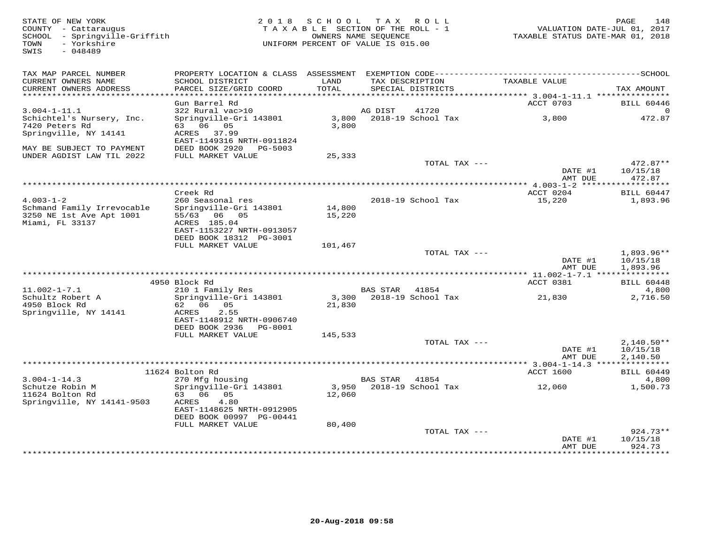| STATE OF NEW YORK<br>COUNTY - Cattaraugus<br>SCHOOL - Springville-Griffith<br>- Yorkshire<br>TOWN<br>SWIS<br>$-048489$ | 2 0 1 8                                                                            | S C H O O L<br>TAXABLE SECTION OF THE ROLL - 1<br>OWNERS NAME SEQUENCE<br>UNIFORM PERCENT OF VALUE IS 015.00 |                 | TAX ROLL                             | TAXABLE STATUS DATE-MAR 01, 2018 | PAGE<br>148<br>VALUATION DATE-JUL 01, 2017 |
|------------------------------------------------------------------------------------------------------------------------|------------------------------------------------------------------------------------|--------------------------------------------------------------------------------------------------------------|-----------------|--------------------------------------|----------------------------------|--------------------------------------------|
| TAX MAP PARCEL NUMBER                                                                                                  |                                                                                    |                                                                                                              |                 |                                      |                                  |                                            |
| CURRENT OWNERS NAME<br>CURRENT OWNERS ADDRESS                                                                          | SCHOOL DISTRICT<br>PARCEL SIZE/GRID COORD                                          | LAND<br>TOTAL                                                                                                |                 | TAX DESCRIPTION<br>SPECIAL DISTRICTS | TAXABLE VALUE                    | TAX AMOUNT                                 |
|                                                                                                                        | Gun Barrel Rd                                                                      |                                                                                                              |                 |                                      | ACCT 0703                        | <b>BILL 60446</b>                          |
| $3.004 - 1 - 11.1$                                                                                                     | 322 Rural vac>10                                                                   |                                                                                                              | AG DIST         | 41720                                |                                  | $\Omega$                                   |
| Schichtel's Nursery, Inc.                                                                                              | Springville-Gri 143801                                                             | 3,800                                                                                                        |                 | 2018-19 School Tax                   | 3,800                            | 472.87                                     |
| 7420 Peters Rd                                                                                                         | 63 06 05                                                                           | 3,800                                                                                                        |                 |                                      |                                  |                                            |
| Springville, NY 14141                                                                                                  | ACRES 37.99<br>EAST-1149316 NRTH-0911824                                           |                                                                                                              |                 |                                      |                                  |                                            |
| MAY BE SUBJECT TO PAYMENT                                                                                              | DEED BOOK 2920<br>PG-5003                                                          |                                                                                                              |                 |                                      |                                  |                                            |
| UNDER AGDIST LAW TIL 2022                                                                                              | FULL MARKET VALUE                                                                  | 25,333                                                                                                       |                 | TOTAL TAX ---                        |                                  | $472.87**$                                 |
|                                                                                                                        |                                                                                    |                                                                                                              |                 |                                      | DATE #1<br>AMT DUE               | 10/15/18<br>472.87                         |
|                                                                                                                        |                                                                                    |                                                                                                              |                 |                                      |                                  |                                            |
|                                                                                                                        | Creek Rd                                                                           |                                                                                                              |                 |                                      | ACCT 0204                        | <b>BILL 60447</b>                          |
| $4.003 - 1 - 2$                                                                                                        | 260 Seasonal res                                                                   |                                                                                                              |                 | 2018-19 School Tax                   | 15,220                           | 1,893.96                                   |
| Schmand Family Irrevocable<br>3250 NE 1st Ave Apt 1001<br>Miami, FL 33137                                              | Springville-Gri 143801<br>55/63 06 05<br>ACRES 185.04<br>EAST-1153227 NRTH-0913057 | 14,800<br>15,220                                                                                             |                 |                                      |                                  |                                            |
|                                                                                                                        | DEED BOOK 18312 PG-3001<br>FULL MARKET VALUE                                       | 101,467                                                                                                      |                 |                                      |                                  |                                            |
|                                                                                                                        |                                                                                    |                                                                                                              |                 | TOTAL TAX ---                        |                                  | $1.893.96**$                               |
|                                                                                                                        |                                                                                    |                                                                                                              |                 |                                      | DATE #1<br>AMT DUE               | 10/15/18<br>1,893.96                       |
|                                                                                                                        |                                                                                    |                                                                                                              |                 |                                      |                                  |                                            |
|                                                                                                                        | 4950 Block Rd                                                                      |                                                                                                              |                 |                                      | ACCT 0381                        | <b>BILL 60448</b>                          |
| $11.002 - 1 - 7.1$<br>Schultz Robert A                                                                                 | 210 1 Family Res<br>Springville-Gri 143801                                         | 3,300                                                                                                        | BAS STAR 41854  | 2018-19 School Tax                   | 21,830                           | 4,800<br>2,716.50                          |
| 4950 Block Rd<br>Springville, NY 14141                                                                                 | 62 06<br>05<br>2.55<br>ACRES<br>EAST-1148912 NRTH-0906740                          | 21,830                                                                                                       |                 |                                      |                                  |                                            |
|                                                                                                                        | DEED BOOK 2936<br>PG-8001<br>FULL MARKET VALUE                                     | 145,533                                                                                                      |                 |                                      |                                  |                                            |
|                                                                                                                        |                                                                                    |                                                                                                              |                 | TOTAL TAX ---                        |                                  | $2,140.50**$                               |
|                                                                                                                        |                                                                                    |                                                                                                              |                 |                                      | DATE #1                          | 10/15/18                                   |
|                                                                                                                        |                                                                                    |                                                                                                              |                 |                                      | AMT DUE                          | 2,140.50                                   |
|                                                                                                                        | 11624 Bolton Rd                                                                    |                                                                                                              |                 |                                      | ACCT 1600                        | <b>BILL 60449</b>                          |
| $3.004 - 1 - 14.3$                                                                                                     | 270 Mfg housing                                                                    |                                                                                                              | <b>BAS STAR</b> | 41854                                |                                  | 4,800                                      |
| Schutze Robin M<br>11624 Bolton Rd                                                                                     | Springville-Gri 143801<br>63 06 05                                                 | 3,950                                                                                                        |                 | 2018-19 School Tax                   | 12,060                           | 1,500.73                                   |
| Springville, NY 14141-9503                                                                                             | ACRES<br>4.80<br>EAST-1148625 NRTH-0912905                                         | 12,060                                                                                                       |                 |                                      |                                  |                                            |
|                                                                                                                        | DEED BOOK 00997 PG-00441                                                           |                                                                                                              |                 |                                      |                                  |                                            |
|                                                                                                                        | FULL MARKET VALUE                                                                  | 80,400                                                                                                       |                 |                                      |                                  |                                            |
|                                                                                                                        |                                                                                    |                                                                                                              |                 | TOTAL TAX ---                        | DATE #1                          | $924.73**$<br>10/15/18                     |
|                                                                                                                        |                                                                                    |                                                                                                              |                 |                                      | AMT DUE<br>*************         | 924.73<br>*********                        |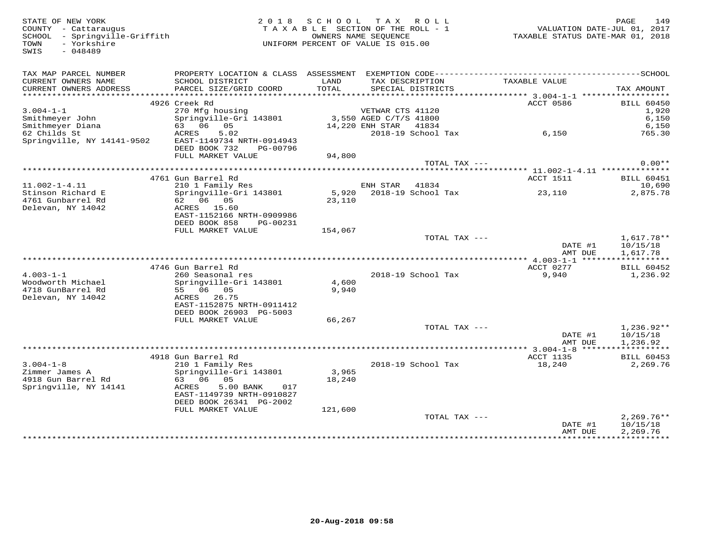SWIS - 048489

STATE OF NEW YORK PORT AND ROTE OF NEW YORK 199<br>
COUNTY - Cattaraugus TAXABLE SECTION OF THE ROLL - 1 WALUATION DATE-JUL 01, 2017<br>
SCHOOL - Springville-Griffith TAXABLE STATUS DATE-MAR 01, 2018<br>
TOWN - Yorkshire Portshire TAXABLE SECTION OF THE ROLL - 1 SCHOOL - Springville-Griffith OWNERS NAME SEQUENCE TAXABLE STATUS DATE-MAR 01, 2018UNIFORM PERCENT OF VALUE IS 015.00

| TAX MAP PARCEL NUMBER                      | PROPERTY LOCATION & CLASS ASSESSMENT       |              |                        |               |                   |
|--------------------------------------------|--------------------------------------------|--------------|------------------------|---------------|-------------------|
| CURRENT OWNERS NAME                        | SCHOOL DISTRICT                            | LAND         | TAX DESCRIPTION        | TAXABLE VALUE |                   |
| CURRENT OWNERS ADDRESS                     | PARCEL SIZE/GRID COORD                     | <b>TOTAL</b> | SPECIAL DISTRICTS      |               | TAX AMOUNT        |
| *************************                  |                                            |              |                        |               |                   |
|                                            | 4926 Creek Rd                              |              |                        | ACCT 0586     | <b>BILL 60450</b> |
| $3.004 - 1 - 1$                            | 270 Mfg housing                            |              | VETWAR CTS 41120       |               | 1,920             |
| Smithmeyer John                            | Springville-Gri 143801                     |              | 3,550 AGED C/T/S 41800 |               | 6,150             |
| Smithmeyer Diana                           | 63 06 05                                   |              | 14,220 ENH STAR 41834  |               | 6,150             |
| 62 Childs St<br>Springville, NY 14141-9502 | 5.02<br>ACRES<br>EAST-1149734 NRTH-0914943 |              | 2018-19 School Tax     | 6,150         | 765.30            |
|                                            | DEED BOOK 732<br>PG-00796                  |              |                        |               |                   |
|                                            | FULL MARKET VALUE                          | 94,800       |                        |               |                   |
|                                            |                                            |              | TOTAL TAX ---          |               | $0.00**$          |
|                                            |                                            |              |                        |               |                   |
|                                            | 4761 Gun Barrel Rd                         |              |                        | ACCT 1511     | <b>BILL 60451</b> |
| $11.002 - 1 - 4.11$                        | 210 1 Family Res                           |              | ENH STAR<br>41834      |               | 10,690            |
| Stinson Richard E                          | Springville-Gri 143801                     | 5,920        | 2018-19 School Tax     | 23,110        | 2,875.78          |
| 4761 Gunbarrel Rd                          | 62 06 05                                   | 23,110       |                        |               |                   |
| Delevan, NY 14042                          | ACRES<br>15.60                             |              |                        |               |                   |
|                                            | EAST-1152166 NRTH-0909986                  |              |                        |               |                   |
|                                            | DEED BOOK 858<br>PG-00231                  |              |                        |               |                   |
|                                            | FULL MARKET VALUE                          | 154,067      |                        |               |                   |
|                                            |                                            |              | TOTAL TAX ---          |               | $1,617.78**$      |
|                                            |                                            |              |                        | DATE #1       | 10/15/18          |
|                                            |                                            |              |                        | AMT DUE       | 1,617.78          |
|                                            |                                            |              |                        |               |                   |
|                                            | 4746 Gun Barrel Rd                         |              |                        | ACCT 0277     | BILL 60452        |
| $4.003 - 1 - 1$                            | 260 Seasonal res                           |              | 2018-19 School Tax     | 9,940         | 1,236.92          |
| Woodworth Michael                          | Springville-Gri 143801                     | 4,600        |                        |               |                   |
| 4718 GunBarrel Rd<br>Delevan, NY 14042     | 55 06 05<br>ACRES<br>26.75                 | 9,940        |                        |               |                   |
|                                            | EAST-1152875 NRTH-0911412                  |              |                        |               |                   |
|                                            | DEED BOOK 26903 PG-5003                    |              |                        |               |                   |
|                                            | FULL MARKET VALUE                          | 66,267       |                        |               |                   |
|                                            |                                            |              | TOTAL TAX ---          |               | $1,236.92**$      |
|                                            |                                            |              |                        | DATE #1       | 10/15/18          |
|                                            |                                            |              |                        | AMT DUE       | 1,236.92          |
|                                            |                                            |              |                        |               |                   |
|                                            | 4918 Gun Barrel Rd                         |              |                        | ACCT 1135     | BILL 60453        |
| $3.004 - 1 - 8$                            | 210 1 Family Res                           |              | 2018-19 School Tax     | 18,240        | 2,269.76          |
| Zimmer James A                             | Springville-Gri 143801                     | 3,965        |                        |               |                   |
| 4918 Gun Barrel Rd                         | 63 06 05                                   | 18,240       |                        |               |                   |
| Springville, NY 14141                      | 5.00 BANK<br>ACRES<br>017                  |              |                        |               |                   |
|                                            | EAST-1149739 NRTH-0910827                  |              |                        |               |                   |
|                                            | DEED BOOK 26341 PG-2002                    |              |                        |               |                   |
|                                            | FULL MARKET VALUE                          | 121,600      |                        |               |                   |
|                                            |                                            |              | TOTAL TAX ---          |               | $2.269.76**$      |
|                                            |                                            |              |                        | DATE #1       | 10/15/18          |
|                                            |                                            |              |                        | AMT DUE       | 2,269.76          |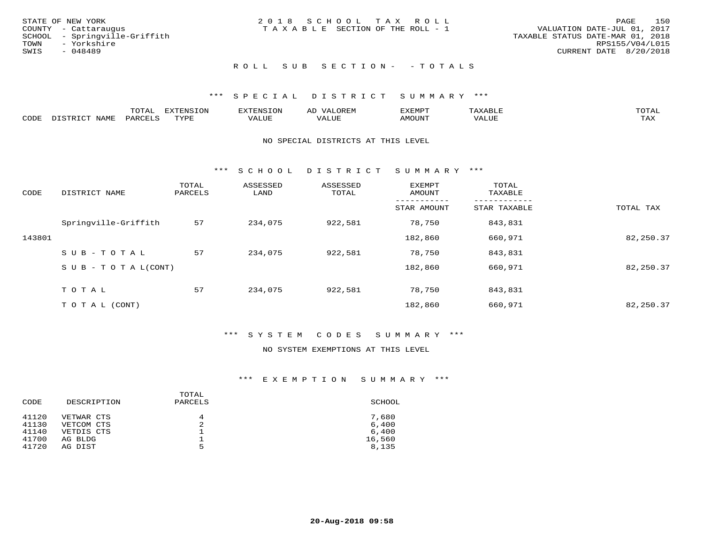|      | STATE OF NEW YORK             | 2018 SCHOOL TAX ROLL            |  |                                  |                        | PAGE | 150 |
|------|-------------------------------|---------------------------------|--|----------------------------------|------------------------|------|-----|
|      | COUNTY - Cattaraugus          | TAXABLE SECTION OF THE ROLL - 1 |  | VALUATION DATE-JUL 01, 2017      |                        |      |     |
|      | SCHOOL - Springville-Griffith |                                 |  | TAXABLE STATUS DATE-MAR 01, 2018 |                        |      |     |
| TOWN | - Yorkshire                   |                                 |  |                                  | RPS155/V04/L015        |      |     |
| SWIS | - 048489                      |                                 |  |                                  | CURRENT DATE 8/20/2018 |      |     |
|      |                               |                                 |  |                                  |                        |      |     |

## ROLL SUB SECTION - - TOTALS

## \*\*\* S P E C I A L D I S T R I C T S U M M A R Y \*\*\*

|      |      | momn.<br>.UIAL | <b>DIZODALO TOM</b><br><b>1115</b><br>LUP | ר את דר            | ΑL<br>$\cdots$      | EXEMPT        | 'ΔΧΔ<br>AAABLE | momn. |
|------|------|----------------|-------------------------------------------|--------------------|---------------------|---------------|----------------|-------|
| CODE | NAME | 'ARC           | TVDF<br>د د د                             | <b>TTT</b><br>ALUM | <b>TTT</b><br>7ALUE | <b>TNUOMA</b> | . ALUE         | TAX   |

#### NO SPECIAL DISTRICTS AT THIS LEVEL

\*\*\* S C H O O L D I S T R I C T S U M M A R Y \*\*\*

| CODE   | DISTRICT NAME                    | TOTAL<br>PARCELS | ASSESSED<br>LAND | ASSESSED<br>TOTAL | EXEMPT<br>AMOUNT | TOTAL<br>TAXABLE |           |
|--------|----------------------------------|------------------|------------------|-------------------|------------------|------------------|-----------|
|        |                                  |                  |                  |                   | STAR AMOUNT      | STAR TAXABLE     | TOTAL TAX |
|        | Springville-Griffith             | 57               | 234,075          | 922,581           | 78,750           | 843,831          |           |
| 143801 |                                  |                  |                  |                   | 182,860          | 660,971          | 82,250.37 |
|        | SUB-TOTAL                        | 57               | 234,075          | 922,581           | 78,750           | 843,831          |           |
|        | $S \cup B - T \cup T A L (CONT)$ |                  |                  |                   | 182,860          | 660,971          | 82,250.37 |
|        | TOTAL                            | 57               | 234,075          | 922,581           | 78,750           | 843,831          |           |
|        | T O T A L (CONT)                 |                  |                  |                   | 182,860          | 660,971          | 82,250.37 |

#### \*\*\* S Y S T E M C O D E S S U M M A R Y \*\*\*

## NO SYSTEM EXEMPTIONS AT THIS LEVEL

| TOTAL<br>DESCRIPTION<br>PARCELS<br>CODE | SCHOOL |
|-----------------------------------------|--------|
| 41120<br>VETWAR CTS<br>4                | 7,680  |
| 41130<br>2<br>VETCOM CTS                | 6,400  |
| 41140<br>VETDIS CTS                     | 6,400  |
| 41700<br>AG BLDG                        | 16,560 |
| 41720<br>5<br>AG DIST                   | 8,135  |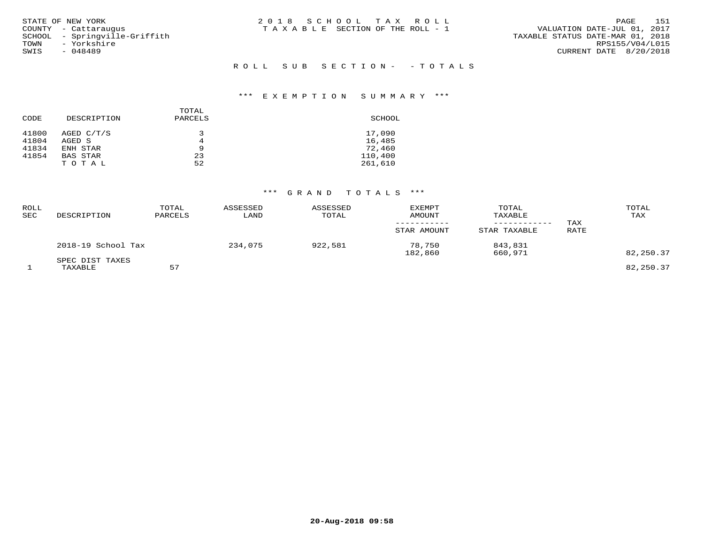| STATE OF NEW YORK<br>COUNTY - Cattaraugus<br>SCHOOL - Springville-Griffith<br>- Yorkshire<br>TOWN | 2018 SCHOOL TAX ROLL<br>TAXABLE SECTION OF THE ROLL - 1 | 151<br>PAGE<br>VALUATION DATE-JUL 01, 2017<br>TAXABLE STATUS DATE-MAR 01, 2018<br>RPS155/V04/L015 |
|---------------------------------------------------------------------------------------------------|---------------------------------------------------------|---------------------------------------------------------------------------------------------------|
| SWIS<br>- 048489                                                                                  | ROLL SUB SECTION- -TOTALS                               | CURRENT DATE 8/20/2018                                                                            |

| CODE  | DESCRIPTION     | TOTAL<br>PARCELS | SCHOOL  |
|-------|-----------------|------------------|---------|
| 41800 | AGED C/T/S      | 3                | 17,090  |
| 41804 | AGED S          | 4                | 16,485  |
| 41834 | ENH STAR        | 9                | 72,460  |
| 41854 | <b>BAS STAR</b> | 23               | 110,400 |
|       | TOTAL           | 52               | 261,610 |

| ROLL<br>SEC | DESCRIPTION                | TOTAL<br>PARCELS | ASSESSED<br>LAND | ASSESSED<br>TOTAL | <b>EXEMPT</b><br>AMOUNT<br>-----------<br>STAR AMOUNT | TOTAL<br>TAXABLE<br>------------<br>STAR TAXABLE | TAX<br>RATE | TOTAL<br>TAX |
|-------------|----------------------------|------------------|------------------|-------------------|-------------------------------------------------------|--------------------------------------------------|-------------|--------------|
|             | 2018-19 School Tax         |                  | 234,075          | 922,581           | 78,750<br>182,860                                     | 843,831<br>660,971                               |             | 82,250.37    |
|             | SPEC DIST TAXES<br>TAXABLE | 57               |                  |                   |                                                       |                                                  |             | 82,250.37    |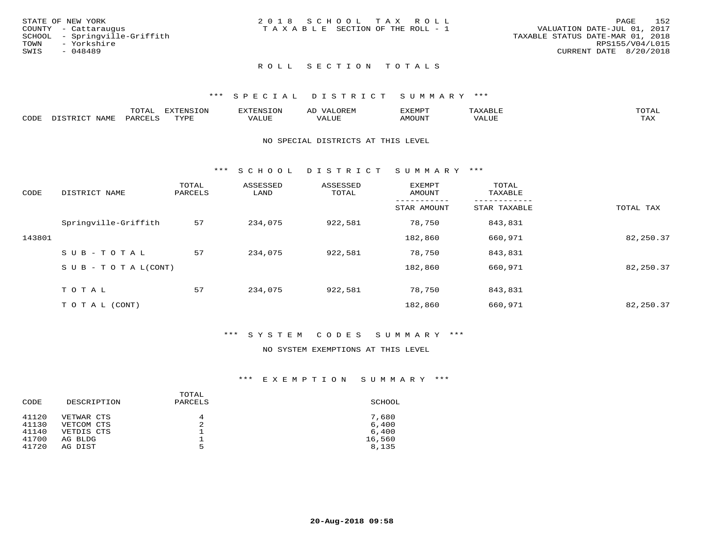| STATE OF NEW YORK             | 2018 SCHOOL TAX ROLL            | 152<br>PAGE                      |
|-------------------------------|---------------------------------|----------------------------------|
| COUNTY - Cattaraugus          | TAXABLE SECTION OF THE ROLL - 1 | VALUATION DATE-JUL 01, 2017      |
| SCHOOL - Springville-Griffith |                                 | TAXABLE STATUS DATE-MAR 01, 2018 |
| TOWN<br>- Yorkshire           |                                 | RPS155/V04/L015                  |
| SWIS<br>- 048489              |                                 | CURRENT DATE 8/20/2018           |
|                               |                                 |                                  |
|                               |                                 |                                  |

## ROLL SECTION TOTALS

#### \*\*\* S P E C I A L D I S T R I C T S U M M A R Y \*\*\*

|      |                  | momm <sup>.</sup><br>TOTAT | <b>ELIMENT OF ONT</b><br>T OTA | <b>FINS</b> | OREM                     | CXEMPT        | $max$ and $max$          | $m \wedge m \wedge n$ |
|------|------------------|----------------------------|--------------------------------|-------------|--------------------------|---------------|--------------------------|-----------------------|
| CODE | NAME<br>DISTRICT | PARCELS                    | TVDF<br>.                      | 7ALUE.      | . <del>.</del><br>. ALUF | <b>AMOUNT</b> | * * * * * * * *<br>'ALUL | <b>TAY</b><br>⊥⇔∆     |

#### NO SPECIAL DISTRICTS AT THIS LEVEL

\*\*\* S C H O O L D I S T R I C T S U M M A R Y \*\*\*

| CODE   | DISTRICT NAME                    | TOTAL<br>PARCELS | ASSESSED<br>LAND | ASSESSED<br>TOTAL | EXEMPT<br>AMOUNT | TOTAL<br>TAXABLE |           |
|--------|----------------------------------|------------------|------------------|-------------------|------------------|------------------|-----------|
|        |                                  |                  |                  |                   | STAR AMOUNT      | STAR TAXABLE     | TOTAL TAX |
|        | Springville-Griffith             | 57               | 234,075          | 922,581           | 78,750           | 843,831          |           |
| 143801 |                                  |                  |                  |                   | 182,860          | 660,971          | 82,250.37 |
|        | SUB-TOTAL                        | 57               | 234,075          | 922,581           | 78,750           | 843,831          |           |
|        | $S \cup B - T \cup T A L (CONT)$ |                  |                  |                   | 182,860          | 660,971          | 82,250.37 |
|        | TOTAL                            | 57               | 234,075          | 922,581           | 78,750           | 843,831          |           |
|        | T O T A L (CONT)                 |                  |                  |                   | 182,860          | 660,971          | 82,250.37 |

#### \*\*\* S Y S T E M C O D E S S U M M A R Y \*\*\*

## NO SYSTEM EXEMPTIONS AT THIS LEVEL

| CODE  | DESCRIPTION | TOTAL<br>PARCELS | SCHOOL |
|-------|-------------|------------------|--------|
| 41120 | VETWAR CTS  | 4                | 7,680  |
| 41130 | VETCOM CTS  | 2                | 6,400  |
| 41140 | VETDIS CTS  |                  | 6,400  |
| 41700 | AG BLDG     |                  | 16,560 |
| 41720 | AG DIST     | 5                | 8,135  |
|       |             |                  |        |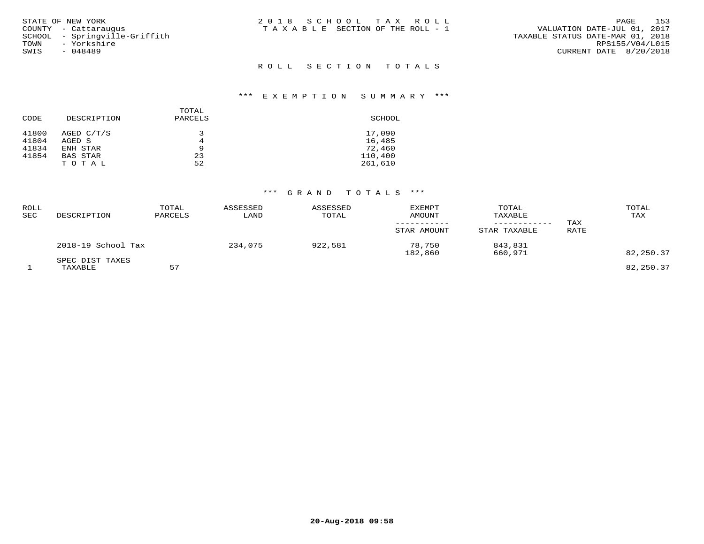| STATE OF NEW YORK<br>COUNTY - Cattaraugus<br>SCHOOL - Springville-Griffith<br>TOWN - Yorkshire<br>SWIS<br>- 048489 | 2018 SCHOOL TAX ROLL<br>T A X A B L E SECTION OF THE ROLL - 1 | 153<br>PAGE<br>VALUATION DATE-JUL 01, 2017<br>TAXABLE STATUS DATE-MAR 01, 2018<br>RPS155/V04/L015<br>CURRENT DATE 8/20/2018 |
|--------------------------------------------------------------------------------------------------------------------|---------------------------------------------------------------|-----------------------------------------------------------------------------------------------------------------------------|
|                                                                                                                    | ROLL SECTION TOTALS                                           |                                                                                                                             |

| CODE  | DESCRIPTION     | TOTAL<br>PARCELS | SCHOOL  |
|-------|-----------------|------------------|---------|
| 41800 | AGED C/T/S      | 3                | 17,090  |
| 41804 | AGED S          | 4                | 16,485  |
| 41834 | ENH STAR        | 9                | 72,460  |
| 41854 | <b>BAS STAR</b> | 23               | 110,400 |
|       | TOTAL           | 52               | 261,610 |

| ROLL<br>SEC | DESCRIPTION                | TOTAL<br>PARCELS | ASSESSED<br>LAND | ASSESSED<br>TOTAL | <b>EXEMPT</b><br>AMOUNT<br>STAR AMOUNT | TOTAL<br>TAXABLE<br>------------<br>STAR TAXABLE | TAX<br>RATE | TOTAL<br>TAX |
|-------------|----------------------------|------------------|------------------|-------------------|----------------------------------------|--------------------------------------------------|-------------|--------------|
|             | 2018-19 School Tax         |                  | 234,075          | 922,581           | 78,750<br>182,860                      | 843,831<br>660,971                               |             | 82,250.37    |
|             | SPEC DIST TAXES<br>TAXABLE | 57               |                  |                   |                                        |                                                  |             | 82,250.37    |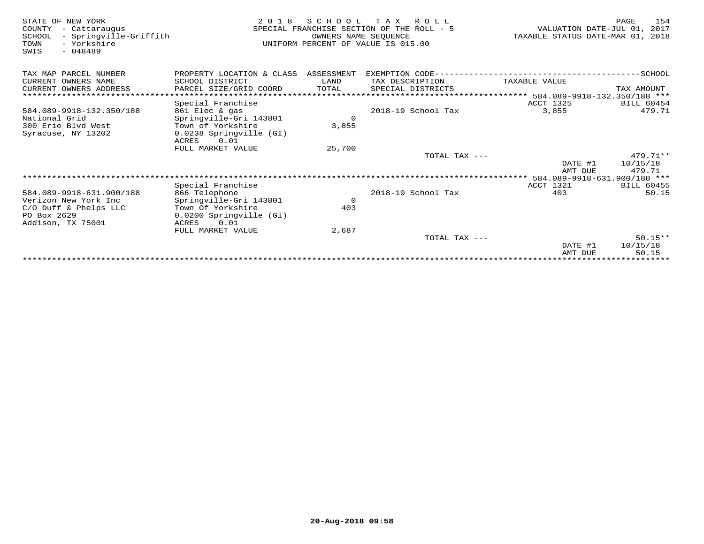| STATE OF NEW YORK<br>COUNTY<br>- Cattaraugus<br>- Springville-Griffith<br>SCHOOL<br>- Yorkshire<br>TOWN<br>$-048489$<br>SWIS | 2 0 1 8                              | S C H O O L<br>OWNERS NAME SEQUENCE | T A X<br>R O L L<br>SPECIAL FRANCHISE SECTION OF THE ROLL - 5<br>UNIFORM PERCENT OF VALUE IS 015.00 | VALUATION DATE-JUL 01, 2017<br>TAXABLE STATUS DATE-MAR 01, 2018 | 154<br>PAGE       |
|------------------------------------------------------------------------------------------------------------------------------|--------------------------------------|-------------------------------------|-----------------------------------------------------------------------------------------------------|-----------------------------------------------------------------|-------------------|
| TAX MAP PARCEL NUMBER                                                                                                        | PROPERTY LOCATION & CLASS ASSESSMENT |                                     | EXEMPTION CODE--------------------------                                                            |                                                                 | $---------SCHOOL$ |
| CURRENT OWNERS NAME                                                                                                          | SCHOOL DISTRICT                      | LAND                                | TAX DESCRIPTION                                                                                     | TAXABLE VALUE                                                   |                   |
| CURRENT OWNERS ADDRESS                                                                                                       | PARCEL SIZE/GRID COORD               | TOTAL                               | SPECIAL DISTRICTS                                                                                   |                                                                 | TAX AMOUNT        |
|                                                                                                                              |                                      |                                     |                                                                                                     | ****************** 584.089-9918-132.350/188 ***                 |                   |
|                                                                                                                              | Special Franchise                    |                                     |                                                                                                     | <b>ACCT 1325</b>                                                | <b>BILL 60454</b> |
| 584.089-9918-132.350/188                                                                                                     | 861 Elec & gas                       |                                     | 2018-19 School Tax                                                                                  | 3,855                                                           | 479.71            |
| National Grid                                                                                                                | Springville-Gri 143801               | $\circ$                             |                                                                                                     |                                                                 |                   |
| 300 Erie Blvd West                                                                                                           | Town of Yorkshire                    | 3,855                               |                                                                                                     |                                                                 |                   |
| Syracuse, NY 13202                                                                                                           | 0.0238 Springville (GI)              |                                     |                                                                                                     |                                                                 |                   |
|                                                                                                                              | ACRES<br>0.01<br>FULL MARKET VALUE   | 25,700                              |                                                                                                     |                                                                 |                   |
|                                                                                                                              |                                      |                                     | TOTAL TAX ---                                                                                       |                                                                 | $479.71**$        |
|                                                                                                                              |                                      |                                     |                                                                                                     | DATE #1                                                         | 10/15/18          |
|                                                                                                                              |                                      |                                     |                                                                                                     | AMT DUE                                                         | 479.71            |
|                                                                                                                              |                                      |                                     |                                                                                                     |                                                                 |                   |
|                                                                                                                              | Special Franchise                    |                                     |                                                                                                     | ACCT 1321                                                       | <b>BILL 60455</b> |
| 584.089-9918-631.900/188                                                                                                     | 866 Telephone                        |                                     | 2018-19 School Tax                                                                                  | 403                                                             | 50.15             |
| Verizon New York Inc                                                                                                         | Springville-Gri 143801               | $\overline{0}$                      |                                                                                                     |                                                                 |                   |
| C/O Duff & Phelps LLC                                                                                                        | Town Of Yorkshire                    | 403                                 |                                                                                                     |                                                                 |                   |
| PO Box 2629                                                                                                                  | 0.0200 Springville (Gi)              |                                     |                                                                                                     |                                                                 |                   |
| Addison, TX 75001                                                                                                            | ACRES<br>0.01                        |                                     |                                                                                                     |                                                                 |                   |
|                                                                                                                              | FULL MARKET VALUE                    | 2,687                               | TOTAL TAX ---                                                                                       |                                                                 | $50.15**$         |
|                                                                                                                              |                                      |                                     |                                                                                                     | DATE #1                                                         | 10/15/18          |
|                                                                                                                              |                                      |                                     |                                                                                                     | AMT DUE                                                         | 50.15             |
|                                                                                                                              |                                      |                                     |                                                                                                     |                                                                 |                   |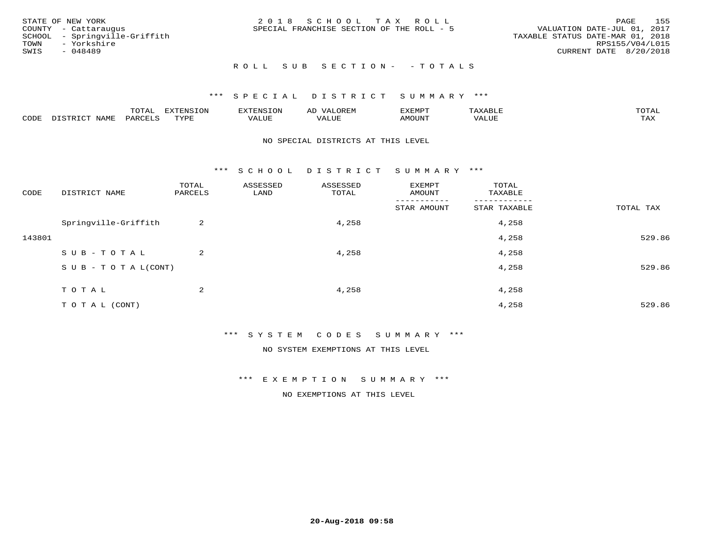|      | STATE OF NEW YORK             | 2018 SCHOOL TAX ROLL                      | PAGE                             | 155 |
|------|-------------------------------|-------------------------------------------|----------------------------------|-----|
|      | COUNTY - Cattaraugus          | SPECIAL FRANCHISE SECTION OF THE ROLL - 5 | VALUATION DATE-JUL 01, 2017      |     |
|      | SCHOOL - Springville-Griffith |                                           | TAXABLE STATUS DATE-MAR 01, 2018 |     |
|      | TOWN - Yorkshire              |                                           | RPS155/V04/L015                  |     |
| SWIS | - 048489                      |                                           | CURRENT DATE 8/20/2018           |     |
|      |                               |                                           |                                  |     |

## R O L L S U B S E C T I O N - - T O T A L S

## \*\*\* S P E C I A L D I S T R I C T S U M M A R Y \*\*\*

|      |        | m^m*<br><u>UIAI</u> | . v  | <b>FNC</b> |                   | :XEMPT | P<br>. | mom <sub>n</sub> |
|------|--------|---------------------|------|------------|-------------------|--------|--------|------------------|
| CODE | NTA MT | PARL                | mynn | 'ALUE      | $- - - -$<br>ALUP | MOUN.  | 'ALUE  | TAX              |

#### NO SPECIAL DISTRICTS AT THIS LEVEL

\*\*\* S C H O O L D I S T R I C T S U M M A R Y \*\*\*

| CODE   | DISTRICT NAME                    | TOTAL<br>PARCELS | ASSESSED<br>LAND | ASSESSED<br>TOTAL | EXEMPT<br>AMOUNT | TOTAL<br>TAXABLE |           |
|--------|----------------------------------|------------------|------------------|-------------------|------------------|------------------|-----------|
|        |                                  |                  |                  |                   | STAR AMOUNT      | STAR TAXABLE     | TOTAL TAX |
|        | Springville-Griffith             | 2                |                  | 4,258             |                  | 4,258            |           |
| 143801 |                                  |                  |                  |                   |                  | 4,258            | 529.86    |
|        | SUB-TOTAL                        | 2                |                  | 4,258             |                  | 4,258            |           |
|        | $S \cup B - T \cup T A L (CONT)$ |                  |                  |                   |                  | 4,258            | 529.86    |
|        | TOTAL                            | 2                |                  | 4,258             |                  | 4,258            |           |
|        |                                  |                  |                  |                   |                  |                  |           |
|        | TO TAL (CONT)                    |                  |                  |                   |                  | 4,258            | 529.86    |

\*\*\* S Y S T E M C O D E S S U M M A R Y \*\*\*

NO SYSTEM EXEMPTIONS AT THIS LEVEL

\*\*\* E X E M P T I O N S U M M A R Y \*\*\*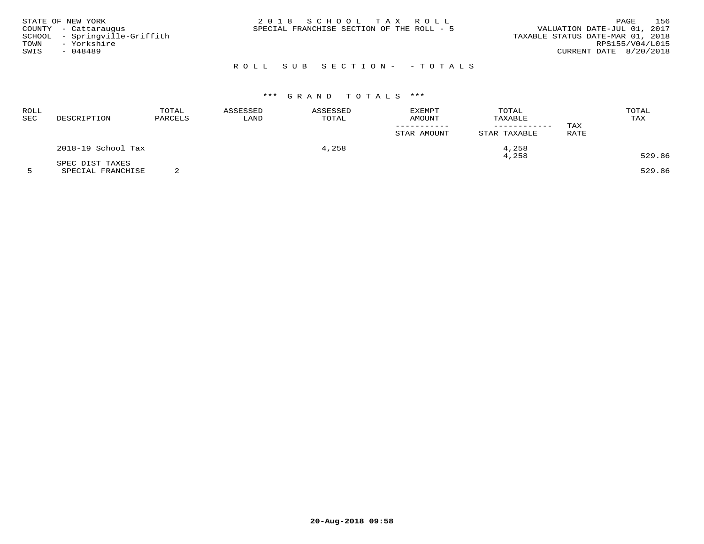| STATE OF NEW YORK<br>COUNTY - Cattaraugus<br>SCHOOL - Springville-Griffith<br>- Yorkshire<br>TOWN<br>SWIS<br>- 048489 | 2018 SCHOOL TAX ROLL<br>SPECIAL FRANCHISE SECTION OF THE ROLL - 5 | 156<br>PAGE<br>VALUATION DATE-JUL 01, 2017<br>TAXABLE STATUS DATE-MAR 01, 2018<br>RPS155/V04/L015<br>CURRENT DATE 8/20/2018 |
|-----------------------------------------------------------------------------------------------------------------------|-------------------------------------------------------------------|-----------------------------------------------------------------------------------------------------------------------------|
|                                                                                                                       | ROLL SUB SECTION- - TOTALS                                        |                                                                                                                             |

| ROLL<br>SEC | DESCRIPTION        | TOTAL<br>PARCELS | ASSESSED<br>LAND | ASSESSED<br>TOTAL | <b>EXEMPT</b><br>AMOUNT<br>STAR AMOUNT | TOTAL<br>TAXABLE<br>STAR TAXABLE | TAX<br>RATE | TOTAL<br>TAX |
|-------------|--------------------|------------------|------------------|-------------------|----------------------------------------|----------------------------------|-------------|--------------|
|             | 2018-19 School Tax |                  |                  | 4,258             |                                        | 4,258<br>4,258                   |             | 529.86       |
|             | SPEC DIST TAXES    |                  |                  |                   |                                        |                                  |             |              |

5 SPECIAL FRANCHISE 2 529.86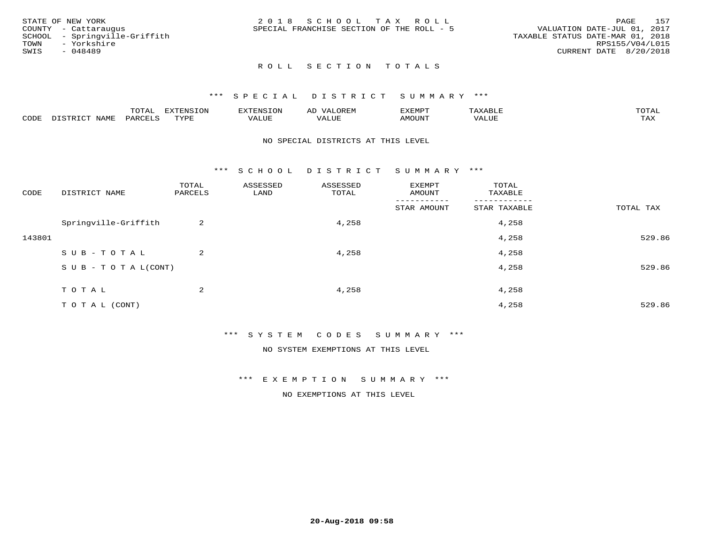|      | STATE OF NEW YORK             | 2018 SCHOOL TAX ROLL                      |  |                                  | PAGE                   | 157 |
|------|-------------------------------|-------------------------------------------|--|----------------------------------|------------------------|-----|
|      | COUNTY - Cattaraugus          | SPECIAL FRANCHISE SECTION OF THE ROLL - 5 |  | VALUATION DATE-JUL 01, 2017      |                        |     |
|      | SCHOOL - Springville-Griffith |                                           |  | TAXABLE STATUS DATE-MAR 01, 2018 |                        |     |
| TOWN | - Yorkshire                   |                                           |  |                                  | RPS155/V04/L015        |     |
| SWIS | $-048489$                     |                                           |  |                                  | CURRENT DATE 8/20/2018 |     |
|      |                               |                                           |  |                                  |                        |     |

## ROLL SECTION TOTALS

#### \*\*\* S P E C I A L D I S T R I C T S U M M A R Y \*\*\*

|      |                      | mom n | <b>ELIMENT CLOSE</b><br>LUP | ALS.               | ΑL            | ,,, <del>,</del> ,,, <del>,</del><br>، ب<br>- ۱٬۱۳۰ نالاند |                         |                    |
|------|----------------------|-------|-----------------------------|--------------------|---------------|------------------------------------------------------------|-------------------------|--------------------|
| CODE | <b>NAMT</b><br>11.17 | PARC  | TVDF                        | <b>TTT</b><br>ALUR | T T T<br>ALUE | TUUOMA                                                     | . <del>.</del><br>'ALUL | $m \times r$<br>∸⊷ |

#### NO SPECIAL DISTRICTS AT THIS LEVEL

\*\*\* S C H O O L D I S T R I C T S U M M A R Y \*\*\*

| CODE   | DISTRICT NAME                    | TOTAL<br>PARCELS | ASSESSED<br>LAND | ASSESSED<br>TOTAL | EXEMPT<br>AMOUNT       | TOTAL<br>TAXABLE |           |
|--------|----------------------------------|------------------|------------------|-------------------|------------------------|------------------|-----------|
|        |                                  |                  |                  |                   | -------<br>STAR AMOUNT | STAR TAXABLE     | TOTAL TAX |
|        | Springville-Griffith             | 2                |                  | 4,258             |                        | 4,258            |           |
| 143801 |                                  |                  |                  |                   |                        | 4,258            | 529.86    |
|        | SUB-TOTAL                        | 2                |                  | 4,258             |                        | 4,258            |           |
|        | $S \cup B - T \cup T A L (CONT)$ |                  |                  |                   |                        | 4,258            | 529.86    |
|        | TOTAL                            | 2                |                  | 4,258             |                        | 4,258            |           |
|        | TO TAL (CONT)                    |                  |                  |                   |                        | 4,258            | 529.86    |

\*\*\* S Y S T E M C O D E S S U M M A R Y \*\*\*

NO SYSTEM EXEMPTIONS AT THIS LEVEL

\*\*\* E X E M P T I O N S U M M A R Y \*\*\*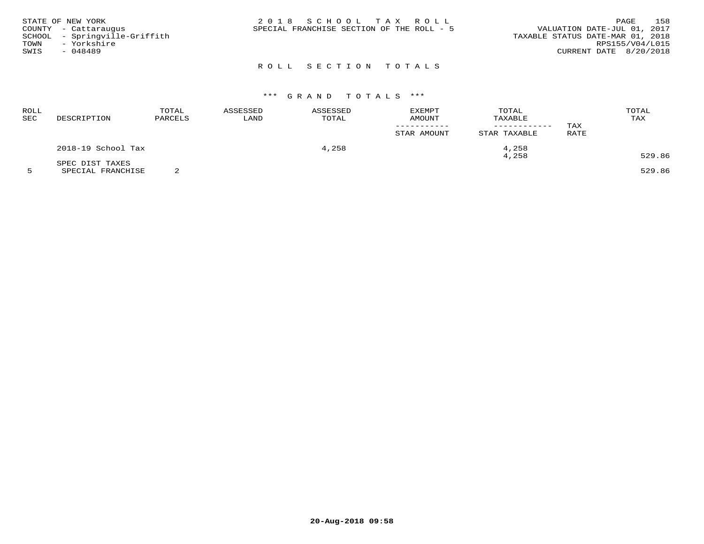| STATE OF NEW YORK<br>COUNTY - Cattaraugus<br>SCHOOL - Springville-Griffith<br>- Yorkshire<br>TOWN<br>SWIS<br>- 048489 | 2018 SCHOOL TAX ROLL<br>SPECIAL FRANCHISE SECTION OF THE ROLL - 5 | 158<br>PAGE<br>VALUATION DATE-JUL 01, 2017<br>TAXABLE STATUS DATE-MAR 01, 2018<br>RPS155/V04/L015<br>CURRENT DATE 8/20/2018 |
|-----------------------------------------------------------------------------------------------------------------------|-------------------------------------------------------------------|-----------------------------------------------------------------------------------------------------------------------------|
|                                                                                                                       | ROLL SECTION TOTALS                                               |                                                                                                                             |

| ROLL<br>SEC | DESCRIPTION        | TOTAL<br>PARCELS | ASSESSED<br>LAND | ASSESSED<br>TOTAL | <b>EXEMPT</b><br>AMOUNT<br>STAR AMOUNT | TOTAL<br>TAXABLE<br>------------<br>STAR TAXABLE | TAX<br>RATE | TOTAL<br>TAX |
|-------------|--------------------|------------------|------------------|-------------------|----------------------------------------|--------------------------------------------------|-------------|--------------|
|             | 2018-19 School Tax |                  |                  | 4,258             |                                        | 4,258                                            |             |              |
|             | SPEC DIST TAXES    |                  |                  |                   |                                        | 4,258                                            |             | 529.86       |

5 SPECIAL FRANCHISE 2 529.86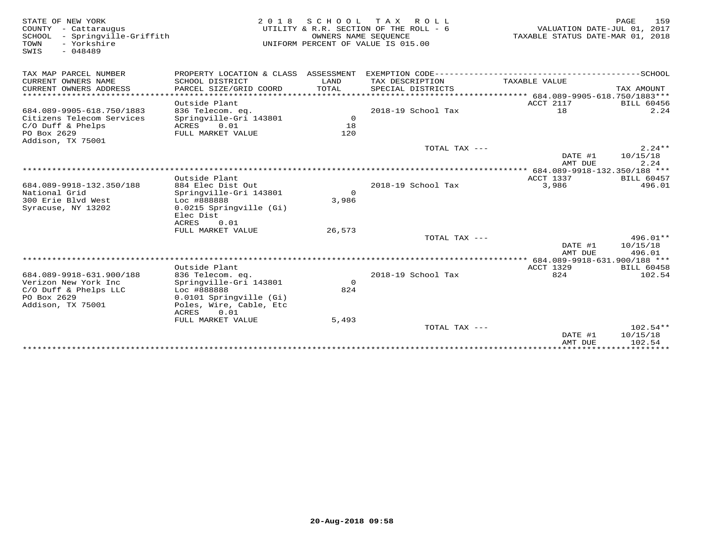| STATE OF NEW YORK<br>COUNTY - Cattaraugus<br>SCHOOL<br>- Springville-Griffith<br>TOWN<br>- Yorkshire<br>$-048489$<br>SWIS | 2 0 1 8                                   | SCHOOL<br>OWNERS NAME SEQUENCE | T A X<br>R O L L<br>UTILITY & R.R. SECTION OF THE ROLL - 6<br>UNIFORM PERCENT OF VALUE IS 015.00 | VALUATION DATE-JUL 01, 2017<br>TAXABLE STATUS DATE-MAR 01, 2018 | <b>PAGE</b><br>159        |
|---------------------------------------------------------------------------------------------------------------------------|-------------------------------------------|--------------------------------|--------------------------------------------------------------------------------------------------|-----------------------------------------------------------------|---------------------------|
| TAX MAP PARCEL NUMBER                                                                                                     | PROPERTY LOCATION & CLASS ASSESSMENT      |                                |                                                                                                  |                                                                 |                           |
| CURRENT OWNERS NAME<br>CURRENT OWNERS ADDRESS                                                                             | SCHOOL DISTRICT<br>PARCEL SIZE/GRID COORD | LAND<br>TOTAL                  | TAX DESCRIPTION<br>SPECIAL DISTRICTS                                                             | TAXABLE VALUE                                                   | TAX AMOUNT                |
| *************************                                                                                                 |                                           |                                |                                                                                                  |                                                                 |                           |
| 684.089-9905-618.750/1883                                                                                                 | Outside Plant<br>836 Telecom. eq.         |                                | 2018-19 School Tax                                                                               | ACCT 2117<br>18                                                 | <b>BILL 60456</b><br>2.24 |
| Citizens Telecom Services                                                                                                 | Springville-Gri 143801                    | $\Omega$                       |                                                                                                  |                                                                 |                           |
| $C/O$ Duff & Phelps                                                                                                       | 0.01<br>ACRES                             | 18                             |                                                                                                  |                                                                 |                           |
| PO Box 2629<br>Addison, TX 75001                                                                                          | FULL MARKET VALUE                         | 120                            |                                                                                                  |                                                                 |                           |
|                                                                                                                           |                                           |                                | TOTAL TAX ---                                                                                    |                                                                 | $2.24**$                  |
|                                                                                                                           |                                           |                                |                                                                                                  | DATE #1<br>AMT DUE                                              | 10/15/18<br>2.24          |
|                                                                                                                           |                                           |                                |                                                                                                  |                                                                 |                           |
|                                                                                                                           | Outside Plant                             |                                |                                                                                                  | ACCT 1337                                                       | BILL 60457                |
| 684.089-9918-132.350/188                                                                                                  | 884 Elec Dist Out                         |                                | 2018-19 School Tax                                                                               | 3,986                                                           | 496.01                    |
| National Grid                                                                                                             | Springville-Gri 143801                    | $\Omega$                       |                                                                                                  |                                                                 |                           |
| 300 Erie Blvd West                                                                                                        | Loc #888888                               | 3,986                          |                                                                                                  |                                                                 |                           |
| Syracuse, NY 13202                                                                                                        | 0.0215 Springville (Gi)<br>Elec Dist      |                                |                                                                                                  |                                                                 |                           |
|                                                                                                                           | 0.01<br>ACRES<br>FULL MARKET VALUE        | 26,573                         |                                                                                                  |                                                                 |                           |
|                                                                                                                           |                                           |                                | TOTAL TAX ---                                                                                    |                                                                 | $496.01**$                |
|                                                                                                                           |                                           |                                |                                                                                                  | DATE #1<br>AMT DUE                                              | 10/15/18<br>496.01        |
|                                                                                                                           |                                           |                                |                                                                                                  |                                                                 |                           |
|                                                                                                                           | Outside Plant                             |                                |                                                                                                  | <b>ACCT 1329</b>                                                | <b>BILL 60458</b>         |
| 684.089-9918-631.900/188                                                                                                  | 836 Telecom. eq.                          |                                | 2018-19 School Tax                                                                               | 824                                                             | 102.54                    |
| Verizon New York Inc                                                                                                      | Springville-Gri 143801                    | $\Omega$                       |                                                                                                  |                                                                 |                           |
| C/O Duff & Phelps LLC                                                                                                     | Loc #888888                               | 824                            |                                                                                                  |                                                                 |                           |
| PO Box 2629                                                                                                               | 0.0101 Springville (Gi)                   |                                |                                                                                                  |                                                                 |                           |
| Addison, TX 75001                                                                                                         | Poles, Wire, Cable, Etc<br>ACRES<br>0.01  |                                |                                                                                                  |                                                                 |                           |
|                                                                                                                           | FULL MARKET VALUE                         | 5,493                          |                                                                                                  |                                                                 |                           |
|                                                                                                                           |                                           |                                | TOTAL TAX ---                                                                                    |                                                                 | $102.54**$                |
|                                                                                                                           |                                           |                                |                                                                                                  | DATE #1                                                         | 10/15/18                  |
|                                                                                                                           |                                           |                                |                                                                                                  | AMT DUE                                                         | 102.54                    |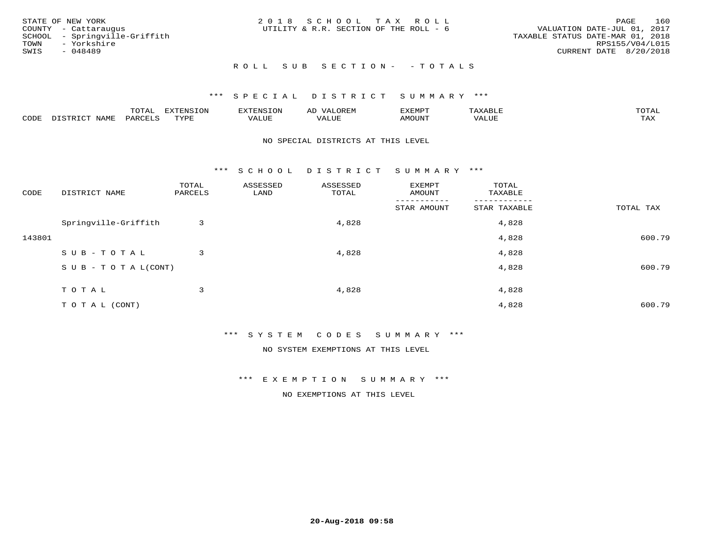| STATE OF NEW YORK             | 2018 SCHOOL TAX ROLL                   | 160<br>PAGE                      |
|-------------------------------|----------------------------------------|----------------------------------|
| COUNTY - Cattaraugus          | UTILITY & R.R. SECTION OF THE ROLL - 6 | VALUATION DATE-JUL 01, 2017      |
| SCHOOL - Springville-Griffith |                                        | TAXABLE STATUS DATE-MAR 01, 2018 |
| TOWN - Yorkshire              |                                        | RPS155/V04/L015                  |
| SWIS<br>- 048489              |                                        | CURRENT DATE 8/20/2018           |
|                               | ROLL SUB SECTION- - TOTALS             |                                  |

# \*\*\* S P E C I A L D I S T R I C T S U M M A R Y \*\*\*

|      |              | TOTAL   | EXTENSION   | $\n                                 <$ | $\Delta$ | <b>XEMPT</b> | ABLE. | TOTAI |
|------|--------------|---------|-------------|----------------------------------------|----------|--------------|-------|-------|
| CODE | <b>NLAME</b> | PARCELS | TVDF<br>ᆠᇊᅹ | <i>J</i> ALUE                          | VALUE    | MOUNT        | VALUE | TAX   |

#### NO SPECIAL DISTRICTS AT THIS LEVEL

\*\*\* S C H O O L D I S T R I C T S U M M A R Y \*\*\*

| CODE   | DISTRICT NAME                    | TOTAL<br>PARCELS | ASSESSED<br>LAND | ASSESSED<br>TOTAL | EXEMPT<br>AMOUNT       | TOTAL<br>TAXABLE |           |
|--------|----------------------------------|------------------|------------------|-------------------|------------------------|------------------|-----------|
|        |                                  |                  |                  |                   | -------<br>STAR AMOUNT | STAR TAXABLE     | TOTAL TAX |
|        | Springville-Griffith             | 3                |                  | 4,828             |                        | 4,828            |           |
| 143801 |                                  |                  |                  |                   |                        | 4,828            | 600.79    |
|        | SUB-TOTAL                        | 3                |                  | 4,828             |                        | 4,828            |           |
|        | $S \cup B - T \cup T A L (CONT)$ |                  |                  |                   |                        | 4,828            | 600.79    |
|        | TOTAL                            | 3                |                  | 4,828             |                        | 4,828            |           |
|        | TO TAL (CONT)                    |                  |                  |                   |                        | 4,828            | 600.79    |

\*\*\* S Y S T E M C O D E S S U M M A R Y \*\*\*

NO SYSTEM EXEMPTIONS AT THIS LEVEL

\*\*\* E X E M P T I O N S U M M A R Y \*\*\*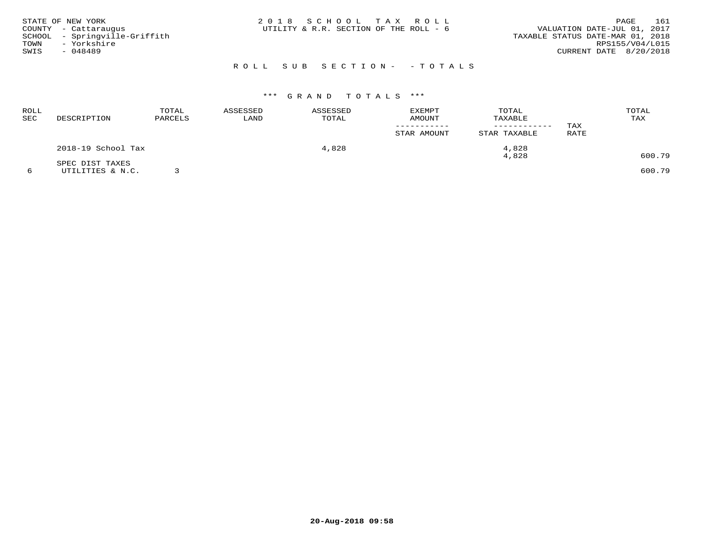| STATE OF NEW YORK |                               | 2018 SCHOOL TAX ROLL                   |  |                                  |                        | PAGE | 161 |
|-------------------|-------------------------------|----------------------------------------|--|----------------------------------|------------------------|------|-----|
|                   | COUNTY - Cattaraugus          | UTILITY & R.R. SECTION OF THE ROLL - 6 |  | VALUATION DATE-JUL 01, 2017      |                        |      |     |
|                   | SCHOOL - Springville-Griffith |                                        |  | TAXABLE STATUS DATE-MAR 01, 2018 |                        |      |     |
| TOWN              | - Yorkshire                   |                                        |  |                                  | RPS155/V04/L015        |      |     |
| SWIS              | - 048489                      |                                        |  |                                  | CURRENT DATE 8/20/2018 |      |     |
|                   |                               |                                        |  |                                  |                        |      |     |

# ROLL SUB SECTION- - TOTALS

## \*\*\* G R A N D T O T A L S \*\*\*

| ROLL<br>SEC | DESCRIPTION        | TOTAL<br>PARCELS | <b>EXEMPT</b><br>ASSESSED<br>ASSESSED<br><b>AMOUNT</b><br>TOTAL<br>LAND | TOTAL<br>TAXABLE<br>------------ | TAX         |              |      |        |
|-------------|--------------------|------------------|-------------------------------------------------------------------------|----------------------------------|-------------|--------------|------|--------|
|             |                    |                  |                                                                         |                                  | STAR AMOUNT | STAR TAXABLE | RATE |        |
|             | 2018-19 School Tax |                  |                                                                         | 4,828                            |             | 4,828        |      |        |
|             | SPEC DIST TAXES    |                  |                                                                         |                                  |             | 4,828        |      | 600.79 |
|             | UTILITIES & N.C.   |                  |                                                                         |                                  |             |              |      | 600.79 |

**20-Aug-2018 09:58**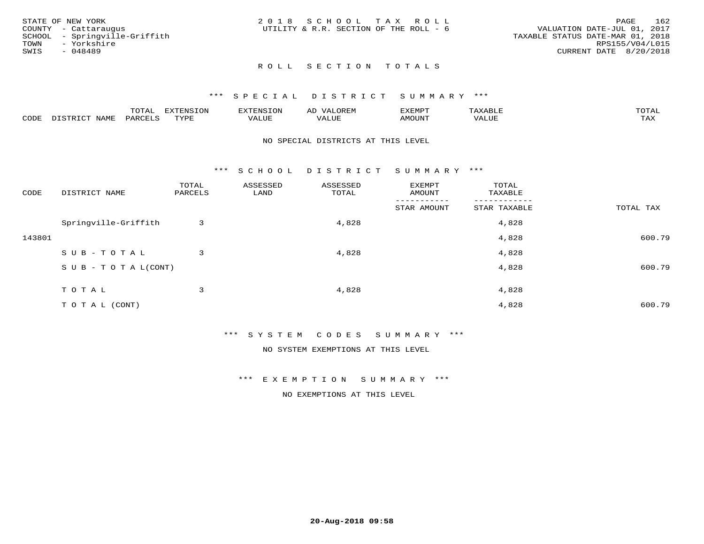|      | STATE OF NEW YORK             | 2018 SCHOOL TAX ROLL                   |  |  |                                  |                        | PAGE | 162 |
|------|-------------------------------|----------------------------------------|--|--|----------------------------------|------------------------|------|-----|
|      |                               |                                        |  |  |                                  |                        |      |     |
|      | COUNTY - Cattaraugus          | UTILITY & R.R. SECTION OF THE ROLL - 6 |  |  | VALUATION DATE-JUL 01, 2017      |                        |      |     |
|      | SCHOOL - Springville-Griffith |                                        |  |  | TAXABLE STATUS DATE-MAR 01, 2018 |                        |      |     |
| TOWN | - Yorkshire                   |                                        |  |  |                                  | RPS155/V04/L015        |      |     |
| SWIS | - 048489                      |                                        |  |  |                                  | CURRENT DATE 8/20/2018 |      |     |
|      |                               |                                        |  |  |                                  |                        |      |     |

## ROLL SECTION TOTALS

## \*\*\* SPECIAL DISTRICT SUMMARY \*\*\*

|      |      | mom n<br>.UIAL | <b>DIZPOILIC TONT</b><br>.UP | -------- |         | :XEMP' | $\Delta$<br>ו וכו | TOTAL |
|------|------|----------------|------------------------------|----------|---------|--------|-------------------|-------|
| CODE | NAME | AR             | TVDI                         | ALUI     | الاللطم | MOUN'I | ALUE              | TAX   |

#### NO SPECIAL DISTRICTS AT THIS LEVEL

\*\*\* S C H O O L D I S T R I C T S U M M A R Y \*\*\*

| CODE   | DISTRICT NAME                    | TOTAL<br>PARCELS | ASSESSED<br>LAND | ASSESSED<br>TOTAL | EXEMPT<br>AMOUNT | TOTAL<br>TAXABLE |           |
|--------|----------------------------------|------------------|------------------|-------------------|------------------|------------------|-----------|
|        |                                  |                  |                  |                   | STAR AMOUNT      | STAR TAXABLE     | TOTAL TAX |
|        | Springville-Griffith             | 3                |                  | 4,828             |                  | 4,828            |           |
| 143801 |                                  |                  |                  |                   |                  | 4,828            | 600.79    |
|        | SUB-TOTAL                        | 3                |                  | 4,828             |                  | 4,828            |           |
|        | $S \cup B - T \cup T A L (CONT)$ |                  |                  |                   |                  | 4,828            | 600.79    |
|        | TOTAL                            | 3                |                  | 4,828             |                  | 4,828            |           |
|        | T O T A L (CONT)                 |                  |                  |                   |                  | 4,828            | 600.79    |

\*\*\* S Y S T E M C O D E S S U M M A R Y \*\*\*

NO SYSTEM EXEMPTIONS AT THIS LEVEL

\*\*\* E X E M P T I O N S U M M A R Y \*\*\*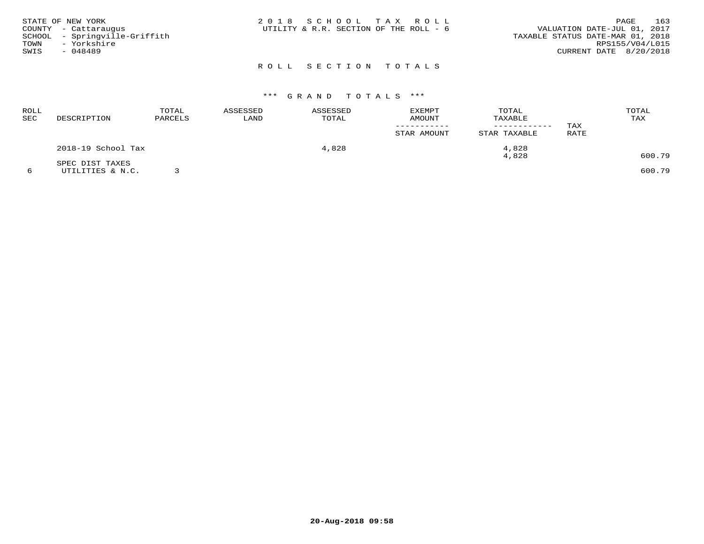| STATE OF NEW YORK<br>COUNTY - Cattaraugus<br>SCHOOL - Springville-Griffith<br>- Yorkshire<br>TOWN<br>SWIS<br>- 048489 | 2018 SCHOOL TAX ROLL<br>UTILITY & R.R. SECTION OF THE ROLL - 6 | 163<br>PAGE<br>VALUATION DATE-JUL 01, 2017<br>TAXABLE STATUS DATE-MAR 01, 2018<br>RPS155/V04/L015<br>CURRENT DATE 8/20/2018 |
|-----------------------------------------------------------------------------------------------------------------------|----------------------------------------------------------------|-----------------------------------------------------------------------------------------------------------------------------|
|                                                                                                                       | ROLL SECTION TOTALS                                            |                                                                                                                             |

| ROLL<br>SEC | DESCRIPTION        | TOTAL<br>PARCELS | ASSESSED<br>LAND | ASSESSED<br>TOTAL | <b>EXEMPT</b><br>AMOUNT | TOTAL<br>TAXABLE | TAX         | TOTAL<br>TAX |
|-------------|--------------------|------------------|------------------|-------------------|-------------------------|------------------|-------------|--------------|
|             |                    |                  |                  |                   | STAR AMOUNT             | STAR TAXABLE     | <b>RATE</b> |              |
|             | 2018-19 School Tax |                  |                  | 4,828             |                         | 4,828            |             |              |
|             | SPEC DIST TAXES    |                  |                  |                   |                         | 4,828            |             | 600.79       |
|             | UTILITIES & N.C.   |                  |                  |                   |                         |                  |             | 600.79       |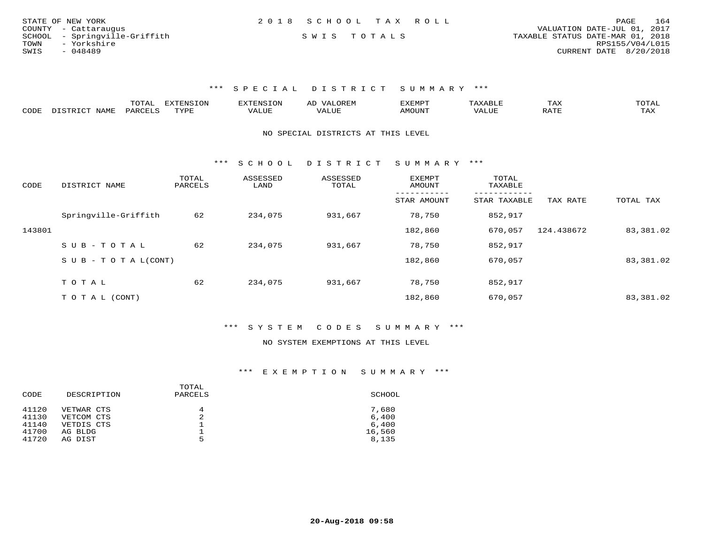| STATE OF NEW YORK             | 2018 SCHOOL TAX ROLL | 164<br>PAGE                      |
|-------------------------------|----------------------|----------------------------------|
| COUNTY - Cattaraugus          |                      | VALUATION DATE-JUL 01, 2017      |
| SCHOOL - Springville-Griffith | SWIS TOTALS          | TAXABLE STATUS DATE-MAR 01, 2018 |
| TOWN<br>- Yorkshire           |                      | RPS155/V04/L015                  |
| SWIS<br>- 048489              |                      | CURRENT DATE 8/20/2018           |

\*\*\* S P E C I A L D I S T R I C T S U M M A R Y \*\*\*

|      |                                  | "Ω"ΠΩ<br>⊥∪⊥ ∟ | <b>EXTENSION</b> |                         | A <sub>L</sub> | XEMPT:        |                        | 1 A A       |                     |
|------|----------------------------------|----------------|------------------|-------------------------|----------------|---------------|------------------------|-------------|---------------------|
| CODE | <b>NAMF</b><br><u>היה דפידים</u> | <b>PARC</b>    | TYPE             | $\mathcal{A}\text{LUF}$ |                | <b>AMOUNT</b> | , 7 7 T T T T<br>VALUE | הדרח ג<br>▵ | $m \times r$<br>⊥≞∆ |

#### NO SPECIAL DISTRICTS AT THIS LEVEL

\*\*\* S C H O O L D I S T R I C T S U M M A R Y \*\*\*

| CODE   | DISTRICT NAME             | TOTAL<br>PARCELS | ASSESSED<br>LAND | ASSESSED<br>TOTAL | <b>EXEMPT</b><br>AMOUNT | TOTAL<br>TAXABLE |            |           |
|--------|---------------------------|------------------|------------------|-------------------|-------------------------|------------------|------------|-----------|
|        |                           |                  |                  |                   | STAR AMOUNT             | STAR TAXABLE     | TAX RATE   | TOTAL TAX |
|        | Springville-Griffith      | 62               | 234,075          | 931,667           | 78,750                  | 852,917          |            |           |
| 143801 |                           |                  |                  |                   | 182,860                 | 670,057          | 124.438672 | 83,381.02 |
|        | SUB-TOTAL                 | 62               | 234,075          | 931,667           | 78,750                  | 852,917          |            |           |
|        | S U B - T O T A $L(CONT)$ |                  |                  |                   | 182,860                 | 670,057          |            | 83,381.02 |
|        | TOTAL                     | 62               | 234,075          |                   | 78,750                  |                  |            |           |
|        |                           |                  |                  | 931,667           |                         | 852,917          |            |           |
|        | T O T A L (CONT)          |                  |                  |                   | 182,860                 | 670,057          |            | 83,381.02 |

## \*\*\* S Y S T E M C O D E S S U M M A R Y \*\*\*

#### NO SYSTEM EXEMPTIONS AT THIS LEVEL

| CODE  | DESCRIPTION | TOTAL<br>PARCELS | SCHOOL |
|-------|-------------|------------------|--------|
| 41120 | VETWAR CTS  | 4                | 7,680  |
| 41130 | VETCOM CTS  | 2                | 6,400  |
| 41140 | VETDIS CTS  | ᅩ                | 6.400  |
| 41700 | AG BLDG     |                  | 16,560 |
| 41720 | AG DIST     | 5                | 8,135  |
|       |             |                  |        |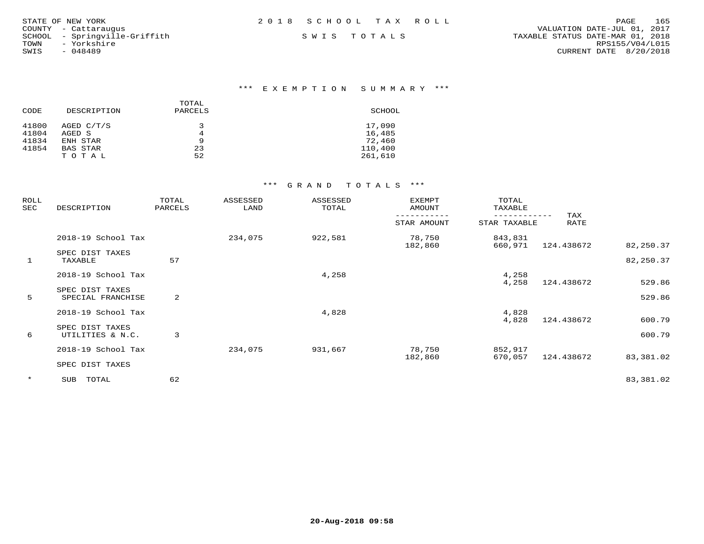| STATE OF NEW YORK             | 2018 SCHOOL TAX ROLL | 165<br>PAGE                      |
|-------------------------------|----------------------|----------------------------------|
| COUNTY - Cattaraugus          |                      | VALUATION DATE-JUL 01, 2017      |
| SCHOOL - Springville-Griffith | SWIS TOTALS          | TAXABLE STATUS DATE-MAR 01, 2018 |
| TOWN<br>- Yorkshire           |                      | RPS155/V04/L015                  |
| SWIS<br>$-048489$             |                      | CURRENT DATE 8/20/2018           |
|                               |                      |                                  |

|       |                 | TOTAL   |         |
|-------|-----------------|---------|---------|
| CODE  | DESCRIPTION     | PARCELS | SCHOOL  |
| 41800 | AGED C/T/S      | 3       | 17,090  |
| 41804 | AGED S          | 4       | 16,485  |
| 41834 | ENH STAR        | 9       | 72,460  |
| 41854 | <b>BAS STAR</b> | 23      | 110,400 |
|       | TOTAL           | 52      | 261,610 |

| ROLL<br>SEC  | DESCRIPTION                          | TOTAL<br>ASSESSED<br>LAND<br>PARCELS |         | ASSESSED<br>TOTAL | <b>EXEMPT</b><br>AMOUNT | TOTAL<br>TAXABLE   |            |                  |
|--------------|--------------------------------------|--------------------------------------|---------|-------------------|-------------------------|--------------------|------------|------------------|
|              |                                      |                                      |         | STAR AMOUNT       | STAR TAXABLE            | TAX<br><b>RATE</b> |            |                  |
|              | 2018-19 School Tax                   |                                      | 234,075 | 922,581           | 78,750<br>182,860       | 843,831<br>660,971 | 124.438672 | 82,250.37        |
| $\mathbf{1}$ | SPEC DIST TAXES<br>TAXABLE           | 57                                   |         |                   |                         |                    |            | 82,250.37        |
|              | 2018-19 School Tax                   |                                      |         | 4,258             |                         | 4,258              |            |                  |
| 5            | SPEC DIST TAXES<br>SPECIAL FRANCHISE | 2                                    |         |                   |                         | 4,258              | 124.438672 | 529.86<br>529.86 |
|              | 2018-19 School Tax                   |                                      |         | 4,828             |                         | 4,828<br>4,828     | 124.438672 | 600.79           |
| 6            | SPEC DIST TAXES<br>UTILITIES & N.C.  | 3                                    |         |                   |                         |                    |            | 600.79           |
|              | 2018-19 School Tax                   |                                      | 234,075 | 931,667           | 78,750                  | 852,917            |            |                  |
|              | SPEC DIST TAXES                      |                                      |         |                   | 182,860                 | 670,057            | 124.438672 | 83,381.02        |
| $\star$      | TOTAL<br>SUB                         | 62                                   |         |                   |                         |                    |            | 83,381.02        |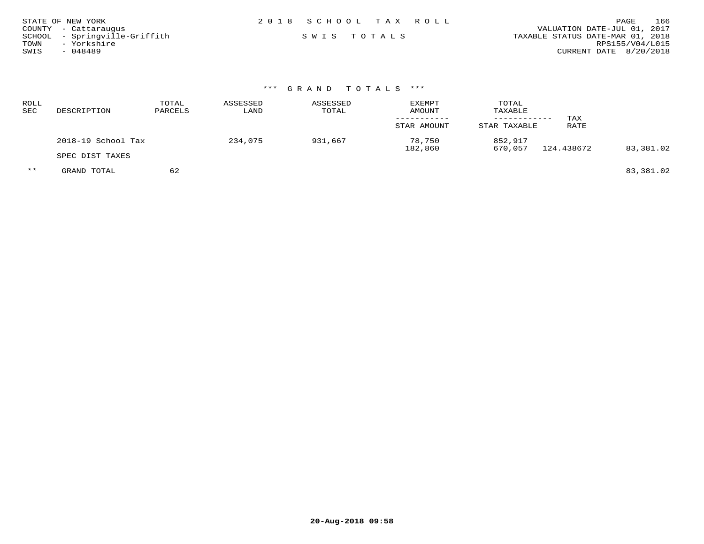| STATE OF NEW YORK             | 2018 SCHOOL TAX ROLL | 166<br>PAGE                      |
|-------------------------------|----------------------|----------------------------------|
| COUNTY - Cattaraugus          |                      | VALUATION DATE-JUL 01, 2017      |
| SCHOOL - Springville-Griffith | SWIS TOTALS          | TAXABLE STATUS DATE-MAR 01, 2018 |
| - Yorkshire<br>TOWN           |                      | RPS155/V04/L015                  |
| SWIS<br>- 048489              |                      | CURRENT DATE 8/20/2018           |

| ROLL<br>SEC | DESCRIPTION        | TOTAL<br>PARCELS | ASSESSED<br>LAND | ASSESSED<br>TOTAL | <b>EXEMPT</b><br>AMOUNT<br>STAR AMOUNT | TOTAL<br>TAXABLE<br>STAR TAXABLE | TAX<br>RATE |           |
|-------------|--------------------|------------------|------------------|-------------------|----------------------------------------|----------------------------------|-------------|-----------|
|             | 2018-19 School Tax |                  | 234,075          | 931,667           | 78,750                                 | 852,917                          | 124.438672  | 83,381.02 |
|             | SPEC DIST TAXES    |                  |                  |                   | 182,860                                | 670,057                          |             |           |
| $***$       | GRAND TOTAL        | 62               |                  |                   |                                        |                                  |             | 83,381.02 |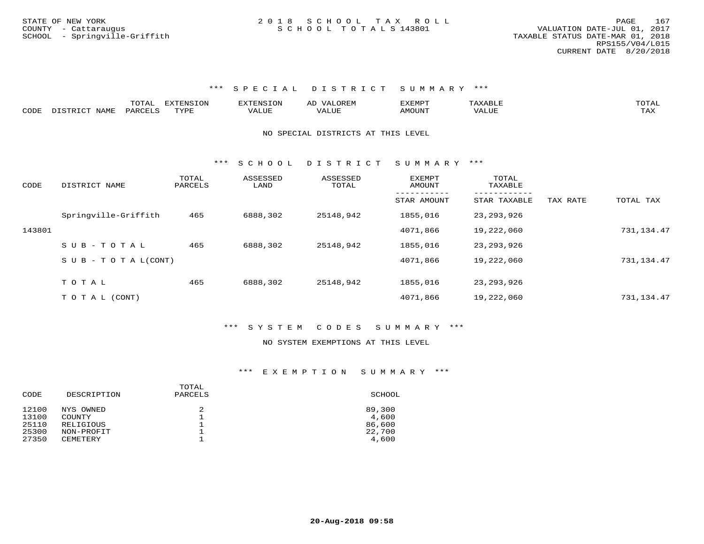#### \*\*\* S P E C I A L D I S T R I C T S U M M A R Y \*\*\*

|      |            | ----  | ----<br>ם הרשי |       | $\cdots$                |     | ጦ∩ጥ⊼<br>---- |
|------|------------|-------|----------------|-------|-------------------------|-----|--------------|
| CODE | <b>BAT</b> | ''∆ ∽ | <b>TITT.</b>   | للنسا | $^{\prime}$ $\Lambda$ . | / Δ |              |

#### NO SPECIAL DISTRICTS AT THIS LEVEL

\*\*\* S C H O O L D I S T R I C T S U M M A R Y \*\*\*

| CODE   | DISTRICT NAME                    | TOTAL<br>PARCELS | ASSESSED<br>LAND | ASSESSED<br>TOTAL | <b>EXEMPT</b><br>AMOUNT | TOTAL<br>TAXABLE |          |            |
|--------|----------------------------------|------------------|------------------|-------------------|-------------------------|------------------|----------|------------|
|        |                                  |                  |                  |                   | STAR AMOUNT             | STAR TAXABLE     | TAX RATE | TOTAL TAX  |
|        | Springville-Griffith             | 465              | 6888,302         | 25148,942         | 1855,016                | 23, 293, 926     |          |            |
| 143801 |                                  |                  |                  |                   | 4071,866                | 19,222,060       |          | 731,134.47 |
|        | $SUB - TO TAL$                   | 465              | 6888,302         | 25148,942         | 1855,016                | 23, 293, 926     |          |            |
|        | $S \cup B - T \cup T A L (CONT)$ |                  |                  |                   | 4071,866                | 19,222,060       |          | 731,134.47 |
|        |                                  |                  |                  |                   |                         |                  |          |            |
|        | TOTAL                            | 465              | 6888,302         | 25148,942         | 1855,016                | 23, 293, 926     |          |            |
|        | T O T A L (CONT)                 |                  |                  |                   | 4071,866                | 19,222,060       |          | 731,134.47 |

#### \*\*\* S Y S T E M C O D E S S U M M A R Y \*\*\*

#### NO SYSTEM EXEMPTIONS AT THIS LEVEL

| SCHOOL |
|--------|
| 89,300 |
| 4,600  |
| 86,600 |
| 22,700 |
| 4,600  |
|        |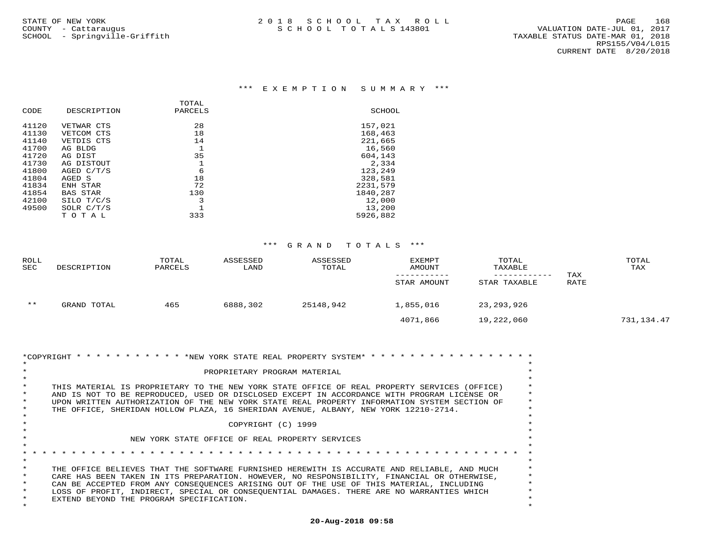|                     |                 | TOTAL   |          |
|---------------------|-----------------|---------|----------|
| CODE<br>DESCRIPTION |                 | PARCELS | SCHOOL   |
| 41120               | VETWAR CTS      | 28      | 157,021  |
| 41130               | VETCOM CTS      | 18      | 168,463  |
| 41140               | VETDIS CTS      | 14      | 221,665  |
| 41700               | AG BLDG         |         | 16,560   |
| 41720               | AG DIST         | 35      | 604,143  |
| 41730               | AG DISTOUT      |         | 2,334    |
| 41800               | AGED C/T/S      | 6       | 123,249  |
| 41804               | AGED S          | 18      | 328,581  |
| 41834               | ENH STAR        | 72      | 2231,579 |
| 41854               | <b>BAS STAR</b> | 130     | 1840,287 |
| 42100               | SILO T/C/S      | 3       | 12,000   |
| 49500               | SOLR $C/T/S$    |         | 13,200   |
|                     | TOTAL           | 333     | 5926,882 |

| ROLL<br><b>SEC</b> | DESCRIPTION | TOTAL<br>PARCELS | ASSESSED<br>LAND | ASSESSED<br>TOTAL | EXEMPT<br>AMOUNT<br>STAR AMOUNT | TOTAL<br>TAXABLE<br>------------<br>STAR TAXABLE | TAX<br>RATE | TOTAL<br>TAX |
|--------------------|-------------|------------------|------------------|-------------------|---------------------------------|--------------------------------------------------|-------------|--------------|
| $***$              | GRAND TOTAL | 465              | 6888,302         | 25148,942         | 1,855,016                       | 23,293,926                                       |             |              |
|                    |             |                  |                  |                   | 4071,866                        | 19,222,060                                       |             | 731,134.47   |

| *COPYRIGHT * * * * * * * * * * * * * NEW YORK STATE REAL PROPERTY SYSTEM* * * * * * * *<br>PROPRIETARY PROGRAM MATERIAL<br>THIS MATERIAL IS PROPRIETARY TO THE NEW YORK STATE OFFICE OF REAL PROPERTY SERVICES (OFFICE)<br>AND IS NOT TO BE REPRODUCED, USED OR DISCLOSED EXCEPT IN ACCORDANCE WITH PROGRAM LICENSE OR<br>UPON WRITTEN AUTHORIZATION OF THE NEW YORK STATE REAL PROPERTY INFORMATION SYSTEM SECTION OF<br>THE OFFICE, SHERIDAN HOLLOW PLAZA, 16 SHERIDAN AVENUE, ALBANY, NEW YORK 12210-2714.<br>COPYRIGHT (C) 1999<br>NEW YORK STATE OFFICE OF REAL PROPERTY SERVICES |  |
|----------------------------------------------------------------------------------------------------------------------------------------------------------------------------------------------------------------------------------------------------------------------------------------------------------------------------------------------------------------------------------------------------------------------------------------------------------------------------------------------------------------------------------------------------------------------------------------|--|
| THE OFFICE BELIEVES THAT THE SOFTWARE FURNISHED HEREWITH IS ACCURATE AND RELIABLE, AND MUCH<br>CARE HAS BEEN TAKEN IN ITS PREPARATION. HOWEVER, NO RESPONSIBILITY, FINANCIAL OR OTHERWISE,<br>CAN BE ACCEPTED FROM ANY CONSEOUENCES ARISING OUT OF THE USE OF THIS MATERIAL, INCLUDING<br>LOSS OF PROFIT, INDIRECT, SPECIAL OR CONSEQUENTIAL DAMAGES. THERE ARE NO WARRANTIES WHICH<br>EXTEND BEYOND THE PROGRAM SPECIFICATION.                                                                                                                                                        |  |